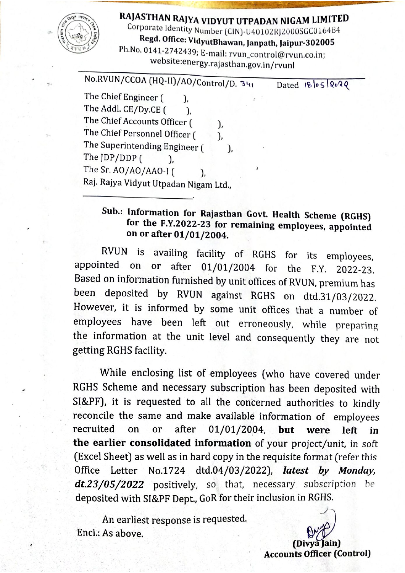## RAJASTHAN RAJYA VIDYUT UTPADAN NIGAM LIMITED

Corporate Identity Number (CIN)-U40102RJ2000SGC016484

Regd. Office: VidyutBhawan, Janpath, Jaipur-302005

Ph.No. 0141-2742439; E-mail: rvun\_control@rvun.co.in; website:energy.rajasthan.gov.in/rvunl

| No.RVUN/CCOA (HQ-II)/AO/Control/D. 341                                                                                                                                                   |                  |
|------------------------------------------------------------------------------------------------------------------------------------------------------------------------------------------|------------------|
| The Chief Engineer (<br>The Addl. CE/Dy.CE (<br>The Chief Accounts Officer (<br>The Chief Personnel Officer (<br>The Superintending Engineer (<br>The JDP/DDP (<br>The Sr. AO/AO/AAO-I ( | Dated 18/05/2022 |
| Raj. Rajya Vidyut Utpadan Nigam Ltd.,                                                                                                                                                    |                  |

## Sub.: Information for Rajasthan Govt. Health Scheme (RGHS) for the F.Y.2022-23 for remaining employees, appointed on or after 01/01/2004.

is availing facility of RGHS for its employees, RVUN appointed after 01/01/2004 for the F.Y. 2022-23. on or Based on information furnished by unit offices of RVUN, premium has been deposited by RVUN against RGHS on dtd.31/03/2022. However, it is informed by some unit offices that a number of employees have been left out erroneously, while preparing the information at the unit level and consequently they are not getting RGHS facility.

While enclosing list of employees (who have covered under RGHS Scheme and necessary subscription has been deposited with SI&PF), it is requested to all the concerned authorities to kindly reconcile the same and make available information of employees recruited  $01/01/2004,$ on or after but were left in the earlier consolidated information of your project/unit, in soft (Excel Sheet) as well as in hard copy in the requisite format (refer this Office Letter No.1724 dtd.04/03/2022), latest by Monday, dt.23/05/2022 positively, so that, necessary subscription be deposited with SI&PF Dept., GoR for their inclusion in RGHS.

An earliest response is requested. Encl.: As above.

(Divya Jain) **Accounts Officer (Control)**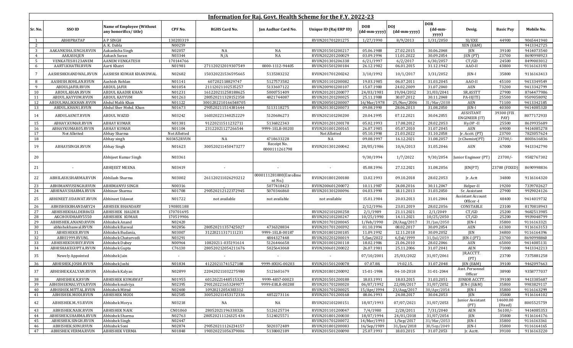|                | Information for Raj. Govt. Health Scheme for the F.Y. 2022-23 |                                                           |              |                      |                                   |                        |                            |                            |                                     |                                        |                     |            |
|----------------|---------------------------------------------------------------|-----------------------------------------------------------|--------------|----------------------|-----------------------------------|------------------------|----------------------------|----------------------------|-------------------------------------|----------------------------------------|---------------------|------------|
|                |                                                               |                                                           |              |                      |                                   |                        |                            |                            | <b>DOR</b>                          |                                        |                     |            |
| Sr. No.        | SSO ID                                                        | <b>Name of Employee (Without</b><br>any honorifics/title) | CPF No.      | <b>RGHS Card No.</b> | Jan Aadhar Card No.               | Unique ID (Raj ERP ID) | <b>DOB</b><br>(dd-mm-yyyy) | <b>DOI</b><br>(dd-mm-yyyy) | $(dd{\text{-}\mathbf{mm}}$<br>yyyy) | Desig.                                 | <b>Basic Pay</b>    | Mobile No. |
| -1             | ABHIPRATAP                                                    | A P SINGH                                                 | 130203319    |                      |                                   | RVUN201701201275       | 1/27/1990                  | 8/9/2013                   | 1/31/2050                           | SI/EXE                                 | 44900               | 9065441940 |
| 2              |                                                               | A. K. Dabla                                               | N00259       |                      |                                   |                        |                            |                            |                                     | XEN (E&M)                              |                     | 9413342725 |
| 3              | AAKANKSHA.SINGH.RVUN                                          | Aakanksha Singh                                           | N02057       | NA                   | NA                                | RVUN201501200217       | 05.06.1988                 | 27.02.2015                 | 30.06.2048                          | JEN                                    | 39100               | 9414073540 |
| 4              | AAKASH.JEN                                                    | Aakash Suran                                              | N03344       | N/A                  | NA                                | RVUN202201200029       | 03.09.1994                 | 11.01.2022                 | 30.09.2054                          | JEN (PT)                               | 23700               | 8690998923 |
| 5              | VENKATESH123ANEM                                              | <b>AANEM VENKATESH</b>                                    | 170144766    |                      |                                   | RVUN201301206338       | 6/21/1997                  | 6/2/2017                   | 6/30/2057                           | CT/GD                                  | 24500               | 8499003012 |
| 6              | AARTI.KHATRI.RVUN                                             | Aarti Khatri                                              | N01981       | 271120212019307549   | 0000-1112-94405                   | RVUN201501200184       | 26.12.1982                 | 06.01.2015                 | 31.12.1942                          | AAO-II                                 | 43800               | 9116163193 |
| $\overline{7}$ | AASHISHKHANDWAL.RVUN                                          | AASHISH KUMAR KHANDWAL                                    | N02682       | 150320221536595665   | 5135383232                        | RVUN201701200242       | 3/10/1992                  | 10/1/2017                  | 3/31/2052                           | JEN-I                                  | 35800               | 9116163413 |
| 8              | AASHISH.ROHLAN.RVUN                                           | Aashish Rohlan                                            | N01141       | 607202118829747      | 5127573582                        | RVUN201101200082       | 19.03.1985                 | 06.07.2011                 | 31.03.2045                          | AAO-II                                 | 45100               | 9413349549 |
| 9              | ABDULJAFIR.RVUN                                               | <b>ABDUL JAFIR</b>                                        | N01054       | 21112021102535257    | 5133607122                        | RVUN200901200107       | 15.07.1980                 | 24.02.2009                 | 31.07.2040                          | AEN                                    | 73200               | 9413342799 |
| 10             | ABDUL.KHAN.RVUN                                               | <b>ABDUL KAADIR KHAN</b>                                  | N01231       | 161220211258188625   | 5000751409                        | RVUN201201200077       | 24/03/1981                 | 19/04/2012                 | 31/03/2041                          | SR.ASSTT                               | 27900               | 8764477986 |
| 11             | ABDUL.KAYYUM.RVUN                                             | <b>ABDUL KAYYUM</b>                                       | N01263       | 280520211328152358   | 4821744087                        | RVUN201201200025       | 25.11.1988                 | 30.07.2012                 | 30.11.2048                          | $PA-II(ITI)$                           | 25500               | 9509058092 |
| 12             | ABDULMALIKKHAN.RVUN                                           | Abdul Malik Khan                                          | N01122       | 3001202210166548705  |                                   | RVUN200501200007       | 16/Mar/1978                | 25/Nov/2006                | 31/Mar/2038                         | AEN                                    | 71100               | 9413342185 |
| 13             | ABDUL.KHAN1.RVUN                                              | Abdul Sher Mohd. Khan                                     | N01673       | 290520211514381644   | 5113118275                        | RVUN201301200073       | 09.08.1990                 | 28.06.2013                 | 31.08.2050                          | JEN-I                                  | 40300               | 9414085320 |
| 14             | ABDULAENIT.RVUN                                               | ABDUL WAZID                                               | N03242       | 160320221340252229   | 5120686273                        | RVUN202101200200       | 20.04.1995                 | 07.12.2021                 | 30.04.2055                          | ASSISTANT<br>ENGINEER (IT)             | 39300 (FIX<br>PAY)  | 8077172933 |
| 15             | ABHAY.KUMAR.RVUN                                              | <b>ABHAY KUMAR</b>                                        | N01381       | 91220211511232711    | 5136822343                        | RVUN201201200178       | 05.02.1993                 | 17.08.2012                 | 28.02.2053                          | Hy.OP-II                               | 25500               | 8619935689 |
| 16             | ABHAYKUMAR05.RVUN                                             | <b>ABHAY KUMAR</b>                                        | N01104       | 23122021127266544    | 9999-1ELB-00203                   | RVUN201001200165       | 26.07.1985                 | 05.07.2010                 | 31.07.2045                          | AEN                                    | 69000               | 9414085278 |
| 17             | Not Allotted                                                  | Abhay Sharma                                              | Not Allotted |                      |                                   | Not Allotted           | 05.10.1998                 | 21.03.2022                 | 31.10.2058                          | Jr. Acctt. (PT)                        | 23700               | 7823057624 |
| 18             |                                                               | Abhay singh                                               | N03452RVUN   | NA                   | 4718633228                        | NA                     | 09.08.1997                 | 16.12.2021                 | 31.08.2057                          | Ir.Chemist(PT)                         | 23700/              | 8003616836 |
| 19             | ABHAYSINGH.RVUN                                               | Abhay Singh                                               | N01623       | 300520211450473277   | Receipt No.<br>0000111261798      | RVUN201301200042       | 28/05/1986                 | 10/6/2013                  | 31.05.2046                          | AEN                                    | 67000               | 9413342790 |
| 20             |                                                               | Abhijeet Kumar Singh                                      | N03361       |                      |                                   |                        | 9/30/1994                  | 1/7/2022                   | 9/30/2054                           | Junior Engineer (PT)                   | $23700/-$           | 9582767302 |
| 21             |                                                               | <b>ABHIJEET MEENA</b>                                     | N03419       |                      | $\overline{\phantom{a}}$          |                        | 05.08.1996                 | 27.12.2021                 | 31.08.2056                          | JEN(PT)                                | 23700 (FIXED)       | 8690998836 |
| 22             | ABHILASH.SHARMA.RVUN                                          | Abhilash Sharma                                           | N03002       | 261120211026293212   | 0000111281000(Enrollme<br>nt No.) | RVUN201801200180       | 13.02.1993                 | 09.10.2018                 | 28.02.2053                          | Jr. Actt                               | 34800               | 9116164320 |
| 23             | ABHIMANYUSINGH.RVUN                                           | ABHIMANYU SINGH                                           | N00316       |                      | 5077418423                        | RVUN200601200072       | 10.11.1987                 | 24.08.2016                 | 30.11.2047                          | Helper-II                              | 19200               | 7339702627 |
| 24             | ABHINAV.SHARMA.RVUN                                           | Abhinav Sharma                                            | N01708       | 290520212122372945   | 5070346860                        | RVUN201301200096       | 04.03.1990                 | 18.11.2013                 | 31.03.2050                          | Sr. Assistant                          | 27900               | 9929024126 |
| 25             | ABHINEET.UDAWAT.RVUN                                          | Abhineet Udawat                                           | N01722       | not available        | not available                     | not available          | 15.01.1984                 | 20.03.2013                 | 31.01.2044                          | <b>Assistant Account</b><br>Officer -I | 48400               | 9414019732 |
| 26             | ABHISHEKBHANDARY24                                            | <b>ABHISEK BHANDARY</b>                                   | 190801188    |                      |                                   |                        | 2/12/1996                  | 23.01.2019                 | 28.02.2056                          | CONSTABLE                              | 23100               | 8170818943 |
| 27             | ABHISHEKHALDER8653                                            | <b>ABHISHEK HALDER</b>                                    | 170701695    |                      |                                   | RVUN202101200258       | 2/1/1989                   | 21.11.2021                 | 2/1/2049                            | CT/GD                                  | 25200               | 9682513985 |
| 28             | AKCHOUDHARY5550                                               | <b>ABHISHEK KUMAR</b>                                     | 170519906    |                      |                                   | RVUN202101200247       | 10/25/1990                 | 14.11.2021                 | 10/25/2050                          | CT/GD                                  | 25200               | 9939048799 |
| 29             | ABHISHEK.ANAND.RVUN                                           | Abhishek Anand                                            | N02420       |                      |                                   | RVUN201701200045       | 1/Feb/1990                 | 28/Aug/2017                | $31/$ Jan $/2050$                   | JEN-I                                  | 35800               | 9116163321 |
| 30             | abhishekbaswal.RVUN                                           | Abhishek Baswal                                           | N02856       | 280520211357425027   | 4736328834                        | RVUN201701200392       | 01.10.1994                 | 08.02.2017                 | 30.09.2054                          | AEN                                    | 61300               | 9116163153 |
| 31             | <b>ABHISHEKB.RVUN</b>                                         | Abhishek Budania,                                         | N03007       | 31220211317111231    | 9999-1ELB-00187                   | RVUN201801200185       | 11.09.1992                 | 12.11.2018                 | 30.09.2052                          | <b>JEN</b>                             | 34800               | 9116164396 |
| 32             | ABHI1999.RVUNL                                                | Abhishek Chaturvedi                                       | N03291       |                      | 4844327448                        | RVUN202201200019       | 5/Jan/2022                 | 6/Jul/1999                 | 31/Jul/2059                         | JEN-I (PT)                             | 23700               | 8690998860 |
| 33             | ABHISHEKDUBEY.RVUN                                            | <b>Abhishek Dubey</b>                                     | N00964       | 10820211-035191614   | 5126446658                        | RVUN201001200118       | 18.02.1986                 | 21.06.2010                 | 28.02.2046                          | AEN                                    | 65000               | 9414085131 |
| 34             | ABHISHAKEGUPTA.RVUN                                           | Abhishek Gupta                                            | C76130       | 280520212054211676   | 5025643068                        | RVUN200601200022       | 26.07.1981                 | 25.11.2006                 | 31.07.2041                          | AEN                                    | 71000               | 9413342213 |
| 35             | Newely Appointed                                              | Abhishek Jain                                             |              |                      |                                   |                        | 07/10/2001                 | 25/03/2022                 | 31/07/2061                          | JR.ACCTT.<br>(PT)                      | 23700               | 7375881258 |
| 36             | ABHISHEK.JOSHI.RVUN                                           | Abhishek Joshi                                            | N01834       | 41220211741527188    | 9999-HXUG-00203                   | RVUN201501200078       | 07.07.88.                  | 19.02.15.                  | 31.07.2048                          | JEN (E&M)                              | 39100               | 9462097663 |
| 37             | ABHISHEK.KALYAN.RVUN                                          | Abhishek Kalyan                                           | N02899       | 220420211032275980   | 5121601679                        | RVUN201801200092       | 15-01-1984                 | 04-10-2018                 | 31-01-2044                          | Asst. Personnel<br>Officer             | 38900               | 9358777037 |
| 38             | ABHISHEK.K.RVUN                                               | <b>ABHISHEK KUMAWAT</b>                                   | N01955       | 60120221448515324    | 9999-48S7-00023                   | RVUN201501200188       | 18.03.1991                 | 18.03.2015                 | 31.03.2051                          | <b>JUNIOR ACCTT.</b>                   | 39100               | 9413385687 |
| 39             | ABHISHEKMALVIYA.RVUN                                          | Abhishek malviya                                          | N02395       | 290120221653249077   | 9999-EBLR-00288                   | RVUN201701200020       | 06/07/1992                 | 22/08/2017                 | 31/07/2052                          | JEN-I (E&M)                            | 35800               | 9983829117 |
| 40             | ABHISHEK.MITTAL.RVUN                                          | <b>Abhishek Mittal</b>                                    | N02400       | 10920212054383312    |                                   | RVUN201701200025       | 15/Apr/1994                | 23/Aug/2017                | 30/Apr/2054                         | JEN-I                                  | 35800               | 9116163299 |
| 41             | ABHISHEK.MODI.RVUN                                            | <b>ABHISHEK MODI</b>                                      | N02585       | 300520211453172336   | 4852273116                        | RVUN201701200168       | 08.06.1993                 | 24.08.2017                 | 30.04.2053                          | JEN                                    | 35800               | 9116164102 |
| 42             | ABHISHEK.M93.RVUN                                             | Abhishek Morya                                            | N03218       | NA                   | NA                                | RVUN202101200151       | 18/07/1993                 | 07/07/2021                 | 31/07/2053                          | Junior Assistant<br>(PT)               | 14600.00<br>(Fixed) | 8005525759 |
| 43             | ABHISHEK.NAIK.RVUN                                            | <b>ABHISHEK NAIK</b>                                      | CN01060      | 28052021196338326    | 5126125734                        | RVUN201101200047       | 7/4/1980                   | 2/28/2011                  | 7/31/2040                           | AEN                                    | 56100/              | 9414085353 |
| 44             | ABHISHEK.SHARMA.RVUN                                          | Abhishek Sharma                                           | N02763       | 280520211126325434   | 5124025571                        | RVUN201801200030       | 18/07/1994                 | 24/01/2018                 | 31/07/2054                          | JEN                                    | 35800               | 9116164176 |
| 45             | ABHISHEK.SINGH.RVUN                                           | Abhishek Singh                                            | N02447       |                      |                                   | RVUN201701200072       | 14/Mar/1993                | $1/$ Sep $/2017$           | 31/Mar/2053                         | JEN-I                                  | 35800               | 9116163361 |
| 46             | ABHISHEK.SONI.RVUN                                            | Abhishek Soni                                             | N02874       | 290520211126234157   | 5020372489                        | RVUN201801200083       | 16/Sep/1989                | 31/Jan/2018                | 30/Sep/2049                         | JEN-I                                  | 35800               | 9116164165 |
| 47             | ABHISHEK.VERMA.RVUN                                           | <b>ABHISHEK VERMA</b>                                     | N01848       | 190320221056379006   | 5138002189                        | RVUN201501200090       | 25.07.1993                 | 18.03.2015                 | 31.07.2053                          | Jr. Acctt.                             | 39100               | 9116163220 |
|                |                                                               |                                                           |              |                      |                                   |                        |                            |                            |                                     |                                        |                     |            |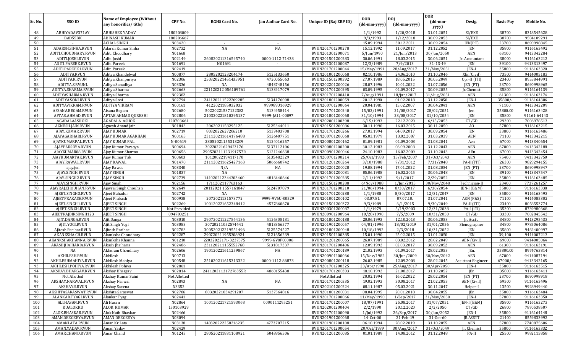| Sr. No.   | SSO ID                               | <b>Name of Employee (Without</b><br>any honorifics/title) | CPF No.          | <b>RGHS Card No.</b> | Jan Aadhar Card No. | Unique ID (Raj ERP ID)               | <b>DOB</b><br>(dd-mm-yyyy) | <b>DOI</b><br>(dd-mm-yyyy)     | <b>DOR</b><br>$(dd{\text{-}\mathbf{mm}}$ | Desig.                    | <b>Basic Pay</b> | Mobile No.               |
|-----------|--------------------------------------|-----------------------------------------------------------|------------------|----------------------|---------------------|--------------------------------------|----------------------------|--------------------------------|------------------------------------------|---------------------------|------------------|--------------------------|
|           |                                      |                                                           |                  |                      |                     |                                      |                            |                                | yyyy)                                    |                           |                  |                          |
| 48        | ABHIYADAV371AY                       | <b>ABHISHEK YADAV</b>                                     | 180208009        |                      |                     |                                      | 1/1/1992                   | 1/20/2018                      | 31.01.2051                               | SI/EXE                    | 38700            | 8318545628               |
| 49<br>50  | BAD55BK                              | ABINASH KUMAR                                             | 180206667        |                      |                     |                                      | 9/3/1993                   | 1/12/2018                      | 30.09.2053                               | SI/EXE                    | 38700            | 9504109291               |
| 51        | ADARSH.SINHA.RVUN                    | <b>ACHAL SINGH</b><br>Adarsh Kumar Sinha                  | N03420<br>N02732 | NA                   | $\sim$<br>NA        | RVUN201701200278                     | 15.09.1994<br>15.12.1992   | 30.12.2021<br>11.09.2017       | 30.09.2054<br>31.12.2052                 | JEN(PT)<br><b>JEN</b>     | 23700<br>35800   | 8690998845<br>9116163492 |
| 52        | ADITI.CHOUDHARY.RVUN                 | Aditi Choudhary                                           | N01668           |                      |                     | RVUN201301200071                     | 5/Jun/1990                 | 21/Jun/2013                    | 30/Jun/2050                              | <b>AEN</b>                | 63100            | 9413342284               |
| 53        | ADITI.JOSHI.RVUN                     | Aditi Joshi                                               | N02149           | 260820211316545740   | 0000-1112-71438     | RVUN201501200283                     | 30.06.1991                 | 18.03.2015                     | 30.06.2051                               | Jr. Accountant            | 38000            | 9116163212               |
| 54        | ADITI.PAREEK.RVUN                    | Aditi Pareek                                              | N01691           | N01691               | $\sim$              | RVUN201301200087                     | 12/3/1989                  | 7/9/2013                       | 31-13-49                                 | JEN                       | 39100            | 9413313497               |
| 55        | ADITI.PAREEK1.RVUN                   | Aditi Pareek                                              | N02419           |                      |                     | RVUN201701200044                     | 15/May/1991                | 28/Aug/2017                    | 31/May/2051                              | JEN-I                     | 35800            | 9116163320               |
| 56        | ADITYA.RVUN                          | Aditya Khandelwal                                         | N00877           | 2805202123204174     | 5125133650          | RVUN201001200068                     | 02.10.1986                 | 24.06.2010                     | 31.10.2046                               | XEn(Civil)                | 73500            | 9414005183               |
| 57        | ADITYA.K.RVUN                        | Aditya Khanpuriya                                         | N02306           | 250320221451435951   | 4720055063          | RVUN201501200392                     | 27.07.1989                 | 18.05.2015                     | 30.05.2049                               | Opr-II (ITI)              | 23400            | 8955844991               |
| 58        | ADITYA.S.RVUNL                       | Aditya Sanadhya                                           | N03336           | NA                   | 4843748156          | RVUN202201200026                     | 28.07.1996                 | 10.01.2022                     | 31.07.2056                               | JEN (PT)                  | 23700            | 8690998965               |
| 59        | ADITYA.SHARMA.RVUN                   | Aditya Sharma                                             | N02663           | 221120212 056109761  | 5133417079          | RVUN201701200295                     | 03.09.1995                 | 01.09.2017                     | 30.09.2055                               | Jr.Chemist                | 35800            | 9116164139               |
| 60        | ADITYASHARMA.RVUN                    | Aditya Sharma                                             | N02382           |                      |                     | RVUN201701200410                     | 7/Aug/1991                 | 18/Jan/2017                    | 31/Aug/2051                              | <b>AEN</b>                | 61300            | 9116163174               |
| 61        | ADITYA.SONI.RVUN                     | Aditya Soni                                               | N02794           | 241120211522269285   | 5134176008          | RVUN201801200059                     | 20.12.1990                 | 01.02.2018                     | 31.12.2050                               | JEN-I                     | 35800/           | 9116164306               |
| 62        | ADITYAVIKRAM.RVUN                    | ADITYA VIKRAM                                             | N00161           | 4122021185032032     | 999989U16929        | RVUN200701200064                     | 20.04.1981                 | 15.02.2007                     | 30.04.2041                               | <b>AEN</b>                | 71100            | 9413342209               |
| 63        | AFSANA.BEGAM.RVUN                    | Afsana Begam                                              | N02680           | 50220221537122382    | 5134458414          | RVUN201701200240                     | 15/02/1991                 | 21/08/2017                     | 28/02/2051                               | Jen                       | 35800.00         | 9116163428               |
| 64        | AFTAB.AHMAD.RVUN                     | <b>AFTAB AHMAD QURESHI</b>                                | N02806           | 210320221810295137   | 9999-JA11-00097     | RVUN201801200068                     | 31/10/1994                 | 23/08/2017                     | 31/10/2054                               | JEN                       | 35800            | 91161-64143              |
| 65        | AGADALAASHOK1                        | AGADALA ASHOK                                             | 120703661        |                      |                     | RVUN202001200398                     | 6/15/1993                  | 22.12.2020                     | 6/15/2053                                | CT/GD                     | 29300            | 7006978513               |
| 66        | AGNESH.JAIN.RVUN                     | Agnesh Anand Jain                                         | N01843           | 2062021158295125     | 5125344011          | RVUN201501200086                     | 30.11.1990                 | 16.03.2015                     | 30.11.2050                               | AO                        | 57800            | 9116163215               |
| 67        | AJAY.KUMAR.RVUN                      | <b>AJAY KUMAR</b>                                         | N02719           | 8032022627206210     | 5137403708          | RVUN201701200266                     | 27.03.1994                 | 04.09.2017                     | 30.09.2054                               | <b>JEN</b>                | 33800            | 9116163486               |
| 68        | AIAYAGARHARI.RVUN                    | AJAY KUMAR AGARHARI                                       | N00165           | 231120211614176488   | 5126407751          | RVUN200701200068                     | 05.03.1979                 | 13.02.2007                     | 31.03.2039                               | <b>AEN</b>                | 71100            | 9413342215               |
| 69        | AJAYKUMARPAL.RVUN                    | AJAY KUMAR PAL                                            | N-00619          | 28052021155313209    | 5124016257          | RVUN200801200162                     | 01.09.1981                 | 01.09.2008                     | 31.08.2041                               | Aen                       | 67000            | 9413340654               |
| 70        | AJAYPARSOYA.RVUN                     | Ajay Kumar Parsoya                                        | N00694           | 30220221629423176    | 5137112106          | RVUN200801200200                     | 30.12.1983                 | 06.09.2008                     | 31.12.2043                               | <b>AEN</b>                | 67000            | 9413342188               |
| 71        | AJAYKUMAR08.RVUN                     | Ajay Kumar Sharma                                         | N00656           | 290520211123191757R  | 5121246638          | RVUN200901200046                     | 24.10.1983                 | 16.02.2009                     | 31.10.2043                               | AEn                       | 67000            | 9413342454               |
| 72        | AJAYKUMARTAK.RVUN                    | Ajay Kumar Tak                                            | N00603           | 10120022194117170    | 5135482329          | RVUN200701200214                     | 25/0ct/1983                | 15/Feb/2007                    | 31/0ct/2043                              | AEN                       | 75400            | 9413342750               |
| 73        | AJAY.RAWAL.RVUN                      | AJAY RAWAL                                                | N01470           | 211120211625427163   | 5066660742          | RVUN201201200264                     | 3/10/1988                  | 7/31/2012                      | 7/31/2048                                | PA-II (ITI)               | 26300            | 9829294155               |
| 74        | ajay.jen                             | Ajay Rawat                                                | N03340<br>N01837 | N/A<br>NA            | NA                  | RVUN202201200028<br>RVUN201501200081 | 19.08.1994<br>05.06.1988   | 17.01.2022<br>16.02.2015       | 31.08.2054<br>30.06.2048                 | JEN (PT)                  | 23700<br>39100   | 8690998947               |
| 75<br>76  | AJAY.SINGH.RVUN<br>AJAY.SINGH2.RVUN  | <b>AJAY SINGH</b><br>AJAY SINGH                           | N02739           | 141020212344303460   | 4816440646          | RVUN201701200285                     | 2/11/1992                  | 9/1/2017                       | 2/29/2052                                | JEN<br><b>JEN</b>         | 35800            | 9413347547<br>9116163485 |
| 77        | AJAY.SINGH.RVUN                      | Ajay Singh                                                | N02156           | 1711202117763163     |                     | RVUN201501200288                     | 6/Nov/1988                 | 1/Jun/2015                     | 30/Nov/2048                              | Technician-II             | 23400            | 7737261257               |
| 78        | AJAYRAJ.CHOUHAN.RVUN                 | Ajayraj Singh Chouhan                                     | N02649           | 20112021 1557161847  | 5124707879          | RVUN201701200210                     | 21/06/1994                 | 8/30/2017                      | 6/30/2054                                | JEN-I (E&M)               | 35800            | 9116163338               |
| 79        | AJEET.SINGH3.RVUN                    | Ajeet Bahadur                                             | N02742           | NA                   |                     | RVUN201701200288                     | 1/1/1988                   | 8/30/2017                      | 12/31/2047                               | JEN                       | 35800            | 9116163493               |
| 80        | AJEETPRAKASH.RVUN                    | Ajeet Prakash                                             | N00938           | 2072021131573772     | 9999-9V6U-00529     | RVUN201001200102                     | 03.07.81                   | 07.07.10                       | 31.07.2041                               | AEN (F&S)                 | 71100            | 9414085302               |
| 81        | AJEET.SINGH1.RVUN                    | <b>AJEET SINGH</b>                                        | N02269           | 100120221652348412   | 4577860670          | RVUN201501200372                     | 9/3/1989                   | 6/1/2015                       | 9/30/2049                                | PA-II (ITI)               | 23400            | 8058553774               |
| 82        | AJEET.SINGH.RVUN                     | <b>AJEET SINGH</b>                                        | Not Provided     |                      |                     | RVUN200301200087                     | 1/1/1979                   | 5/19/2003                      | 12/31/2038                               | PA-I (ITI)                | 35300            | 8739980668               |
| 83        | AJEETRAJBIRSINGH123                  | <b>AJEET SINGH</b>                                        | 094700251        |                      |                     | RVUN200901200964                     | 10/28/1990                 | 7/5/2009                       | 10/31/2050                               | CT/GD                     | 33300            | 7002845542               |
| 84        | AJIT.DANGA.RVUN                      | Ajit Danga                                                | N03010           | 290720211227544136   | 5126308181          | RVUN201801200188                     | 20.06.1993                 | 12.10.2018                     | 30.06.2053                               | Ir. Acctt.                | 34800            | 9413295433               |
| 85        | AJIT.YOGI.RVUN                       | Ajit Singh Yogi                                           | N03083           | 30720211052574441    | 4813356577          | RVUN201901200057                     | 04/01/1996                 | 18/02/2019                     | 31/01/2056                               | Stenographer              | 34800            | 9785064086               |
| 86        | Ajitesh.Parihar.RVUN                 | Ajitesh Parihar                                           | N02783           | 300520212219551496   | 5125574527          | RVUN201801200048                     | 10/18/1992                 | 2/3/2018                       | 10/31/2052                               | JEN                       | 35800            | 9462400997               |
| 87        | AKANKSHA.CH.RVUN                     | Akanksha Choudhary                                        | N02287           | 290720211955308924   | 5121656239          | RVUN201501200385                     | 15.01.1990                 | 25.02.2015                     | 31.01.2050                               | JEN                       | 39,100           | 9414007213               |
| 88        | AKANKSHAKHANNA.RVUN                  | Akanksha Khanna                                           | N01210           | 22032022171-3237575  | 9999-GV8F00006      | RVUN201201200065                     | 26.07.1989                 | 03.02.2012                     | 28.02.2049                               | AEN (Civil)               | 69000            | 9414005064               |
| 89        | AKASHIHAJHARIA.RVUN                  | Akash Jhajharia                                           | N02486           | 231120211155552768   | 5131817337          | RVUN201701200406                     | 12.09.1992                 | 02.03.2017                     | 30.09.2052                               | AEN                       | 61300            | 9116163191               |
| 90        | NA                                   | Akheram Choudhary                                         | N02606           | 190120221611259867   | NA                  | RVUN201701200189                     | 21.02.1993                 | 01.09.2017                     | 28.02.2053                               | JEn.                      | 35800.00         | 8974763814               |
| 91        | AKHILESH.RVUN                        | Akhilesh                                                  | N00713           |                      |                     | RVUN200901200066                     | 15/Nov/1982                | 30/Jun/2009                    | 30/Nov/2042                              | <b>AEN</b>                | 67000            | 9414087194               |
| 92        | AKHILESHMAHIYA.RVUN                  | Akhilesh Mahiya                                           | N00548           | 251020211615313322   | 0000-1112-86873     | RVUN200801200118                     | 26.02.1985                 | 12.09.2008                     | 28.02.2045                               | <b>Assistant Engineer</b> | 67000/           | 9413342165               |
| 93        | AKHILESH.POHIYA.RVUN                 | Akhilesh Pohiya                                           | N02861           |                      |                     | RVUN201701200325                     | 23/Apr/1990                | 25/Aug/2017                    | 30/Apr/2050                              | JEN-I                     | 35800            | 9116163515               |
| 94        | AKSHAY.BHARGAV.RVUN                  | Akshay Bhargav                                            | N02814           | 241120211317276355R  | 4860155438          | RVUN201701200303                     | 18.10.1992                 | 21.08.2017                     | 31.10.2052                               | JEn                       | 35800            | 9116163411               |
| 95        | Not Allotted                         | Akshay Kumar Saini                                        | Not Allotted     |                      |                     | Not Allotted                         | 20.02.1994                 | 16.02.2022                     | 28.02.2054                               | JEN (PT)                  | 23700            | 8690998918               |
| 96        | AKSHAY.NARWAL.RVUN                   | Akshay Narwal                                             | N02893           | NA                   | NA                  | RVUN201701200335                     | 19.02.1993                 | 30.08.2017                     | 21.02.2053                               | AEN (Civil)               | 59500            | 9116163496               |
| 97        | AKSHAY.S.RVUN                        | Akshay Saxena                                             | N3352            |                      |                     | RVUN202101200224                     | 08.11.1987                 | 05.03.2021                     | 30.11.2047                               | Helper-I                  | 13500            | 9928949440               |
| 98        | AKSHITASARASWAT.RVUN                 | Akshita Saraswat<br>Alankar Tyagi                         | N02786<br>N02441 | 80320221034291207    | 5137564816          | RVUN201801200031                     | 08.04.1995                 | 20.01.2018                     | 30.04.2055<br>31/May/2050                | JEn                       | 35800<br>57800   | 9116163484               |
| 99<br>100 | ALANKAR.TYAGI.RVUN<br>ALI.HASAN.RVUN |                                                           | N02864           | 100120221721593068   | 0000111295251       | RVUN201701200066<br>RVUN201701200007 | 11/May/1990<br>18/07/1991  | $1/$ Sep $/2017$<br>25.08.2017 | 31/07/2051                               | JEN-I<br>JEN-I (E&M)      | 35800            | 9116163350<br>9116163273 |
| 101       | KUALOKKU                             | Ali Hasan<br>ALOK KUMAR                                   | 150103929        |                      |                     | RVUN202001200404                     | 2/2/1990                   | 20.12.2020                     | 2/2/2050                                 | CT/GD                     | 26800            | 7870538507               |
| 102       | ALOK.BHASKAR.RVUN                    | Alok Nath Bhaskar                                         | N02466           |                      |                     | RVUN201701200090                     | 1/Jul/1992                 | 26/Sep/2017                    | 30/Jun/2052                              | JEN-I                     | 35800            | 9116164148               |
| 103       | AMAN.DEEGEEYA.RVUN                   | <b>AMAN DEEGEEYA</b>                                      | N03094           |                      |                     | RVUN201901200068                     | 14-Oct-00                  | 21-Feb-19                      | 31-Oct-60                                | JR.ASSTT                  | 21400            | 8559833992               |
| 104       | AMANLATA.RVUN                        | Aman Kr Lata                                              | N03138           | 140320222258216235   | 4773707215          | RVUN201901200108                     | 06.10.1994                 | 28.02.2019                     | 31.10.2055                               | AEN                       | 57800            | 7740875606               |
| 105       | AMAN.YADAV.RVUN                      | Aman Yadav                                                | N02429           |                      |                     | RVUN201701200054                     | 20/0ct/1989                | 30/Aug/2017                    | 31/0ct/2049                              | Jr. Chemist               | 35800            | 9116163332               |
| 106       | AMAR.CHAND.RVUN                      | Amar Chand                                                | N01243           | 280520211831108921   | 5043856506          | RVUN201201200085                     | 01.01.1989                 | 14.08.2012                     | 31.12.2048                               | PA-II                     | 25500            | 9982115858               |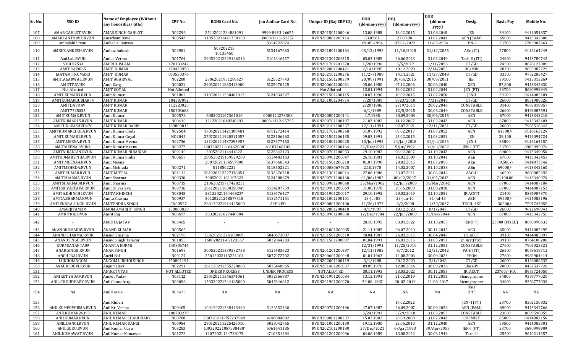| Sr. No.    | SSO ID                       | <b>Name of Employee (Without</b><br>any honorifics/title) | CPF No.              | <b>RGHS Card No.</b>  | Jan Aadhar Card No.  | Unique ID (Raj ERP ID)               | <b>DOB</b><br>(dd-mm-yyyy) | <b>DOJ</b><br>(dd-mm-yyyy) | <b>DOR</b><br>$(dd{\text{-}\mathbf{mm}}$ -<br>yyyy) | Desig.            | <b>Basic Pay</b> | Mobile No.               |
|------------|------------------------------|-----------------------------------------------------------|----------------------|-----------------------|----------------------|--------------------------------------|----------------------------|----------------------------|-----------------------------------------------------|-------------------|------------------|--------------------------|
| 107        | AMAR.GAHLOT.RVUN             | AMAR SINGH GAHLOT                                         | N02296               | 25112021234881091     | 9999-89SU-16655      | RVUN201501200046                     | 13.08.1988                 | 18.02.2015                 | 31.08.2048                                          | JEN               | 39100            | 9414054837               |
| 108        | AMARKANTDAVE.RVUN            | Amarkant Dave                                             | N00542               | 310520211421358158    | 0000-1111-51252      | RVUN200801200114                     | 03.07.81                   | 27.09.08                   | 31.07.2041                                          | AEN (E&M)         | 65000            | 9413342808               |
| 109        | ambalal03.rvun               | Amba Lal Bairwa                                           |                      |                       | 5014722874           |                                      | 09-05-1994                 | 07-01-2022                 | 31-05-2054                                          | JEN-I             | 23700            | 7703907663               |
| 110        | AMBUZ.ANKESH.RVUN            | Ambuz Ankesh                                              | N02981               | 503202215<br>10133450 | 5134167663           | RVUN201801200164                     | 03/12/1995                 | 11/10/2018                 | 31/12/2055                                          | AEn (IT)          | 57800            | 9116164249               |
| 111        | Aml.LaL.RVUN                 | Amilal Verma                                              | N01704               | 290520212329186246    | 5101646457           | RVUN201301206315                     | 03.03.1989                 | 26.06.2013                 | 31.03.2049                                          | Tech-II (ITI)     | 24800            | 9413780742               |
| 112        | SOBUSZ533                    | <b>AMIRUL ISLAM</b>                                       | 170138242            |                       |                      | RVUN201701201270                     | 1/20/1996                  | 5/5/2017                   | 1/31/2056                                           | CT/GD             | 24500            | 8876127889               |
| 113        | AMIT.RAJ9065                 | <b>AMIT KUMAR</b>                                         | 170420958            |                       |                      | RVUN202001200421                     | 2/14/1995                  | 19.12.2020                 | 2/14/2055                                           | HC/MIN            | 28700            | 9835987729               |
| 114        | JAATAMITKUMAR3               | <b>AMIT KUMAR</b>                                         | 093550376            |                       |                      | RVUN202101200276                     | 11/27/1988                 | 14.11.2021                 | 11/27/2048                                          | CT/GD             | 33300            | 9752285427               |
| 115        | AMIT.AGARWAL.RVUN            | <b>AMIT AGARWAL</b>                                       | N02280               | 23062021951289627     | 5125527743           | RVUN201501200379                     | 20/09/1991                 | 30/06/2015                 | 30/09/2051                                          | JEn               | 39100            | 9413313269               |
| 116        | <b>AMITIT.RVUN</b>           | Amit Garg                                                 | N00021               | 290520211833413000    | 5125070525           | RVUN200601200031                     | 05.06.1980                 | 07.12.2006                 | 30.06.2040                                          | <b>XEN</b>        | 87,800           | 9413342830               |
| 117        | Not Allotted                 | <b>AMIT GOYAL</b>                                         | Not Allotted         |                       |                      | Not Allotted                         | 13.01.1994                 | 16.02.2022                 | 31.04.2044                                          | JEN (PT)          | 23700            | 8690998949               |
| 118        | AMIT.KUMAR3.RVUN             | Amit Kumar                                                | N01882               | 310520211530467013    | 5124034327           | RVUN201501200115                     | 10.07.1990                 | 10.02.2015                 | 31.07.2050                                          | JEN-I             | 39100            | 9414085109               |
| 119        | AMITKUMARGURJAR74            | <b>AMIT KUMAR</b>                                         | 104387092            |                       |                      | RVUN201001204774                     | 7/20/1989                  | 8/23/2010                  | 7/31/2049                                           | CT/GD             | 26800            | 8851989026               |
| 120        | AMITDAVDAV                   | AMIT KUMAR                                                | 112220020            |                       |                      |                                      | 2/20/1986                  | 2/19/2011                  | 28.02.2046                                          | CONSTABLE         | 31400            | 9693818857               |
| 121        | AMIT7725035                  | <b>AMIT KUMAR</b>                                         | 150703668            |                       |                      |                                      | 6/1/1989                   | 12/5/2015                  | 30.06.2049                                          | CONSTABLE         | 26800            | 8492887591               |
| 122        | AMITKUMAR.RVUN               | Amit Kumar                                                | N00578               | 6082021167361016      | 0000111273308        | RVUN200801200141                     | 1.7.1985                   | 20.09.2008                 | 30/06/2045                                          | AEN               | 67000            | 9413342218               |
| 123        | AMITKUMAR15.RVUN             | <b>AMIT KUMAR</b>                                         | N00410               | 12122021048248693     | 0000-1112-95795      | RVUN200701200197                     | 21.03.1982                 | 14.12.2007                 | 31.03.2042                                          | AEN               | 67000            | 9413342409               |
| 124        | AMITUNLEASHED470             | <b>AMIT KUMAR BARIK</b>                                   | 169800015            |                       |                      | RVUN202101200237                     | 12/11/1991                 | 02.07.2021                 | 12/11/2051                                          | CT/GD             | 26800            | 7983510642               |
| 125        | AMITKUMARCHOLA.RVUN          | Amit Kumar Chola                                          | N02504               | 170620211421109481    | 4711272414           | RVUN201701200368                     | 01.07.1992                 | 09.02.2017                 | 31.07.2052                                          | AEN               | 61300/           | 9116163124               |
| 126        | AMIT.KUMAR1.RVUN             | Amit Kumar Goyal                                          | NO2045               | 270720211920511057    | 5123106263           | RVUN201501206135                     | 09.03.1991                 | 25.02.2015                 | 31.03.2051                                          | <b>JEN</b>        | 39,100           | 9414094724               |
| 127        | AMIT.MEENA.RVUN              | Amit Kumar Meena                                          | N02756               | 121020211437295957    | 5127377453           | RVUN201801200025                     | 10/Jul/1995                | 24/Jan/2018                | 31/Jul/2055                                         | JEN-I             | 35800            | 9116164157               |
| 128        | AMITMEENA.RVUNL              | Amit Kumar Meena                                          | N03277               | 120320221116462000    | 48181166102          | RVUN202101200164                     | 22/Dec/2021                | 5/Jul/1992                 | 31/Jul/2052                                         | $IEN-I (PT)$      | 23700            | 8905995074               |
| 129        | AMITNIRANJAN.RVUN            | AMIT KUMAR NIRANJAN                                       | N00140               | 2805202114441822      | 5122842123           | RVUN200701200053                     | 29.10.1982                 | 08.02.2007                 | 31.10.2042                                          | AEN               | 69000            | 9413349056               |
| 130        | AMITKUMARSINHA.RVUN          | Amit Kumar Sinha                                          | N00657               | 280520211159529269    | 5124483163           | RVUN200901200047                     | 26.10.1981                 | 16.02.2009                 | 31.10.2041                                          | AEn               | 67000            | 9413342453               |
| 131        | AMIT.MEENA4.RVUN             | Amit Meena                                                |                      | 20072021154597900     | 5137668543           | RVUN201501200218                     | 01.07.1990                 | 28.02.2015                 | 01.07.2050                                          | AEn               | 59,500/-         | 9414073746               |
| 132        | AMITMEHRDA.RVUN              | Amit Mehrada                                              | N00271               | 5118502221            | 5118502221           | RVUN100080674925                     | 2.10.1978                  | 14.02.2007                 | 01.10.2038                                          | AEn               | 69000/           | 9413342163               |
| 133        | AMIT.KUMAR.RVUN              | AMIT MITTAL                                               | N01112               | 281020212227138851    | 5132676718           | RVUN201301200014                     | 27.06.1986                 | 23.07.2011                 | 30.06.2046                                          | AAO-II            | 46500            | 9680885692               |
| 134        | AMITSHARMA.RVUN              | Amit Sharma                                               | N00330               | 30052021161107623     | 5124588679           | RVUN200701200160                     | 01/06/1982                 | 08/02/2007                 | 31/05/2042                                          | AEN               | 71100.00         | 9413340076               |
| 135        | AMITSHARMA08.RVUN            | Amit Sharma                                               | N00715               | 210620211717428231    |                      | RVUN200901200068                     | 25/Mar/1982                | 12/Jun/2009                | 31/Mar/2042                                         | AEN               | 67000            | 9414087184               |
| 136        | AMITSRIVASTAVA.RVUN          | Amit Srivastava                                           | N00716               | 261120211630358949    | 5134207759           | RVUN200901200069                     | 31.08.1978                 | 29.06.2009                 | 31.08.2038                                          | AEN               | 67000            | 9414087153               |
| 137        | AMITA.KHINCHI.RVUN           | <b>AMITA KHINCHI</b>                                      | N03043               | 28122021144468237     | 5123476427           | RVUN201901200017                     | 29.10.1992                 | 20.02.2019                 | 31.10.2052                                          | JR.ASSTT          | 21400            | 8384907370               |
| 138        | AMITA.SHARMA.RVUN            | Amita Sharma                                              | N00937               | 50120221248577518     | 5132471151           | RVUN201001200101                     | $13$ -Jul-85               | $23$ -Jun-10               | $31$ -Jul-45                                        | AEN               | 59500/           | 9414085196               |
| 139        | AMITENDRA.SINGH.RVUN         | <b>AMITENDRA SINGH</b>                                    | CN00527<br>150800828 | 260120221914425000    | <b>APPLIED</b>       | RVUN200801200100                     | 11/26/1977                 | 8/2/2008<br>18.12.2020     | 11/30/2037                                          | TECH-1ST<br>CT/GD | 30500/           | 7597747855<br>9612698941 |
| 140<br>141 | AMARJITAMOM<br>AMRITRAJ.RVUN | AMOM AMARJIT SINGH                                        | N00697               | 30320221027448004     |                      | RVUN202001200418<br>RVUN200901200058 | 8/1/1987<br>12/Dec/1984    | 22/Jun/2009                | 8/1/2047<br>31/Dec/2044                             | AEN               | 26800<br>67000   | 9413342751               |
| 142        |                              | Amrit Raj<br>AMRITA JATAV                                 | N03465               |                       |                      |                                      | 28.10.1995                 | 03.01.2022                 | 31.10.2055                                          | JEN(PT)           | 23700 (FIXED     | 8690998632               |
| 143        | ANANDKUMAR05.RVUN            | <b>ANAND KUMAR</b>                                        | N00565               |                       | $\sim$               | RVUN201001200085                     | 21.11.1985                 | 06.07.2010                 | 30.11.2045                                          | AEN               | 65000            | 9414085295               |
| 144        | ANAND.SHARMA.RVUN            | Anand Sharma                                              | N02190               | 50620211226188009     | 5048673887           | RVUN201501200310                     | 18.04.1987                 | 26.03.2015                 | 30.04.2047                                          | JR. ACCT          | 39100            | 9414085897               |
| 145        | ANANDSINGH.RVUN              | Anand Singh Tanwar                                        | N01855               | 160820211-07123567    | 5032844283           | RVUN201501200097                     | 01.04.1991                 | 16.03.2015                 | 31.03.2051                                          | Jr. Acct(Tax)     | 39100            | 8764100200               |
| 146        | KURMIANANTA09                | ANANTA KURMI                                              | 140806744            |                       |                      |                                      | 12/31/1991                 | 11/25/2014                 | 31.12.2051                                          | CONSTABLE         | 27600            | 7905023321               |
| 147        | ANAR.SINGH.RVUN              | <b>ANAR SINGH</b>                                         | N01693               | 300520211339332738    | 5125483623           | RVUN201201200387                     | 12/11/1982                 | 8/7/2012                   | 12/31/2042                                          | PA-II (ITI)       | 26300            | 8058618712               |
| 148        | ANCHI.BAI.RVUN               | Anchi Bai                                                 | N00127               | 25012022113221101     | 5077072702           | RVUN200601200048                     | 01.01.1963                 | 11.08.2006                 | 30.09.2023                                          | PEON              | 27600            | 9982904414               |
| 149        | LUKHOIANGOM                  | ANGOM LUKHOI SINGH                                        | 150801191            |                       |                      | RVUN202001200419                     | 3/1/1988                   | 20.12.2020                 | 3/1/2048                                            | CT/GD             | 26800            | 8126086535               |
| 150        | ANGURI.DEVI.RVUN             | Anguri Devi                                               | N02291               | 261120211355228063    | 5075448065           | RVUN201401200037                     | 09.09.1976                 | 12.08.2014                 | 30.09.2036                                          | Class-IV          | 20800            | 8432537726               |
| 151        |                              | <b>ANIKET VYAS</b>                                        | NOT ALLOTED          | <b>UNDER PROCESS</b>  | <b>UNDER PROCESS</b> | NOT ALLOTED                          | 30.11.1993                 | 23.03.2022                 | 30.11.2053                                          | JR. ACCT.         | 23700/- FIX      | 8955724050               |
| 152        | ANIKET.YADAV.RVUN            | Aniket Yadav                                              | N03112               | 280520211346374061    | 5052366887           | RVUN201901200084                     | 13.12.1991                 | 21.02.2019                 | 31.12.2051                                          | Stenographer      | 34800            | 9358777020               |
| 153        | ANIL.CHOUDHARY.RVUN          | Anil Choudhary                                            | N03096               | 150320221544185000    | 5045346812           | RVUN201901200070                     | 30-08-1987                 | 20-02-2019                 | 31-08-2047                                          | Stenographer      | 34800            | 9358777039               |
| 154        | NA                           | Anil Karela                                               | N03475               | NA                    | NA                   | NA                                   | NA                         | NA                         | NA                                                  | JEn.I<br>(PT)     | NA               | NA                       |
| 155        |                              | Anil Khileri                                              |                      |                       |                      |                                      |                            | 17.02.2022                 |                                                     | JEN-I (PT)        | 23700            | 8302130832               |
| 156        | ANILKUMERVERMA.RVUN          | Anil Kr. Verma                                            | N00405               | 100120221338413490    | 5136552430           | RVUN200701200196                     | 17.07.1987                 | 26.09.2007                 | 30.09.2036                                          | AEN (E&M)         | 69000            | 9413342766               |
| 157        | ANILKUMAR24393               | ANIL KUMAR                                                | 180700279            |                       |                      |                                      | 3/24/1993                  | 5/29/2018                  | 31.03.2053                                          | CONSTABLE         | 23800            | 8009598859               |
| 158        | ANILKUMAR.RVUN               | ANIL KUMAR CHAUDHARY                                      | N00788               | 250720211-752237949   | 4748884882           | RVUN200801200237                     | 15.07.1982                 | 26.09.2008                 | 31.07.2042                                          | <b>CHEMIST</b>    | 65000            | 9414087156               |
| 159        | ANIL.DANGI.RVUN              | ANIL KUMAR DANGI                                          | N00984               | 280520211225426010    | 5023042765           | RVUN201001200130                     | 19.12.1980                 | 23.06.2010                 | 31.12.2040                                          | AEN               | 59500            | 9414085301               |
| 160        | ANILGURU.RVUN                | Anil Kumar Guru                                           | N03283               | 100320221057538498'   | 5061641185           | RVUN202101200180                     | 27/Dec/2021                | 6/Apr/1993                 | 30/Apr/2053                                         | $IEN-I (PT)$      | 23700            | 8690998909               |
| 161        | ANIL.KUMAWAT.RVUN            | Anil Kumar Kumawat                                        | N01273               | 14072021124738173     | 4710351284           | RVUN201201200096                     | 04.06.1989                 | 13.08.2012                 | 30.06.1949                                          | Tech-II           | 25500            | 9610214357               |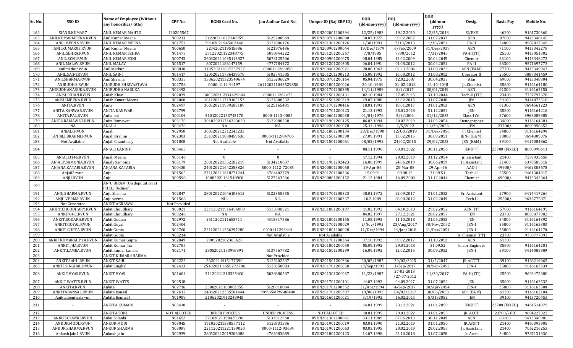| Sr. No. | SSO ID               | Name of Employee (Without<br>any honorifics/title) | CPF No.      | <b>RGHS Card No.</b> | Jan Aadhar Card No.  | Unique ID (Raj ERP ID) | <b>DOB</b><br>(dd-mm-yyyy) | <b>DOI</b><br>(dd-mm-yyyy) | <b>DOR</b><br>(dd-mm-<br>yyyy) | Desig.           | <b>Basic Pay</b> | Mobile No. |
|---------|----------------------|----------------------------------------------------|--------------|----------------------|----------------------|------------------------|----------------------------|----------------------------|--------------------------------|------------------|------------------|------------|
| 162     | SIANILKUMAR7         | ANIL KUMAR MAHTO                                   | 120205567    |                      |                      | RVUN202001200394       | 12/25/1983                 | 19.12.2020                 | 12/25/2043                     | SI/EXE           | 46200            | 9161730360 |
| 163     | ANILKUMARMEENA.RVUN  | Anil Kumar Meena                                   | N00213       | 21220211627146959    | 5125200069           | RVUN200701200090       | 30.07.1977                 | 09.02.2007                 | 31.07.2037                     | XEN              | 87800            | 9413348145 |
| 164     | ANIL.MEENA.RVUN      | ANIL KUMAR MEENA                                   | N01751       | 29102021945403446    | 5131806176           | RVUN201301200126       | 1/30/1991                  | 7/10/2013                  | 1/30/2051                      | PA-II            | 24800            | 9982817349 |
| 165     | ANILKUMAR03.RVUN     | Anil Kumar Meena                                   | N00650       | 2204202119515686     | 5121876436           | RVUN200901200044       | 19/Dec/1979                | 6/Feb/2009                 | 31/Dec/2039                    | AEN              | 71100            | 9413342278 |
| 166     | ANIL.SEHRA.RVUN      | ANIL KUMAR SEHRA                                   | N01473       | 27122021122348775    | 5058644222           | RVUN201201200267       | 7/8/1985                   | 7/30/2012                  | 7/31/2045                      | PA-II (ITI)      | 25500            | 9413051302 |
| 167     | ANIL.SONI.RVUN       | ANIL KUMAR SONI                                    | N00743       | 260820211035113827   | 5073125506           | RVUN200901200075       | 08.04.1985                 | 12.02.2009                 | 30.04.2045                     | Chemist          | 63100            | 9413348272 |
| 168     | ANIL.MALAV.RVUN      | <b>ANIL MALAV</b>                                  | N01517       | 8072021186147159     | 4777784472           | RVUN201201200305       | 06.04.1991                 | 01.08.2012                 | 30.04.2051                     | PA-II            | 26300            | 9571697773 |
| 169     | anilmathur.rvun      | Anil Mathur                                        | N00010       | 310520211637237927   | 0000111263058        | RVUN200401200021       | 20.08.1963                 | 01.11.2004                 | 31.08.2023                     | AEN (E&M)        | 77700            | 9413349043 |
| 170     | ANIL.SAINI.RVUN      | <b>ANIL SAINI</b>                                  | N01417       | 120620211736438578   | 5102741585           | RVUN201201200213       | 15.08.1992                 | 16.08.2012                 | 31.08.2052                     | Operator II      | 25500            | 9887341459 |
| 171     | ANILSHARMA.RVUN      | Anil Sharma                                        | N00335       | 150620211323549674   | 5125206029           | RVUN200701200164       | 05.04.1975                 | 12.02.2007                 | 30.04.2035                     | AEn              | 69000            | 9413348304 |
| 172     | ANIRUDH.S.RVUN       | ANIRUDH SHRIVASTAVA                                | N02758       | 0000-1112-94197      | 261120211043529850   | RVUN201801200026       | 20-10-1988                 | 01-02-2018                 | 31-10-2048                     | Jr. Chemist      | 35800            | 9116164180 |
| 173     | ANIRUDHANARUKA.RVUN  | <b>ANIRUDHA NARUKA</b>                             | N02492       |                      |                      | RVUN201701200395       | 14/11/1989                 | 8/2/2017                   | 30/01/2049                     | AEN              | 61300            | 9116163150 |
| 174     | ANISH.KHAN.RVUN      | Anish Khan                                         | N02039       | 30052021 2034429604  | 0000111262473        | RVUN201501206131       | 02.10.1984                 | 27.05.2015                 | 31.10.2044                     | Tech-II (ITI)    | 23400            | 7737797678 |
| 175     | ANISH.MEENA.RVUN     | Anish Kumar Meena                                  | N02060       | 181120211719165153   | 5131808532           | RVUN201501200219       | 29.07.1988                 | 13.02.2015                 | 31.07.2048                     | <b>IEn</b>       | 39100            | 9414073518 |
| 176     | <b>ANITA.RVUN</b>    | Anita                                              | N02497       | 300520211939283189   | 5125165431           | RVUN201701200416       | 18.01.1993                 | 18.01.2017                 | 31.01.2053                     | AEN              | 61300            | 9694561223 |
| 177     | ANITA.KANWAR.RVUN    | <b>ANITA KANWAR</b>                                | N02799       |                      |                      | RVUN201701200223       | 21.12.1992                 | 25.01.2018                 | 31.12.2052                     | <b>JEN</b>       | 35800            | 9116164218 |
| 178     | ANITA.PAL.RVUN       | Anita pal                                          | N00104       | 31012022153743170    | 0000-1113-0085       | RVUN200601200038       | 01/01/1976                 | 5/9/2006                   | 31/12/2035                     | Class-IVth       | 27600            | 8963089385 |
| 179     | ANITA.RAMAWAT.RVUN   | Anita Ramawat                                      | N03170       | 301020211716323629   | 5132088238           | RVUN201901200125       | 06.03.1994                 | 20.02.2019                 | 31.03.2054                     | Stenographer     | 34800            | 9116164381 |
| 180     | NA                   | ANJALI                                             | N03470       | NA                   | NA                   | RVUN202201200078       | 25-11-1996                 | 2/5/2022                   | 11/30/2056                     | JEN              | 23700/           | 8690998652 |
| 181     | ANJALI.RVUN          | Anjali                                             | N02950       | 300520212312343233   |                      | RVUN201801200134       | 28/Dec/1990                | 12/0ct/2018                | 31/Dec/2050                    | Jr. Chemist      | 34800            | 9116164294 |
| 182     | ANJALI.BRAHMI.RVUN   | Anjali Brahmi                                      | N02303       | 251020211838459636   | 0000-1112-84706      | RVUN201501200390       | 27.09.1991                 | 13.02.2015                 | 30.09.2051                     | JEN-I (E&M)      | 38000            | 9694309076 |
| 183     | Not Available        | Anjali Chaudhary                                   | N01808       | Not Available        | Not Available        | RVUN201501200061       | 08/02/1992                 | 24/02/2015                 | 29/02/2052                     | JEN (E&M)        | 39100            | 9414084862 |
| 184     |                      | ANJALI GANDHI                                      | N03463       |                      |                      |                        | 08.11.1996                 | 03.01.2022                 | 30.11.2056                     | JEN(PT)          | 23700 (FIXED     | 8690998611 |
| 185     | ANJALI3146.RVUN      | Anjali Meena                                       | N03146       | $\Omega$             | $\bf{0}$             | $\mathbf{0}$           | 17.12.1994                 | 20.02.2019                 | 31.12.2054                     | jr. assistant    | 21400            | 7297935658 |
| 186     | ANJALY.SAMONIA.RVUN  | Anjaly Samonia                                     | N03179       | 200120221552282219   | 5134210637           | RVUN201901202423       | 16.06.1999                 | 24.06.2019                 | 30.06.2059                     | Jr. Assistant    | 21400            | 6378585516 |
| 187     | ANJANA.KATARIA.RVUN  | ANJANA KATARIA                                     | N00430       | 240120221642253826   | 0000-1112-72085      | RVUN200801200050       | 29-Apr-86                  | 25-Mar-08                  | 29-Apr-46                      | AAO-I            | 49900/-          | 9462305670 |
| 188     | Anju02.rvun          | Anju                                               | N01565       | 271120211618271244   | 4784402779           | RVUN201201200336       | 15.09.91                   | 09.08.12                   | 31.09.51                       | Tech-II          | 25500            | 9461304917 |
| 189     | ANJU.RVUN            | Anju                                               | N00598       | 10082021161548900    | 5127263566           | RVUN200801200152       | 21.12.1984                 | 16.09.2008                 | 31.12.2044                     | Chemist          | 69000/-          | 9413342364 |
| 190     |                      | ANJU BIRAM (On deputation at<br>PHED, Badmer)      |              |                      |                      |                        |                            |                            |                                |                  |                  |            |
| 191     | ANJU.SHARMA.RVUN     | Anju Sharma                                        | N02847       | 280120221046103612   | 5122355555           | RVUN201701200323       | 08.01.1972                 | 22.09.2017                 | 31.01.2032                     | Sr. Assistant    | 27900            | 9414417264 |
| 192     | ANJU.VERMA.RVUN      | Anju verma                                         | N01566       | <b>NIL</b>           | NIL                  | RVUN201201200337       | 10.2.1989                  | 08.08.2012                 | 31.02.2049                     | Tech II          | 25500/           | 9636775871 |
| 193     | Not Generated        | ANKIT AGRAWAL                                      | Not Provided |                      |                      |                        |                            |                            |                                |                  |                  |            |
| 194     | ANKIT.CHOUDHARY.RVUN | Ankit Choudhary                                    | N03021       | 221120211916496089   | 5133088321           | RVUN201801200197       | 11.02.1992                 | 04.10.2018                 | 29.02.2052                     | AEN (IT)         | 57800            | 9116164195 |
| 195     | ANKIT04.C.RVUN       | Ankit Choudhary                                    | N03246       | NA                   | NA                   |                        | 04.02.1997                 | 27.12.2021                 | 28.02.2057                     | JEN              | 23700            | 8005877982 |
| 196     | ANKIT.GODARA.RVUN    | Ankit Godara                                       | N02972       | 2511202111683711     | 4815317586           | RVUN201801200155       | 11.05.1993                 | 11.10.2018                 | 31.05.2053                     | JEN              | 34800            | 9116164392 |
| 197     | ANKIT.GOYAL.RVUN     | Ankit Goyal                                        | N02404       |                      |                      | RVUN201701200029       | 2/Nov/1992                 | 23/Aug/2017                | 30/Nov/2052                    | <b>IEN-I</b>     | 35800            | 9116163303 |
| 198     | ANKIT.GUPTA.RVUN     | Ankit Gupta                                        | N02760       | 221120211256397280   | 0000111293444        | RVUN201801200028       | 11/Dec/1994                | 24/Jan/2018                | 31/Dec/2054                    | <b>IEN-I</b>     | 35800            | 9116164170 |
| 199     |                      | Ankit Gupta                                        | N03214       |                      | Not Available        | Not Available          |                            |                            |                                | Jr. Chemist (PT) | 23700            | 9358777093 |
| 200     | ANKITKUMARGUPTA.RVUN | Ankit Kumar Gupta                                  | N02849       | 2905202102365620     |                      | RVUN201701200364       | 07.10.1992                 | 09.02.2017                 | 31.10.2052                     | <b>AEN</b>       | 61300            |            |
| 201     | ANKIT.JHA.RVUN       | Ankit Kumar Jha                                    | N02785       |                      |                      | RVUN201801200050       | 05.09.1992                 | 29.01.2018                 | 31.09.52                       | Junior Engineer  | 35800            | 9116164201 |
| 202     | ANKIT.LAMBA.RVUN     | Ankit kumar Lamba                                  | N02171       | 28052021153996891    | 5137567782           | RVUN201501200299       | 16.09.1992                 | 12.02.2015                 | 30.09.2052                     | JEN-I            | 39100            | 9414085989 |
| 203     |                      | ANKIT KUMAR SHARMA                                 |              |                      | Not Provided         |                        |                            |                            |                                |                  |                  |            |
| 204     | ANKIT.SAHU.RVUN      | ANKIT SAHU                                         | N02223       | 5620211415177390     | 5125202537           | RVUN201501200336       | 20/05/1987                 | 30/03/2015                 | 31/5/2047                      | JR.ACCTT         | 39100            | 9166219665 |
| 205     | ANKIT.SINGHAL.RVUN   | <b>Ankit Singhal</b>                               | N02433       | 25102021 1650272706  | 5128550883           | RVUN201701200058       | 17/Sep/1992                | 1/Sep/2017                 | 30/Sep/2052                    | IEN-I            | 35800            | 9116163339 |
| 206     | ANKIT.VYAS.RVUN      | <b>ANKIT VYAS</b>                                  | N01604       | 31120211218325400    | 5038680507           | RVUN201301200037       | 11/22/1987                 | 27-02-2013<br>/27-07-2012  | 11/30/2047                     | PA-II (ITI)      | 25500            | 9602472380 |
| 207     | ANKIT.WATTS.RVUN     | <b>ANKIT WATTS</b>                                 | N02518       | $\sim$               | $\sim$               | RVUN201701200101       | 14.07.1992                 | 04.09.2017                 | 31.07.2052                     | JEN              | 35800            | 9116163532 |
| 208     | ANKITA.RVUN          | Ankita                                             | N02716       | 25082021103083355    | 5128018884           | RVUN201701200352       | 21/Apr/1994                | $4/$ Sep $/2017$           | 30/Apr/2054                    | JEN-I            | 35800            | 9116163508 |
| 209     | ANKITABANSAL.RVUN    | Ankita Bansal                                      | N02617       | 240620212335501444   | 9999-5MPW-00480      | RVUN201701200397       | 19/06/1993                 | 04/02/2017                 | 30/06/2053                     | AEn (E&M)        | 61300            | 9116163104 |
| 210     | Anikta.beniwal.rvun  | Ankita Beniwal                                     | N01989       | 21062021913243945    |                      | RVUN201601200021       | 5/19/1992                  | 16.02.2015                 | 5/31/2052                      | JEN              | 39100            | 9413720453 |
| 211     | $\sim$               | <b>ANKITA KUMARI</b>                               | N03410       | $\sim$               |                      |                        | 14.01.1999                 | 23.12.2021                 | 31.01.2059                     | JEN(PT)          | 23700 (FIXED)    | 9461514079 |
| 212     |                      | <b>ANKITA SONI</b>                                 | NOT ALLOTED  | <b>UNDER PROCESS</b> | <b>UNDER PROCESS</b> | NOT ALLOTED            | 18.01.1995                 | 29.03.2022                 | 31.01.2055                     | JR. ACCT.        | 23700/-FIX       | 9694227022 |
| 213     | ANKU.SOLANKI.RVUN    | Anku Solanki                                       | N01652       | 27102021198435896    | 5133012360           | RVUN201301200061       | 03.11.1989                 | 07.06.2013                 | 30.11.2049                     | AEN              | 63100            | 9413340981 |
| 214     | ANKUR.MODI.RVUN      | <b>ANKUR MODI</b>                                  | N03045       | 191020211338557112   | 5128331536           | RVUN201901200019       | 03.01.1990                 | 21.02.2019                 | 31.01.2050                     | JR.ASSTT         | 21400            | 9460395905 |
| 215     | ANKUR.SHARMA.RVUN    | <b>ANKUR SHARMA</b>                                | N03089       | 221120211221139020   | 0000-1112-93634      | RVUN201901200063       | 03.03.1995                 | 20.02.2019                 | 28.02.2055                     | Jr. Assistant    | 21400            | 7062216253 |
| 216     | Ankush.Jain1.RVUN    | Ankush Jain                                        | N02939       | 280520212019206088   | 4783083889           | RVUN201801200123       | 14.07.1998                 | 22.10.2018                 | 31.07.2058                     | Jr. Acctt.       | 34800            | 9787131330 |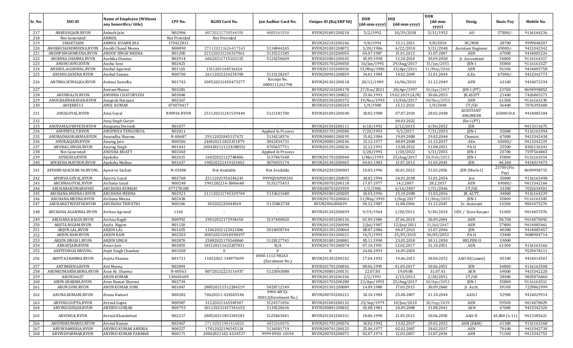|         |                        |                                                    |                    |                      |                                    |                        |                            |                            | <b>DOR</b>                            |                                     |                    |            |
|---------|------------------------|----------------------------------------------------|--------------------|----------------------|------------------------------------|------------------------|----------------------------|----------------------------|---------------------------------------|-------------------------------------|--------------------|------------|
| Sr. No. | SSO ID                 | Name of Employee (Without<br>any honorifics/title) | CPF No.            | <b>RGHS Card No.</b> | <b>Jan Aadhar Card No.</b>         | Unique ID (Raj ERP ID) | <b>DOB</b><br>(dd-mm-yyyy) | <b>DOI</b><br>(dd-mm-yyyy) | $(dd{\text{-}\mathbf{mm}}$ -<br>yyyy) | Desig.                              | <b>Basic Pay</b>   | Mobile No. |
| 217     | ANKUSH.JAIN.RVUN       | Ankush Jain                                        | N02906             | 80720211750544393    | 4885163550                         | RVUN201801200210       | 5/2/1992                   | 10/29/2018                 | 5/31/1952                             | AO                                  | 57800/             | 9116164236 |
| 218     | Not Generated          | ANMOL                                              | Not Provided       | Not Provided         |                                    |                        |                            |                            |                                       |                                     |                    |            |
| 219     | SMARTAJ08              | ANMOL KUAMR JHA                                    | 170422831          |                      |                                    | RVUN202101200246       | 9/8/1994                   | 15.11.2021                 | 9/8/2054                              | HC/MIN                              | 28700              | 9999048207 |
| 220     | ANOKHCHANDMEENA.RVUN   | Anokh Chand Meena                                  | N00890             | 271120211626417165   | 5134844265                         | RVUN201001200072       | 3/20/1986                  | 6/22/2010                  | 3/31/2048                             | Assistant Engineer                  | 69000/-            | 9413342342 |
| 221     | ANOOPSINGHMEENA.RVUN   | ANOOP SINGH MEENA                                  | N01200             | 221220211236337061   | 5135221585                         | RVUN201201200055       | 04.07.1987                 | 31.01.2012                 | 31.07.2047                            | AEN                                 | 67000              | 9414005226 |
| 222     | ANSHIKA.SHARMA.RVUN    | Anshika Sharma                                     | N02914             | 60620211715102155    | 5124250609                         | RVUN201801200105       | 05.09.1998                 | 11.10.2018                 | 30.09.2058                            | Jr. Accountant                      | 34800              | 9116164317 |
| 223     | ANSHU.SONI.RVUN        | Anshu Soni                                         | N02425             |                      |                                    | RVUN201701200050       | 16/Jan/1995                | 29/Aug/2017                | 31/Jan/2055                           | JEN-I                               | 35800              | 9116163327 |
| 224     | ANSHUL.AGARWAL.RVUN    | Anshul Agarwal                                     | N01165             | 1311201164516424     |                                    | RVUN201101200036       | 15/May/1986                | 23/Apr/2011                | 31/May/2046                           | AEN                                 | 56100              | 9414005758 |
| 225     | ANSHULSAXENA.RVUN      | Anshul Saxena                                      | N00700             | 26112021224234700    | 5133128247                         | RVUN200901200059       | 14.01.1984                 | 14.02.2009                 | 31.01.2044                            | A.En.                               | 67000/             | 9413342773 |
| 226     | ANTIMA.SUWALKA.RVUN    | Antima Suwalka                                     | N01743             | 300520211450473277   | Receipt No.<br>0000111261798       | RVUN201301200118       | 28/12/1989                 | 14/06/2013                 | 31.12.2049                            | AEN                                 | 63100              | 9414072334 |
| 227     |                        | Antram Meena                                       | N03281             |                      |                                    | RVUN202101200178       | 27/Dec/2021                | 28/Apr/1997                | 30/Apr/2057                           | JEN-I (PT)                          | 23700              | 8690998852 |
| 228     | ANUBHA.CH.RVUN         | <b>ANUBHA CHATURVEDI</b>                           | N03048             |                      |                                    | RVUN201901200022       | 23.06.1993                 | 19.02.2019 (A/N)           | 30.06.2053                            | JR.ASSTT                            | 21400              | 7426865271 |
| 229     | ANUGRAHNARAYAN.RVUN    | Anugrah Narayan                                    | N02367             |                      |                                    | RVUN201501200372       | 19/Nov/1993                | 13/Feb/2017                | 30/Nov/2053                           | AEN                                 | 61300              | 9116163130 |
| 230     | ANUJK8513              | ANUJ KUMAR                                         | 074070417          |                      |                                    | RVUN202101200269       | 1/9/1988                   | 15.11.2021                 | 1/9/2048                              | CT/GD                               | 36400              | 7076395680 |
| 231     | ANUJGOYAL.RVUN         | Anuj Goyal                                         | <b>N00936 RVUN</b> | 251120211241539440   | 5121181700                         | RVUN201001200100       | 18.02.1988                 | 07.07.2010                 | 28.02.2048                            | <b>ASSISTANT</b><br><b>ENGINEER</b> | 65000+DA           | 9414085184 |
| 232     |                        | Anuj Singh Gurjer                                  |                    |                      |                                    |                        |                            | 04.03.2022                 |                                       | JEn-I (PT)                          |                    |            |
| 233     | ANUPAMA.DWIVEDI.RVUN   | Anupama Dwivedi                                    | N01877             | $\sim$               |                                    | RVUN201501200111       | 4/18/1992                  | 2/12/2015                  | 4/30/2052                             | JEN                                 |                    | 9413313675 |
| 234     | ANUPRIYA.T.RVUN        | ANUPRIYA TENGURIYA                                 | N02811             |                      | Applied In Process                 | RVUN201701200300       | 7/20/1993                  | 9/1/2017                   | 7/31/2053                             | JEN-I                               | 35800              | 9116163394 |
| 235     | ANURADHASHARMA.RVUN    | Anuradha Sharma                                    | N-00687            | 29112021845137672    | 5134218576                         | RVUN200801200195       | 15.02.1984                 | 19.09.2008                 | 29.02.2044                            | Chemist                             | 67000              | 9413342438 |
| 236     | ANURAGJAIN.RVUN        | Anurag Jain                                        | N00586             | 240420211825351879   | 5042834731                         | RVUN200801200146       | 15.12.1977                 | 08.09.2008                 | 31.12.2037                            | AEn                                 | 65000/-            | 9413342219 |
| 237     | ANURAG.SINGH.RVUN      | Anurag Singh                                       | N01441             | 200420212122438055r  | 4705657751                         | RVUN201201200236       | 12.12.1991                 | 13.08.2012                 | 31.08.2051                            | PA-II                               | 25500              | 8302136341 |
| 238     | Not Generated          | ANUSHA BHATT                                       | N03360             |                      | Applied In Process                 |                        | 3/28/1995                  | 1/30/2022                  | 3/31/2055                             | JEN-I                               | 23700              | 7597564865 |
| 239     | APEKSHA.RVUN           | Apeksha                                            | N02415             | 16032022122748486    | 5137867648                         | RVUN201701200040       | 1/Mar/1993                 | 25/Aug/2017                | 28/Feb/2053                           | JEN-I                               | 35800              | 9116163314 |
| 240     | APEKSHA.MATHUR.RVUN    | Apeksha Mathur                                     | N01657             | 190320221419133402   | 5070055174                         | RVUN201301200065       | 04.03.1983                 | 15.07.2013                 | 31.03.2043                            | JEN                                 | 40,300             | 9414019473 |
| 241     | APOORVASACHAN.96.RVUNL | Apoorva Sachan                                     | N-03308            | Not Available        | Not Available                      | RVUN202201200003       | 10.03.1996                 | 03.01.2022                 | 31.03.2056                            | JEN (Mech-I)                        | 23700 (Fix<br>Pay) | 8690998715 |
| 242     | APORVA.GOYAL.RVUN      | Aporva Goyal                                       | N02768             | 25112021954246243    | 9999QVAP00183                      | RVUN201801200035       | 18.02.1994                 | 24.01.2018                 | 31.01.2054                            | Jen                                 | 35800              | 9116163498 |
| 243     | ARCHNAGOYAL.RVUN       | Archana Goyal                                      | N00248             | 1901202214-5806648   | 5135275453                         | RVUN200701200118       | 17.07.1977                 | 14.2.2007                  | 28.2.2037                             | AEN                                 | 69000/-            | 9413342164 |
| 244     | ARCHANAKUMARI4985      | <b>ARCHANA KUMARI</b>                              | 077270188          |                      |                                    | RVUN200701203959       | 1/1/1986                   | $\frac{6}{16}{2007}$       | 1/31/2046                             | CT/GD                               | 33300              | 7022634501 |
| 245     | ARCHANA.MEENA1.RVUN    | <b>ARCHANA MEENA</b>                               | N02921             | 211120211745329704   | 5133621680                         | RVUN201801200205       | 10.03.1996                 | 15.10.2008                 | 31.03.2056                            | JR. ACTT.                           | 34800              | 9116164239 |
| 246     | ARCHANA.MEENA.RVUN     | Archana Meena                                      | N02438             |                      |                                    | RVUN201701200063       | 11/May/1993                | $1/$ Sep $/2017$           | 31/May/2053                           | $IEN-I$                             | 35800              | 9116163345 |
| 247     | ARCHANATRIPATHI.RVUN   | ARCHANA TRIPATHI                                   | N00106             | 301202220444569      | :5135863738                        | RVUN2006200039         | 30.12.1987                 | 11.08.2006                 | 31.12.2047                            | Sr. Assistant                       | 33300              | 9001075276 |
| 248     | ARCHANA.AGARWAL.RVUN   | Archna Agrawal                                     | 1160               |                      |                                    | RVUN201201200039       | 9/19/1964                  | 1/28/2012                  | 9/30/2024                             | UDC / Store Keeper                  | 31400              | 9414457076 |
| 249     | ARCHANA.BAGDI.RVUN     | Archna Bagdi                                       | N00992             | 29012022172934650    | 5137400820                         | RVUN201001200136       | 01.09.1984                 | 27.06.2010                 | 30.09.2044                            | AEN                                 | 58,700             | 9414070092 |
| 250     | ARJITA.NIGAM.RVUN      | Arjita Nigam                                       | N01150             |                      |                                    | RVUN201101200090       | 2/Jul/1987                 | 12/Jan/2011                | 31/Jul/2047                           | <b>AEN</b>                          | 57800              | 9414085461 |
| 251     | ARJUN.LAL.RVUN         | <b>ARJUN LAL</b>                                   | N01655             | 11062021123021886    | 5014058744                         | RVUN201301200064       | 08.07.1986                 | 04.07.2013                 | 31.07.2046                            | <b>JEN</b>                          | 40300              | 9414085457 |
| 252     | ARJUN.RAM.RVUN         | <b>ARJUN RAM</b>                                   | N02203             | 300520211018598397   |                                    | RVUN201501200321       | 10/5/1993                  | 25/05/2015                 | 30/05/2053                            | PA-II                               | 23400              | 9680904714 |
| 253     | ARJUN.SINGH1.RVUN      | <b>ARJUN SINGH</b>                                 | N02870             | 25082021170568860    | 5128127765                         | RVUN201801200081       | 05.11.1990                 | 23.05.2018                 | 30.11.2050                            | HELPER-II                           | 19000              |            |
| 254     | ARNAVJAIN.RVUN         | Arnav Jain                                         | N02855             | 181120211622207831   | N/A                                | RVUN201701200374       | 07.10.1991                 | 13.02.2017                 | 31.10.2051                            | <b>AEN</b>                          | 61300              | 9116163166 |
| 255     | ARPITSINGH.RRVUNL      | Arpit Singh Chauhan                                | N03208             |                      |                                    |                        | 24.06.1993                 | 16.09.2020                 |                                       |                                     |                    | 9529478111 |
| 256     | ARPITA.SHARMA.RVUN     | Arpita Sharma                                      | N01721             | 11022022-144979699   | 0000-1112-98263<br>(Enrolment No.) | RVUN201301200102       | 17.04.1992                 | 19.06.2013                 | 30.04.2052                            | AAO-II(Comml)                       | 45100              | 9414014501 |
| 257     | ARTIMEENA.RVUN         | Arti Meena                                         | N02894             |                      |                                    | RVUN201701200036       | 08.06.1995                 | 01.09.2017                 | 30.06.2055                            | <b>IEN</b>                          | 34800              | 9116163500 |
| 258     | ARUNKUMARSHARMA.RVUN   | Arun Kr. Sharma                                    | N-00563            | 80720212223116937    | 5125003088                         | RVUN200801200131       | 22.07.83                   | 19.09.08                   | 31.07.43                              | AEN                                 | 69000              | 9413342220 |
| 259     | ARUN36657              | <b>ARUN KUMAR</b>                                  | 130601609          |                      |                                    | RVUN201301206336       | 2/2/1991                   | 2/15/2013                  | 2/28/2051                             | CT/GD                               | 28400              | 9835876860 |
| 260     | ARUN.SHARMA.RVUN       | Arun Kumar Sharma                                  | N02734             |                      |                                    | RVUN201701200280       | 23/Apr/1993                | 25/Aug/2017                | 30/Apr/2053                           | JEN-I                               | 35800              | 9116163511 |
| 261     | ARUN.SONI.RVUN         | <b>ARUN KUMAR SONI</b>                             | N01847             | 280520211512284519   | 5028712149                         | RVUN201501200089       | 14.09.1988                 | 17.03.2015                 | 30.09.2048                            | Jr. Acctt.                          | 39100              | 7229862999 |
| 262     | ARUNA.KUMARI.RVUN      | Aruna Kumari                                       | N00382             | 70620211-426505546   | 9999-MYS3-<br>00012(Enrolment No.) | RVUN200701200221       | 18.10.1984                 | 25.08.2007                 | 31.10.2044                            | AAO-I                               | 52900              | 9414029914 |
| 263     | ARVIND.GUPTA.RVUN      | Arvind Gupta                                       | N00987             | 31122021165545907    | 5124571056                         | RVUN201001200132       | 25/Sep/1979                | 10/Jun/2010                | 30/Sep/2039                           | AEN                                 | 59500              | 9414078029 |
| 264     | ARVINDGURJAR.RVUN      | ARVIND GURJAR                                      | N00793             | 301120211457341655   | 5134528636                         | RVUN200801200032       | 02.08.1981                 | 24.09.2008                 | 31.08.2041                            | AEN                                 | 67000              | 9413342320 |
| 265     | ARVIND.K.RVUN          | Arvind Khandelwal                                  | N02217             | 280520211853249283   | 5125863041                         | RVUN201501200331       | 18.06.1990                 | 21.05.2015                 | 30.06.2050                            | AAO-II                              | 43,800 (L-11)      | 9413385621 |
| 266     | ARVINDKUMAR02.RVUN     | Arvind Kumar                                       | N02467             | 171 02021941416826   | 4832360076                         | RVUN201701200376       | 10.02.1992                 | 13.02.2017                 | 29.02.2052                            | AEN (E&M)                           | 61300              | 9116163168 |
| 267     | ARVINDAMERIA.RVUN      | <b>ARVIND KUMAR AMERIA</b>                         | N00257             | 17012022196545124    | 5136581719                         | RVUN200701200125       | 25.06.1977                 | 02.02.2007                 | 28.02.2037                            | AEN                                 | 70100              | 9413342730 |
| 268     | ARVINDPARMAR.RVUN      | <b>ARVIND KUMAR PARMAR</b>                         | N00171             | 20062021182-4334537  | 9999-89SU-10194                    | RVUN200701200071       | 02.07.1974                 | 12.03.2007                 | 31.07.2034                            | AEN                                 | 71100              | 9413342753 |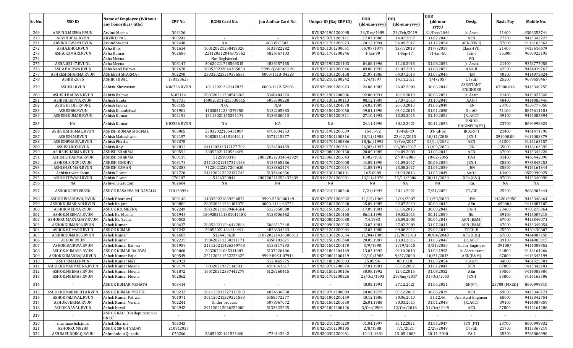| Sr. No.    | SSO ID                                 | <b>Name of Employee (Without</b><br>any honorifics/title) | CPF No.            | <b>RGHS Card No.</b>             | Jan Aadhar Card No.              | Unique ID (Raj ERP ID)               | <b>DOB</b><br>(dd-mm-yyyy) | DOJ<br>(dd-mm-yyyy)       | <b>DOR</b><br>$(dd{\text{-}\mathbf{mm}}$ -<br>yyyy) | Desig.                            | <b>Basic Pay</b>       | Mobile No.               |
|------------|----------------------------------------|-----------------------------------------------------------|--------------------|----------------------------------|----------------------------------|--------------------------------------|----------------------------|---------------------------|-----------------------------------------------------|-----------------------------------|------------------------|--------------------------|
| 269        | ARVIND.MEENA.RVUN                      | Arvind Meena                                              | N03126             |                                  |                                  | RVUN201901200098                     | 23/Dec/1989                | 23/Feb/2019               | 31/Dec/2049                                         | Jr. Asstt.                        | 21400                  | 8306353744               |
| 270        | ARVINDPAL.RVUN                         | <b>ARVIND PAL</b>                                         | N00241             |                                  |                                  | RVUN200701200111                     | 17.07.1980                 | 14.02.2007                | 31.07.2040                                          | AEN                               | 77700                  | 9413342227               |
| 271        | ARVIND.SWAMI.RVUN                      | Arvind Swami                                              | N02448             | NA                               | 4883515503                       | RVUN201701200073                     | 20.12.1994                 | 04.09.2017                | 31.12.2054                                          | AEN (Civil)                       | 57800                  | 9116163362               |
| 272        | ASHA.BHOI.RVUN                         | Asha Bhoi                                                 | N01634             | 100120221258413026               | 5133822282                       | RVUN201301200051                     | 05/07/1979                 | 12/7/2013                 | 31/7/2039                                           | Class-IVth                        | 21400                  | 9413616679               |
| 273        | ASHA.KUMARI.RVUN                       | Asha Kumari                                               | N02686             | :221120212046375962              | 4826767103                       | RVUN201701200246                     | 1-Jan-90                   | $1-Sep-17$                | $31$ -Jan-50                                        | JEn-I                             | 35,800                 | 9680922195               |
| 274        |                                        | Asha Meena                                                |                    | Not Registered                   |                                  |                                      |                            |                           |                                                     | PO                                |                        |                          |
| 275        | ASHA.03147.RVUNL                       | Asha Meena                                                | N03147             | 30620211748569315                | 4823057165                       | RVUN201901202403                     | 04.08.1996                 | 11.10.2018                | 31.08.2056                                          | Jr. Asstt.                        | 21400                  | 9358777058               |
| 276        | ASHA.BAIRWA.RVUN                       | Asha Nand Bairwa                                          | N01628             | 280520212044385058               | 9999-QVAP-00128                  | RVUN201301200046                     | 09.08.1992                 | 11.02.2013                | 31.08.2052                                          | AAO-II                            | 42500                  | 9414019767               |
| 277        | ASHEESHSHARMA.RVUN                     | ASHEESH SHARMA -                                          | N02290             | 230320221319336561               | 0000-1113-04228                  | RVUN201301200158                     | 21.07.1986                 | 04.07.2013                | 31.07.2046                                          | JEN                               | 40300                  | 9414073824               |
| 278        | ASHIKKI675                             | <b>ASHIK IKBAL</b>                                        | 170133627          |                                  |                                  | RVUN202101200242                     | 1/4/1997                   | 14.11.2021                | 1/4/2057                                            | CT/GD                             | 25200                  | 9678659467               |
| 279        | ASHISH.RVUN                            | Ashish Shrivastav                                         | <b>N00726 RVUN</b> | 18112021222147837                | 0000-1112-52996                  | RVUN200901200073                     | 24.06.1982                 | 26.02.2009                | 30.06.2042                                          | ASSISTANT<br><b>ENGINEER</b>      | 67000+DA               | 9413340755               |
| 280        | ASHISH.BAIRWA.RVUN                     | Ashish Bairwa                                             | N-03114            | 280520211330546262               | 5048404274                       | RVUN201901200086                     | 02.06.1991                 | 18.02.2019                | 30.06.2051                                          | Jr. Asstt                         | 21400                  | 9413827540               |
| 281        | ASHISH.GUPTA.RVUN                      | Ashish Gupta                                              | N01735             | 160820211-213538615              | 5053500228                       | RVUN201301200113                     | 08.12.1989                 | 27.07.2013                | 31.10.2049                                          | AAO-I                             | 48400                  | 9414085446               |
| 282        | ASHISH3185.RVUNL                       | Ashish Jajoria                                            | N03185             | N/A                              | N/A                              | RVUN201501204578                     | 24.03.1989                 | 26.03.2015                | 31.03.2049                                          | JEN                               | 23700                  | 9358777050               |
| 283        | ASHISH06.RVUN                          | Ashish Khandelwal                                         | N01901             | 41020211234379358                | 5132205283                       | RVUN201501200050                     | 09.01.1990                 | 03.02.2015                | 31.01.2050                                          | Sr. AO                            | 71100                  | 8875611181               |
| 284        | ASHISH.KUMAR.RVUN                      | Ashish Kumar                                              | N02191             | 18112021155291171                | 5133600013                       | RVUN201501200311                     | 27.10.1992                 | 13.03.2015                | 31.10.2052                                          | JR. ACCT                          | 39100                  | 9414085894               |
| 285        | NA                                     | Ashish Kumar                                              | <b>N03366 RVUN</b> | NA                               | NA                               | NA                                   | 24.11.1996                 | 30.12.2021                | 30.11.2056                                          | <b>JUNIOR</b><br>ENGINEER(PT)     | 23700                  | 8690998929               |
| 286        | ASHISH.SHRIMAL.RVUN                    | ASHISH KUMAR SHRIMAL                                      | N03065             | 23032022105431087                | 4706034253                       | RVUN201901200039                     | 15-Jul-92                  | 18-Feb-19                 | $31$ -Jul-52                                        | JR.ASSTT                          | 21400                  | 9461471796               |
| 287        | ASHISH.M.RVUN                          | Ashish Maheshwari                                         | N02197             | 90820211458104611                | 5071215377                       | RVUN201501200316                     | 10/11/1988                 | 23/02/2015                | 10/11/2048                                          | JEN-I                             | 391000.00              | 9414008379               |
| 288        | ASHISHPHADIA.RVUN                      | Ashish Phadia                                             | N02378             |                                  |                                  | RVUN201701200386                     | 18/Jul/1992                | 9/Feb/2017                | 31/Jul/2052                                         | AEN                               | 61300                  | 9116163157               |
| 289        | ASHISH.ROY.RVUN                        | Ashish Roy                                                | N02812             | 241120211317177702               | 5134504459                       | RVUN201701200301                     | 26/03/1993                 | $\frac{06}{09}/2017$      | 31/03/2053                                          | JEN                               | 35800                  | 9116163395               |
| 290        | ASHISHSHARMA.RVUN                      | <b>ASHISH SHARMA</b>                                      | N00592             | 28052021170534489                |                                  | RVUN200801200150                     | 20.05.1985                 | 04.09.2008                | 31.05.2045                                          | AEN                               | 67000                  | 9413342228               |
| 291        | ASHISH.SHARMA.RVUN                     | <b>ASHISH SHARMA</b>                                      | N00119             | 5125188318                       | 280520212314542829               | RVUN200601200043                     | 10-02-1985                 | 27-07-2006                | 10-02-2045                                          | PA-I                              | 31400                  | 9460442098               |
| 292        | ASHISH.SINGVI.RVUN                     | <b>ASHISH SINGHVI</b>                                     | N03173             | 241120211457314163               | 5133565286                       | RVUN201701200008                     | 14.09.1990                 | 01.09.2017                | 30.09.2050                                          | JEN-I                             | 35800                  | 9785845253               |
| 293        | ASHISH.SUMAN.RVUN                      | <b>ASHISH SUMAN</b>                                       | N02388             | 71220212227204620                | 5133862174                       | RVUN201701200014                     | 11.05.1991                 | 23.08.2017                | 31.05.2059                                          | JEN                               | 35800                  | 9116164344               |
| 294        | Ashish.tiwari.Rvun                     | Ashish Tiwari                                             | N01720             | 241120212232137742               | 5133446656                       | RVUN201301200101                     | 16.5.0989                  | 01.08.2013                | 31.05.2049                                          | AAO-I                             | 48400                  | 8559990925               |
| 295        | ASHISHTIWARI.RVUN                      | Ashish Tiwari                                             | C76207             | 5126350841                       | 280720211253437439               | RVUN191201200001                     | 13/11/1979                 | 25/11/2006                | 30/11/2039                                          | XEn (C&I)                         | 87800                  | 9413340998               |
| 296        | NA                                     | Ashiwini Gauttam                                          | N02604             | NA                               | NA                               | NA                                   | NA                         | NA                        | NA                                                  | JEn.                              | NA                     | NA                       |
| 297        | ASHOKKPIETERSEN                        | ASHOK BASAPPA MUNAVALLI                                   | 170130994          |                                  |                                  | RVUN202101200240                     | 7/21/1993                  | 28.11.2021                | 7/21/2053                                           | CT/GD                             | 25200                  | 9686907444               |
| 298        | ASHOK.BHARDWAJ.RVUN                    | Ashok Bhardwaj                                            | N00148             | 140320221839206871               | 9999-25D0-00149                  | RVUN200701200032                     | 11/12/1969                 | 2/14/2007                 | 11/30/2029                                          | <b>JEN</b>                        | 14620+3950             | 9413348464               |
| 299        | ASHOKKUMARJAIN.RVUN                    | Ashok Kr. Jain                                            | N00880             | 280520211321107070               | 0000-1111-96722                  | RVUN201001200030                     | 15.09.1985                 | 02.07.2010                | 30.09.2045                                          | AEn                               | 65000/                 | 9414087107               |
| 300        | ASHOK.MEENA.RVUN                       | ASHOK KR. MEENA                                           | N02249             | 181120211639464564               | 5127650080                       | RVUN201501200353                     | 17.09.1981                 | 05.06.2015                | 30.09.2041                                          | PA-II                             | 23400                  | 9785275064               |
| 301        | ASHOK.MEENA4.RVUN                      | Ashok Kr. Meena                                           | N01945             | 180920211138104118R              | 5128706462                       | RVUN201501200160                     | 06.11.1990                 | 19.02.2015                | 30.11.2050                                          | JEn                               | 39100                  | 9414007218               |
| 302        | ASHOKKUMARYADAV.RVUN                   | Ashok Kr. Yadav                                           | N00503             |                                  |                                  | RVUN200801200088                     | 7.4.1983                   | 25.09.2008                | 30.04.2043                                          | AEN (E&M)                         | 67000                  | 9413349071               |
| 303        | ASHOKKUMAR06.RVUN                      | Ashok Kumar                                               | N00637             | 280520211546442884               | 5063517348                       | RVUN200901200035                     | 13.07.1981                 | 27.02.2009                | 31.07.2041                                          | AEN (E&M)                         | 67000                  | 9413349054               |
|            |                                        |                                                           | N01242             |                                  |                                  |                                      |                            | 09.08.2012                |                                                     | TECH-II                           | 25500                  |                          |
| 304        | ASHOK.KUMAR2.RVUN                      | <b>ASHOK KUMAR</b>                                        | N01687             | 29052021184114491                | 4826834263                       | RVUN201201200084<br>RVUN201301200054 | 12.02.1980                 |                           | 29.02.2040                                          |                                   | 67000                  | 9460430807               |
| 305<br>306 | ASHOKKUMAR05.RVUN<br><b>ASHOK.RVUN</b> | Ashok Kumar<br>Ashok Kumar                                | N02239             | 5124453620<br>190420211250211171 | 310720211436588613<br>4858103671 | RVUN201501200348                     | 11/04/1989<br>20.05.1987   | 21/06/2013<br>13.03.2015  | 30/04/2049<br>31.05.2047                            | AEn (C&I)<br>JR. ACCT             | 39100                  | 9414087158<br>9414085915 |
| 307        | ASHOK.BAIRWA.RVUN                      |                                                           | N01959             | 211120211426349708               | 5133117233                       | RVUN201501200170                     | 3/9/1990                   | 2/19/2015                 | 3/31/2050                                           |                                   | 39100/                 | 9414008952               |
| 308        | ASHOK.KUMAR3.RVUN                      | Ashok Kumar Bairwa<br>ASHOK KUMAR BAIRWA                  | N03000             | 20320221035314883                | 5137220186                       | RVUN201801204469                     | 13.03.1992                 | 09.10.2018                | 31.03.1992                                          | Junior Engineer<br>Ir. Accountant | 34800                  | 9116164266               |
|            |                                        | Ashok Kumar Bajia                                         | N00549             |                                  |                                  |                                      |                            |                           |                                                     |                                   | 67000                  |                          |
| 309<br>310 | ASHOKKUMARBAJIA.RVUN<br>ASHOKMALI.RVUN | Ashok Kumar Mali                                          | N02923             | 221120211552223625               | 9999-89SU-07944<br>5128465775    | RVUN200801200119<br>RVUN201801200003 | 02/10/1983<br>25.05.94.    | 9/27/2008<br>06.10.18.    | 10/31/2043<br>31.05.2054                            | AEN(E&M)<br>Jr. Acctt.            | 34800                  | 9413342199<br>9461525301 |
|            |                                        |                                                           |                    |                                  |                                  |                                      |                            |                           |                                                     |                                   |                        |                          |
| 311        | ASHOKKUMARMEENA.RVUN Ashok Kumar Meena |                                                           | N00179             | 8082021937114383                 | 4811041617                       | RVUN200701200074                     | 07.01.1981                 | 05.02.2007                | 31.01.2041                                          | <b>XEN</b>                        | 87800                  | 9413342183<br>9414085984 |
| 312        | ASHOK.MEENA3.RVUN                      | Ashok Kumar Meena                                         | N01872             | 160720212357442279               | 5126260415                       | RVUN201501200106                     | 30.08.1992<br>23/0ct/1993  | 12.02.2015                | 31.08.2052<br>31/0ct/2053                           | AEn                               | 59500                  |                          |
| 313<br>314 | ASHOK.MEENA5.RVUN<br>$\sim$            | Ashok Kumar Meena<br>ASHOK KUMAR MEHATA                   | N02862<br>N03414   | $\sim$                           | $\overline{\phantom{a}}$         | RVUN201701200326<br>$\sim$           | 10.05.1991                 | 28/Aug/2017<br>27.12.2021 | 31.05.2051                                          | JEN-I<br>JEN(PT)                  | 35800<br>23700 (FIXED) | 9116163506<br>8690998910 |
|            | ASHOKKUMARMEHTA.RVUN                   |                                                           |                    |                                  |                                  |                                      |                            |                           |                                                     |                                   |                        |                          |
| 315        |                                        | ASHOK KUMAR MEHTA                                         | N00212             | 261120211727111508               | 4824636050                       | RVUN200701200089                     | 20.06.1979                 | 09.02.2007                | 30.06.2039                                          | AEN                               | 69000                  | 9413348171               |
| 316        | ASHOKPALIWAL.RVUN                      | Ashok Kumar Paliwal                                       | N01071             | 301120211229221553               | 5058572277                       | RVUN201001200159                     | 10.12.1986                 | 30.06.2010                | 31.12.46                                            | <b>Assistant Engineer</b>         | 65000                  | 9413342754               |
| 317        | ASHOK.VERMA.RVUN                       | Ashok Kumar Verma                                         | N02241             | Under process                    | 5073867072                       | RVUN201501200350                     | 26.01.1988                 | 30.03.2015                | 31.01.2048                                          | JR. ACCT                          | 39100                  | 9414087859               |
| 318        | ASHOK.NAVAL.RVUN                       | Ashok Naval                                               | N02942             | 291120212036222000               | 5133323525                       | RVUN201801200126                     | 3/0ct/1989                 | 12/0ct/2018               | 31/0ct/2049                                         | AEN                               | 57800                  | 9116164286               |
| 319        |                                        | ASHOK RAO (On deputation at<br>RREC)                      | $\sim$             |                                  |                                  | $\blacksquare$                       | $\sim$                     |                           | $\overline{\phantom{a}}$                            | $\sim$                            |                        |                          |
| 320        | sharmaashok.jmrc                       | Ashok Sharma                                              | N03343             |                                  |                                  | RVUN202101200220                     | 01.04.1997                 | 30.12.2021                | 31.03.2047                                          | JEN (PT)                          | 23700                  | 8690998932               |
| 321        | ASHOKKUM8288                           | <b>ASHOK SINGH YADAV</b>                                  | 210812037          |                                  |                                  | RVUN202101200195                     | 2/8/1988                   | 7/1/2021                  | 2/29/2048                                           | CT/GD                             | 21700                  | 8115367219               |
| 322        | ASHRAFUDDIN.Q.RVUN                     | Ashrafuddin Qureshi                                       | C76266             | 28052021141521480                | 4734143242                       | RVUN200301200081                     | 10-11-1980                 | 13-05-2003                | 30-11-2040                                          | PA-I                              | 35300                  | 9783806990               |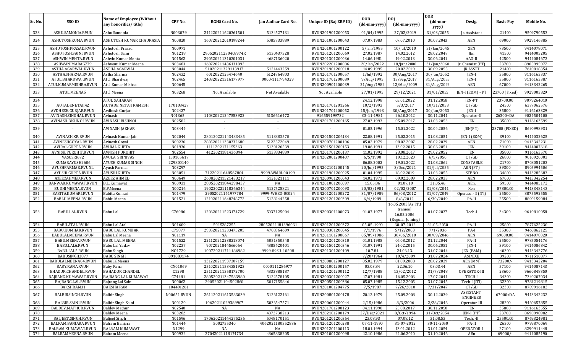| Sr. No.    | SSO ID                                 | <b>Name of Employee (Without</b><br>any honorifics/title) | CPF No.            | <b>RGHS Card No.</b>                     | Jan Aadhar Card No.           | Unique ID (Raj ERP ID)               | <b>DOB</b><br>(dd-mm-yyyy) | <b>DOJ</b><br>(dd-mm-yyyy)                  | <b>DOR</b><br>$(dd{\text{-}\mathbf{mm}}$ -<br>yyyy) | Desig.                       | <b>Basic Pay</b> | Mobile No.               |
|------------|----------------------------------------|-----------------------------------------------------------|--------------------|------------------------------------------|-------------------------------|--------------------------------------|----------------------------|---------------------------------------------|-----------------------------------------------------|------------------------------|------------------|--------------------------|
| 323        | ASHU.SAMONIA.RVUN                      | Ashu Samonia                                              | N003079            | 241220211620361501                       | 5134527131                    | RVUN201901200053                     | 01/04/1995                 | 27/02/2019                                  | 31/03/2055                                          | Jr. Assistant                | 21400            | 9509790553               |
| 324        | ASHUTOSHKUMA.RVUN                      | ASHUTOSH KUMAR CHAURASIA                                  | N00820             | 160720212010198244                       | 5085733889                    | RVUN201001200043                     | 07.07.1983                 | 07.07.2010                                  | 30.07.2043                                          | AEN                          | 69000            | 9929146385               |
| 325        | ASHUTOSHPRASAD.RVUN                    | Ashutosh Prasad                                           | N00971             |                                          |                               | RVUN201001200122                     | 5/Jan/1985                 | 10/Jul/2010                                 | 31/Jan/2045                                         | XEN                          | 73500            | 9414078071               |
| 326        | ASHUTOSH.SAINI.RVUN                    | Ashutosh Saini                                            | N01218             | 290520211230408974R                      | 5130437328                    | RVUN201201200069                     | 27.02.1987                 | 14.02.2012                                  | 28.02.2047                                          | JEn                          | 41500            | 9414005205               |
| 327        | ASHWIN.MEHTA.RVUN                      | Ashvin Kumar Mehta                                        | N01562             | 290520211310201031                       | 4687136020                    | RVUN201301200036                     | 14.06.1981                 | 19.02.2013                                  | 30.06.2041                                          | AAO-II                       | 42500            | 9414084672               |
| 328        | ASHWANIMARAG779                        | Ashwani Kumar Meena                                       | N03483             | 160720211436131892                       |                               | RVUN202201200086                     | 20/Jan/2022                | 18/Jan/2000                                 | 31/Jan/2060                                         | Jr. Chemist (PT)             | 23700            | 8905995077               |
| 329        | ASTHA.AGARWAL.RVUN                     | <b>ASTHA AGARWAL</b>                                      | N03044             | 51020211329113917                        | 5121443259                    | RVUN201901200018                     | 14.09.1995                 | 20.02.2019                                  | 30.09.2055                                          | JR.ASSTT                     | 21400            | 7610818354               |
| 330        | ASTHA.SHARMA.RVUN                      | Astha Sharma                                              | N02432             | 6012022125474640                         | 5124764803                    | RVUN201701200057                     | 1/Jul/1992                 | 30/Aug/2017                                 | 30/Jun/2052                                         | JEN-I                        | 35800            | 9116163337               |
| 331<br>332 | ATUL.BHARDWAJ.RVUN                     | Atul Bhardwaj                                             | N02465<br>N00645   | 240320221316177977                       | 0000-1117-94329               | RVUN201701200089<br>RVUN200901200039 | 9/Aug/1995                 | 13/Sep/2017                                 | 31/Aug/2055                                         | <b>IEN-I</b>                 | 35800<br>67000   | 9116163387               |
| 333        | ATULKUMARMISHRA.RVUN<br>ATUL.MEENA5    | Atul Kumar Mishra<br>Atul Meena                           | N03268             | Not Available                            | Not Available                 | Not Available                        | 21/Aug/1982<br>27/01/1995  | 12/Mar/2009<br>29/12/2021                   | 31/Aug/2042<br>31/01/2055                           | AEN<br>JEN-I (E&M) - PT      | 23700 (Fixed     | 9413342265<br>9929003829 |
| 334        |                                        | <b>ATUL SAHARAN</b>                                       |                    |                                          |                               |                                      | 24.12.1998                 | 05.01.2022                                  | 31.12.2058                                          | <b>JEN-PT</b>                | 23700.00         | 9079264010               |
| 335        | AUTADENETAJI42                         | <b>AUTADE NETAJI RAMESH</b>                               | 170108427          |                                          |                               | RVUN201701201266                     | 10/2/1993                  | 5/3/2017                                    | 10/31/2053                                          | CT/GD                        | 24500            | 6377062576               |
| 336        | AVDHESH.GURJAR.RVUN                    | Avdhesh Gurjar                                            | N02427             |                                          |                               | RVUN201701200052                     | 15/Jun/1993                | 30/Aug/2017                                 | 30/Jun/2053                                         | <b>JEN-I</b>                 | 35800            | 9116163329               |
| 337        | AVINASH.SINGHAL.RVUN                   | Avinash                                                   | N01365             | 110320221247553922                       | 5136616472                    | 916559199732                         | 03-11-1981                 | 26.10.2012                                  | 30.11.2041                                          | Operator-II                  | 26300+DA         | 9024504100               |
| 338        | AVINASH.BISHNOI.RVUN                   | <b>AVINASH BISHNOI</b>                                    | N02582             |                                          |                               | RVUN201701200165                     | 27.03.1993                 | 05.09.2017                                  | 31.03.2053                                          | JEN                          | 35800            | 9116163599               |
| 339        |                                        | AVINASH JAKHAR                                            | N03444             |                                          |                               |                                      | 01.05.1996                 | 15.01.2022                                  | 30.04.2056                                          | JEN(PT)                      | 23700 (FIXED     | 8690998931               |
| 340        | AVINASH.KR.RVUN                        | Avinash Kumar Jain                                        | N02044             | 280120221143483485                       | 5118883570                    | RVUN201501206134                     | 22.08.1991                 | 25.02.2015                                  | 31.08.2051                                          | [EN-I (E&M)                  | 39100            | 9414032625               |
| 341        | AVINESHGOYAL.RVUN                      | Avinesh Goval                                             | N00236             | 280520211330332680                       | 5122572049                    | RVUN200701200106                     | 05.02.1979                 | 08.02.2007                                  | 28.02.2039                                          | AEN                          | 71000            | 9413342231               |
| 342        | AVIRAL.GUPTA.RVUN                      | <b>AVIRAL GUPTA</b>                                       | N01936             | 1111202171155363                         | 5130126539                    | RVUN201501200153                     | 19.06.1991                 | 13.02.2015                                  | 30.06.2051                                          | JEN                          | 39100            | 9414007618               |
| 343        | AVNISH.PUROHIT.RVUN                    | <b>AVNISH PUROHIT</b>                                     | N02554             | 4122021181436394                         | 5133834839                    | RVUN201701200137                     | 11.02.1992                 | 23.08.2017                                  | 29.02.2052                                          | <b>JEN</b>                   | 35800            | 9116163570               |
| 344        | VASUSRI672                             | <b>AVULA SRINIVAS</b>                                     | 150105617          |                                          |                               | RVUN202001200407                     | 6/5/1990                   | 19.12.2020                                  | 6/5/2050                                            | CT/GD                        | 26800            | 9010920003               |
| 345        | KUMARAYUSH2606                         | <b>AYUSH KUMAR SINGH</b>                                  | 229800140          |                                          |                               |                                      | 06.08.2002                 | 19.01.2022                                  | 31.08.2062                                          | CONSTABLE                    | 21700            | 8708051203               |
| 346        | AYUSHPARMAR.RVUNL                      | Ayush Parmar                                              | N03297             |                                          |                               | RVUN202101200145                     | 20/Jul/1995                | 3/Dec/2021                                  | 31/Jul/2055                                         | AEN (PT)                     | 39300            | 8905994506               |
| 347        | AYUSHI.GUPTA.RVUN                      | <b>AYUSHI GUPTA</b>                                       | N03051             | 71220211648567804                        | 9999-WMRI-00199               | RVUN201901200025                     | 01.04.1995                 | 18.02.2019                                  | 31.03.2055                                          | <b>STENO</b>                 | 34800            | 9413285683               |
| 348        | AZEEZAHMED.RVUN                        | <b>AZEEZ AHMED</b>                                        | N00649             | 260820211521433217                       | 5121021111                    | RVUN200901200043                     | 14.02.1973                 | 09.02.2009                                  | 28.02.2033                                          | AEN                          | 67000            | 9413342254               |
| 349        | BANWAR.KUMAWAT.RVUN                    | <b>B.L. Kumawat</b>                                       | N00931             | 280520211844298437                       | NA                            | RVUN201001200097                     | 15.05.86                   | 01.07.10                                    | 31.05.46                                            | AEn.                         | 59500            | 9414085172               |
| 350        | BUDHIMEENA.RVUN                        | <b>B.P.Meena</b>                                          | N00216             | 190220221118266344                       | 5127525821                    | RVUN200701200093                     | 20/03/1981                 | 02/02/2007                                  | 31/03/2041                                          | Xen                          | 87800.00         | 9413348143               |
| 351<br>352 | BABITA.KUMARI.RVUN<br>BABLU.MEENA.RVUN | Babita Kumari<br>Bablu Meena                              | N01479<br>N01521   | 29052021141977784<br>121020211648248772  | 9999-WHEO-00024<br>5128244258 | RVUN201201200272<br>RVUN201201200309 | 31/07/1989<br>6/4/1989     | 06/08/2012<br>8/8/2012                      | 31/07/2049<br>6/30/2049                             | Operator-II (ITI)<br>PA-II   | 25500<br>25500   | 8875592555<br>8890159084 |
|            |                                        |                                                           |                    |                                          |                               |                                      |                            | 16.05.2003(As I.T.I                         |                                                     |                              |                  |                          |
| 353        | BABU.LAL.RVUN                          | Babu Lal                                                  | C76086             | 120620211523174729                       | 5037125004                    | RVUN200301200073                     | 01.07.1977                 | traniee)<br>16.05.2006<br>(Regular Joining) | 01.07.2037                                          | Tech-I                       | 34300            | 9610810058               |
| 354        | <b>BABU.ATAL.RVUN</b>                  | Babu Lal Atal                                             | N01609             | 5015287255                               | 28052021181396031             | RVUN201201200372                     | $05 - 05 - 1990$           | 30-07-2012                                  | 31-05-2050                                          | PA-II                        | 25800            | 7877625230               |
| 355        | BABU.KUMHAR.RVUN                       | <b>BABU LAL KUMHAR</b>                                    | C75877             | 290520211233475205                       | 4708364609                    | RVUN200301200045                     | 7/1/1976                   | 5/12/2003                                   | 7/1/2036                                            | PA-I                         | 35300            | 9460862125               |
| 356        | BABULALMEENA.RVUN                      | Babu Lal Meena                                            | N01119             | <b>NA</b>                                | NA                            | RVUN201101200067                     | 05/09/1986                 | 30/06/2010                                  | 30/09/2046                                          | <b>AEN</b>                   | 69000.00         | 9414078320               |
| 357        | BABU.MEENA.RVUN                        | <b>BABU LAL MEENA</b>                                     | N01522             | 221120212238218074                       | 5051350548                    | RVUN201201200310                     | 01.01.1985                 | 06.08.2012                                  | 31.12.2044                                          | PA-II                        | 25500            | 9785054176               |
| 358        | BABU.LAL6.RVUN                         | Babu Lal Yadav                                            | N02237             | 9072021844566064                         | 4885420401                    | RVUN201501200346                     | 01.07.1991                 | 24.02.2015                                  | 30.06.2051                                          | <b>IEN-I</b>                 | 39100            | 9414086842               |
| 359        | BABU.LAL5.RVUN                         | <b>Babu Singh</b>                                         | N01729             | 100720211711186982                       | 9999-89SU-10508               | RVUN201301200109                     | 10.7.84.                   | 24.06.13.                                   | 31.07.2044                                          | JEN (E&M)                    | 40300            | 9413342776               |
| 360        | BABUSINGH3877                          | <b>BABU SINGH</b>                                         | 091080174          |                                          |                               |                                      | 7/20/1964                  | 10/4/2009                                   | 31.07.2024                                          | ASI/EXE                      | 39200            | 9711510877               |
| 361<br>362 | BABULALMEENA04.RVUN<br>BABY.RANA.RVUN  | BabuLalMeena<br>Baby Rana                                 | CN01069            | 131220211937307159<br>251020211534351923 | 0000111286977                 | RVUN200801200127<br>RVUN201001200157 | 05.02.1979<br>03.03.84     | 01.09.2008<br>22.06.10                      | 28.02.2039<br>03.03.44                              | AEn (MM)<br><b>AEN</b>       | 73200/<br>57100  | 9413342204<br>9414087143 |
| 363        | BHADUR.CHANDEL.RVUN                    | <b>BAHADUR CHANDEL</b>                                    | C1298              | 251120211358172700                       | 4833888187                    | RVUN201201200112                     | 12/7/1988                  | 13/02/2012                                  | 31/7/2048                                           | OPERATOR-III                 | 23600            | 9660848350               |
| 364        | BAJRANG.KUMAWAT.RVUN                   | <b>BAJRANG LAL KUMAWAT</b>                                | C74481             | 280520211347583980                       | 5122578105                    | RVUN200301200027                     | 17.07.1981                 | 16.05.2003                                  | 17.07.2041                                          | TECH-I                       | 34300            | 7340207034               |
| 365        | BAJRANG.LAL.RVUN                       | Bajrang Lal Saini                                         | N00062             | 29052021104502860                        | 5017155846                    | RVUN200501200386                     | 05.07.1985                 | 15.12.2005                                  | 31.07.2045                                          | Tech-I (ITI)                 | 32300            | 9784219815               |
| 366        | BAKSHRAM31                             | <b>BAKSHA RAM</b>                                         | 104491261          |                                          |                               | RVUN201001204775                     | 7/5/1987                   | 7/26/2010                                   | 7/31/2047                                           | CT/GD                        | 32300            | 8709916182               |
| 367        | BALBIRSINGH.RVUN                       | <b>Balbir Singh</b>                                       | <b>N00651 RVUN</b> | 261120211613583039                       | 5126122461                    | RVUN200801200178                     | 20.12.1979                 | 25.09.2008                                  | 30.12.2039                                          | ASSISTANT<br><b>ENGINEER</b> | 67000+DA         | 9413342232               |
| 368        | <b>BALBIR.SAINI.RVUN</b>               | <b>Balbir Singh Saini</b>                                 | N00120             | 10620211029389907                        | 5036547571                    | RVUN200601200044                     | 2/15/1986                  | 8/3/2006                                    | 2/28/2046                                           | Operator-III                 | 28200            | 9460657855               |
| 369        | BALDEV.MATHUR.RVUN                     | <b>Baldev Mathur</b>                                      | N02540             | NA                                       | NA                            | RVUN201701200123                     | 04.11.1990                 | 25.08.2017                                  | 30.11.2050                                          | JEN                          | 35800            | 9116163555               |
| 370        |                                        | <b>Baldev Meena</b>                                       | N03282             |                                          | 4872738213                    | RVUN202101200179                     | 27/Dec/2021                | 8/0ct/1994                                  | 31/0ct/2054                                         | JEN-I (PT)                   | 23700            | 8690998982               |
| 371        | <b>BALJEET.SINGH.RVUN</b>              | <b>Baljeet Singh</b>                                      | N01596             | 170620211444275236                       | 5048170151                    | RVUN201201200364                     | 23.08.93                   | 07.08.12                                    | 31.08.53                                            | Tech. -II                    | 25500.00         | 8769324981               |
| 372        | BALRAM.BANJARA.RVUN                    | Balram Banjara                                            | N01444             | 5002755340                               | 4062021180352836              | RVUN201201200238                     | 07-11-1990                 | 31-07-2012                                  | 30-11-2050                                          | PA-II                        | 26300            | 9799870069               |
| 373        | BALRAM.KUMAWAT.RVUN                    | <b>BALRAM KUMAWAT</b>                                     | N1299              | NA                                       | NA                            | RVUN201201200113                     | 18.01.1994                 | 13.01.2012                                  | 31.01.2054                                          | OPERATOR-I                   | 27100            | 8290911448               |
| 374        | BALRAMMEENA.RVUN                       | Balram Meena                                              | N00932             | 27042021118174734                        | 4865838205                    | RVUN201001200098                     | 12.10.1986                 | 21.06.2010                                  | 31.10.2046                                          | AEn                          | $69000/-$        | 9414085190               |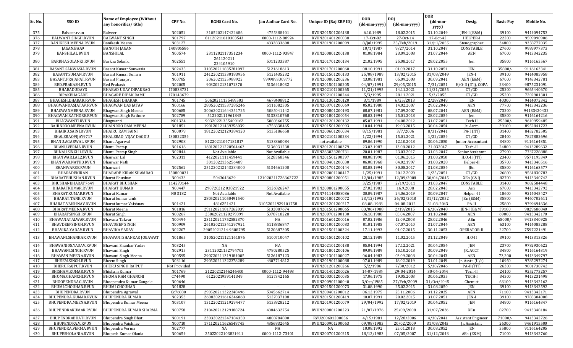| Sr. No.    | SSO ID                                      | Name of Employee (Without                         | CPF No.             | <b>RGHS Card No.</b>   | Jan Aadhar Card No. | Unique ID (Raj ERP ID)               | <b>DOB</b>           | <b>DOJ</b>              | <b>DOR</b><br>(dd-mm-   | Desig.              | <b>Basic Pay</b> | Mobile No.               |
|------------|---------------------------------------------|---------------------------------------------------|---------------------|------------------------|---------------------|--------------------------------------|----------------------|-------------------------|-------------------------|---------------------|------------------|--------------------------|
|            |                                             | any honorifics/title)                             |                     |                        |                     |                                      | (dd-mm-yyyy)         | (dd-mm-yyyy)            | yyyy)                   |                     |                  |                          |
| 375        | Balveer.rvun                                | Balveer                                           | N02051              | 3105202147422686       | 4755388401          | RVUN201501206138                     | 6.10.1989            | 18.02.2015              | 31.10.2049              | JEN-I (E&M)         | 39100            | 9414094753               |
| 376        | BALWANT.SINGH.RVUN                          | <b>BALWANT SINGH</b>                              | N01797              | 81120211610303543      | 0000-1112-88924     | RVUN201401200038                     | 17-Oct-82            | 27-Oct-14               | 17-0ct-42               | HELPER-I            | 22200            | 9509090906               |
| 377        | BANIKESH.MEENA.RVUN                         | Banikesh Meena                                    | N03127              |                        | 4832833608          | RVUN201901200099                     | 8/Jul/1995           | 25/Feb/2019             | 31/Jul/2055             | Stenographer        | 34800            | 9358777035               |
| 378        | JAGAN.BAA9                                  | <b>BANOTH JAGAN</b>                               | 140806586           |                        |                     |                                      | 10/1/1987            | 9/27/2014               | 31.10.2047              | CONSTABLE           | 27600            | 9989977373               |
| 379        | <b>BANSHILAL.RVUN</b>                       | <b>BANSHILAL</b>                                  | N00574              | 2311202117351234       | 0000-1112-93847     | RVUN200801200138                     | 01.08.1984           | 23.09.2008              | 31.07.2044              | AEN                 | 67000            | 9413342235               |
| 380        | BARKHA.SOLANKI.RVUN                         | Barkha Solanki                                    | N02551              | 261120211<br>224105910 | 5011233387          | RVUN201701200134                     | 21.02.1995           | 25.08.2017              | 28.02.2055              | Jen                 | 35800            | 9116163567               |
| 381        | BASANT.SANWASIA.RVUN                        | Basant Kumar Sanwasia                             | N02435              | 310520211835281097     | 5121618613          | RVUN201701200060                     | 08.10.1991           | 01.09.2017              | 31.10.2051              | JEN                 | 35800/           | 9116163341               |
| 382        | BASANT.SUMAN.RVUN                           | Basant Kumar Suman                                | N01911              | 241220211330183956     | 5121435232          | RVUN201501200133                     | 25/08/1989           | 13/02/2015              | 31/08/2049              | JEN-I               | 39100            | 9414085958               |
| 383        | BASANT.PRAJAPAT.RVUN                        | <b>Basant Prajapat</b>                            | N00785              | 2062021125988922       | 999989SU09772       | RVUN200801200236                     | 13.08.1981           | 05.09.2008              | 30.09.2041              | AEN (E&M)           | 67000            | 9143342781               |
| 384        | BED.PRAKASH.RVUN                            | <b>Bed Prakash</b>                                | N02005              | 9032022131071370       | 5136418032          | RVUN201501200205                     | 04/07/1991           | 29/05/2015              | 7/31/2051               | H/O-II (ITI), COPA  | 23400            | 9875231091               |
| 385        | BHABADUDAY3                                 | <b>BHABAD UDAY DIPAKRAO</b>                       | 170838731           |                        |                     | RVUN202101200265                     | 11/21/1995           | 14.11.2021              | 11/21/2055              | CT/GD               | 25200            | 9665440670               |
| 386<br>387 | DIPAKBHAGARE                                | <b>BHAGARE DIPAK RAMU</b>                         | 170143679<br>N01745 | 50620211135489503      | 4678408812          | RVUN202101200244                     | 5/3/1995<br>3/1/1989 | 28.11.2021<br>6/25/2013 | 5/3/2055                | CT/GD<br><b>JEN</b> | 25200<br>40300   | 7202901301               |
| 388        | BHAGESH.DHAKAR.RVUN<br>BHAGWANDASJATAV.RVUN | <b>BHAGESH DHAKAR</b><br><b>BHAGWAN DAS JATAV</b> | N00166              | 280520211537285246     | 5111082305          | RVUN201301200120<br>RVUN200701200069 | 05.02.1980           | 14.02.2007              | 2/28/2049<br>29.02.2040 | AEN                 | 77700            | 9414072342<br>9413342236 |
| 389        | BHAGWANMEENA.RVUN                           | Bhagwan Singh Meena                               | N00685              | 300620211644351725     | 5085041142          | RVUN200801200193                     | 08.07.1981           | 27.09.2007              | 08.07.2041              | AEN (E&M)           | 73200            | 94133420432              |
| 390        | BHAGWAN.RATHORE.RVUN                        | Bhagwan Singh Rathore                             | N02789              | 512202111961845        | 5133810768          | RVUN201801200054                     | 08.02.1994           | 25.01.2018              | 28.02.2054              | Jen                 | 35800            | 9116164216               |
| 391        | <b>BHAGWANTI.RVUN</b>                       | Bhagwanti                                         | N01324              | 90320221355409162      | 5080366755          | RVUN201201200132                     | 05.07.1991           | 04.08.2012              | 31.07.2051              | Tech II             | 25500/           | 9610959485               |
| 392        | BAHINROO.MEENA.RVUN                         | <b>BHAINROO RAM MEENA</b>                         | N01851              | 190120221439356039     | 4756838465          | RVUN201501200093                     | 10.04.1994           | 19.03.2015              | 30.04.2054              | Jr. Acctt.          | 39100            | 8952841723               |
| 393        | BHAIRU.SAINI.RVUN                           | <b>BHAIRU RAM SAINI</b>                           | N00079              | 181220212129384120     | 5135186658          | RVUN200601200034                     | 8/15/1981            | 3/7/2006                | 8/31/2041               | PA-I (ITI)          | 31400            | 8432782505               |
| 394        | BHALERAOVIJAY9717                           | <b>BHALERAO VIJAY DAGDU</b>                       | 130822354           |                        |                     | RVUN202101200234                     | 1/22/1994            | 15.01.2021              | 1/22/2054               | CT/GD               | 28400            | 7827882696               |
| 395        | BHANU.AGARWAL.RVUN                          | <b>Bhanu Agarwal</b>                              | N02908              | 81220211047181817      | 5133860084          | not available                        | 09.06.1990           | 12.10.2018              | 30.06.2050              | Junior Accountant   | 34800            | 9116164351               |
| 396        | BHANU.VERMA.RVUN                            | <b>Bhanu Partap</b>                               | N01616              | 160120221220564463     | 5136031238          | RVUN201201200379                     | 23.03.1987           | 13.08.2012              | 31.032047               | Tech-II             | 24800            | 9413289632               |
| 397        | BHNAU.SINGH1.RVUN                           | Bhanu Pratap Singh                                | N02844              | Not Available          | Not Available       | RVUN263023280731                     | 20.01.1987           | 23.03.2017              | 31.03.2047              | Senior Assistant    | 27900            | 7737228888               |
| 398        | BHANWAR.LAL2.RVUN                           | Bhanwar Lal                                       | N02311              | 4122021111459441       | 5128368346          | RVUN201501200397                     | 08.08.1990           | 01.06.2015              | 31.08.2050              | $H.O.-II$ (ITI)     | 23400            | 9571195349               |
| 399        | BHANWAR.NATH3.RVUN                          | <b>Bhanwar Nath</b>                               |                     | 3012022136256489       |                     | RVUN200401200030                     | 06.08.1968           | 04.02.1997              | 31.08.2028              | Helper-II           | 35700            | 9413340516               |
| 400        | BHANWAREE.RVUN                              | Bhanwari                                          | N02561              | 251220212143284000     | 5134661208          | RVUN201701200144                     | 03.05.1994           | 30.08.2017              | 31.08.2054              | JEn                 | 35800            | 9116163577               |
| 401        | BHARADEKIRAN                                | BHARADE KIRAN SHAMRAO                             | 150800031           |                        |                     | RVUN202001200417                     | 1/25/1991            | 20.12.2020              | 1/25/2051               | CT/GD               | 26800            | 9561830783               |
| 402        | BHARATBHUSHAN.RVUN                          | <b>Bharat Bhushan</b>                             | N00433              | 5043643629             | 121020211726362722  | RVUN200801200051                     | 12/04/1985           | 12/09/2008              | 30/04/2045              | XEn (C&I)           | 82700            | 9413340742               |
| 403        | BHUSHANBHARAT7649                           | <b>BHARAT BHUSHAN</b>                             | 114270144           |                        |                     |                                      | 3/25/1987            | 2/19/2011               | 31.03.2047              | CONSTABLE           | 31400            | 9682584448               |
| 404        | BHARATKUMAR.RVUN                            | <b>BHARAT KUMAR</b>                               | N00447              | 29072021203821922      | 5126826247          | RVUN200801200055                     | 27.02.1983           | 16.9.2008               | 28.02.2043              | Aen                 | 67000            | 9413342792               |
| 405        | BHARAT.KUMAR.RVUN                           | <b>Bharat Kumar</b>                               | N03182              | Not Available          | Not Available       | RVUN741143088086                     | 30.09.1987           | 24.06.2019              | 30.09.2047              | Helper-II           | 18600            | 9214045427               |
| 406        | BHARAT.TANK.RVUN                            | Bharat kumar tank                                 |                     | 280520211050491540     |                     | RVUN201801200072                     | 23/12/1992           | 26/02/2018              | 31/12/2052              | [En (E&M)           | 35800            | 9460702611               |
| 407        | BHARAT.VAISHNAV.RVUN                        | Bharat kumar Vaishnav                             | N01421              | 4816251421             | 31052021929101758   | RVUN201201200217                     | 08-08-1983           | 04-08-2012              | 31-08-2043              | PA-II               | 25800            | 9799694636               |
| 408        | BHARAT.MEENA.RVUN                           | <b>Bharat Meena</b>                               | N01816              | 291120211817262039     | 5132887674          | RVUN201501200065                     | 03/06/1988           | 2/19/2015               | 6/30/2048               | JEN-I (E&M)         | 39100            | 9829686840               |
| 409        | BHARATSINGH.RVUN                            | <b>Bharat Singh</b>                               | N00267              | 25062021120279899      | 5078718228          | RVUN200701200130                     | 06.10.1980           | 05.04.2007              | 31.10.2040              | <b>AEN</b>          | 69000            | 9413342170               |
| 410        | BHAWANATALWAR.RVUN                          | Bhavana Talwar                                    | N00494              | 231120211752582370     | NA                  | RVUN201601200016                     | 07.02.1986           | 12.09.2008              | 28.02.2046              | AEn                 | 65000/-          | 9413340925               |
| 411        | BHAVDEEPSINGH.RVUN                          | <b>BHAVDEEP SINGH</b>                             | N00909              | 261020211341297921     | 5118836847          | RVUN201001200083                     | 01.01.1985           | 07.07.2010              | 31.07.2044              | <b>AEN</b>          | 63100            | 9414085288               |
| 412        | BHAVIKA.YADAV.RVUN                          | <b>BHAVIKA YADAV</b>                              | N02207              | 29052021214-9308795    | 5120687305          | RVUN201501200324                     | 17.11.1993           | 01.07.2015              | 30.11.2053              | OPERATOR-II         | 22700            | 7597221491               |
| 413        | BHAWANI.SHANKAR.RVUN                        | BHAWANI SHANKAR JOGAWAT                           | N01865              | 310520211121161876     | 5100710047          | RVUN201501200102                     | 28.12.1989           | 11.02.2015              | 31.12.2049              | $H.O-II$            | 39100            | 9413313326               |
| 414        | BHAWANI05.YADAV.RVUN                        | Bhawani Shankar Yadav                             | N03245              | NA                     | NA                  | RVUN202101200138                     | 05.04.1994           | 27.12.2021              | 30.04.2054              | <b>JEN</b>          | 23700            | 9782930622               |
| 415        | BHAWANI.SINGH.RVUN                          | Bhawani Singh                                     | N02915              | 23112021152794701      | 4780280525          | RVUN201801200106                     | 09.09.1989           | 15.10.2018              | 30.09.2049              | JR. ACCT            | 34800            | 9116164319               |
| 416        | BHAWANIMEENA.RVUN                           | Bhawani Singh Meena                               | N00595              | 290720211319184005     | 5126187123          | RVUN201301200027                     | 06.04.1983           | 03.09.2008              | 30.04.2043              | <b>AEN</b>          | 73,200           | 9413349797               |
| 417        | BHEEM.SINGH.RVUN                            | <b>Bheem Singh</b>                                | N03116              | 290520211322378289     | 4807714812          | RVUN201901200088                     | 07.01.1989           | 18.02.2019              | 31.01.2049              | [r. Asstt. (U/s)]   | 10950            | 9785297274               |
| 418        | BHERU.RAJPUT.RVUN                           | <b>BHERU SINGH RAJPUT</b>                         | Not Provided        |                        |                     | RVUN201201200266                     | 5/2/1986             | 7/30/2012               | 5/30/2046               | PA-II (ITI)         | 26300            | 9001730742               |
| 419        | BHISHAM.KUMAR.RVUN                          | <b>Bhisham Kumar</b>                              | N01769              | 21220212146246400      | 0000-1112-94498     | RVUN201401200026                     | 14-07-1984           | 29-04-2014              | 30-04-2044              | Tech-II             | 24100            | 9252773257               |
| 420        | BHOMA.GHANCHI.RVUN                          | <b>BHOMA RAM GHANCHI</b>                          | C74490              | 6122021959141349       | 5127342165          | RVUN200301200035                     | 17.06.1975           | 19.05.2003              | 30.06.2035              | TECH-I              | 34300            | 9413231498               |
| 421        | BHOOPENDRA.G.RVUN                           | Bhoopendra Kumar Gangele                          | N00646              |                        |                     | RVUN200901200040                     | 3/0ct/1985           | 27/Feb/2009             | 31/0ct/2045             | Chemist             | 63100            | 9413342162               |
| 422        | BHUMI.CHOUHAN.RVUN                          | <b>BHUMI CHOUHAN</b>                              | N01828              |                        |                     | RVUN201501200073                     | 31.08.1990           | 25.02.2015              | 31.08.2050              | JEN                 | 39100            | 9413342592               |
| 423        | BHUPENDRA.RVUN                              | Bhupendra Agrawal                                 | Cc76080             | 290520211322348496     | 5045662714          | RVUN200401200012                     | 06.12.1975           | 25.11.2006              | 31.12.2035              | AEN                 | 71100            | 9413342171               |
| 424        | BHUPENDRA.KUMAR.RVUN                        | <b>BHUPENDRA KUMAR</b>                            | N02353              | 260820211616246068     | 5127037108          | RVUN201501200419                     | 10.07.1991           | 20.02.2015              | 31.07.2051              | JEN-I               | 39100            | 9785304008               |
| 425        | BHUPENDRA.MEENA.RVUN                        | Bhupendra Kumar Meena                             | N03107              | 131220211219294477     | 5133828212          | RVUN201901200079                     | 29/04/1992           | 17/02/2019              | 30.04.2052              | JEN                 | 34800            | 9116164347               |
| 426        | BHUPENDRAKUMAR.RVUN                         | BHUPENDRA KUMAR SHARMA                            | N00758              | 210420212129188724     | 4884632754          | RVUN200801200223                     | 21/07/1976           | 25/09/2008              | 31/07/2036              | XEn                 | 82700            | 9413348184               |
| 427        | BHUPENDRABHATI.RVUN                         | Bhupendra Singh Bhati                             | N00191              | 230320221247184350     | 4808784800          | RVU200601200056                      | 4/15/1981            | 12/28/2006              | 4/30/2041               | Assistant Engineer  | $71000/-$        | 9413342726               |
| 428        | BHUPENDRA.V.RVUN                            | Bhupendra Vaishnav                                | N00710              | 171120211626548745     | 4856832645          | RVUN200901200063                     | 09/08/1983           | 20/02/2009              | 31/08/2043              | Jr. Assistant       | 26300            | 9461915500               |
| 429        | BHUPENDRA.VERMA.RVUN                        | Bhupendra Verma                                   | N02777              | NA                     | $_{\rm NA}$         | NA                                   | 10.08.1992           | 25.01.2018              | 30.08.2052              | JEN                 | 35800            | 9116164205               |
| 430        | BHUPESHOLANIA.RVUN                          | Bhupesh Kumar Olania                              | N00654              | 25022022103821911      | 0000-1112-73401     | RVUN200701200215                     | 18/12/1983           | 07/05/2007              | 31/12/2043              | AEn (E&M)           | 71000            | 9413342760               |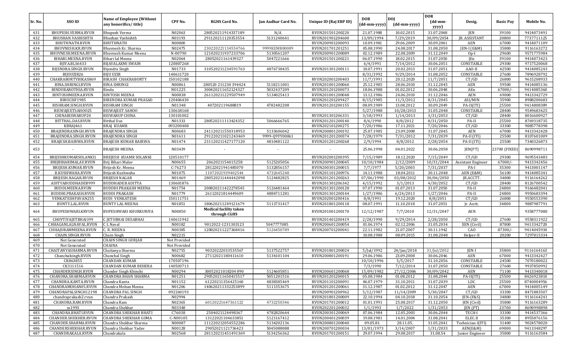| Sr. No.    | SSO ID                             | Name of Employee (Without               | CPF No.             | <b>RGHS Card No.</b>                   | Jan Aadhar Card No. | Unique ID (Raj ERP ID)               | <b>DOB</b>               | <b>DOJ</b>               | <b>DOR</b><br>$(dd{\text{-}\mathbf{mm}}$ | Desig.             | <b>Basic Pay</b> | Mobile No.               |
|------------|------------------------------------|-----------------------------------------|---------------------|----------------------------------------|---------------------|--------------------------------------|--------------------------|--------------------------|------------------------------------------|--------------------|------------------|--------------------------|
|            |                                    | any honorifics/title)                   |                     |                                        |                     |                                      | (dd-mm-yyyy)             | (dd-mm-yyyy)             | yyyy)                                    |                    |                  |                          |
| 431        | BHUPESH.VERMA.RVUN                 | <b>Bhupesh Verma</b>                    | N02063              | 280520211914337189                     | N/A                 | RVUN201501200220                     | 21.07.1988               | 10.02.2015               | 31.07.2048                               | JEN                | 39100            | 9414073491               |
| 432        | BHUSHAN.VASHISHTH                  | Bhushan Vashishth                       | N03193              | 291120211120353554                     | 5131240641          | RVUN201901204600                     | 13/09/1994               | 7/29/2019                | 30/09/2054<br>30.09.2041                 | JR. ASSISTANT      | 20800            | 7737711125               |
| 433<br>434 | BHUTHNATH.RVUN<br>BHUVNESH.KR.RVUN | <b>BHUTHNATH</b><br>Bhuynesh Kr. Sharma | N00800<br>N02475    | 230220221134554766                     | 9999KEMB00089       | RVUN200901200093<br>RVUN201701201251 | 10.09.1981<br>05.08.1990 | 29.06.2009<br>24.08.2017 | 31.08.2050                               | AEN<br>JEN-I (E&M) | 67000<br>35800   | 9414071109<br>9116163272 |
| 435        | BHUVNESH.MEENA.RVUN                | Bhuvnesh Kumar Meena                    | N-00790             | 121020211937233706                     | 5130561207          | RVUN200901200089                     | 02.12.1989               | 22.08.2009               | 31.12.2049                               | $Op-I$             | 29600            | 9571775984               |
| 436        | BIHARI.MEENA.RVUN                  | Bihari lal Meena                        | N02064              | 28052021161439327                      | 5047221666          | RVUN201501200221                     | 06.07.1990               | 18.02.2015               | 31.07.2050                               | JEn                | 39100            | 9414073423               |
| 437        | BJIYA.BLS6433                      | <b>BIJAYALAXMI SWAIN</b>                | 120807268           |                                        |                     |                                      | 6/4/1991                 | 7/14/2012                | 30.06.2051                               | CONSTABLE          | 29300            | 9717520068               |
| 438        | BIJENDRA.SINGH.RVUN                | Bijendra Singh                          | N01733              | 310520211234591763                     | 4876738435          | RVUN201301200111                     | 10.07.1991               | 20.02.2013               | 31.07.2051                               | AAO-II             | 42500            | 9414085243               |
| 439        | BIJUUZIR26                         | <b>BIJU UZIR</b>                        | 140611720           |                                        |                     |                                      | 8/31/1992                | 9/29/2014                | 31.08.2052                               | CONSTABLE          | 27600            | 7896928792               |
| 440        | CHAKRABORTYBIKASH69                | <b>BIKASH CHAKRABORTY</b>               | 150102188           |                                        |                     | RVUN202001200403                     | 11/7/1991                | 20.12.2020               | 11/7/2051                                | CT/GD              | 26800            | 9615208933               |
| 441        | BINA.SHRINGI.RVUN                  | <b>BINA SHRINGI</b>                     | N00861              | 280520 211230 394424                   | 5118211001          | RVUN201001200060                     | 25.12.1985               | 28.06.2010               | 31.12.2045                               | AEN                | 59500            | 9414085136               |
| 442        | BINDUBAROTHIA.RVUN                 | Bindu                                   | N01225              | 300420211652124327                     | 5032437209          | RVUN201201200073                     | 18.06.1988               | 01.02.2012               | 30.06.2048                               | AEn                | $67000/-$        | 9414085360               |
| 443        | BINTOSHMEENA.RVUN                  | <b>BINTOSH MEENA</b>                    | N00838              | 261120211229507949                     | 5134025413          | RVUN201001200048                     | 13.12.1986               | 24.06.2010               | 31.12.2046                               | <b>AEN</b>         | 69000            | 9413342729               |
| 444        | BIRUCISF1985                       | <b>BIRENDRA KUMAR PRASAD</b>            | 120406430           |                                        |                     | RVUN201201209427                     | 8/15/1985                | 11/3/2012                | 8/31/2045                                | ASI/MIN            | 35900            | 8988200683               |
| 445        | BISHRAM.SINGH.RVUN                 | <b>BISHRAM SINGH</b>                    | N01348              | 407202119688819                        | 4782482208          | RVUN201201200155                     | 08.09.1989               | 13.08.2012               | 30.09.2049                               | $PA-II(ITI)$       | 25500            | 9414808389               |
| 446        | BISWAJEETSAH0025                   | <b>BISWAJEET SAHOO</b>                  | 130618168           |                                        |                     |                                      | 5/27/1988                | 10/28/2013               | 31.05.2048                               | CONSTABLE          | 28400            | 9549683425               |
| 447        | CHINABISWARUP20                    | <b>BISWARUP CHINA</b>                   | 130101002           |                                        |                     | RVUN201301206331                     | 3/18/1993                | 1/14/2013                | $\frac{1}{3}/31/2053$                    | CT/GD              | 28400            | 8016600927               |
| 448        | BITTHAL.DAS.RVUN                   | <b>Bitthal Das</b>                      | N01333              | 280520211113424352                     | 5066666765          | RVUN201201200140                     | 8/6/1990                 | 8/8/2012                 | 8/31/2050                                | PA-II              | 25500            | 8769318735               |
| 449        | KBRAJ461                           | <b>BRAJ KUAMR</b>                       | 093200408           |                                        |                     | RVUN202101200275                     | 7/20/1986                | 17.11.2021               | 7/20/2046                                | CT/GD              | 33300            | 9085778398               |
| 450        | BRAJENDRASINGH.RVUN                | <b>BRAJENDRA SINGH</b>                  | N00683              | 241120211550318953                     | 5133606042          | RVUN200801200192                     | 25.07.1985               | 23.09.2008               | 31.07.2045                               | <b>AEN</b>         | 67000            | 9413342428               |
| 451        | BRAJENDRA.SINGH.RVUN               | <b>BRAJENDRA SINGH</b>                  | N01611              | 291220211021243469                     | 9999-Q9YY00061      | RVUN201201200374                     | 7/28/1979                | 7/31/2012                | 7/31/2039                                | PA-II (ITI)        | 25500            | 8107601009               |
| 452        | BRAJESH.BAIRWA.RVUN                | BRAJESH KUMAR BAIRWA                    | N01474              | 231120211427177120                     | 4810481122          | RVUN201201200268                     | 2/9/1994                 | 8/8/2012                 | 2/28/2054                                | PA-II (ITI)        | 25500            | 7340326873               |
| 453        |                                    | <b>BRAJESH MEENA</b>                    | N03439              |                                        |                     |                                      | 25.06.1998               | 04.01.2022               | 30.06.2058                               | JEN(PT)            | 23700 (FIXED)    | 8690998711               |
| 454        | BRIJESHKUMARSOLANKI1               | BREJESH KUAMR SOLANKI                   | 120510177           |                                        |                     | RVUN202001200395                     | 7/15/1989                | 18.12.2020               | 7/15/2049                                | CT/GD              | 29300            | 9695543483               |
| 455        | BRIJBIHARIMALAV.RVUN               | Brij Bihari Malav                       | N00655              | 2062021154015258                       | 5125205056          | RVUN200901200045                     | 10/10/1984               | 2/12/2009                | 10/31/2044                               | Assistant Engineer | 67000/           | 9413342456               |
| 456        | BRIJESH.KUMAR.RVUN                 | Brijesh Kr. Meena                       | $C-76273$           | 28122021941485070                      | 5132856157          | RVUN200301200015                     | 7/7/1977                 | 5/20/2003                | 7/31/2037                                | PA-I               | 35300            | 9413001147               |
| 457        | <b>B.KUSHWAHA.RVUN</b>             | Brijesh Kushwaha                        | N01075              | 11072021939402544                      | 4732645248          | RVUN201101200976                     | 14.11.1988               | 18.04.2011               | 30.11.2048                               | AEN (E&M)          | 56100            | 9414085341               |
| 458        | BRIJESH.NAGAR.RVUN                 | <b>BRIJESH NAGAR</b>                    | N01469              | 280520211444442098                     | 5124482825          | RVUN201201200263                     | 07/06/1990               | 03/08/2012               | 30/06/2050                               | JR.ACCTT.          | 34800            | 9116164262               |
| 459        | ADITYABUDDHADEB999                 | <b>BUDDHADEB ADITYA</b>                 | 130601876           |                                        |                     | RVUN201301206342                     | 4/15/1992                | 3/1/2013                 | 4/30/2052                                | CT/GD              | 28400            | 8126700542               |
| 460        | BUDDI.MEENA.RVUN                   | <b>BUDDHI PRAKASH MEENA</b>             | N01754              | 200820211422278545                     | 5126481464          | RVUN201301200128                     | 07.07.1990               | 01.07.2013               | 31.07.2050                               | PA-II              | 24800            | 9166482041               |
| 461        | BUDDHI.PRAKASH.RVUN                | <b>BUDDI PRAKASH</b>                    | N01779              | 26112021814449609                      | 4884711281          | RVUN201301200144                     | 1/27/1986                | 6/24/2013                | 1/27/2046                                | PA-II              | 24800            | 9950683394               |
| 462        | VENKATESHPAVAN255                  | <b>BUDI VENKATESH</b>                   | 150111751           |                                        |                     | RVUN202001200416                     | 8/8/1991                 | 19.12.2020               | 8/8/2051                                 | CT/GD              | 26800            | 9550553390               |
| 463        | BUNTY.LAL.RVUN                     | <b>BUNTY LAL MEENA</b>                  | N01851              | 180620211249121679                     | 5113731417          | RVUN201801200118                     | 08.07.1991               | 11.10.2018               | 31.07.2051                               | Jr. Acctt.         | 34800            | 9887987791               |
| 464        | BHUPESHWARI.KRVUN                  | BUPESHWARI KHURKURIYA                   | N00850              | Medical faclilty taken<br>through CGHS |                     | RVUN201001200170                     | 12/12/1987               | 7/7/2010                 | 12/31/2047                               | AEN                |                  | 9358777080               |
| 465        | CHOVTIYAJETBHAI199                 | C JETUBHAI DESABHAI                     | 140611942           |                                        |                     | RVUN201401200419                     | 2/28/1990                | 9/29/2014                | 2/28/2050                                | CT/GD              | 27600            | 9558311922               |
| 466        | CHHAGANLALNAVAL.RVUN               | C L Naval                               | N00182              | 9012022-1231303123                     | 5047777085          | RVUN200601200054                     | 01.06.1974               | 02.12.2006               | 31.05.2034                               | XEN (Civil)        | 87800            | 9413342720               |
| 467        | CHHAJURAMMEENA.RVUN                | C. R. MEENA                             | N00385              | 120820211227368416                     | 5126450789          | RVUN200701200041                     | 22.11.1982               | 21.07.2007               | 30.11.1942                               | CAO                | 87300/           | 9414045934               |
| 468        | CHAIN.SINGH.RVUN                   | Chain Singh                             | N02215              |                                        |                     |                                      | 10.08.1988               | 08.09.2015               | 31.08.2048                               | Helper-II          | 20200            | 7297815334               |
| 469        | Not Generated                      | <b>CHAIN SINGH GURJAR</b>               | Not Provided        |                                        |                     |                                      |                          |                          |                                          |                    |                  |                          |
| 470        | Not Generated                      | <b>CHAINA</b>                           | Not Provided        |                                        |                     |                                      |                          |                          |                                          |                    |                  |                          |
| 471        | CHAITANYASHARMA.RVUN               | Chaitanya Sharma                        | N02755              | 90320222033535567                      | 5137522757          | RVUN201801200024                     | 5/Jul/1992               | 24/Jan/2018              | 31/Jul/2052                              | JEN-I              | 35800            | 9116164163               |
| 472<br>473 | Chanchalsingh.RVUN                 | Chanchal Singh<br><b>CHANDAN KUMAR</b>  | N00682<br>170507196 | 27112021180411610                      | 5134101104          | RVUN200801200191                     | 29.06.1986<br>10/10/1996 | 23.09.2008               | 30.06.2046<br>31.10.2056                 | AEN<br>CONSTABLE   | 67000<br>24500   | 9413342427<br>7070180022 |
| 474        | CK863855<br>CK3111516              | CHANDAN KUMAR BEHERA                    | 140503713           |                                        |                     |                                      | 7/3/1990                 | 5/5/2017<br>7/12/2014    | 31.07.2050                               | CONSTABLE          | 27600            | 9937850992               |
| 475        | CHANDERSINGH.RVUN                  | Chander Singh Khinchi                   | N00294              | 30052021018204890                      | 5124605851          | RVUN200601200068                     | 15/09/1982               | 27/12/2006               | 30/09/2042                               | AEN                | 71100            | 9413340018               |
| 476        | CHANDRA.SHARMA.RVUN                | CHANDRA BHAN SHARMA                     | N01251              | 290520211650415517                     | 5051201516          | RVUN201201200015                     | 05.08.1984               | 01.08.2012               | 31.08.2044                               | $PA-II(ITI)$       | 25500            | 8426923810               |
| 477        | CHANDRA.KANTA.RVUN                 | Chandra Kanta                           | N01152              | 61220211356425160                      | 4838385469          | RVUN201101200091                     | 06.07.1979               | 31.10.2011               | 31.07.2039                               | <b>LDC</b>         | 25500            | 8740004956               |
| 478        | CHANDRAMOHAN05.RVUN                | Chandra Mohan Meena                     | N01206              | 140620211332253899                     | 5111353675          | RVUN201201200061                     | 31.12.1987               | 01.02.2012               | 31.12.2047                               | AEN                | 67000            | 9414005149               |
| 479        | CHANDRAPALSINGH12198               | CHANDRA PAL SINGH                       | 092260193           |                                        |                     | RVUN200901200962                     | 5/12/1987                | 11/14/2009               | 5/30/2047                                | CT/GD              | 33300            | 8471883507               |
| 480        | chandraprakash2.rvun               | Chandra Prakash                         | N02994              |                                        |                     | RVUN201801200009                     | 22.10.1994               | 04.10.2018               | 31.10.2054                               | $IEN-(F&S)$        | 34800            | 9116164241               |
| 481        | CHANDRA.RAM.RVUN                   | Chandra Ram                             | N02365              | 60120221647361122                      | 4732250346          | RVUN201701200012                     | 01.01.1991               | 25.08.2017               | 31.12.2050                               | JEN (Civil)        | 35800            | 9116163289               |
| 482        | ss1993                             | Chandra Shekhar                         | N03348              |                                        |                     | RVUN202201200032                     | 1/1/1993                 | 1/7/2022                 | 1/31/2053                                | JEN (PT)           | 23700            | 8690998898               |
| 483        | CHANDRA.BHATI.RVUN                 | <b>CHANDRA SHEKHAR BHATI</b>            | C76038              | 2504021124498367                       | 4782820644          | RVUN200301200069                     | 07.06.1984               | 12.05.2003               | 30.06.2044                               | TECH-I             | 33300            | 9414537366               |
| 484        | CHANDER.SHEKHER.RVUN               | <b>CHANDRA SHEKHAR GOMA</b>             | C-N00105            | 13122021104633851                      | 5121167412          | RVUN200401200039                     | 19.08.1981               | 14.01.2004               | 31.08.2041                               | ELEC.II            | 35300            | 8955876156               |
| 485        | CHANDER.SHARMA.RVUN                | Chandra Shekhar Sharma                  | N00087              | 111220212054552286                     | 5134202136          | RVUN200801200040                     | 09.05.81.                | 28.11.05.                | 31.05.2041                               | Technician-I(ITI)  | 31400            | 9024578020               |
| 486        | CHANDERSHEKHAR.RVUN                | Chandra Shekhar Yadav                   | N00128              | 29052021121736423                      | 5045088088          | RVUN200701200034                     | 13/01/1973               | 3/14/2007                | 1/31/2033                                | AEN(E&M)           | 69000            | 9413348297               |
| 487        | CHANDRAKALA.RVUN                   | Chandrakala                             | N02568              | 281120211451491369                     | 5134256362          | RVUN201701200151                     | 29.07.1994               | 29.08.2017               | 31.08.54                                 | Junior Engineer    | 35800            | 9116163584               |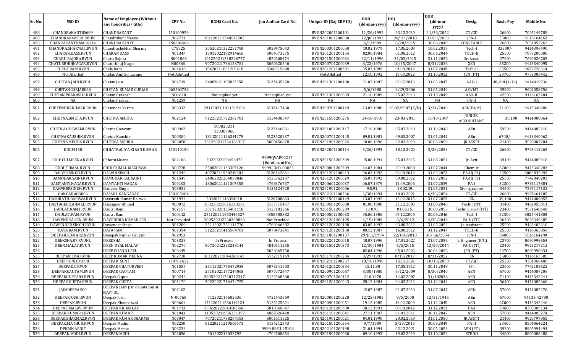|            |                                      | <b>Name of Employee (Without</b>         |                        |                                        |                                   |                                      | <b>DOB</b>               | DOJ                    | <b>DOR</b>               |                             |                  |                          |
|------------|--------------------------------------|------------------------------------------|------------------------|----------------------------------------|-----------------------------------|--------------------------------------|--------------------------|------------------------|--------------------------|-----------------------------|------------------|--------------------------|
| Sr. No.    | SSO ID                               | any honorifics/title)                    | CPF No.                | <b>RGHS Card No.</b>                   | Jan Aadhar Card No.               | Unique ID (Raj ERP ID)               | (dd-mm-yyyy)             | (dd-mm-yyyy)           | (dd-mm-<br>yyyy)         | Desig.                      | <b>Basic Pay</b> | Mobile No.               |
| 488        | CHANDRAKANT80699                     | CHANDRAKANT                              | 150100959              |                                        |                                   | RVUN202001200401                     | 11/26/1992               | 23.12.2020             | 11/26/2052               | CT/GD                       | 26800            | 7005149789               |
| 489        | CHANDRAKANT.M.RVUN                   | Chandrakant Meena                        | N02773                 | 181120211248517502                     |                                   | RVUN201801200038                     | 12/Jul/1993              | 24/Jan/2018            | 31/Jul/2053              | JEN-I                       | 35800            | 9116164162               |
| 490        | CHANRAKANTHMALG114                   | CHANDRAKANTH                             | 150602466              |                                        |                                   |                                      | 6/1/1989                 | 8/28/2015              | 30.06.2049               | CONSTABLE                   | 26800            | 7051052262               |
| 491        | CHANDRA.SHARMA1.RVUN                 | Chandrashekhar Sharma                    | C75925                 | 30520211322251788                      | 5028475043                        | RVUN200301200058                     | 10.02.1979               | 17.05.2003             | 10.02.2039               | Tech-I                      | 33300/           | 9414396490               |
| 492        | CHARAN.DASS.RVUN                     | <b>CHARAN DASS</b>                       | N01347                 | 17012022182914666                      | 5064073575                        | RVUN201201200154                     | 02.06.1984               | 01.08.2012             | 30.06.2044               | TECH-II                     | 25500            | 7877200080               |
| 493        | CHARU.RAJORA.RVUN                    | Charu Rajora                             | N001869                | 101220211318246777                     | 4852608474                        | RVUN201501200034                     | 22/11/1996               | 31/03/2015             | 31.11.2056               | Sr. Asstt.                  | 27900            | 7690826705               |
| 494        | CHATURBHUJNAGAR.RVUN                 | Chaturbhuj Nagar                         | N00368                 | 90720211736123781                      | 5060820540                        | RVUN200701200039                     | 8/22/1976                | 10/25/2007             | 8/31/2036                | XEN                         | 85200            | 9413340095               |
| 495        | CHELA.RAM.RVUN                       | Chela Ram                                | N01618                 | 10620211851205418                      | 5066515688                        | RVUN201201200381                     | 05.07.1989               | 01.08.2012             | 31.07.2049               | Tech-II                     | 25500            | 9672720310               |
| 496        | Not Allotted                         | Chetan Anil Sonawane                     | Not Allotted           |                                        |                                   | Not Allotted                         | 12.10.1992               | 19.03.2022             | 31.10.2052               | JEN (PT)                    | 23700            | 9773306442               |
| 497        | CHETAN.JAIN.RVUN                     | Chetan Jain                              | N01719                 | 24082021105832558                      | 5127435270                        | RVUN201301200100                     | 31.03.1987               | 03.07.2013             | 31.03.2047               | AAO-I                       | 48,400 (L-12)    | 9414019734               |
| 498        | CHETANGURJAR060                      | <b>CHETAN KUMAR GURJAR</b>               | 063560738              |                                        |                                   |                                      | 5/6/1980                 | 9/29/2006              | 31.05.2040               | ASI/MT                      | 39200            | 9602058756               |
| 499        | CHETAN.PRAKASH1.RVUN                 | Chetan Prakash                           | N01620                 | Not applied yet                        | Not applied yet                   | RVUN201301200039                     | 21.10.1989               | 25.02.2013             | 31.10.2049               | AAO-II                      | 42500            | 9116163204               |
| 500        | NA                                   | Chetan Prakash                           | N01259                 | NA                                     | NA                                | NA                                   | NA                       | NA                     | NA                       | PA-II                       | NA               | NA                       |
| 501        | CHETENDRAKUMAR.RVUN                  | Chetendra Verma                          | N00312                 | 29112021 1011519154                    | 5133417430                        | RVUN200701200149                     | 13.03.1980               | 15-02/2007 (F/N)       | 3/31/2040                | AEN(E&M)                    | 71100            | 9413348284               |
| 502        | CHETNA.AMETA.RVUN                    | <b>CHETNA AMETA</b>                      | N02124                 | 91220211722361781                      | 5134438547                        | RVUN201501200275                     | 24-10-1987               | 23-03-2015             | 31-10-2047               | <b>JUNIOR</b><br>ACCOUNTANT | 39,100           | 9414008964               |
| 503        | CHETNA.GOSWAMI.RVUN                  | Chetna Goswami                           | N00962                 | 180820211<br>138307060                 | 5127146831                        | RVUN201001200117                     | 17.10.1988               | 05.07.2010             | 31.10.2048               | AEn                         | 59500            | 9414085210               |
| 504        | CHETNAKAUSHIK.RVUN                   | Chetna Kaushik                           | N00300                 | 18112021126244279                      | 5123520237                        | RVUN200701200145                     | 09.01.1981               | 09.03.2007             | 31.01.2041               | AEn                         | 6700/            | 9413340062               |
| 505        | CHETNA.MEHRA.RVUN                    | <b>CHETNA MEHRA</b>                      | N03050                 | 151220211734181357                     | 5000456878                        | RVUN201901200024                     | 18.06.1990               | 22.02.2019             | 30.06.2050               | JR.ASSTT                    | 21400            | 9529807704               |
| 506        | KIRU4158                             | CHHATRALIYA KIRAN KUMAR                  | 150110150              |                                        |                                   | RVUN202001200414                     | 3/26/1993                | 18.12.2020             | 3/26/2053                | CT/GD                       | 26800            | 9723412265               |
| 507        | CHHOTU.MEENA.RVUN                    | Chhotu Meena                             | N02188                 | 2022022150456972                       | 9999QVAP00217<br>(Enrollment No.) | RVUN201501200309                     | 15.08.1991               | 25.03.2015             | 31.08.2051               | Jr. Actt                    | 39100            | 9414085910               |
| 508        | CHOUTHMAL.RVUN                       | CHOUTHMAL MEGHWAL                        | N00738                 | 25082021133307126                      | 9999-J300-00023                   | RVUN200801200209                     | 24.07.1984               | 25.09.2008             | 31.07.2044               | Chemist                     | 67000            | 9413348283               |
| 509        | DALVIR.SINGH.RVUN                    | <b>DALVIR SINGH</b>                      | N01249                 | 40720211930249303                      | 5126142861                        | RVUN201201200013                     | 06.03.1992               | 06.08.2012             | 31.03.2052               | PA-II(ITI)                  | 25500            | 8003835092               |
| 510        | DAMODAR.SAINI.RVUN                   | DAMODAR LAL SAINI                        | N01549                 | 24062021204039846                      | 5125362137                        | RVUN201201200029                     | 15.07.1992               | 09.08.2012             | 31.07.2052               | PA-II(ITI)                  | 25500            | 7742848203               |
| 511        | DAMYANTI.NAGAR.RVUN                  | DAMYANTI NAGAR                           | N00103                 | 18062021121307555                      | 4766376737                        | RVUN200601200037                     | 06.07.1979               | 12.09.2006             | 31.07.2039               | PA-I                        | 32300            | 9784117884               |
| 512        | DANVEERSINGH.RVUN                    | Danveer Singh                            | N03032                 |                                        | 5135124720                        | RVUN201901200006                     | 9.5.91.                  | 28.02.19.              | 31.05.2051               | Stenographer                | 34800            | 7597117133               |
| 513        | GANGARA03006                         | DASARI GANGARAO                          | 150105404              |                                        |                                   | RVUN202101200236                     | 6/30/1994                | 10.01.2021             | 6/30/2054                | CT/GD                       | 26800            | 9997464105               |
| 514        | DASHRATH.BAIRWA.RVUN                 | Dashrath Kumar Bairwa                    | N01931                 | 2082021146394018                       | 5126708863                        | RVUN201501200149                     | 13.07.1992               | 15.02.2015             | 31.07.2052               | <b>JEN</b>                  | 39,100           | 9414009853               |
| 515        | DASTAGEER.AHMED.RVUN                 | Dastageer Ahmed                          | N00072                 | 100220221016313261                     | 5137715457                        | RVUN200501200008                     | 01.08.1980               | 21.12.2005             | 31.08.2040               | Tech-I (ITI)                | 31400            | 9462055811               |
| 516        | DAULAT.RAM1.RVUN                     | Daulat Ram                               | N02157                 | 20112021135481158                      | 5127183266                        | RVUN201501200289                     | 1.10.95.                 | 01.06.15               | 30.09.2055               | Technician-II(ITI)          | 23400            | 9571648648               |
| 517        | DAULAT.RAM.RVUN                      | Daulat Ram                               | N00112                 | 251120211953446527                     | 4858788382                        | RVUN200501200033                     | 05.06.1986               | 07.12.2005             | 30.06.2046               | Tech-I                      | 32300            | 8824441800               |
| 518<br>519 | DAVENDRA.SEN.RVUN                    | <b>DAVENDRA KUMAR SEN</b>                | Not Provided<br>N01289 | 280520212230309863                     | Not Provided                      | RVUN201201200195                     | 4/15/1989                | 8/6/2012<br>03.08.2012 | 4/30/2049                | PA-II (ITI)                 | 26300<br>25500   | 9829349385               |
| 520        | DAWENDER.SINGH.RVUN<br>DAYA.RAM.RVUN | Dawender Singh<br><b>DAYA RAM</b>        | N01354                 | 25112021751141776<br>51220211415504781 | 4780066382<br>5078473241          | RVUN201201200108<br>RVUN201201200158 | 03.05.1992<br>08.12.1987 | 16.08.2012             | 31.05.2052<br>31.12.2047 | Jr. Assistant<br>TECH-II    | 25500            | 9462402310<br>9116365850 |
| 521        | DEEPAK.KUMAR2.RVUN                   | Deeepak Kumar Gautam                     | N02953                 |                                        |                                   | RVUN201801200137                     | 29/Jun/1994              | 22/0ct/2018            | 30/Jun/2054              | <b>JEN-I</b>                | 34800            | 9116164290               |
| 522        | DEEKSHA.07.RVUNL                     | <b>DEEKSHA</b>                           | N03328                 | In Process                             | In Process                        | RVUN202201200018                     | 18.07.1996               | 17.01.2022             | 31.07.2056               | Jr. Engineer (P.T.)         | 23700            | 8690998654               |
| 523        | DEEN.MALAV.RVUN                      | DEEN DYAL MALAV                          | N02270                 | 80720212323243144                      | 4840511255                        | RVUN201501200373                     | 12/30/1984               | 6/5/2015               | 12/30/2044               | PA-II (ITI)                 | 23400            | 9928217212               |
| 524        |                                      | DEEP CHAND LEEL                          | N03445                 |                                        | 5026065750                        |                                      | 02.04.1996               | 05.01.2022             | 30.04.2056               | JEN (PT)                    | 23700            | 8690998934               |
| 525        | DEEP.MEENA.RVUN                      | DEEP KUMAR MEENA                         | N02738                 | 301120211844268143                     | 5132315169                        | RVUN201701200284                     | 8/29/1992                | 8/19/2017              | 8/31/2052                | JEN                         | 35800            | 9116163505               |
| 526        | DEEPSONI101090                       | <b>DEEPAK SONI</b>                       | 170701622              |                                        |                                   | RVUN202101200257                     | 10/10/1990               | 15.11.2021             | 10/10/2050               | CT/GD                       | 25200            | 9201360486               |
| 527        | DEEPAK.C.RVUN                        | <b>DEEPAK CHATURVEDI</b>                 | N01557                 | 26112021745472929                      | 5073241503                        | RVUN201201200334                     | 15.11.88                 | 17.05.1912             | 30.11.2048               | $H-I$                       | 23600            | 7742108622               |
| 528        | DEEPAKGAUTAM.RVUN                    | <b>DEEPAK GAUTAM</b>                     | N00714                 | 27102021177244065                      | 5077072647                        | RVUN200901200067                     | 8/30/1980                | 6/12/2009              | 8/30/2040                | <b>AEN</b>                  | 67000            | 9414087206               |
| 529        | DEEPAKGUPTA04.RVUN                   | Deepak Gupta                             | N00242                 | 280520211720312347                     | 5122568260                        | RVUN200701200112                     | 2.10.1978                | 14.02.2007             | 31/102038                | AEN                         | 71100            | 9413342241               |
| 530        | DEEPAK.GUPTA.RVUN                    | DEEPAK GUPTA                             | N01170                 | 30220221716474755                      | $\sim$                            | RVUN201201200043                     | 28.12.1984               | 04.02.2012             | 31.12.2044               | AEN                         | 56100            | 9414085366               |
| 531        | JAINDEEPAK09                         | DEEPAK JAIN (On deputation at<br>NAPTOL) | N01102                 |                                        | $\overline{\phantom{a}}$          | $\sim$                               | 12.07.1987               | 01.07.2010             | 31.07.2047               | AEN                         | 57800            | 9414085276               |
| 532        | DEEPAKJOSHI.RVUN                     | Deepak Joshi                             | N-00768                | 712202116682536                        | 4721443569                        | RVUN200801200228                     | 12/25/1985               | 9/5/2008               | 12/31/1945               | AEn                         | 67000            | 94133-42780              |
| 533        | DEEPAK.RVUN                          | Deepak Khandelwal                        | N00661                 | 171220211536119124                     | 5135225621                        | RVUN200901200051                     | 19.12.1985               | 19.02.2009             | 31.12.2045               | AEN                         | 67000            | 9413342446               |
| 534        | DEEPAK.MALAV.RVUN                    | DEEPAK KR. MALAV                         | N01713                 | 150220221043583246                     | 5010066047                        | RVUN201201200390                     | 08.12.1991               | 08.08.2012             | 31.12.2051               | PA-I                        | 29600            | 8290389134               |
| 535        | DEEPAK.KUMAR1.RVUN                   | <b>DEEPAK KUMAR</b>                      | N01043                 | 310520211956331397                     | 4867826420                        | RVUN201101200041                     | 27.11.1987               | 01.01.2011             | 30.11.2047               | AEN                         | 57800            | 9414085274               |
| 536        | DEEPAK.SHARMA2.RVUN                  | DEEPAK KUMAR SHARMA                      | N03047                 | 70720211738264183                      | 5001611325                        | RVUN201901200021                     | 04.01.1990               | 20.02.2019             | 31.01.2050               | JR.ASSTT                    | 21400            | 9929797955               |
| 537        | DEEPAK.MATHUR.RVUN                   | Deepak Mathur                            | N02250                 | 81220211219508673                      | 5134212343                        | RVUN201501200354                     | 9/7/1989                 | 5/29/2015              | 30.09.2049               | PA-II                       | 23400            | 8504864224               |
| 538        | DPKMN.AENIT                          | Deepak Meena                             | N03233                 |                                        | 9999-89SU-15108                   | RVUN202101200198                     | 21.04.1994               | 02.12.2021             | 30.05.2054               | AEN (PT)                    | 39300            | 8905994494               |
| 539        | DEEPAK.MODI.RVUN                     | DEEPAK MODI                              | N03056                 | 501202213033795                        | 4704708854                        | RVUN201901200030                     | 09.10.1992               | 19.02.2019             | 31.10.2052               | STENO                       | 34800            | 8890088488               |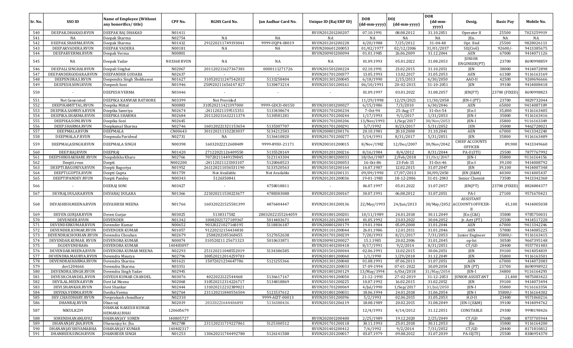|            |                                           |                                                           |                    |                                        |                             |                                      |                            |                            | <b>DOR</b>                          |                                                                |                  |                          |
|------------|-------------------------------------------|-----------------------------------------------------------|--------------------|----------------------------------------|-----------------------------|--------------------------------------|----------------------------|----------------------------|-------------------------------------|----------------------------------------------------------------|------------------|--------------------------|
| Sr. No.    | SSO ID                                    | <b>Name of Employee (Without</b><br>any honorifics/title) | CPF No.            | <b>RGHS Card No.</b>                   | Jan Aadhar Card No.         | Unique ID (Raj ERP ID)               | <b>DOB</b><br>(dd-mm-yyyy) | <b>DOI</b><br>(dd-mm-yyyy) | $(dd{\text{-}\mathbf{mm}}$<br>yyyy) | Desig.                                                         | <b>Basic Pay</b> | Mobile No.               |
| 540        | DEEPAK.DHAKAD.RVUN                        | DEEPAK RAJ DHAKAD                                         | N01411             |                                        |                             | RVUN201201200207                     | 07.10.1991                 | 08.08.2012                 | 31.10.2051                          | Operator II                                                    | 25500            | 7023259919               |
| 541        | NA                                        | Deepak Sharma                                             | N02754             | NA                                     | NA                          | NA                                   | NA                         | NA                         | NA                                  | JEn.                                                           | NA               | NA                       |
| 542        | DEEPAK.SHARMA.RVUN                        | Deepak Sharma                                             | N01432             | 291220211749193041                     | 9999-UQP4-00019             | RVUN201201200228                     | 4/20/1988                  | 7/25/2012                  | 31-04-48                            | Opr. IInd                                                      | 25500            | 9828026113               |
| 543        | DEEPAKVADERA.RVUN                         | DEEPAK VADERA                                             | N00181             | NA                                     | NA                          | RVUN200601200053                     | 01/02/1977                 | 02/12/2006                 | 31/01/2037                          | SE(Civil)                                                      | 92600/           | 9413385675               |
| 544        | DEEPAKVERMA.RVUN                          | Deepak Verma                                              | N00801             |                                        |                             | RVUN200901200094                     | 01.01.1985                 | 26.06.2009                 | 31.12.2044                          | AEN                                                            | 67000            | 9414071126               |
| 545        | NA                                        | Deepak Yadav                                              | <b>N03368 RVUN</b> | NA                                     | NA                          | NA                                   | 01.09.1993                 | 05.01.2022                 | 31.08.2053                          | <b>JUNIOR</b><br>ENGINEER(PT)                                  | 23700            | 8690998859               |
| 546        | DEEPALI.SINGHAI.RVUN                      | Deepali Singhai                                           | N02067             | 201120211627367381                     | 0000111271726               | RVUN201501200224                     | 02.10.1991                 | 23.02.2015                 | 31.10.2051                          | JEN                                                            | 38000            | 9414072898               |
| 547        | DEEPANDERGODARA.RVUN                      | DEEPANDER GODARA                                          | N02637             |                                        |                             | RVUN201701200377                     | 13.05.1993                 | 13.02.2017                 | 31.05.2053                          | AEN                                                            | 61300            | 9116163169               |
| 548        | DEEPENDRA.S.RVUN                          | Deependra Singh Shekhawat                                 | N01627             | 310520211247542032                     | 5133258404                  | RVUN201301200045                     | 6/18/1990                  | 2/15/2013                  | 6/30/2050                           | AAO-II                                                         | 42500            | 9269696666               |
| 549        | DEEPESH.SONI.RVUN                         | Deepesh Soni                                              | N01946             | 250920211656147827                     | 5130473214                  | RVUN201501200161                     | 06/10/1991                 | 20-02-2015                 | 31-10-2051                          | JEN                                                            | 39100            | 9414008418               |
| 550        |                                           | DEEPESH VERMA                                             | N03446             |                                        |                             |                                      | 01.09.1997                 | 03.01.2022                 | 31.08.2057                          | JEN(PT)                                                        | 23700 (FIXED)    | 8690998823               |
| 551        | Not Generated                             | DEEPIKA KANWAR RATHORE                                    | N03399             | Not Provided                           |                             |                                      | 11/29/1998                 | 12/29/2021                 | 11/30/2058                          | [EN-I (PT)                                                     | 23700            | 9829732044               |
| 552        | DEEPIKAMITTAL.RVUN                        | Deepika Mittal                                            | N00883             | 310520211421397000                     | 9999-GDCD-00150             | RVUN201001200027                     | 6/15/1986                  | 7/3/2010                   | 6/30/2046                           | <b>AEN</b>                                                     | 65000            | 9414087109               |
| 553        | DEEPIKA.SAMRIYA.RVUN                      | Deepika Samriya                                           | N02674             | :24112021159515351                     | 5133438674                  | RVUN201701200234                     | 7-0ct-94                   | 25-Aug-17                  | 31-Oct-54                           | JEn-I                                                          | 35,800           | 9116163405               |
| 554        | DEEPIKA.SHARMA.RVUN                       | DEEPIKA SHARMA                                            | N02684<br>N02645   | 201120211632211374                     | 5130581281                  | RVUN201701200244                     | 1/17/1993                  | 9/1/2017                   | 1/31/2053                           | JEN-I                                                          | 35800<br>35800   | 9116163416               |
| 555<br>556 | DEEPIKA.SONI.RVUN<br>DEEP.SHARMA.RVUN     | Deepika Soni<br>Deepkamal Sharma                          | N02746             | 160120221321153654                     | 5135307707                  | RVUN201701200206<br>RVUN201701200291 | 13/Nov/1993<br>5/7/1992    | 1/Sep/2017<br>8/23/2017    | 30/Nov/2053<br>5/31/2052            | JEN-I<br>JEN                                                   | 35800            | 9116163349<br>9462728021 |
| 557        | DEEPMALA.RVUN                             | DEEPMALA                                                  | CN00643            | 301120211332203037                     | 5134212583                  | RVUN200801200176                     | 20.10.1981                 | 20.10.2008                 | 31.10.2041                          | <b>AEN</b>                                                     | 67000            | 9413342240               |
| 558        | DEEPMALA.P.RVUN                           | Deepmala Paridwal                                         | N02731             | NA                                     | 5136410820                  | RVUN201701200277                     | 5/14/1991                  | 8/31/2017                  | 5/31/2051                           | <b>JEN</b>                                                     | 35800            | 9116163489               |
|            |                                           |                                                           |                    |                                        |                             |                                      |                            |                            |                                     | CHIEF ACCOUNTS                                                 |                  |                          |
| 559        | DEEPMALASINGH.RVUN                        | DEEPMALA SINGH                                            | N00398             | 16032022212608409                      | 9999-89SU-21171             | RVUN200101200015                     | 8/Nov/1982                 | 12/Dec/2007                | 30/Nov/2042                         | <b>OFFICER</b>                                                 | 89,900           | 9413349660               |
| 560        | DEEP.RAJ.RVUN                             | <b>DEEPRAJ</b>                                            | N01420             | 27122021126409550                      | 5135528169                  | RVUN201201200216                     | 8/16/1984                  | 8/4/2012                   | 8/31/2044                           | PA-II (ITI)                                                    | 25500            | 7877767992               |
| 561        | DEEPSHIKHAKHARE.RVUN                      | Deepshikha Khare                                          | N02766             | 70720211449159845                      | 5123143304                  | RVUN201801200033                     | 18/0ct/1987                | 2/Feb/2018                 | 31/0ct/2047                         | JEN-I                                                          | 35800            | 9116164156               |
| 562        | Deepti.rvun                               | Deepti                                                    | N002200            | :24112021123303107                     | 5120068523                  | RVUN201501200053                     | 16-Oct-86                  | 23-Feb-15                  | 31-Oct-46<br>31.07.2047             | $IEn-I$                                                        | 39,100           | 9414008792<br>9414007348 |
| 563<br>564 | DEEPTI.BAGORIYA.RVUN<br>DEEPTI.GUPTA.RVUN | Deepti Bagoriya<br>Deepti Gupta                           | N01952<br>N01759   | 261120211036531190<br>Not Available    | 5133520563<br>Not Available | RVUN201501200164<br>RVUN201301200131 | 16.07.1987<br>09/09/1990   | 12.02.2015<br>17/07/2013   | 30/09/2050                          | <b>JEN</b><br>JEN (E&M)                                        | 39,100<br>40300  | 9414005437               |
| 565        | DEEPTIPANDEY.RVUN                         | Deepti Pandey                                             | N00343             | 5126350841                             |                             | RVUN201201200036                     | 19-01-1983                 | 18-12-2006                 | 31-01-2043                          | Senior Chemist                                                 | 73500            | 9413342360               |
|            |                                           |                                                           |                    |                                        |                             |                                      |                            |                            |                                     |                                                                |                  |                          |
| 566        |                                           | DEERAJ SONI                                               | N03427             |                                        | 4758018811                  |                                      | 06.07.1997                 | 05.01.2022                 | 31.07.2057                          | JEN(PT)                                                        | 23700 (FIXED)    | 8824884377               |
| 567        | DEVRAJ.DULARA.RVUN                        | DEVARAJ DULARA                                            | N01366             | 221020211530223677                     | 4788383088                  | RVUN201201200167                     | 30.07.1991                 | 06.08.2012                 | 31.07.2051                          | PA-I                                                           | 27100            | 9571670421               |
| 568        | DEVASHISH.MEENA.RVUN                      | DEVASHISH MEENA                                           | N01766             | 160320221525581399                     | 4876404447                  | RVUN201301200136                     | 22/May/1993                | 24/Jun/2013                |                                     | <b>ASSISTANT</b><br>30/May/2052 ACCOUNTS OFFICER-<br>$\rm{II}$ | 45,100           | 9414005038               |
| 569        | DEVEN.GURJAR.RVUN                         | Deven Gurjar                                              | N03025             | 5138317582                             | 28032022155264059           | RVUN201801200201                     | 10/11/1989                 | 24.01.2018                 | 30.11.2049                          | JEn (C&I)                                                      | 35800            | 9785750031               |
| 570        | DEVENDER.RVUN                             | <b>DEVENDER</b>                                           | N01342             | 10082021727189367                      | 5014403671                  | RVUN201201200149                     | 01.05.1992                 | 23.03.2022                 | 30.04.2052                          | Jr. Actt (PT)                                                  | 25500            | 9414517220               |
| 571        | DEVENDERKUMAR.RVUN                        | Devender Kumar                                            | N00652             | 90320221027168195                      | 5118836187                  | RVUN200801200179                     | 19.01.1984                 | 05.09.2008                 | 31.01.2044                          | <b>AEN</b>                                                     | 67000            | 9413342246               |
| 572        | DEVENDER.KUMAR.RVUN                       | DEVENDER KUMAR                                            | N01057             | 91220212154434810                      |                             | RVUN201101200044                     | 26.01.1986                 | 12.01.2011                 | 31.01.2046                          | <b>AEN</b>                                                     | 57800            | 9414085225               |
| 573        | DEVENDRACHOUHAN.RVUN                      | Devendra Chouhan                                          | N02679             | 2508202185368455                       | 5127652638                  | RVUN201701200239                     | 7/20/1993                  | 8/21/2017                  | 7/31/2053                           | Junior Engineer                                                | 35800/           | 9116163415               |
| 574        | DEVENDAR.KUMAR. RVUN                      | DEVENDRA KUMAR                                            | N00074             | 310520211 25671323                     | 5010633871                  | RVUN200901200027                     | 15.1.1985                  | 20.02.2006                 | 31.01.2045                          | op-Ist                                                         | 30500            | 9667395148               |
| 575        | DGDEVENDRA86                              | DEVENDRA KUMAR                                            | 140403097          |                                        |                             | RVUN201401200418                     | 8/17/1991                  | 9/2/2014                   | 8/31/2051                           | CT/GD                                                          | 28400            | 9557701483               |
| 576        | DEVENDAR.MEENA.RVUN                       | DEVENDRA KUMAR MEENA                                      | N02293             | 251120211048552019                     | 5134386585                  | RVUN201501200044                     | 02.06.1991                 | 13.02.2015                 | 30.06.2051                          | JEN                                                            | 39100            | 9414054819               |
| 577        | DEVENDRA.MAURYA.RVUN                      | Devendra Maurya                                           | N02796             | 300520212014259703                     |                             | RVUN201801200060                     | 1/1/1990                   | 1/29/2018                  | 31.12.2049                          | JEN                                                            | 35800            | 9116163501               |
| 578        | DEVENDRASHARMA.RVUN                       | Devendra Sharma                                           | N01621             | 15072021234647786                      | 5121255366                  | RVUN201301200040                     | 01.08.1991                 | 07.06.2013                 | 31.07.2051                          | <b>AEN</b>                                                     | 67000            | 9414072083               |
| 579        | dev1204666                                | Devendra Sharma                                           | N03351             |                                        |                             | RVUN202201200033                     | 17-09-1994<br>13/May/1994  | 07-01-2022                 | 30.09.2054                          | JEN (PT)                                                       | 23700            | 8690998922               |
| 580        | DEVENDRA.SINGH.RVUN                       | Devendra Singh Yadav                                      | N02945             |                                        |                             | RVUN201801200129                     |                            | 6/0ct/2018                 | 31/May/2054                         | JEN-I                                                          | 34800            | 9116164293               |
| 581<br>582 | DEVESH.CHANDEL.RVUN<br>DEVILAL.MEENA.RVUN | <b>DEVESH KUMAR CHANDEL</b><br>Devi lal Meena             | N03076<br>N02068   | 4022022122544468<br>310520212314226717 | 5136617167<br>5134818869    | RVUN201901200050<br>RVUN201501200225 | 21-12-1993<br>10.07.1992   | 27-02-2019<br>16.02.2015   | 31-12-2053<br>31.02.2052            | <b>JUNIOR ASSISTANT</b><br>JEN                                 | 21,400<br>39100  | 9875083422<br>9414073494 |
| 583        | DEVI.SHANKAR.RVUN                         | Devi Shankar                                              | N02444             | 131020212232389021                     |                             | RVUN201701200069                     | 4/Jul/1990                 | 1/Sep/2017                 | 31/Jul/2050                         | JEN-I                                                          | 35800            | 9116163354               |
| 584        | DEVIKA.VERMA.RVUN                         | Devika Verma                                              | N02764             | 231120211840556504                     | 5121537612                  | RVUN201801200031                     | 18.06.1994                 | 24.01.2018                 | 31.06.2054                          | JEN-I                                                          | 35800/           | 9116164302               |
| 585        | DEV.CHAUDHARY.RVUN                        | Devprakash choudhary                                      | N02310             |                                        | 9999-AIZT-00013             | RVUN201501200396                     | 5/2/1993                   | 02.06.2015                 | 31.05.2053                          | $H.O-II$                                                       | 23400            | 9571060216               |
| 586        | DHANRAJ.RVUN                              | Dhan raj                                                  | N02019             | 20320221644406893                      | 5136388436                  | RVUN201501206119                     | 18.08.1989                 | 20.02.2015                 | 31.08.2049                          | JEN-I (E&M)                                                    | 39100            | 9414094762               |
| 587        | NIKULK239                                 | DHANAK NARESH KUMAR<br><b>HEMARAJ BHAI</b>                | 120605679          |                                        |                             |                                      | 12/4/1991                  | 4/14/2012                  | 31.12.2051                          | CONSTABLE                                                      | 29300            | 9998198426               |
| 588        | SORENDHANANJAY02                          | <b>DHANANJAY SOREN</b>                                    | 140805727          |                                        |                             | RVUN202001200400                     | 2/25/1989                  | 19.12.2020                 | 2/25/2049                           | CT/GD                                                          | 27600            | 8757705944               |
| 589        | DHANANJAY.JHA.RVUN                        | Dhananjay kr. Jha                                         | N02788             | 231120211719227861                     | 5125300512                  | RVUN201701200118                     | 30.11.1993                 | 25.01.2018                 | 30.11.2053                          | JEn                                                            | 35800            | 9116164200               |
| 590        | DHANANJAYSHIVAMABHA                       | DHANANJAY KUMAR                                           | 140402317          |                                        |                             | RVUN201401200412                     | 7/6/1992                   | 9/2/2014                   | 7/31/2052                           | CT/GD                                                          | 28400            | 8171810812               |
| 591        | DHANBEER.SINGH.RVUN                       | <b>DHANBEER SINGH</b>                                     | N01253             | 130620211744492780                     | 5126141588                  | RVUN201201200017                     | 03.07.1979                 | 09.08.2012                 | 31.07.2039                          | PA-II(ITI)                                                     | 25500            | 8386954370               |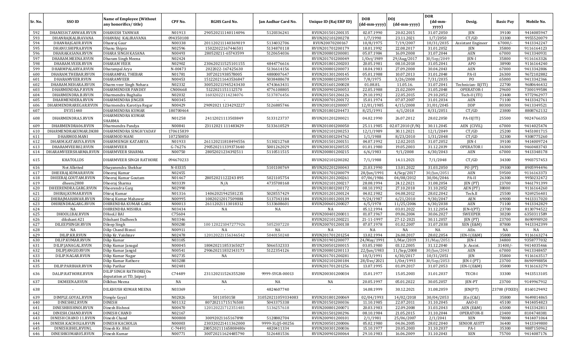|         |                       |                                            |           |                      |                     |                        |              |                    | <b>DOR</b>  |                           |                  |                          |
|---------|-----------------------|--------------------------------------------|-----------|----------------------|---------------------|------------------------|--------------|--------------------|-------------|---------------------------|------------------|--------------------------|
| Sr. No. | SSO ID                | <b>Name of Employee (Without</b>           | CPF No.   | <b>RGHS Card No.</b> | Jan Aadhar Card No. | Unique ID (Raj ERP ID) | <b>DOB</b>   | <b>DOI</b>         | (dd-mm-     | Desig.                    | <b>Basic Pay</b> | Mobile No.               |
|         |                       | any honorifics/title)                      |           |                      |                     |                        | (dd-mm-yyyy) | (dd-mm-yyyy)       | yyyy)       |                           |                  |                          |
| 592     | DHANESH.TANWAR.RVUN   | <b>DHANESH TANWAR</b>                      | N01913    | 290520211140114096   | 5120336241          | RVUN201501200135       | 02.07.1990   | 20.02.2015         | 31.07.2050  | JEN                       | 39100            | 9414085947               |
| 593     | DHANRAJKALIRAVANA     | DHANRAJ KALIRAVANA                         | 094350108 |                      |                     | RVUN202101200278       | 1/7/1990     | 23.11.2021         | 1/7/2050    | CT/GD                     | 33300            | 9955520079               |
| 594     | DHANRAJGAUR.RVUN      | Dhanraj Gaur                               | N00338    | 201120211140369019   | 5134032706          | RVUN20070200167        | 10/8/1975    | 7/19/2007          | 10/31/2035  | <b>Assistant Engineer</b> | $67000/-$        | 9413342247               |
| 595     | DHANU.SHIPRA.RVUN     | Dhanu Shipra                               | N02596    | 15022022167446501    | 5134870118          | RVUN201701200179       | 18.01.1992   | 22.08.2017         | 31.01.2052  | JEN                       | 35800            | 9116164123               |
| 596     | DHARAKASANA.RVUN      | DHARA SINGH KASANA                         | N00493    | 280520211-65743599   | 5120654036          | RVUN200801200081       | 05.07.1984   | 16.09.2008         | 31.07.2044  | AEN                       | 67000            | 9413340931               |
| 597     | DHARAM.MEENA.RVUN     | Dharam Singh Meena                         | N02424    |                      |                     | RVUN201701200049       | 1/0ct/1989   | 29/Aug/2017        | 30/Sep/2049 | JEN-I                     | 35800            | 9116163326               |
| 598     |                       |                                            | N02902    |                      |                     |                        |              |                    |             |                           | 38900            |                          |
|         | DHARAM.VEER.RVUN      | <b>DHARAM VEER</b>                         |           | 230620211525101155   | 4844776616          | RVUN201801200203       | 20.05.1981   | 08.10.2018         | 31.05.2041  | APO                       |                  | 9116164240<br>9413342806 |
| 599     | DHARMPALARYA.RVUN     | Dharampal Arya                             | N-00473   | 2022022-167425630    | 5136614156          | RVUN200801200073       | 18.04.1983   | 27.09.2008         | 30.04.2043  | AEN                       | 67000            |                          |
| 600     | DHARAM.THEBAR.RVUN    | <b>DHARAMPAL THEBAR</b>                    | N01781    | 3072021938578005     | 4880007647          | RVUN201301200145       | 05.01.1988   | 10.07.2013         | 31.01.2048  | PA-II                     | 26300            | 9672102882               |
| 601     | DHARAMVEER.RVUN       | <b>DHARAMVEER</b>                          | N00453    | 151220211643536847   | 5038488678          | RVUN200801200059       | 7/8/1975     | 3/26/2008          | 7/31/2035   | P <sub>O</sub>            | 65000            | 9413342366               |
| 602     | DHARAM.NEHARA.RVUN    | Dharm veer Singh Nehara                    | N02332    | 300520211945243430   | 4743663431          | RVUN201601200028       | 01.08.81     | 11.05.16.          | 31.07.2041  | Technician-II(ITI)        | 22700            | 9680646432               |
| 603     | DHARMENDRA.P.RVUN     | <b>DHARMENDER PANDEY</b>                   | CN00668   | 5122021151112570     | 4776108805          | RVUN200901200053       | 22.05.1988   | 21.02.2009         | 31.05.2048  | OPERATOR-I                | 29600            | 7300199584               |
| 604     | DHARMENDRA.B.RVUN     | Dharmendra Bughalia                        | N02032    | 16032022114234076    | 5137876456          | RVUN201501206126       | 29.10.1992   | 22.05.2015         | 29.10.2052  | Tech-II (ITI)             | 23400            | 9772962977               |
| 605     | DHARMENDERA.RVUN      | <b>DHARMENDRA JINGER</b>                   | N00345    |                      |                     | RVUN200701200172       | 15.01.1974   | 07.07.2007         | 31.01.2034  | AEN                       | 71100            | 9413342761               |
| 606     | DHARMENDRAREGAR.RVUN  | Dharmendra Karotiya Regar                  | N00429    | 29092021 1234292227  | 5126885746          | RVUN200101200007       | 12/01/1985   | 4/15/2008          | 31/01/2045  | <b>DDP</b>                | 80300            | 9413349521               |
| 607     | DY351440              | <b>DHARMENDRA KUMAR</b>                    | 180700464 |                      |                     | RVUN201801204473       | 8/25/1991    | 6/1/2018           | 8/31/2051   | CT/GD                     | 23800            | 8808762132               |
| 608     | DHARMENDRA.S.RVUN     | DHARMENDRA KUMAR<br>SHARMA                 | N01258    | 24112021113503849    | 5133123737          | RVUN201201200021       | 04.02.1990   | 26.07.2012         | 28.02.2050  | $PA-II(ITI)$              | 25500            | 9024766353               |
| 609     | DHARMENDRA06.RVUN     | Dharmendra Pandya                          | N00841    | 23112021 111483429   | 5133610529          | RVUN201001200050       | 25.11.1985   | $02.07.2010$ (F/N) | 30.11.2045  | AEN (CIVIL)               | 67000            | 9414025474               |
| 610     | DHARMENDRAKUMAR.DK88  | DHARMENDRA SINGH YADAV                     | 170615839 |                      |                     | RVUN202101200253       | 12/1/1989    | 30.11.2021         | 12/1/2049   | CT/GD                     | 25200            | 9451001715               |
| 611     | DHARMOD.MANI          | DHARMOD MANI                               | 107250850 |                      |                     | RVUN201001204762       | 1/1/1988     | 8/23/2010          | 1/31/2048   | CT/GD                     | 32300            | 9308775260               |
| 612     | DHARM.KATARIYA.RVUN   | DHARMSINGH KATARIYA                        | N01933    | 261120211818494556   | 5130212768          | RVUN201501200151       | 04.07.1992   | 12.02.2015         | 31.07.2052  | JEN-I                     | 39100            | 9414009724               |
| 613     | DHARAMVEER02.RVUN     | <b>DHARMVEER</b>                           | G-76276   | 290520211339373640   | 5001262029          | RVUN200301200535       | 01.01.1980   | 19.05.2003         | 31.12.2039  | <b>OPERATOR</b>           | 34300            | 9460483743               |
| 614     | DHARAMVEERSHARMA.RVUN | DHARMVEER SHARMA                           | N00750    | 28052021234392511    | 5110511515          | RVUN200801200215       | 6/6/1983     | 9/1/2008           | 6/30/2043   | AEN                       | 67000            | 9413348178               |
|         |                       |                                            |           |                      |                     |                        |              |                    |             |                           |                  |                          |
| 615     | KHATOLI.DS            | DHARMVEER SINGH RATHORE                    | 094670233 |                      |                     | RVUN202101200282       | 7/1/1988     | 14.11.2021         | 7/1/2048    | CT/GD                     | 34300            | 9903757453               |
| 616     | Not Allotted          | Dhayanendra Shekhar                        | N-03335   |                      | 5101100769          | RVUN202201200043       | 21.03.1990   | 13.01.2022         | 31.03.2050  | PO (PT)                   | 39300            | 8905994496               |
| 617     | DHEERAJ.KUMAR.RVUN    | Dheeraj Kumar                              | N02455    |                      |                     | RVUN201701200079       | 28/Jun/1991  | 4/Sep/2017         | 30/Jun/2051 | AEN                       | 59500            | 9116163373               |
| 618     | DHEERAJ.GOUTAM.RVUN   | Dheeraj Kumar Goutam                       | N01467    | 28052021122243895    | 5021105754          | RVUN201201200261       | 07/06/1986   | 04/08/2012         | 30/06/2046  | PA-II                     | 26300            | 9950232472               |
| 619     | dheeru2808            | Dheeraj Sharma                             | N03339    | N/A                  | 4735708168          | RVUN202101200217       | 28.08.1994   | 24.12.2021         | 31.08.2054  | JEN (PT)                  | 23700            | 9461791399               |
| 620     | DHEERENDRA.GARG.RVUN  | Dheerendra Garg                            | N02990    |                      |                     | RVUN201801200172       | 08.10.1992   | 27.10.2018         | 31.10.2052  | AEN (PT)                  | 38000            | 9116164260               |
| 621     | DHIRAJ.KUMAR.RVUN     | Dhiraj Kumar                               | N01316    | 14062021942581235    | 5028557429          | RVUN201201200124       | 04.02.1982   | 04.08.2012         | 28.02.2042  | Tech.II                   | 25500            | 9269256401               |
| 622     | DHIRAJMAHAWAR.RVUN    | Dhiraj Kumar Mahawar                       | N00995    | 10820212017509884    | 5137343184          | RVUN201001200139       | 9/24/1987    | 6/21/2010          | 9/30/2047   | <b>AEN</b>                | 69000            | 9413317020               |
| 623     | DHIRENDRAGARG.RVUN    | DHIRENDRA KUMAR GARG                       | N00013    | 26112021113018312    | 5133608601          | RVUN200601200027       | 6/5/1978     | 11/25/2006         | 6/30/2038   | AEN                       | 71100            | 9413342829               |
| 624     | NA                    | DHIRENDRA MISHRA                           | N03434    | NA                   | NA                  | NA                     | 05.12.1994   | 03.01.2022         | 31.12.2054  | $JEN-I(PT)$               | 23700            | 8130794522               |
| 625     | DHOOLI.BAI.RVUN       | <b>DHooLI BAI</b>                          | C75604    |                      |                     | RVUN200401200011       | 01.07.1967   | 09.06.2004         | 30.06.2027  | <b>SWEEPER</b>            | 30200            | 6350311589               |
| 626     | dikshant.421          | Dikshant Dadheech                          | N03346    |                      |                     | RVUN202101200221       | 21-11-1997   | 27-12-2021         | 30.11.2057  | JEN (PT)                  | 23700            | 8690998920               |
| 627     | DILEEPSINGH.RVUN      | Dileep Singh                               | N00280    | 100 120221047277926  | 5052307220          | RVUN200701200138       | 07.07.1978   | 01.02.2007         | 31.07.2038  | XEN (E&M)                 | 87800            | 9413342399               |
| 628     | NA                    | Dilip Chand Bisnoi                         | N00911    | NA                   | NA                  | NA                     | NA           | NA                 | NA          | AEn.                      | NA               | NA                       |
| 629     | DILIP.KR.RVUN         | Dilip Kr. Vaishnav                         | N02478    | 120120221156346542   | 5040150248          | RVUN201701201254       | 13.02.1994   | 26.08.2017         | 28.02.2054  | $ EN-I (E&M)$             | 35800            | 9116163274               |
| 630     | DILIP.KUMAR.RVUN      | Dilip Kumar                                | N03105    |                      |                     | RVUN201901200077       | 24/May/1991  | 1/Mar/2019         | 31/May/2051 | JEN-I                     | 34800            | 9358777032               |
| 631     | DILIP.JANAGAL.RVUN    | Dilip Kumar Janagal                        | N00045    | 180420211853165027   | 5066532333          | RVUN200501200015       | 03.05.1980   | 03.12.2005         | 31.12.2040  | Jr. Assist                | 31400/           | 9414035466               |
| 632     | DILIPJANGID.RVUN      | Dilip Kumar Jangid                         | N00541    | 290620211832143173   | 5122354126          | RVUN200801200113       | 22/Jun/1983  | 11/Sep/2008        | 30/Jun/2043 | <b>AEN</b>                | 67000            | 9413348457               |
| 633     | DILIP.NAGAR.RVUN      | Dilip Kumar Nagar                          | N02735    | NA                   |                     | RVUN201701200281       | 10/3/1991    | 6/30/2017          | 10/31/2051  | <b>JEN</b>                | 35800            | 9116163517               |
| 634     |                       | Dilip Kumar Rathore                        | N03288    |                      |                     | RVUN202101200184       | 28/Dec/2021  | 1/0ct/1993         | 30/Sep/2053 | JEN-I (PT)                | 23700            | 8690998854               |
| 635     | DILIP.PARIHAR.RVUN    | Dilip Parihar                              | N02481    |                      |                     | RVUN201701201256       | 13.07.1995   | 01.09.2017         | 31.07.2053  | $[EN-I (E&M)]$            | 35800            | 9116163279               |
| 636     | DALIP.RATHORE.RVUN    | DILIP SINGH RATHORE(On                     | C74489    | 231120211526355280   | 9999-SYGR-00013     | RVUN200301200034       | 15.01.1977   | 15.05.2003         | 31.01.2037  | TECH-I                    | 33300            | 9413513105               |
| 637     | DKMEENA.RVUN          | deputation at TD, Jaipur)<br>Dilkhus Meena | NA        | NA                   | NA                  | NA                     | 20.05.1997   | 05.01.2022         | 30.05.2057  | JEN-PT                    | 23700            | 9149967912               |
| 638     |                       | DILKHUSH KUMAR MEENA                       | N03369    |                      | 4824607740          | $\sim$                 | 14.08.1999   | 30.12.2021         | 31.08.2059  | JEN(PT)                   | 23700 (FIXED)    | 8160129492               |
| 639     | DIMPLE.GOYAL.RVUN     | Dimple Goyal                               | N02826    | 5011050158           | 310520211059334083  | RVUN201801200069       | 02/04/1993   | 14/02/2018         | 30/04/2053  | JEn (C&I)                 | 35800            | 9649814865               |
| 640     | DINESH02.RVUN         | <b>DINESH</b>                              | N01132    | 80720211715176508    | 5043375338          | RVUN201501200036       | 11.10.1985   | 22.07.2011         | 31.10.2045  | AAO-II                    | 45100            | 9414054823               |
| 641     | DINESHBISHNOI.RVUN    | Dinesh Bishnoi                             | N00470    | 120120221712351481   | 5136257618          | RVUN200801200071       | 20.03.1983   | 22.09.2008         | 31.03.2043  | AEN (E&M)                 | 65000            | 9413342811               |
| 642     | DINESH.CHAND.RVUN     | <b>DINESH CHAND</b>                        | N02167    |                      |                     | RVUN201501200296       | 08.10.1984   | 21.05.2015         | 31.10.2044  | OPERATOR-II               | 23400            | 8104748381               |
| 643     | DINESH CHAND 11.RVUN  | Dinesh Chand                               | N00808    | 30092021165167890    | 5128882704          | RVUN200901200101       | 2/1/1981     | 25/06/2007         | 2/1/2041    | XEN                       | 78000            | 9414071064               |
| 644     | DINESH.KACHOLIA.RVUN  | <b>DINESH KACHOLIA</b>                     | N00003    | 230320221411362000   | 9999-3L05-00256     | RVUN200501200006       | 05.02.1980   | 04.06.2005         | 28.02.2040  | SENIOR ASSTT              | 36400            | 9413349800               |
| 645     | DINESH.BHIL.RVUNL     | Dinesh Kr. Bhil                            | C-74491   | 280520211165808480r  | 4820411334          | RVUN200301200036       | 15.10.1977   | 20.05.2003         | 31.10.2037  | PA-I                      | 35300            | 9887150962               |
| 646     | DINESHKUMAR05.RVUN    | Dinesh Kumar                               | N00771    | 300720211624485790   | 5126481536          | RVUN200901200064       | 29.10.1983   | 16.06.2009         | 31.10.2043  | XEN                       | 75700            | 9414087176               |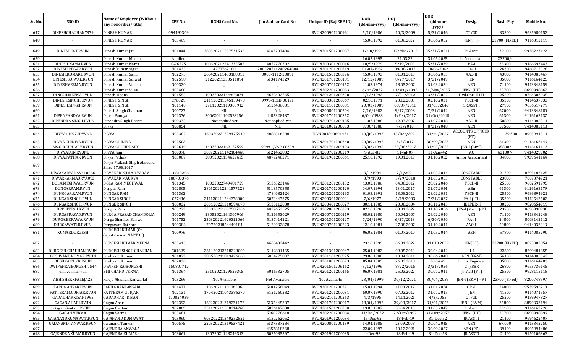| Sr. No.    | SSO ID                                      | <b>Name of Employee (Without</b><br>any honorifics/title) | CPF No.          | <b>RGHS Card No.</b>                     | Jan Aadhar Card No.           | Unique ID (Raj ERP ID)               | <b>DOB</b><br>(dd-mm-yyyy) | <b>DOJ</b><br>(dd-mm-yyyy) | <b>DOR</b><br>(dd-mm-<br>yyyy) | Desig.                        | <b>Basic Pay</b> | Mobile No.               |
|------------|---------------------------------------------|-----------------------------------------------------------|------------------|------------------------------------------|-------------------------------|--------------------------------------|----------------------------|----------------------------|--------------------------------|-------------------------------|------------------|--------------------------|
| 647        | DINESHCHAUHAN7879                           | <b>DINESH KUMAR</b>                                       | 094490309        |                                          |                               | RVUN200901200961                     | 5/10/1986                  | 10/3/2009                  | 5/31/2046                      | CT/GD                         | 33300            | 9635680152               |
| 648        |                                             | DINESH KUMAR                                              | N03469           |                                          |                               |                                      | 15.06.1992                 | 01.06.2022                 | 30.06.2052                     | JEN(PT)                       | 23700 (FIXED)    | 9116312119               |
| 649        | DINESH.JAT.RVUN                             | Dinesh Kumar Jat                                          | N01844           | 280520211537531535                       | 4742207484                    | RVUN201501200087                     | 1/Jun/1991                 | 17/Mar/2015                | 05/31/20511                    | Jr. Acctt.                    | 39100            | 9928223122               |
| 650        |                                             | Dinesh Kumar Meena                                        | Applied          |                                          |                               |                                      | 16.05.1995                 | 21.03.22                   | 31.05.2055                     | Jr. Accountant                | $23700/-$        |                          |
| 651        | DINESH.NAMA.RVUN                            | Dinesh Kumar Nama                                         | $C-76275$        | 100620212241335502                       | 4827270302                    | RVUN200301200016                     | 10/5/1979                  | 5/19/2003                  | 5/31/2039                      | PA-I                          | 35300            | 9166693443               |
| 652        | DINESH.REGAR.RVUN                           | Dinesh kumar regar                                        | N01423           | 4777762100                               | 280520211240264804            | RVUN201201200219                     | 01-07-1982                 | 09-08-2012                 | 30-06-2042                     | PA-II                         | 26300            | 9460712328               |
| 653        | DINESH.KUMAR1.RVUN                          | Dinesh Kumar Saini                                        | N02275           | 260420211453188013                       | 0000-1112-20891               | RVUN201501200376                     | 15.06.1993                 | 01.01.2015                 | 30.06.2053                     | AAO-II                        | 43800            | 9414085467               |
| 654        | DINESH.SUIWAL.RVUN                          | Dinesh Kumar Suiwal                                       | N02598           | 21220211333511894                        | 5134174329                    | RVUN201701200181                     | $\frac{12}{12}$ /12/1989   | 8/27/2017                  | 3/31/2049                      | JEN                           | 35800            | 9116164125               |
| 655        | DINESHVERMA.RVUN                            | Dinesh Kumar Verma                                        | N00320           |                                          |                               | RVUN200701200152                     | 11.03.1974                 | 18.05.2007                 | 31.03.2034                     | AEN                           | 71100            | 9413348159               |
| 656        |                                             | Dinesh Kumar Vijay                                        | N03480           |                                          |                               | RVUN202201200083                     | 6/Jan/2022                 | 11/May/1995                | 31/May/2055                    | JEN-I (PT)                    | 23700            | 8690998867               |
| 657<br>658 | DINESH.MEENA.RVUN                           | Dinesh Meena<br><b>DINESH SINGH</b>                       | N01553<br>C76029 | 10032022144908034                        | 4678402265                    | RVUN201201200330                     | 3/12/1992                  | 7/31/2012                  | 3/31/2052                      | Hyd.Opr.-II ITI               | 25500<br>35300   | 8764303035<br>9414637033 |
| 659        | DINESH.SINGH3.RVUN<br>DINESH.SINGH.RVUN     | <b>DINESH SINGH</b>                                       | N01140           | 211120211545139478<br>27112021119303912  | 9999-1ELB-00171<br>5126486031 | RVUN200301200067<br>RVUN201101200081 | 02.10.1971<br>20/03/1989   | 23.12.2003<br>08/07/2011   | 02.10.2031<br>31/03/2049       | TECH-II<br>SR.ASSTT           | 27900            | 9636517279               |
| 660        |                                             | Dinesh Singh Chauhan                                      | N00727           | NIL                                      | <b>NIL</b>                    | RVUN200801200204                     | 7/16/1982                  | 9/17/2008                  | 7/31/2042                      | AEN                           | 67000            | 9413348180               |
| 661        | DIPENPANDYA.RVUN                            | Dipen Pandya                                              | N02376           | 30062021102528256                        | 4485328437                    | RVUN201701200352                     | 6/0ct/1988                 | 4/Feb/2017                 | 31/0ct/2048                    | AEN                           | 61300            | 9116163137               |
| 662        | DIPENDRA.SINGH.RVUN                         | Dipendra Singh Bareth                                     | N00373           | Not applied yet                          | Not applied yet               | RVUN200701200185                     | 11.07.1988                 | 12.07.2007                 | 31.07.2048                     | AAO-II                        | 50800            | 9414085311               |
| 663        |                                             | Divya                                                     | N00854           | <b>NIL</b>                               | <b>NIL</b>                    | RVUN201001200033                     | 8/30/1988                  | 7/3/2010                   | 8/31/2048                      | AEN                           | 59500            | 9414085118               |
| 664        | DIVYA11097.JDVVNL                           | <b>DIVYA</b>                                              | N03382           | 160320221239475949                       | 4888316588                    | JDVN201800601471                     | 10/Jul/1997                | 13/Dec/2021                | 31/Jul/2057                    | ACCOUNTS OFFICER<br>(PT)      | 39,300           | 8905994511               |
| 665        | DIVYA CHINIYA.RVUN                          | DIVYA CHINIYA                                             | N02502           |                                          |                               | RVUN201701200340                     | 20/09/1992                 | 7/2/2017                   | 30/09/2052                     | AEN                           | 61300            | 9116163146               |
| 666        | MS.CHOUDHARY.RVUN                           | DIVYA CHOUDHARY                                           | N02610           | 14032022162127599                        | 9999-0VAP-00339               | RVUN201701200193                     | 23/03/1995                 | 29/08/2017                 | 31/03/2055                     | JEN-I (Civil)                 | 35800/           | 9116164113               |
| 667        | DIVYAJAIN.RVUNL                             | DIVYA Jain                                                | N00378           | 300720211142104468                       | 5121452832                    | RVUN200701200219                     | 9-Aug-82                   | $11$ -Jul-07               | 31-Aug-42                      | AO                            | 63100/           | 9414029902               |
| 668        | DIVYA.PATHAK.RVUN                           | Divya Pathak                                              | N03087           | 28092021134627635                        | 4877248271                    | RVUN201901200061                     | 25.10.1992                 | 19.01.2019                 | 31.10.2052                     | Junior Accountant             | 34800            | 9939641164               |
| 669        |                                             | Divya Prakash Singh Abscond<br>Since 17.08.2017           |                  |                                          |                               |                                      |                            |                            |                                |                               |                  |                          |
| 670        | DIWAKARYADAV410566                          | <b>DIWAKAR KUMAR YADAV</b>                                | 210810206        |                                          |                               |                                      | 3/1/1984                   | 7/1/2021                   | 31.03.2044                     | CONSTABLE                     | 21700            | 8295187125               |
| 671        | DIWARKARMAURYA093                           | DIWAKAR MAURYA                                            | 180700376        |                                          |                               |                                      | 3/9/1993                   | 5/29/2018                  | 31.03.2053                     | CONSTABLE                     | 23800            | 7007374721               |
| 672        | DOLA.MEGHWAL.RVUN                           | DOLA RAM MEGHWAL                                          | N01345           | 10022022749481729                        | 5136523146                    | RVUN201201200152                     | 13.02.1986                 | 04.08.2012                 | 28.02.2046                     | TECH-II                       | 25500            | 9602591795               |
| 673        | DUNGARRAM.RVUN                              | Dungar Ram                                                | N02805           | 280520212241577128                       | 5118570358                    | RVUN201701200420                     | 04.07.1994                 | 18.01.2017                 | 31.07.2054                     | AEn                           | 61300            | 9116163179               |
| 674        | DUNGGAR.RAM.RVUN                            | <b>DUNGAR RAM</b>                                         | N01362           |                                          | 4784082424                    | RVUN201201200163                     | 01.03.1991                 | 13.08.2012                 | 28.02.2051                     | TECH-II                       | 25500            | 9636894921               |
| 675        | DUNGAR.SINGH.RVUN                           | <b>DUNGAR SINGH</b>                                       | C77486           | 241120211244378000                       | 5073447375                    | RVUN200301200031                     | 7/6/1977                   | 5/19/2003                  | 7/31/2037                      | PA-I (ITI)                    | 35300            | 9413543502               |
| 676<br>677 | DUNGAR.SINGH.RVUN<br>DRPHITESH.RVUN         | <b>DUNGER SINGH</b><br>Dungra Ram                         | N00032<br>N03273 | 200120221310594678<br>220320221057585306 | 5135112030<br>4822653525      | RVUN200401200027<br>RVUN202001200393 | 30.11.1985<br>02.10.1996   | 20.08.2004<br>03.01.2022   | 30.11.2045<br>31.10.2056       | HELPER-II<br>JEN-I (Mech.)-PT | 30200<br>23700   | 9828654919<br>8690998930 |
| 678        | DURGAPRASAD.RVUN                            | DURGA PRASAD CHANDOLIA                                    | N00249           | 28052021164307906                        | 5121653029                    | RVUN200701200119                     | 05.02.1980                 | 10.04.2007                 | 29.02.2040                     | <b>AEN</b>                    | 71100            | 9413342248               |
| 679        | DURGA.BERAWA.RVUN                           | Durga Shanker Bairwa                                      | N01752           | 230320221620312066                       | 5137414221                    | RVUN201301200127                     | 7/24/1990                  | 6/27/2013                  | 6/30/2050                      | PA-II                         | 24800            | 8003142112               |
| 680        | DURGAWATI.R.RVUN                            | Durgawati Rathore                                         | N00386           | 7072021854449184                         | 5123032878                    | RVUN200701200223                     | 12.10.1981                 | 27.08.2007                 | 31.10.2041                     | AAO-II                        | 50800            | 9414033313               |
|            |                                             | DURGESH KUMAR (On                                         |                  |                                          |                               |                                      |                            |                            |                                |                               |                  |                          |
| 681        | KUMARDURGESH                                | deputation at NAPTOL)                                     | N00976           |                                          |                               |                                      | 06.05.1984                 | 01.07.2010                 | 31.05.2044                     | AEN                           | 57800            | 9414085290               |
| 682        |                                             | DURGESH KUMAR MEENA                                       | N03415           |                                          | 4605432442                    | RVUN201301200047                     | 23.10.1999                 | 06.01.2022                 | 31.010.2059                    | JEN(PT)                       | 23700 (FIXED)    | 8875803854               |
| 683        | DURGESH.CHAUHAN.RVUN<br>DUSHYANT.KUMAR.RVUN | DURGESH SINGH CHAUHAN                                     | C01629<br>N01073 | 261120212218228000                       | 5112801465                    | RVUN201101200975                     | 25.04.1982                 | 09.05.2013<br>18.04.2011   | 30.04.2042<br>30.06.2048       | $H-1$                         | 22600<br>56100   | 8209481855               |
| 684<br>685 | DUSHYANT.KR.RVUN                            | Dushyant Kumar<br>Dushyant Kumar                          | N02830           | 280520211819476660                       | 5054275887                    | RVUN201801200073                     | 29.06.1988<br>05.04.1989   | 26.02.2018                 | 30.04.49                       | AEN (E&M)<br>Junior Engineer  | 35800            | 9414085342<br>9116164203 |
| 686        | DWIPENRAJBONGSHI7544                        | <b>DWIPEN RAJBONGSHI</b>                                  | 150807742        |                                          |                               | RVUN201501206162                     | 3/12/1996                  | 8/22/2015                  | 3/31/2056                      | CT/BBR                        | 26800            | 9653736145               |
| 687        | emi.verma.rvun                              | <b>EMI CHAND VERMA</b>                                    | N01364           | 25102021129529305                        | 5016532705                    | RVUN201201200165                     | 06.07.1981                 | 25.03.2022                 | 30.07.2041                     | Jr. Actt (PT)                 | 25500            | 9928115118               |
| 688        | ABHISHEKKFALEJA23                           | Faleja Abishek Kanwarlal                                  | N03269           | Not Available                            | Not Available                 | Not Available                        | 23/04/1999                 | 30/12/2021                 | 30/04/2059                     | JEN-I (E&M) - PT              | 23700 (Fixed)    | 8200748597               |
| 689        | FARHA.ANSARI.RVUN                           | <b>FARHA RANI ANSARI</b>                                  | N01477           | 1062021110176506                         | 5101258049                    | RVUN201201200271                     | 15.01.1994                 | 17.08.2012                 | 31.01.2054                     | OP-II                         | 24800            | 9529595218               |
| 690        | FATTERAM.GURJAR.RVUN                        | <b>FATTERAM GURJAR</b>                                    | N02131           | 170420211043386370                       | 5121260282                    | RVUN201201200031                     | 50.07.1990                 | 07.02.2012                 | 31.07.2015                     | JEN                           | 41500            | 9414071557               |
| 691        | GADADHARKISAN1995                           | <b>GADADHAR KISAN</b>                                     | 170824039        |                                          |                               | RVUN202101200263                     | 4/3/1995                   | 14.11.2021                 | 4/3/2055                       | CT/GD                         | 25200            | 9439947827               |
| 692        | GAGAN.AHARI.RVUN                            | Gagan Ahari                                               | N02392           | 160220221319231172                       | 5135445307                    | RVUN201701200017                     | 18/01/1992                 | 29/08/2017                 | 31/01/2052                     | JEN-I (E&M)                   | 35800            | 8890333194               |
| 693        | Gagan.Gautam.RVUNL                          | Gagan Gautam                                              | N02009           | 251120211530214768                       | 5036147030                    | RVUN201501200208                     | 19.05.1987                 | 30.04.2015                 | 31.05.2047                     | Jr. Acctt.                    | 39100            | 9116163226               |
| 694        | GAGAN.VERMA                                 | Gagan Verma                                               | N03481           |                                          | 5060778618                    | RVUN202201200084                     | 11/Jan/2022                | 22/0ct/1997                | 31/Oct/2057                    | $JEN-I (PT)$                  | 23700            | 8690998896               |
| 695        | GAJANANDKUMAWAT.RVUN                        | <b>GAJANAND KUMAWAT</b>                                   | N03060           | 903202211340232821                       | 5137262052                    | RVUN201901200034                     | 15-Dec-92                  | 18-Feb-19                  | 31-Dec-52                      | JR.ASSTT                      | 21400            | 9694622407               |
| 696        | GAJANANDTANWAR.RVUN                         | Gajanand Tanwar                                           | N00575           | 220320221319537421                       | 5137387284                    | RVUN200801200139                     | 14.04.1985                 | 23.09.2008                 | 30.04.2045                     | AEN                           | 67,000           | 9413342250               |
| 697        |                                             | <b>GAJENDRA ANWALA</b>                                    |                  |                                          | 4857818368                    |                                      | 22.09.1997                 | 10.12.2021                 | 30.09.2057                     | AEN (PT)                      | 39100            | 8905994486               |
| 698        | GAJENDRA.KUMAR.RVUN                         | <b>GAJENDRA KUMAR -</b>                                   | N03061           | 13072021128249313                        | 5025085567                    | RVUN201901200035                     | 4-Dec-93                   | 18-Feb-19                  | 31-Dec-53                      | JR.ASSTT                      | 21400            | 9950106363               |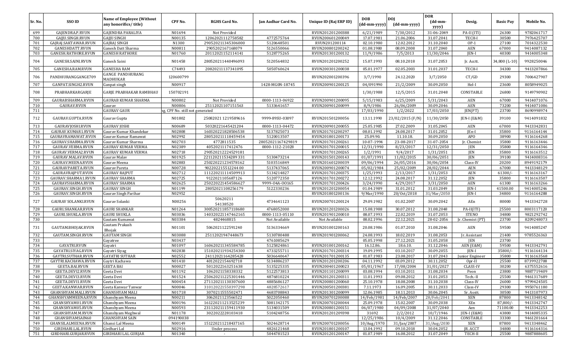|         |                            |                                  |                                |                      |                     |                        |              |                  | <b>DOR</b>  |                  |                  |            |
|---------|----------------------------|----------------------------------|--------------------------------|----------------------|---------------------|------------------------|--------------|------------------|-------------|------------------|------------------|------------|
| Sr. No. | <b>SSO ID</b>              | <b>Name of Employee (Without</b> | CPF No.                        | <b>RGHS Card No.</b> | Jan Aadhar Card No. | Unique ID (Raj ERP ID) | DOB          | <b>DOI</b>       | (dd-mm-     | Desig.           | <b>Basic Pay</b> | Mobile No. |
|         |                            | any honorifics/title)            |                                |                      |                     |                        | (dd-mm-yyyy) | (dd-mm-yyyy)     | yyyy)       |                  |                  |            |
| 699     | GAJENDRA.P.RVUN            | <b>GAJENDRA PARALIYA</b>         | N01694                         | Not Provided         |                     | RVUN201201200388       | 6/21/1989    | 7/30/2012        | 31-06-2049  | PA-II (ITI)      | 26300            | 9782061717 |
| 700     | GAJJU.SINGH.RVUN           | <b>GAIIU SINGH</b>               | N00135                         | 12062021112758582    | 4772575764          | RVUN200601200049       | 17.07.1981   | 21.06.2006       | 31.07.2041  | TECH-I           | 30500            | 7976425707 |
| 701     | GAJRAJ.SAKTAWAR.RVUN       | <b>GAJRAJ SINGH</b>              | N1300                          | 290520211345306000   | 5120648501          | RVUN201200114          | 02.10.1980   | 12.02.2012       | 31.10.2040  | $OP-1$           | 27100            | 7014322530 |
| 702     | GANESHDATT.RVUN            | Ganesh Datt Sharma               | N00811                         | 2905202167168079     | 5126550066          | RVUN200801200242       | 01.08.1980   | 08.09.2008       | 31.07.2040  | AEN              | 67000            | 9414087132 |
| 703     | GANESH.RATHORE.RVUN        | <b>GANESH RATHORE</b>            | N01760                         | 20112021152114141    | 5128775265          | RVUN201301200132       | 11/9/1986    | 7/5/2013         | 11/30/2046  | JEN-I            | 40300            | 9414005348 |
|         |                            |                                  |                                |                      |                     |                        |              |                  |             |                  |                  |            |
| 704     | GANESH.SAINI.RVUN          | Ganesh Saini                     | N01458                         | 280520211440496093   | 5120564832          | RVUN201201200252       | 15.07.1993   | 08.10.2018       | 31.07.2053  | Jr. Acctt.       | 34,800 (L-10)    | 9928250046 |
| 705     | GANESHA.RAM.RVUN           | <b>GANESHA RAM</b>               | C74493                         | 20820211137341095    | 5050760624          | RVUN200301200038       | 05.01.1977   | 02.05.2003       | 31.01.2037  | TECH-I           | 34300            | 9413207866 |
|         |                            | GANGE PANDHURANG                 |                                |                      |                     |                        |              |                  |             |                  |                  |            |
| 706     | PANDHURANGGANGE709         | MADHUKAR                         | 120600799                      |                      |                     | RVUN202001200396       | 3/7/1990     | 24.12.2020       | 3/7/2050    | CT/GD            | 29300            | 7006427907 |
| 707     | GANPAT.SINGH2.RVUN         | Ganpat singh                     | N00917                         |                      | 1428-MG0N-18745     | RVUN200901200125       | 04/091990    | 21/2/2009        | 30.09.2050  | Hel-I            | 23600            | 8058949025 |
|         |                            |                                  |                                |                      |                     |                        |              |                  |             |                  |                  |            |
| 708     | PRABHARKARGARJE            | GARJE PRABHAKAR RAMBHAU          | 150702191                      |                      |                     |                        | 1/30/1988    | 12/5/2015        | 31.01.2048  | CONSTABLE        | 26800            | 9149790902 |
| 709     | GAURABSHARMA.RVUN          | <b>GAURAB KUMAR SHARMA</b>       | N00802                         | Not Provided         | 0000-1113-06922     | RVUN200901200095       | 5/15/1983    | 6/25/2009        | 5/31/2043   | AEN              | 67000            | 9414071076 |
| 710     | <b>GAURAV.RVUN</b>         | Gaurav                           | N00806                         | 25112021107151563    | 5133641657          | RVUN200901200099       | 8/9/1986     | 26/06/2009       | 30.09.2046  | AEN              | 73200            | 9414071086 |
| 711     |                            | <b>GAURAV GAUR</b>               | z, CPF No. still not generated |                      |                     |                        | 17/03/1990   | 1/2/2022         | 17/03/2050  | JEN(PT)          | 23700            | 8690998974 |
|         |                            |                                  |                                |                      |                     |                        |              |                  |             |                  |                  |            |
| 712     | GAURAV.GUPTA.RVUN          | Gaurav Gupta                     | N01802                         | 25082021 1219589616  | 9999-89SU-03097     | RVUN201501200056       | 13.11.1990   | 23/02/2015 (F/N) | 11/30/2050  | JEN-I (E&M)      | 39100            | 9414091832 |
| 713     | GAURAVIOSHI.RVUN           | <b>GAURAV JOSHI</b>              | N00689                         | 50320221645421204    | 0000-1113-04472     | RVUN200901200055       | 25.05.1985   | 27.02.2009       | 31.05.2045  | <b>AEN</b>       | 67000            | 9413342831 |
| 714     | GAURAV.KUMAR1.RVUN         | Gaurav Kumar Khandekar           | N02808                         | 160320221828506538   | 5137825073          | RVUN201701200297       | 08.01.1992   | 24.08.2017       | 31.01.2052  | JEn-I            | 35800            | 9116164144 |
| 715     | GAURAVRAMAWAT.RVUN         | Gaurav Kumar Ramawat             | N02992                         | 280520211118459454   | 5120013507          | RVUN201801200173       | 25.09.90.    | 11.10.18         | 30.09.2050  | <b>APO</b>       | 38900            | 9116164268 |
| 716     | GAURAV.SHARMA.RVUN         | Gaurav Kumar Sharma              | N02703                         | 4772811535           | 28052021167429819   | RVUN201701200261       | 10-07-1994   | 23-08-2017       | 31-07-2054  | Jr. Chemist      | 35800            | 9116163446 |
| 717     | GAURAV.VERMA.RVUN          | <b>GAURAV KUMAR VERMA</b>        | N02389                         | 4052021117412476     | 0000-1112-21028     | RVUN201701200015       | 12/31/1990   | 8/23/2017        | 12/31/2050  | JEN              | 35800            | 9116164346 |
| 718     | GAURAV.VERMA2.RVUN         | <b>GAURAV KUMAR VERMA</b>        | N02718                         | 290520212224529181   |                     | RVUN201701200265       | 1/2/1991     | 9/4/2017         | 1/31/2051   | JEN              | 35800            | 9116163512 |
| 719     | GAURAV.MALAV.RVUN          | Gaurav Malav                     | N01925                         | 221120211534289331   | 5130473214          | RVUN201501200143       | 01/07/1991   | 11/02/2015       | 30/06/2051  | <b>JEN</b>       | 39100            | 9414008316 |
| 720     | GAURAV.MEENA.RVUN          | Gaurav Meena                     | N02883                         | 250220221234578162   | 5103516849          | RVUN201601200039       | 09/06/1994   | 26/05/2016       | 30/06/2054  | Class-IV         | 20200            | 8949192179 |
| 721     | GAURAVPARETA.RVUN          | Gaurav Pareta                    | N00728                         | 90220221551224400    | 5137437065          | RVUN200901200074       | 05/02/1984   | 25/02/2009       | 28/02/2044  | <b>AEN</b>       | 67000            | 9413348129 |
| 722     | GAURAVRAJPUT.RVUN          | <b>GAURAV RAJPUT</b>             | N02712                         | 111220211114509913   | 5134214827          | RVUN201701200375       | 1/25/1993    | 2/13/2017        | 1/31/2053   | AEN              | 61300/           | 9116163167 |
| 723     | GAURAV.SHARMA1.RVUN        | <b>GAURAV SHARMA</b>             | N02725                         | 9122021105687126     | 5120772350          | RVUN201701200272       | 12.12.1992   | 24.08.2017       | 31.12.2052  | <b>JEN</b>       | 35800            | 9116163507 |
| 724     | GAURAVSHARMA.RVUN          | <b>GAURAV SHARMA</b>             | N02625                         | 250220221454586627   | 9999-04A-00165      | RVUN201701200426       | 3/24/1990    | 4/29/2017        | 3/31/2050   | <b>AEN</b>       | 61300            | 9116163266 |
| 725     | GAURAV.SINGH.RVUN          | <b>GAURAV SINGH</b>              | N01199                         | 28052021108256179    | 5122330236          | RVUN201201200054       | 01.04.1989   | 31.01.2012       | 31.03.2049  | JEN-I            | 41500.00         | 9414005246 |
| 726     | GAURAV.SINGH.RVUN          | Gaurav Singh Parihar             | N02952                         |                      |                     | RVUN201801200136       | 9/Mar/1990   | 20/0ct/2018      | 31/Mar/2050 | JEN-I            | 34800            | 9116164288 |
|         |                            |                                  |                                | 50620211             |                     |                        |              |                  |             |                  |                  |            |
| 727     | <b>GAURAV SOLANKI.RVUN</b> | Gaurav Solanki                   | N00256                         | 54138520             | 4734641123          | RVUN200701200124       | 29.09.1982   | 01.02.2007       | 30.09.2042  | AEn              | 80000            | 9413342728 |
| 728     | GAURI.SHANKAR.RVUN         | <b>GAURI SHANKAR</b>             | N01264                         | 300520211857118680   | 4768052000          | RVUN201201200026       | 15.08.1988   | 30.07.2012       | 31.08.2048  | PA-II(ITI)       | 25500            | 8003117120 |
| 729     | GAURI.SHUKLA.RVUN          | <b>GAURI SHUKLA</b>              | N03036                         | 140320221147462165   | 0000-1113-05110     | RVUN201901200010       | 08.07.1993   | 22.02.2019       | 31.07.2053  | <b>STENO</b>     | 34800            | 9821292742 |
| 730     |                            | Gautam Kumawat                   | N03384                         | 4824468815           | Not Available       | Not Available          | 08.02.1996   | 22.12.2021       | 28-02-2056  | Jr. Chemist (PT) | 23700            | 8209248073 |
|         |                            | Gautam Prakash                   |                                |                      |                     |                        |              |                  |             |                  |                  |            |
| 731     | GAUTAM.BHOJAK.RVUN         | Bhojak                           | N01101                         | 5062021122591240     | 5136334669          | RVUN201001200163       | 20.08.1986   | 01.07.2010       | 31.08.2046  | <b>AEN</b>       | 59500            | 9414085247 |
| 732     | GAUTAM.SINGH.RVUN          | <b>GAUTAM SINGH</b>              | N03088                         | 25112021947448673    | 5130780488          | RVUN201901200062       | 24.08.1993   | 18.02.2019       | 31.08.2053  | Jr. Assistant    | 21400            | 9785526363 |
| 733     |                            | Gayatree                         | N03437                         |                      | 4761085629          |                        | 05.05.1998   | 27.12.2021       | 31.05.2058  | <b>JEN</b>       | 23700            |            |
| 734     | GAYATRI.RVUN               | Gayatri                          | N01097                         | 160620211345584785   | 5125824861          | RVUN201001200162       | 16.12.86.    | 18.6.10.         | 31.12.2046  | AEN (E&M)        | 59500            | 9413342791 |
| 735     | GAYATRI.SIYAG.RVUN         | Gayatri Siyag                    | N02838                         | 151020211934254300   | 4733255711          | RVUN201701200314       | 19.09.1995   | 03.10.2017       | 30.09.2055  | <b>IEN-I</b>     | 35800/           | 9116164134 |
| 736     | GAYTRI.SUTHAR.RVUN         | <b>GAYATRI SUTHAR</b>            | N02552                         | 24112021164285428    | 5036640647          | RVUN201701200135       | 01.07.1983   | 23.08.2017       | 31.07.2043  | Junior Engineer  | 35800            | 9116163568 |
| 737     | GAYTRI.KACHAWA.RVUN        | Gaytri Kachawa                   | N01410                         | 4012022154692718     | 5134886237          | RVUN201201200206       | 04.11.1992   | 03.09.2012       | 30.11.2052  | $0pr-II$         | 25500            | 8739922708 |
| 738     | <b>GEETA.BAI.RVUN</b>      | <b>GEETA BAI</b>                 | N00027                         | 5012022163251638     | 5135225335          | RVUN200401200023       | 05/01/1967   | 17/08/2004       | 31/01/2027  | <b>CLASS-IV</b>  | 30200            | 6375552616 |
| 739     | GEETA.DEVI2.RVUN           | Geeta Devi                       | N01192                         | 1062021158338332     | 5122573813          | RVUN201101200099       | 03.08.1994   | 03.10.2011       | 31.08.2034  | Peon             | 23800            | 9887719409 |
| 740     | GEETA.DEVI3.RVUN           | Geeta Devi                       | N01524                         | 250620211225301446   | 4876810224          | RVUN201201200311       | 11.01.1993   | 09.08.2012       | 31.01.2053  | Tech.-II         | 25500            | 9461317689 |
| 741     | GEETA.DEVI1.RVUN           | Geeta Devi                       | N00454                         | 271120211130307600   | 4885686127          | RVUN200801200060       | 25.10.1978   | 18.08.2008       | 31.10.2038  | Class-IV         | 26000            | 9799424505 |
| 742     | GEETA.KANWAR.RVUN          | Geeta Kanwar Tanwar              | N00046                         | 310120221550397298   | 4828572617          | RVUN200501200381       | 7.11.1973    | 16.09.2005       | 30.11.2033  | Class-IV         | 29300            | 9950761180 |
| 743     | GHANSHYAM.MALI.RVUN        | <b>GHANSHYAM MALI</b>            | N01718                         | 3070211555502471     | 4683708843          | RVUN201301200099       | 12.06.1985   | 18.11.2013       | 30.06.2045  | Sr. Asstt.       | 30500            | 9413107973 |
| 744     | GHANSHYAMMEENA.RVUN        | Ghanshyam Meena                  | N00211                         | 3062021123566522     | 5022050460          | RVUN200701200088       | 14/Feb/1981  | 14/Feb/2007      | 28/Feb/2041 | XEN              | 87800            | 9413348142 |
| 745     | GHANSHYAM01.RVUN           | Ghanshyam Meena                  | N00196                         | 161220211213525239   | 5081342175          | RVUN200701200044       | 25.09.1978   | 15.02.2007       | 30.09.2038  | XEn              | 87,800/          | 9413342747 |
| 746     | GHANSHYAM05.RVUN           | Ghanshyam Meena                  | N00593                         | 231120211159411930   | 5134031509          | RVUN200801200151       | 06/07/1980   | 04/09/2008       | 31/07/2040  | Aen              | 71100.00         | 9413342253 |
| 747     | GHANSHYAM.M.RVUN           | Ghanshyam Meghwal                | N01178                         | 3022022228103418     | 5104248756          | RVUN201201209398       | 31692        | 2/2/2012         | 10/7/1946   | JEN-I (E&M)      | 43800            | 9414085335 |
| 748     | GHANSHYAMSAIN60            | <b>GHANSHYAM SAIN</b>            | 094190038                      |                      |                     |                        | 12/25/1986   | 10/4/2009        | 31.12.2046  | CONSTABLE        | 33300            | 9461201664 |
| 749     | GHANSILALMEENA.RVUN        | Ghansi Lal Meena                 | N00149                         | 151220211218437165   | 5024628714          | RVUN200701200056       | 10/Aug/1970  | 31/Jan/2007      | 31/Aug/2030 | XEN              | 87800            | 9413348462 |
| 750     | GIRDHARI.LAL.RVUN          | Girdhari Lal                     | N02916                         | Under process        | 4826121468          | RVUN201801200107       | 13.04.1992   | 09.10.2018       | 30.04.2052  | JR. ACCT         | 34800            | 9116164316 |
| 751     | GIRDHARI.GURJAR.RVUN       | <b>GIRDHARI LAL GURJAR</b>       | N01340                         | $\sim$               | 5044781523          | RVUN201201200147       | 01.07.1989   | 16.08.2012       | 31.07.2049  | TECH-II          | 25500            | 9887888605 |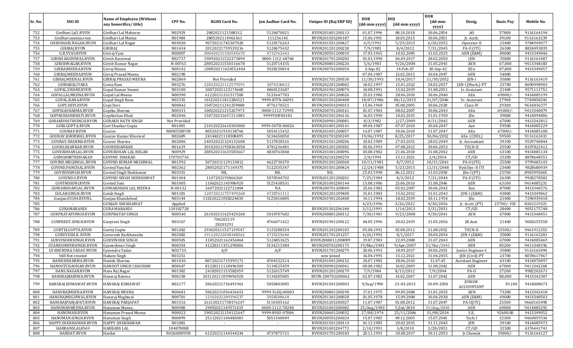|            |                                         |                                                           |                        |                       |                     |                                      |                            |                            | <b>DOR</b>                            |                                  |                  |                          |
|------------|-----------------------------------------|-----------------------------------------------------------|------------------------|-----------------------|---------------------|--------------------------------------|----------------------------|----------------------------|---------------------------------------|----------------------------------|------------------|--------------------------|
| Sr. No.    | SSO ID                                  | <b>Name of Employee (Without</b><br>any honorifics/title) | CPF No.                | <b>RGHS Card No.</b>  | Jan Aadhar Card No. | Unique ID (Raj ERP ID)               | <b>DOB</b><br>(dd-mm-yyyy) | <b>DOI</b><br>(dd-mm-yyyy) | $(dd{\text{-}\mathbf{mm}}$ -<br>yyyy) | Desig.                           | <b>Basic Pav</b> | Mobile No.               |
| 752        | Girdhari.Lal1.RVUN                      | Girdhari Lal Mahavar                                      | N02929                 | 2082021121508312      | 5126070021          | RVUN201801200113                     | 01.07.1994                 | 08.10.2018                 | 30.06.2054                            | AO                               | 57800            | 9116164194               |
| 753        | Girdhari.meena.rvun                     | Girdhari Lal Meena                                        | N01984                 | 2805202114961361      | 111256145           | RVUN201501200187                     | 15.06.1991                 | 18.03.2015                 | 30.06.2051                            | Jr. Acctt.                       | 39100            | 9116163239               |
| 754        | GHIRDHARI.NAGAR.RVUN                    | Girdhari Lal Nagar                                        | N03030                 | 90720211745307020     | 5124576263          | RVUN201501200427                     | 6/5/1992                   | 5/29/2015                  | 6/30/2052                             | Operator-II                      | 23400            | 9784949077               |
| 755        | GIRIRAJ.RVUN                            | GIRIRAJ                                                   | N01434                 | 20120221739539216     | 5120675432          | RVUN201201200230                     | 7/9/1985                   | 8/4/2012                   | 7/31/2045                             | PA-II (ITI)                      | 26300            | 8824093835               |
| 756        | G.R.VYAS.RVUN                           | Giriraj Vyas                                              | N00007                 | 300420211336545670    | 4732762643          | RVUN200501200010                     | 17.03.1965                 | 10.02.2005                 | 31.03.2025                            | AEN (E&M)                        | 80000            | 9413349046               |
| 757        | GIRISH.BASNIWAL.RVUN                    | Girish Basniwal                                           | N02737                 | 190920211532373894    | 0000-1112-68760     | RVUN201701200283                     | 01.03.1990                 | 06.09.2017                 | 28.02.2050                            | <b>JEN</b>                       | 35800            | 9116163487               |
| 758        | GIRISHNAGAR.RVUN                        | Girish Kumar Nagar                                        | N-00763                | 280520211556516678    | 5120714335          | RVUN200801200226                     | 5/6/1983                   | 9/26/2008                  | 31.05.2043                            | <b>AEN</b>                       | 67,000           | 9413348183               |
| 759        | GIRRAJMEENA.RVUN                        | Girraj Meena                                              | N00142                 | :200920211654552444   | 5028230814          | RVUN200701200054                     | $2-Sep-82$                 | 14-Feb-07                  | 30-Sep-42                             | XEn                              | 87,800           | 9413349057               |
| 760        | GIRRAJ.MEENA.RVUN                       | Girraj Prasad Meena                                       | N02198                 |                       |                     |                                      | 07.04.1987                 | 13.02.2015                 | 30.04.2047                            | AEN                              | 54000            |                          |
| 761        | GIRRAJ.MEENA1.RVUN                      | GIRRAJ PRASAD MEENA                                       | N02869                 | Not Provided          |                     | RVUN201701200330                     | 11/30/1993                 | 10/4/2017                  | 11/30/2052                            | <b>IEN-I</b>                     | 35800            | 9116163419               |
| 762        | GOMABALIYARA                            | Goma Ram                                                  | N03276                 | 220320221112579591    | 5076530612          | RVUN202201200002                     | 10.02.1997                 | 15.01.2022                 | 28.02.2057                            | JEN-I (Mech.)-PT                 | 23700            | 8690998903               |
| 763        | GOPAL.SWAMI.RVUN                        | Gopal Kumar Swami                                         | N03100                 | 30072021123174600     | 4860123687          | RVUN201901200074                     | 10.08.1991                 | 15.02.2019                 | 31.08.2051                            | Jr. Assistant                    | 21400            | 9571111751               |
| 764        | GOPALLALMEENA.RVUN                      | Gopal Lal Meena                                           | N00390                 | 61220211331517500     | 5133647783          | RVUN201301200026                     | 25.03.1980                 | 28.06.2010                 | 30.06.2040                            | AEn                              | 69000/           | 9414085199               |
| 765        | GOPAL.RANA.RVUN                         | Gopal Singh Rana                                          | N02335                 | 101220211812286521    | 9999-IUTN-00291     | RVUN201501200408                     | 18/07/1986                 | 08/12/2015                 | 31/07/2046                            | Sr. Assistant                    | 27900            | 7740858243               |
| 766        | GOPI.DEVI.RVUN                          | Gopi Devi                                                 | N00042                 | 150720211241259888    | 4776170521          | RVUN200501200013                     | 15.06.1968                 | 05.08.2005                 | 30.06.2028                            | Class-IV                         | 29300            | 9636836377               |
| 767        | GOPIKASHARMA.RVUN                       | Gopika Sharma                                             | N00331                 | 100320221215267973    | 0000-1112-72995     | RVUN200701200161                     | 01.07.1983                 | 08.02.2007                 | 30.06.2043                            | AEn                              | 69,000/          | 9413340079               |
| 768<br>769 | GOPIKISHANBHATI.RVUN                    | Gopikishan Bhati                                          | N02046                 | 150720211657211881    | 9999YOIF00181       | RVUN201501206136                     | 16.03.1990                 | 10.02.2015<br>2/27/2009    | 31.01.1950                            | <b>IEn</b>                       | 39800<br>67000   | 9414094806<br>9413342812 |
| 770        | GORAKHNATHSINGH.RVUN<br>GORI.GUPTA.RVUN | GORAKH NATH SINGH                                         | Not Provided<br>N01001 | 210120221610303000    | 9999-307B-00026     | RVUN200901200081<br>RVUN201001200141 | 8/3/1982<br>09.04.1987     | 07.07.2010                 | 8/31/2042<br>30.04.2047               | <b>AEN</b>                       | 59500            | 9414085229               |
| 771        | GOURAV.RVUN                             | Gori Shankar Gupta<br>iourav                              | N00855RVUN             | 80520211910138766     | 5054115432          | RVUN201001200057                     | 14.07.1987                 | 30.06.2010                 | 31.07.2047                            | Aen<br>AEn                       | 67000/           | 9414085108               |
| 772        | GOURAV.KHORWAL.RVUN                     | Gourav Kumar Khorwal                                      | N02689                 | 24144021118308495     | 5134650050          | RVUN201701200249                     | 19/06/1992                 | 8/25/2017                  | 30/06/2052                            | AEn (CIVIL)                      | 59500            | 9116163431               |
| 773        | GOURAV.SHARMA.RVUN                      | Gourav Sharma                                             | N02006                 | 240320221324132608    | 5137838316          | RVUN201501200206                     | 10.02.1989                 | 27.03.2015                 | 28.02.2049                            | Jr. Accountant                   | 39100            | 9529740844               |
| 774        | GOURLSHANKAR.RVUN                       | GOURISHANKAR                                              | N01619                 | 301020211958363058    | 4781236481          | RVUN201201200382                     | 05.06.1993                 | 07.08.2012                 | 30.06.2053                            | TECH-II                          | 25500            | 8107822412               |
| 775        | GOVERDHANLAL.RVUN                       | <b>GOVERDHAN LAL REGAR</b>                                | N00929                 | 280520211633583667    | 4830763848          | RVUN201001200096                     | 03.08.1982                 | 21.06.2010                 | 31.08.2042                            | AEN                              | 63100            | 9414085134               |
| 776        | GSINGH8878DHAKAD                        | GOVIND DHAKAD                                             | 170703736              |                       |                     | RVUN202101200259                     | 2/4/1994                   | 15.11.2021                 | 2/4/2054                              | CT/GD                            | 25200            | 8878648553               |
| 777        | GOVIND.MEGHWAL.RVUN                     | GOVIND KUMAR MEGHWAL                                      | N01592                 | 50720211129133812     | 4622730370          | RVUN201201200360                     | 10/11/1981                 | 8/7/2012                   | 10/31/2041                            | PA-II (ITI)                      | 25500            | 9799483143               |
| 778        | GOVIND.PANCHAL.RVUN                     | Govind Panchal                                            | N02362                 | 28052021171169375     | 5122335347          | RVUN201501200424                     | 12/24/1988                 | 5/23/2015                  | 12/31/2048                            | Hyd.Opr.-II ITI                  | 23400            | 9828680939               |
| 779        | GOVINDSINGH.RVUN                        | <b>Govind Singh Shekhawat</b>                             | N03331                 | <b>NIL</b>            | NIL                 | NIL                                  | 25.03.1998                 | 06.12.2021                 | 31.03.2058                            | $[En-I (PT)]$                    | 23700            | 8905995065               |
| 780        | GOVIND.S.RVUN                           | GOVIND SINGH SHEKHAWAT                                    | N01404                 | 1107202195866360      | 5070544702          | RVUN201201200201                     | 7/25/1984                  | 8/3/2012                   | 7/31/2044                             | PA-II (ITI)                      | 26300            | 9928278582               |
| 781        | GOVINDSONI.RVUN                         | Govind Soni                                               | N01005                 | 11062021145986920     | 5125438531          | RVUN201001200144                     | 15.08.1986                 | 23.06.2010                 | 31.08.2046                            | AEN                              | 63100            | 9414085231               |
| 782        | GOWARDHANLAL.RVUN                       | <b>GOWARDHAN LAL MEENA</b>                                | N-00132                | 16072021122721004     | NA                  | RVUN200701200049                     | 25.06.1982                 | 05.02.2007                 | 30.06.2042                            | Xen                              | 87800            | 9413340576               |
| 783        | GULAB.SINGH.RVUN                        | Gulab Singh                                               | N01181                 | 120720211757499268    | 4728761111          | RVUN201201209400                     | 15.01.1983                 | 15.02.2012                 | 31.01.2043                            | JEN-I (E&M)                      | 43800            | 9413349062               |
| 784        | Gunjan.03144.RVUNL                      | Gunjan Khandelwal                                         | N03144                 | 110220221058224830    | 5125816805          | RVUN201901202400                     | 14.11.1994                 | 18.02.2019                 | 30.11.1954                            | <b>IEn</b>                       | 21400            | 7296939418               |
| 785        |                                         | GUNJAN SHEKHAWAT                                          | Applied                |                       | $\sim$              |                                      | 4/23/1996                  | 3/26/2022                  | 4/30/2056                             | Jr. Acctt. (PT)                  | 23700/- FIX      | 8302219321               |
| 786        | GURAMARANDI                             | GURA MARANDI                                              | 130102728              |                       |                     | RVUN201301206340                     | 3/12/1991                  | 1/14/2013                  | 3/31/2051                             | CT/GD                            | 28400            | 9051175748               |
| 787        | GURPRATAPSINGH.RVUN                     | GURPRATAP SINGH                                           | N00540                 | 261020211425429268    | 5010707682          | RVUN200801200112                     | 7/30/1981                  | 9/23/2008                  | 9/30/2041                             | <b>AEN</b>                       | 67000            | 9413348451               |
| 788        | GURPREET.SINGH.RVUN                     | Gurpreet Singh                                            | N03167                 | 706202119<br>28203291 | 4766071422          | RVUN201901200122                     | 04.05.1996                 | 20.02.2019                 | 31.05.2056                            | JR.Asst.                         | 21400            | 9602655558               |
| 789        | GURTEJ.GUPTA.RVUN                       | Gurtej Gupta                                              | N01282                 | 291020211527119547    | 5125288354          | RVUN201201200103                     | 05.08.1992                 | 03.08.2012                 | 31.08.2052                            | TECH-II                          | 25500/           | 9461912353               |
| 790        | <b>GURUVESH.K. RVUN</b>                 | Guruvesh Kachhawaha                                       | N02482                 | 191120212038348562    | 4735255640          | RVUN201701201257                     | 4/26/1992                  | 8/1/2017                   | 30.04.2054                            | JEN-I (E&M)                      | 35800            | 9116163281               |
| 791        | GURVINDERSINGH.RVUN                     | GURVINDER SINGH                                           | N00505                 | 31052021162456064     | 5124853625          | RVUN2008011200089                    | 19.07.1983                 | 22.09.2008                 | 31.07.2043                            | <b>AEN</b>                       | 67000            | 9414085469               |
| 792        | GYANESHWERSINGH.RVUN                    | }yaneshwer Singh                                          | N00354                 | 41220211351295806     | 5134213384          | RVUN200701200175                     | 19/Mar/1981                | 9/Apr/2007                 | 31/Mar/2041                           | <b>XEN</b>                       | 85200            | 9413348196               |
| 793<br>794 | GYANENDRA.YADAV.RVUN                    | Gynendra Yadav                                            | NO2733<br>N03251       | A/F                   | A/F                 | RVUN201701200279                     | 20.06.1993                 | 18.09.2017                 | 30.06.2053                            | Junior Engineer-I                | 35800            | 9116163494               |
| 795        | Still Not created<br>HANISHSHARMA.RVUN  | Hakam Singh                                               | N01030                 | 80720211719395171     | 4704532514          | new joined<br>RVUN201001200152       | 16.04.1995<br>24.07.1985   | 15.12.2021<br>28.06.2010   | 31.04.2055<br>31.07.45                | JEN (Civil)-PT                   | 23700<br>63100   | 8078617067<br>9414070097 |
| 796        | HANOOTCHAUHAN.RVUN                      | Hanish Sharma<br>HANOOT SINGH CHAUHAN                     | N00647                 | 81220211118496300     | 5134525459          | RVUN200901200041                     | 08.08.1982                 | 16.02.2009                 | 31.08.2042                            | Assistant Engineer<br><b>AEN</b> | 67000            | 9413342268               |
| 797        | HANS.NAGAR.RVUN                         | Hans Raj Nagar                                            | N01382                 | 24102021153582059     | 5126315749          | RVUN201201200179                     | 7/9/1984                   | 8/13/2012                  | 7/9/2044                              | PA-II                            | 27200            | 9982202671               |
| 798        | HANSRAJBAIRWA.RVUN                      | Hansraj Bairwa                                            | N00158                 | 301120211039496928    | 5134205085          | RVUN 200701200062                    | 02.07.1982                 | 14.02.2007                 | 31.07.2042                            | AEN                              | 80,000           | 9413342387               |
| 799        | HANSRAJ.KUMAWAT.RVUN                    | HANSRAJ KUMAWAT                                           | N02177                 | 50620211736491961     | 5050403005          | RVUN201501200303                     | 9/Sep/1990                 | 23-03-2015                 | 30-09-2050                            | <b>JUNIOR</b><br>ACCOUNTANT      | 39,100           | 9414008673               |
| 800        | HANSRAJMEENA.RVUN                       | HANSRAJ MEENA                                             | N00681                 | 50620211056436653     | 9999-3LEQ-00003     | RVUN200801200190                     | 17.01.1975                 | 09.09.2008                 | 31.01.2035                            | AEN                              | 73200            | 9413342418               |
| 801        | HANSRAJMEGHWAL.RVUN                     | Hansraj Meghwal                                           | N00701                 | 12102021209396537     | 5058508618          | RVUN201301200028                     | 01.05.1978                 | 15.09.2008                 | 30.04.2038                            | AEN (E&M)                        | 69000            | 9413348503               |
| 802        | HANSRAJPARJAPAT.RVUN                    | HANSRAJ PARJAPAT                                          | N01516                 | 261120211738176247    | 5110305162          | RVUN201201200027                     | 11.07.1987                 | 01.08.2012                 | 31.07.2047                            | $PA-II(ITI)$                     | 25500            | 9660165490               |
| 803        | HANUMANMEENA.RVUN                       | Hanuman Meena                                             | N00908                 | 29092021149571435     | 0000-1112-78248     | RVUN201001200082                     | 25/Aug/1983                | 5/Jul/2010                 | 31/Aug/2043                           | AEN                              | 69000            | 9414085292               |
| 804        | HANUMAN.RVUN                            | Hanuman Prasad Meena                                      | N00023                 | 290520211154122647    | 9999-89SU-07084     | RVUN200601200032                     | 27/08/1974                 | 25/11/2006                 | 31/08/2034                            | S.E.                             | 92600.00         | 9413349052               |
| 805        | HANUMAN.SINGH.RVUN                      | Hanuman Singh                                             | N00099                 | 25112021104483083     | 5051540049          | RVUN200501200024                     | 15.07.1985                 | 09.12.2005                 | 15.07.2045                            | Tech-I                           | 32300            | 9460859334               |
| 806        | HAPPY.SHEKHAWAR.RVUN                    | HAPPY SHEKHAWAR                                           | N01881                 | $\sim$                | $\sim$              | RVUN201501200114                     | 01.12.1985                 | 20.02.2015                 | 31.11.2045                            | JEN                              | 39100            | 9414085973               |
| 807        | HARBANSLAL8569                          | HARBANS LAL                                               | 104870088              |                       |                     | RVUN201001204772                     | 2/10/1991                  | 3/8/2010                   | 2/28/2051                             | CT/GD                            | 32300            | 6376441741               |
| 808        | HARDAT.RVUN                             | Hardat                                                    | N02600RVUN             | 61220211144344244     | 4737875721          | RVUN201701200183                     | 20.11.1993                 | 30.08.2017                 | 30.11.2053                            | Jr.Chemist                       | $35800/-$        | 9116164127               |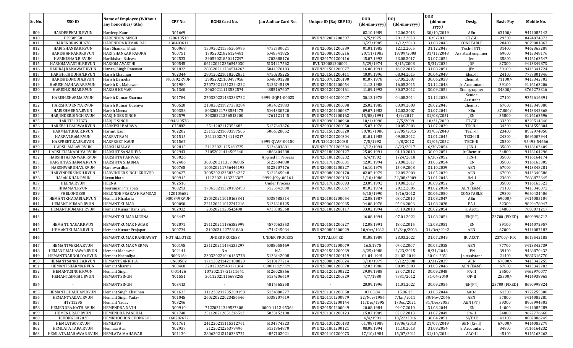| Sr. No.    | SSO ID                                 | Name of Employee (Without<br>any honorifics/title) | CPF No.             | RGHS Card No.       | Jan Aadhar Card No.  | Unique ID (Raj ERP ID) | <b>DOB</b><br>(dd-mm-yyyy) | DOJ<br>(dd-mm-yyyy)      | <b>DOR</b><br>(dd-mm-  | Desig.              | <b>Basic Pay</b> | Mobile No.               |
|------------|----------------------------------------|----------------------------------------------------|---------------------|---------------------|----------------------|------------------------|----------------------------|--------------------------|------------------------|---------------------|------------------|--------------------------|
|            |                                        |                                                    |                     |                     |                      |                        |                            |                          | yyyy)                  |                     |                  |                          |
| 809<br>810 | HARDEEPKAUR.RVUN<br>HS938950           | Hardeep Kaur<br>HARENDRA SINGH                     | N01669<br>120610510 |                     |                      |                        | 02.10.1989<br>6/5/1975     | 22.06.2013<br>29.12.2020 | 30/10/2049<br>6/5/2035 | AEn<br>CT/GD        | 63100/<br>29300  | 9414085142<br>8474874373 |
| 811        | HARENDRASHU678                         | HARENDRA KUMAR RAI                                 | 130400611           |                     |                      | RVUN202001200397       | 8/27/1985                  | 1/12/2013                | 31.08.2045             | CONSTABLE           | 28400            | 9079081867               |
| 812        | HARI.SHANKAR.RVUN                      | Hari Shankar Bhati                                 | N00068              | 150920211555205985  | 4732780021           | RVUN200501200389       | 01.01.1985                 | 12.12.2005               | 31.12.2045             | Tech-I (ITI)        | 31400            | 9462363289               |
| 813        | HARISHANKAR05.RVUN                     | HARI SHANKAR RAJORA                                | N00751              | 17052021826124481   | 5048541825           | RVUN200801200216       | 20/11/1983                 | 19/09/2008               | 31/11/2043             | Assistant enginner  | 69000            | 9413348176               |
| 814        | HARIKISHAN.B.RVUN                      | Harikishan Bairwa                                  | N02533              | 29052021850147297   | 4702888176           | RVUN201701200116       | 15.07.1992                 | 23.08.2017               | 31.07.2052             | Jen                 | 35800            | 9116163547               |
| 815        | HARIOMAVASTHI.RRVUN                    | <b>HARIOM AVASTHI</b>                              | N00545              | 061220212356545030  | 5134217562           | RVUN20081200001        | 5/29/1974                  | 4/15/2008                | 5/31/2034              | JDP                 | 87300            | 9413349873               |
| 816        | HARIRAJ.RANAWAT.RVUN                   | Hariraj Singh Ranawat                              | N01832              | 280520211734534263  | 5041076183           | RVUN201501200077       | 16.08.1991                 | 16.02.2015               | 31.08.2051             | JEn                 | 39100            | 9413341724               |
| 817        | HARISH.CHOUHAN.RVUN                    | Harish Chauhan                                     | N02344              | 280120221018202851  | 4750235225           | RVUN201501200411       | 10.09.1996                 | 08.04.2015               | 30.04.2048             | Elec.-II            | 24100            | 7737801946               |
| 818        | HARISHDONODIA.RVUN                     | Harish Danodia                                     | N00392RVUN          | 29052021103497956   | 5048001288           | RVUN200701200190       | 01.07.1978                 | 07.05.2007               | 30.06.2038             | Chemist             | 71100/           | 9413342703               |
| 819        | HARISH.MAHAWAR.RVUN                    | Harish Kr. Mahawar                                 | N01980              | 270720211512324222  | 5126745139           | RVUN201501200054       | 11.12.1988                 | 16.05.2015               | 31.12.2048             | Ir. Accountant      | 39100            | 9116163206               |
| 820        | HARISH.KUMAR.RVUN                      | <b>HARISH KUMAR</b>                                | No1360              | 20620211113532574   | 4885167607           | RVUN201201200161       | 11.09.1992                 | 30.07.2012               | 30.09.2052             | Stenographer        | 34800/           | 8764272316               |
| 821        | HARISH.SHARMA.RVUN                     | Harish Kumar Sharma                                | N01784              | 270320221433233722  | 9999-UQP4-00023      | RVUN201401200027       | 30.12.1978                 | 04.08.2014               | 31.12.2038             | Senior<br>Assistant | 27100            | 9352616891               |
| 822        | HARISHUDENIYA.RVUN                     | Harish Kumar Udeniya                               | N00520              | 210820211927338284  | 5034021883           | RVUN200801200098       | 25.02.1985                 | 03.09.2008               | 28.02.2045             | Chemist             | 67000            | 9413349080               |
| 823        | HARISHMEENA.RVUN                       | Harish Meena                                       | N00358              | 80320221733554475   | 5044330720           | RVUN201201200037       | 09.07.1982                 | 12.02.2007               | 31.07.2042             | XEn                 | 87,800/          | 9413342368               |
| 824        | HARJINDER.SINGH.RVUN                   | <b>HARJINDER SINGH</b>                             | N02579              | 30320221256512200   | 4761121145           | RVUN201701200162       | 15/08/1991                 | 4/9/2017                 | 31/08/2051             | JEN                 | 35800            | 9116163596               |
| 825        | HARJIT3137373                          | <b>HARJIT SINGH</b>                                | 094610578           |                     |                      | RVUN200901200960       | 10/1/1990                  | 7/5/2009                 | 10/31/2050             | CT/GD               | 33300            | 8320514340               |
| 826        | HARKESH.BAIRWA.RVUN                    | <b>HARKESH BAIRWA</b>                              | C75882              | 2511202117353683    | 5127643676           | RVUN200301200050       | 15.07.1976                 | 20.05.2003               | 31.07.2039             | TECH-I              | 34300            | 9461555804               |
| 827        | HARMEET.KAUR.RVUN                      | Harmit Kaur                                        | N02202              | 231120211633397505  | 5066528052           | RVUN201501200320       | 30/05/1980                 | 25/05/2015               | 31/05/2040             | Tech-II             | 23400            | 8952974950               |
| 828        | HARPAT.RAM.RVUN                        | <b>HARPAT RAM</b>                                  | N01515              | 26112021714119217   |                      | RVUN201201200304       | 01.01.1985                 | 09.08.2012               | 31.01.2045             | TECH-III            | 24300            | 8696007944               |
| 829        | HARPREET.KAUR.RVUN                     | <b>HARPREET KAUR</b>                               | N01567              |                     | 9999-QVAP-00150      | RVUN20120120038        | 7/5/1992                   | 4/8/2012                 | 31/05/2052             | TECH-II             | 25500            | 95492-54666              |
| 830        | HARSH.MALAV.RVUN                       | <b>HARSH MALAV</b>                                 | N02815              | 21122021125169735   | 5134603881           | RVUN201701200304       | 6/12/1994                  | 8/23/2017                | 6/30/2054              | JEN-I               | 35800            | 9116163409               |
| 831        | HARSHITSANADHYA.RVUN                   | HARSHIT SANADHYA                                   | N02943              | 31052021414505340   | 4866404288           | RVUN201801200127       | 25.09.1991                 | 04.10.2018               | 30.09.2051             | Jr.Chemist          | 34800            | 9116164296               |
| 832        | HARSHITA.PANWAR.RVUN                   | HARSHITA PANWAR                                    | N03026              |                     | Applied In Process   | RVUN201801200202       | 6/4/1992                   | 1/24/2018                | 6/30/2052              | JEN-I               | 35800            | 9116164174               |
| 833        | HARSHITA.SHARMA.RVUN                   | HARSHITA SHARMA                                    | N02406              | 300520 211357 06885 | 5122604880           | RVUN201701200031       | 12.05.1994                 | 23.08.2017               | 31.05.2054             | JEN                 | 35800            | 9116163305               |
| 834        | HARSHWARDHAN.RVUN                      | Harshwardhan                                       | N00765              | 100620211756446193  | 5125207476           | RVUN200801200227       | 16.10.1979                 | 15.09.2008               | 31.10.2039             | <b>AEN</b>          | 67000            | 9413348281               |
| 835        | HARVINDERSINGH.RVUN                    | HARVINDER SINGH GROVER                             | N00627              | 300520212358354227  | 5122565048           | RVUN200801200170       | 02.05.1979                 | 22.09.2008               | 31.05.2039             | AEN                 | 67000            | 9413340586               |
| 836        | HASAN.KHAN.RVUN                        | Hasan khan                                         | N00915              | 11122021143223387   | 9999-J09y-00161      | RVUN200901200103       | 1/10/1986                  | 22/08/2009               | 31.01.2046             | Hel-I               | 23600            | 7688872345               |
| 837        | HEENA.RVUN                             | <b>HEENA</b>                                       | N02510              |                     | <b>Under Process</b> | RVUN201701200093       | 23.09.1992                 | 19.08.2017               | 30.09.2052             | JEN                 | 35800            | 9116163523               |
| 838        | HIRAMAN.RVUN                           | Heeraman Prajapati                                 | N00293              | 170620211320182493  | 5125642808           | RVUN200601200067       | 01.02.1974                 | 20.12.2006               | 01.02.2034             | AEN (E&M)           | 71100            | 9413340072               |
| 839        | PHELONDE80                             | HELONDE PRAKASH RAMDAS                             | 120106682           |                     |                      |                        | 6/18/1990                  | 4/16/2012                | 30.06.2050             | CONSTABLE           | 29300            | 9650434406               |
| 840        | HEMANTKHADARIA.RVUN                    | Hemant Khadaria                                    | N00849RVUN          | 280520211010163341  | 5038485514           | RVUN201001200054       | 22.08.1987                 | 08.07.2010               | 31.08.2047             | AEn                 | $69000/-$        | 9414085104               |
| 841        | HEMANT.KUMAR.RVUN                      | <b>HEMANT KUMAR</b>                                | N00090              | 221120211012247216  | 5131818125           | RVUN200601200035       | 04.08.1978                 | 05.06.2006               | 31.08.2038             | PA-I                | 32300            | 9829478947               |
| 842        | HEMANT.KUMAR1.RVUN                     | Hemant Kumar Bansiwal                              | N02932              | 2062021120542408    | 4733385568           | RVUN201801200117       | 03.02.1994                 | 09.10.2018               | 28.02.2054             | Jr. Acctt.          | 34800            | 7690071217               |
| 843        |                                        | HEMANT KUMAR MEENA                                 | N03447              |                     |                      |                        | 16.08.1994                 | 07.01.2022               | 31.08.2054             | JEN(PT)             | 23700 (FIXED)    | 8690998712               |
| 844        | HEMANT.NAGAR.RVUN                      | HEMANT KUMAR NAGAR                                 | N02071              | 291120211136352999  | 4577063353           | RVUN201501200227       | 12.08.1991                 | 18.02.2015               | 12.08.2051             | JEN                 | 39100            | 9414072957               |
| 845        | HEMANTKUMAR.RVUN                       | Hemant Kumar Prajapati                             | N00734              | 2102021 127581880   | 4744745034           | RVUN200801200029       | 10/0ct/1982                | 15/Sep/2008              | 31/0ct/2042            | AEN                 | 67000            | 9414087183               |
| 846        |                                        | HEMANT KUMAR RANKAWAT                              | <b>NOT ALLOTED</b>  | UNDER PROCESS       | <b>UNDER PROCESS</b> | NOT ALLOTED            | 01.08.1989                 | 23.03.2022               | 31.07.2049             | JR. ACCT.           | 23700/-FIX       | 8619542185               |
| 847        | HEMANTVERMA.RVUN                       | HEMANT KUMAR VERMA                                 | N00195              | 251120211454235297  | 5088058469           | RVUN200701200079       | 16.5.1975                  | 07.02.2007               | 30.05.2035             | AEN                 | 77700            | 9413342739               |
| 848        | HEMANT.MAHAWAR.RVUN                    | <b>Hemant Mahawar</b>                              | N02141              | NA                  | NA                   | RVUN201501200039       | 8/25/1988                  | 2/23/2015                | 8/31/2048              | JEN                 | 39100            | 9468870432               |
| 849        | HEMANTNARNOLIYA.RVUN                   | Hemant Narnoliya                                   | N003164             | 230320221046133778  | 5136442008           | RVUN201901200119       | 04-04-1991                 | 21-02-2019               | 30-04-2051             | Ir. Assistant       | 21400            | 9887316770               |
| 850        | HEMANTSANKHLA.RVUN                     | HEMANT SANKHLA                                     | CN00582             | 171120211421188820  | 5118177214           | RVUN200801200024       | 3/10/1979                  | 9/12/2008                | 3/31/2039              | <b>AEN</b>          | 67000/           | 9413342255               |
| 851        | HEMANTSHARMA.RVUN                      | Hemant Sharma                                      | N00468              | 22012022943171364   | 0000111299795        | RVUN200801200070       | 12.03.1986                 | 08.09.2008               | 31.03.2046             | AEN (E&M)           | 67000            | 9413342783               |
| 852        | HEMANT.SINGH.RVUN                      | <b>Hemant Singh</b>                                | $C-01426$           | 107202117-21511641  | 5126028366           | RVUN201201200222       | 29.09.1988                 | 25.07.2012               | 30.09.2048             | PA-II               | 25500            | 9462970077               |
| 853        | HEMANT.SINGH1.RVUN                     | HEMANT SINGH                                       | N01551              | 30112021115683285   | 5134206619           | RVUN201201200329       | 4/7/1980                   | 7/31/2012                | 31-04-2040             | OP-II               | 25500/           | 9414938965               |
| 854        | $\sim$                                 | HEMANT SINGH                                       | N03413              |                     | 4814565258           | $\blacksquare$         | 20.09.1996                 | 11.01.2022               | 30.09.2056             | JEN(PT)             | 23700 (FIXED)    | 8690998824               |
| 855        | HEMANT.CHAUHAN.RVUN                    | Hemant Singh Chauhan                               | N01633              | 311220211735209198  | 5134880277           | RVUN201301200050       | 07.05.84                   | 15.06.13                 | 31.05.2044             | AAO-I               | 61300            | 9772255300               |
| 856        | HEMANTYADAV.RVUN                       | Hemant Singh Yadav                                 | N01045              | 260220222023456546  | 5038207619           | RVUN201101200979       | 22/Nov/1986                | $7/$ Jan $/2011$         | 30/Nov/2046            | AEN                 | 57800            | 9414085281               |
| 857        | HTY11295                               | Hemant Yadav                                       | N03296              |                     |                      | RVUN202101200144       | 11/Dec/1995                | 1/Dec/2021               | 31/Dec/2055            | AEN (PT)            | 39300            | 8905994503               |
| 858        | HEMENDRA.NATH.RVUN                     | <b>HEMENDRA NATH</b>                               | N00910              | 71220211349537308   | 0000-1112-95364      | RVUN201501200049       | 20.08.1984                 | 09.07.2010               | 31.08.2044             | JEN                 | 44000            | 9414085289               |
| 859        | HEMENDRA.P.RVUN                        | HEMENDRA PANCHAL                                   | N01748              | 251120212051216513  | 5033152108           | RVUN201301200123       | 15.07.1989                 | 02.07.2013               | 31.07.2049             | PA-II               | 24800            | 9672776660               |
| 860        | HCHONGLOI2020                          | HEMKHOCHON CHONGLOI                                | 160202672           |                     |                      |                        | 4/4/1991                   | 10/22/2016               | 30.04.2051             | SI/EXE              | 41100            | 8082886749               |
| 861        | HEMLATA08.RVUN                         | HEMLATA                                            | N01761              | 241220211115312761  | 5134574323           | RVUN201301200133       | 01/08/1989                 | 19/06/2013               | 21/07/2049             | AEN (Civil)         | $67000/-$        | 9414085279               |
| 862        | HEMLATA.TARA.RVUN                      | Hemlata Atal                                       | N02937              | 2122021226378496    | 5131864870           | RVUN201801200121       | 08.08.1994                 | 11.10.2018               | 31.08.2054             | Jr. Accountant      | 34800            | 9116164232               |
| 863        | HEMLATA.MAHAWAR.RVUN   HEMLATA MAHAWAR |                                                    | N01130              | 280620212110333771  | 4857102021           | RVUN201101200073       | 17/10/1984                 | 15/07/2011               | 31/10/2044             | AAO-II              | 45100            | 9116163262               |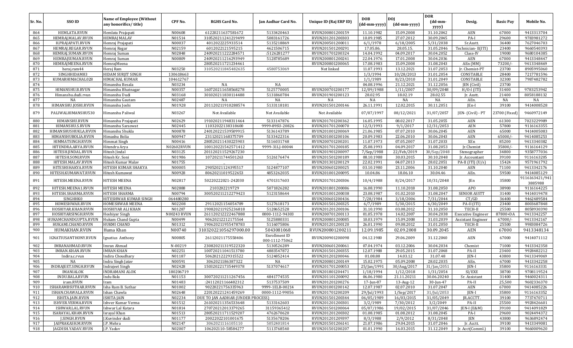| Sr. No.    | SSO ID                                    | <b>Name of Employee (Without</b><br>any honorifics/title) | CPF No.            | <b>RGHS Card No.</b>                       | Jan Aadhar Card No.         | Unique ID (Raj ERP ID)               | <b>DOB</b><br>(dd-mm-yyyy) | <b>DOI</b><br>(dd-mm-yyyy) | <b>DOR</b><br>$(dd{\text{-}\mathbf{mm}}$ | Desig.                    | <b>Basic Pay</b> | Mobile No.                |
|------------|-------------------------------------------|-----------------------------------------------------------|--------------------|--------------------------------------------|-----------------------------|--------------------------------------|----------------------------|----------------------------|------------------------------------------|---------------------------|------------------|---------------------------|
|            |                                           |                                                           |                    |                                            |                             |                                      |                            |                            | yyyy)                                    |                           |                  |                           |
| 864        | HEMLATA.RVUN                              | Hemlata Prajapati                                         | N00608             | 61220211637581672                          | 5133420463                  | RVUN200801200159                     | 11.10.1982                 | 15.09.2008                 | 31.10.2042                               | AEN                       | 67000            | 9413313704                |
| 865        | HEMRAJ.MALAV.RVUN                         | <b>HEMRAJ MALAV</b>                                       | N01514             | 310520211241219499                         | 5083161726                  | RVUN201201200303                     | 10.09.1985                 | 27.07.2012                 | 30.09.2045                               | PA-I                      | 29600            | 9783981272                |
| 866        | H.PRAJAPATI.RVUN                          | Hemraj Prajapati                                          | N00037             | 4012022225933514                           | 5135218869                  | RVUN200501200011                     | 6/1/1978                   | 6/18/2005                  | 5/31/2038                                | Sr.Asstt.                 | 36400            | 7627046703                |
| 867        | HEMRAJ.REGAR.RVUN                         | Hemraj Regar                                              | N02159             | 6012022121595215                           | 4621506715                  | RVUN201501200291                     | 17.05.86.                  | 28.05.15.                  | 31.05.2046                               | Technician-II(ITI)        | 23400            | 9660540393                |
| 868        | HEMRAJ.SUMAN.RVUN                         | Hemraj Suman                                              | N02848<br>N00809   | 240920211222284571                         | :5126281277                 | RVUN201701200324                     | 14.04.1992                 | 04.09.2017<br>17.01.2008   | 30.04.2052<br>30.04.2036                 | Class-IV<br>AEN           | 19000<br>67000   | 9680104385<br>9413348447  |
| 869<br>870 | HEMRAJSUMAN.RVUN<br>HEMRAJMEENA.RVUN      | Hemraj Suman<br>HemrajMeena                               |                    | 240920211216293949<br>280520211721234461   | 5128785689                  | RVUN200801200241<br>RVUN200801200065 | 22.04.1976<br>17.08.1983   | 15.09.2008                 | 31.08.2043                               | AEn (MM)                  | 73200/-          | 9413348469                |
| 871        | heraj.ram44                               | Heraj Ram                                                 | N03250             | 310520211845482635                         | 4580753069                  | Not linked                           | 11.07.1993                 | 13.12.2021                 | 31.07.2053                               | Jr. Chemist-PT            | 23700            | 8905995060                |
| 872        | SINGHHIDAM83                              | <b>HIDAM SURIIT SINGH</b>                                 | 130618663          |                                            |                             |                                      | 1/3/1994                   | 10/28/2013                 | 31.01.2054                               | CONSTABLE                 | 28400            | 7217781596                |
| 873        | KUMARHIMACHAL028                          | <b>HIMACHAL KUMAR</b>                                     | 104612767          |                                            |                             |                                      | 1/1/1989                   | 8/23/2010                  | 31.01.2049                               | CONSTABLE                 | 32300            | 7987482782                |
| 874        |                                           | Himanshu Besala                                           | N03234             | NA                                         | NA                          |                                      | 04.08.1996                 | 21.12.2021                 | 31.12.2056                               | JEN (Civil)               | 23700            |                           |
| 875        | HIMANSHU.B.RVUN                           | Himanshu Bhatnagar                                        | N00357             | 160720211658568278                         | 5125770005                  | RVUN200701200177                     | 12/09/1988                 | 1/11/2007                  | 30/09/2048                               | $H/O-I$ (ITI)             | 31400            | 9783253942                |
| 876        | Himanshu.dudi.rvun                        | Himanshu Dudi                                             | N03168             | 301020211830114488                         | 5131860784                  | RVUN201901200123                     | 28.02.95                   | 18.02.19                   | 28.02.55                                 | Jr. Asstt.                | 21400            | 8058188132                |
| 877        | NA                                        | Himanshu Gautam                                           | N02487             | NA                                         | NA                          | NA                                   | NA                         | NA                         | NA                                       | AEn.                      | NA               | NA                        |
| 878        | HIMANSHU.JOSHI.RVUN                       | Himanshu Joshi                                            | N01928             | 201120211910288574                         | 5133118181                  | RVUN201501200146                     | 26.11.1991                 | 12.02.2015                 | 30.11.2051                               | JEn-I                     | 39100            | 9414008528                |
| 879        | PALIWALHIMANSHU530                        | Himanshu Paliwal                                          | N03267             | Not Available                              | Not Available               | Not Available                        | 07/07/1997                 | 08/12/2021                 | 31/07/2057                               | JEN- (Civil) - PT         | 23700 (Fixed)    | 9460972149                |
| 880        | HIMANSHU.RVUN                             | Himanshu Prajapati                                        | N02629             | 191020211948311464                         | 5133147876                  | RVUN201701200362                     | 16.05.1995                 | 08.02.2017                 | 31.05.2055                               | AEN                       | 61300            | 7023229989                |
| 881        | HIMANSHU.S.RVUN                           | Himanshu Saraswat                                         | N02445             | 11032022138318600                          | 9999-89SU-20826             | RVUN201701200070                     | 12/3/1993                  | 9/1/2017                   | 12/31/2053                               | AEN                       | 57800            | 9116163355                |
| 882        | HIMANSHUSHUKLA.RVUN                       | Himanshu Shukla                                           | N00878             | 240120221539509915                         | 5136143789                  | RVUN201001200069                     | 21.06.1985                 | 07.07.2010                 | 30.06.2045                               | AEN                       | 65000            | 9414005083                |
| 883        | HIMANSHUBOLIA.RVUN                        | Himashu Bolia                                             | N00947             | 23112021168375709                          | 5133422316                  | RVUN201001200106                     | 20.09.1983                 | 22.06.2010                 | 30.06.2043                               | AEN                       | 65000/           | 9414085253                |
| 884        | HIMMATSINGH.RVUN                          | <b>Himmat Singh</b>                                       | N00416             | 280520211430225903                         | 5116031748                  | RVUN200701200201                     | 11.07.1973                 | 07.05.2007                 | 31.07.2033                               | XEn                       | 85200            | 9413340382                |
| 885        | HITENDRA.ARYA.RVUN                        | Hitendra Arya                                             | N02602RVUN         | 100120221542571412                         | 9999-31LJ-00044             | RVUN201701200185                     | 25.08.1993                 | 04.09.2017                 | 31.08.2053                               | Jr.Chemist                | 35800/           | 9116164129                |
| 886        | HITESH.JINDAL.RVUN                        | Hitesh Jindal                                             | N03125             | 201120211529267230                         |                             | RVUN201901200097                     | 7/Sep/1988                 | 22/Feb/2019                | 30/Sep/2048                              | Stenographer              | 34800            | 9358777036                |
| 887        | HITESH.SONI.RVUN                          | Hitesh Kr. Soni                                           | N01986             | 10720211744501263                          | 5126176474                  | RVUN201501200189                     | 08.10.1988                 | 30.03.2015                 | 30.10.2048                               | Jr. Accountant            | 39100            | 9116163205                |
| 888        | HITESH.MALAV.RVUN                         | Hitesh Kumar Malav                                        | N01755             |                                            |                             | RVUN201301200129                     | 22.02.1991                 | 04.07.2013                 | 28.02.2051                               | PA-II (ITI) $(U/s)$       | 15424            | 9571961792                |
| 889        | HITESHSHAKYA.RVUN                         | HITESH KUMAR SHAKYA                                       | N00005             | 29052021124395517                          | 5124877107                  | RVUN200601200025                     | 03.10.1980                 | 23.11.2006                 | 31.10.2040                               | AEN                       | 71100            | 9413342176                |
| 890        | HITESH.KUMAWAT.RVUN                       | Hitesh Kumawat                                            | N00928             | 80620211019522653                          | 4853262035                  | RVUN201001200095                     | 10.04.86                   | 18.06.10                   | 30.04.46                                 | AEn.                      | 59500            | 9414085129                |
| 891        | HITESH.MEENA.RVUN                         | HITESH MEENA                                              | N02817             | 50220222021-242030                         | 4701317603                  | RVUN201701200306                     | 10/4/1988                  | 8/24/2017                  | 10/31/2048                               | JEn                       | 35800            | 9116163421/941<br>3885988 |
| 892        | HITESH.MEENA1.RVUN                        | <b>HITESH MEENA</b>                                       | N02888             | 2103202219729                              | 5071826282                  | RVUN201801200086                     | 16.08.1990                 | 11.10.2018                 | 31.08.2050                               | APO                       | 38900            | 9116164225                |
| 893        | HITESH.SHARMA.RVUN                        | <b>HITESH SHARMA</b>                                      | N00794             | 300520211212279423                         | 5123158644                  | RVUN201001200038                     | 23.08.1987                 | 01.02.2010                 | 31.08.2047                               | <b>SENIOR ASSTT</b>       | 31400            | 9414019478                |
| 894        | <b>SINGHHKO</b>                           | HITESHWAR KUMAR SINGH                                     | 064480280          |                                            |                             | RVUN200601200436                     | 7/28/1984                  | 3/18/2006                  | 7/31/2044                                | CT/GD                     | 36400            | 9462489584                |
| 895        | HOMESHWAR.RVUN                            | <b>HOMESHWAR MEENA</b>                                    | N02208             | 29112021154054789                          | 5127618173                  | RVUN201501200325                     | 6/7/1989                   | 5/30/2015                  | 6/30/2049                                | PA-II (ITI)               | 23400            | 8003687848                |
| 896        | HOSHIYAR.KHAN.RVUN                        | HOSHIYAR ALI KHAN                                         | N01287             | 190820211925236818                         | 5128652528                  | RVUN201201200106                     | 31.10.1990                 | 03.08.2012                 | 31.10.2050                               | TECH-II                   | 25500            | 8058930390                |
| 897        | HOSHIYARSINGH.RVUN                        | Hoshiyar Singh                                            | <b>N00243 RVUN</b> | 261120212222467888                         | 0000-1112-94303             | RVUN200701200113                     | 01.05.1978                 | 14.02.2007                 | 30.04.2038                               | <b>Executive Engineer</b> | 87800+DA         | 9413342257                |
| 898        | HUKAMCHANDGUPTA.RVUN                      | Hukam Chand Gupta                                         | N00499             | 90620212212175564                          | 5125880331                  | RVUN200801200085                     | 10.03.1979                 | 15.09.2008                 | 31.03.2039                               | Assistant Engineer        | $67000/-$        | 9413342167                |
| 899        | HUKAMI.CHAND.RVUN                         | <b>HUKMI CHAND</b>                                        | N01312             | 190620211955478783                         | 5116075806                  | RVUN201201200120                     | 26.01.1990                 | 09.08.2012                 | 31.01.2050                               | TECH-II                   | 25500            | 9983084726                |
| 900<br>901 | HUMAKHAN.RVUN<br>IGNATIUSANTHONY.RVUN     | Huma Khan<br>Ignatius Anthony                             | N00740<br>N00805   | 310320221056297000.00<br>26112021175558406 | 5043081068<br>Enrollment ID | RVUN200801200211<br>RVUN200901200098 | 12.09.1985<br>04.12.1980   | 02.09.2008<br>29.06.2009   | 30.09.2045<br>31.12.2040                 | AEN<br>AEN                | 67000<br>67000   | 9413348134<br>9414071112  |
|            |                                           |                                                           |                    |                                            | 000-1112-75062              |                                      |                            |                            |                                          |                           |                  | 9413342358                |
| 902<br>903 | IMRANAHMAD.RVUN<br><b>IMRAN.KHAN.RVUN</b> | Imran Ahmad<br><b>IMRAN KHAN</b>                          | N-00219<br>N02251  | 230820211319522320<br>100720211041513780   | 5130526289<br>4883547872    | RVUN200601200061<br>RVUN201501200355 | 07.04.1974<br>12.07.1988   | 03.12.2006<br>29.05.2015   | 30.04.2034<br>31.07.2048                 | Chemist<br>PA-II          | 71000<br>23400   | 9928482212                |
| 904        | Indira.c.rvun                             | Indira Choudhary                                          | N01187             | 50620212229315522                          | 5124852414                  | RVUN201201200046                     | 01.08.88                   | 14.03.12                   | 31.07.48                                 | <b>JEN-I</b>              | 43800            | 9413349069                |
| 905        | NA                                        | Indra Singh Jatav                                         | N00591             | 3062021186387322                           | NA                          | RVUN200801200149                     | 15.02.1975                 | 05.09.2008                 | 28.02.2035                               | AEn.                      | 67000            | 9413342258                |
| 906        | INDRAJEET.SINGH.RVUN                      | <b>Indrajeet Singh</b>                                    | N02428             | 150320221735449378                         | 5137074617                  | RVUN201701200053                     | 25/Jan/1991                | 30/Aug/2017                | 31/Jan/2051                              | <b>IEN-I</b>              | 35800            | 9116163331                |
| 907        | <b>IMANIALOK</b>                          | <b>INDRAMANI ALOK</b>                                     | 180206719          |                                            |                             | RVUN201801204471                     | 1/18/1994                  | 1/12/2018                  | 1/31/2054                                | SI/EXE                    | 38700            | 9708119524                |
| 908        | INDU.BALA.RVUN                            | Indu Bala                                                 | N01153             | 300720211211267456                         | 4841774535                  | RVUN201101200092                     | 06.06.1980                 | 21.11.20211                | 30.06.20240                              | Sr. Assistant             | 31400            | 9460024311                |
| 909        | iram.RVUN                                 | Iram                                                      | N01483             | :24112021166482312                         | 5137537509                  | RVUN201201200276                     | 17-Jun-87                  | 13-Aug-12                  | 30-Jun-47                                | PA-II                     | 25,500           | 9602336370                |
| 910        | ISHARAMBSUTHAR.RVUN                       | Isha Ram B. Suthar                                        | N01002             | 90220221756335963                          | 9999-1ELB-00214             | RVUN201001200142                     | 12.07.1987                 | 02.07.2010                 | 31.07.2047                               | AEN                       | 67000            | 9414085226                |
| 911        | ISHAN.CHAWALA.RVUN                        | Ishan Chawla                                              | N02648             | 220120221241459269                         | 0000-1112-99056             | RVUN201701200209                     | 29/Jul/1993                | $1/$ Sep $/2017$           | 31/Jul/2053                              | JEN-I                     | 35800            | 9116163352                |
| 912        | ISHITA.JAIN.RVUN                          | <b>ISHITA JAIN</b>                                        | N02234             | DUE TO JAN AADHAR (UNDER PROCESS)          |                             | RVUN201501200344                     | 06/05/1989                 | 16/03/2015                 | 31/05/2049                               | JR.ACCTT.                 | 39100            | 7737470711                |
| 913        | ISHVER.VERMA.RVUN                         | Ishver Kumar Verma                                        | N01512             | 261020211356533648                         | 5133162603                  | RVUN201201200301                     | 3/2/1989                   | 7/30/2012                  | 3/2/2049                                 | PA-II                     | 25500            | 9928426601                |
| 914        | ISHWAR.LAL.RVUN                           | Ishwar Lal Katara                                         | N01814             | 270720212013379265                         | 31159365412                 | RVUN201501200064                     | 05/07/1986                 | 19/02/2015                 | 31/07/2046                               | $JEN-I$ $(E&M)$           | 39100            | 9414091829                |
| 915        | ISARAYAL.KHAN.RVUN                        | Israyal Khan                                              | N01513             | 280520211711529207                         | 4762670620                  | RVUN201201200302                     | 01.08.1985                 | 01.08.2012                 | 31.08.2045                               | PA-I                      | 29600            | 9024494372                |
| 916        | J.SINGH.RVUN                              | J.Kuvinder dudi                                           | N01177             | 20022022101001675                          | 5135678206                  | RVUN201201209397                     | 8/3/1988                   | 2/9/2012                   | 8/31/2048                                | JEN                       | 43800            | 9636892474                |
| 917        | JAIPRAKASH.M.RVUN                         | J.P. Mehra                                                | N02147             | 3062021116105110                           | 5052401814                  | RVUN201501206141                     | 21.07.1986                 | 29.04.2015                 | 31.07.2046                               | Jr. Acctt.                | 39100            | 9413349081                |
| 918        | JAGDISH.YADAV.RVUN                        | J.P. Yadav                                                | N02007             | 106202110-58584277                         | 5113768540                  | RVUN201501200207                     | 01.01.1990                 | 16.03.2015                 | 31.12.2049                               | Jr. Acct(Comml.)          | 39100            | 9660009620                |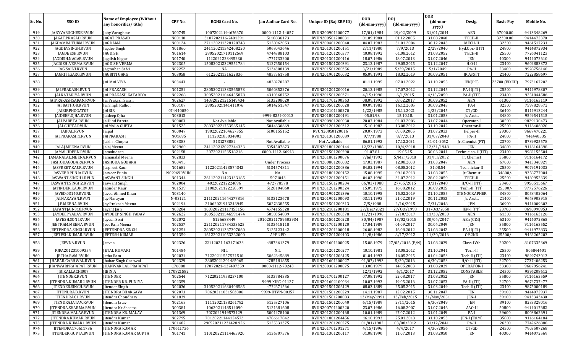|         |                             |                                                           |            |                      |                      |                        |                            |                            | <b>DOR</b>                          |                    |                  |            |
|---------|-----------------------------|-----------------------------------------------------------|------------|----------------------|----------------------|------------------------|----------------------------|----------------------------|-------------------------------------|--------------------|------------------|------------|
| Sr. No. | SSO ID                      | <b>Name of Employee (Without</b><br>any honorifics/title) | CPF No.    | <b>RGHS Card No.</b> | Jan Aadhar Card No.  | Unique ID (Raj ERP ID) | <b>DOB</b><br>(dd-mm-yyyy) | <b>DOI</b><br>(dd-mm-yyyy) | $(dd{\text{-}\mathbf{mm}}$<br>yyyy) | Desig.             | <b>Basic Pay</b> | Mobile No. |
| 919     | JABYVARUGHESE.RVUN          | Jaby Varughese                                            | N00745     | 10072021194676670    | 0000-1112-44057      | RVUN200901200077       | 17/01/1984                 | 19/02/2009                 | 31/01/2044                          | AEN                | 67000.00         | 9413348269 |
| 920     | JAGAT.PRASAD.RVUN           | JAGAT PRASAD                                              | N00110     | 3107202116-2401291   | 5118836173           | RVUN200501200031       | 01.09.1980                 | 01.12.2005                 | 31.08.2040                          | TECH-II            | 32300.00         | 9414472370 |
| 921     | JAGDAMBA.TURMI.RVUN         | JAGDAMA                                                   | N00124     | 271120211328128743   | 5128062053           | RVUN200401200040       | 04.07.1983                 | 31.01.2004                 | 30.12.2043                          | MECH-II            | 32300            | 9461517231 |
| 922     | JAGDEVSINGH.RVUN            | Jagdev Singh                                              | N01860     | 241120211542408220   | 5063043646           | RVUN201301200151       | 2/11/1980                  | 7/9/2013                   | 2/29/2040                           | Hyd.Opr.-II ITI    | 24800            | 9414872934 |
| 923     | JAGDEESH.RVUN               | <b>JAGDISH</b>                                            | N01614     | 28052021710112569    | 4744388103           | RVUN201201200377       | 10.08.1992                 | 01.08.2012                 | 31.08.2052                          | TECH-II            | 25500            | 7726041123 |
| 924     | JAGDISH.NAGAR.RVUN          | Jagdish Nagar                                             | N01740     | 1122021223495230     | 4771733200           | RVUN201301200116       | 18.07.1986                 | 18.07.2013                 | 31.07.2046                          | <b>JEN</b>         | 40300            | 9414072610 |
| 925     | JAGDISH .VERMA.RVUN         | JAGDISH VERMA                                             | N02305     | 150820212329551784   | 5127650154           | RVUN201501200391       | 23.12.1987                 | 29.05.2015                 | 31.12.2047                          | $H.O-II$           | 23400            | 9602883372 |
| 926     | JAG.SALVI.RVUN              | Jagmohan Salvi                                            | N02252     | NA                   | 5134308139           | RVUN201501200356       | 3/21/1989                  | 5/29/2015                  | 5/1/2049                            | PA-II              | 23400            | 9928756140 |
| 927     | JAGRITI.GARG.RVUN           | JAGRITI GARG                                              | N03058     | 6122021131622836     | 4857561758           | RVUN201901200032       | 05.09.1991                 | 18.02.2019                 | 30.09.2051                          | JR.ASSTT           | 21400            | 7222858697 |
| 928     |                             | JAI MALVIYA                                               | N03443     |                      | 4828270287           |                        | 01.11.1995                 | 07.01.2022                 | 31.10.2055                          | JEN(PT)            | 23700 (FIXED     | 7973167202 |
| 929     | JAI.PRAKASH.RVUN            | <b>JAI PRAKASH</b>                                        | N01252     | 280520211333565873   | 5060852276           | RVUN201201200016       | 20.12.1985                 | 27.07.2012                 | 31.12.2045                          | $PA-II(ITI)$       | 25500            | 9414978307 |
| 930     | JAI.KATARIYA.RVUN           | JAI PRAKASH KATARIYA                                      | N02268     | 300520211046455878   | 4310368752           | RVUN201501200371       | 4/15/1990                  | 6/1/2015                   | 4/15/2050                           | PA-II (ITI)        | 23400            | 9251844586 |
| 931     | JAIPRAKASHSARAN.RVUN        | Jai Prakash Saran                                         | N02627     | 140320221215149434   | 5133208020           | RVUN201701200363       | 08.09.1992                 | 08.02.2017                 | 30.09.2052                          | <b>AEN</b>         | 61300            | 9116163119 |
| 932     | JAI.RATHOR.RVUN             | Jai Singh Rathor                                          | N00107     | 28052021141411076    | 5014251547           | RVUN200501200028       | 09.09.1983                 | 16.12.2005                 | 30.09.2043                          | PA-I               | 32300            | 7597828572 |
| 933     | JAIBIRPHOGAT07              | JAIBIR                                                    | 074440050  |                      |                      | RVUN202101200270       | 1/22/1985                  | 15.11.2021                 | 1/22/2045                           | CT/GD              | 36400            | 8114913244 |
| 934     | JAIDEEP.OJHA.RVUN           | Jaideep Ojha                                              | N03013     |                      | 9999-825I-00013      | RVUN201801200191       | 05.01.93.                  | 15.10.18.                  | 31.01.2053                          | Jr. Acctt.         | 34800            | 9549541515 |
| 935     | JAI.PARETA.RVUN             | JaiHind Pareta                                            | N00083     | Not Available        | Not Available        | RVUN200901200030       | 20.07.1984                 | 01.03.2006                 | 31.07.2044                          | Operator-I         | 30500            | 9829130473 |
| 936     | JAI.GUPTA.RVUN              | <b>JAIMALA GUPTA</b>                                      | N01525     | 280320221753565145   | 5044630669           | RVUN201201200312       | 15.10.1982                 | 13.08.2012                 | 31.10.2042                          | Operator-II        | 25500            | 9116406020 |
| 937     | JAIPAL.RVUN                 | Jaipal                                                    | N00047     | 19022022104627355    | 5100155152           | RVUN20050120016        | 20.07.1973                 | 09.09.2005                 | 31.07.2033                          | Helper-II          | 29300            | 9667470221 |
| 938     | JAI.PRAKASH1.RVUN           | <b>JAIPRAKASH</b>                                         | NO1695     | 111202185034903      |                      | RVUN201301200089       | 9/7/1988                   | 8/7/2013                   | 31/07/2048                          | PA-II              | 24800            | 941440535  |
| 939     |                             | Jaishri Chopra                                            | N03383     | 5131278882           | Not Available        | Not Available          | 06.01.1992                 | 17.12.2021                 | 31-01-2052                          | Jr. Chemist (PT)   | 23700            | 8739925578 |
| 940     | JALAJ.MEENA.RVUN            | Jalaj Meena                                               | N02960     | 241120212027344333   | 5054507673           | RVUN201801200144       | 12/23/1988                 | 10/4/2018                  | 12/31/1948                          | <b>JEN</b>         | 34800            | 9116164398 |
| 941     | JAMALUDEEN.RVUN             | Jamaludeen                                                | N02158     | 2072021153518216     | 0000-1112-66918      | RVUN201501200290       | 01.07.81                   | 19.05.15.                  | 30.06.2041                          | Technician-II(ITI) | 23400            | 9982155504 |
| 942     | JAMANALAL.MEENA.RVUN        | Jamanalal Meena                                           | N02833     |                      |                      | RVUN201801200076       | 7/Jul/1992                 | 5/Mar/2018                 | 31/Jul/2052                         | Jr. Chemist        | 35800            | 9116164172 |
| 943     | JASHODAGODARA.RVUN          | JASHODA GODARA                                            | N00495     |                      | <b>Under Process</b> | RVUN200801200082       | 17.03.1987                 | 12.08.2008                 | 31.03.2047                          | <b>AEN</b>         | 67000            | 9413340929 |
| 944     | JASPREET.KAUR.RVUN          | Jaspreet Kaur                                             | N01682     | 11220211423574342    | 5134574811           | RVUN201201200386       | 04.02.1994                 | 08.08.2012                 | 31.08.54                            | Technician-II      | 25500            | 9079191032 |
| 945     | JASVEER.PUNIA.RVUN          | Jasveer Punia                                             | N02969RVUN | NA                   | NA                   | RVUN201801200152       | 15.08.1995                 | 09.10.2018                 | 31.08.2055                          | Jr.Chemist         | 34800/           | 9358777004 |
| 946     | JASWANT.SINGH1.RVUN         | <b>JASWANT SINGH</b>                                      | N01344     | 261120211423133185   | 5071043              | RVUN201201200151       | 04.02.1990                 | 31.07.2012                 | 28.02.2050                          | TECH-II            | 25500            | 9460952339 |
| 947     | JASWANT.SINGH2.RVUN         | Jaswant Singh                                             | N02004     | 402202212224896      | 472778578            | RVUN201501200204       | 06/03/1988                 | 27/05/2015                 | 3/31/2048                           | $H/O-II (ITI)$     | 23400            | 9950515667 |
| 948     | JATINDER.KAUR.RVUN          | Jatinder Kaur                                             | N01539     | 31082021122228599    | 5128104860           | RVUN201201200324       | 15.09.1975                 | 16.08.2012                 | 30.09.2035                          | Tech.-II (ITI)     | 25500/           | 9772576226 |
| 949     | JAVED.03140.RVUNL           | Javed Ahmed Khan                                          | N03140     |                      |                      | RVUN201901202396       | 10.10.1995                 | 15.02.2019                 | 31.10.2055                          | STENOGRAPHER       | 34800            | 8058402064 |
| 950     | JAI.NARAYAN.RVUN            | Jay Narayan                                               | N-03121    | 211120211644277816   | 5133123678           | RVUN201901200093       | 03.11.1993                 | 21.02.2019                 | 30.11.2053                          | Jr. Asstt.         | 21400            | 9643903918 |
| 951     | J.P.MEENA.RVUN              | Jay Prakash Meena                                         | N02194     | 21062021913243945    | 5027838555           | RVUN201501200313       | 7/5/1988                   | $\frac{2}{16/2015}$        | 7/31/2048                           | JEN                | 36900            | 9414009603 |
| 952     | JAYANTJAIN318.RVUN          | Jayant Jain                                               | N03284     | 100320221117153156   | 4574155328           | RVUN202101200181       | 27/Dec/2021                | 27/0ct/1998                | 31/0ct/2058                         | JEN-I (PT)         | 23700            | 8690998953 |
| 953     | JAYDEEPYADAV.RVUN           | JAYDEEP SINGH YADAV                                       | N02622     | 300520211546591474   | 5058354839           | RVUN201701200378       | 11/21/1990                 | 2/10/2017                  | 11/30/2050                          | AEN                | 61300            | 9116163126 |
| 954     | JAYESH.SONI.RVUN            | Jayesh Soni                                               | N02072     | 5126683449           | 201020211759502934   | RVUN201501200228       | 30/04/1987                 | 13/02/2015                 | 30/04/2047                          | AEn (C&I)          | 63100            | 9414072865 |
| 955     | JEETRAM.MEENA.RVUN          | Jeet Ram Meena                                            | N02537     | 221120211734333625   | 5133418118           | RVUN201701200120       | 17.04.1989                 | 04.09.2017                 | 30.04.2049                          | JEN                | 35800            | 9116163552 |
| 956     | EETENDRA.SINGH.RVUN         | JEETENDRA SINGH                                           | N01254     | 280520211337307060   | 5125123442           | RVUN201201200018       | 26.08.1982                 | 16.08.2012                 | 31.08.2042                          | PA-II(ITI)         | 25500            | 9414972833 |
| 957     | JEETESH.KUMAR.RVUN          | JEETESH KUMAR                                             | N01359     | 161220211053262000   | <b>APPLIED</b>       | RVUN201201209403       | 11/8/1986                  | 8/17/2012                  | 11/30/2046                          | OP.2ND             | 25500/           | 9462265203 |
| 958     | JEEVNA.RVUN                 | Jeevna                                                    | N02326     | 22112021 163471633   | 4887361379           | RVUN201601200025       | 15.08.1979                 | 27/05/2016 (F/N)           | 31.08.2039                          | Class-IVth         | 20200            | 8107335369 |
| 959     | RJRA201231009354            | <b>JETAL KUMARI</b>                                       | N01484     | NIL                  | NIL                  | RVUN201201200277       | 10.10.1981                 | 13.08.2012                 | 31.10.2041                          | Tech-II            | 25500            | 805844401  |
| 960     | JETHA.RAM.RVUN              | Jetha Ram                                                 | N02031     | 71220211557571510    | 5062645889           | RVUN201501206125       | 01.04.1993                 | 16.05.2015                 | 01.04.2053                          | Tech-II (ITI)      | 23400            | 9829743013 |
| 961     | JHABAR.GARHWAL.RVUN         | Jhabar Singh Garhwal                                      | N02329     | 28052021201485065    | 4785181855           | RVUN201601200027       | 01/07/1993                 | 5/20/2016                  | 6/30/2053                           | $H/O-II (ITI)$     | 22700            | 7737406253 |
| 962     | <b>IHANWARPRAIAPAT.RVUN</b> | <b>HANWAR LAL PRAIAPAT</b>                                | C76088     | 17072021-137407359   | 0000-1112-70243      | RVUN200301200075       | 13.08.1979                 | 14.05.2003                 | 31.08.2039                          | OPERATOR-I         | 33300            | 9667956241 |
| 963     | JIBIKALLACHI007             | <b>JIBIN A</b>                                            | 170821582  |                      |                      |                        | 12/1/1992                  | 6/1/2017                   | 31.12.2052                          | CONSTABLE          | 24500            | 9596208612 |
| 964     | <b>IITENDER.RVUN</b>        | <b>JITENDER</b>                                           | N02544     | 71220211958237100    | 5133784335           | RVUN201701200127       | 07.08.1992                 | 22.08.2017                 | 31.08.2052                          | JEN                | 35800            | 9116163559 |
| 965     | JITENDRA.KUMAR2.RVUN        | <b>JITENDER KR. PUNIYA</b>                                | N02359     |                      | 9999-XIBC-01127      | RVUN201602100034       | 10.07.1993                 | 19.05.2016                 | 31.07.2053                          | PA-II (ITI)        | 22700            | 9672737477 |
| 966     | <b>JITENDER.SINGH.RVUN</b>  | Jitender Singh                                            | N02036     | 310520211630408585   | 4772671566           | RVUN201501206129       | 08.03.1889                 | 25.05.2015                 | 31.03.2049                          | Tech-II (ITI)      | 23400            | 9875000189 |
| 967     | JITENDRA.B.RVUN             | <b>JITENDRA BHARGAVA</b>                                  | N02073     | 70620211031583806    | 9999-HTVN-00357      | RVUN201501200229       | 14.11.1987                 | 12.02.2015                 | 30.11.2047                          | JEN                | 39100            | 9414072937 |
| 968     | JITENDRA.C1.RVUN            | Jitendra Choudhary                                        | N01839     |                      |                      | RVUN201501200083       | 13/May/1991                | 13/Feb/2015                | 31/May/2051                         | JEN-I              | 39100            | 9413343430 |
| 969     | <b>JITENDRA.JATAV.RVUN</b>  | Jitendra Jatav                                            | N02163     | 11112021138261782    | 5125327106           | RVUN201501200040       | 6/15/1989                  | 2/11/2015                  | 6/30/2049                           | JEN                | 39100            | 8233328016 |
| 970     | <b>JITENDRA.SHARMA.RVUN</b> | Jitendra Kr Sharma                                        | N00381     | 1062021148514090     | 5121681608           | RVUN200701200220       | 23.07.1986                 | 16.08.2007                 | 31.07.2046                          | AAO-II             | 50800            | 9414017682 |
| 971     | JITENDRA.MALAV.RVUN         | <b>JITENDRA KR. MALAV</b>                                 | N01369     | 7072021949573429     | 5001478400           | RVUN201201200168       | 10.01.1989                 | 27.07.2012                 | 31.01.2049                          | PA-I               | 29600            | 8003862691 |
| 972     | JITENDRA.KUMAR.RVUN         | Iitendra Kumar                                            | N02795     | 70120221144124572    | 4786617842           | RVUN201801204456       | 16.10.1993                 | 25.01.2018                 | 31.10.2053                          | $ EN-I (E&M)$      | 35800            | 9116164184 |
| 973     | JITENDRA.KUMAR1.RVUN        | Jitendra Kumar                                            | N01482     | 290520211231428926   | 5125531375           | RVUN201201200275       | 01/01/1982                 | 03/08/2012                 | 31/12/2041                          | PA-II              | 26300            | 7742626888 |
| 974     | JITENDRA170611736           | <b>JITENDRA KUMAR</b>                                     | 170611736  |                      |                      | RVUN201701201271       | 4/15/1996                  | 4/4/2017                   | 4/30/2056                           | CT/GD              | 24500            | 7903507268 |
| 975     | JITENDER.GUPTA.RVUN         | JITENDRA KUMAR GUPTA                                      | N01741     | 110120221114465920   | 5136307576           | RVUN201301200117       | 01.08.1990                 | 11.07.2013                 | 31.08.2050                          | JEN                | 40300            | 9414072569 |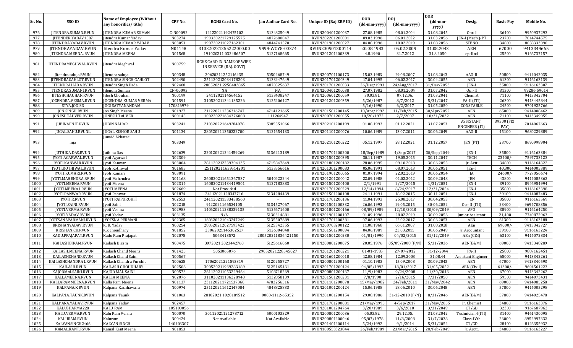|              | SSO ID                                  | <b>Name of Employee (Without</b>   |                  |                                                     |                                  | Unique ID (Raj ERP ID)               | <b>DOB</b>               | <b>DOI</b>                     | <b>DOR</b>              |                            |                    |                          |
|--------------|-----------------------------------------|------------------------------------|------------------|-----------------------------------------------------|----------------------------------|--------------------------------------|--------------------------|--------------------------------|-------------------------|----------------------------|--------------------|--------------------------|
| Sr. No.      |                                         | any honorifics/title)              | CPF No.          | <b>RGHS Card No.</b>                                | Jan Aadhar Card No.              |                                      | (dd-mm-yyyy)             | (dd-mm-yyyy)                   | (dd-mm-<br>yyyy)        | Desig.                     | <b>Basic Pay</b>   | Mobile No.               |
| 976          | JITENDRA.SUMAN.RVUN                     | <b>JITENDRA KUMAR SUMAN</b>        | C-N00092         | 12122021192475102                                   | 5134825049                       | RVUN200401200037                     | 27.08.1985               | 08.01.2004                     | 31.08.2045              | Opr. I                     | 36400              | 9950937293               |
| 977          | JITENDER.YADAV1507                      | itendra Kumar Yadav                | N03274           | 190320221729125575                                  | 4872680047                       | RVUN202201200001                     | 09.03.1996               | 06.01.2022                     | 31.03.2056              | JEN-I (Mech.)-PT           | 23700              | 7014744575               |
| 978          | JITENDRA.YADAV.RVUN                     | ITENDRA KUMAR YADAV                | N03053           | 190720211027162301                                  | 4844741570                       | RVUN201901200027                     | 04.08.1996               | 18.02.2019                     | 31.08.2056              | <b>STENO</b>               | 34800              | 8058333090               |
| 979          | JITENDRAYADAV.RVUN                      | Jitendra Kumar Yadav               | N01148           | 310320221255222000.00                               | 9999-WCY8-00374                  | RVUN200901200114                     | 20.08.1983               | 05.02.2009                     | 31.08.2043              | AEN                        | 67000              | 9413349665               |
| 980          | JITENDRA.MEENA. RVUN                    | <b>ITENDRA MEENA</b>               | N01568           | 191020211 032486507                                 | 5127168665                       | RVUN201201200339                     | 4.8.1990                 | 31.7.2012                      | 31.8.2050               | op-IInd                    | 25500              | 9166737157               |
| 981          | JITENDRAMEGHWAL.RVUN                    | Jitendra Meghwal                   | N00759           | RGHS CARD IN NAME OF WIFE<br>IN SERVICE (RAJ. GOVT) |                                  |                                      |                          |                                |                         |                            |                    |                          |
| 982          | Jitendra.saluja.RVUN                    | itendra saluja                     | N00348           | 20620211252116435                                   | 5050268749                       | RVUN200701100173                     | 15.03.1983               | 29.08.2007                     | 31.08.2043              | AAO-II                     | 50800              | 9414042035               |
| 983          | JITENDRAGAHLOT.RVUN                     | <b>JITENDRA SINGH GAHLOT</b>       | N02490           | 251120212034178203                                  | 5133447649                       | RVUN201701200349                     | 17.04.1995               | 06.02.2017                     | 30.04.2055              | AEN                        | 61300              | 9116163139               |
| 984          | JITENDRA.HADA.RVUN                      | litendra Singh Hada                | N02408           | 28052021 2258482865                                 | 4870525637                       | RVUN201701200033                     | 26/Dec/1993              | 24/Aug/2017                    | 31/Dec/2053             | JEN-I                      | 35800              | 9116163307               |
| 985          | <b>JITENDRA.SUMAN1RVUN</b>              | itendra Suman                      | CN-00093         | NA                                                  | NA                               | RVUN200401200038                     | 27.07.1982               | 08.01.2004                     | 31.07.2042              | Opr-II                     | 31300              | 99286-59014              |
| 986          | <b>JITESHCHAUHAN.RVUN</b>               | itesh Chouhan                      | N00199           | 2411202114564152                                    | 5133438247                       | RVUN200601200059                     | 30.03.81                 | 07.12.06.                      | 31.03.2041              | Chemist                    | 71100              | 9413342704               |
| 987          | JOGENDRA.VERMA.RVUN                     | JOGENDRA KUMAR VERMA               | N01591           | 310520211341135226                                  | 5125206427                       | RVUN201201200359                     | 5/26/1987                | 8/7/2012                       | 5/31/2047               | PA-II (ITI)                | 26300              | 9413445844               |
| 988          | STYA.JOGI33                             | JOGI SATYANANDAM                   | 170816979        |                                                     |                                  |                                      | 5/16/1990                | 6/2/2017                       | 31.05.2050              | CONSTABLE                  | 24500              | 9701925766               |
| 989          | JON.SINGH.RVUN                          | Jon Singh Meena                    | N01927           | 211220211236316747                                  | 4714121665                       | RVUN201501200145                     | 10/Apr/1992              | 11/Feb/2015                    | 30/Apr/2052             | AEN                        | 65000              | 9414008462               |
| 990          | JONESHTAUVER.RVUN                       | <b>ONESH TAUVER</b>                | N00145           | 100220221634376008                                  | 111264947                        | RVUN200701200055                     | 10/20/1972               | 2/7/2007                       | 10/31/2032              | AEN                        | 71100              | 9413349055               |
| 991          | JUBINAENIT.RVUN                         | <b>JUBIN NAHAR</b>                 | N03241           | 210320221649284078                                  | 5085551066                       | RVUN202101200199                     | 01.08.1993               | 01.12.2021                     | 31.07.2053              | ASSISTANT<br>ENGINEER (IT) | 39300 (FIX<br>PAY) | 7014067663               |
| 992          | JUGAL.SAHU.RVUNL                        | JUGAL KISHOR SAHU                  | N01134           | 280520211350222700                                  | 5121654133                       | RVUN201101200076                     | 10.06.1989               | 13.07.2011                     | 30.06.2049              | AAO-II                     | 45100              | 9680229889               |
| 993          | mja                                     | Junaid Akhatar                     | N03349           |                                                     |                                  | RVUN202101200222                     | 05.12.1997               | 28.12.2021                     | 31.12.2057              | JEN (PT)                   | 23700              | 8690998904               |
| 994          | <b>JUTHIKA.DAS.RVUN</b>                 | uthika Das                         | N02639           | 220120221241459269                                  | 5136213189                       | RVUN201701200200                     | 18/Sep/1989              | 4/Sep/2017                     | 30/Sep/2049             | JEN-I                      | 35800              | 9116163384               |
| 995          | JYOTI.AGARWAL.RVUN                      | yoti Agarwal                       | N02309           |                                                     |                                  | RVUN201501200395                     | 30.11.1987               | 19.05.2015                     | 30.11.2047              | TECH                       | 23400/             | 7597733123               |
| 996          | JYOTI.KANWAR.RVUN                       | yoti Kanwar                        | N03004           | 281120212239304135                                  | 4715847649                       | RVUN201801200182                     | 28.06.1995               | 09.10.2018                     | 30.06.2055              | Jr. Actt                   | 34800              | 9116164322               |
| 997          | JYOTI.KOTHIWAL.RVUN                     | yoti Kothiwal                      | N01685           | :251120211639514201                                 | 5133556616                       | RVUN201301200083                     | 05.06.1991               | 08.07.2013                     | 30.06.2051              | JEn-I                      | 40,300             | 9414005389               |
| 998          | <b>JYOTI.KUMARI.RVUN</b>                | yoti Kumari                        | N03091           |                                                     |                                  | RVUN201901200065                     | 01.07.1994               | 22.02.2019                     | 30.06.2054              | JA                         | 24600/             | 7727056674               |
| 999          | JYOTI.MAHENDRA.RVUN                     | Jyoti Mahendra                     | N01168           | 260820211651367537                                  | 5040422244                       | RVUN201201200042                     | 22.09.1988               | 01.02.2012                     | 30.09.2048              | <b>JEN</b>                 | 43800              | 9414085362               |
| 1000         | JYOTI.MEENA.RVUN                        | Jyoti Meena                        | N02314           | 160820211434419501                                  | 5127183883                       | RVUN201501200400                     | 2/1/1991                 | 2/27/2015                      | 1/31/2051               | JEN-I                      | 39100              | 8946954994               |
| 1001         | JYOTI.MEENA1.RVUN                       | JYOTI MEENA                        | N02669           | Not Provided                                        |                                  | RVUN201701200229                     | 12/14/1994               | 8/24/2017                      | 12/31/2054              | JEN-I                      | 35800              | 9116163398               |
| 1002         | JYOTI.PANWAR.RVUN                       | yoti Panwar                        | N01874           | 24112021128347716                                   | 5134284439                       | RVUN201501200108                     | 24.11.1991               | 18.02.2015                     | 30.11.2051              | JEN-I                      | 39100              | 9414087483               |
| 1003         | <b>IYOTI.R.RVUN</b>                     | <b>JYOTI RAJPUROHIT</b>            | N02553           | 241120211533438560                                  |                                  | RVUN201701200136                     | 11.04.1993               | 25.08.2017                     | 30.04.2053              | <b>JEN</b>                 | 35800              | 9116163569               |
| 1004         | JYOTI.SAINI.RVUN                        | Ivoti Saini                        | N02218           | 9122021166524105                                    | 5134527067                       | RVUN201501200332                     | 26.06.1992               | 29.05.2015                     | 30-06.2052              | Opr-II (ITI)               | 23400              | 9694708356               |
| 1005         | JYOTI.VERMA.RVUN                        | yoti Verma                         | N02983           | 140620211238239135                                  | 5125671600                       | RVUN201801200166                     | 08/09/1989               | 12/10/2018                     | 30/09/2049              | APO                        | 38900              | 9116164250               |
| 1006         | JYOTI.YADAV.RVUN                        | yoti Yadav                         | N03135           | N/A                                                 | 5130314881                       | RVUN201901200107                     | 01.09.1996               | 28.02.2019                     | 30.09.2056              | Junior Assistant           | 21,400             | 7740872963               |
| 1007         | JYOTSANAPARMANI.RVUN                    | <b>JYOTSNA PERMANI</b>             | N02385           | 160320221043247249                                  | 5135507689                       | RVUN201701200381                     | 07.06.1993               | 22.02.2017                     | 30.06.2053              | AEN                        | 61300              | 9116163188               |
| 1008         | KRISHANYADAV.RVUN                       | K. K. Yadav                        | N00254           | 280520212027593422                                  | 5125342355<br>5126004848         | RVUN200703200122                     | 11.08.1968               | 06.01.2007                     | 31.08.2028              | AEn                        | 69000/             | 9413342727               |
| 1009         | KRISHAN.CH.RVUN                         | K.k choudhary                      | N01852           | 23062021145302527                                   |                                  | RVUN201501200094                     | 04.06.1989               | 23.03.2015                     | 30.06.2049              | Jr. Accountant             | 39100              | 9116163224<br>9414072834 |
| 1010<br>1011 | KADU.PRAJAPAT.RVUN<br>KAILASHBIRAM.RVUN | Kadu Ram Prajapat<br>Kailash Biram | N02075<br>N00475 | 5063413572<br>3072021 2023442760                    | 280520211836421150<br>5125616060 | RVUN201501200230<br>RVUN200801200075 | 01/01/1990<br>20.05.1976 | 04/02/2015<br>05/09/2008 (F/N) | 31/12/2049<br>5/31/2036 | AEn (C&I)<br>AEN(E&M)      | 63100<br>69000     | 9413348289               |
| 1012         | KAILASH.MEENA.RVUN                      | Kailash Chand Meena                | N01425           | 5053065076                                          | 29052021228545027                | RVUN201201200221                     | 01-01-1985               | 27-07-2012                     | 31-12-2044              | PA-II                      | 25800              | 9887162451               |
| 1013         | KAILASHCHAND.RVUN                       | Kailash Chand Saini                | N00567           |                                                     |                                  | RVUN201601200018                     | 12.08.1984               | 12.09.2008                     | 31.08.44                | Assistant Engineer         | 65000              | 9413342261               |
| 1014         | KAILASHCHANDRA1.RVUN                    | Kailash Chandra Purohit            | N00625           | 17062021221593319                                   | 5120255727                       | RVUN200801200168                     | 01.10.1983               | 15.09.2008                     | 30.09.2043              | AEN                        | 67000              | 9413340593               |
| 1015         | KAILASH.RVUN                            | <b>KAILASH CHOUDHARY</b>           | N02506           | 300520211939283189                                  | 5125165431                       | RVUN201701200424                     | 04/05/1992               | 18/01/2017                     | 31/05/2052              | <b>AEN</b> (Civil)         | $61300/-$          | 9694561223               |
| 1016         | KAJODMALSAINI.RVUN                      | KAJOD MAL SAINI                    | N00573           | 261120211053229464                                  | 5108718269                       | RVUN200801200137                     | 11/9/1983                | 9/24/2008                      | 11/30/2043              | AEN                        | 67000              | 9413342262               |
| 1017         | KALLAMEENA.RVUN                         | <b>KALLA MEENA</b>                 | N02076           | 311020211136228943                                  | 5132858139                       | RVUN201501200231                     | 7/8/1990                 | 2/16/2015                      | 7/31/2050               | AEN                        | 59500              | 9414073431               |
| 1018         | KALLARAMMEENA.RVUN                      | Kalla Ram Meena                    | N01137           | 231120211721537360                                  | 4783256516                       | RVUN201101200078                     | 15/May/1982              | 24/Feb/2011                    | 31/May/2042             | AEN                        | 69000              | 9414085258               |
| 1019         | KALPANA.K.RVUN                          | Kalpana Kachhawaha                 | N00974           | 251120211612147084                                  | 4848825833                       | RVUN201001200124                     | 15.06.1988               | 28.06.2010                     | 30.06.2048              | AEN                        | 57800              | 9414005298               |
| 1020         | KALPANA.TAUNK.RVUN                      | Kalpana Taunk                      | N01063           | 28102021 1028189512                                 | 0000-1112-65352                  | RVUN201001200154                     | 29.08.1986               | 31-12-2010 (F/N)               | 8/31/2046               | AEN(E&M)                   | 57800              | 9414025478               |
| 1021         | KALPANA.YADAV.RVUN                      | Kalpana Yadav                      | N02457           |                                                     |                                  | RVUN201701200081                     | 21/May/1995              | 4/Sep/2017                     | 31/May/2055             | Jr. Chemist                | 34800              | 9116163376               |
| 1022         | KALUSHARMA228                           | <b>KALU RAM</b>                    | 105100056        |                                                     |                                  | RVUN201001204764                     | 3/20/1989                | 3/6/2010                       | 3/31/2049               | CT/GD                      | 32300              | 9167687962               |
| 1023         | KALU.VERMA.RVUN                         | Kalu Ram Verma                     | N00070           | 30112021121278712                                   | 5000103329                       | RVUN200801200036                     | 05.03.82.                | 29.12.05.                      | 31.03.2042              | Technician-I(ITI)          | 31400              | 9461430095               |
| 1024         | KALURAM.RVUN                            | Kaluram                            | N00424           | Not Available                                       | Not Available                    | RVUN200801200046                     | 05/07/1978               | 11/8/2008                      | 31/7/2038               | Class-IVth                 | 26000              | 8952997332               |
| 1025         | KALYANSINGH2466                         | KALYAN SINGH                       | 140403307        |                                                     |                                  | RVUN201401200414                     | 5/24/1992                | 9/1/2014                       | 5/31/2052               | CT/GD                      | 28400              | 8126355932               |
| 1026         | KAMAL.KANT.RVUN                         | Kamal Kant Meena                   | N01853           |                                                     |                                  | RVUN100553323844                     | 26/Feb/1989              | 23/Mar/2015                    | 28/Feb/2049             | Jr. Acctt.                 | 34800              | 9116163227               |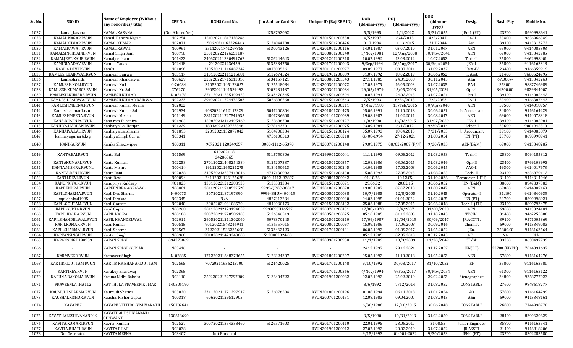|         |                      |                                                           |                   |                       |                     |                        | <b>DOB</b>   | <b>DOI</b>                    | <b>DOR</b>       |                   |                  |            |
|---------|----------------------|-----------------------------------------------------------|-------------------|-----------------------|---------------------|------------------------|--------------|-------------------------------|------------------|-------------------|------------------|------------|
| Sr. No. | SSO ID               | <b>Name of Employee (Without</b><br>any honorifics/title) | CPF No.           | <b>RGHS Card No.</b>  | Jan Aadhar Card No. | Unique ID (Raj ERP ID) | (dd-mm-yyyy) | $(dd{\text{-}}\text{mm-}yyyy$ | (dd-mm-<br>yyyy) | Desig.            | <b>Basic Pay</b> | Mobile No. |
| 1027    | kamal_kasana         | KAMAL KASANA                                              | (Not Alloted Yet) |                       | 4758762062          |                        | 5/5/1995     | 1/4/2022                      | 5/31/2055        | $[En-1 (PT)]$     | 23700            | 8690998641 |
| 1028    | KAMAL.NAGAR.RVUN     | Kamal Kishore Nagar                                       | N02254            | 151020211817128246    |                     | RVUN201501200358       | 4/5/1987     | 6/4/2015                      | 4/5/2047         | PA-II             | 23400            | 9636966349 |
| 1029    | KAMALKUMAR.RVUN      | <b>KAMAL KUMAR</b>                                        | N02871            | 150620211 62226413    | 5124044788          | RVUN201501200426       | 01.7.1984    | 11.3.2015                     | 31.7.2044        | Aen               | 39100            | 9413313272 |
| 1030    | KAMALRAWAT.RVUN      | KAMAL RAWAT                                               | N00961            | 25112021741267855     | 5130043126          | RVUN201001200116       | 14.01.1987   | 03.07.2010                    | 31.01.2047       | <b>AEN</b>        | 65000            | 9414085303 |
| 1031    | KAMALSINGHSAINI.RVUN | Kamal Singh Saini                                         | N00798            | 250120222126253187    |                     | RVUN200801200240       | 3/Nov/1981   | 12/Aug/2008                   | 30/Nov/2041      | <b>AEN</b>        | 67000            | 9413342785 |
| 1032    | KAMALJEET.KAUR.RVUN  | Kamaljeet kaur                                            | N01422            | 240620211330491762    | 5126244643          | RVUN201201200218       | 10.07.1992   | 13.08.2012                    | 10.07.2052       | Tech-II           | 25800            | 9462998401 |
| 1033    | KAMINI.YADAV.RVUN    | Kamini Yadav                                              | N02418            | 70120221236459        | 5135334750          | RVUN201701200043       | 9/Sep/1994   | 26/Aug/2017                   | 30/Sep/2054      | JEN-I             | 35800            | 9116163318 |
| 1034    | KAMLA.DEVI.RVUN      | Kamla                                                     | N01098            | 310520211116487342    | 4875005261          | RVUN201101200977       | 09.09.1977   | 08.07.2011                    | 31.09.2037       | Class-IV          | 23400            | 9166359919 |
| 1035    | KAMLESH.BAIRWA1.RVUN | Kamlesh Bairwa                                            | N03117            | 310120222111215681    | 5132674524          | RVUN201901200089       | 01.07.1992   | 18.02.2019                    | 30.06.2052       | Jr. Asst.         | 21400            | 9660524795 |
| 1036    | kamlesh.rsldc        | Kamlesh Khandelwal                                        | N00629            | 220220221715313316    | 5134157121          | RVUN200801203543       | 27.11.1985   | 24.09.2008                    | 30.11.2045       | AEn               | 67,000/          | 9413342263 |
| 1037    | KAMLESH.KOLI.RVUN    | Kamlesh Koli                                              | C-76084           | 31052021145178057     | 5125548084          | RVUN200301200072       | 27.05.1975   | 16.05.2003                    | 31.07.2035       | PA-I              | 35300            | 9887746989 |
| 1038    | KAMLESH.KUMAR02.RVUN | Kamlesh Kr. Saini                                         | C76270            | 29052021141539492     | 5002231437          | RVUN200301200084       | 26/05/1979   | 15/05/2003                    | 31/05/2039       | Opr.-I            | 34300.00         | 9829844007 |
| 1039    | KAMLESH.KUMAR2.RVUN  | <b>KAMLESH KUMAR</b>                                      | N-02178           | 271120211255102423    | 5133470345          | RVUN201501200304       | 10.07.1991   | 24.02.2015                    | 31.07.2051       | Jen-I             | 39100            | 9414085442 |
| 1040    | KAMLESH.BAIRWA.RVUN  | KAMLESH KUMAR BAIRWA                                      | N02233            | 291020211724475583    | 5026888268          | RVUN201501200343       | 7/5/1993     | 6/26/2015                     | 7/5/2053         | PA-II             | 23400            | 9166387443 |
| 1041    | KAMLESH.MEENA.RVUN   | Kamlesh Kumar Meena                                       | N02022            |                       |                     | RVUN201501200211       | 1/May/1980   | 13/Feb/2015                   | 30/Apr/2040      | <b>AEN</b>        | 59500            | 9414018957 |
| 1042    | Kamlesh.kumar1.rvun  | Kamlesh Kumar Saini                                       | N02934            | 90320221612117329     | 5041200804          | RVUN201801204475       | 05.06.1991   | 11.10.2018                    | 30.06.2051       | Jr. Accountant    | 34800            | 9116164229 |
| 1043    | KAMLESHMEENA.RVUN    | Kamlesh Meena                                             | N01149            | 281120211727541635    | 4801736608          | RVUN201101200089       | 19.08.1987   | 11.02.2011                    | 30.08.2047       | <b>AEN</b>        | 69000            | 9414078318 |
| 1044    | KANA.BIJARNIA.RVUN   | Kana ram Bijarniya                                        | N01903            | 150820212112405469    | 5128686700          | RVUN201501200127       | 1/8/1990     | 16/02/2015                    | 31/07/2050       | <b>IEN-I</b>      | 39100            | 9414085981 |
| 1045    | KANHIYA.HARIJAN.RVUN | Kanhaiya Lal Harijan                                      | N01229            | 18012022152722546     | 5078143701          | RVUN201201200075       | 03.09.1984   | 6/1/2012                      | 9/30/2044        | Helper-I          | 23600            | 9001945510 |
| 1046    | KANHAIYA.LAL.RVUN    | Kanhaiya Lal sharma                                       | N01895            | 22092021132877042     | 5104708334          | RVUN201501200124       | 05.07.1993   | 18.04.2015                    | 7/31/2053        | Ir. Accountant    | 39100            | 9414085879 |
| 1047    | kanhaiyagurjar6.ksg  | Kanhiya Singh Gurjar                                      | N03341            |                       | 4756100513          | RVUN202101200218       | 06-08-1994   | 27-12-2021                    | 31.08.2054       | JEN (PT)          | 23700            | 8690998941 |
| 1048    | KANIKA.RVUN          | Kanika Shakdwipee                                         | N00311            | 9072021 120249357     | 0000-1112-65370     | RVUN200701200148       | 29.09.1975   | 08/02/2007 (F/N)              | 9/30/2035        | AEN(E&M)          | 69000            | 9413348285 |
| 1049    | KANTA.BAI.RVUN       | Kanta Bai                                                 | N01569            | 610202118<br>34286365 | 5115750806          | RVUN199001200041       | 11.11.1993   | 09.08.2012                    | 31.08.2053       | Tech-II           | 25800            | 8094185812 |
| 1050    | KANTAKUMARI.RVUN     | Kanta Kumari                                              | N02253            | 270120221448254384    | 5125207337          | RVUN201501200357       | 12.08.1986   | 03.06.2015                    | 31.08.2046       | Opr-II            | 23400            | 8769108993 |
| 1051    | KANTA.MISHRA.RVUNL   | Kanta Mishra                                              | N00414            | 19112021165221275     | 5134150613          | RVUN200801200245       | 14.06.1985   | 17.03.2008                    | 30.06.2045       | AAO-II            | 49300            | 9414017673 |
| 1052    | KANTA.RANI.RVUN      | Kanta Rani                                                | N02038            | 310520212237418016    | 4717130082          | RVUN201501206130       | 15.08.1993   | 27.05.2015                    | 31.08.2053       | Tech.-II          | 23400            | 9636870112 |
| 1053    | KANTI.DEVI.RVUN      | Kanti Devi                                                | N00094            | 24112021126125638     | 0000-1112-93807     | RVUN200801200042       | 01.10.76.    | 19.12.05                      | 31.10.2036       | Technician-I(ITI) | 31400            | 9414314046 |
| 1054    | KANUPRIYA.K.RVUN     | Kanupriya Kuldeep                                         | NO1825            | 130120221212288935    | 5135581334          | RVUN201501200071       | 29.06.92     | 20.02.15                      | 30.06.2052       | JEN (E&M)         | 38000            | 8947837383 |
| 1055    | KAPEENDRA.RVUN       | KAPEENDRA AGRAWAL                                         | N00881            | 301120211710537528    | 9999-QPYC-00017     | RVUN201001200070       | 19.08.1987   | 07.07.2010                    | 31.08.2047       | <b>AEN</b>        | 69000            | 9414087168 |
| 1056    | KAPIL.SHARMA.RVUN    | Kapil Deo Sharma                                          | N-00073           | 3072021187197390      | 9999-BHUM-00415     | RVUN200801200038       | 10/7/1985    | 12/8/2005                     | 31.10.2045       | Operator-I        | 31,400           | 9414840935 |
| 1057    | kapildhakad1995      | Kapil Dhakad                                              | N03345            | N/A                   | 4827313234          | RVUN202201200030       | 04.03.1995   | 01.01.2022                    | 31.03.2055       | JEN (PT)          | 23700            | 8690998921 |
| 1058    | KAPIL.GOUTAM.RVUN    | Kapil Goutam                                              | N02040            | 3005202103108570      | 4843030473          | RVUN201501206132       | 25.06.1988   | 27.05.2015                    | 30.06.2048       | Tech-II (ITI)     | 23400            | 8890793475 |
| 1059    | KAPILGUPTA.RVUN      | Kapil Gupta                                               | N00268            | 201120212123194059    | 999989SU16537       | RVUN200701200131       | 17/08/1978   | 9/4/2007                      | 31/08/2038       | AEN               | 69000            | 9413324181 |
| 1060    | KAPIL.KALRA.RVUN     | <b>KAPIL KALRA</b>                                        | N00100            | 280720211720586103    | 5126546519          | RVUN200501200025       | 05.10.1985   | 01.12.2005                    | 31.10.2045       | TECH-I            | 31400            | 9462255000 |
| 1061    | KAPILKHANDELWAL.RVUN | KAPIL KHANDELWAL                                          | N02011            | 290520211211302060    | 5078370145          | RVUN201501200210       | 17/09/1987   | 22/04/2015                    | 30/09/2047       | JR.ACCTT.         | 39100            | 9571005869 |
| 1062    | KAPILKUMAR.RVUN      | Kapil Kumar                                               | N00518            | 90120221543246941     | 5136557015          | RVUN200801200097       | 15.09.1986   | 17.09.2008                    | 30.09.2046       | Chemist           | 69000            | 9413349083 |
| 1063    | KAPIL.SHARMA1.RVUN   | Kapil Sharma                                              | N02567            | 31220211536235600     | 5133462423          | RVUN201701200131       | 06.05.1992   | 01.09.2017                    | 31.05.2052       | JEn.              | 35800.00         | 9116163564 |
| 1064    | KAPTANSINGH.RVUN     | Kaptan Singh                                              | N00960            | 281020211423248000    | 5128882024.00       |                        | 05.12.1985   | 02.07.2010                    | 05.12.2045       | AEn.              | NA               | NA         |
| 1065    | KARANSINGH198959     | <b>KARAN SINGH</b>                                        | 094370069         |                       |                     | RVUN200901200958       | 11/1/1989    | 10/3/2009                     | 11/30/2049       | CT/GD             | 33300            | 8638497739 |
| 1066    |                      | KARAN SINGH GURJAR                                        | N03416            |                       |                     |                        | 24.12.1997   | 29.12.2021                    | 31.12.2057       | JEN(PT)           | 23700 (FIXED)    | 7014391637 |
| 1067    | KARMVEER.RVUN        | Karmveer Singh                                            | N-02885           | 171220211648378655    | 5128324307          | RVUN201801200207       | 05.05.1992   | 11.10.2018                    | 31.05.2052       | AEN               | 57800            | 9116164276 |
| 1068    | KARTIK, GOUTTAM.RVUN | KARTIK KRISHANA GOUTTAM                                   | N02565            | 70720211636215700     | 5124420025          | RVUN201701200148       | 9/10/1992    | 30/08/2017                    | 31/10/2052       | <b>JEN</b>        | 35800            | 9116163581 |
| 1069    | KARTIKEY.RVUN        | Kartikey Bhardwaj                                         | N02368            |                       |                     | RVUN201701200366       | 4/Nov/1994   | 9/Feb/2017                    | 30/Nov/2054      | AEN               | 61300            | 9116163122 |
| 1070    | KARUNA.BAKOLIA.RVUN  | Karuna Nidhi Bakolia                                      | N03110            | 250220221227297909    | 5136404722          | RVUN201901200082       | 02.02.1992   | 25.02.2019                    | 29.02.2052       | Stenographer      | 34800            | 9358777023 |
| 1071    | PRAVEENLATHA112      | KATTHULA PRAVEEN KUMAR                                    | 140506190         |                       |                     |                        | 8/6/1992     | 7/12/2014                     | 31.08.2052       | CONSTABLE         | 27600            | 9848618277 |
| 1072    | KAUMUDI.SHARMA.RVUN  | Kaumudi Sharma                                            | N03020            | 231120211721297917    | 5126076504          | RVUN201801200196       | 01.08.1994   | 06.11.2018                    | 31.01.2054       | A <sub>O</sub>    | 57800            | 9116164299 |
| 1073    | KAUSHALKISHOR.RVUN   | Kaushal Kishor Gupta                                      | N00318            | 6062021129512905      |                     | RVUN200701200151       | 12.08.1983   | 09.04.2007                    | 31.08.2043       | AEn               | 69000            | 9413348161 |
| 1074    | KAVARE7              | KAVARE VITTHAL VISHVANATH                                 | 150702641         |                       |                     |                        | 6/30/1988    | 12/10/2015                    | 30.06.2048       | CONSTABLE         | 26800            | 7744998770 |
| 1075    | KAVATHALESHIVANAND19 | KAVATHALE SHIVANAND<br><b>GUNWANT</b>                     | 130618690         |                       |                     |                        | 3/5/1990     | 10/31/2013                    | 31.03.2050       | CONSTABLE         | 28400            | 8390620629 |
| 1076    | KAVITA.KUMARI.RVUN   | Kavita Kumari                                             | N02527            | 300720211354338460    | 5126571603          | RVUN201701200110       | 22.04.1995   | 23.08.2017                    | 31.08.55         | Junior Engineer   | 35800            | 9116163541 |
| 1077    | KAVITA.BHATI.RVUN    | KAVITA BHATI                                              | N03038            |                       |                     | RVUN201901200012       | 27.07.1992   | 20.02.2019                    | 31.07.2052       | JR.ASSTT          | 21400            | 9116818206 |
| 1078    | Not Generated        | KAVITA MEENA                                              | N03407            | Not Provided          |                     |                        | 9/15/1993    | 01-001-2022                   | 9/30/2053        | JEN-I (PT)        | 23700            | 8302283580 |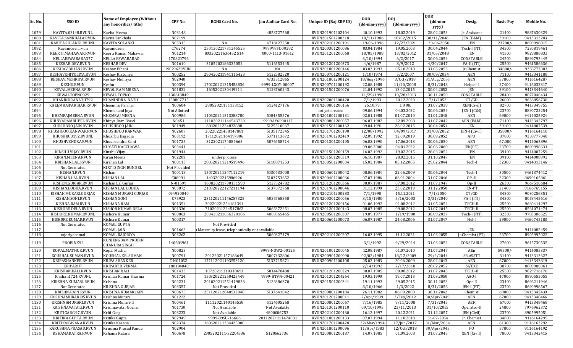| Sr. No.      | SSO ID                                  | <b>Name of Employee (Without</b><br>any honorifics/title) | CPF No.             | <b>RGHS Card No.</b>                          | Jan Aadhar Card No.         | Unique ID (Raj ERP ID)               | <b>DOB</b><br>(dd-mm-yyyy) | <b>DOJ</b><br>(dd-mm-yyyy) | <b>DOR</b><br>(dd-mm-    | Desig.                     | <b>Basic Pay</b> | Mobile No.               |
|--------------|-----------------------------------------|-----------------------------------------------------------|---------------------|-----------------------------------------------|-----------------------------|--------------------------------------|----------------------------|----------------------------|--------------------------|----------------------------|------------------|--------------------------|
|              |                                         |                                                           |                     |                                               |                             |                                      |                            |                            | yyyy)                    |                            |                  |                          |
| 1079         | KAVITA.03148.RVUNL                      | Kavita Meena                                              | N03148              |                                               | 4853727568                  | RVUN201901202404                     | 10.10.1993                 | 18.02.2019                 | 28.02.2053               | Jr. Assistant              | 21400            | 9887630329               |
| 1080         | KAVITA.SANKHALA.RVUN                    | Kavita Sankhala                                           | N02199              |                                               |                             | RVUN201501200318                     | 18/11/1986                 | 18/02/2015                 | 30/11/2046               | JEN (E&M)                  | 39100            | 9413313283               |
| 1081         | KAVITA.SOLANKI.RVUNL                    | KAVITA SOLANKI                                            | N03315              | NA                                            | 4718127250                  | RVUN202101200191                     | 19-06-1996                 | 12/27/2021                 | 30-06-2056               | JEN                        | $23700/-$        | 8690998815               |
| 1082         | Kayamdeen.rvun                          | Kayamdeen                                                 | C76274              | 250120221731245525                            | 9999V8FD00282               | RVUN200301200086                     | 03.04.1984                 | 19.05.2003                 | 30.04.2044               | Tech-I (ITI)               | 34300            | 7230819461               |
| 1083         | KEERTI.MAHAWAR.RVUN                     | Keerti Kumar Mahawar                                      | N01214              | 80320221636452514                             | 0000-1113-01612             | RVUN201201200068                     | 18/05/1988                 | 13/02/2012                 | 31/05/2048               | JEN                        | 41500            | 9829886833               |
| 1084<br>1085 | KELLAESWARARA077<br>KESHAB.DEV.RVUN     | KELLA ESWARARAO<br><b>KESHAB DEV</b>                      | 170820796<br>N01610 | 3105202186335052                              | 5116553445                  | RVUN201201200373                     | 6/10/1994<br>4/6/1987      | 6/2/2017<br>8/9/2012       | 30.06.2054<br>4/30/2047  | CONSTABLE<br>PA-II (ITI)   | 24500<br>25500   | 8899793445<br>9461586636 |
| 1086         | KESHAV.BIHANI.RVUN                      | Keshav Bihani                                             | N02962RVUN          | NA                                            | NA                          | RVUN201801200146                     | 03.03.1993                 | 05.10.2018                 | 31.03.2053               |                            | $34800/-$        | 9358777003               |
| 1087         | KESHAVKHITOLIYA.RVUN                    | Keshav Khitoliya                                          | N00252              | 290420211941115423                            | 5122582520                  | RVUN200701200121                     | 1/10/1974                  | 5/2/2007                   | 30/09/2034               | Jr.Chemist<br>AEN          | 71100            | 9413341188               |
| 1088         | KESHAV.MEHRIYA.RVUN                     | Keshav Mehriya                                            | N02940              |                                               | 4733512865                  | RVUN201801200124                     | 18/Aug/1996                | 3/0ct/2018                 | 31/Aug/2056              | AEN                        | 57800            | 9116164287               |
| 1089         | <b>KESHU.RVUN</b>                       | Keshu                                                     | N00394              | 170220221315458836                            | 9999-LX0Y-00007             | RVUN200701200192                     | 22.08.1988                 | 11/20/2008                 | 8/31/2048                | Helper-I                   | 27400            | 9116032317               |
| 1090         | KEVAL.MEENA.RVUN                        | <b>KEVAL RAM MEENA</b>                                    | N01831              | 1605202130419211                              | 5123760243                  | RVUN201501200076                     | 21.04.1992                 | 13.02.2015                 | 30.04.2052               | <b>JEN</b>                 | 39100            | 9413344640               |
| 1091         | KEWALTOPN0029                           | <b>KEWAL TOPNO</b>                                        | 130618849           |                                               |                             |                                      | 11/29/1990                 | 10/28/2013                 | 30.11.2050               | CONSTABLE                  | 28400            | 8877040434               |
| 1092         | KHANINDRANATH792                        | KHANINDRA NATH                                            | 150807715           |                                               |                             | RVUN202001200420                     | 7/1/1993                   | 20.12.2020                 | 7/1/2053                 | CT/GD                      | 26800            | 9636856730               |
| 1093         | KHEEMRAJPARIHAR.RVUN                    | Kheemraj Parihar                                          | N00604              | 28052021131133152                             | 5124127176                  | RVUN200801200156                     | 25.10.79.                  | 1.9.08                     | 31.07.2039               | XEN(Civil)                 | 82700            | 9413349755               |
| 1094         |                                         | Khemchand Joya                                            | Not Allotted        |                                               |                             | not yet created                      | 09.06.1994                 | 04.03.2022                 | 30.06.2054               | [EN-I (C&I)                | 23700            | 8890722254               |
| 1095         | KHEMRAJMEENA.RVUN                       | <b>KHEMRAJ MEENA</b>                                      | N00986              | 110620211313288780                            | 5004355576                  | RVUN201001200131                     | 02.01.1988                 | 01.07.2010                 | 31.01.2048               | AEN                        | 69000            | 9414025924               |
| 1096         | KHINYARAMBHEEL.RVUN                     | Khinya Ram Bheel                                          | N0451               | 111020211144543728                            | 9999AY6P00117               | RVUN200801200057                     | 06.07.1982                 | 22.09.2008                 | 31.07.2042               | AEN (E&M)                  | 71100            | 9413342797               |
| 1097         | KHUSHBOO.JAIN.RVUN                      | KHUSHBOO JAIN                                             | N01949              | 6082021224832888                              | 5125310037                  | RVUN201501200162                     | 09.04.1991                 | 26.02.2015                 | 30.04.2051               | JEN                        | 39100            | 9414007539               |
| 1098         | KHUSHBOO.KANWAR.RVUN                    | KHUSHBOO KANWAR                                           | N02607              | 20220221458147881                             | 5135172345                  | RVUN201701200190                     | 12/08/1992                 | 04/09/2017                 | 31/08/2052               | JEN-I (Civil)              | 35800/           | 9116164110               |
| 1099         | KHUSHBU3192.RVUNL                       | Khushbu Bagadia                                           | N03192              | 17112021164197806                             | 5071113672                  | RVUN201901202419                     | 02.09.1992                 | 12.09.2019                 | 30.09.2052               | APO                        | 37800            | 9358777048               |
| 1100         | KHUSHVENDRA.RVUN                        | Khushvendra Saini                                         | N01725              | 3122021174084663                              | 5076458714                  | RVUN201301200105                     | 06.02.1990                 | 17.06.2013                 | 30.06.2050               | AEN                        | 67,000           | 9414065896               |
| 1101         |                                         | KHYATI KACCHAWA                                           | N03441              | $\sim$                                        | $\sim$                      |                                      | 09.06.2000                 | 04.01.2022                 | 30.06.2060               | JEN(PT)                    | 23700            | 8690998631               |
| 1102         | KINSHU.VIJAY.RVUN                       | Kinshu Vijay                                              | N01944              |                                               |                             | RVUN201501200159                     | 16.02.1992                 | 19.02.2015                 | 28.03.2052               | JEN                        | 39100            | 9414007259               |
| 1103         | KIRAN.MEENA.RVUN                        | Kiran Meena                                               | N02201              | under process                                 |                             | RVUN201501200319                     | 06.10.1987                 | 28.02.2015                 | 31.10.2047               | <b>JEN</b>                 | 39100            | 9414008992               |
| 1104         | KRISHAN.LAL.RVUN                        | Kirshan Lal                                               | N00113              | 280520211219519496                            | 5118871253                  | RVUN200501200034                     | 15.02.1984                 | 05.12.2005                 | 29.02.2044               | Tech-I                     | 32300            | 9414313146               |
| 1105         | Not Generated                           | KIRTI SINGH BUNDEL                                        | Not Provided        |                                               |                             |                                      |                            |                            |                          |                            |                  |                          |
| 1106         | KISHAN.RVUN                             | Kishan                                                    | N00118              | 150720211247112219                            | 5030433008                  | RVUN200601200042                     | 08.06.1984                 | 22.06.2009                 | 30.06.2044               | Tech-I                     | 30500            | 9461374412               |
| 1107         | KISHAN.LAL.RVUN                         | <b>KISHAN LAL</b>                                         | C00091              | 1403202215986926                              | 5103753652                  | RVUN200401200036                     | 07.07.1986                 | 06.01.2004                 | 31.07.2046               | OP.-II                     | 32300            | 8690165861               |
| 1108         | KISHEN.GURJAR.RVUN                      | Kishan Lal Gurjar                                         | N-01599             | 160820211730131590                            | 5127524782                  | RVUN201201200366                     | 30.07.1987                 | 07.08.2012                 | 31.07.1947               | $Op-II$                    | 26300            | 9667510684               |
| 1109         | KISHAN.LODHA.RVUN                       | KISHAN LAL LODHA                                          | N03072              | 210320222127211194                            | 5137072768                  | RVUN201901200046                     | 31.12.1990                 | 23.02.2019                 | 31.12.2050               | <b>JEN-PT</b>              | 21400            | 9166769155               |
| 1110         | KISHAN.MURARI.GURJAR                    | KISHAN MURARI GURJAR                                      | 094920040           |                                               |                             | RVUN202101200283                     | 7/1/1990                   | 15.11.2021                 | 7/1/2050                 | CT/GD                      | 34300            | 9030256351               |
| 1111         | KISHAN.SONI.RVUN                        | <b>KISHAN SONI</b>                                        | C75923              | 231120211146257325                            | 5035768358                  | RVUN200301200056                     | 3/15/1980                  | 5/16/2003                  | 3/31/2040                | PA-I (ITI)                 | 34300            | 8058445616               |
| 1112         | KISHNA.RAM.RVUN                         | KISHANA RAM                                               | N01351              | 30220221254181391                             |                             | RVUN201201200156                     | 01.06.1992                 | 01.08.2012                 | 31.05.2052               | TECH-II                    | 25500            | 9660414297               |
| 1113         | KISHORE.DELA.RVUN                       | KISHOR KUMAR DELA                                         | N01336              | 71020211224547862                             | 5065372251                  | RVUN201201200143                     | 08.07.1985                 | 09.08.2012                 | 31.07.2045               | TECH-II                    | 25500            | 8561071474               |
| 1114         | KISHORE.KUMAR.RVUNL                     | Kishore Kumar                                             | N00063              | 200420211056328186                            | 4808565465                  | RVUN200501200387                     | 19.09.1977                 | 1/19/1900                  | 30.09.2037               | Tech-I (ITI)               | 32300            | 9783386525               |
| 1115         | KISHORE.KUMAR.RVUN                      | Kishore Kumar                                             | N00317              |                                               |                             | RVUN200601200073                     | 06.07.1987                 | 24.08.2006                 | 31.07.2047               | Hel-I                      | 29000            | 9460745183               |
| 1116         | Not Generated                           | KOMAL GUPTA                                               |                     | Not Provided                                  |                             |                                      |                            |                            |                          |                            |                  |                          |
| 1117         |                                         | <b>KOMAL JAIN</b>                                         | N01663              | Maternity leave, telephonically not available |                             |                                      |                            |                            |                          | JEN                        |                  | 9414085459               |
| 1118         | rajoriyakomal                           | KOMAL RAJORIYA                                            | N03262              |                                               | 5060327479                  | RVUN202101200207                     | 16.03.1995                 | 14.12.2021                 | 31.03.2055               | Jr.Chemist (PT)            | 23700            | 8905995022               |
| 1119         | PROBINK92                               | KONJENGBAM PROBIN<br><b>CHANDRA SINGH</b>                 | 140603961           |                                               |                             |                                      | 3/1/1992                   | 9/29/2014                  | 31.03.2052               | CONSTABLE                  | 27600            | 9615730535               |
| 1120         | KOPAL.MATHUR.RVUN                       | Kopal Mathur                                              | N00823              |                                               | 9999-N3W2-00125             | RVUN201001200045                     | 12.08.1987                 | 01.07.2010                 | 31.07.2047               | AEn                        | 59500/           | 9414085337               |
| 1121         | KOUSHAL.SUMAN.RVUN                      | KOUSHAL KR. SUMAN                                         | N00791              | 20122021157186649                             | 5007432806                  | RVUN200901200090                     | 02/02/1984                 | 18/12/2009                 | 29/2/2044                | SR.ASST'I                  | 31400            | 9413313627               |
| 1122         | KRIPASHANKER.RVUN                       | <b>KRIPA SHANKER</b>                                      | C-N01052            | 171112021193553120                            | 5133715671                  | RVUN200901200108                     | 05.02.1983                 | 30.06.2009                 | 28.02.2043               | AEN                        | 67000            | 9413343819               |
| 1123         | <b>KRIPARHT</b>                         | <b>KRIPARTH VERMA</b>                                     | 180104040           |                                               |                             |                                      | 2/14/1992                  | 2/17/2018                  | 28.02.2052               | SI/EXE                     | 38700            | 8889980061               |
| 1124         | KRISHAN.BALI.RVUN                       | <b>KRISHAN BALI</b>                                       | N01433              | 10720211310318693                             | 5014478408                  | RVUN201201200229                     | 10.07.1985                 | 08.08.2012                 | 31.07.2045               | TECH-II                    | 25500            | 9829716176               |
| 1125         | Krishan1724.RVUNL                       | Krishan Kumar Sharma                                      | N01724              | 150320221250425449                            | 9999-HTVN-00421             | RVUN201301204264                     | 19.03.1990                 | 19.07.2013                 | 31.03.2050               | AAO-I                      | 47000            | 8890555055               |
| 1126         | KRISHNA.KUMARI.RVUN                     | Krishna                                                   | N02231              | 201020211551419836                            | 5126386370                  | RVUN201501200341                     | 19.11.1993                 | 29.05.2015                 | 30.11.2053               | Opr-II                     | 23400            | 8696211946               |
| 1127         | Not Generated                           | KRISHNA GURJAR                                            | N03357              | Not Provided                                  |                             |                                      | 8/10/1966                  | 1/3/2022                   | 8/31/2056                | JEN-I (PT)                 | 23700            | 8690998567               |
| 1128         | KRISHNAJAIN.RVUN                        | KRISHNA KUMAR JAIN                                        | N00675              | 251120212040532840                            | 5137641042                  | RVUN200801200184                     | 26.11.1982                 | 06.09.2008                 | 30.11.2042               | Chemist                    | 69000            | 9413342439               |
| 1129         | KRISHNAMURARI05.RVUN                    | Krishna Murari                                            | N01222              |                                               |                             | RVUN201201200011                     | 7/Apr/1989                 | 3/Feb/2012                 | 30/Apr/2049              | AEN                        | 67000            | 9413348466               |
| 1130         | KRISHNAMURARI.RVUN                      | Krishna Murari-II                                         | N00461              | 11112021140145530                             | 5124605268                  | RVUN200801200067                     | 7/16/1985                  | 9/11/2008                  | 7/31/2045                | AEN                        | 67000            | 9413348468               |
| 1131         | KRISHNAVATA.G.RVUN                      | Krishnavatar Gocher                                       | N01730              | Not Available<br>Not Available                | Not Available<br>4800006753 | RVUN201301200110                     | 09/10/1995                 | 23/11/2013                 | 31/10/2055               | Operator-II                | 24800            | 7976962372               |
| 1132         | KRITIGARG.97.RVUN<br>KRITIKA.GUPTA.RVUN | Kriti Garg<br>Kritika Gupta                               | N03233<br>N02949    | 9999-89SU-16666                               | 28112021111474031           | RVUN202101200160<br>RVUN201801200133 | 16.12.1997<br>07.07.1994   | 20.12.2021<br>11.10.2018   | 31.12.2057<br>31-07-2054 | JEN (Civil)<br>Jr. Chemist | 23700<br>34800   | 8905995051<br>9116164295 |
| 1133<br>1134 | KRITIKAKASANA.RVUN                      | Kritika Kasana                                            | N02374              | 160620211334425000                            |                             | RVUN201701200428                     | 22/Mar/1994                | 17/Jun/2017                | 31/Mar/2054              | AEN                        | 61300            | 9116163292               |
| 1135         | KARUSHNA.PRASAD.RVUN                    | Krushna Prasad Panda                                      | N02904              |                                               |                             | RVUN201801200096                     | 11/Apr/1983                | 12/0ct/2018                | 30/Apr/2043              | PO                         | 57800            | 9116164192               |
| 1136         | KSHAMAKATRA.RVUN                        | Kshama Katara                                             | N00678              | 2905202111-32204536                           | 5120662736                  | RVUN200801200187                     | 14.07.1985                 | 01.09.2008                 | 31.07.2045               | XEN (Civil)                | 78000            | 9413342415               |
|              |                                         |                                                           |                     |                                               |                             |                                      |                            |                            |                          |                            |                  |                          |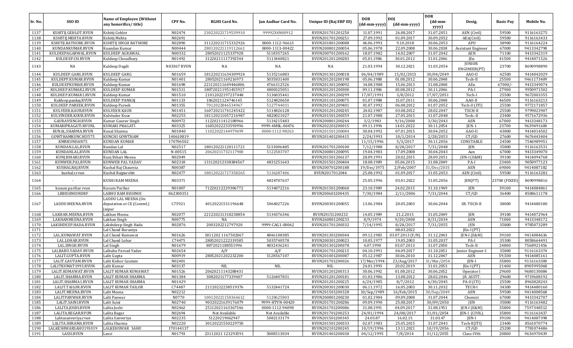|         |                      |                                                            |                    |                      |                          |                        |                            |                            | <b>DOR</b>                          |                               |                  |            |
|---------|----------------------|------------------------------------------------------------|--------------------|----------------------|--------------------------|------------------------|----------------------------|----------------------------|-------------------------------------|-------------------------------|------------------|------------|
| Sr. No. | SSO ID               | <b>Name of Employee (Without</b><br>any honorifics/title)  | CPF No.            | <b>RGHS Card No.</b> | Jan Aadhar Card No.      | Unique ID (Raj ERP ID) | <b>DOB</b><br>(dd-mm-yyyy) | <b>DOI</b><br>(dd-mm-yyyy) | $(dd{\text{-}\mathbf{mm}}$<br>yyyy) | Desig.                        | <b>Basic Pay</b> | Mobile No. |
| 1137    | KSHITIJ.GEHLOT.RVUN  | Kshitij Gehlot                                             | N02474             | 230220221719539910   | 99992X4N00912            | RVUN201701201250       | 11.07.1991                 | 26.08.2017                 | 31.07.2051                          | AEN (Civil)                   | 59500            | 9116163275 |
| 1138    | KSHITIJ.MEHTA.RVUN   | Kshitij Mehta                                              | N02691             |                      | $\overline{\phantom{a}}$ | RVUN201701200251       | 27.09.1992                 | 01.09.2017                 | 30.09.2052                          | AEn(Civil)                    | 59500            | 9116163433 |
| 1139    | KSHITIJ.RATHORE.RVUN | KSHITIJ SINGH RATHORE                                      | N02890             | 311220211715332926   | 0000-1112-96613          | RVUN201801200088       | 06.06.1993                 | 9.10.2018                  | 30.06.2053                          | APO                           | 38900            | 9116164224 |
| 1140    | KUNDANKUMAR.RVUN     | Kuandan Kumar                                              | N00444             | 280120221119112661   | 0000-1113-00422          | RVUN200801200054       | 05.06.1978                 | 22.09.2008                 | 30.06.2038                          | Assistant Engineer            | 67000            | 9413342798 |
| 1141    | KULDEEPAGARWAL.RVUN  | KULDEEP AGRAWAL                                            | N00332             | 28052021125337928    | 5118357265               | RVUN200701200162       | 18.07.1982                 | 14.02.2007                 | 31.07.2042                          | AEN                           | 71100            | 9413342319 |
| 1142    | KULDEEP.CH.RVUN      | Kuldeep Choudhary                                          | N01492             | 31220211117392544    | 5113440821               | RVUN201201200283       | 05.01.1986                 | 30.01.2012                 | 31.01.2046                          | JEn                           | 41500            | 9414071526 |
| 1143    | NA                   | Kuldeep Dagdi                                              | <b>N03367 RVUN</b> | NA                   | $\rm NA$                 | NA                     | 21.03.1994                 | 30.12.2021                 | 31.03.2054                          | <b>JUNIOR</b><br>ENGINEER(PT) | 23700            | 8690998890 |
| 1144    | KULDEEP.GARG.RVUN    | <b>KULDEEP GARG</b>                                        | N01659             | 181220211634309924   | 5135216883               | RVUN201301200018       | 06/04/1989                 | 15/02/2013                 | 30/04/2049                          | AAO-II                        | 42500            | 9414042029 |
| 1145    | KULDEPP.KUMAR.RVUN   | Kuldeep Kumar                                              | N01401             | 28052021169216973    | 5035831400               | RVUN201201200198       | 05.06.1988                 | 01.08.2012                 | 30.06.2048                          | Tech-II                       | 25500            | 9461173409 |
| 1146    | KULDEEPKUMAR.RVUN    | Kuldeep Kumar                                              | N01698             | 221120211649446806   | 4766312526               | RVUN201301200092       | 14.08.1988                 | 15.06.2013                 | 31.08.2048                          | AEn                           | $67000/-$        | 9413349074 |
| 1147    | KULDEEP.KUMAR2.RVUN  | <b>KULDEEP KUMAR</b>                                       | N01511             | 180720211951455917   | 4800325051               | RVUN201201200300       | 09.11.1986                 | 03.08.2012                 | 30.11.2046                          | PA-I                          | 27900            | 9950971502 |
| 1148    | KULDEEP.KUMAR1.RVUN  | Kuldeep Kumar                                              | N01510             | 21012022197237448    | 5136035441               | RVUN201201200299       | 17/07/1991                 | 3/8/2012                   | 17/07/2051                          | Tech-I                        | 25500            | 9672003355 |
| 1149    | Kuldeep.pankaj.RVUN  | <b>KULDEEP PANKAJ</b>                                      | N01133             | 1062021124746145     | 5124820650               | RVUN201101200075       | 01.07.1988                 | 15.07.2011                 | 30.06.2048                          | AAO-II                        | 46500            | 9116163213 |
| 1150    | KULDEEP.PAREEK.RVUN  | Kuldeep Pareek                                             | N01355             | 7012022846534967     | 5127744031               | RVUN201201209401       | 01.07.1992                 | 06.08.2012                 | 01.07.2052                          | Tech-II (ITI)                 | 25500            | 9772171857 |
| 1151    | KULVEER.KAUR.RVUN    | <b>KULVEER KAUR</b>                                        | N01451             | 160720211741245422   | 5114826128               | RVUN201201200245       | 24.02.1987                 | 03.08.2012                 | 28.02.2047                          | TECH-I                        | 25500            | 9799023907 |
| 1152    | KULVINDER.KOUR.RVUN  | Kulvinder Kour                                             | N02255             | 181120211057216987   | 4820021027               | RVUN201501200359       | 21.07.1988                 | 27.05.2015                 | 31.07.2048                          | Tech.-II                      | 23400            | 9571672936 |
| 1153    | GAURAVSINGH.RVUN     | Kumar Gaurav Singh                                         | N00972             | 11220211412108966    | 5134215483               | RVUN200801200244       | 3/2/1983                   | 9/16/2008                  | 3/30/2043                           | <b>AEN</b>                    | 67000            | 9413348173 |
| 1154    | KUMARIPRAGATI.RVUNL  | KUMARI PRAGATI                                             | N03325             | 16032022233593996    | 9999-4M8L-00476          | RVUN202201200015       | 09.11.1994                 | 14.01.2022                 | 30.11.2054                          | $JEN-1$                       | 23700            | 9639491600 |
| 1155    | KUNAL.SHARMA.RVUN    | Kunal Sharma                                               | N01840             | 11022022144979699    | 0000-1112-98263          | RVUN201501200084       | 30.04.1992                 | 07.01.2015                 | 30.04.2052                          | AAO-II                        | 43800            | 9414014502 |
| 1156    | GOWTHAMKUNCHI3575    | KUNCHI GOWTHAM                                             | 140610819          |                      |                          | RVUN201401200415       | 2/24/1993                  | 10/1/2014                  | 2/28/2053                           | CT/GD                         | 27600            | 9676443404 |
| 1157    | KMRKUNDAN75          | KUNDAN KUMAR                                               | 170706502          |                      |                          |                        | 11/15/1996                 | 5/3/2017                   | 30.11.2056                          | CONSTABLE                     | 24500            | 7546989951 |
| 1158    | KUNDAN.LAL.RVUN      | Kundan Lal                                                 | N02517             | 180120221120111721   | 5133006485               | RVUN201701200100       | 7/12/1988                  | 8/28/2017                  | 7/31/2048                           | <b>JEN</b>                    | 35800            | 9116163531 |
| 1159    | KUNDANLAL.RVUN       | <b>KUNDAN LAL</b>                                          | N-00515            | 20620211732117900    | 5122583707               | RVUN200801200095       | 19.04.1983                 | 17.09.2008                 | 30.04.2043                          | Aen                           | 67000            | 9413349070 |
| 1160    | KUNJ.BIHARI.RVUN     | Kunj Bihari Meena                                          | N02049             |                      |                          | RVUN201501206137       | 28.09.1991                 | 20.02.2015                 | 28.09.2051                          | JEN-I (E&M)                   | 39100            | 9414094768 |
| 1161    | KUNWER.PAL.RVUN      | KUNWER PAL YADAV                                           | N02318             | 131120212338384567   | 4831251643               | RVUN201501200404       | 18.08.1989                 | 05.06.2015                 | 31.08.2049                          | PA-I                          | 23400            | 9050977123 |
| 1162    | KUSHALRAJ.RVUN       | Kushal Raj Chaursia                                        | N00387             |                      |                          | RVUN200701200188       | 19/Dec/1975                | 2/Feb/2007                 | 31/Dec/2035                         | AEN                           | 69000            | 9414087182 |
| 1163    | kushal.r.rvun        | Kushal Rajpurohit                                          | N02477             | 180120221717358265   | 5136287406               | RVUN2017012044         | 25.08.1992                 | 01.09.2017                 | 31.05.2053                          | AEN (Civil)                   | 59500            | 9116163283 |
| 1164    |                      | KUSHI RAM MEENA                                            | N03371             |                      | 4824707637               |                        | 25.05.1996                 | 03.01.2022                 | 31.05.2056                          | JEN(PT)                       | 23700 (FIXED)    | 8690998816 |
| 1165    | kusum.parihar.rvun   | Kusum Parihar                                              | N01807             | 71220212229306772    | 5134072216               | RVUN201501200060       | 23.10.1989                 | 24.02.2015                 | 31.10.1949                          | JEN                           | 39100            | 9414084861 |
| 1166    | <b>LRBISHNOINDRF</b> | LABHU RAM BISHNOI                                          | 062300351          |                      |                          | RVUN200601200435       | 7/30/1984                  | 2/11/2006                  | 7/31/2044                           | CT/GD                         | 36400            | 8508611178 |
| 1167    | LADDU.MEENA.RVUN     | LADDU LAL MEENA (On<br>deputation at CE (Comml.)<br>Jaipur | C75921             | 40120221531196648    | 5064027226               | RVUN200301200055       | 13.06.1984                 | 20.05.2003                 | 30.06.2044                          | SR. TECH-II                   | 38000            | 9414480180 |
| 1168    | LAKHAN.MEENA.RVUN    | Lakhan Meena                                               | N02077             | 221220211318238854   | 5134376346               | RVUN20151200232        | 14.05.1989                 | 21.2.2015                  | 31.05.2049                          | JEN                           | 39100            | 9414072964 |
| 1169    | LAKHANMEENA.RVUN     | Lakhan Singh                                               | N00775             | NA                   |                          | RVUN260801200233       | 8/9/1974                   | 9/20/2008                  | 8/31/2034                           | <b>AEN</b>                    | 71000            | 9413348172 |
| 1170    | LAKSHDEEP.HADA.RVUN  | Lakshdeep Singh Hada                                       | N02876             | 2003202212797920     | 9999-CAG1-00062          | RVUN201701200332       | 7/14/1995                  | 8/28/2017                  | 7/31/2055                           | <b>JEN</b>                    | 35800            | 9785073289 |
| 1171    |                      | al Chand Buraniya                                          |                    |                      |                          |                        |                            | 08.03.2022                 |                                     | $[En-I (PT)]$                 |                  |            |
| 1172    | LAL.KUMAWAT.RVUN     | Lal Chand Kumawat                                          | N01626             | 1811202 1167502067   | 4846108385               | RVUN201301200044       | 09.12.1983                 | $03.07.2013$ (F/N)         | 31.12.2043                          | JEN-I (E&M)                   | 39100            | 9414084636 |
| 1173    | LAL.LOHAR.RVUN       | Lal Chand Lohar                                            | C74475             | 28052021222319585    | 5035740578               | RVUN200301200023       | 10.05.1977                 | 19.05.2003                 | 31.05.2037                          | PA-I                          | 35300            | 8058664491 |
| 1174    | LAL.SINGH.RVUN       | Lal Singh                                                  | N01679             | 8072021188551996     | 4832436241               | RVUN201301200078       | 4.07.1990                  | 03.07.2013                 | 31.07.2050                          | Tech-II                       | 24800            | 7568921456 |
| 1175    | LALBABU.YADAV.RVUN   | Lalbabu Parsad Yadav                                       | N02654             | A/F                  | A/F                      | RVUN201701200215       | 04.10.1991                 | 04.09.2017                 | 31.10.2051                          | Junior Engineer-I             | 35800            | 9116163374 |
| 1176    | LALIT.GUPTA.RVUN     | Lalit Gupta                                                | N00919             | 28052021202232200    | 5128567107               | RVUN201001200087       | 05.12.1987                 | 30.06.2010                 | 31.12.2047                          | AEN                           | 59,500           | 9414085161 |
| 1177    | LALIT.GAUTAM.RVUN    | Lalit Kishor Gautam                                        | N02401             |                      |                          | RVUN201701200026       | 17/Mar/1994                | 23/Aug/2017                | 31/Mar/2054                         | JEN-I                         | 35800            | 9116163300 |
| 1178    | LALITKUMAT1993.RVUN  | Lalit Kumar                                                | N03137             | <b>NIL</b>           | <b>NIL</b>               | <b>NIL</b>             | 24.01.1993                 | 20.02.2019                 | 31.01.2053                          | IEn-I (PT)                    | 21400            | 8905995068 |
| 1179    | LALIT.KUMAWAT.RVUN   | LALIT KUMAR KUMAWAT                                        | N01526             | 20620211143288431    |                          | RVUN201201200313       | 30.06.1992                 | 01.08.2012                 | 30.06.2052                          | Operator I                    | 29600            | 9680130084 |
| 1180    | LALIT.SHARMA.RVUN    | LALIT KUMAR SHARMA                                         | N01384             | 3082021177339407     | 5126407831               | RVUN201201200181       | 01.03.1986                 | 13.08.2012                 | 28.02.2046                          | JR. ASSTT.                    | 29600            | 9719608192 |
| 1181    | LALIT.SHARMA1.RVUN   | LALIT KUMAR SHARMA                                         | N01429             |                      |                          | RVUN201201200225       | 6/24/1985                  | 8/7/2012                   | 6/30/2045                           | PA-II (ITI)                   | 25500            | 8963828243 |
| 1182    | LALIT.TAILOR.RVUN    | <b>LALIT KUMAR TAILOR</b>                                  | C74487             | 21120212238519376    | 5132441724               | RVUN200301200030       | 06.11.1972                 | 16.05.2003                 | 30.11.2032                          | TECH-I                        | 34300            | 9414480160 |
| 1183    | LALIT.MEENA.RVUN     | Lalit Meena                                                | N02212             |                      |                          | RVUN201501200328       | 10/Sep/1989                | 16/Feb/2015                | 30/Sep/2049                         | AEN                           | 59500            | 9414008568 |
| 1184    | LALITPANWAR.RVUN     | Lalit Panwar                                               | N0770              | 100120221150364612   | 5128625803               | RVUN200801200230       | 01.02.1984                 | 09.09.2008                 | 31.07.2044                          | Chemist                       | 67000            | 9413342707 |
| 1185    | LALIT.SAINI.RVUN     | Lalit Saini                                                | N02740             | 90320221639176079    | 9999-HTVN-00420          | RVUN201701200286       | 09.09.1990                 | 25.08.2017                 | 30/09/2050                          | JEN                           | 35800            | 9116163482 |
| 1186    | LALITA.JOSHI.RVUN    | Lalita Joshi                                               | N02462             | 25112021163367546    | 0000-1112-94098          | RVUN201701200086       | 31.08.1991                 | 04.09.2017                 | 31.08.1951                          | $JEN-I$ $(E&M)$               | 35800            | 7597348512 |
| 1187    | LALITA.REGAR.RVUN    | Lalita Regar                                               | N02694             | Not Available        | Not Available            | RVUN201701200253       | 24/01/1994                 | 24/08/2017                 | 31/01/2054                          | JEN-I (CIVIL)                 | 35800            | 9116163437 |
| 1188    | Lalitasanveriya.rvun | Lalita Sanveriya                                           | N02235             | 51220219062947       | 5082133179               | RVUN201501200345       | 24.03.87                   | 16.02.15                   | 31.03.47                            | JEN-I                         | 39100            | 9414087398 |
| 1189    | LALITA.SHRAMA.RVUN   | Lalita Sharma                                              | N02220             | 30120221550229750    |                          | RVUN201501200333       | 02.07.1983                 | 25.05.2015                 | 31.07.2043                          | $Tech-II(ITI)$                | 23400            | 8561070774 |
| 1190    | LALKESHWARSAHU191019 | <b>LALKEHSWAR SAHU</b>                                     | 170144137          |                      |                          | RVUN202101200245       | 10/19/1996                 | 13.11.2021                 | 10/19/2056                          | CT/GD                         | 25200            | 7781074486 |
| 1191    | LASSI.RVUN           | Lassi                                                      | N01793             | 23112021 123293591   | 5008513034               | RVUN201401200030       | 04/12/1995                 | 7/8/2014                   | 31/12/2055                          | Class-IVth                    | 20800            | 9636970439 |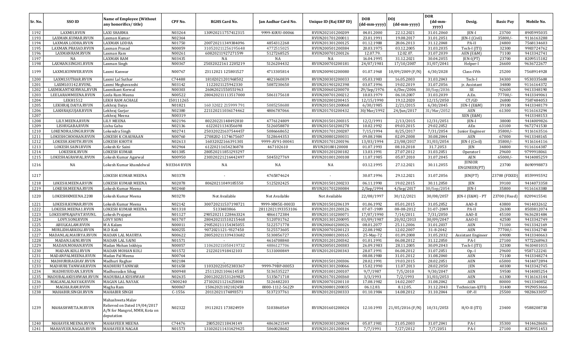| Sr. No.      | SSO ID                   | <b>Name of Employee (Without</b><br>any honorifics/title)                                       | CPF No.                      | <b>RGHS Card No.</b>      | Jan Aadhar Card No. | Unique ID (Raj ERP ID) | <b>DOB</b><br>(dd-mm-yyyy) | DOJ<br>(dd-mm-yyyy)      | <b>DOR</b><br>$(dd{\text{-}\mathbf{mm}}$ | Desig.             | <b>Basic Pay</b> | Mobile No.               |
|--------------|--------------------------|-------------------------------------------------------------------------------------------------|------------------------------|---------------------------|---------------------|------------------------|----------------------------|--------------------------|------------------------------------------|--------------------|------------------|--------------------------|
|              |                          |                                                                                                 |                              |                           |                     |                        |                            |                          | yyyy)                                    |                    |                  |                          |
| 1192         | LAXMIS.RVUN              | <b>LAXI SHARMA</b>                                                                              | N03264                       | 130920211757412315        | 9999-K0UU-00066     | RVUN202101200209       | 04.01.2000                 | 22.12.2021               | 31.01.2060                               | JEN-I              | 23700            | 8905995035               |
| 1193         | LAXMAN.KUMAR.RVUN        | Laxman Kumar                                                                                    | N02364                       |                           |                     | RVUN201701200011       | 23.01.1991                 | 19.08.2017               | 31.01.2051                               | [EN-I (Civil)      | 35800/           | 9116163288               |
| 1194         | LAXMAN.LODHA.RVUN        | LAXMAN LODHA                                                                                    | N01750                       | 200720211349384096        | 4854312268          | RVUN201301200125       | 01.12.1988                 | 28.06.2013               | 31.12.2048                               | PA-II              | 24800            | 7568134603               |
| 1195         | LAXMAN.PRASAD.RVUN       | Laxman Prasad                                                                                   | N00059                       | 310520211256195648        | 4772515025          | RVUN200501200384       | 20.03.1975                 | 03.12.2005               | 31.03.2035                               | Tech-I (ITI)       | 32300            | 9983724762               |
| 1196         | LAXMANRAM.RVUN           | Laxman Ram<br><b>LAXMAN RAM</b>                                                                 | N00261<br>N03435             | 60820211927271599         | 5127268525          | RVUN200701200126       | 12.07.79.                  | 12.02.07.<br>31.12.2021  | 31.07.2039                               | AEN (E&M)          | 71100<br>23700   | 9413342741<br>8209515182 |
| 1197<br>1198 | NA<br>LAXMAN.SINGH1.RVUN |                                                                                                 | N00367                       | NA<br>25032022161 2205219 | NA<br>5126204432    | NA<br>RVUN200701200181 | 16.04.1995<br>24/07/1981   | 17/10/2007               | 30.04.2055<br>31/07/2041                 | $IEN-I(PT)$        | 26600            | 9636722677               |
|              |                          | Laxman Singh                                                                                    |                              |                           |                     |                        |                            |                          |                                          | Helper-I           |                  |                          |
| 1199         | LAXMI.KUNWER.RVUN        | Laxmi Kanwar                                                                                    | N00767                       | 23112021 125801527        | 4713305814          | RVUN200901200080       | 01.07.1968                 | 10/09/2009 (F/N)         | 6/30/2028                                | Class-IVth         | 25200            | 7568914928               |
| 1200         | LAXMI.SUTHAR.RVUN        | Laxmi Lal Suthar                                                                                | C74488                       | 18102021201968502         | 4821060839          | RVUN200301200033       | 05.03.1983                 | 16.05.2003               | 31.03.2043                               | Tech-I             | 34300            | 9530335608               |
| 1201         | LAXMI.03142.RVUNL        | Laxmi Meghavanshi                                                                               | N03142                       | 1122021125942330          | 5087230650          | RVUN201901202398       | 03.07.1996                 | 19.02.2019               | 31.07.2056                               | jr. Assistant      | 34800            | 9116164372               |
| 1202         | LAXMIKANTKERWAL.RVUN     | Laxmikant Kerwal                                                                                | N00303                       | 26042021550551963         |                     | RVUN200601200070       | 29/Sep/1976                | 6/Dec/2006               | 30/Sep/2036                              | SE                 | 92600            | 9413348190               |
| 1203         | LEELARAMMEENA.RVUN       | Leela Ram Meena                                                                                 | N00522                       | 280420211113517000        | 5061175618          | RVUN200701200212       | 10.03.1979                 | 06.10.2007               | 31.03.2039                               | A.En.              | 77700/           | 9413349061               |
| 1204         | <b>LEKH1512</b>          | LEKH RAM ACHALE                                                                                 | 150111265                    |                           |                     | RVUN202001200415       | 12/15/1990                 | 19.12.2020               | 12/15/2050                               | CT/GD              | 26800            | 7587484053               |
| 1205         | LEKHRAJ.DAIYA.RVUN       | Lekhraj Daiya                                                                                   | N01821                       | 160 32022 215999 791      | 5085258688          | RVUN201501200068       | 6/30/1985                  | 2/21/2015                | 6/30/2045                                | JEN-I (E&M)        | 39100            | 9413348179               |
| 1206         | LAKHRAJGUJAR.RVUN        | Lekhraj Gurjar                                                                                  | N02380                       | 221120211036174462        | 4806787066          | RVUN201701200432       | 30/Mar/1992                | 24/Jun/2017              | 31/Mar/2052                              | <b>AEN</b>         | 61300            | 9116163294               |
| 1207         |                          | Lekhraj Meena                                                                                   | N00319                       |                           |                     |                        |                            |                          |                                          | XEN (E&M)          |                  | 9413348153               |
| 1208         | LILY.MEENA.RVUN          | <b>LILY MEENA</b>                                                                               | N02196                       | 80220221148492810         | 4776124809          | RVUN201501200315       | 12/2/1991                  | 2/13/2015                | 12/31/2051                               | JEN-I              | 38000            | 9414009826               |
| 1209         | LISHUGABA.RVUN           | Lishu Gaba                                                                                      | N02136                       | 6122021134356698          | 5126058870          | RVUN201501200278       | 10.02.1992                 | 09.03.2015               | 29.02.2052                               | AEn                | 63100            | 9672741530               |
| 1210         | LOKENDRA.SINGH.RVUN      | Lokendra Singh                                                                                  | N02741                       | 250320221637544457        | 5086668652          | RVUN201701200287       | 7/15/1994                  | 8/25/2017                | 7/31/2054                                | Junior Engineer    | 35800/           | 9116163516               |
| 1211         | LOKESHCHOOHAN.RVUN       | <b>LOKESH K CHAUHAAN</b>                                                                        | N00760                       | 2708202-1174675607        | 5128644353          | RVUN200801200031       | 09.08.1984                 | 02.09.2008               | 30.08.2044                               | <b>AEN</b>         | 67000            | 9413348165               |
| 1212         | LOKESH.KHOTH.RVUN        | LOKESH KHOTH                                                                                    | N02613                       | 16032022166391301         | 9999-AV91-00041     | RVUN201701200196       | 13/03/1994                 | 23/08/2017               | 31/03/2054                               | [EN-I (Civil)      | 35800/           | 9116164116               |
| 1213         | LOKESH.SAINI.RVUN        | Lokesh Kr Saini                                                                                 | N02964                       | 61220211654236878         | 467102610           | RVUN20180120008        | 01.07.1993                 | 08.10.2018               | 31.7.2053                                | JEN                | 34800            | 9116164387               |
| 1214         | LOKESHK.RVUN             | <b>LOKESH KUMAR</b>                                                                             | N01385                       | 280520211851293297        |                     | RVUN201201200182       | 13.03.1991                 | 27.07.2012               | 31.03.2051                               | Operator           | 29600            | 9799918061               |
| 1215<br>1216 | LOKESHAGRAWAL.RVUN<br>NA | Lokesh Kumar Agarwal<br>Lokesh Kumar khandelwal                                                 | N00950<br><b>N03364 RVUN</b> | 230320221216442497<br>NA  | 5045327769<br>NA    | RVUN201001200108<br>NA | 11.07.1985<br>03.12.1995   | 05.07.2010<br>27.12.2021 | 31.07.2045<br>30.11.2055                 | AEN<br>JUNIOR      | 65000/<br>23700  | 9414085259<br>8690998873 |
|              |                          |                                                                                                 |                              |                           |                     |                        |                            |                          |                                          | ENGINEER(PT)       |                  |                          |
| 1217         |                          | LOKESH KUMAR MEENA                                                                              | N03378                       |                           | 4765874624          |                        | 30.07.1996                 | 29.12.2021               | 31.07.2056                               | JEN(PT)            | 23700 (FIXED     | 8559995592               |
| 1218         | LOKESH.MEENA.RVUN        | LOKESH KUMAR MEENA                                                                              | N02078                       | 80620211049185550         | 5125202425          | RVUN201501200233       | 06.11.1990                 | 19.02.2015               | 30.11.2050                               | JEN                | 39100            | 9414073358               |
| 1219         | LOKESH.MEENA.RVUN        | Lokesh Kumar Meena                                                                              | N02460                       |                           |                     | RVUN201701200084       | 2/Sep/1994                 | 4/Sep/2017               | 30/Sep/2054                              | $IEN-I$            | 35800            | 9116163380               |
| 1220         | LOKESHKMEENA.2208        | Lokesh Kumar Meena                                                                              | N03270                       | Not Available             | Not Available       | Not Available          | 22/08/1997                 | 30/12/2021               | 30/08/2057                               | JEN-I (E&M) - PT   | 23700 (Fixed     | 8209415541               |
| 1221         | LOKESH.KUMAR.RVUN        | Lokesh Kumar Meena                                                                              | N02142                       | 300720211537198721        | 9999-MM5E-00033     | RVUN201501206139       | 01.06.1992                 | 05.01.2015               | 31.05.2052                               | AAO-II             | 43800            | 9414032612               |
| 1222         | LOKESH.MEENA1.RVUN       | LOKESH KUMAR MEENA                                                                              | N01318                       | 5133483866                | 28112021193353106   | RVUN201201200126       | 07-07-1989                 | 08-08-2012               | 31-07-2049                               | PA-II              | 26300            | 8503812074               |
| 1223         | LOKESHPRAJAPAT.RVUNL     | Lokesh Prajapat                                                                                 | N01127                       | 290520211 228463324       | 4866172384          | RVUN201101200071       | 17/07/1990                 | 7/14/2011                | 7/31/2050                                | AAO-II             | 45100            | 9636281484               |
| 1224         | LOVY.SONI.RVUN           | <b>LOVY SONI</b>                                                                                | N01707                       | 280420211510215468        | 5120701762          | RVUN201301200095       | 03/09/1987                 | 20/02/2013               | 30/09/2047                               | AAO-II             | 42500            | 9413342749               |
| 1225         | ABULKALAM.RVUN           | M A Kalam                                                                                       | N00011                       | 290520211154345055        | 5122571778          | RVUN200601200026       | 08.01.2077                 | 25.11.2006               | 31.01.2037                               | AEN                | 71100            | 9413342169               |
| 1226         | MURLIDHARKOLI.RVUN       | M.D Koli                                                                                        | N00255                       | 9072021121-9327450        | 5125573605          | RVUN200701200123       | 22.08.1982                 | 12.02.2007               | 31-8-2042                                | <b>AEN</b>         | 77700/           | 9413342740               |
| 1227         | MADANLALMAURYA.RVUN      | MADAN LAL MAURYA                                                                                | N00622                       | 280520211339433682        | 5130856727          | RVUN200801200165       | 25-May-72                  | 01.09.2008               | 31.05.2032                               | Assistant Engineer | 69000            | 9413340663               |
| 1228         | MADAN.SAINI.RVUN         | MADAN LAL SAINI                                                                                 | N01571                       |                           | 4616708840          | RVUN201201200342       | 01.01.1991                 | 06.08.2012               | 31.12.2050                               | PA-I               | 27100            | 9772268963               |
| 1229         | MADAN.MOHAN.RVUN         | Madan Mohan Inkhiya                                                                             | N00057                       | 110620211050419732        | 4886127706          | RVUN200501200383       | 26.09.1983                 | 28.11.2005               | 30.09.2043                               | Tech-I (ITI)       | 32300            | 9610401015               |
| 1230         | MADAN.KOLI.RVUN          | MADAN MOHAN KOLI                                                                                | N01572                       | 2122021918412103          | 5131000849          | RVUN201201200343       | 28.07.1991                 | 06.08.2012               | 31.07.2051                               | $Op-I$             | 29600            | 9587122241               |
| 1231         | MADANPALMEENA.RVUN       | Madan Pal Meena                                                                                 | N00764                       |                           |                     |                        | 08.08.1980                 | 31.01.2012               | 31.08.2040                               | <b>AEN</b>         | 71100            | 9413348274               |
| 1232         | MADHURIRAGHAV.RVUN       | Madhuri Raghav                                                                                  | N02184                       |                           |                     | RVUN201501200306       | 28.02.1991                 | 19.03.2015               | 28.02.2051                               | <b>AEN</b>         | 65000            | 9414072894               |
| 1233         | MADHURI.TANWAR.RVUN      | <b>MADHURI TANWAR</b>                                                                           | N01658                       | 110320221052383367        | 9999-79BP-00053     | RVUN201301200066       | 15.02.1990                 | 11.07.2013               | 28.02.2050                               | <b>JEN</b>         | 40300            | 9413342745               |
| 1234         | MADHUSUDAN.S.RVUN        | Madhusudan Sihag                                                                                | N00948                       | 25112021104614518         | 5136535227          | RVUN201001200107       | 9/7/1987                   | 7/5/2010                 | 9/30/2047                                | <b>AEN</b>         | 59500            | 9414085254               |
| 1235         | MADUBALAKUSHWAH.RVUN     | MADUBALA KUSHWAH                                                                                | N02635                       | 200120221531269825        | 5135671718          | RVUN201701200360       | 3/3/1993                   | 7/2/1993                 | 31/03/2053                               | <b>AEN</b>         | 61300            | 9116163144               |
| 1236         | MAGANLALNAYAK.RVUN       | <b>MAGAN LAL NAYAK</b>                                                                          | CN00240                      | 271020211216258081        | 5126482203          | RVUN200701200110       | 17.08.1982                 | 14.02.2007               | 31.08.2042                               | AEN                | 80000            | 9413340852               |
| 1237         | MAGHA.RAM.RVUN           | Magha Ram                                                                                       | N00067                       | 15062021182182458         | 0000-1112-56229     | RVUN200801200035       | 06.12.83.                  | 8.12.05.                 | 31.12.2043                               | Technician-I(ITI)  | 31400            | 9929053666               |
| 1238         | MAHABIR.SINGH.RVUN       | <b>MAHABIR SINGH</b>                                                                            | $C-1556$                     | 20112021174893571         | 5137237761          | RVUN201201200333       | 01.10.1984                 | 14.08.2012               | 31.10.2044                               | OP-II              | 25500            | 9828633057               |
| 1239         | MAHASHWETA.M.RVUN        | Mahashweta Malav<br>Relieved on Dated 19/04/2017<br>A/N for Mangrol, MMH, Kota on<br>deputation | N02322                       | 19112021 173824959        | 5103860569          | RVUN201601200024       | 12.10.1993                 | 21/05/2016 (F/N)         | 10/31/2053                               | $H/O-II (ITI)$     | 23400            | 9588208730               |
| 1240         | MAHAVIR.MEENA.RVUN       | MAHAVEER MEENA                                                                                  | C74476                       | 2805202118434149          | 4863421549          | RVUN200301200024       | 05.07.1981                 | 21.05.2003               | 31.07.2041                               | PA-I               | 35300            | 9414628606               |
| 1241         | MAHAVEER.NAGAR.RVUN      | <b>MAHAVEER NAGAR</b>                                                                           | N01573                       | 131020211431429425        | 5060028682          | RVUN201201200344       | 7/7/1991                   | 7/27/2012                | 7/7/2051                                 | PA-I               | 27100            | 8239951453               |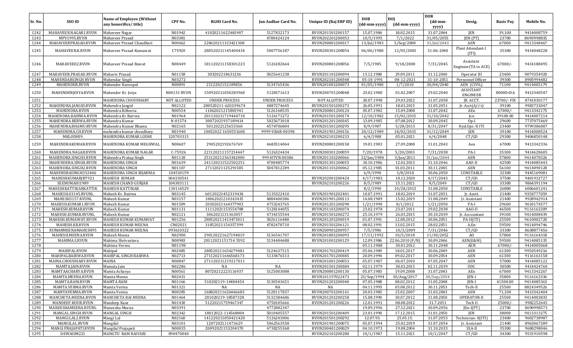| Sr. No.      | SSO ID               | <b>Name of Employee (Without</b><br>any honorifics/title) | CPF No.            | <b>RGHS Card No.</b>                     | Jan Aadhar Card No.  | Unique ID (Raj ERP ID)               | <b>DOB</b><br>(dd-mm-yyyy) | <b>DOI</b>               | <b>DOR</b><br>$(dd{\text{-}\mathbf{mm}}$ | Desig.                           | <b>Basic Pay</b> | Mobile No.               |
|--------------|----------------------|-----------------------------------------------------------|--------------------|------------------------------------------|----------------------|--------------------------------------|----------------------------|--------------------------|------------------------------------------|----------------------------------|------------------|--------------------------|
|              |                      |                                                           |                    |                                          |                      |                                      |                            | (dd-mm-yyyy)             | yyyy)                                    |                                  |                  |                          |
| 1242         | MAHAVEER.NAGAR1.RVUN | Mahaveer Nagar                                            | N01942             | 41020211622481907                        | 5127832173           | RVUN201501200157                     | 15.07.1984                 | 18.02.2015               | 31.07.2044                               | JEN                              | 39,100           | 9414008759               |
| 1243         | MPV1995.RVUN         | Mahaveer Prasad                                           | N03381             |                                          | 4780424124           | RVUN202201200053                     | 10/5/1995                  | 7/1/2022                 | 31/05/2055                               | JEN (PT)                         | 23700            | 8690998835               |
| 1244         | MAHAVEERPRASAD.RVUN  | Mahaveer Prasad Chaudhari                                 | N00462             | 220620211323421308                       |                      | RVUN200801200017                     | 13/Jul/1983                | 5/Sep/2008               | 31/Jul/2043                              | <b>AEN</b>                       | 67000            | 9413348467               |
| 1245         | MAHAVEER.K.RVUN      | Mahaveer Prasad Kumawat                                   | C75920             | 280520211145404434                       | 5007756187           | RVUN200301200054                     | 06/06/1980                 | 12/05/2003               | 31-06-2040                               | Plant Attendant-I<br>(TT)        | 35300            | 9414048228               |
| 1246         | MAHAVEE02.RVUN       | Mahaveer Prasad Rawat                                     | N00449             | 181120211158301223                       | 5126182664           | RVUN200801200056                     | 7/5/1985                   | 9/18/2008                | 7/31/2045                                | Assistant<br>Engineer(TA to ACE) | $67000/-$        | 9414188495               |
| 1247         | MAHAVEER.PRASAD.RVUN | Mahavir Prasad                                            | N01158             | 303202218631236                          | 5025641238           | RVUN201101200094                     | 13.12.1980                 | 29.09.2011               | 31.12.2040                               | Operator III                     | 23400            | 9079354920               |
| 1248         | MAHENDARSINGH.RVUN   | Mahendar Singh                                            | N03272             |                                          |                      | RVUN202101200348                     | 05-10-1991                 | 08-12-2021               | 31-10-2051                               | Personnel Officer                | 39300            | 8905994482               |
| 1249         | MAHENDER.RVUN        | Mahender Baroopal                                         | N00891             | 2112202152109856                         | 5134765436           | RVUN201001200073                     | 01/05/1980                 | 1/7/2010                 | 30/04/2040                               | AEN (CIVIL)                      | 71100            | 9414005179               |
| 1250         | MAHENDERJOIYA.RVUN   | Mahender Kr. Joiya                                        | <b>N00131 RVUN</b> | 150920211050283960                       | 5128371613           | RVUN200701200048                     | 23.02.1980                 | 01.02.2007               | 29.02.2040                               | ASSISTANT<br><b>ENGINEER</b>     | 80000+DA         | 9413340547               |
| 1251         |                      | MAHENDRA CHOUDHARY                                        | NOT ALLOTED        | <b>UNDER PROCESS</b>                     | <b>UNDER PROCESS</b> | NOT ALLOTED                          | 20.07.1998                 | 29.03.2022               | 31.07.2058                               | JR. ACCT.                        | 23700/-FIX       | 8741030177               |
| 1252         | MAHENDRA.JANGID.RVUN | Mahendra Jangid                                           | N02122             | 280520211-620339674                      | 4887274645           | RVUN201501200273                     | 26.05.1991                 | 18.03.2015               | 31.05.2051                               | Jr. $Acct(A/c's)$                | 39100            | 9983733047               |
| 1253         | MAHENDRA.RVUN        | Mahendra Kithuria                                         | N00554             | 11062021215801941                        | 5126168535           | RVUN200801200124                     | 05.07.1982                 | 15.09.2008               | 31.07.2042                               | AEn                              | $67000/-$        | 9413342175               |
| 1254         | MAHENDRA.BAIRWA.RVUN | Mahendra Kr Bairwa                                        | N01964             | 201120211719444710                       | 5126173272           | RVUN201501200174                     | 12/10/1982                 | 15/02/2015               | 31/10/2042                               | Jen                              | 39100.00         | 9414007214               |
| 1255         | MAHENDRA.BERWA.RVUN  | Mahendra Kumar                                            | N-01574            | 30072021937189414                        | 5025673018           | RVUN201201200345                     | 13.09.1985                 | 07.08.2012               | 30.09.2045                               | $Op-I$                           | 29600            | 7737075469               |
| 1256         | MAHENDRA.BHAMU.RVUN  | Mahendra Kumar Bhamu                                      | N02165             | 5012022125653360                         | 4574706804           | RVUN201501200295                     | 8/9/1987                   | 5/28/2015                | 8/31/2047                                | Hyd.Opr.-II ITI                  | 23400            | 9799386087               |
| 1257         | MAHENDRA.CH.RVUN     | mahendra kumar choudhary                                  | N01940             | 10032022 1650551600                      | 9999-VBAR-00398      | RVUN201901200156                     | 20/12/1989                 | 18/02/2015               | 31/12/2049                               | JEN                              | 39100            | 9414008524               |
| 1258         | MKLODHI9.            | MAHENDRA KUMAR LODHI                                      | 120703315          |                                          |                      | RVUN202101200233                     | 6/4/1988                   | 05.01.2021               | 6/4/2048                                 | CT/GD                            | 29300            | 9406850148               |
| 1259         | MAHENDRAKUMAR.RVUN   | MAHENDRA KUMAR MEGHWAL                                    | N00607             | 2905202192676769                         | 4683514064           | RVUN200801200158                     | 19.01.1983                 | 27.09.2008               | 31.01.2043                               | Aen                              | 67000            | 9413342336               |
| 1260         | MAHENDRA.NAGAR.RVUN  | MAHENDRA KUMAR NAGAR                                      | C-75926            | 221120211157214447                       | 5126324434           | RVUN200301200059                     | 7/20/1978                  | 5/20/2003                | 7/31/2038                                | PA-I                             | 35300            | 9414628605               |
| 1261         | MAHENDRA.SINGH3.RVUN | Mahendra Pratap Singh                                     | N01118             | 251120212363342000                       | 999-HTVN-00386       | RVUN201101200066                     | 22/Jan/1984                | $3/$ Jan $/2011$         | 31/Jan/2044                              | <b>AEN</b>                       | 57800            | 9414078326               |
| 1262         | MAHENDERA.SINGH.RVUN | <b>MAHENDRA SINGH</b>                                     | N01639             | 241120211522502251                       | 4700485774           | RVUN201301200055                     | 10.10.1986                 | 12.02.2013               | 31.10.2046                               | AAO-II                           | 42500            | 9414085443               |
| 1263         | MAHENDRA.SINGH2.RVUN | MAHENDRA SINGH                                            | N01107             | 27112021125291585                        | 5047812289           | RVUN201101200062                     | 05.12.1985                 | 01.03.2011               | 30.11.2045                               | <b>AEN</b>                       | 56100            | 9414090128               |
| 1264         | MAHENDRASINGH332406  | MAHENDRA SINGH BIJARNIA                                   | 104510159          |                                          |                      |                                      | 6/9/1990                   | 3/8/2010                 | 30.06.2050                               | CONSTABLE                        | 32300            | 9445169081               |
| 1265         | MAHESHKUMARJRT921    | <b>MAHESH KUMAR</b>                                       | 064330541          |                                          |                      | RVUN202001200424                     | 4/17/1983                  | 18.12.2020               | 4/17/2043                                | CT/GD                            | 37500            | 9401932727               |
| 1266         | SEENUMAHI1989        | <b>MAHESH CHAND GURJAR</b>                                | 104383111          |                                          |                      | RVUN202101200226                     | 8/5/1989                   | 15.11.2021               | 8/5/2049                                 | CT/GD                            | 33300            | 9864391194               |
| 1267         | MAHESHKATTIKARKATTIK | <b>MAHESH KATTIKAR</b>                                    | 130114529          |                                          |                      |                                      | 8/2/1990                   | 10/28/2013               | 31.08.2050                               | CONSTABLE                        | 26800            | 6006601241               |
| 1268         | MAHESH.03145.RVUNL   | Mahesh Kr. Bairwa                                         | N03145             | 60120221452319434                        | 5135322410           | RVUN201901202401                     | 10.07.1991                 | 18.02.2019               | 31.07.2051                               | Jr. Asstt.                       | 21400            | 9358777059               |
| 1269         | MAHESH3157.RVUNL     | Mahesh Kumar                                              | N03157             | 18062021210343435                        | 4884400386           | RVUN201901200113                     | 14.08.1989                 | 15.02.2019               | 31.08.2049                               | Jr. Assistant                    | 21400            | 9928942914               |
| 1270         | MAHESH.KUMAR1.RVUN   | Mahesh Kumar                                              | N01509             | 20102021164377903                        | 4753243765           | RVUN201201200298                     | 1/21/1990                  | 8/1/2012                 | 1/21/2050                                | PA-I                             | 29600            | 9610174577               |
| 1271         | MAHESH.KUMAR.RVUN    | Mahesh Kumar                                              | N01131             | 11112021153554788                        | 5128144055           | RVUN201101200074                     | 23.02.1978                 | 23.07.2011               | 29.02.2038                               | AAO-II                           | 46500            | 9116163209               |
| 1272         | MAHESH.KUMAR.RVUNL   | Mahesh Kumar                                              | N02121             | 3062021131363057                         | 4734155544           | RVUN201501200272                     | 25.10.1979                 | 26.03.2015               | 30.10.2039                               | Jr. Accountant                   | 39100            | 9414008439               |
| 1273         | MAHESH.KUMAWAT.RVUN  | MAHESH KUMAR KUMAWAT                                      | N01256             | 280520211413473011                       | 5026116480           | RVUN201201200019                     | 01.07.1991                 | 12.08.2012               | 30.06.2051                               | PA-II(ITI)                       | 25500            | 9610002720               |
| 1274         | MAHESH.KR.RVUN       | MAHESH KUMAR MEENA                                        | CN02021            | 31052021154357399                        | 4782478710           | RVUN201501206121                     | 08.02.1991                 | 13.02.2015               | 28.02.2051                               | A.En                             | 59500            | 9414094746               |
| 1275         | KUMARMEENAMAHESH95   | MAHESH KUMAR MEENA                                        | 093610322          |                                          |                      | RVUN200901200957                     | 7/5/1986                   | 10/3/2009                | 7/31/2046                                | CT/GD                            | 33300            | 8638877456               |
| 1276         | MAHESH.MEENA.RVUN    | Mahesh Meena                                              | N02900             | 290120221627194819                       | 5136541707           | RVUN201801200093                     | 17/11/1992                 | 10/5/2018                | 11/30/2052                               | AO                               | 57800            | 9116164318               |
| 1277         | MAHIMA.S.RVUN        | Mahima Shrivastava                                        | N00983             | 201120211517145592                       | 5134404688           | RVUN201001200129                     | 12.09.1986                 | 22.06.2010 (F/N)         | 30.09.2046                               | AEN(E&M)                         | 59500            | 9414085135               |
| 1278         | MAHIPAL.RVUN         | Mahima Verma<br>Mahipal                                   | N01198<br>N02485   | 280520211654279481                       |                      |                                      | 05.11.1988<br>05.06.1989   | 30.01.2012<br>18.01.2017 | 30.11.2048<br>30.06.2049                 | <b>AEN</b><br><b>AEN</b>         | 67000/<br>61300  | 9414005068               |
| 1279<br>1280 | MAHIPALBAIRWA.RVUN   | MAHIPAL SINGH BAIRWA                                      | N02713             |                                          | 5124637515           | RVUN201701200419<br>RVUN201701200385 |                            | 09.02.2017               | 30.09.2054                               | <b>AEN</b>                       | 61300            | 9950549216<br>9116163158 |
| 1281         | MAINA.CHOUDHARY.RVUN | <b>MAINA</b>                                              | N00847             | 271120211646568173<br>271120211219217011 | 5133476513           | RVUN201001200053                     | 20.09.1994<br>05.07.1987   | 06.07.2010               | 07.05.2047                               | <b>AEN</b>                       | 57800            | 9414085122               |
| 1282         | MAMTA.JAIN.RVUN      | Mamata Jain                                               | N02286             | NA                                       | NA                   | RVUN201501200384                     | 02.11.1979                 | 30.03.2015               | 02.11.2039                               | <b>UDC</b>                       | 30500            | 9414424760               |
| 1283         | MAMTAACHARYA.RVUN    | Mamta Acharya                                             | N00561             | 80720212223116937                        | 5125003088           | RVUN200801200130                     | 05.07.1983                 | 19.09.2008               | 31.07.2043                               | AEn                              | 67000            | 9413342267               |
| 1284         | MAMTA.MEENA.RVUN     | Mamta Meena                                               | N02431             |                                          |                      | RVUN101197022473                     | 23/Sep/1994                | 30/Aug/2017              | 30/Sep/2054                              | JEN-I                            | 35800            | 9116163336               |
| 1285         | MAMTA.RANI.RVUN      | <b>MAMTA RANI</b>                                         | N01166             | 510202119-14484454                       | 5130543651           | RVUN201201200040                     | 07.05.1988                 | 08.02.2012               | 31.05.2048                               | JEN-I                            | 41500.00         | 9414085363               |
| 1286         | MAMTA.VERMA.RVUN     | Mamta Verma                                               | N01321             | NA                                       | NA                   | NA                                   | 04.11.1993                 | 03.08.2012               | 30.11.2053                               | Tech-II                          | 25500            | 8824349526               |
| 1287         | MAMTAVERMA.RVUN      | Mamta Verma                                               | N00285             | 160820211626446683                       | 5128117837           | RVUN200701200141                     | 20.03.1983                 | 15.02.2007               | 31.03.2043                               | AEN                              | 71,100           | 9413342404               |
| 1288         | MANCHETA.MEENA.RVUN  | MANCHETA BAI MEENA                                        | N01464             | 281020219-18587328                       | 5132384686           | RVUN201201200258                     | 15.08.1990                 | 30.07.2012               | 31.08.2050                               | OPERATOR-II                      | 25500            | 9414003833               |
| 1289         | MANDEEP.KOUR.RVUN    | Mandeep Kaur                                              | N01430             | 51220211759467347                        | 4750105666           | RVUN201201200226                     | 12.01.1991                 | 08.08.2012               | 31.7.2051                                | Tech II                          | $25000/-$        | 9982252645               |
| 1290         | MANEESHAMEENA.RVUNL  | Maneesha Meena                                            | N03391             |                                          | 4772082347           |                                      | 19.09.1996                 | 27.12.2021               | 30.09.2056                               | $JEn-I(PT)$                      | 23700            | 8690998573               |
| 1291         | MANGAL.SINGH.RVUN    | MANGAL SINGH                                              | N02342             | 18012022-114568804                       | 5010405557           | RVUN201501200409                     | 23.01.1990                 | 17.12.2015               | 31.01.2050                               | JEN                              | 38000            | 9413313275               |
| 1292         | MANGI.LAL2.RVUN      | Mangi Lal                                                 | N02160             | 141220211050421420                       | 5126243006           | RVUN201501200292                     | 12.07.93.                  | 25.05.15.                | 31.07.2053                               | Technician-II(ITI)               | 23400            | 9602738987               |
| 1293         | MANGILAL.RVUN        | Mangilal                                                  | N03101             | 1207202111473629                         | 5062563558           | RVUN201901200075                     | 05.07.1994                 | 25.02.2019               | 31.07.2054                               | Jr. Assistant                    | 21400            | 8963067289               |
| 1294         | MANGI.PRAJAPATI.RVUN | Mangilal Prajapati                                        | N00035             | 20092021153204370                        | 4738255368           | RVUN200401200029                     | 04.10.1973                 | 19.08.2004               | 31.10.2033                               | SSA-II                           | 35300            | 9680298046               |
| 1295         | DEWASIM221           | MANGTU RAM RAIVARI                                        | 094470040          |                                          |                      | RVUN202101200280                     | 10/1/1987                  | 15.11.2021               | 10/1/2047                                | CT/GD                            | 34300            | 9531910598               |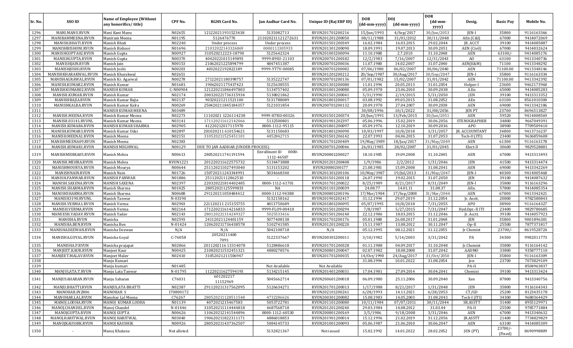|              |                                          |                                                           |                  |                                          |                                      |                                      |                            |                            | <b>DOR</b>               |                  |                      |                          |
|--------------|------------------------------------------|-----------------------------------------------------------|------------------|------------------------------------------|--------------------------------------|--------------------------------------|----------------------------|----------------------------|--------------------------|------------------|----------------------|--------------------------|
| Sr. No.      | <b>SSO ID</b>                            | <b>Name of Employee (Without</b><br>any honorifics/title) | CPF No.          | <b>RGHS Card No.</b>                     | Jan Aadhar Card No.                  | Unique ID (Raj ERP ID)               | <b>DOB</b><br>(dd-mm-yyyy) | <b>DOI</b><br>(dd-mm-yyyy) | (dd-mm-<br>yyyy)         | Desig.           | <b>Basic Pay</b>     | Mobile No.               |
| 1296         | MANI.MANU.RVUN                           | Mani Kant Manu                                            | N02655           | 121220211931523438                       | 5135082713                           | RVUN201701200216                     | 15/Jun/1993                | $4/$ Sep $/2017$           | 30/Jun/2053              | JEN-I            | 35800                | 9116163366               |
| 1297         | MANIRAMMEENA.RVUN                        | Maniram Meena                                             | N01195           | 5126476770                               | 211020211121272631                   | RVUN201201200050                     | 08/11/1988                 | 31/01/2012                 | 30/11/2048               | AEn (C&I)        | 67000                | 9414072069               |
| 1298         | MANISH.BHATI.RVUN                        | Manish Bhati                                              | N02240           | Under process                            | Under process                        | RVUN201501200349                     | 16.02.1984                 | 16.03.2015                 | 29.02.2044               | JR. ACCT         | 39100                | 9414085887               |
| 1299         | MANISHBISHONI.RVUN                       | Manish Bishnoi                                            | N01696           | 21032022143326869                        | 0000111305933                        | RVUN201301200090                     | 18.09.1991                 | 19.07.2013                 | 30.09.2051               | AEN (Civil)      | 67000                | 9414032624               |
| 1300         | MANISHGUPTA02.RVUN                       | Manish Gupta                                              | N00927           | 310520212223-18790                       | 5125642324                           | RVUN201001200094                     | 11.10.1988                 | 2.7.2010                   | 31.10.2048               | AEN              | 63100/               | 9414085176               |
| 1301         | MANISHGUPTA.RVUN                         | Manish Gupta                                              | N00370           | 40420221015149893                        | 9999-89SU-21103                      | RVUN200701200182                     | 12/2/1983                  | 7/16/2007                  | 12/31/2043               | AO               | 63100                | 9413340736               |
| 1302         | MANISHJAIN.RVUN                          | Manish Jain                                               | N00153           | 21062021225894799                        | 4847451387                           | RVUN200701200036                     | 11.07.1980                 | 14.02.2007                 | 31.07.2040               | AEN(E&M)         | 71100                | 9413348292               |
| 1303         | MANISHJOSHI.RVUN                         | Manish Joshi                                              | N00203           | 4032022192822189                         | 9999-YT7V-00085                      | RVUN200701200082                     | 07/06/1980                 | 06/02/2007                 | 30/06/2040               | AEN              | 71100.00             | 9413348146               |
| 1304         | MANISHKHARAKWAL.RVUN                     | Manish Kharakwal                                          | N02651           |                                          |                                      | RVUN201201200212                     | 20/Sep/1987                | 30/Aug/2017                | 30/Sep/2047              | JEN-I            | 35800                | 9116163334               |
| 1305<br>1306 | MANISHAGRAWAL.RVUN                       | Manish Kr. Agarwal<br>Manish Kumar                        | N00278<br>N01681 | 27122021180398757                        | 5135222747                           | RVUN200701200136                     | 07/01/1982                 | 15/02/2007                 | 31/01/2042               | AEN              | 71100.00<br>23600    | 9413342392               |
| 1307         | MANISH.KUMAR2.RVUN<br>MANISHKUMAR02.RVUN | <b>MANISH KUMAR</b>                                       | C-N00904         | 19062021175437423<br>121220211846497803  | 5125638555<br>5134757402             | RVUN201301200080<br>RVUN201001200080 | 11.01.1994<br>05.09.1978   | 20.05.2013<br>23.06.2010   | 31.01.2054<br>30.09.2038 | Helper-I<br>A.En | 65000                | 9462173960<br>9414085283 |
| 1308         | MANISH.KUMAR.RVUN                        | Manish Kumar                                              | N02174           | 200320221736315934                       | 5138021862                           | RVUN201501200041                     | 5/31/1990                  | 2/19/2015                  | 5/31/2050                | <b>JEN</b>       | 39100                | 9413313352               |
| 1309         | MANISHBAJIA.RVUN                         | Manish Kumar Bajia                                        | N02137           | 90320221211521100                        | 5131788089                           | RVUN201801200017                     | 03.08.1992                 | 09.03.2015                 | 31.08.2052               | AEn              | 63100                | 8561010300               |
| 1310         | MANISHKALRA.RVUN                         | Manish Kumar Kalra                                        | N00269           | 250420211845184357                       | 5121031854                           | RVUN200701200132                     | 20.09.1978                 | 27.04.2007                 | 30.09.2038               | AEN              | 69000                | 9413342186               |
| 1311         |                                          | MANISH KUMAR MEENA                                        | N03489           |                                          |                                      |                                      | 30/08/1996                 | 10/1/2022                  | 31/08/2056               | <b>JEN PT</b>    | 23700                | 8696513827               |
| 1312         | MANISH.MEENA.RVUN                        | Manish Kumar Meena                                        | N02273           | 11102021 1226114238                      | 9999-H7RD-00326                      | RVUN201501200374                     | 20/Jun/1991                | 13/Feb/2015                | 30/Jun/2051              | AEN              | 59520                | 9414008569               |
| 1313         | MANISH.03141.RVUNL                       | Manish Kumar Meena                                        | N03141           | 171120211612142066                       | 5132500801                           | RVUN201901202397                     | 05.06.1996                 | 15.02.2019                 | 30.06.2056               | STENOGRAPHER     | 34800                | 9667049391               |
| 1314         | MANISH.KUMAR4.RVUN                       | MANISH KUMAR SHARMA                                       | N02905           | 41220212017115970                        | 0000-1112-95115                      | RVUN201801200097                     | 05.09.1976                 | 12.10.2019                 | 30.09.2036               | <b>APO</b>       | 38900                | 7709509410               |
| 1315         | MANISH.KUMAR3.RVUN                       | Manish Kumar Udai                                         | N02897           | 201020211 610154621                      | 5131150683                           | RVUN201801200090                     | 10/03/1997                 | 10/8/2018                  | 3/31/2057                | JR. ACCOUNTANT   | 34800                | 9413716237               |
| 1316         | MANISH.MEENA1.RVUN                       | Manish Meena                                              | N02151           | 310520211525451101                       | 4852842715                           | RVUN201501206142                     | 22.07.1993                 | 04.06.2015                 | 31.07.2053               | Tech-II (ITI)    | 23400                | 9636859608               |
| 1317         | MANISHMEENA09.RVUN                       | Manish Meena                                              | N02383           |                                          |                                      | RVUN201701200409                     | 19/May/1989                | 18/Jan/2017                | 31/May/2049              | <b>AEN</b>       | 61300                | 9116163178               |
| 1318         | MANISH.KUMAR1.RVUN                       | MANISH MEGHWAL                                            | N00129           | DUE TO JAN AADHAR (UNDER PROCESS)        |                                      | RVUN200701200046                     | 26/01/1985                 | 28/02/2007                 | 31/01/2045               | Elect-ll         | 30600                | 9829528881               |
| 1319         | MANISHMEHRA05.RVUN                       | Manish Mehra                                              | N00613           | 280520211741191594                       | Enrollment ID<br>0000-<br>1112-46587 | RVUN200801200027                     | 18.10.1985                 | 19.09.2008                 | 31.10.2045               | AEN              | 67000                | 9413313493               |
| 1320         | MANISH.MEHRA.RVUN                        | Manish Mehra                                              | <b>RVUN1221</b>  | 201220211622575732                       | 5134473888                           | RVUN201201200408                     | 1/9/1986                   | 2/2/2012                   | 1/31/2046                | <b>JEN</b>       | 41500                | 9413314474               |
| 1321         | MANISHMOURYA.RVUN                        | Manish Mourya                                             | N00644           | 251120211027493040                       | 5131153202                           | RVUN20080200177                      | 21.08.1981                 | 15.09.2008                 | 31.08.2041               | <b>AEN</b>       | 69000                | 9413342269               |
| 1322         | MANISHNAIN.RVUN                          | Manish Nain                                               | N01726           | 150720211243344991                       | 5034668340                           | RVUN201301200106                     | 10/May/1987                | 19/Jul/2013                | 31/May/2047              | JEN-I            | 40300                | 9414005468               |
| 1323         | MANISH.PANWAR.RVUN                       | <b>MANISH PANWAR</b>                                      | N01886           | 25112021112862510                        | $\overline{\phantom{a}}$             | RVUN201501200118                     | 26.07.1990                 | 19.02.2015                 | 31.07.2050               | JEN              | 39100                | 9414087632               |
| 1324         | MANISH.SAXENA.RVUN                       | <b>MANISH SAXENA</b>                                      | N02397           | 220320221814402485                       | 0000-1112-61701                      | RVUN201701200022                     | 8/25/1989                  | 8/21/2017                  | 8/31/2049                | JEN-I            | 35800                | 9116163296               |
| 1325<br>1326 | MANISH.SHARMA.RVUN<br>MANISHSHARMA.RVUN  | Manish Sharma<br>Manish Sharma                            | N01025<br>N00688 | 28052021125599833<br>291120211050484412  | NA<br>0000-1112-94388                | RVUN201101200039<br>RVUN200801200196 | 24.08.77<br>17/Mar/1984    | 14.01.11<br>17/Sep/2008    | 31.08.37<br>31/Mar/2044  | AEn.<br>AEN      | 57800<br>67000       | 9414085354<br>9413342421 |
| 1327         | MANISH3190.RVUNL                         | Manish Tanwar                                             | N-03190          |                                          | 5132158162                           | RVUN201901202417                     | 31.12.1994                 | 29.07.2019                 | 31.12.2054               | Ir. Asstt        | 20800                | 9782580843               |
| 1328         | MANISH.VERMA1.RVUN                       | Manish Verma                                              | N02903           | 221120211 215155755                      | 4813750689                           | RVUN201801200095                     | 05/07/1995                 | 10/8/2018                  | 7/31/2055                | <b>APO</b>       | 38900                | 9116164327               |
| 1329         | MANISH.VERMA.RVUN                        | Manish Verma                                              | N02164           | 171220211614216833                       | 9999-FL09-00410                      | RVUN201501200294                     | 7/8/1987                   | 5/27/2015                  | 7/31/2047                | Hyd.Opr.-II ITI  | 23400                | 9829780685               |
| 1330         | MANEESH.YADAV.RVUN                       | Manish Yadav                                              | N02143           | 280120221314249327                       | 5025533416                           | RVUN201501206140                     | 22.12.1986                 | 18.03.2015                 | 31.12.2046               | Jr. Acctt.       | 39100                | 9414057923               |
| 1331         | MANISHA.RVUN                             | Manisha                                                   | N02593           | 24112021124401159                        | 5077408138                           | RVUN201701200176                     | 05.01.1988                 | 26.08.2017                 | 31.01.2048               | JEN              | 35800                | 9001896301               |
| 1332         | MANISHA.BEN.RVUN                         | Manisha Ben                                               | N-01424          | 120620211736438578                       | 5102741585                           | RVUN201201200220                     | 15.11.1987                 | 13.08.2012                 | 30.11.2047               | $Op-II$          | 25500                | 7877371817               |
| 1333         | MANISHADEEWAN.RVUN                       | Manisha Deewan                                            | N/A              | N/A                                      | 5042108718                           | N/A                                  | 05.12.1995                 | 08.12.2021                 | 31.12.2055               | Ir Chemist       | 23700/               | 8619528724               |
| 1334         | MANISHA.GOYAL.RVUN                       | Manisha Goyal                                             | C-76058          | 20520211400<br>7091                      | 5122337667                           | RVUN200301200011                     | 3/10/1982                  | 5/14/2003                  | 3/31/2042                | PA               | 34300                | 9982011773               |
| 1335         | MANISHA.P.RVUN                           | Manisha prajapat                                          | N02866           | 2011202116 13314078                      | 5128486618                           | RVUN201701200328                     | 01.11.1988                 | 04.09.2017                 | 31.10.2048               | Jr.Chemist       | 35800                | 9116164142               |
| 1336         | MANJEET.KAUR.RVUN                        | Manjeet Kaur                                              | N00425           | 210820211532451321                       | 4880278576                           | RVUN200801200047                     | 02.07.1982                 | 18.08.2008                 | 31.07.2042               | <b>AADMO</b>     | 33800                | 9358777110               |
| 1337         | MANJEET.MALAV.RVUN                       | Manjeet Malav                                             | N02410           | 31052021211506947                        |                                      | RVUN201701200035                     | 14/0ct/1990                | 24/Aug/2017                | 31/0ct/2050              | JEN-I            | 35800                | 9116163309               |
| 1338         |                                          | Manju Kumari                                              |                  |                                          |                                      |                                      | 31.08.1994                 | 10.01.2022                 | 31.08.2054               | Jen              | 23700                | 7073829109               |
| 1339         |                                          | Manju kumari                                              | N01485           |                                          | Not Available                        | Not Available                        |                            |                            |                          | PA-II            |                      | 8504963837               |
| 1340         | MANJULATA.T.RVUN                         | Manju Lata Tanwar                                         | N-01795          | 11220211627594193                        | 5134215145                           | RVUN201401200031                     | 17.04.1981                 | 27.09.2014                 | 30.04.2041               | Chemist          | 39100                | 9413313424               |
| 1341         | MANJUSAHARAN.RVUN                        | Manju Saharan                                             | C76031           | 601202217<br>11152969                    | 5045662714                           | RVUN200601200018                     | 06.09.1980                 | 25.11.2006                 | 30.09.2040               | Xen              | 87800                | 9413340756               |
| 1342         | MANJU.BHATTI.RVUN                        | MANJULATA BHATTI                                          | N02387           | 291120211317562095                       | 5126634271                           | RVUN201701200013                     | 1/17/1988                  | 8/21/2017                  | 1/31/2048                | JEN              | 35800                | 9116164343               |
| 1343         | MANOHAR.IN2806                           | <b>MANOHAR S</b>                                          | 170800172        |                                          |                                      | RVUN202101200261                     | 6/28/1993                  | 14.11.2021                 | 6/28/2053                | CT/GD            | 25200                | 8123435178               |
| 1344         | MANOHAR.LAL.RVUN                         | Manohar Lal Meena                                         | C76267           | 280520211128511548                       | 4732286626                           | RVUN200301200082                     | 15.08.1983                 | 14.05.2003                 | 31.08.2043               | Tech-I (ITI)     | 34300                | 9680364429               |
| 1345         | MANOJ.LODHA.RVUN                         | MANOJ KUMAR LODHA                                         | N01139           | 4072021215467583                         | 5053722781                           | RVUN201101200080                     | 10/11/1984                 | 07/07/2011                 | 30/11/2044               | SR.ASSTT         | 31400                | 8955129971               |
| 1346         | MANOJ.CHANDEL.RVUN                       | Manoj Chandel                                             | N-01446          | 310520211114444818                       | 4687568718                           | RVUN201201200240                     | 29.03.1984                 | 14.08.2012                 | 31.03.44                 | PA-II            | 25500                | 9785771884               |
| 1347         | MANOJGUPTA.RVUN<br>MANOJ.HARITWAL.RVUN   | <b>MANOJ GUPTA</b>                                        | N00626<br>N03040 | 110620212141544896<br>190620211822311171 | 0000-1112-60530                      | RVUN200801200169                     | 3/5/1986                   | 9/18/2008<br>21.02.2019    | 3/31/2046                | AEN              | 67000                | 9413340632<br>7734829829 |
| 1348<br>1349 | MANOJKAUSHIK.RVUN                        | <b>MANOJ HARITWAL</b><br><b>MANOJ KAUSHIK</b>             | N00926           | 280520211437362507                       | 4886018853<br>5084145733             | RVUN201901200014<br>RVUN201001200093 | 15.12.1996<br>05.06.1987   | 21.06.2010                 | 31.12.2056<br>30.06.2047 | JR.ASSTT<br>AEN  | 21400<br>63100       | 9414085309               |
| 1350         | $\sim$                                   | Manoj Khatana                                             | Not alloted      |                                          | 5132821367                           | Not issued                           | 15.02.1992                 | 14.01.2022                 | 28.02.2052               | JEN (PT)         | $23700/-$<br>(Fixed) | 8690998809               |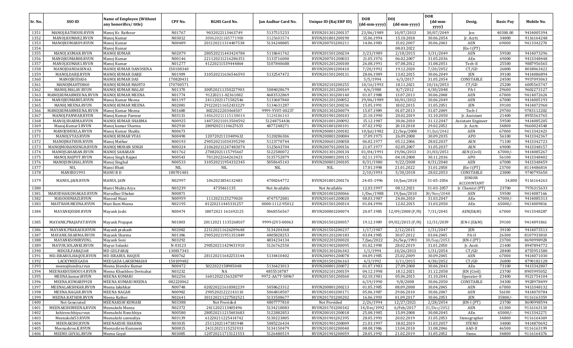| 5137515233<br>1351<br>MANOJ.RATHOUR.RVUN<br>Manoj Kr. Rathour<br>N01767<br>9032022113463749<br>23/06/1989<br>10/07/2013<br>30/07/2049<br>40300.00<br>9414005394<br>RVUN201301200137<br>Jen<br>1352<br>N03012<br>30062021185771900<br>5125603574<br>RVUN201801200190<br>15.06.1994<br>15.10.2018<br>30.06.2054<br>34800<br>9116164248<br>MANOJ.KUMAR2.RVUN<br>Manoj Kumar<br>Jr. Acctt.<br>1353<br>MANOJKUMAR09.RVUN<br>N00489<br>201120211314407538<br>5134248885<br>RVUN200701200211<br>15.02.2007<br>30.06.2043<br><b>AEN</b><br>69000<br>9413342270<br>Manoj Kumar<br>14.06.1983<br>1354<br>08.03.2022<br>Manoj Kumar<br>$[En-I (PT)]$<br>1355<br>9414073296<br>MANOJ.KUMAR.RVUN<br><b>MANOJ KUMAR</b><br>N02079<br>280520211443424784<br>5118641742<br>RVUN201501200234<br>3/23/1989<br>2/18/2015<br>3/31/2049<br><b>AEN</b><br>59500<br>1356<br>MANOJKUMAR08.RVUN<br>N00146<br>221120211216286351<br>5133716000<br>RVUN200701200033<br>21.05.1976<br>06.02.2007<br>31.05.2036<br>AEn<br>69000<br>9413348448<br>Manoj Kumar<br>1357<br>25500<br>MANOJ.KUMAR1.RVUN<br>N01277<br>41220211539444864<br>5107840688<br>RVUN201201200100<br>26.08.1991<br>07.08.2012<br>31.08.2051<br>Tech-II<br>9887956565<br>Manoj Kumar<br>1358<br>150108340<br>7/20/1992<br>19.12.2020<br>CT/GD<br>26800<br>8018063422<br>MANOJDANDASENA3.<br>MANOJ KUMAR DANDSENA<br>RVUN202001200410<br>7/20/2052<br>1359<br>MANOJ.DARJI.RVUN<br><b>MANOJ KUMAR DARJI</b><br>N01909<br>310520211636546593<br>5132547472<br>RVUN201501200131<br>28.06.1989<br>13.02.2015<br>30.06.2049<br>JEN<br>39100<br>9414086894<br>170820431<br>5/5/1994<br>9937093063<br>1360<br>MANOJKUDAS6<br><b>MANOJ KUMAR DAS</b><br>6/3/2017<br>31.05.2054<br>CONSTABLE<br>24500<br>1361<br>RVUN202101200255<br>25200<br>6005565747<br>MANOJMAHT0860<br>MANOJ KUMAR MAHTO<br>170700571<br>10/16/1993<br>18.11.2021<br>10/16/2053<br>CT/GD<br>300520211350227903<br>1362<br>MANOJ.MALAV.RVUN<br>MANOJ KUMAR MALAV<br>N01370<br>5084028679<br>RVUN201201200169<br>4/6/1988<br>8/7/2012<br>4/30/2048<br>PA-I<br>29600<br>9602273127<br>13.07.2013<br>1363<br>MANOJKUMARMEENA.RVUN<br>MANOJ KUMAR MEENA<br>N01774<br>91220211-02361082<br>4683532869<br>RVUN201301200140<br>01.07.1988<br>30.06.2048<br><b>AEN</b><br>67000<br>9414072624<br>N01197<br>1364<br>MANOJKUMAR05.RVUN<br>24112021171582546<br>5133607840<br>RVUN201201200052<br>29/06/1989<br>30/01/2012<br>30.06.2049<br>AEN<br>67000<br>9414005193<br>Manoj Kumar Meena<br>1365<br>N02081<br><b>JEN</b><br>MAN0J.MEENA.RVUN<br>MANOJ KUMAR MEENA<br>291220211652433229<br>5134631287<br>RVUN201501200236<br>15.05.1991<br>18.02.2015<br>31.05.2051<br>39100<br>9414072960<br>N01680<br>Tech-I<br>1366<br>MANOJKUMARMEENA.RVUN<br>Manoj Kumar Meena<br>8022022203464507<br>9999-YY0T-00237<br>RVUN201301200079<br>15.07.1989<br>01.07.2013<br>31.07.2049<br>29700<br>9783112202<br>N03131<br>20.02.2019<br>1367<br>MANOJ.PANWAR.RVUN<br>5124186143<br>RVUN201901200103<br>21.10.1990<br>31.10.2050<br>Jr. Assistant<br>21400<br>8955563765<br>Manoj Kumar Panwar<br>140620211115138014<br>1368<br>N00925<br>51248754436<br>15.12.1987<br>30.06.2010<br>59500<br>9414085205<br>MANOJ.SHARMA.RVUN<br>MANOJ KUMAR SHARMA<br>140720211013504592<br>RVUN201001200092<br>31.12.2047<br><b>Assistant Engineer</b><br>1369<br>N02910<br>20.10.2018<br>29.02.2052<br>Manoj.Kumar3.RVUN<br>Manoj kumar Sharma<br>28092021134627635<br>4877248271<br>RVUN201801200101<br>07.02.1992<br>34800<br>9660024548<br>Jr. Acctt.<br>N00673<br>1370<br>MANOJSHUKLA.RVUN<br>Manoj Kumar Shukla<br>RVUN200801200182<br>10/Jul/1982<br>22/Sep/2008<br>31/Jul/2042<br><b>AEN</b><br>67000<br>9413342423<br>1371<br>N00498<br>56100<br>9413342367<br>MANOJ.VYAS.RVUN<br>MANOJ KUMAR VYAS<br>12072021133489632<br>5120286306<br>RVUN200801200084<br>17.09.1975<br>26.09.2008<br>30.09.2035<br><b>APO</b><br>1372<br>9413342723<br>MANOJMATHUR.RVUN<br>Manoj Mathur<br>N00193<br>290520211034395290<br>5123770744<br>RVUN200601200058<br>06.02.1977<br>05.12.2006<br>28.02.2037<br><b>AEN</b><br>71100<br>1373<br>N00324<br>MANOJMOHANSINGH.RVUN<br>MANOJ MOHAN SINGH<br>210620211247483074<br>5125643704<br>RVUN200701200156<br>21.07.1977<br>02.05.2007<br>31.05.2037<br><b>AEN</b><br>69000<br>9413348157<br>1374<br>N01762<br>27082021115795667<br>5122580072<br>AEN (Civil)<br>9414085267<br>MANOJSAHARAN.RVUN<br><b>MANOI SAHARAN</b><br>RVUN201301200134<br>01/04/1991<br>19/06/2013<br>31/03/2051<br>67000/<br>1375<br>N00543<br>5135752879<br>9413348402<br>MANOJ.RAJPUT.RVUN<br>Manoj Singh Rajput<br>7012022164263423<br>RVUN200801200115<br>02.11.1976<br>04.10.2008<br>30.11.2036<br><b>APO</b><br>56100<br>1376<br>N00533<br>MANOJSINGHAL.RVUN<br>Manoj Singhal<br>310520211954332345<br>5058645143<br>RVUN200801200105<br>8/31/1980<br>9/22/2008<br>8/31/2040<br><b>AEN</b><br>67000<br>9413348459<br>1377<br><b>NIL</b><br>$\rm NIL$<br>21.01.2022<br><b>NIL</b><br>Mansi Bhati<br>NIL<br>NIL<br>17.01.1998<br>31.01.2058<br>$[En-I (PT)]$<br>23700<br>8114486814<br>1378<br>MANIBD1993<br>MANU B D<br>180701481<br>2/10/1993<br>28.02.2053<br>CONSTABLE<br>23800<br>9740795650<br>5/30/2018<br>JUNIOR<br>1379<br>N02997<br><b>MANUL JAIN</b><br>1062021854132483<br>4700264772<br>RVUN201801200176<br>24-05-1996<br>31-05-2056<br>34,800<br>9116164263<br>MANUL.JAIN.RVUN<br>10/Jun/2018<br><b>ACCOUNTANT</b><br>7976315633<br>1380<br>N03239<br>4735461135<br>12.03.1997<br>08.12.2021<br>31-03-2057<br>23700<br>Manvi Mukta Arya<br>Not Available<br>Not Available<br>Jr. Chemist (PT)<br>59500<br>1381<br>MARUDHAR.DHAKAD.RVUN<br>Marudhar Dhakar<br>N00871<br>RVUN201001200066<br>1/Dec/1988<br>19/Jun/2010<br>30/Nov/2048<br><b>AEN</b><br>9414087166<br>N00959<br>1112021125279020<br>4747572081<br>67000/-<br>9414085313<br>1382<br>MASOODNIAZI.RVUN<br>Masood Niazi<br>RVUN201601200020<br>08.03.1987<br>24.06.2010<br>31.03.2047<br>AEn<br>1383<br>MASTRAM.MEENA.RVUN<br>N02195<br>81220211445331257<br>0000-1112-95012<br>RVUN201501200314<br>01.04.1990<br>12.02.2015<br>31.03.2050<br>AEn<br>65000/-<br>9414009816<br>Mast Ram Meena<br>1384<br>N00474<br>18072021 161692125<br>5068556567<br>20.07.1985<br>12/09/2008 (F/N)<br>7/31/2045<br>67000<br>9413348287<br>MAYANKJOSHI.RVUN<br>Mayank Joshi<br>RVUN200801200074<br>AEN(E&M)<br>1385<br>N01803<br>20112021 1135268107<br>9999-J2V3-00063<br>19.12.1989<br>09/02/2015 (F/N)<br>12/31/2039<br>9414091861<br>MAYANK.PRAJAPAT.RVUN<br>Mayank Prajapat<br>RVUN201501200057<br>JEN-I (E&M)<br>39100<br>1386<br>N02082<br>221120211626209648<br>5134204368<br>RVUN201501200237<br>1/17/1987<br>2/12/2015<br>1/31/2047<br>JEN<br>39100<br>9414073513<br>MAYANK.PRAKASH.RVUN<br>Mayank prakash<br>N01386<br>1387<br>MAYANK.SHARMA.RVUN<br>Mayank Sharma<br>290520211951351849<br>4805828253<br>RVUN201201200183<br>03.04.1985<br>30.07.2012<br>03.04.2045<br>PA-II<br>26300<br>8107933810<br>1388<br>N03292<br>MAYANKSONIRVUNL<br>4834234134<br>RVUN202201200020<br>7/Jan/2022<br>26/Sep/1993<br>30/Sep/2053<br>JEN-I (PT)<br>23700<br>8690998928<br>Mayank Soni<br>1389<br>N-03123<br>290520211429431910<br>MAYUR.SOLANKI.RVUN<br>Mayur Solanki<br>5126762550<br>RVUN201901200095<br>01.02.1990<br>28.02.2019<br>31.01.2050<br>21400<br>8947894772<br>Jr. Asstt.<br>1390<br>130817343<br>MDGULFARAJ168<br><b>MD GULFARA</b><br>RVUN201301206343<br>1/1/1994<br>10/26/2013<br>1/31/2054<br>CT/GD<br>28400<br>8755951580<br>1391<br>MD.ISRARULHAQUE.RVUN<br>MD ISRARUL HAQUE<br>N00762<br>281120211642253144<br>5134410402<br>RVUN200901200078<br>04.09.1985<br>25.02.2009<br>30.09.2045<br>AEN<br>67000<br>9414071030<br>1392<br>LACKYMEEGADA<br>150109482<br>RVUN201501206163<br>4/3/1992<br>3/11/2015<br>4/30/2052<br>CT/GD<br>26800<br>8790182128<br>MEEGADA LAKSHMAIAH<br>1393<br>27.09.2008<br>9413342807<br>Meena Jitendra Kumar<br>N00472<br>502202215898504R<br>5136423013<br>RVUN200801200072<br>01.07.1983<br>30.06.2043<br>AEn<br>73100<br>meenajitendra.rvun<br>MEENAKHUSHOO14.RVUN<br>N03232<br>Meena Khushboo Devisahai<br>NA<br>4855518787<br>RVUN202101200159<br>04.12.1998<br>18.12.2021<br>31.12.2058<br>23700<br>8905995052<br>JEN (Civil)<br>1395<br>N02256<br>16012022156328797<br>9972-AA7T-58967<br>MEENA.kumariRVUN<br>MEENA KUMARI<br>RVUN201501200360<br>02.10.1981<br>05.06.2015<br>23400<br>9521754104<br>31.10.2041<br>Operator-II<br>1396<br>MEENA.KUMARI9928<br>MEENA KUMARI MEENA<br>082220062<br>CONSTABLE<br>34300<br>6/19/1990<br>9/8/2008<br>30.06.2050<br>9928978499<br>1397<br>5058623312<br>MEENALAKSHKAR.RVUN<br>N00748<br>020220221610382239<br>RVUN200801200213<br>08.09.2008<br>30.04.2045<br>67000<br>9413348132<br>Meena lakshkar<br>01.05.1985<br>AEN<br>29052021222143110<br>5064818507<br>1398<br>MEENA.NAGAR.RVUN<br>N00982<br>RVUN201001200171<br>56100<br><b>MEENA NAGAR</b><br>05.06.1987<br>29.06.2010<br>30.06.2047<br>AEN<br>9414070784<br>1399<br>MEENA.RATHOR.RVUN<br>N02641<br>301120211227502521<br>5133508677<br>RVUN201701200202<br>16.06.1993<br>01.09.2017<br>30.06.2053<br>JEN<br>$35800/-$<br>Meena Rathor<br>9116163359<br>1400<br>Not Generated<br>MEENAKSHI KUMARI<br>N03388<br>4807777810<br>2/26/1994<br>12/27/2021<br>2/28/2054<br>8690998594<br>Not Provided<br>Not Provided<br>JEN-I (PT)<br>23700<br>1401<br>MEENAKSHIMEENA.RVUN<br>Meenakshi Meena<br>N02372<br>2411202113405496<br>5134218083<br>RVUN201701200342<br>6/Feb/2017<br>61300<br>9116163110<br>14/Dec/1992<br>31/Dec/2052<br>AEN<br>5122882853<br>1402<br>kshironchhiya.rvun<br>Meenakshi Ronchhiya<br>N00580<br>280520211215403683<br>RVUN200101200018<br>25.08.1985<br>15.09.2008<br>30.08.2045<br>AEn<br>$65000/-$<br>9413342271<br>1403<br>Meenakshi53.RVUN<br>Meenakshi sanwaliya<br>N03139<br>61220211225414742<br>5130223805<br>RVUN201901202395<br>28.05.1993<br>20.02.2019<br>31.05.2053<br>9116164369<br>Stenographer<br>34800<br>1404<br>MEENAKSHI.RVUN<br>MEENAKSHI SHARMA<br>N03035<br>25112021147381948<br>5085226434<br>RVUN201901200009<br>18.02.2019<br>31.03.2057<br>STENO<br>9414870692<br>21.03.1997<br>34800<br>1405<br>Meenashree.K.RVUN<br>N00815<br>24112021115251933<br>5134150479<br>RVUN201001200040<br>08.08.1986<br>13.04.2010<br>31.08.2046<br>46500<br>9116163199<br>Meenashree Kumawat<br>AAO-II<br>MEENU.GOYAL.RVUN<br>N03085<br>120720211715121553<br>5126480519<br>RVUN201901200059<br>28.05.1992<br>21.02.2019<br>1406<br>Meenu Goyal<br>31.05.2052<br>Steno.<br>34800<br>9116164376 | Sr. No. | SSO ID | <b>Name of Employee (Without</b><br>any honorifics/title) | CPF No. | <b>RGHS Card No.</b> | Jan Aadhar Card No. | Unique ID (Raj ERP ID) | <b>DOB</b><br>(dd-mm-yyyy) | <b>DOI</b><br>(dd-mm-yyyy) | <b>DOR</b><br>$(dd{\text{-}\mathbf{mm}}$ | Desig. | <b>Basic Pay</b> | Mobile No. |
|-------------------------------------------------------------------------------------------------------------------------------------------------------------------------------------------------------------------------------------------------------------------------------------------------------------------------------------------------------------------------------------------------------------------------------------------------------------------------------------------------------------------------------------------------------------------------------------------------------------------------------------------------------------------------------------------------------------------------------------------------------------------------------------------------------------------------------------------------------------------------------------------------------------------------------------------------------------------------------------------------------------------------------------------------------------------------------------------------------------------------------------------------------------------------------------------------------------------------------------------------------------------------------------------------------------------------------------------------------------------------------------------------------------------------------------------------------------------------------------------------------------------------------------------------------------------------------------------------------------------------------------------------------------------------------------------------------------------------------------------------------------------------------------------------------------------------------------------------------------------------------------------------------------------------------------------------------------------------------------------------------------------------------------------------------------------------------------------------------------------------------------------------------------------------------------------------------------------------------------------------------------------------------------------------------------------------------------------------------------------------------------------------------------------------------------------------------------------------------------------------------------------------------------------------------------------------------------------------------------------------------------------------------------------------------------------------------------------------------------------------------------------------------------------------------------------------------------------------------------------------------------------------------------------------------------------------------------------------------------------------------------------------------------------------------------------------------------------------------------------------------------------------------------------------------------------------------------------------------------------------------------------------------------------------------------------------------------------------------------------------------------------------------------------------------------------------------------------------------------------------------------------------------------------------------------------------------------------------------------------------------------------------------------------------------------------------------------------------------------------------------------------------------------------------------------------------------------------------------------------------------------------------------------------------------------------------------------------------------------------------------------------------------------------------------------------------------------------------------------------------------------------------------------------------------------------------------------------------------------------------------------------------------------------------------------------------------------------------------------------------------------------------------------------------------------------------------------------------------------------------------------------------------------------------------------------------------------------------------------------------------------------------------------------------------------------------------------------------------------------------------------------------------------------------------------------------------------------------------------------------------------------------------------------------------------------------------------------------------------------------------------------------------------------------------------------------------------------------------------------------------------------------------------------------------------------------------------------------------------------------------------------------------------------------------------------------------------------------------------------------------------------------------------------------------------------------------------------------------------------------------------------------------------------------------------------------------------------------------------------------------------------------------------------------------------------------------------------------------------------------------------------------------------------------------------------------------------------------------------------------------------------------------------------------------------------------------------------------------------------------------------------------------------------------------------------------------------------------------------------------------------------------------------------------------------------------------------------------------------------------------------------------------------------------------------------------------------------------------------------------------------------------------------------------------------------------------------------------------------------------------------------------------------------------------------------------------------------------------------------------------------------------------------------------------------------------------------------------------------------------------------------------------------------------------------------------------------------------------------------------------------------------------------------------------------------------------------------------------------------------------------------------------------------------------------------------------------------------------------------------------------------------------------------------------------------------------------------------------------------------------------------------------------------------------------------------------------------------------------------------------------------------------------------------------------------------------------------------------------------------------------------------------------------------------------------------------------------------------------------------------------------------------------------------------------------------------------------------------------------------------------------------------------------------------------------------------------------------------------------------------------------------------------------------------------------------------------------------------------------------------------------------------------------------------------------------------------------------------------------------------------------------------------------------------------------------------------------------------------------------------------------------------------------------------------------------------------------------------------------------------------------------------------------------------------------------------------------------------------------------------------------------------------------------------------------------------------------------------------------------------------------------------------------------------------------------------------------------------------------------------------------------------------------------------------------------------------------------------------------------------------------------------------------------------------------------------------------------------------------------------------------------------------------------------------------------------------------------------------------------------------------------------------------------------------------------------------------------------------------------------------------------------------------------------------------------------------------------------------------------------------------------------------------------------------------------------------------------------------------------------------------------------------------------------------------------------------------------------------------------------------------------------------------------------------------------------------------------------------------------------------------------------------------------------------------------------------------------------------------------------------------------------------------------------------------------------------------------------------------------------------------------------------------------------------------------------------------------------------------------------------------------------------------------------------------------------------------------------------------------------------------------------------------------------------------------------------------------------------------------------------------------------------------------------------------------------------------------------------------------------------------------|---------|--------|-----------------------------------------------------------|---------|----------------------|---------------------|------------------------|----------------------------|----------------------------|------------------------------------------|--------|------------------|------------|
|                                                                                                                                                                                                                                                                                                                                                                                                                                                                                                                                                                                                                                                                                                                                                                                                                                                                                                                                                                                                                                                                                                                                                                                                                                                                                                                                                                                                                                                                                                                                                                                                                                                                                                                                                                                                                                                                                                                                                                                                                                                                                                                                                                                                                                                                                                                                                                                                                                                                                                                                                                                                                                                                                                                                                                                                                                                                                                                                                                                                                                                                                                                                                                                                                                                                                                                                                                                                                                                                                                                                                                                                                                                                                                                                                                                                                                                                                                                                                                                                                                                                                                                                                                                                                                                                                                                                                                                                                                                                                                                                                                                                                                                                                                                                                                                                                                                                                                                                                                                                                                                                                                                                                                                                                                                                                                                                                                                                                                                                                                                                                                                                                                                                                                                                                                                                                                                                                                                                                                                                                                                                                                                                                                                                                                                                                                                                                                                                                                                                                                                                                                                                                                                                                                                                                                                                                                                                                                                                                                                                                                                                                                                                                                                                                                                                                                                                                                                                                                                                                                                                                                                                                                                                                                                                                                                                                                                                                                                                                                                                                                                                                                                                                                                                                                                                                                                                                                                                                                                                                                                                                                                                                                                                                                                                                                                                                                                                                                                                                                                                                                                                                                                                                                                                                                                                                                                                                                                                                                                                                                                                                                                                                                                                                                                                                                                                                                                                                                                                                                                                                                                                                                                                                                                                                                                                                                                                                                                                                                                                                                                         |         |        |                                                           |         |                      |                     |                        |                            |                            | yyyy)                                    |        |                  |            |
|                                                                                                                                                                                                                                                                                                                                                                                                                                                                                                                                                                                                                                                                                                                                                                                                                                                                                                                                                                                                                                                                                                                                                                                                                                                                                                                                                                                                                                                                                                                                                                                                                                                                                                                                                                                                                                                                                                                                                                                                                                                                                                                                                                                                                                                                                                                                                                                                                                                                                                                                                                                                                                                                                                                                                                                                                                                                                                                                                                                                                                                                                                                                                                                                                                                                                                                                                                                                                                                                                                                                                                                                                                                                                                                                                                                                                                                                                                                                                                                                                                                                                                                                                                                                                                                                                                                                                                                                                                                                                                                                                                                                                                                                                                                                                                                                                                                                                                                                                                                                                                                                                                                                                                                                                                                                                                                                                                                                                                                                                                                                                                                                                                                                                                                                                                                                                                                                                                                                                                                                                                                                                                                                                                                                                                                                                                                                                                                                                                                                                                                                                                                                                                                                                                                                                                                                                                                                                                                                                                                                                                                                                                                                                                                                                                                                                                                                                                                                                                                                                                                                                                                                                                                                                                                                                                                                                                                                                                                                                                                                                                                                                                                                                                                                                                                                                                                                                                                                                                                                                                                                                                                                                                                                                                                                                                                                                                                                                                                                                                                                                                                                                                                                                                                                                                                                                                                                                                                                                                                                                                                                                                                                                                                                                                                                                                                                                                                                                                                                                                                                                                                                                                                                                                                                                                                                                                                                                                                                                                                                                                                         |         |        |                                                           |         |                      |                     |                        |                            |                            |                                          |        |                  |            |
|                                                                                                                                                                                                                                                                                                                                                                                                                                                                                                                                                                                                                                                                                                                                                                                                                                                                                                                                                                                                                                                                                                                                                                                                                                                                                                                                                                                                                                                                                                                                                                                                                                                                                                                                                                                                                                                                                                                                                                                                                                                                                                                                                                                                                                                                                                                                                                                                                                                                                                                                                                                                                                                                                                                                                                                                                                                                                                                                                                                                                                                                                                                                                                                                                                                                                                                                                                                                                                                                                                                                                                                                                                                                                                                                                                                                                                                                                                                                                                                                                                                                                                                                                                                                                                                                                                                                                                                                                                                                                                                                                                                                                                                                                                                                                                                                                                                                                                                                                                                                                                                                                                                                                                                                                                                                                                                                                                                                                                                                                                                                                                                                                                                                                                                                                                                                                                                                                                                                                                                                                                                                                                                                                                                                                                                                                                                                                                                                                                                                                                                                                                                                                                                                                                                                                                                                                                                                                                                                                                                                                                                                                                                                                                                                                                                                                                                                                                                                                                                                                                                                                                                                                                                                                                                                                                                                                                                                                                                                                                                                                                                                                                                                                                                                                                                                                                                                                                                                                                                                                                                                                                                                                                                                                                                                                                                                                                                                                                                                                                                                                                                                                                                                                                                                                                                                                                                                                                                                                                                                                                                                                                                                                                                                                                                                                                                                                                                                                                                                                                                                                                                                                                                                                                                                                                                                                                                                                                                                                                                                                                                         |         |        |                                                           |         |                      |                     |                        |                            |                            |                                          |        |                  |            |
|                                                                                                                                                                                                                                                                                                                                                                                                                                                                                                                                                                                                                                                                                                                                                                                                                                                                                                                                                                                                                                                                                                                                                                                                                                                                                                                                                                                                                                                                                                                                                                                                                                                                                                                                                                                                                                                                                                                                                                                                                                                                                                                                                                                                                                                                                                                                                                                                                                                                                                                                                                                                                                                                                                                                                                                                                                                                                                                                                                                                                                                                                                                                                                                                                                                                                                                                                                                                                                                                                                                                                                                                                                                                                                                                                                                                                                                                                                                                                                                                                                                                                                                                                                                                                                                                                                                                                                                                                                                                                                                                                                                                                                                                                                                                                                                                                                                                                                                                                                                                                                                                                                                                                                                                                                                                                                                                                                                                                                                                                                                                                                                                                                                                                                                                                                                                                                                                                                                                                                                                                                                                                                                                                                                                                                                                                                                                                                                                                                                                                                                                                                                                                                                                                                                                                                                                                                                                                                                                                                                                                                                                                                                                                                                                                                                                                                                                                                                                                                                                                                                                                                                                                                                                                                                                                                                                                                                                                                                                                                                                                                                                                                                                                                                                                                                                                                                                                                                                                                                                                                                                                                                                                                                                                                                                                                                                                                                                                                                                                                                                                                                                                                                                                                                                                                                                                                                                                                                                                                                                                                                                                                                                                                                                                                                                                                                                                                                                                                                                                                                                                                                                                                                                                                                                                                                                                                                                                                                                                                                                                                                         |         |        |                                                           |         |                      |                     |                        |                            |                            |                                          |        |                  |            |
|                                                                                                                                                                                                                                                                                                                                                                                                                                                                                                                                                                                                                                                                                                                                                                                                                                                                                                                                                                                                                                                                                                                                                                                                                                                                                                                                                                                                                                                                                                                                                                                                                                                                                                                                                                                                                                                                                                                                                                                                                                                                                                                                                                                                                                                                                                                                                                                                                                                                                                                                                                                                                                                                                                                                                                                                                                                                                                                                                                                                                                                                                                                                                                                                                                                                                                                                                                                                                                                                                                                                                                                                                                                                                                                                                                                                                                                                                                                                                                                                                                                                                                                                                                                                                                                                                                                                                                                                                                                                                                                                                                                                                                                                                                                                                                                                                                                                                                                                                                                                                                                                                                                                                                                                                                                                                                                                                                                                                                                                                                                                                                                                                                                                                                                                                                                                                                                                                                                                                                                                                                                                                                                                                                                                                                                                                                                                                                                                                                                                                                                                                                                                                                                                                                                                                                                                                                                                                                                                                                                                                                                                                                                                                                                                                                                                                                                                                                                                                                                                                                                                                                                                                                                                                                                                                                                                                                                                                                                                                                                                                                                                                                                                                                                                                                                                                                                                                                                                                                                                                                                                                                                                                                                                                                                                                                                                                                                                                                                                                                                                                                                                                                                                                                                                                                                                                                                                                                                                                                                                                                                                                                                                                                                                                                                                                                                                                                                                                                                                                                                                                                                                                                                                                                                                                                                                                                                                                                                                                                                                                                                         |         |        |                                                           |         |                      |                     |                        |                            |                            |                                          |        |                  |            |
|                                                                                                                                                                                                                                                                                                                                                                                                                                                                                                                                                                                                                                                                                                                                                                                                                                                                                                                                                                                                                                                                                                                                                                                                                                                                                                                                                                                                                                                                                                                                                                                                                                                                                                                                                                                                                                                                                                                                                                                                                                                                                                                                                                                                                                                                                                                                                                                                                                                                                                                                                                                                                                                                                                                                                                                                                                                                                                                                                                                                                                                                                                                                                                                                                                                                                                                                                                                                                                                                                                                                                                                                                                                                                                                                                                                                                                                                                                                                                                                                                                                                                                                                                                                                                                                                                                                                                                                                                                                                                                                                                                                                                                                                                                                                                                                                                                                                                                                                                                                                                                                                                                                                                                                                                                                                                                                                                                                                                                                                                                                                                                                                                                                                                                                                                                                                                                                                                                                                                                                                                                                                                                                                                                                                                                                                                                                                                                                                                                                                                                                                                                                                                                                                                                                                                                                                                                                                                                                                                                                                                                                                                                                                                                                                                                                                                                                                                                                                                                                                                                                                                                                                                                                                                                                                                                                                                                                                                                                                                                                                                                                                                                                                                                                                                                                                                                                                                                                                                                                                                                                                                                                                                                                                                                                                                                                                                                                                                                                                                                                                                                                                                                                                                                                                                                                                                                                                                                                                                                                                                                                                                                                                                                                                                                                                                                                                                                                                                                                                                                                                                                                                                                                                                                                                                                                                                                                                                                                                                                                                                                                         |         |        |                                                           |         |                      |                     |                        |                            |                            |                                          |        |                  |            |
|                                                                                                                                                                                                                                                                                                                                                                                                                                                                                                                                                                                                                                                                                                                                                                                                                                                                                                                                                                                                                                                                                                                                                                                                                                                                                                                                                                                                                                                                                                                                                                                                                                                                                                                                                                                                                                                                                                                                                                                                                                                                                                                                                                                                                                                                                                                                                                                                                                                                                                                                                                                                                                                                                                                                                                                                                                                                                                                                                                                                                                                                                                                                                                                                                                                                                                                                                                                                                                                                                                                                                                                                                                                                                                                                                                                                                                                                                                                                                                                                                                                                                                                                                                                                                                                                                                                                                                                                                                                                                                                                                                                                                                                                                                                                                                                                                                                                                                                                                                                                                                                                                                                                                                                                                                                                                                                                                                                                                                                                                                                                                                                                                                                                                                                                                                                                                                                                                                                                                                                                                                                                                                                                                                                                                                                                                                                                                                                                                                                                                                                                                                                                                                                                                                                                                                                                                                                                                                                                                                                                                                                                                                                                                                                                                                                                                                                                                                                                                                                                                                                                                                                                                                                                                                                                                                                                                                                                                                                                                                                                                                                                                                                                                                                                                                                                                                                                                                                                                                                                                                                                                                                                                                                                                                                                                                                                                                                                                                                                                                                                                                                                                                                                                                                                                                                                                                                                                                                                                                                                                                                                                                                                                                                                                                                                                                                                                                                                                                                                                                                                                                                                                                                                                                                                                                                                                                                                                                                                                                                                                                                         |         |        |                                                           |         |                      |                     |                        |                            |                            |                                          |        |                  |            |
|                                                                                                                                                                                                                                                                                                                                                                                                                                                                                                                                                                                                                                                                                                                                                                                                                                                                                                                                                                                                                                                                                                                                                                                                                                                                                                                                                                                                                                                                                                                                                                                                                                                                                                                                                                                                                                                                                                                                                                                                                                                                                                                                                                                                                                                                                                                                                                                                                                                                                                                                                                                                                                                                                                                                                                                                                                                                                                                                                                                                                                                                                                                                                                                                                                                                                                                                                                                                                                                                                                                                                                                                                                                                                                                                                                                                                                                                                                                                                                                                                                                                                                                                                                                                                                                                                                                                                                                                                                                                                                                                                                                                                                                                                                                                                                                                                                                                                                                                                                                                                                                                                                                                                                                                                                                                                                                                                                                                                                                                                                                                                                                                                                                                                                                                                                                                                                                                                                                                                                                                                                                                                                                                                                                                                                                                                                                                                                                                                                                                                                                                                                                                                                                                                                                                                                                                                                                                                                                                                                                                                                                                                                                                                                                                                                                                                                                                                                                                                                                                                                                                                                                                                                                                                                                                                                                                                                                                                                                                                                                                                                                                                                                                                                                                                                                                                                                                                                                                                                                                                                                                                                                                                                                                                                                                                                                                                                                                                                                                                                                                                                                                                                                                                                                                                                                                                                                                                                                                                                                                                                                                                                                                                                                                                                                                                                                                                                                                                                                                                                                                                                                                                                                                                                                                                                                                                                                                                                                                                                                                                                                         |         |        |                                                           |         |                      |                     |                        |                            |                            |                                          |        |                  |            |
|                                                                                                                                                                                                                                                                                                                                                                                                                                                                                                                                                                                                                                                                                                                                                                                                                                                                                                                                                                                                                                                                                                                                                                                                                                                                                                                                                                                                                                                                                                                                                                                                                                                                                                                                                                                                                                                                                                                                                                                                                                                                                                                                                                                                                                                                                                                                                                                                                                                                                                                                                                                                                                                                                                                                                                                                                                                                                                                                                                                                                                                                                                                                                                                                                                                                                                                                                                                                                                                                                                                                                                                                                                                                                                                                                                                                                                                                                                                                                                                                                                                                                                                                                                                                                                                                                                                                                                                                                                                                                                                                                                                                                                                                                                                                                                                                                                                                                                                                                                                                                                                                                                                                                                                                                                                                                                                                                                                                                                                                                                                                                                                                                                                                                                                                                                                                                                                                                                                                                                                                                                                                                                                                                                                                                                                                                                                                                                                                                                                                                                                                                                                                                                                                                                                                                                                                                                                                                                                                                                                                                                                                                                                                                                                                                                                                                                                                                                                                                                                                                                                                                                                                                                                                                                                                                                                                                                                                                                                                                                                                                                                                                                                                                                                                                                                                                                                                                                                                                                                                                                                                                                                                                                                                                                                                                                                                                                                                                                                                                                                                                                                                                                                                                                                                                                                                                                                                                                                                                                                                                                                                                                                                                                                                                                                                                                                                                                                                                                                                                                                                                                                                                                                                                                                                                                                                                                                                                                                                                                                                                                                         |         |        |                                                           |         |                      |                     |                        |                            |                            |                                          |        |                  |            |
|                                                                                                                                                                                                                                                                                                                                                                                                                                                                                                                                                                                                                                                                                                                                                                                                                                                                                                                                                                                                                                                                                                                                                                                                                                                                                                                                                                                                                                                                                                                                                                                                                                                                                                                                                                                                                                                                                                                                                                                                                                                                                                                                                                                                                                                                                                                                                                                                                                                                                                                                                                                                                                                                                                                                                                                                                                                                                                                                                                                                                                                                                                                                                                                                                                                                                                                                                                                                                                                                                                                                                                                                                                                                                                                                                                                                                                                                                                                                                                                                                                                                                                                                                                                                                                                                                                                                                                                                                                                                                                                                                                                                                                                                                                                                                                                                                                                                                                                                                                                                                                                                                                                                                                                                                                                                                                                                                                                                                                                                                                                                                                                                                                                                                                                                                                                                                                                                                                                                                                                                                                                                                                                                                                                                                                                                                                                                                                                                                                                                                                                                                                                                                                                                                                                                                                                                                                                                                                                                                                                                                                                                                                                                                                                                                                                                                                                                                                                                                                                                                                                                                                                                                                                                                                                                                                                                                                                                                                                                                                                                                                                                                                                                                                                                                                                                                                                                                                                                                                                                                                                                                                                                                                                                                                                                                                                                                                                                                                                                                                                                                                                                                                                                                                                                                                                                                                                                                                                                                                                                                                                                                                                                                                                                                                                                                                                                                                                                                                                                                                                                                                                                                                                                                                                                                                                                                                                                                                                                                                                                                                                         |         |        |                                                           |         |                      |                     |                        |                            |                            |                                          |        |                  |            |
|                                                                                                                                                                                                                                                                                                                                                                                                                                                                                                                                                                                                                                                                                                                                                                                                                                                                                                                                                                                                                                                                                                                                                                                                                                                                                                                                                                                                                                                                                                                                                                                                                                                                                                                                                                                                                                                                                                                                                                                                                                                                                                                                                                                                                                                                                                                                                                                                                                                                                                                                                                                                                                                                                                                                                                                                                                                                                                                                                                                                                                                                                                                                                                                                                                                                                                                                                                                                                                                                                                                                                                                                                                                                                                                                                                                                                                                                                                                                                                                                                                                                                                                                                                                                                                                                                                                                                                                                                                                                                                                                                                                                                                                                                                                                                                                                                                                                                                                                                                                                                                                                                                                                                                                                                                                                                                                                                                                                                                                                                                                                                                                                                                                                                                                                                                                                                                                                                                                                                                                                                                                                                                                                                                                                                                                                                                                                                                                                                                                                                                                                                                                                                                                                                                                                                                                                                                                                                                                                                                                                                                                                                                                                                                                                                                                                                                                                                                                                                                                                                                                                                                                                                                                                                                                                                                                                                                                                                                                                                                                                                                                                                                                                                                                                                                                                                                                                                                                                                                                                                                                                                                                                                                                                                                                                                                                                                                                                                                                                                                                                                                                                                                                                                                                                                                                                                                                                                                                                                                                                                                                                                                                                                                                                                                                                                                                                                                                                                                                                                                                                                                                                                                                                                                                                                                                                                                                                                                                                                                                                                                                         |         |        |                                                           |         |                      |                     |                        |                            |                            |                                          |        |                  |            |
|                                                                                                                                                                                                                                                                                                                                                                                                                                                                                                                                                                                                                                                                                                                                                                                                                                                                                                                                                                                                                                                                                                                                                                                                                                                                                                                                                                                                                                                                                                                                                                                                                                                                                                                                                                                                                                                                                                                                                                                                                                                                                                                                                                                                                                                                                                                                                                                                                                                                                                                                                                                                                                                                                                                                                                                                                                                                                                                                                                                                                                                                                                                                                                                                                                                                                                                                                                                                                                                                                                                                                                                                                                                                                                                                                                                                                                                                                                                                                                                                                                                                                                                                                                                                                                                                                                                                                                                                                                                                                                                                                                                                                                                                                                                                                                                                                                                                                                                                                                                                                                                                                                                                                                                                                                                                                                                                                                                                                                                                                                                                                                                                                                                                                                                                                                                                                                                                                                                                                                                                                                                                                                                                                                                                                                                                                                                                                                                                                                                                                                                                                                                                                                                                                                                                                                                                                                                                                                                                                                                                                                                                                                                                                                                                                                                                                                                                                                                                                                                                                                                                                                                                                                                                                                                                                                                                                                                                                                                                                                                                                                                                                                                                                                                                                                                                                                                                                                                                                                                                                                                                                                                                                                                                                                                                                                                                                                                                                                                                                                                                                                                                                                                                                                                                                                                                                                                                                                                                                                                                                                                                                                                                                                                                                                                                                                                                                                                                                                                                                                                                                                                                                                                                                                                                                                                                                                                                                                                                                                                                                                                         |         |        |                                                           |         |                      |                     |                        |                            |                            |                                          |        |                  |            |
|                                                                                                                                                                                                                                                                                                                                                                                                                                                                                                                                                                                                                                                                                                                                                                                                                                                                                                                                                                                                                                                                                                                                                                                                                                                                                                                                                                                                                                                                                                                                                                                                                                                                                                                                                                                                                                                                                                                                                                                                                                                                                                                                                                                                                                                                                                                                                                                                                                                                                                                                                                                                                                                                                                                                                                                                                                                                                                                                                                                                                                                                                                                                                                                                                                                                                                                                                                                                                                                                                                                                                                                                                                                                                                                                                                                                                                                                                                                                                                                                                                                                                                                                                                                                                                                                                                                                                                                                                                                                                                                                                                                                                                                                                                                                                                                                                                                                                                                                                                                                                                                                                                                                                                                                                                                                                                                                                                                                                                                                                                                                                                                                                                                                                                                                                                                                                                                                                                                                                                                                                                                                                                                                                                                                                                                                                                                                                                                                                                                                                                                                                                                                                                                                                                                                                                                                                                                                                                                                                                                                                                                                                                                                                                                                                                                                                                                                                                                                                                                                                                                                                                                                                                                                                                                                                                                                                                                                                                                                                                                                                                                                                                                                                                                                                                                                                                                                                                                                                                                                                                                                                                                                                                                                                                                                                                                                                                                                                                                                                                                                                                                                                                                                                                                                                                                                                                                                                                                                                                                                                                                                                                                                                                                                                                                                                                                                                                                                                                                                                                                                                                                                                                                                                                                                                                                                                                                                                                                                                                                                                                                         |         |        |                                                           |         |                      |                     |                        |                            |                            |                                          |        |                  |            |
|                                                                                                                                                                                                                                                                                                                                                                                                                                                                                                                                                                                                                                                                                                                                                                                                                                                                                                                                                                                                                                                                                                                                                                                                                                                                                                                                                                                                                                                                                                                                                                                                                                                                                                                                                                                                                                                                                                                                                                                                                                                                                                                                                                                                                                                                                                                                                                                                                                                                                                                                                                                                                                                                                                                                                                                                                                                                                                                                                                                                                                                                                                                                                                                                                                                                                                                                                                                                                                                                                                                                                                                                                                                                                                                                                                                                                                                                                                                                                                                                                                                                                                                                                                                                                                                                                                                                                                                                                                                                                                                                                                                                                                                                                                                                                                                                                                                                                                                                                                                                                                                                                                                                                                                                                                                                                                                                                                                                                                                                                                                                                                                                                                                                                                                                                                                                                                                                                                                                                                                                                                                                                                                                                                                                                                                                                                                                                                                                                                                                                                                                                                                                                                                                                                                                                                                                                                                                                                                                                                                                                                                                                                                                                                                                                                                                                                                                                                                                                                                                                                                                                                                                                                                                                                                                                                                                                                                                                                                                                                                                                                                                                                                                                                                                                                                                                                                                                                                                                                                                                                                                                                                                                                                                                                                                                                                                                                                                                                                                                                                                                                                                                                                                                                                                                                                                                                                                                                                                                                                                                                                                                                                                                                                                                                                                                                                                                                                                                                                                                                                                                                                                                                                                                                                                                                                                                                                                                                                                                                                                                                                         |         |        |                                                           |         |                      |                     |                        |                            |                            |                                          |        |                  |            |
| $\boxed{1394}$                                                                                                                                                                                                                                                                                                                                                                                                                                                                                                                                                                                                                                                                                                                                                                                                                                                                                                                                                                                                                                                                                                                                                                                                                                                                                                                                                                                                                                                                                                                                                                                                                                                                                                                                                                                                                                                                                                                                                                                                                                                                                                                                                                                                                                                                                                                                                                                                                                                                                                                                                                                                                                                                                                                                                                                                                                                                                                                                                                                                                                                                                                                                                                                                                                                                                                                                                                                                                                                                                                                                                                                                                                                                                                                                                                                                                                                                                                                                                                                                                                                                                                                                                                                                                                                                                                                                                                                                                                                                                                                                                                                                                                                                                                                                                                                                                                                                                                                                                                                                                                                                                                                                                                                                                                                                                                                                                                                                                                                                                                                                                                                                                                                                                                                                                                                                                                                                                                                                                                                                                                                                                                                                                                                                                                                                                                                                                                                                                                                                                                                                                                                                                                                                                                                                                                                                                                                                                                                                                                                                                                                                                                                                                                                                                                                                                                                                                                                                                                                                                                                                                                                                                                                                                                                                                                                                                                                                                                                                                                                                                                                                                                                                                                                                                                                                                                                                                                                                                                                                                                                                                                                                                                                                                                                                                                                                                                                                                                                                                                                                                                                                                                                                                                                                                                                                                                                                                                                                                                                                                                                                                                                                                                                                                                                                                                                                                                                                                                                                                                                                                                                                                                                                                                                                                                                                                                                                                                                                                                                                                                          |         |        |                                                           |         |                      |                     |                        |                            |                            |                                          |        |                  |            |
|                                                                                                                                                                                                                                                                                                                                                                                                                                                                                                                                                                                                                                                                                                                                                                                                                                                                                                                                                                                                                                                                                                                                                                                                                                                                                                                                                                                                                                                                                                                                                                                                                                                                                                                                                                                                                                                                                                                                                                                                                                                                                                                                                                                                                                                                                                                                                                                                                                                                                                                                                                                                                                                                                                                                                                                                                                                                                                                                                                                                                                                                                                                                                                                                                                                                                                                                                                                                                                                                                                                                                                                                                                                                                                                                                                                                                                                                                                                                                                                                                                                                                                                                                                                                                                                                                                                                                                                                                                                                                                                                                                                                                                                                                                                                                                                                                                                                                                                                                                                                                                                                                                                                                                                                                                                                                                                                                                                                                                                                                                                                                                                                                                                                                                                                                                                                                                                                                                                                                                                                                                                                                                                                                                                                                                                                                                                                                                                                                                                                                                                                                                                                                                                                                                                                                                                                                                                                                                                                                                                                                                                                                                                                                                                                                                                                                                                                                                                                                                                                                                                                                                                                                                                                                                                                                                                                                                                                                                                                                                                                                                                                                                                                                                                                                                                                                                                                                                                                                                                                                                                                                                                                                                                                                                                                                                                                                                                                                                                                                                                                                                                                                                                                                                                                                                                                                                                                                                                                                                                                                                                                                                                                                                                                                                                                                                                                                                                                                                                                                                                                                                                                                                                                                                                                                                                                                                                                                                                                                                                                                                                         |         |        |                                                           |         |                      |                     |                        |                            |                            |                                          |        |                  |            |
|                                                                                                                                                                                                                                                                                                                                                                                                                                                                                                                                                                                                                                                                                                                                                                                                                                                                                                                                                                                                                                                                                                                                                                                                                                                                                                                                                                                                                                                                                                                                                                                                                                                                                                                                                                                                                                                                                                                                                                                                                                                                                                                                                                                                                                                                                                                                                                                                                                                                                                                                                                                                                                                                                                                                                                                                                                                                                                                                                                                                                                                                                                                                                                                                                                                                                                                                                                                                                                                                                                                                                                                                                                                                                                                                                                                                                                                                                                                                                                                                                                                                                                                                                                                                                                                                                                                                                                                                                                                                                                                                                                                                                                                                                                                                                                                                                                                                                                                                                                                                                                                                                                                                                                                                                                                                                                                                                                                                                                                                                                                                                                                                                                                                                                                                                                                                                                                                                                                                                                                                                                                                                                                                                                                                                                                                                                                                                                                                                                                                                                                                                                                                                                                                                                                                                                                                                                                                                                                                                                                                                                                                                                                                                                                                                                                                                                                                                                                                                                                                                                                                                                                                                                                                                                                                                                                                                                                                                                                                                                                                                                                                                                                                                                                                                                                                                                                                                                                                                                                                                                                                                                                                                                                                                                                                                                                                                                                                                                                                                                                                                                                                                                                                                                                                                                                                                                                                                                                                                                                                                                                                                                                                                                                                                                                                                                                                                                                                                                                                                                                                                                                                                                                                                                                                                                                                                                                                                                                                                                                                                                                         |         |        |                                                           |         |                      |                     |                        |                            |                            |                                          |        |                  |            |
|                                                                                                                                                                                                                                                                                                                                                                                                                                                                                                                                                                                                                                                                                                                                                                                                                                                                                                                                                                                                                                                                                                                                                                                                                                                                                                                                                                                                                                                                                                                                                                                                                                                                                                                                                                                                                                                                                                                                                                                                                                                                                                                                                                                                                                                                                                                                                                                                                                                                                                                                                                                                                                                                                                                                                                                                                                                                                                                                                                                                                                                                                                                                                                                                                                                                                                                                                                                                                                                                                                                                                                                                                                                                                                                                                                                                                                                                                                                                                                                                                                                                                                                                                                                                                                                                                                                                                                                                                                                                                                                                                                                                                                                                                                                                                                                                                                                                                                                                                                                                                                                                                                                                                                                                                                                                                                                                                                                                                                                                                                                                                                                                                                                                                                                                                                                                                                                                                                                                                                                                                                                                                                                                                                                                                                                                                                                                                                                                                                                                                                                                                                                                                                                                                                                                                                                                                                                                                                                                                                                                                                                                                                                                                                                                                                                                                                                                                                                                                                                                                                                                                                                                                                                                                                                                                                                                                                                                                                                                                                                                                                                                                                                                                                                                                                                                                                                                                                                                                                                                                                                                                                                                                                                                                                                                                                                                                                                                                                                                                                                                                                                                                                                                                                                                                                                                                                                                                                                                                                                                                                                                                                                                                                                                                                                                                                                                                                                                                                                                                                                                                                                                                                                                                                                                                                                                                                                                                                                                                                                                                                                         |         |        |                                                           |         |                      |                     |                        |                            |                            |                                          |        |                  |            |
|                                                                                                                                                                                                                                                                                                                                                                                                                                                                                                                                                                                                                                                                                                                                                                                                                                                                                                                                                                                                                                                                                                                                                                                                                                                                                                                                                                                                                                                                                                                                                                                                                                                                                                                                                                                                                                                                                                                                                                                                                                                                                                                                                                                                                                                                                                                                                                                                                                                                                                                                                                                                                                                                                                                                                                                                                                                                                                                                                                                                                                                                                                                                                                                                                                                                                                                                                                                                                                                                                                                                                                                                                                                                                                                                                                                                                                                                                                                                                                                                                                                                                                                                                                                                                                                                                                                                                                                                                                                                                                                                                                                                                                                                                                                                                                                                                                                                                                                                                                                                                                                                                                                                                                                                                                                                                                                                                                                                                                                                                                                                                                                                                                                                                                                                                                                                                                                                                                                                                                                                                                                                                                                                                                                                                                                                                                                                                                                                                                                                                                                                                                                                                                                                                                                                                                                                                                                                                                                                                                                                                                                                                                                                                                                                                                                                                                                                                                                                                                                                                                                                                                                                                                                                                                                                                                                                                                                                                                                                                                                                                                                                                                                                                                                                                                                                                                                                                                                                                                                                                                                                                                                                                                                                                                                                                                                                                                                                                                                                                                                                                                                                                                                                                                                                                                                                                                                                                                                                                                                                                                                                                                                                                                                                                                                                                                                                                                                                                                                                                                                                                                                                                                                                                                                                                                                                                                                                                                                                                                                                                                                         |         |        |                                                           |         |                      |                     |                        |                            |                            |                                          |        |                  |            |
|                                                                                                                                                                                                                                                                                                                                                                                                                                                                                                                                                                                                                                                                                                                                                                                                                                                                                                                                                                                                                                                                                                                                                                                                                                                                                                                                                                                                                                                                                                                                                                                                                                                                                                                                                                                                                                                                                                                                                                                                                                                                                                                                                                                                                                                                                                                                                                                                                                                                                                                                                                                                                                                                                                                                                                                                                                                                                                                                                                                                                                                                                                                                                                                                                                                                                                                                                                                                                                                                                                                                                                                                                                                                                                                                                                                                                                                                                                                                                                                                                                                                                                                                                                                                                                                                                                                                                                                                                                                                                                                                                                                                                                                                                                                                                                                                                                                                                                                                                                                                                                                                                                                                                                                                                                                                                                                                                                                                                                                                                                                                                                                                                                                                                                                                                                                                                                                                                                                                                                                                                                                                                                                                                                                                                                                                                                                                                                                                                                                                                                                                                                                                                                                                                                                                                                                                                                                                                                                                                                                                                                                                                                                                                                                                                                                                                                                                                                                                                                                                                                                                                                                                                                                                                                                                                                                                                                                                                                                                                                                                                                                                                                                                                                                                                                                                                                                                                                                                                                                                                                                                                                                                                                                                                                                                                                                                                                                                                                                                                                                                                                                                                                                                                                                                                                                                                                                                                                                                                                                                                                                                                                                                                                                                                                                                                                                                                                                                                                                                                                                                                                                                                                                                                                                                                                                                                                                                                                                                                                                                                                                         |         |        |                                                           |         |                      |                     |                        |                            |                            |                                          |        |                  |            |
|                                                                                                                                                                                                                                                                                                                                                                                                                                                                                                                                                                                                                                                                                                                                                                                                                                                                                                                                                                                                                                                                                                                                                                                                                                                                                                                                                                                                                                                                                                                                                                                                                                                                                                                                                                                                                                                                                                                                                                                                                                                                                                                                                                                                                                                                                                                                                                                                                                                                                                                                                                                                                                                                                                                                                                                                                                                                                                                                                                                                                                                                                                                                                                                                                                                                                                                                                                                                                                                                                                                                                                                                                                                                                                                                                                                                                                                                                                                                                                                                                                                                                                                                                                                                                                                                                                                                                                                                                                                                                                                                                                                                                                                                                                                                                                                                                                                                                                                                                                                                                                                                                                                                                                                                                                                                                                                                                                                                                                                                                                                                                                                                                                                                                                                                                                                                                                                                                                                                                                                                                                                                                                                                                                                                                                                                                                                                                                                                                                                                                                                                                                                                                                                                                                                                                                                                                                                                                                                                                                                                                                                                                                                                                                                                                                                                                                                                                                                                                                                                                                                                                                                                                                                                                                                                                                                                                                                                                                                                                                                                                                                                                                                                                                                                                                                                                                                                                                                                                                                                                                                                                                                                                                                                                                                                                                                                                                                                                                                                                                                                                                                                                                                                                                                                                                                                                                                                                                                                                                                                                                                                                                                                                                                                                                                                                                                                                                                                                                                                                                                                                                                                                                                                                                                                                                                                                                                                                                                                                                                                                                                         |         |        |                                                           |         |                      |                     |                        |                            |                            |                                          |        |                  |            |
|                                                                                                                                                                                                                                                                                                                                                                                                                                                                                                                                                                                                                                                                                                                                                                                                                                                                                                                                                                                                                                                                                                                                                                                                                                                                                                                                                                                                                                                                                                                                                                                                                                                                                                                                                                                                                                                                                                                                                                                                                                                                                                                                                                                                                                                                                                                                                                                                                                                                                                                                                                                                                                                                                                                                                                                                                                                                                                                                                                                                                                                                                                                                                                                                                                                                                                                                                                                                                                                                                                                                                                                                                                                                                                                                                                                                                                                                                                                                                                                                                                                                                                                                                                                                                                                                                                                                                                                                                                                                                                                                                                                                                                                                                                                                                                                                                                                                                                                                                                                                                                                                                                                                                                                                                                                                                                                                                                                                                                                                                                                                                                                                                                                                                                                                                                                                                                                                                                                                                                                                                                                                                                                                                                                                                                                                                                                                                                                                                                                                                                                                                                                                                                                                                                                                                                                                                                                                                                                                                                                                                                                                                                                                                                                                                                                                                                                                                                                                                                                                                                                                                                                                                                                                                                                                                                                                                                                                                                                                                                                                                                                                                                                                                                                                                                                                                                                                                                                                                                                                                                                                                                                                                                                                                                                                                                                                                                                                                                                                                                                                                                                                                                                                                                                                                                                                                                                                                                                                                                                                                                                                                                                                                                                                                                                                                                                                                                                                                                                                                                                                                                                                                                                                                                                                                                                                                                                                                                                                                                                                                                                         |         |        |                                                           |         |                      |                     |                        |                            |                            |                                          |        |                  |            |
|                                                                                                                                                                                                                                                                                                                                                                                                                                                                                                                                                                                                                                                                                                                                                                                                                                                                                                                                                                                                                                                                                                                                                                                                                                                                                                                                                                                                                                                                                                                                                                                                                                                                                                                                                                                                                                                                                                                                                                                                                                                                                                                                                                                                                                                                                                                                                                                                                                                                                                                                                                                                                                                                                                                                                                                                                                                                                                                                                                                                                                                                                                                                                                                                                                                                                                                                                                                                                                                                                                                                                                                                                                                                                                                                                                                                                                                                                                                                                                                                                                                                                                                                                                                                                                                                                                                                                                                                                                                                                                                                                                                                                                                                                                                                                                                                                                                                                                                                                                                                                                                                                                                                                                                                                                                                                                                                                                                                                                                                                                                                                                                                                                                                                                                                                                                                                                                                                                                                                                                                                                                                                                                                                                                                                                                                                                                                                                                                                                                                                                                                                                                                                                                                                                                                                                                                                                                                                                                                                                                                                                                                                                                                                                                                                                                                                                                                                                                                                                                                                                                                                                                                                                                                                                                                                                                                                                                                                                                                                                                                                                                                                                                                                                                                                                                                                                                                                                                                                                                                                                                                                                                                                                                                                                                                                                                                                                                                                                                                                                                                                                                                                                                                                                                                                                                                                                                                                                                                                                                                                                                                                                                                                                                                                                                                                                                                                                                                                                                                                                                                                                                                                                                                                                                                                                                                                                                                                                                                                                                                                                                         |         |        |                                                           |         |                      |                     |                        |                            |                            |                                          |        |                  |            |
|                                                                                                                                                                                                                                                                                                                                                                                                                                                                                                                                                                                                                                                                                                                                                                                                                                                                                                                                                                                                                                                                                                                                                                                                                                                                                                                                                                                                                                                                                                                                                                                                                                                                                                                                                                                                                                                                                                                                                                                                                                                                                                                                                                                                                                                                                                                                                                                                                                                                                                                                                                                                                                                                                                                                                                                                                                                                                                                                                                                                                                                                                                                                                                                                                                                                                                                                                                                                                                                                                                                                                                                                                                                                                                                                                                                                                                                                                                                                                                                                                                                                                                                                                                                                                                                                                                                                                                                                                                                                                                                                                                                                                                                                                                                                                                                                                                                                                                                                                                                                                                                                                                                                                                                                                                                                                                                                                                                                                                                                                                                                                                                                                                                                                                                                                                                                                                                                                                                                                                                                                                                                                                                                                                                                                                                                                                                                                                                                                                                                                                                                                                                                                                                                                                                                                                                                                                                                                                                                                                                                                                                                                                                                                                                                                                                                                                                                                                                                                                                                                                                                                                                                                                                                                                                                                                                                                                                                                                                                                                                                                                                                                                                                                                                                                                                                                                                                                                                                                                                                                                                                                                                                                                                                                                                                                                                                                                                                                                                                                                                                                                                                                                                                                                                                                                                                                                                                                                                                                                                                                                                                                                                                                                                                                                                                                                                                                                                                                                                                                                                                                                                                                                                                                                                                                                                                                                                                                                                                                                                                                                                         |         |        |                                                           |         |                      |                     |                        |                            |                            |                                          |        |                  |            |
|                                                                                                                                                                                                                                                                                                                                                                                                                                                                                                                                                                                                                                                                                                                                                                                                                                                                                                                                                                                                                                                                                                                                                                                                                                                                                                                                                                                                                                                                                                                                                                                                                                                                                                                                                                                                                                                                                                                                                                                                                                                                                                                                                                                                                                                                                                                                                                                                                                                                                                                                                                                                                                                                                                                                                                                                                                                                                                                                                                                                                                                                                                                                                                                                                                                                                                                                                                                                                                                                                                                                                                                                                                                                                                                                                                                                                                                                                                                                                                                                                                                                                                                                                                                                                                                                                                                                                                                                                                                                                                                                                                                                                                                                                                                                                                                                                                                                                                                                                                                                                                                                                                                                                                                                                                                                                                                                                                                                                                                                                                                                                                                                                                                                                                                                                                                                                                                                                                                                                                                                                                                                                                                                                                                                                                                                                                                                                                                                                                                                                                                                                                                                                                                                                                                                                                                                                                                                                                                                                                                                                                                                                                                                                                                                                                                                                                                                                                                                                                                                                                                                                                                                                                                                                                                                                                                                                                                                                                                                                                                                                                                                                                                                                                                                                                                                                                                                                                                                                                                                                                                                                                                                                                                                                                                                                                                                                                                                                                                                                                                                                                                                                                                                                                                                                                                                                                                                                                                                                                                                                                                                                                                                                                                                                                                                                                                                                                                                                                                                                                                                                                                                                                                                                                                                                                                                                                                                                                                                                                                                                                                         |         |        |                                                           |         |                      |                     |                        |                            |                            |                                          |        |                  |            |
|                                                                                                                                                                                                                                                                                                                                                                                                                                                                                                                                                                                                                                                                                                                                                                                                                                                                                                                                                                                                                                                                                                                                                                                                                                                                                                                                                                                                                                                                                                                                                                                                                                                                                                                                                                                                                                                                                                                                                                                                                                                                                                                                                                                                                                                                                                                                                                                                                                                                                                                                                                                                                                                                                                                                                                                                                                                                                                                                                                                                                                                                                                                                                                                                                                                                                                                                                                                                                                                                                                                                                                                                                                                                                                                                                                                                                                                                                                                                                                                                                                                                                                                                                                                                                                                                                                                                                                                                                                                                                                                                                                                                                                                                                                                                                                                                                                                                                                                                                                                                                                                                                                                                                                                                                                                                                                                                                                                                                                                                                                                                                                                                                                                                                                                                                                                                                                                                                                                                                                                                                                                                                                                                                                                                                                                                                                                                                                                                                                                                                                                                                                                                                                                                                                                                                                                                                                                                                                                                                                                                                                                                                                                                                                                                                                                                                                                                                                                                                                                                                                                                                                                                                                                                                                                                                                                                                                                                                                                                                                                                                                                                                                                                                                                                                                                                                                                                                                                                                                                                                                                                                                                                                                                                                                                                                                                                                                                                                                                                                                                                                                                                                                                                                                                                                                                                                                                                                                                                                                                                                                                                                                                                                                                                                                                                                                                                                                                                                                                                                                                                                                                                                                                                                                                                                                                                                                                                                                                                                                                                                                                         |         |        |                                                           |         |                      |                     |                        |                            |                            |                                          |        |                  |            |
|                                                                                                                                                                                                                                                                                                                                                                                                                                                                                                                                                                                                                                                                                                                                                                                                                                                                                                                                                                                                                                                                                                                                                                                                                                                                                                                                                                                                                                                                                                                                                                                                                                                                                                                                                                                                                                                                                                                                                                                                                                                                                                                                                                                                                                                                                                                                                                                                                                                                                                                                                                                                                                                                                                                                                                                                                                                                                                                                                                                                                                                                                                                                                                                                                                                                                                                                                                                                                                                                                                                                                                                                                                                                                                                                                                                                                                                                                                                                                                                                                                                                                                                                                                                                                                                                                                                                                                                                                                                                                                                                                                                                                                                                                                                                                                                                                                                                                                                                                                                                                                                                                                                                                                                                                                                                                                                                                                                                                                                                                                                                                                                                                                                                                                                                                                                                                                                                                                                                                                                                                                                                                                                                                                                                                                                                                                                                                                                                                                                                                                                                                                                                                                                                                                                                                                                                                                                                                                                                                                                                                                                                                                                                                                                                                                                                                                                                                                                                                                                                                                                                                                                                                                                                                                                                                                                                                                                                                                                                                                                                                                                                                                                                                                                                                                                                                                                                                                                                                                                                                                                                                                                                                                                                                                                                                                                                                                                                                                                                                                                                                                                                                                                                                                                                                                                                                                                                                                                                                                                                                                                                                                                                                                                                                                                                                                                                                                                                                                                                                                                                                                                                                                                                                                                                                                                                                                                                                                                                                                                                                                                         |         |        |                                                           |         |                      |                     |                        |                            |                            |                                          |        |                  |            |
|                                                                                                                                                                                                                                                                                                                                                                                                                                                                                                                                                                                                                                                                                                                                                                                                                                                                                                                                                                                                                                                                                                                                                                                                                                                                                                                                                                                                                                                                                                                                                                                                                                                                                                                                                                                                                                                                                                                                                                                                                                                                                                                                                                                                                                                                                                                                                                                                                                                                                                                                                                                                                                                                                                                                                                                                                                                                                                                                                                                                                                                                                                                                                                                                                                                                                                                                                                                                                                                                                                                                                                                                                                                                                                                                                                                                                                                                                                                                                                                                                                                                                                                                                                                                                                                                                                                                                                                                                                                                                                                                                                                                                                                                                                                                                                                                                                                                                                                                                                                                                                                                                                                                                                                                                                                                                                                                                                                                                                                                                                                                                                                                                                                                                                                                                                                                                                                                                                                                                                                                                                                                                                                                                                                                                                                                                                                                                                                                                                                                                                                                                                                                                                                                                                                                                                                                                                                                                                                                                                                                                                                                                                                                                                                                                                                                                                                                                                                                                                                                                                                                                                                                                                                                                                                                                                                                                                                                                                                                                                                                                                                                                                                                                                                                                                                                                                                                                                                                                                                                                                                                                                                                                                                                                                                                                                                                                                                                                                                                                                                                                                                                                                                                                                                                                                                                                                                                                                                                                                                                                                                                                                                                                                                                                                                                                                                                                                                                                                                                                                                                                                                                                                                                                                                                                                                                                                                                                                                                                                                                                                                         |         |        |                                                           |         |                      |                     |                        |                            |                            |                                          |        |                  |            |
|                                                                                                                                                                                                                                                                                                                                                                                                                                                                                                                                                                                                                                                                                                                                                                                                                                                                                                                                                                                                                                                                                                                                                                                                                                                                                                                                                                                                                                                                                                                                                                                                                                                                                                                                                                                                                                                                                                                                                                                                                                                                                                                                                                                                                                                                                                                                                                                                                                                                                                                                                                                                                                                                                                                                                                                                                                                                                                                                                                                                                                                                                                                                                                                                                                                                                                                                                                                                                                                                                                                                                                                                                                                                                                                                                                                                                                                                                                                                                                                                                                                                                                                                                                                                                                                                                                                                                                                                                                                                                                                                                                                                                                                                                                                                                                                                                                                                                                                                                                                                                                                                                                                                                                                                                                                                                                                                                                                                                                                                                                                                                                                                                                                                                                                                                                                                                                                                                                                                                                                                                                                                                                                                                                                                                                                                                                                                                                                                                                                                                                                                                                                                                                                                                                                                                                                                                                                                                                                                                                                                                                                                                                                                                                                                                                                                                                                                                                                                                                                                                                                                                                                                                                                                                                                                                                                                                                                                                                                                                                                                                                                                                                                                                                                                                                                                                                                                                                                                                                                                                                                                                                                                                                                                                                                                                                                                                                                                                                                                                                                                                                                                                                                                                                                                                                                                                                                                                                                                                                                                                                                                                                                                                                                                                                                                                                                                                                                                                                                                                                                                                                                                                                                                                                                                                                                                                                                                                                                                                                                                                                                         |         |        |                                                           |         |                      |                     |                        |                            |                            |                                          |        |                  |            |
|                                                                                                                                                                                                                                                                                                                                                                                                                                                                                                                                                                                                                                                                                                                                                                                                                                                                                                                                                                                                                                                                                                                                                                                                                                                                                                                                                                                                                                                                                                                                                                                                                                                                                                                                                                                                                                                                                                                                                                                                                                                                                                                                                                                                                                                                                                                                                                                                                                                                                                                                                                                                                                                                                                                                                                                                                                                                                                                                                                                                                                                                                                                                                                                                                                                                                                                                                                                                                                                                                                                                                                                                                                                                                                                                                                                                                                                                                                                                                                                                                                                                                                                                                                                                                                                                                                                                                                                                                                                                                                                                                                                                                                                                                                                                                                                                                                                                                                                                                                                                                                                                                                                                                                                                                                                                                                                                                                                                                                                                                                                                                                                                                                                                                                                                                                                                                                                                                                                                                                                                                                                                                                                                                                                                                                                                                                                                                                                                                                                                                                                                                                                                                                                                                                                                                                                                                                                                                                                                                                                                                                                                                                                                                                                                                                                                                                                                                                                                                                                                                                                                                                                                                                                                                                                                                                                                                                                                                                                                                                                                                                                                                                                                                                                                                                                                                                                                                                                                                                                                                                                                                                                                                                                                                                                                                                                                                                                                                                                                                                                                                                                                                                                                                                                                                                                                                                                                                                                                                                                                                                                                                                                                                                                                                                                                                                                                                                                                                                                                                                                                                                                                                                                                                                                                                                                                                                                                                                                                                                                                                                                         |         |        |                                                           |         |                      |                     |                        |                            |                            |                                          |        |                  |            |
|                                                                                                                                                                                                                                                                                                                                                                                                                                                                                                                                                                                                                                                                                                                                                                                                                                                                                                                                                                                                                                                                                                                                                                                                                                                                                                                                                                                                                                                                                                                                                                                                                                                                                                                                                                                                                                                                                                                                                                                                                                                                                                                                                                                                                                                                                                                                                                                                                                                                                                                                                                                                                                                                                                                                                                                                                                                                                                                                                                                                                                                                                                                                                                                                                                                                                                                                                                                                                                                                                                                                                                                                                                                                                                                                                                                                                                                                                                                                                                                                                                                                                                                                                                                                                                                                                                                                                                                                                                                                                                                                                                                                                                                                                                                                                                                                                                                                                                                                                                                                                                                                                                                                                                                                                                                                                                                                                                                                                                                                                                                                                                                                                                                                                                                                                                                                                                                                                                                                                                                                                                                                                                                                                                                                                                                                                                                                                                                                                                                                                                                                                                                                                                                                                                                                                                                                                                                                                                                                                                                                                                                                                                                                                                                                                                                                                                                                                                                                                                                                                                                                                                                                                                                                                                                                                                                                                                                                                                                                                                                                                                                                                                                                                                                                                                                                                                                                                                                                                                                                                                                                                                                                                                                                                                                                                                                                                                                                                                                                                                                                                                                                                                                                                                                                                                                                                                                                                                                                                                                                                                                                                                                                                                                                                                                                                                                                                                                                                                                                                                                                                                                                                                                                                                                                                                                                                                                                                                                                                                                                                                                         |         |        |                                                           |         |                      |                     |                        |                            |                            |                                          |        |                  |            |
|                                                                                                                                                                                                                                                                                                                                                                                                                                                                                                                                                                                                                                                                                                                                                                                                                                                                                                                                                                                                                                                                                                                                                                                                                                                                                                                                                                                                                                                                                                                                                                                                                                                                                                                                                                                                                                                                                                                                                                                                                                                                                                                                                                                                                                                                                                                                                                                                                                                                                                                                                                                                                                                                                                                                                                                                                                                                                                                                                                                                                                                                                                                                                                                                                                                                                                                                                                                                                                                                                                                                                                                                                                                                                                                                                                                                                                                                                                                                                                                                                                                                                                                                                                                                                                                                                                                                                                                                                                                                                                                                                                                                                                                                                                                                                                                                                                                                                                                                                                                                                                                                                                                                                                                                                                                                                                                                                                                                                                                                                                                                                                                                                                                                                                                                                                                                                                                                                                                                                                                                                                                                                                                                                                                                                                                                                                                                                                                                                                                                                                                                                                                                                                                                                                                                                                                                                                                                                                                                                                                                                                                                                                                                                                                                                                                                                                                                                                                                                                                                                                                                                                                                                                                                                                                                                                                                                                                                                                                                                                                                                                                                                                                                                                                                                                                                                                                                                                                                                                                                                                                                                                                                                                                                                                                                                                                                                                                                                                                                                                                                                                                                                                                                                                                                                                                                                                                                                                                                                                                                                                                                                                                                                                                                                                                                                                                                                                                                                                                                                                                                                                                                                                                                                                                                                                                                                                                                                                                                                                                                                                                         |         |        |                                                           |         |                      |                     |                        |                            |                            |                                          |        |                  |            |
|                                                                                                                                                                                                                                                                                                                                                                                                                                                                                                                                                                                                                                                                                                                                                                                                                                                                                                                                                                                                                                                                                                                                                                                                                                                                                                                                                                                                                                                                                                                                                                                                                                                                                                                                                                                                                                                                                                                                                                                                                                                                                                                                                                                                                                                                                                                                                                                                                                                                                                                                                                                                                                                                                                                                                                                                                                                                                                                                                                                                                                                                                                                                                                                                                                                                                                                                                                                                                                                                                                                                                                                                                                                                                                                                                                                                                                                                                                                                                                                                                                                                                                                                                                                                                                                                                                                                                                                                                                                                                                                                                                                                                                                                                                                                                                                                                                                                                                                                                                                                                                                                                                                                                                                                                                                                                                                                                                                                                                                                                                                                                                                                                                                                                                                                                                                                                                                                                                                                                                                                                                                                                                                                                                                                                                                                                                                                                                                                                                                                                                                                                                                                                                                                                                                                                                                                                                                                                                                                                                                                                                                                                                                                                                                                                                                                                                                                                                                                                                                                                                                                                                                                                                                                                                                                                                                                                                                                                                                                                                                                                                                                                                                                                                                                                                                                                                                                                                                                                                                                                                                                                                                                                                                                                                                                                                                                                                                                                                                                                                                                                                                                                                                                                                                                                                                                                                                                                                                                                                                                                                                                                                                                                                                                                                                                                                                                                                                                                                                                                                                                                                                                                                                                                                                                                                                                                                                                                                                                                                                                                                                         |         |        |                                                           |         |                      |                     |                        |                            |                            |                                          |        |                  |            |
|                                                                                                                                                                                                                                                                                                                                                                                                                                                                                                                                                                                                                                                                                                                                                                                                                                                                                                                                                                                                                                                                                                                                                                                                                                                                                                                                                                                                                                                                                                                                                                                                                                                                                                                                                                                                                                                                                                                                                                                                                                                                                                                                                                                                                                                                                                                                                                                                                                                                                                                                                                                                                                                                                                                                                                                                                                                                                                                                                                                                                                                                                                                                                                                                                                                                                                                                                                                                                                                                                                                                                                                                                                                                                                                                                                                                                                                                                                                                                                                                                                                                                                                                                                                                                                                                                                                                                                                                                                                                                                                                                                                                                                                                                                                                                                                                                                                                                                                                                                                                                                                                                                                                                                                                                                                                                                                                                                                                                                                                                                                                                                                                                                                                                                                                                                                                                                                                                                                                                                                                                                                                                                                                                                                                                                                                                                                                                                                                                                                                                                                                                                                                                                                                                                                                                                                                                                                                                                                                                                                                                                                                                                                                                                                                                                                                                                                                                                                                                                                                                                                                                                                                                                                                                                                                                                                                                                                                                                                                                                                                                                                                                                                                                                                                                                                                                                                                                                                                                                                                                                                                                                                                                                                                                                                                                                                                                                                                                                                                                                                                                                                                                                                                                                                                                                                                                                                                                                                                                                                                                                                                                                                                                                                                                                                                                                                                                                                                                                                                                                                                                                                                                                                                                                                                                                                                                                                                                                                                                                                                                                                         |         |        |                                                           |         |                      |                     |                        |                            |                            |                                          |        |                  |            |
|                                                                                                                                                                                                                                                                                                                                                                                                                                                                                                                                                                                                                                                                                                                                                                                                                                                                                                                                                                                                                                                                                                                                                                                                                                                                                                                                                                                                                                                                                                                                                                                                                                                                                                                                                                                                                                                                                                                                                                                                                                                                                                                                                                                                                                                                                                                                                                                                                                                                                                                                                                                                                                                                                                                                                                                                                                                                                                                                                                                                                                                                                                                                                                                                                                                                                                                                                                                                                                                                                                                                                                                                                                                                                                                                                                                                                                                                                                                                                                                                                                                                                                                                                                                                                                                                                                                                                                                                                                                                                                                                                                                                                                                                                                                                                                                                                                                                                                                                                                                                                                                                                                                                                                                                                                                                                                                                                                                                                                                                                                                                                                                                                                                                                                                                                                                                                                                                                                                                                                                                                                                                                                                                                                                                                                                                                                                                                                                                                                                                                                                                                                                                                                                                                                                                                                                                                                                                                                                                                                                                                                                                                                                                                                                                                                                                                                                                                                                                                                                                                                                                                                                                                                                                                                                                                                                                                                                                                                                                                                                                                                                                                                                                                                                                                                                                                                                                                                                                                                                                                                                                                                                                                                                                                                                                                                                                                                                                                                                                                                                                                                                                                                                                                                                                                                                                                                                                                                                                                                                                                                                                                                                                                                                                                                                                                                                                                                                                                                                                                                                                                                                                                                                                                                                                                                                                                                                                                                                                                                                                                                                         |         |        |                                                           |         |                      |                     |                        |                            |                            |                                          |        |                  |            |
|                                                                                                                                                                                                                                                                                                                                                                                                                                                                                                                                                                                                                                                                                                                                                                                                                                                                                                                                                                                                                                                                                                                                                                                                                                                                                                                                                                                                                                                                                                                                                                                                                                                                                                                                                                                                                                                                                                                                                                                                                                                                                                                                                                                                                                                                                                                                                                                                                                                                                                                                                                                                                                                                                                                                                                                                                                                                                                                                                                                                                                                                                                                                                                                                                                                                                                                                                                                                                                                                                                                                                                                                                                                                                                                                                                                                                                                                                                                                                                                                                                                                                                                                                                                                                                                                                                                                                                                                                                                                                                                                                                                                                                                                                                                                                                                                                                                                                                                                                                                                                                                                                                                                                                                                                                                                                                                                                                                                                                                                                                                                                                                                                                                                                                                                                                                                                                                                                                                                                                                                                                                                                                                                                                                                                                                                                                                                                                                                                                                                                                                                                                                                                                                                                                                                                                                                                                                                                                                                                                                                                                                                                                                                                                                                                                                                                                                                                                                                                                                                                                                                                                                                                                                                                                                                                                                                                                                                                                                                                                                                                                                                                                                                                                                                                                                                                                                                                                                                                                                                                                                                                                                                                                                                                                                                                                                                                                                                                                                                                                                                                                                                                                                                                                                                                                                                                                                                                                                                                                                                                                                                                                                                                                                                                                                                                                                                                                                                                                                                                                                                                                                                                                                                                                                                                                                                                                                                                                                                                                                                                                                         |         |        |                                                           |         |                      |                     |                        |                            |                            |                                          |        |                  |            |
|                                                                                                                                                                                                                                                                                                                                                                                                                                                                                                                                                                                                                                                                                                                                                                                                                                                                                                                                                                                                                                                                                                                                                                                                                                                                                                                                                                                                                                                                                                                                                                                                                                                                                                                                                                                                                                                                                                                                                                                                                                                                                                                                                                                                                                                                                                                                                                                                                                                                                                                                                                                                                                                                                                                                                                                                                                                                                                                                                                                                                                                                                                                                                                                                                                                                                                                                                                                                                                                                                                                                                                                                                                                                                                                                                                                                                                                                                                                                                                                                                                                                                                                                                                                                                                                                                                                                                                                                                                                                                                                                                                                                                                                                                                                                                                                                                                                                                                                                                                                                                                                                                                                                                                                                                                                                                                                                                                                                                                                                                                                                                                                                                                                                                                                                                                                                                                                                                                                                                                                                                                                                                                                                                                                                                                                                                                                                                                                                                                                                                                                                                                                                                                                                                                                                                                                                                                                                                                                                                                                                                                                                                                                                                                                                                                                                                                                                                                                                                                                                                                                                                                                                                                                                                                                                                                                                                                                                                                                                                                                                                                                                                                                                                                                                                                                                                                                                                                                                                                                                                                                                                                                                                                                                                                                                                                                                                                                                                                                                                                                                                                                                                                                                                                                                                                                                                                                                                                                                                                                                                                                                                                                                                                                                                                                                                                                                                                                                                                                                                                                                                                                                                                                                                                                                                                                                                                                                                                                                                                                                                                                         |         |        |                                                           |         |                      |                     |                        |                            |                            |                                          |        |                  |            |
|                                                                                                                                                                                                                                                                                                                                                                                                                                                                                                                                                                                                                                                                                                                                                                                                                                                                                                                                                                                                                                                                                                                                                                                                                                                                                                                                                                                                                                                                                                                                                                                                                                                                                                                                                                                                                                                                                                                                                                                                                                                                                                                                                                                                                                                                                                                                                                                                                                                                                                                                                                                                                                                                                                                                                                                                                                                                                                                                                                                                                                                                                                                                                                                                                                                                                                                                                                                                                                                                                                                                                                                                                                                                                                                                                                                                                                                                                                                                                                                                                                                                                                                                                                                                                                                                                                                                                                                                                                                                                                                                                                                                                                                                                                                                                                                                                                                                                                                                                                                                                                                                                                                                                                                                                                                                                                                                                                                                                                                                                                                                                                                                                                                                                                                                                                                                                                                                                                                                                                                                                                                                                                                                                                                                                                                                                                                                                                                                                                                                                                                                                                                                                                                                                                                                                                                                                                                                                                                                                                                                                                                                                                                                                                                                                                                                                                                                                                                                                                                                                                                                                                                                                                                                                                                                                                                                                                                                                                                                                                                                                                                                                                                                                                                                                                                                                                                                                                                                                                                                                                                                                                                                                                                                                                                                                                                                                                                                                                                                                                                                                                                                                                                                                                                                                                                                                                                                                                                                                                                                                                                                                                                                                                                                                                                                                                                                                                                                                                                                                                                                                                                                                                                                                                                                                                                                                                                                                                                                                                                                                                                         |         |        |                                                           |         |                      |                     |                        |                            |                            |                                          |        |                  |            |
|                                                                                                                                                                                                                                                                                                                                                                                                                                                                                                                                                                                                                                                                                                                                                                                                                                                                                                                                                                                                                                                                                                                                                                                                                                                                                                                                                                                                                                                                                                                                                                                                                                                                                                                                                                                                                                                                                                                                                                                                                                                                                                                                                                                                                                                                                                                                                                                                                                                                                                                                                                                                                                                                                                                                                                                                                                                                                                                                                                                                                                                                                                                                                                                                                                                                                                                                                                                                                                                                                                                                                                                                                                                                                                                                                                                                                                                                                                                                                                                                                                                                                                                                                                                                                                                                                                                                                                                                                                                                                                                                                                                                                                                                                                                                                                                                                                                                                                                                                                                                                                                                                                                                                                                                                                                                                                                                                                                                                                                                                                                                                                                                                                                                                                                                                                                                                                                                                                                                                                                                                                                                                                                                                                                                                                                                                                                                                                                                                                                                                                                                                                                                                                                                                                                                                                                                                                                                                                                                                                                                                                                                                                                                                                                                                                                                                                                                                                                                                                                                                                                                                                                                                                                                                                                                                                                                                                                                                                                                                                                                                                                                                                                                                                                                                                                                                                                                                                                                                                                                                                                                                                                                                                                                                                                                                                                                                                                                                                                                                                                                                                                                                                                                                                                                                                                                                                                                                                                                                                                                                                                                                                                                                                                                                                                                                                                                                                                                                                                                                                                                                                                                                                                                                                                                                                                                                                                                                                                                                                                                                                                         |         |        |                                                           |         |                      |                     |                        |                            |                            |                                          |        |                  |            |
|                                                                                                                                                                                                                                                                                                                                                                                                                                                                                                                                                                                                                                                                                                                                                                                                                                                                                                                                                                                                                                                                                                                                                                                                                                                                                                                                                                                                                                                                                                                                                                                                                                                                                                                                                                                                                                                                                                                                                                                                                                                                                                                                                                                                                                                                                                                                                                                                                                                                                                                                                                                                                                                                                                                                                                                                                                                                                                                                                                                                                                                                                                                                                                                                                                                                                                                                                                                                                                                                                                                                                                                                                                                                                                                                                                                                                                                                                                                                                                                                                                                                                                                                                                                                                                                                                                                                                                                                                                                                                                                                                                                                                                                                                                                                                                                                                                                                                                                                                                                                                                                                                                                                                                                                                                                                                                                                                                                                                                                                                                                                                                                                                                                                                                                                                                                                                                                                                                                                                                                                                                                                                                                                                                                                                                                                                                                                                                                                                                                                                                                                                                                                                                                                                                                                                                                                                                                                                                                                                                                                                                                                                                                                                                                                                                                                                                                                                                                                                                                                                                                                                                                                                                                                                                                                                                                                                                                                                                                                                                                                                                                                                                                                                                                                                                                                                                                                                                                                                                                                                                                                                                                                                                                                                                                                                                                                                                                                                                                                                                                                                                                                                                                                                                                                                                                                                                                                                                                                                                                                                                                                                                                                                                                                                                                                                                                                                                                                                                                                                                                                                                                                                                                                                                                                                                                                                                                                                                                                                                                                                                                         |         |        |                                                           |         |                      |                     |                        |                            |                            |                                          |        |                  |            |
|                                                                                                                                                                                                                                                                                                                                                                                                                                                                                                                                                                                                                                                                                                                                                                                                                                                                                                                                                                                                                                                                                                                                                                                                                                                                                                                                                                                                                                                                                                                                                                                                                                                                                                                                                                                                                                                                                                                                                                                                                                                                                                                                                                                                                                                                                                                                                                                                                                                                                                                                                                                                                                                                                                                                                                                                                                                                                                                                                                                                                                                                                                                                                                                                                                                                                                                                                                                                                                                                                                                                                                                                                                                                                                                                                                                                                                                                                                                                                                                                                                                                                                                                                                                                                                                                                                                                                                                                                                                                                                                                                                                                                                                                                                                                                                                                                                                                                                                                                                                                                                                                                                                                                                                                                                                                                                                                                                                                                                                                                                                                                                                                                                                                                                                                                                                                                                                                                                                                                                                                                                                                                                                                                                                                                                                                                                                                                                                                                                                                                                                                                                                                                                                                                                                                                                                                                                                                                                                                                                                                                                                                                                                                                                                                                                                                                                                                                                                                                                                                                                                                                                                                                                                                                                                                                                                                                                                                                                                                                                                                                                                                                                                                                                                                                                                                                                                                                                                                                                                                                                                                                                                                                                                                                                                                                                                                                                                                                                                                                                                                                                                                                                                                                                                                                                                                                                                                                                                                                                                                                                                                                                                                                                                                                                                                                                                                                                                                                                                                                                                                                                                                                                                                                                                                                                                                                                                                                                                                                                                                                                                         |         |        |                                                           |         |                      |                     |                        |                            |                            |                                          |        |                  |            |
|                                                                                                                                                                                                                                                                                                                                                                                                                                                                                                                                                                                                                                                                                                                                                                                                                                                                                                                                                                                                                                                                                                                                                                                                                                                                                                                                                                                                                                                                                                                                                                                                                                                                                                                                                                                                                                                                                                                                                                                                                                                                                                                                                                                                                                                                                                                                                                                                                                                                                                                                                                                                                                                                                                                                                                                                                                                                                                                                                                                                                                                                                                                                                                                                                                                                                                                                                                                                                                                                                                                                                                                                                                                                                                                                                                                                                                                                                                                                                                                                                                                                                                                                                                                                                                                                                                                                                                                                                                                                                                                                                                                                                                                                                                                                                                                                                                                                                                                                                                                                                                                                                                                                                                                                                                                                                                                                                                                                                                                                                                                                                                                                                                                                                                                                                                                                                                                                                                                                                                                                                                                                                                                                                                                                                                                                                                                                                                                                                                                                                                                                                                                                                                                                                                                                                                                                                                                                                                                                                                                                                                                                                                                                                                                                                                                                                                                                                                                                                                                                                                                                                                                                                                                                                                                                                                                                                                                                                                                                                                                                                                                                                                                                                                                                                                                                                                                                                                                                                                                                                                                                                                                                                                                                                                                                                                                                                                                                                                                                                                                                                                                                                                                                                                                                                                                                                                                                                                                                                                                                                                                                                                                                                                                                                                                                                                                                                                                                                                                                                                                                                                                                                                                                                                                                                                                                                                                                                                                                                                                                                                                         |         |        |                                                           |         |                      |                     |                        |                            |                            |                                          |        |                  |            |
|                                                                                                                                                                                                                                                                                                                                                                                                                                                                                                                                                                                                                                                                                                                                                                                                                                                                                                                                                                                                                                                                                                                                                                                                                                                                                                                                                                                                                                                                                                                                                                                                                                                                                                                                                                                                                                                                                                                                                                                                                                                                                                                                                                                                                                                                                                                                                                                                                                                                                                                                                                                                                                                                                                                                                                                                                                                                                                                                                                                                                                                                                                                                                                                                                                                                                                                                                                                                                                                                                                                                                                                                                                                                                                                                                                                                                                                                                                                                                                                                                                                                                                                                                                                                                                                                                                                                                                                                                                                                                                                                                                                                                                                                                                                                                                                                                                                                                                                                                                                                                                                                                                                                                                                                                                                                                                                                                                                                                                                                                                                                                                                                                                                                                                                                                                                                                                                                                                                                                                                                                                                                                                                                                                                                                                                                                                                                                                                                                                                                                                                                                                                                                                                                                                                                                                                                                                                                                                                                                                                                                                                                                                                                                                                                                                                                                                                                                                                                                                                                                                                                                                                                                                                                                                                                                                                                                                                                                                                                                                                                                                                                                                                                                                                                                                                                                                                                                                                                                                                                                                                                                                                                                                                                                                                                                                                                                                                                                                                                                                                                                                                                                                                                                                                                                                                                                                                                                                                                                                                                                                                                                                                                                                                                                                                                                                                                                                                                                                                                                                                                                                                                                                                                                                                                                                                                                                                                                                                                                                                                                                                         |         |        |                                                           |         |                      |                     |                        |                            |                            |                                          |        |                  |            |
|                                                                                                                                                                                                                                                                                                                                                                                                                                                                                                                                                                                                                                                                                                                                                                                                                                                                                                                                                                                                                                                                                                                                                                                                                                                                                                                                                                                                                                                                                                                                                                                                                                                                                                                                                                                                                                                                                                                                                                                                                                                                                                                                                                                                                                                                                                                                                                                                                                                                                                                                                                                                                                                                                                                                                                                                                                                                                                                                                                                                                                                                                                                                                                                                                                                                                                                                                                                                                                                                                                                                                                                                                                                                                                                                                                                                                                                                                                                                                                                                                                                                                                                                                                                                                                                                                                                                                                                                                                                                                                                                                                                                                                                                                                                                                                                                                                                                                                                                                                                                                                                                                                                                                                                                                                                                                                                                                                                                                                                                                                                                                                                                                                                                                                                                                                                                                                                                                                                                                                                                                                                                                                                                                                                                                                                                                                                                                                                                                                                                                                                                                                                                                                                                                                                                                                                                                                                                                                                                                                                                                                                                                                                                                                                                                                                                                                                                                                                                                                                                                                                                                                                                                                                                                                                                                                                                                                                                                                                                                                                                                                                                                                                                                                                                                                                                                                                                                                                                                                                                                                                                                                                                                                                                                                                                                                                                                                                                                                                                                                                                                                                                                                                                                                                                                                                                                                                                                                                                                                                                                                                                                                                                                                                                                                                                                                                                                                                                                                                                                                                                                                                                                                                                                                                                                                                                                                                                                                                                                                                                                                                         |         |        |                                                           |         |                      |                     |                        |                            |                            |                                          |        |                  |            |
|                                                                                                                                                                                                                                                                                                                                                                                                                                                                                                                                                                                                                                                                                                                                                                                                                                                                                                                                                                                                                                                                                                                                                                                                                                                                                                                                                                                                                                                                                                                                                                                                                                                                                                                                                                                                                                                                                                                                                                                                                                                                                                                                                                                                                                                                                                                                                                                                                                                                                                                                                                                                                                                                                                                                                                                                                                                                                                                                                                                                                                                                                                                                                                                                                                                                                                                                                                                                                                                                                                                                                                                                                                                                                                                                                                                                                                                                                                                                                                                                                                                                                                                                                                                                                                                                                                                                                                                                                                                                                                                                                                                                                                                                                                                                                                                                                                                                                                                                                                                                                                                                                                                                                                                                                                                                                                                                                                                                                                                                                                                                                                                                                                                                                                                                                                                                                                                                                                                                                                                                                                                                                                                                                                                                                                                                                                                                                                                                                                                                                                                                                                                                                                                                                                                                                                                                                                                                                                                                                                                                                                                                                                                                                                                                                                                                                                                                                                                                                                                                                                                                                                                                                                                                                                                                                                                                                                                                                                                                                                                                                                                                                                                                                                                                                                                                                                                                                                                                                                                                                                                                                                                                                                                                                                                                                                                                                                                                                                                                                                                                                                                                                                                                                                                                                                                                                                                                                                                                                                                                                                                                                                                                                                                                                                                                                                                                                                                                                                                                                                                                                                                                                                                                                                                                                                                                                                                                                                                                                                                                                                                         |         |        |                                                           |         |                      |                     |                        |                            |                            |                                          |        |                  |            |
|                                                                                                                                                                                                                                                                                                                                                                                                                                                                                                                                                                                                                                                                                                                                                                                                                                                                                                                                                                                                                                                                                                                                                                                                                                                                                                                                                                                                                                                                                                                                                                                                                                                                                                                                                                                                                                                                                                                                                                                                                                                                                                                                                                                                                                                                                                                                                                                                                                                                                                                                                                                                                                                                                                                                                                                                                                                                                                                                                                                                                                                                                                                                                                                                                                                                                                                                                                                                                                                                                                                                                                                                                                                                                                                                                                                                                                                                                                                                                                                                                                                                                                                                                                                                                                                                                                                                                                                                                                                                                                                                                                                                                                                                                                                                                                                                                                                                                                                                                                                                                                                                                                                                                                                                                                                                                                                                                                                                                                                                                                                                                                                                                                                                                                                                                                                                                                                                                                                                                                                                                                                                                                                                                                                                                                                                                                                                                                                                                                                                                                                                                                                                                                                                                                                                                                                                                                                                                                                                                                                                                                                                                                                                                                                                                                                                                                                                                                                                                                                                                                                                                                                                                                                                                                                                                                                                                                                                                                                                                                                                                                                                                                                                                                                                                                                                                                                                                                                                                                                                                                                                                                                                                                                                                                                                                                                                                                                                                                                                                                                                                                                                                                                                                                                                                                                                                                                                                                                                                                                                                                                                                                                                                                                                                                                                                                                                                                                                                                                                                                                                                                                                                                                                                                                                                                                                                                                                                                                                                                                                                                                         |         |        |                                                           |         |                      |                     |                        |                            |                            |                                          |        |                  |            |
|                                                                                                                                                                                                                                                                                                                                                                                                                                                                                                                                                                                                                                                                                                                                                                                                                                                                                                                                                                                                                                                                                                                                                                                                                                                                                                                                                                                                                                                                                                                                                                                                                                                                                                                                                                                                                                                                                                                                                                                                                                                                                                                                                                                                                                                                                                                                                                                                                                                                                                                                                                                                                                                                                                                                                                                                                                                                                                                                                                                                                                                                                                                                                                                                                                                                                                                                                                                                                                                                                                                                                                                                                                                                                                                                                                                                                                                                                                                                                                                                                                                                                                                                                                                                                                                                                                                                                                                                                                                                                                                                                                                                                                                                                                                                                                                                                                                                                                                                                                                                                                                                                                                                                                                                                                                                                                                                                                                                                                                                                                                                                                                                                                                                                                                                                                                                                                                                                                                                                                                                                                                                                                                                                                                                                                                                                                                                                                                                                                                                                                                                                                                                                                                                                                                                                                                                                                                                                                                                                                                                                                                                                                                                                                                                                                                                                                                                                                                                                                                                                                                                                                                                                                                                                                                                                                                                                                                                                                                                                                                                                                                                                                                                                                                                                                                                                                                                                                                                                                                                                                                                                                                                                                                                                                                                                                                                                                                                                                                                                                                                                                                                                                                                                                                                                                                                                                                                                                                                                                                                                                                                                                                                                                                                                                                                                                                                                                                                                                                                                                                                                                                                                                                                                                                                                                                                                                                                                                                                                                                                                                                         |         |        |                                                           |         |                      |                     |                        |                            |                            |                                          |        |                  |            |
|                                                                                                                                                                                                                                                                                                                                                                                                                                                                                                                                                                                                                                                                                                                                                                                                                                                                                                                                                                                                                                                                                                                                                                                                                                                                                                                                                                                                                                                                                                                                                                                                                                                                                                                                                                                                                                                                                                                                                                                                                                                                                                                                                                                                                                                                                                                                                                                                                                                                                                                                                                                                                                                                                                                                                                                                                                                                                                                                                                                                                                                                                                                                                                                                                                                                                                                                                                                                                                                                                                                                                                                                                                                                                                                                                                                                                                                                                                                                                                                                                                                                                                                                                                                                                                                                                                                                                                                                                                                                                                                                                                                                                                                                                                                                                                                                                                                                                                                                                                                                                                                                                                                                                                                                                                                                                                                                                                                                                                                                                                                                                                                                                                                                                                                                                                                                                                                                                                                                                                                                                                                                                                                                                                                                                                                                                                                                                                                                                                                                                                                                                                                                                                                                                                                                                                                                                                                                                                                                                                                                                                                                                                                                                                                                                                                                                                                                                                                                                                                                                                                                                                                                                                                                                                                                                                                                                                                                                                                                                                                                                                                                                                                                                                                                                                                                                                                                                                                                                                                                                                                                                                                                                                                                                                                                                                                                                                                                                                                                                                                                                                                                                                                                                                                                                                                                                                                                                                                                                                                                                                                                                                                                                                                                                                                                                                                                                                                                                                                                                                                                                                                                                                                                                                                                                                                                                                                                                                                                                                                                                                                         |         |        |                                                           |         |                      |                     |                        |                            |                            |                                          |        |                  |            |
|                                                                                                                                                                                                                                                                                                                                                                                                                                                                                                                                                                                                                                                                                                                                                                                                                                                                                                                                                                                                                                                                                                                                                                                                                                                                                                                                                                                                                                                                                                                                                                                                                                                                                                                                                                                                                                                                                                                                                                                                                                                                                                                                                                                                                                                                                                                                                                                                                                                                                                                                                                                                                                                                                                                                                                                                                                                                                                                                                                                                                                                                                                                                                                                                                                                                                                                                                                                                                                                                                                                                                                                                                                                                                                                                                                                                                                                                                                                                                                                                                                                                                                                                                                                                                                                                                                                                                                                                                                                                                                                                                                                                                                                                                                                                                                                                                                                                                                                                                                                                                                                                                                                                                                                                                                                                                                                                                                                                                                                                                                                                                                                                                                                                                                                                                                                                                                                                                                                                                                                                                                                                                                                                                                                                                                                                                                                                                                                                                                                                                                                                                                                                                                                                                                                                                                                                                                                                                                                                                                                                                                                                                                                                                                                                                                                                                                                                                                                                                                                                                                                                                                                                                                                                                                                                                                                                                                                                                                                                                                                                                                                                                                                                                                                                                                                                                                                                                                                                                                                                                                                                                                                                                                                                                                                                                                                                                                                                                                                                                                                                                                                                                                                                                                                                                                                                                                                                                                                                                                                                                                                                                                                                                                                                                                                                                                                                                                                                                                                                                                                                                                                                                                                                                                                                                                                                                                                                                                                                                                                                                                                         |         |        |                                                           |         |                      |                     |                        |                            |                            |                                          |        |                  |            |
|                                                                                                                                                                                                                                                                                                                                                                                                                                                                                                                                                                                                                                                                                                                                                                                                                                                                                                                                                                                                                                                                                                                                                                                                                                                                                                                                                                                                                                                                                                                                                                                                                                                                                                                                                                                                                                                                                                                                                                                                                                                                                                                                                                                                                                                                                                                                                                                                                                                                                                                                                                                                                                                                                                                                                                                                                                                                                                                                                                                                                                                                                                                                                                                                                                                                                                                                                                                                                                                                                                                                                                                                                                                                                                                                                                                                                                                                                                                                                                                                                                                                                                                                                                                                                                                                                                                                                                                                                                                                                                                                                                                                                                                                                                                                                                                                                                                                                                                                                                                                                                                                                                                                                                                                                                                                                                                                                                                                                                                                                                                                                                                                                                                                                                                                                                                                                                                                                                                                                                                                                                                                                                                                                                                                                                                                                                                                                                                                                                                                                                                                                                                                                                                                                                                                                                                                                                                                                                                                                                                                                                                                                                                                                                                                                                                                                                                                                                                                                                                                                                                                                                                                                                                                                                                                                                                                                                                                                                                                                                                                                                                                                                                                                                                                                                                                                                                                                                                                                                                                                                                                                                                                                                                                                                                                                                                                                                                                                                                                                                                                                                                                                                                                                                                                                                                                                                                                                                                                                                                                                                                                                                                                                                                                                                                                                                                                                                                                                                                                                                                                                                                                                                                                                                                                                                                                                                                                                                                                                                                                                                                         |         |        |                                                           |         |                      |                     |                        |                            |                            |                                          |        |                  |            |
|                                                                                                                                                                                                                                                                                                                                                                                                                                                                                                                                                                                                                                                                                                                                                                                                                                                                                                                                                                                                                                                                                                                                                                                                                                                                                                                                                                                                                                                                                                                                                                                                                                                                                                                                                                                                                                                                                                                                                                                                                                                                                                                                                                                                                                                                                                                                                                                                                                                                                                                                                                                                                                                                                                                                                                                                                                                                                                                                                                                                                                                                                                                                                                                                                                                                                                                                                                                                                                                                                                                                                                                                                                                                                                                                                                                                                                                                                                                                                                                                                                                                                                                                                                                                                                                                                                                                                                                                                                                                                                                                                                                                                                                                                                                                                                                                                                                                                                                                                                                                                                                                                                                                                                                                                                                                                                                                                                                                                                                                                                                                                                                                                                                                                                                                                                                                                                                                                                                                                                                                                                                                                                                                                                                                                                                                                                                                                                                                                                                                                                                                                                                                                                                                                                                                                                                                                                                                                                                                                                                                                                                                                                                                                                                                                                                                                                                                                                                                                                                                                                                                                                                                                                                                                                                                                                                                                                                                                                                                                                                                                                                                                                                                                                                                                                                                                                                                                                                                                                                                                                                                                                                                                                                                                                                                                                                                                                                                                                                                                                                                                                                                                                                                                                                                                                                                                                                                                                                                                                                                                                                                                                                                                                                                                                                                                                                                                                                                                                                                                                                                                                                                                                                                                                                                                                                                                                                                                                                                                                                                                                                         |         |        |                                                           |         |                      |                     |                        |                            |                            |                                          |        |                  |            |
|                                                                                                                                                                                                                                                                                                                                                                                                                                                                                                                                                                                                                                                                                                                                                                                                                                                                                                                                                                                                                                                                                                                                                                                                                                                                                                                                                                                                                                                                                                                                                                                                                                                                                                                                                                                                                                                                                                                                                                                                                                                                                                                                                                                                                                                                                                                                                                                                                                                                                                                                                                                                                                                                                                                                                                                                                                                                                                                                                                                                                                                                                                                                                                                                                                                                                                                                                                                                                                                                                                                                                                                                                                                                                                                                                                                                                                                                                                                                                                                                                                                                                                                                                                                                                                                                                                                                                                                                                                                                                                                                                                                                                                                                                                                                                                                                                                                                                                                                                                                                                                                                                                                                                                                                                                                                                                                                                                                                                                                                                                                                                                                                                                                                                                                                                                                                                                                                                                                                                                                                                                                                                                                                                                                                                                                                                                                                                                                                                                                                                                                                                                                                                                                                                                                                                                                                                                                                                                                                                                                                                                                                                                                                                                                                                                                                                                                                                                                                                                                                                                                                                                                                                                                                                                                                                                                                                                                                                                                                                                                                                                                                                                                                                                                                                                                                                                                                                                                                                                                                                                                                                                                                                                                                                                                                                                                                                                                                                                                                                                                                                                                                                                                                                                                                                                                                                                                                                                                                                                                                                                                                                                                                                                                                                                                                                                                                                                                                                                                                                                                                                                                                                                                                                                                                                                                                                                                                                                                                                                                                                                                         |         |        |                                                           |         |                      |                     |                        |                            |                            |                                          |        |                  |            |
|                                                                                                                                                                                                                                                                                                                                                                                                                                                                                                                                                                                                                                                                                                                                                                                                                                                                                                                                                                                                                                                                                                                                                                                                                                                                                                                                                                                                                                                                                                                                                                                                                                                                                                                                                                                                                                                                                                                                                                                                                                                                                                                                                                                                                                                                                                                                                                                                                                                                                                                                                                                                                                                                                                                                                                                                                                                                                                                                                                                                                                                                                                                                                                                                                                                                                                                                                                                                                                                                                                                                                                                                                                                                                                                                                                                                                                                                                                                                                                                                                                                                                                                                                                                                                                                                                                                                                                                                                                                                                                                                                                                                                                                                                                                                                                                                                                                                                                                                                                                                                                                                                                                                                                                                                                                                                                                                                                                                                                                                                                                                                                                                                                                                                                                                                                                                                                                                                                                                                                                                                                                                                                                                                                                                                                                                                                                                                                                                                                                                                                                                                                                                                                                                                                                                                                                                                                                                                                                                                                                                                                                                                                                                                                                                                                                                                                                                                                                                                                                                                                                                                                                                                                                                                                                                                                                                                                                                                                                                                                                                                                                                                                                                                                                                                                                                                                                                                                                                                                                                                                                                                                                                                                                                                                                                                                                                                                                                                                                                                                                                                                                                                                                                                                                                                                                                                                                                                                                                                                                                                                                                                                                                                                                                                                                                                                                                                                                                                                                                                                                                                                                                                                                                                                                                                                                                                                                                                                                                                                                                                                                         |         |        |                                                           |         |                      |                     |                        |                            |                            |                                          |        |                  |            |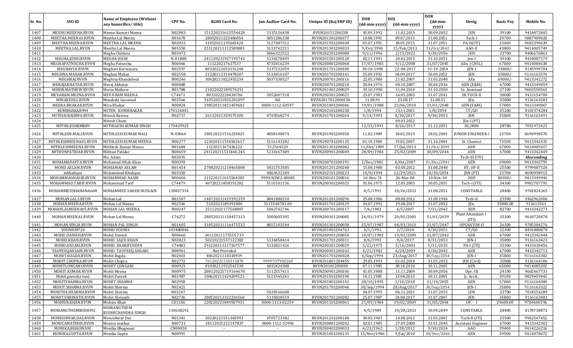| Sr. No. | SSO ID               | <b>Name of Employee (Without</b><br>any honorifics/title) | CPF No.   | <b>RGHS Card No.</b> | Jan Aadhar Card No. | Unique ID (Raj ERP ID) | <b>DOB</b><br>(dd-mm-yyyy) | <b>DOI</b><br>(dd-mm-yyyy) | <b>DOR</b><br>$(dd{\text{-}\mathbf{mm}}$<br>yyyy) | Desig.                    | <b>Basic Pay</b> | Mobile No. |
|---------|----------------------|-----------------------------------------------------------|-----------|----------------------|---------------------|------------------------|----------------------------|----------------------------|---------------------------------------------------|---------------------------|------------------|------------|
| 1407    | MEENU.MEEENA.RVUN    | Meenu Kumari Meena                                        | N02083    | 151220211612554428   | 5135126438          | RVUN20151200238        | 05.09.1992                 | 11.02.2015                 | 30.09.2052                                        | JEN                       | 39100            | 9414072845 |
| 1408    | MEETHA.MEENA1.RVUN   | Meetha Lal Meena                                          | N01678    | 28052021222486854    | 5051286338          | RVUN201301200077       | 10.08.1991                 | 09.07.2013                 | 31.08.2051                                        | Tech-I                    | 29700            | 9887989020 |
| 1409    | MEETHA.MEENA.RVUN    | <b>MEETHA LAL MEENA</b>                                   | N02033    | 31052021195665420    | 5127087312          | RVUN201501200038       | 05.07.1991                 | 28.05.2015                 | 31.07.2051                                        | $PA-II(ITI)$              | 23400            | 9602390639 |
| 1410    | MEETHA.LAL.RVUN      | Meetha Lal Meena                                          | N01558    | 251120211112509883   | 5133742211          | RVUN201301200033       | 9/0ct/1990                 | 15/Feb/2013                | 31/0ct/2042                                       | AAO-II                    | 43800            | 9414005749 |
| 1411    |                      | Megha Chittora                                            | N03472    |                      | 5066322522          | RVUN202201200080       | 9/11/1996                  | 2/15/2022                  | 9/30/2056                                         | JEN                       | 23700            | 9406676861 |
| 1412    | MEGHA.JOSHI.RVUN     | <b>MEGHA JOSHI</b>                                        | N-01888   | 241120211957195742   | 5134278459          | RVUN201501200120       | 02.11.1991                 | 20.02.2015                 | 31.10.2051                                        | Jen-I                     | 39100            | 9414087579 |
| 1413    | MEGHAPATNECHA.RVUN   | Megha Patnecha                                            | N00466    | 111220217637537      | 4735016239          | RVUN200801200068       | 17/07/1985                 | 9/12/2008                  | 31/07/2045                                        | AEn (CIVIL)               | 67000            | 9414084638 |
| 1414    | MEGHAVI.K.RVUN       | Meghavi Karwasara                                         | N02597    | 80320222053151248    | 5137232059          | RVUN201701200180       | 30-10-1994                 | 22-08-2017                 | 31-10-2054                                        | <b>JEN-I</b>              | 33800/           | 9145999704 |
| 1415    | MEGHNA.MAHAR.RVUN    | Meghna Mahar                                              | N02558    | 21220212314478207    | 5133816107          | RVUN201701200141       | 25.09.1992                 | 04.09.2017                 | 30.09.2052                                        | JEN                       | 35800/           | 9116163574 |
| 1416    | MEGHRAJ.RVUN         | Meghraj Khandelwal                                        | N00246    | 30620211822455234    | 5037338527          | RVUN200701200116       | 22.05.1980                 | 21.02.2007                 | 31.05.2040                                        | AEn                       | 69000/           | 9413342272 |
| 1417    | MERAJAKHATAR.RVUN    | Meraj Akhatar                                             | N00488    |                      |                     | RVUN200701200210       | 20.04.1976                 | 04.10.2007                 | 30.04.2036                                        | AEN (E&M)                 | 67000            | 9413349059 |
| 1418    | MERIN.MATHEW.RVUN    | <b>Merin Mathew</b>                                       | N01788    | 21022022189576251    |                     | RVUN201401200029       | 19.10.1990                 | 11.04.2014                 | 31.10.2050                                        | Sr. Assistant             | 27100            | 9602550563 |
| 1419    | MEVARAM.MEENA.RVUN   | <b>MEVA RAM MEENA</b>                                     | C74471    | 8032022228438706     | 5052607318          | RVUN200301200021       | 23.07.1981                 | 16.05.2003                 | 31.07.2041                                        | SR.TECH-II                | 38000            | 9413154700 |
| 1420    | MINAKSHI.G.RVUN      | Minakshi Gusaiwal                                         | N02566    | 310520211835281097   | NA                  | RVUN2017012000150      | 11.08.91                   | 23.08.17                   | 31.08.51                                          | IEn.                      | 35800            | 9116163583 |
| 1421    | MEERA.BHAKAR.RVUN    | Mira Bhakar                                               | N00824    | 290520211821459602   | 0000-1112-50597     | RVUN201001200046       | 19/01/1988                 | 23/06/2010                 | 31/01/2048                                        | AEN (E&M)                 | 57800            | 9413349067 |
| 1422    | KUMBHAKAR994         | MITEN KUMBHAKAR                                           | 170124841 |                      |                     | RVUN202101200238       | 1/8/1994                   | 13.11.2021                 | 1/8/2054                                          | CT/GD                     | 25200            | 8101374284 |
| 1423    | MITESH.BAIRWA.RVUN   | Mitesh Bairwa                                             | N02717    | 26112021359575300    | 4703568274          | RVUN201701200264       | 9/14/1993                  | 8/30/2017                  | 9/30/2053                                         | JEN                       | 35800            | 9116163491 |
| 1424    |                      | Mitesh Chum                                               |           |                      |                     |                        |                            | 09.03.2022                 |                                                   | $[En-I (PT)]$             |                  |            |
| 1425    | MITHILESHKMR89       | MITHILESH KUMAR SINGH                                     | 170419925 |                      |                     |                        | 12/15/1991                 | 8/26/2017                  | 31.12.2051                                        | HC/MIN                    | 28700            | 7051972425 |
| 1426    | MITHLESH.MALI.RVUN   | MITHLESH KUMAR MALI                                       | N-03064   | 180120221516235825   | 4858100074          | RVUN201901200038       | 11.02.1989                 | 18.02.2019                 | 28.02.2049                                        | <b>JUNIOR ENGINEER-I</b>  | 23700            | 8690998570 |
| 1427    | MITHLESHMEENA05.RVUN | MITHLESH KUMAR MEENA                                      | N00277    | 121020211556502617   | 5116143282          | RVUN200701200135       | 01.10.1984                 | 19.02.2007                 | 31.10.2044                                        | Sr. Chemist               | 73500            | 9413342435 |
| 1428    | MITHLESHMEENA.RVUN   | Mithlesh Kumar Meena                                      | N01684    | 1122021367436222     | 512564520           | RVUN201301200082       | 11/0ct/1989                | 17/Jul/2013                | 31/0ct/2049                                       | AEN                       | 67000            | 9414005417 |
| 1429    | MITHUNPATIDAR.RVUN   | Mithun Patidar                                            | N00659    | 241120211531446245   | 5134167489          | RVUN200901200049       | 28/09/1984                 | 25/02/2009                 | 30/09/2044                                        | AEN                       | 67000            | 9413342449 |
| 1430    |                      | Mo. Adam                                                  | N02035    |                      |                     |                        |                            |                            |                                                   | Tech-III (ITI)            |                  | Absconding |
| 1431    | MOHAMADAFTA.RVUN     | Mohamad Aftab Alam                                        | N00393    |                      |                     | RVUN200701200191       | 2/Dec/1981                 | 4/0ct/2007                 | 31/Dec/2041                                       | AEN                       | 69000            | 9413342759 |
| 1432    | MOHD.ASLAM.RVUN      | MOHAMAD ASLAM                                             | N01454    | 270820211218465808   | 5021753505          | RVUN201201200248       | 15.08.1988                 | 03.08.2012                 | 31.08.2048                                        | HY. OP-II                 | 25500            | 9799487528 |
| 1433    | mkhalique            | Mohammad Khalique                                         | N03350    |                      | 4863632349          | RVUN202101200223       | 10/9/1994                  | 12/29/2021                 | 10/30/2054                                        | JEN (PT)                  | 23700            | 8690998915 |
| 1434    | MOHAMMADNASIR.RVUN   | MOHAMMAD NASIR                                            | N00406    | 211220211015564385   | 9999-N3W2-00085     | RVUN200101200016       | 10-Nov-74                  | 26-Mar-08                  | 10-Nov-34                                         | <b>DDP</b>                | 80300/           | 9413349944 |
| 1435    | MOHAMMAD.TARIF.RVUN  | Mohammad Tarif                                            | C74479    | 40720211858351282    | 5110101136          | RVUN200301200025       | 01.06.1975                 | 12.05.2003                 | 30.05.2035                                        | Tech-I (ITI)              | 34300            | 9982707793 |
| 1436    | MOHAMMEDSHAHANA608   | MOHAMMED SAHEB HUSSAIN                                    | 130817334 |                      |                     |                        | 8/5/1991                   | 10/26/2013                 | 31.08.2051                                        | CONSTABLE                 | 28400            | 9701824365 |
| 1437    | MOHAN.LAL3.RVUN      | Mohan Lal                                                 | N01507    | 140720211419392359   | 4841880210          | RVUN201201200296       | 25.08.1986                 | 08.08.2012                 | 31.08.1946                                        | Tech-II                   | 25500            | 9462962006 |
| 1438    | MOHAN.MEENA.RVUN     | Mohan Lal Meena                                           | N02546    | 5102021189392080     | 5115540781.00       | RVUN201701200129       | 10.07.1992                 | 29.08.2017                 | 31.07.2052                                        | JEn.                      | 35800.00         | 911613561  |
| 1439    | MOHANLALMEENA05.RVUN | MOHAN LAL MEENA                                           | N00247    | 25112021177568807    | 5062742746          | RVUN200701200117       | 7/6/1982                   | 4/5/2007                   | 7/31/2042                                         | <b>XEN</b>                | 82700            | 9413342273 |
| 1440    | MOHAN.MEENA1.RVUN    | Mohan Lal Meena                                           | C76272    | 280520211150457313   | 5005605305          | RVUN200301200085       | 24/01/1979                 | 20/05/2003                 | 31/01/2039                                        | Plant Attendant-I<br>(TT) | 35300            | 9610728478 |
| 1441    | MOHAN.SINGH.RVUN     | MOHAN PAL SINGH                                           | N01605    | 310520211116475532   | 4815103544          | RVUN201301200038       | 25/07/1987                 | 04/03/2013                 | 31/07/2047                                        | OPERATOR-II               | 26300            | 9785384276 |
| 1442    | YOUNISM720           | <b>MOHD YOUNIS</b>                                        | 103480046 |                      |                     | RVUN201001204763       | 4/1/1991                   | 3/7/2010                   | 4/30/2051                                         | CT/GD                     | 32300            | 8491880878 |
| 1443    | MOHD.DANISH.RVUN     | Mohd. Danish                                              | N00660    | 24112021175555 719   |                     | RVUN200901200050       | 10/07/1982                 | 19/02/2009                 | 31/07/2042                                        | <b>AEN</b>                | 67000            | 9413342448 |
| 1444    | MOHD.KHAN.RVUN       | MOHD. SAJID KHAN                                          | N02823    | 50220221537122382    | 5134458414          | RVUN201701200311       | 8/6/1993                   | 9/4/2017                   | 8/31/2053                                         | JEN-I                     | 35800            | 9116163423 |
| 1445    | MOHD.ANSARI.RVUN     | MOHD. SHARIFUDDIN                                         | C74483    | 291220211217267577   | 5132821426          | RVUN200301200029       | 5/22/1975                  | 5/16/2003                  | 5/31/2035                                         | PA-I (ITI)                | 35300            | 9413430456 |
| 1446    | TAUFEEQANSARI.RVUN   | MOHD. TAUFEEQ ANSARI                                      | N00901    | Not Provided         |                     | RVUN200901200102       | 4/21/1982                  | 6/24/2009                  | 4/30/2042                                         | <b>AEN</b>                | 67000            | 9413342713 |
| 1447    | MOHIT.BAGDA.RVUN     | Mohit Bagda                                               | N02403    | 4062021118318939     |                     | RVUN201701200028       | 6/Sep/1994                 | 23/Aug/2017                | 30/Sep/2054                                       | JEN-I                     | 35800            | 9116163302 |
| 1448    | MOHIT.CHOPRA.RVUN    | Mohit Chopra                                              | N02772    | 70120221150315878    | 999970TY00260       | RVUN201801204455       | 29.05.1993                 | 01.02.2018                 | 31.05.2053                                        | JEN (Civil)               | 35800            | 9116164186 |
| 1449    | MOHITLONGANI.RVUN    | <b>MOHIT LONGANI</b>                                      | N00923    | 81020211932541538    | 4832424308          | RVUN20101200090        | 07.11.1985                 | 28.10.2010                 | 30.11.2045                                        | <b>AEN</b>                | 65000            | 9414085202 |
| 1450    | MOHIT.KUMAR.RVUN     | Mohit Meena                                               | N00975    | 280120221719164670   | 5112557411          | RVUN200901200106       | 01.05.1988                 | 11.11.2009                 | 30.09.2056                                        | Opr.-III                  | 24100            | 9602467731 |
| 1451    | Mohit.pareek.rvunl   | <b>Mohit Pareek</b>                                       | N01987    | 100620211424209523   | 5123545261          | RVUN201501200190       | 10.11.1985                 | 13.04.2015                 | 30.11.2045                                        | Jr. Acctt                 | 39100            | 9829459442 |
| 1452    | MOHITSHARMA.RVUN     | MOHIT SHARMA                                              | N02958    |                      |                     | RVUN201801200142       | 30/10/1995                 | 1/10/2018                  | 31/10/2055                                        | AEN                       | 57800            | 9116164384 |
| 1453    | MOHIT.SHARMA.RVUN    | Mohit Sharma                                              | N02421    |                      |                     | RVUN201701200046       | 30/Sep/1994                | 28/Aug/2017                | 30/Sep/2054                                       | JEN-I                     | 35800            | 9116163322 |
| 1454    | MOHIT04.SHARMA.RVUN  | Mohit Sharma                                              | N03247    |                      | 5028166608          |                        | 04.07.1995                 | 06.12.2021                 | 31.07.2055                                        | JEN                       | 23700            | 7014554289 |
| 1455    | MOHIT.SHRINATH.RVUN  | Mohit Shrinath                                            | N02736    | 280520212322236560   | 5135828559          | RVUN201701200282       | 25.07.1987                 | 24.08.2017                 | 31.07.2047                                        | JEN                       | 35800            | 9116163483 |
| 1456    | MOHSIN.KHAN.RVUN     | Mohsin Khan                                               | C01106    | 220220221849507931   | 0000-1113-02254     | RVUN201101200061       | 21/05/1984                 | 19/02/2009                 | 31/05/2044                                        | OP. - I                   | 29600.00         | 9784600196 |
| 1457    | MOIRANGTHEMBUDHI92   | MOIRANGTHEM<br><b>BUDHICHANDRA SINGH</b>                  | 130618292 |                      |                     |                        | 4/5/1989                   | 10/28/2013                 | 30.04.2049                                        | CONSTABLE                 | 28400            | 8178738872 |
| 1458    | MONESHWAR.DAS.RVUN   | Moneshwar Das                                             | N01341    | 30220221551365993    | 4705723382          | RVUN201201200148       | 30.03.1987                 | 14.08.2012                 | 31.03.2047                                        | Tech-II (ITI)             | 25500            | 9982547452 |
| 1459    | MONICAMATHUR.RVUN    | Monica mathur                                             | N00721    | 18112021222147837    | 0000-1112-52996     | RVUN200801200202       | 02.01.1985                 | 27.09.2008                 | 31.01.2045                                        | <b>Assistant Engineer</b> | 67000            | 9413342302 |
| 1460    | MONIKA.BHAGWANI      | Monika Bhagwani                                           | CN00050   |                      |                     | RVUN200401200033       | 6/23/1962                  | 1/28/2012                  | 9/30/2024                                         | AAO                       | 39400            | 9414226216 |
| 1461    | MONIKA.GUPTA.RVUN    | Monika Gupta                                              | N00991    |                      |                     | RVUN201001200135       | 15/Nov/1986                | 9/Jul/2010                 | 30/Nov/2046                                       | AEN                       | 59500            | 9414078072 |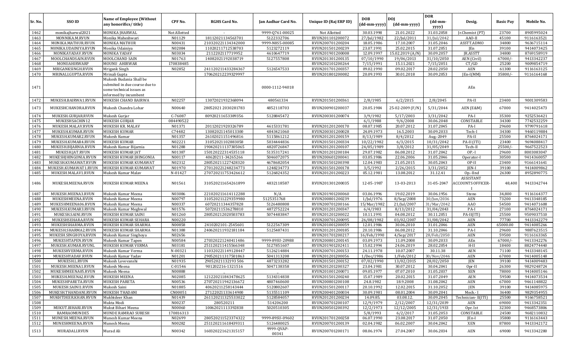|              |                                   |                                                                                                               |                     |                      |                     |                        |                            |                            | <b>DOR</b>               |                                                |                  |                          |
|--------------|-----------------------------------|---------------------------------------------------------------------------------------------------------------|---------------------|----------------------|---------------------|------------------------|----------------------------|----------------------------|--------------------------|------------------------------------------------|------------------|--------------------------|
| Sr. No.      | SSO ID                            | Name of Employee (Without<br>any honorifics/title)                                                            | CPF No.             | <b>RGHS Card No.</b> | Jan Aadhar Card No. | Unique ID (Raj ERP ID) | <b>DOB</b><br>(dd-mm-yyyy) | <b>DOI</b><br>(dd-mm-yyyy) | (dd-mm-<br>yyyy)         | Desig.                                         | <b>Basic Pay</b> | Mobile No.               |
| 1462         | monikaj harwal 2021               | MONIKA JHARWAL                                                                                                | Not Allotted        |                      | 9999-Q761-00025     | Not Allotted           | 30.03.1998                 | 21.01.2022                 | 31.03.2058               | Jr.Chemist (PT)                                | 23700            | 8905995024               |
| 1463         | MONNIKA.M.RVUN                    | Monika Maheshwari                                                                                             | N01129              | 18112021134563701    | 5122332706          | RVUN201101200072       | 27/Jul/1982                | 22/Jul/2011                | 31/Jul/2042              | AAO-II                                         | 45100            | 9116163521               |
| 1464         | MONIKA.MATHUR.RVUN                | <b>MONIKA MATHUR</b>                                                                                          | N00431              | 210320221134342000   | 9999-N8S5-00085     | RVUN200701200204       | 18.05.1986                 | 17.10.2007                 | 31.05.2046               | ASSTT.ADMO                                     | 34800            | 9636715114               |
| 1465         | MONIKA.UDAINIYA.RVUN              | Monika Udainiya                                                                                               | N02084              | 11020211712538703    | 5123272119          | RVUN201501200239       | 23.07.1991                 | 25.02.2015                 | 31.07.2051               | JEn                                            | 39100            | 9414073425               |
| 1466         | MONIKAYADAV.RVUN                  | MONIKA YADAV                                                                                                  | N03034              | 2112202117719952     | 4610647719          | RVUN201901200008       | 12.09.1997                 | 15.02.2019 (A/N)           | 30.09.2057               | JR.ASSTT                                       | 34800            | 8769158919               |
| 1467         | MOOLCHANDSAIN.RVUN                | MOOLCHAND SAIN                                                                                                | N01763              | 14082021192038719    | 5127557808          | RVUN201301200135       | 07/10/1990                 | 19/06/2013                 | 31/10/2050               | AEN (Civil)                                    | 67000/           | 9413342237               |
| 1468         | MONUAHIRWARP                      | MOUNU AHIRWAR                                                                                                 | 170838485           |                      |                     | RVUN202101200264       | 7/15/1991                  | 15.11.2021                 | 7/15/2051                | CT/GD                                          | 25200            | 9009854719               |
| 1469         | MRIGANKSINGH.RVUN                 | Mrigank Singh                                                                                                 | N02852              | 241120211433284367   | 5126547533          | RVUN201701200357       | 09.02.1990                 | 09.02.2017                 | 28.02.2050               | AEN                                            | 61300            | 9116163125               |
| 1470         | MRINALI.GUPTA.RVUN                | Mrinali Gupta                                                                                                 |                     | 170620212239329997   |                     | RVUN201801200082       | 20.09.1993                 | 30.01.2018                 | 30.09.2053               | JEn-I(MM)                                      | 35800/           | 9116164168               |
| 1471         |                                   | Mukesh Budania Shall be<br>submited in due course due to<br>some technical issues as<br>informed by incumbent |                     |                      | 0000-1112-94018     |                        |                            |                            |                          | AEn                                            |                  |                          |
| 1472         | MUKESH.BAIRWA1.RVUN               | MUKESH CHAND BAIRWA                                                                                           | N02257              | 13072021932368094    | 480561334           | RVUN201501200361       | 2/8/1985                   | 6/2/2015                   | 2/8/2045                 | PA-II                                          | 23400            | 9001309583               |
| 1473         | MUKESHCHANDRA.RVUN                | Mukesh Chandra Lohar                                                                                          | N00640              | 28052021 2030281783  | 4852118703          | RVUN200901200037       | 20.05.1984                 | 25-02-2009 (F/N)           | 5/31/2044                | AEN (E&M)                                      | 67000            | 9414025473               |
| 1474         | MUKESH.GURJAR.RVUN                | Mukesh Gurjar                                                                                                 | C-76087             | 80920211653389356    | 5128845472          | RVUN200301200074       | 3/9/1982                   | 5/17/2003                  | 3/31/2042                | PA-I                                           | 35300            | 9252536421               |
| 1475         | MUKESHSACHIN12                    | MUKESH GURJAR                                                                                                 | 084490522           |                      |                     |                        | 6/1/1988                   | 9/6/2008                   | 30.06.2048               | CONSTABLE                                      | 34300            | 7742532259               |
| 1476         | MUKESH.MALAV.RVUN                 | MUKESH KR. MALAV                                                                                              | N01371              | 20112021920326789    | 4615331781          | RVUN201201200170       | 08.07.1985                 | 20.07.2012                 | 31.07.2045               | PA-I                                           | 29600            | 9799791618               |
| 1477         | MUKESH.KUMAR.RVUN                 | MUKESH KUMAR                                                                                                  | C74482              | 13082021145013300    | 4843421060          | RVUN200301200028       | 24.09.1973                 | 16.5.2003                  | 30.09.2033               | Tech-I                                         | 34300            | 9460119884               |
| 1478         | MUKESH.KUMAR2.RVUN                | Mukesh Kumar                                                                                                  | N01357              | 26102021151496816    | 5115861212          | RVUN201201200159       | 8/13/1989                  | 8/4/2012                   | Aug.-2049                | PA-II                                          | 25500            | 8764024171               |
| 1479         | MUKESH.KUMAR4.RVUN                | <b>MUKESH KUMAR</b>                                                                                           | N02221              | 31052021102883058    | 5034444836          | RVUN201501200334       | 10/22/1982                 | 6/3/2015                   | 10/31/2042               | PA-II (ITI)                                    | 23400            | 9694088417               |
| 1480         | MUKESH.BIJARNIA.RVUN              | Mukesh Kumar Bijarnia                                                                                         | N01288              | 190420211137305065   | 4820726847          | RVUN201201200107       | 24/05/1989                 | 3/8/2012                   | 31/05/2049               | Tech-II                                        | 25500/           | 9667522523               |
| 1481         | MUKESH.JAT.RVUN                   | MUKESH KUMAR JAT                                                                                              | N01387              | 150120222314535118   | 5135317241          | RVUN201201200184       | 29.07.1982                 | 06.08.2012                 | 31.07.2042               | $OP-I$                                         | 29600            | 8003083047               |
| 1482         | MUKESHJHINGONIA.RVUN              | MUKESH KUMAR JHINGONIA                                                                                        | N00117              | 40620211-34265266    | 5046072075          | RVUN200601200041       | 03.05.1986                 | 22.06.2006                 | 31.05.2046               | Operator-I                                     | 30500            | 9414360057               |
| 1483         | MUKESH.KUMAWAT.RVUN               | MUKESH KUMAR KUMAWAT                                                                                          | N02312              | 280520211227428320   | 4678682054          | RVUN201501200398       | 12.04.1983                 | 21.05.2015                 | 30.05.2043               | OP-II                                          | 23400            | 9166141641               |
| 1484         | MUKESH.KUMAWAT1.RVUN              | MUKESH KUMAR KUMAWAT                                                                                          | N01970              | 270120221248234773   | 1248234773          | RVUN201501200178       | 3/5/1992                   | 2/26/2015                  | 3/31/2052                | <b>IEN-I</b>                                   | 39100            | 9414009862               |
| 1485         | MUKESH.MALAV1.RVUN                | Mukesh Kumar Malav                                                                                            | N-01427             | 270720211753426612   | 5126824352          | RVUN201201200223       | 05.12.1981                 | 13.08.2012                 | 31.12.41                 | Op.-IInd                                       | 26300            | 8952890775               |
| 1486         | MUKESH.MEENA.RVUN                 | MUKESH KUMAR MEENA                                                                                            | N01561              | 310520211654261899   | 4832118587          | RVUN201301200035       | 12-05-1987                 | 13-03-2013                 | 31-05-2047               | ASSISTANT<br>ACCOUNTS OFFICER-<br>$\mathbf{I}$ | 48,400           | 9413342744               |
| 1487         | MUKESH.MEENA3.RVUN                | Mukesh Kumar Meena                                                                                            | N03086              | 221020211614112288   | N/A                 | RVUN201901200060       | 03.06.1996                 | 19.02.2019                 | 30.06.1956               | Steno                                          | 34,800           | 9116164377               |
| 1488         | MUKESHMEENA.RVUN                  | Mukesh Kumar Meena                                                                                            | N00797              | 310520211229359980   | 5125351768          | RVUN200801200239       | 1/Jul/1976                 | 8/Sep/2008                 | 30/Jun/2036              | AEN                                            | 73200            | 9413348185               |
| 1489         | MUKESHMEENA06.RVUN                | Mukesh Kumar Meena                                                                                            | N00337              | 60720211344357828    | 5126480808          | RVUN200701200166       | 15/Mar/1982                | 21/Jul/2007                | 31/Mar/2042              | AA0                                            | 54500            | 9414071608               |
| 1490         | MUKESH.KUMAR3.RVUN                | Mukesh Kumar Meghwal                                                                                          | N01576              | 50720211536278810    | 4872752224          | RVUN201201200347       | 6/4/1983                   | 8/13/2012                  | 31/04/2043               | PA-I                                           | 27100            | 8764024171               |
| 1491         | MUKESH.SAINI.RVUN                 | MUKESH KUMAR SAINI                                                                                            | N01260              | 280520212020503783   | 5074483847          | RVUN201201200022       | 10.11.1991                 | 04.08.2012                 | 30.11.2051               | $PA-II(TI)$                                    | 25500            | 9509037510               |
| 1492         | MUKESHSEHARA.RVUN                 | MUKESH KUMAR SEHARA                                                                                           | N00220              |                      |                     | RVUN200701200095       | 26/08/1982                 | 03/02/2007                 | 31/08/2042               | <b>AEN</b>                                     | 77700            | 9413342279               |
| 1493         | MUKESHSHARMA.RVUN                 | MUKESH KUMAR SHARMA                                                                                           | N00858              | 2410202101-2545601   | 5122567309          | RVUN201001200059       | 12.01.1986                 | 30.06.2010                 | 31.01.2046               | <b>AEN</b>                                     | 65000.00         | 9414085266               |
| 1494         | MUKESH.SHARMA2.RVUN               | MUKESH KUMAR SHARMA                                                                                           | N01388              | 240620211932181184   | 5125487431          | RVUN201201200185       | 20.10.1986                 | 06.08.2012                 | 31.10.2046               | PA-I                                           | 29600            | 9887623515               |
| 1495         | MUKESH.SINGHOYA.RVUN              | Mukesh Kumar Singhoya                                                                                         | N02656              |                      |                     | RVUN201701200217       | 16/Feb/1990                | $4/$ Sep $/2017$           | 28/Feb/2050              | <b>AEN</b>                                     | 59500            | 9116163365               |
| 1496         | MUKESHTAPEN.RVUN                  | Mukesh Kumar Tapen                                                                                            | N00584              | 270320221240411486   | 9999-89SU-20988     | RVUN200801200145       | 03.09.1973                 | 11.09.2008                 | 30.09.2033               | AEn                                            | 67000/           | 9413342276               |
| 1497         | MUKESH.KUMAR.RVUNL                | MUKESH KUMAR VERMA                                                                                            | N03181              | 251120211415566348   | 5127851607          | RVUN201901202411       | 15.02.1994                 | 24.06.2019                 | 28.02.2054               | $H-II$                                         | 18400            | 8824774440               |
| 1498         | MUKESHVERMA.RVUN                  | Mukesh Kumar Verma                                                                                            | N-00321             | 110320221149128447   | 5126214884          | RVUN200701200153       | 24.11.1978                 | 10.07.2007                 | 30.11.38                 | AEN                                            | 71100            | 9413348145               |
| 1499         | MUKESHYADAV.RVUN                  | Mukesh Kumar Yadav                                                                                            | N01201              | 290520211317501863   | 5041313208          | RVUN201201200056       | 1/Dec/1986                 | 1/Feb/2012                 | 30/Nov/2046              | <b>AEN</b>                                     | 67000            | 9414005148               |
| 1500         | MUKESH.L.RVUN                     | Mukesh Lovevanshi                                                                                             | N01935              | 29052021132193506    | 4873233282          | RVUN201501200152       | 07/02/1990                 | 13/02/2015                 | 28/02/2050               | <b>JEN</b>                                     | 39100            | 9414009483               |
| 1501         | MUKESH.MEENA1.RVUN                | Mukesh Meena                                                                                                  | C-01546             | 901202216-1321516    | 5047138358          | RVUN201201200327       | 23.04.1981                 | 30.07.2012                 | 30.04.2041               | Opr-II                                         | 26300            | 9829248724               |
| 1502         | MUKESHMEENA05.RVUN                | Mukesh Meena                                                                                                  | N00888              |                      |                     | RVUN201001200071       | 09.05.1977                 | 07.07.2010                 | 31.05.2037               | XEN                                            | 78000            | 9414005146               |
| 1503         | MUKESH.MEENA2.RVUN                | <b>MUKESH MEENA</b>                                                                                           | N02085              | 121220211843478625   | 5134314838          | RVUN201501200240       | 15.07.1989                 | 20.02.2015                 | 31.07.2049               | AEN                                            | 59500            | 9414073534               |
| 1504         | MUKESHPARETA.RVUN                 | <b>MUKESH PARETA</b>                                                                                          | N00536              | 270720211942136672   | 4807460600          | RVUN200801200108       | 24.8.1982                  | 18.9.2008                  | 31.08.2042               | AEN                                            | 67000            | 9461148822               |
| 1505         | MUKESH.SAINI1.RVUN                | Mukesh Saini                                                                                                  | N01885              | 40620211258143444    | 5120802607          | RVUN201501200117       | 20.10.1992                 | 12.02.2015                 | 31.10.2052               | <b>JEN</b>                                     | 39100            | 9414085975               |
| 1506         | MUKESH.THANDANI.RVUN              | <b>MUKESH THADANI</b>                                                                                         | CN00051             | 27122021133614900    | 5135511109          | RVUN200401200034       | 30.09.1981                 | 08.01.2004                 | 30.09.2041               | Mech - I                                       | 36400            | 9829354955               |
| 1507         | MUKHTDEER.KHAN.RVUN               | Mukhtdeer Khan                                                                                                | N01439              | 261120211325533022   | 5128584057          | RVUN201201200234       | 14.09.85.                  | 03.08.12.                  | 30.09.2045               | Technician-II(ITI)                             | 25500            | 9166758521               |
| 1508         |                                   | Mukta Modi                                                                                                    | N00237              | 280520211            | 514206200           | RVUN200701200107       | 12/9/1979                  | 2/12/2007                  | 12/31/2039               | AEN                                            | 69000            | 9413342351               |
| 1509         | MUKUT.BIHARI.RVUN                 | Mukut Bihari Meena<br><b>MUNDE RAMRAO SURESH</b>                                                              | N00060              | 10062021113392838    | 5020510305          | RVUN200501200392       | 12/2/1973                  | 12/12/2005                 | 12/31/1933               | Opr. Ist                                       | 32300            | 9468573806               |
| 1510<br>1511 | RAMRAOMUNDE5<br>MUNESH.MEENA.RVUN | Munesh Kumar Meena                                                                                            | 170816313<br>N02699 | 280520211523374322   | 9999-89SU-09602     | RVUN201701200258       | 5/8/1993<br>06.07.1990     | 6/2/2017<br>23.08.2017     | 31.05.2053<br>31.07.2050 | CONSTABLE<br>JEn-I                             | 24500<br>35800   | 9682110832<br>9116163443 |
| 1512         | MUNESHMEENA.RVUN                  | Munesh Meena                                                                                                  | N00282              | 251120211618439311   | 5126480025          | RVUN200701200139       | 02.04.1982                 | 06.02.2007                 | 30.04.2042               | XEN                                            | 87800            | 9413342172               |
| 1513         | MURADALI.RVUN                     | Murad Ali                                                                                                     | N00342              | 160320221621315157   | 9999-QVAP-          | RVUN200701200171       | 08.06.1974                 | 27.04.2007                 | 30.06.2034               | AEN                                            | 69000            | 9413342280               |
|              |                                   |                                                                                                               |                     |                      | 00341               |                        |                            |                            |                          |                                                |                  |                          |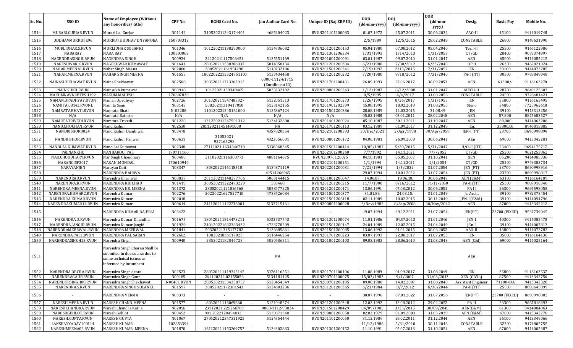| Sr. No.        | SSO ID                                     | Name of Employee (Without<br>any honorifics/title)                                                                   | CPF No.             | <b>RGHS Card No.</b>                    | <b>Ian Aadhar Card No.</b>         | Unique ID (Raj ERP ID)               | <b>DOB</b><br>(dd-mm-yyyy) | <b>DOI</b><br>(dd-mm-yyyy) | <b>DOR</b><br>$(dd{\text{-}\mathbf{mm}}$ | Desig.               | <b>Basic Pay</b> | Mobile No.               |
|----------------|--------------------------------------------|----------------------------------------------------------------------------------------------------------------------|---------------------|-----------------------------------------|------------------------------------|--------------------------------------|----------------------------|----------------------------|------------------------------------------|----------------------|------------------|--------------------------|
| 1514           | MURARI.GURJAR.RVUN                         | Murari Lal Gurjar                                                                                                    | N01142              | 310520211243174401                      | 4685404023                         | RVUN201101200083                     | 01.07.1972                 | 25.07.2011                 | yyyy)<br>30.06.2032                      | AAO-II               | 45100            | 9414019748               |
| 1515           | UDDHAVMURKUTE96                            | MURKUTE UDHAV DNYANOBA                                                                                               | 150703312           |                                         |                                    |                                      | 2/5/1989                   | 12/5/2015                  | 28.02.2049                               | CONSTABLE            | 26800            | 9149631990               |
| 1516           | MURLIDHAR.S.RVUN                           | MURLIDHAR SOLANKI                                                                                                    | N01346              | 101220211138293000                      | 5134736082                         | RVUN201201200153                     | 05.04.1980                 | 07.08.2012                 | 05.04.2040                               | Tech-II              | 25500            | 9166122986               |
| 1517           | NABARAY                                    | <b>NABA RAY</b>                                                                                                      | 130500063           |                                         |                                    | RVUN201301206334                     | 1/31/1993                  | 1/14/2013                  | 1/31/2053                                | CT/GD                | 28400            | 9079374997               |
| 1518           | NAGENDRASINGH.RVUN                         | <b>NAGENDRA SINGH</b>                                                                                                | N00924              | 22120211117506451                       | 5135551169                         | RVUN201001200091                     | 03.01.1987                 | 09.07.2010                 | 31.01.2047                               | AEN                  | 65000            | 9414085215               |
| 1519           | NAGESHWAR.K.RVUN                           | NAGESHWAR KUMAWAT                                                                                                    | N01641              | 280520211538386837                      | 5014058134                         | RVUN201201200384                     | 6/23/1980                  | 7/30/2012                  | 6/23/2040                                | OP II                | 26300            | 9462021024               |
| 1520           | NAHAR.MEENA1.RVUN                          | Nahar Singh Meena                                                                                                    | N02086              | 28052021161954298                       | 5118732106                         | RVUN201501200241                     | 7/15/1992                  | 2/13/2015                  | 7/31/2052                                | JEN                  | 39100            | 9414073285               |
| 1521           | NAHAR.MEENA.RVUN                           | NAHAR SINGH MEENA                                                                                                    | N01555              | 18022022213524751100                    | 5137434458                         | RVUN201201200232                     | 7/20/1980                  | 8/18/2012                  | 7/31/2040                                | PA-I (ITI)           | 30500            | 9785849948               |
| 1522           | NAINASHEKHAWAT.RVUN                        | Naina Shekhawat                                                                                                      | N02508              | 300520211713362912                      | 0000-1112-61715<br>(Enrollment ID) | RVUN201701200431                     | 26.09.1993                 | 27.06.2017                 | 30.09.2053                               | AEN                  | 61300/           | 9116163270               |
| 1523           | NAIN.SUKH.RVUN                             | Nainsukh kumawat                                                                                                     | N00918              | 10122021139349405                       | 5033232102                         | RVUN200801200243                     | 1/12/1987                  | 8/12/2008                  | 31.01.2047                               | MECH-II              | 28700            | 9649125603               |
| 1524           | NAKUMNAVNEETESH192                         | <b>NAKUM MAHESH</b>                                                                                                  | 170607830           |                                         |                                    |                                      | 8/5/1995                   | 4/4/2017                   | 31.08.2056                               | CONSTABLE            | 24500            | 9726481421               |
| 1525           | NAMAN.UPADHYAY.RVUN                        | Naman Upadhyay                                                                                                       | N02726              | 301020211547483327                      | 5132051513                         | RVUN201701200273                     | 1/26/1995                  | 8/26/2017                  | 1/31/1955                                | <b>JEN</b>           | 35800            | 9116163495               |
| 1526<br>1527   | NAMITA.03143.RVUNL<br>NAMRATA.BHATI.RVUN   | Namita Saini<br>Namrata Bhati                                                                                        | N03143<br>N-02288   | 50820211310417050<br>110120221245161000 | 5123142155<br>5135867424           | RVUN201901202399<br>RVUN201501200386 | 15.08.1995<br>28.08.1989   | 18.02.2019<br>11.03.2015   | 31.08.2055<br>31.08.49                   | Steno<br><b>JEN</b>  | 34800<br>39100   | 7725962618<br>9413313256 |
| 1528           | N/A                                        | Namrata Rathore                                                                                                      | N/A                 | N/A                                     | N/A                                | N/A                                  | 05.02.1988                 | 03.01.2011                 | 28.02.2048                               | AEN                  | 57,800           | 8875683527               |
| 1529           | NAMRTATRIVEDI.RVUN                         | Namrata Trivedi                                                                                                      | N01228              | 131220211247501312                      | 5134132600                         | RVUN201401200024                     | 05.10.1987                 | 30.11.2011                 | 31.10.2047                               | AEN                  | 69,000           | 9414063206               |
| 1530           | NAND.CHOUHAN.RVUN                          | Nand Kishor                                                                                                          | N02530              | 281120211451491000                      | NA                                 | RVUN201701200113                     | 03.12.1989                 | 01.09.2017                 | 31.12.2049                               | JEn.                 | 35800.00         | 8946815885               |
| 1531           | NANDKISHOR0024                             | Nand Kishor Dambiwal                                                                                                 | N03478              |                                         | 4857820354                         | RVUN202101200393                     | 30/Dec/2021                | 2/Apr/1998                 | 30/Apr/2058                              | JEN-I (PT)           | 23700            | 8690998894               |
| 1532           | NANDKISHOR.RVUN                            | Nand Kishor Panwar                                                                                                   | N00631              | 31052021<br>927165298                   | 4823056001                         | RVUN200801200172                     | 04.06.1981                 | 26.09.2008                 | 30.06.2041                               | AEn                  | 69000            | 9413342281               |
| 1533           | NANDLAL.KUMWAT.RVUN                        | Nand Lal Kumawat                                                                                                     | N02348              | 27112021 1634346710                     | 5038068345                         | RVUN201501200414                     | 10/05/1987                 | 5/29/2015                  | 5/31/2047                                | $H/O-II (ITI)$       | 23400            | 9694175717               |
| 1534           | PALNANKHU                                  | NANHAKOO PAL                                                                                                         | 170711160           |                                         |                                    | RVUN202101200260                     | 7/7/1992                   | 14.11.2021                 | 7/7/2052                                 | CT/GD                | 25200            | 9621253862               |
| 1535           | NAR.CHOUDHARY.RVUN                         | Nar Singh Choudhary                                                                                                  | N00480              | 21102021116308773                       | 4881164675                         | RVUN20070120025                      | 04.10.1981                 | 05.05.2007                 | 31.10.2041                               | <b>XEN</b>           | 85,200           | 9414085336               |
| 1536           | NARANCISF2017                              | NARAN MONDAL                                                                                                         | 170610940           |                                         |                                    | RVUN202101200251                     | 1/1/1994                   | 14.11.2021                 | 1/1/2054                                 | CT/GD                | 25200            | 9749383734               |
| 1537           | NARAYANJEN                                 | Narayan Datt                                                                                                         | N03347              | 8032022145115518                        | 5134871119                         | RVUN202201200031                     | 7/21/1994                  | 1/5/2022                   | 31.07.2054                               | JEN (PT)             | 23700            | 8690998916               |
| 1538           |                                            | NARENDRA BAIRWA                                                                                                      |                     |                                         | 49514266965                        |                                      | 29.07.1994                 | 10.01.2022                 | 31.07.2054                               | JEN (PT)             | 23700            | 8690998817               |
| 1539           | NARENDRAD.RVUN                             | Narendra Dhariwal                                                                                                    | N00837              | 201120211148277706                      | 5063144415                         | RVUN201001200047                     | 14.06.87.                  | 19.06.10.                  | 30.06.2047                               | AEN (E&M)            | 63100            | 9116164189               |
| 1540           | NARENDRA.K.RVUN                            | NARENDRA KHICHAD                                                                                                     | N01419              | 300520211222473229                      | 505468                             | RVUN201201200215                     | 11/7/1900                  | 8/16/2012                  | 31-11-2050                               | PA-II (ITI)          | 25500            | 9887910340               |
| 1541           | NARENDRA.MEENA.RVUN                        | NARENDRA KR. MEENA                                                                                                   | N01372              | 28052021121826568                       | 5058477225                         | RVUN201201200171                     | 13.06.1991                 | 07.08.2012                 | 30.06.2051                               | PA II                | 26300            | 9694598058               |
| 1542           | NARENDRA.KUMAR2.RVUN                       | Narendra Kumar                                                                                                       | N02276              | 20220221627527710                       | 4733426084                         | RVUN201501200377                     | 31.01.89.                  | 24.03.15.                  | 31.01.2049                               | Jr. Acctt.           | 39100            | 9782373454               |
| 1543           | NARENDRA.KUMAR.RVUN                        | Narendra Kumar                                                                                                       | N02018              |                                         |                                    | RVUN201501206118                     | 02.11.1989                 | 18.02.2015                 | 30.11.2049                               | $ EN-I(E&M) $        | 39100            | 9414094796               |
| 1544           | NARENDRAKUMAR14.RVUN                       | Narendra Kumar                                                                                                       | N00614              | 241120211122236001                      | 5133715161                         | RVUN200801200028                     | 3/Nov/1982                 | 8/Sep/2008                 | 30/Nov/2042                              | AEN                  | 67000            | 9413342212               |
| 1545           | $\sim$                                     | NARENDRA KUMAR BAJERIA                                                                                               | N03422              |                                         | $\overline{\phantom{a}}$           | $\sim$                               | 19.07.1994                 | 29.12.2021                 | 21.07.2054                               | JEN(PT)              | 23700 (FIXED)    | 9537739045               |
| 1546           | NARENDRA.D.RVUN                            | Narendra Kumar Dhandhu                                                                                               | N01675              | 180420211814473211                      | 5033737743                         | RVUN201301200074                     | 11.01.1986                 | 04.07.2013                 | 31.01.2046                               | JEN-I                | 40300            | 9414085470               |
| 1547           | NARENDRA.JANGID.RVUN                       | Narendra Kumar Jangid                                                                                                | N01929              | 240120221632383432                      | 4723778209                         | RVUN201501200147                     | 24.04.1989                 | 12.02.2015                 | 24.04.2049                               | JEn-I                | 39100            | 9414007813               |
| 1548<br>1549   | NARENDRAMEERWAL.RVUN<br>NARENDRA.PAL1.RVUN | <b>NARENDRA MEERWAL</b>                                                                                              | N01841<br>N02662    | 50320221345177782                       | 5136885861                         | RVUN201501200085<br>RVUN201701200223 | 13.06.1992<br>03.07.1993   | 01.01.2015<br>22.08.2017   | 30.06.2052<br>31.07.2053                 | AAO-II<br><b>JEN</b> | 43800<br>35800   | 9414072782<br>9116164136 |
| 1550           | NARENDRASINGH13.RVUN                       | NARENDRA PAL SARAN<br>Narendra Singh                                                                                 | N00940              | 1082021836117023<br>2852021182846723    | 5116446254<br>5020686511           | RVUN201001200103                     | 09.03.1983                 | 28.06.2010                 | 31.03.2043                               | AEN (C&I)            | 69000            | 9414025164               |
| 1551           |                                            | Narendra Singh Charan Shall be<br>submited in due course due to<br>some technical issues as<br>informed by incumbent |                     |                                         | NA                                 |                                      |                            |                            |                                          | AEn                  |                  |                          |
| $\boxed{1552}$ | NARENDRA.DEORA.RVUN                        | Narendra Singh deora                                                                                                 | N02523              | 280520211419315145                      | 5076116551                         | RVUN201701200106                     | 11.08.1989                 | 04.09.2017                 | 31.08.2049                               | <b>JEN</b>           | 35800            | 9116163537               |
| 1553           | NARENDRAGAUR.RVUN                          | Narendra Singh Gaur                                                                                                  | N00185              | 261120211 02155056                      | 5134181425                         | RVUN200701200075                     | 15/03/1983                 | 9/4/2007                   | 31/03/2043                               | XEN (CIVIL)          | 87500            | 9413342756               |
| 1554           | NARENDERSINGH08.RVUN                       | Narendra Singh Shekhawat                                                                                             | N00401 RVUN         | 280520211534338757                      | 5120454549                         | RVUN200701200195                     | 09.08.1980                 | 14.02.2007                 | 31.08.2040                               | Assistant Engineer   | 71100+DA         | 9413342328               |
| 1555           | NARENDRA.S.RVUN                            | NARENDRA SINGH SOLANKI                                                                                               | N01597              | 30052021172381543                       | 5124603236                         | RVUN201201200365                     | 6/23/1984                  | 8/7/2012                   | 6/30/2044                                | PA-II (ITI)          | 25500            | 8890645899               |
| 1556           |                                            | NARENDRA VERMA                                                                                                       | N03373              |                                         | $\blacksquare$                     | $\sim$                               | 30.07.1996                 | 07.01.2022                 | 31.07.2056                               | JEN(PT)              | 23700 (FIXED)    | 8690998802               |
| 1557           | NARESH.MEENA.RVUN                          | NARESH CHAND MEENA                                                                                                   | N01577              | 8062021113069660                        | 5121048274                         | RVUN201201200348                     | 12.02.1992                 | 13.08.2012                 | 29.02.2052                               | PA-II                | 26300            | 9667816393               |
| 1558           | NARESHCHANDRA.RVUN                         | Naresh Chandra Katija                                                                                                | N02056              | 23112021 225266769                      | 0000-1112-93834                    | RVUN201501200429                     | 04/09/1985                 | 3/25/2015                  | 30/09/2045                               | AEN(E&M)             | 61300            | 9414084863               |
| 1559           | NARESHGEHLOT.RVUN                          | Naresh Gehlot                                                                                                        | N00452              | 901 2022120494832                       | 5130871340                         | RVUN200801200058                     | 02.03.1979                 | 01.09.2008                 | 31.03.2039                               | AEN (E&M)            | 67000            | 9413342770               |
| 1560           | NARESH.GUPTA.RVUN                          | <b>NARESH GUPTA</b>                                                                                                  | N01067              | 270620212347311925                      | 5124354444                         | RVUN201101200050                     | 31.12.1984                 | 28.02.2011                 | 31.12.2044                               | AEN                  | 56100            | 9413349066               |
| 1561<br>1562   | LAKSHAYYADAV100114<br>NARESHMEENA02.RVUN   | <b>NARESH KUMAR</b><br>NARESH KUMAR MEENA                                                                            | 102856394<br>N01870 | 161220211453269757                      | 5134302833                         | RVUN201301200152                     | 11/12/1986<br>11.10.1991   | 5/31/2010<br>05.07.2013    | 30.11.2046<br>31.10.2051                 | CONSTABLE<br>AEN     | 32300<br>67000   | 9174805755<br>9414005387 |
|                |                                            |                                                                                                                      |                     |                                         |                                    |                                      |                            |                            |                                          |                      |                  |                          |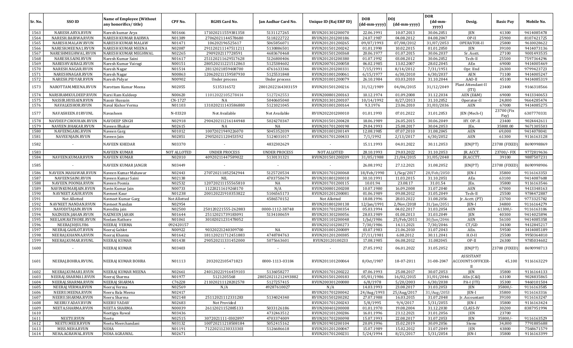|         |                      |                                                           |                    |                      |                            |                        |                            |                                              | <b>DOR</b>                            |                                       |                    |            |
|---------|----------------------|-----------------------------------------------------------|--------------------|----------------------|----------------------------|------------------------|----------------------------|----------------------------------------------|---------------------------------------|---------------------------------------|--------------------|------------|
| Sr. No. | SSO ID               | <b>Name of Employee (Without</b><br>any honorifics/title) | CPF No.            | <b>RGHS Card No.</b> | <b>Ian Aadhar Card No.</b> | Unique ID (Rai ERP ID) | <b>DOB</b><br>(dd-mm-yyyy) | <b>DOI</b><br>$(dd{\text{-}}\text{mm-}yyyy)$ | $(dd{\text{-}\mathbf{mm}}$ -<br>yyyy) | Desig.                                | <b>Basic Pay</b>   | Mobile No. |
| 1563    | NARESH.ARYA.RVUN     | Naresh kumar Arya                                         | N01666             | 171020211559381358   | 5131127265                 | RVUN201301200070       | 22.06.1991                 | 10.07.2013                                   | 30.06.2051                            | <b>JEN</b>                            | 41300              | 9414085478 |
| 1564    | NARESH.BAIRWA.RVUN   | <b>NARESH KUMAR BAIRWA</b>                                | N01389             | 27062021144578680    | 5118222722                 | RVUN201201200186       | 24.07.1987                 | 04.08.2012                                   | 04.08.2047                            | $OP-II$                               | 25900              | 8107421725 |
| 1565    | NARESH.MALAW.RVUN    | NARESH KUMAR MALAW                                        | N01471             | 106202196525617      | 5065856071                 | RVUN201201200265       | 09/07/1993                 | 07/08/2012                                   | 31/07/2053                            | OPERATOR-II                           | 25800              | 9610028622 |
| 1566    | NARESH.MEENA1.RVUN   | NARESH KUMAR MEENA                                        | N02087             | 291120211147511211   | 5130886501                 | RVUN201501200242       | 01.01.1990                 | 10.02.2015                                   | 01.01.2050                            | <b>JEN</b>                            | 39100              | 9414073136 |
| 1567    | NARESHMEGHWAL.RVUN   | NARESH KUMAR MEGHWAL                                      | N02265             | 2909202117728591     | 4683670468                 | RVUN201501200368       | 20.06.1977                 | 01.07.2015                                   | 30.06.2037                            | Sr. Asstt.                            | 27100              | 9001493535 |
| 1568    | NARESH.SAINI.RVUN    | Naresh Kumar Saini                                        | N01617             | 251120211629517628   | 5126800406                 | RVUN201201200380       | 01.07.1992                 | 03.08.2012                                   | 30.06.2052                            | Tech-II                               | 25500              | 7597364296 |
| 1569    | NARESHVAIRAGI.RVUN   | Naresh Kumar Vairagi                                      | N00151             | 280520211221512863   | 5125384602                 | RVUN200701200058       | 06.02.1985                 | 13.02.2007                                   | 28.02.2045                            | AEn                                   | 69000              | 9414005469 |
| 1570    | NARESH.NAGAR.RVUN    | Naresh Nagar                                              | N01514             | 28112021859408700    | 4761633346                 | RVUN201201200331       | 7/15/1991                  | 8/14/2012                                    | 7/31/1951                             | Opr. IInd                             | 26300              | 9799423723 |
| 1571    | NARESHNAGAR.RVUN     | Naresh Nagar                                              | N00863             | 120620211159587930   | 5125531848                 | RVUN201001200061       | 6/15/1977                  | 6/30/2010                                    | 6/30/2037                             | AEN                                   | 71100              | 9414005247 |
| 1572    | NARESH.PIDYAR.RVUN   | Naresh Pidyar                                             | N00902             | Under process        | Under process              | RVUN201001200079       | 26.10.1984                 | 03.03.2010                                   | 31.10.2044                            | AAO-II                                | 45100              | 9414085319 |
| 1573    | NAROTTAM.MEENA.RVUN  | Narottam Kumar Meena                                      | N02055             | 5135316572           | 28012022164303159          | RVUN201501200216       | 31/12/1989                 | 04/06/2015                                   | 31/12/2049                            | Plant Attendant-II<br>(ITI)           | 23400              | 9166318566 |
| 1574    | NARSIRAMKULDEEP.RVUN | Narsi Ram Kuldeep                                         | N00620             | 11012022105278414    | 5127242553                 | RVUN200801200163       | 10.12.1974                 | 01.09.2008                                   | 31.12.2034                            | AEN (E&M)                             | 69000              | 9413340653 |
| 1575    | NASSIR.HUSSAIN.RVUN  | Nassir Hussain                                            | CN-1727            | NA                   | 5040605040                 | RVUN201301200107       | 10/14/1992                 | 8/27/2013                                    | 31.10.2052                            | Operator-II                           | 24,800             | 9664285474 |
| 1576    | NAVALKISHOR.RVUN     | Naval Kishor Verma                                        | N01103             | 131020211143586880   | 5121021045                 | RVUN201001200164       | 9.3.1976                   | 23.06.2010                                   | 31/03/2036                            | <b>AEN</b>                            | 67000              | 9414085275 |
| 1577    | NAVASHEEN.01RVUNL    | Navasheen                                                 | N-03320            | Not Available        | Not Available              | RVUN202201200010       | 01.01.1993                 | 07.01.2022                                   | 31.01.2053                            | JEN (Mech-I)                          | 23700 (Fix<br>Pay) | 6307770331 |
| 1578    | NAVDEEP.CHOUHAN.RVUN | <b>NAVDEEP SINGH</b>                                      | N02918             | 290420211216144948   | 5024270347                 | RVUN201501200428       | 18.06.1989                 | 26.05.2015                                   | 30.06.2049                            | HY. OP.-II                            | 23400              | 9024442611 |
| 1579    | NAVEEN.BHAKAR.RVUN   | Naveen Bhakar                                             | N02615             | NA                   | NA                         | RVUN201701200198       | 29.04.1993                 | 25.08.2017                                   | 30.04.2053                            | JEn.                                  | 35800.00           | 9671305503 |
| 1580    | NAVEENGARG.RVUN      | Naveen Garg                                               | N01012             | 10072021949226070    | 5045352039                 | RVUN201001200149       | 12.08.1985                 | 07.07.2010                                   | 31.08.2045                            | <b>AEN</b>                            | 69,000             | 9414078041 |
| 1581    | NAVEENJAIN.RVUN      | Naveen Jain                                               | N02851             | 29052021120453592    | 5124031017                 | RVUN201701200433       | 7/1/1992                   | 2/13/2017                                    | 6/30/2052                             | <b>AEN</b>                            | 61300              | 9116163128 |
| 1582    |                      | <b>NAVEEN KHEDAR</b>                                      | N03370             |                      | 4832302629                 |                        | 15.11.1993                 | 04.01.2022                                   | 30.11.2053                            | JEN(PT)                               | 23700 (FIXED)      | 8690998869 |
| 1583    |                      | <b>NAVEEN KUMAR</b>                                       | <b>NOT ALLOTED</b> | <b>UNDER PROCESS</b> | <b>UNDER PROCESS</b>       | <b>NOT ALLOTED</b>     | 28.10.1993                 | 29.03.2022                                   | 31.10.2053                            | JR. ACCT.                             | 23700/-FIX         | 9772819636 |
| 1584    | NAVEEN.KUMAR.RVUN    | <b>NAVEEN KUMAR</b>                                       | N02010             | 40920211447589022    | 5130131321                 | RVUN201501200209       | 31/05/1988                 | 21/04/2015                                   | 31/05/2048                            | JR.ACCTT.                             | 39100              | 9887507231 |
| 1585    |                      | NAVEEN KUMAR JANGIR                                       | N03449             |                      |                            |                        | 26.08.1992                 | 27.12.2021                                   | 31.08.2052                            | JEN(PT)                               | 23700 (FIXED)      | 8690998906 |
| 1586    | NAVEEN.MAHAWAR.RVUN  | Naveen Kumar Mahawar                                      | N02443             | 270720211852542944   | 5125720534                 | RVUN201701200068       | 18/Feb/1990                | $1/$ Sep $/2017$                             | 28/Feb/2050                           | JEN-I                                 | 35800              | 9116163353 |
| 1587    | NAVEENSAINI.RVUN     | Naveen Kumar Saini                                        | N02138             | NIL                  | 4703750679                 | RVUN201801200018       | 30.10.1991                 | 11.03.2015                                   | 31.10.2051                            | AEn                                   | 63100              | 9414087608 |
| 1588    | NAVEEN.POONIA.RVUN   | Naveen Poonia                                             | N02532             | 120720211155565810   | NA                         | RVUN201701200115       | 10.01.94                   | 23.08.17                                     | 31.01.54                              | JEn.                                  | 35800              | 9116163546 |
| 1589    | NAVINKUMARJAIN.RVUN  | Navin Kumar Jain                                          | N00733             | 11220211619268170    | N/A                        | RVUN200801200208       | 10.07.1980                 | 16.09.2008                                   | 31.07.2040                            | <b>AEN</b>                            | 67000              | 9413348163 |
| 1590    | NAVNEET.KAUR.RVUN    | Navneet Kaur                                              | N01238             | 200120221910353822   | 5106565173                 | RVUN201201200081       | 01.06.1989                 | 09.08.2012                                   | 31.05.2049                            | Tech-II                               | 25500              | 9784472887 |
| 1591    | Not Allotted         | Navneet Kumar Garg                                        | Not Allotted       |                      | 4586570152                 | Not Allotted           | 18.08.1996                 | 28.03.2022                                   | 31.08.2056                            | Jr. Acctt. (PT)                       | 23700              | 9773325782 |
| 1592    | NAVNEET.NANDAN.RVUN  | Navneet Nandan                                            | N02954             |                      |                            | RVUN201801200138       | 12/Jan/1991                | 2/Nov/2018                                   | 31/Jan/2051                           | IEN-I                                 | 34800              | 9116164279 |
| 1593    | NAVODITAJAIN.RVUN    | Navodita jain                                             | N02500             | 250120221555-262883  | 0000-1112-38748            | RVUN201701200354       | 05.03.1994                 | 04.02.2017                                   | 31.03.2054                            | <b>AEN</b>                            | 61300/             | 9116163106 |
| 1594    | NAZNEEN.JAHAN.RVUN   | <b>NAZNEEN JAHAN</b>                                      | N01644             | 25112021739183091    | 5134100659                 | RVUN201301200056       | 28.03.1989                 | 01.08.2013                                   | 31.03.2049                            | <b>JEN</b>                            | 40300              | 9414025894 |
| 1595    | NEELAM.RATHORE.RVUN  | Neelam Rathore                                            | N01061             | 30102021231478052    |                            | RVUN201101200048       | 1/Jul/1986                 | 25/Feb/2011                                  | 30/Jun/2046                           | <b>AEN</b>                            | 56100              | 9414085358 |
| 1596    | NEERAJ30JULY86       | NEERAJ VERMA                                              | 092420157          |                      |                            | RVUN202101200273       | 7/30/1986                  | 14.11.2021                                   | 7/30/2046                             | CT/GD                                 | 34300              | 9412845217 |
| 1597    | NEERAJ.GAHLOT.RVUN   | Neeraj Gahlot                                             | N00922             | 90320221240309700    | NA                         | RVUN201001200089       | 03.07.1983                 | 21.06.2010                                   | 31.07.2043                            | AEn.                                  | 59500              | 3414085189 |
| 1598    | NEERAJ.KHANNA.RVUN   | Neeraj Khanna                                             | N01642             | 181120211712451883   | 4748784763                 | RVUN201201200385       | 27/11/1981                 | 6.08.2012                                    | 30.11.2041                            | $H.O-II$                              | 25500              | 9950364810 |
| 1599    | NEERAJ.KUMAR.RVUNL   | <b>NEERAJ KUMAR</b>                                       | N01438             | 290520211331452000   | 5075663601                 | RVUN20120100233        | 17.08.1985                 | 06.08.2012                                   | 31.082045                             | OP-II                                 | 26300              | 9785034602 |
| 1600    |                      | NEERAJ KUMAR                                              | N03403             | $\sim$               | $\sim$                     | $\sim$                 | 27.05.1992                 | 06.01.2022                                   | 31.05.2052                            | JEN(PT)                               | 23700 (FIXED)      | 8690998713 |
| 1601    | NEERAJ.BOHRA.RVUNL   | NEERAJ KUMAR BOHRA                                        | N01113             | 2032022105471823     | 0000-1113-03184            | RVUN201101200064       | 8/0ct/1987                 | 18-07-2011                                   | 31-08-2047                            | ASSISTANT<br><b>ACCOUNTS OFFICER-</b> | 45,100             | 9116163229 |
| 1602    | NEERAJ.KUMAR1.RVUN   | NEERAJ KUMAR MEENA                                        | N02661             | 240120221916459103   | 5136058277                 | RVUN201701200222       | 07.06.1993                 | 25.08.2017                                   | 30.07.2053                            | <b>JEN</b>                            | 35800              | 9116164133 |
| 1603    | NEERAJ.SHARMA1.RVUN  | Neeraj Sharma                                             | N01977             | 5121205568           | 280520211212493882         | RVUN201501200183       | 05/01/1986                 | 16/02/2015                                   | 31/01/2046                            | AEn (C&I)                             | 63100              | 9024835865 |
| 1604    | NEERAJ.SHARMA.RVUN   | NEERAJ SHARMA                                             | C76228             | 211020211128202578   | 5127257415                 | RVUN200301200080       | 6/8/1978                   | 5/20/2003                                    | 6/30/2038                             | PA-I (ITI)                            | 35300              | 9460101504 |
| 1605    | NEERAJ.VERMA.RVUN    | Neeraj Verma                                              | N02569             | N/A                  | 49287610027                | N/A                    | 14.03.1993                 | 23.08.2017                                   | 31.03.2053                            | <b>JEN</b>                            | 35800/             | 9116163585 |
| 1606    | NEERU.MEENA.RVUN     | Neeru Bala Meena                                          | N02417             |                      |                            | RVUN201701200042       | 24/Aug/1993                | 25/Aug/2017                                  | 31/Aug/2053                           | JEN-I                                 | 35800              | 9116163316 |
| 1607    | NEERU.SHARMA.RVUN    | Neeru Sharma                                              | N02148             | 25112021112331283    | 5134024340                 | RVUN201501200282       | 27.07.1988                 | 16.03.2015                                   | 31.07.2048                            | Ir. Accountant                        | 39100              | 9116163247 |
| 1608    | NEERU.YADAV.RVUN     | <b>NEERU YADAV</b>                                        | N02683             | Not Provided         |                            | RVUN201701200243       | 5/8/1995                   | 9/4/2017                                     | 5/31/2055                             | JEN-I                                 | 35800              | 9116163424 |
| 1609    | NEETA.SHARMA.RVUN    | NEETA SHARMA                                              | N00039             | 26112021152885133    | 5033126186                 | RVUN200401200008       | 01.01.1970                 | 19.08.2004                                   | 31.12.2030                            | <b>CLASS-IV</b>                       | 30200              | 8387951994 |
| 1610    |                      | Neetigya Rawal                                            | N03436             |                      | 4732463512                 | RVUN202101200286       | 16.01.1996                 | 23.12.2021                                   | 31.01.2056                            | JEN                                   | 23700              |            |
| 1611    | NEETU.RVUN           | Neetu                                                     | N02515             | 3072021111-0302897   | 4703374009                 | RVUN201701200098       | 15.07.1993                 | 22.08.2017                                   | 31.07.2053                            | JEN                                   | 35800/             | 9116163529 |
| 1612    | NEETU.MEER.RVUN      | Neetu Meerchandani                                        | N03132             | 100720211218508184   | 5052415162                 | RVUN201901200104       | 20.09.1996                 | 15.02.2019                                   | 30.09.2056                            | Steno                                 | 34,800             | 7791885688 |
| 1613    | MISS.NEHA.RVUN       | NEHA                                                      | N01191             | 71220211230333303    | 5126686618                 | RVUN201201200047       | 15.07.1989                 | 15.02.2012                                   | 31.07.2049                            | JEN                                   | 43800              | 7568671579 |
| 1614    | NEHA.AGRAWAL.RVUN    | NEHA AGRAWAL                                              | N02671             |                      |                            | RVUN201701200231       | 5/24/1994                  | 8/21/2017                                    | 5/31/2054                             | JEN-I                                 | 35800              | 9116163399 |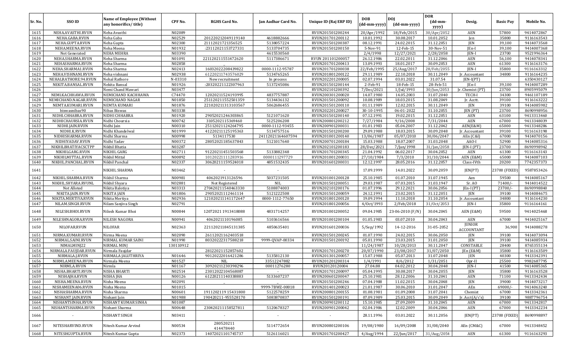|         |                      |                                                           |           |                        |                          |                        |                            |                            | <b>DOR</b>       |                                    |                  |            |
|---------|----------------------|-----------------------------------------------------------|-----------|------------------------|--------------------------|------------------------|----------------------------|----------------------------|------------------|------------------------------------|------------------|------------|
| Sr. No. | <b>SSO ID</b>        | <b>Name of Employee (Without</b><br>any honorifics/title) | CPF No.   | <b>RGHS Card No.</b>   | Jan Aadhar Card No.      | Unique ID (Raj ERP ID) | <b>DOB</b><br>(dd-mm-yyyy) | <b>DOJ</b><br>(dd-mm-yyyy) | (dd-mm-<br>yyyy) | Desig.                             | <b>Basic Pay</b> | Mobile No. |
| 1615    | NEHA.AVASTHI.RVUN    | Neha Avasthi                                              | N02089    |                        |                          | RVUN201501200244       | 20/Apr/1992                | 18/Feb/2015                | 30/Apr/2052      | AEN                                | 57800            | 9414072867 |
| 1616    | NEHA.GABA.RVUN       | Neha Gaba                                                 | N02529    | 201220212049119140     | 4618882666               | RVUN201701200112       | 10.01.1992                 | 30.08.2017                 | 10.01.2052       | Jen                                | 35800            | 9116163543 |
| 1617    | NEHA.GUPTA.RVUN      | Neha Gupta                                                | N02300    | 21112021721356525      | 5138057224               | RVUN201501200387       | 08.12.1991                 | 24.02.2015                 | 31.12.2051       | JEN                                | 39,100           | 9414073568 |
| 1618    | NEHA.MEENA.RVUN      | Neha Meena                                                | N01932    | :23112021153727331     | 5133704735               | RVUN201501200150       | 5-Nov-91                   | 12-Feb-15                  | 30-Nov-51        | JEn-I                              | 39,100           | 9414007368 |
| 1619    | Not Generated        | <b>NEHA MEHRA</b>                                         | N03390    |                        | 4615530560               |                        | 2/4/1998                   | 12/27/2021                 | 2/28/2058        | JEN-I                              | 23700            | 9521996364 |
| 1620    | NEHA.SHARMA.RVUN     | Neha Sharma                                               | N01091    | 221120211551472620     | 5117386671               | RVUN 201101200057      | 26.12.1986                 | 22.02.2011                 | 31.12.2046       | AEN                                | 56,100           | 9414078341 |
| 1621    | NEHASHARMA.RVUN      | Neha Sharma                                               | N02858    |                        |                          | RVUN201701200413       | 13.09.1993                 | 18.01.2017                 | 30.09.2053       | <b>AEN</b>                         | 61300            | 9116163176 |
| 1622    | NEHA.SHARMA1.RVUN    | Neha Sharma                                               | N02413    | 16032022208439822      | 0000-1112-95787          | RVUN201701200038       | 22/Feb/1995                | 25/Aug/2017                | 28/Feb/2055      | $IEN-I$                            | 35800            | 9116163312 |
| 1623    | NEHA.VISHNANI.RVUN   | Neha vishnani                                             | N02938    | 61220211743576029      | 5134765265               | RVUN201801200122       | 29.11.1989                 | 22.10.2018                 | 30.11.2049       | Ir. Accountant                     | 34800            | 9116164235 |
| 1624    | NEHALRATHORE.94.RVUN | Nehal Rathore                                             | N-03310   | New recruitment        | In process               | RVUN202201200005       | 02.07.1994                 | 03.01.2022                 | 31.07.54         | $IEN-I(PT)$                        |                  | 6350430127 |
| 1625    | NEKITA.BANSAL.RVUN   | Nekita Bansal                                             | N01926    | :20320221122307963     | 5137245086               | RVUN201501200144       | 2-Feb-91                   | 18-Feb-15                  | 28-Feb-51        | JEn-I                              | 39,100           | 9414007289 |
| 1626    |                      | Nemi Chand Mawari                                         | N03477    |                        |                          | RVUN202101200392       | 7/Dec/2021                 | 1/Jul/1993                 | 30/Jun/2053      | Jr. Chemist (PT)                   | 23700            | 8905995079 |
| 1627    | NEMI.KACHHAWA.RVUN   | NEMICHAND KACHHAWA                                        | C74470    | 12020211524193995      | 4837757887               | RVUN200301200020       | 14.07.1980                 | 14.05.2003                 | 31.07.2040       | TECH-I                             | 34300            | 9461107189 |
| 1628    | NEMICHAND.NAGAR.RVUN | NEMICHAND NAGAR                                           | N01850    | 251120211552501359     | 5134436132               | RVUN201501200092       | 10.08.1989                 | 18.03.2015                 | 31.08.2049       | Jr. Acctt.                         | 39100            | 9116163222 |
| 1629    | NEMTA.KUMARI.RVUN    | NEMTA KUMARI                                              | N01876    | 221020211313103567     | 5062686455               | RVUN201501200110       | 01.11.1989                 | 12.02.2015                 | 30.11.2049       | JEN                                | 39100            | 9414085982 |
| 1630    | biswasnibas90        | Nibas Biswas                                              | N03338    |                        |                          | RVUN202201200027       | 30-10-1995                 | 06-01-2022                 | 31.10.2055       | JEN (PT)                           | 23700            | 8690998956 |
| 1631    | NIDHI.CHHABRA.RVUN   | NIDHI CHHABRA                                             | N01920    | 29052021246303865      | 5121071620               | RVUN201501200140       | 07.12.1991                 | 19.02.2015                 | 31.12.2051       | AEN                                | 63100            | 9413313460 |
| 1632    | NIDHICHAURSIA.RVUN   | Nidhi Choursia                                            | N00742    | 3105202115369460       | 5125206208               | RVUN200801200212       | 7/27/1984                  | 9/16/2008                  | 7/31/2044        | <b>AEN</b>                         | 67000            | 9413348039 |
| 1633    | NIDHI.JAIN.RVUN      | Nidhi Jain                                                | N00310    | 25112021124264795      | 0000-1112-93455          | RVUN200901200031       | 01.01.1983                 | 05.04.2007                 | 31.12.2042       | AEN(E&M)                           | 65000            | 9413348286 |
| 1634    | NIDHI.K.RVUN         | Nidhi Khandelwal                                          | N01999    | 41220211125195363      | 5134757516               | RVUN201501200200       | 29.09.1988                 | 18.03.2015                 | 30.09.2048       | Jr. Accountant                     | 39100            | 9116163198 |
| 1635    | NIDHISHARMA.RVUN     | Nidhi Sharma                                              | N00998    | 5134117530             | 24112021164607594        | RVUN201001200140       | 13/06/1987                 | 05/07/2010                 | 30/06/2047       | AEn (C&I)                          | 67000            | 9414070156 |
| 1636    | NIDHIYADAV.RVUN      | Nidhi Yadav                                               | N00372    | 28052021185637843      | 5121017640               | RVUN200701200184       | 15.03.1988                 | 18.07.2007                 | 31.03.2048       | AAO-I                              | 52900            | 9414085316 |
| 1637    | NIKHILBHATIYACSCTPF  | Nikhil Bhatia                                             | N03287    |                        |                          | RVUN202101200183       | 28/Dec/2021                | 7/Jan/1998                 | 31/Jan/2058      | [EN-I (PT)                         | 23700            | 8690998942 |
| 1638    | NIKHILGARG.RVUN      | NIKHIL GARG                                               | N02711    | 91220211451503568      | 5133882348               | RVUN201701200345       | 21.04.1992                 | 06.02.2017                 | 30.04.2052       | <b>AEN</b>                         | 61300            | 9116163143 |
| 1639    | NIKHILMITTAL.RVUN    | Nikhil Mittal                                             | N00892    | 10120221111283916      | 0000111297729            | RVUN201001200031       | 27/10/1984                 | 7/3/2010                   | 31/10/2044       | AEN (E&M)                          | 65000            | 9414087103 |
| 1640    | NIKHIL.PANCHAL.RVUN  | Nikhil Panchal                                            | N02337    | 30620211159524018      | 4851532435               | RVUN201601200031       | 12.12.1997                 | 28.05.2016                 | 31.12.2057       | Class-IVth                         | 20200            | 7742357373 |
|         |                      |                                                           |           |                        |                          |                        |                            |                            |                  |                                    |                  |            |
| 1641    |                      | NIKHIL SHARMA                                             | N03462    |                        | $\overline{\phantom{a}}$ |                        | 17.09.1999                 | 14.01.2022                 | 30.09.2059       | JEN(PT)                            | 23700 (FIXED     | 9587853426 |
| 1642    | NIKHIL.SHARMA.RVUN   | Nikhil Sharma                                             | N00981    | 4062021913126596       | 5037231505               | RVUN201001200128       | 25.10.1985                 | 01.07.2010                 | 31.07.1945       | Aen                                | 59500            | 9414085167 |
| 1643    | NIKHIL.SHYARA.RVUNL  | Nikhil Shyara                                             | N02881    | Not Registered         | NIL                      | RVUN201501200051       | 29.03.1987                 | 07.03.2015                 | 31.03.1947       | Sr. AO                             | 71400/-          | 9414014522 |
| 1644    | Not Alloted          | Nikita Balotiya                                           | N03313    | 270420211540463330     | 5108874003               | RVUN202101200176       | 01.07.1996                 | 29.12.2021                 | 30.06.2056       | $[En-I (PT)]$                      | 23700/           | 8690998840 |
| 1645    | NIKITA.JAIN.RVUN     | NIKITA JAIN                                               | N01806    | 29052021112461114      | 5121222508               | RVUN201501200059       | 24.12.1991                 | 23.02.2015                 | 31.12.2051       | JEN                                | 39100            | 9414084675 |
| 1646    | NIKITA.MERTIYA.RVUN  | Nikita Mertiya                                            | N02936    | 121020211141172647     | 0000-1112-77650          | RVUN201801200120       | 19.09.1994                 | 11.10.2018                 | 31.10.2054       | Jr. Accountant                     | 34800            | 9116164230 |
| 1647    | NILAM.SINGH.RVUN     | Nilam Sanjiva Singh                                       | N02791    |                        |                          | RVUN201801200056       | 4/0ct/1993                 | 2/Feb/2018                 | 31/0ct/2053      | JEN-I                              | 35800            | 9116164161 |
| 1648    | NILESH.BHOI.RVUN     | Nilesh Kumar Bhoi                                         | N00844    | 12072021 1913418088    | 4831714257               | RVUN201001200052       | 09.04.1985                 | 23-06-2010 (F/N)           | 30.04.2045       | AEN (E&M)                          | 59500            | 9414025468 |
| 1649    | NILESHNAGORA.RVUN    | <b>NILESH NAGORA</b>                                      | N00941    | 4062021110196085       | 5103616566               | RVUN201001200104       | 01.05.1983                 | 03.07.2010                 | 30.04.2043       | AEN                                | 67000            | 9414025167 |
| 1650    | NILOFAR.RVUN         | <b>NILOFAR</b>                                            | N02363    | 221120211845131385     | 4850635401               | RVUN201601200036       | 5/Sep/1992                 | 14-12-2016                 | 31-05-2052       | <b>JUNIOR</b><br><b>ACCOUNTANT</b> | 36,900           | 9414088278 |
| 1651    | NIRMA.KUMARI.RVUN    | Nirma Meena                                               | N02090    | 26112021162403518      |                          | RVUN201501200245       | 01.07.1990                 | 24.02.2015                 | 30.06.2050       | JEN                                | 39100            | 9414073094 |
| 1652    | NIRMAL.SAINI.RVUN    | NIRMAL KUMAR SAINI                                        | N01990    | 80320222317588218      | 9999-0VAP-00334          | RVUN201501200192       | 05.01.1990                 | 23.03.2015                 | 31.01.2050       | JEN                                | 39100            | 9414085934 |
| 1653    | NIMALMINJ22          | NIRMAL MINJ                                               | 130110912 |                        |                          |                        | 11/24/1987                 | 10/28/2013                 | 30.11.2047       | CONSTABLE                          | 28400            | 8765355134 |
| 1654    | NIRMALA.FAUJDAR.RVUN | Nirmala Faujdar                                           |           | 28122021152857602      |                          | RVUN201701200270       | 20/07/1990                 | 23/08/2017                 | 31/07/2050       | JEn (E&M                           | 35800            | 9116163509 |
| 1655    | NIRMALA.J.RVUN       | NIRMALA JALUTHRIYA                                        | N01646    | 90120222016421286      | 5135812130               | RVUN201301200057       | 15.07.1988                 | 05.07.2013                 | 31.07.2048       | JEN                                | 40300            | 9413342391 |
| 1656    | NIRMLA.MEENA.RVUN    | Nirmala Meena                                             | N01527    | NIL                    | 33512247882              | RVUN201201200314       | 1/4/1991                   | 8/6/2012                   | 1/31/2051        | Opr-II                             | 25500            | 9982687795 |
| 1657    | NIRMLA.RVUN          | Nirmla                                                    | N01167    | 30920211230398296      | 00011276280              | RVUN20120120004        | 27.04.88                   | 04.02.2012                 | 30.04.2048       | $IEN-I$                            | 41500            | 9414085365 |
| 1658    | NISHA.BHARTI.RVUN    | <b>NISHA BHARTI</b>                                       | N02514    | 23012022104568087      | $\sim$                   | RVUN201701200097       | 05.04.1995                 | 30.08.2017                 | 30.04.2055       | JEN                                | 35800            | 9116163528 |
| 1659    | NISHAJHA.RVUN        | NISHA JHA                                                 | N00126    | 61220211140338883      | 5133607237               | RVUN200601200047       | 25.10.1981                 | 28.12.2006                 | 31.10.2041       | AEN                                | 71100            | 9413342434 |
| 1660    | NISHA.MEENA.RVUN     | Nisha Meena                                               | N02091    |                        |                          | RVUN201501200246       | 07.04.1988                 | 11.02.2015                 | 30.04.2048       | JEN                                | 39000            | 9414073217 |
| 1661    | NISHAMEENA06.RVUN    | Nisha Meena                                               | N01015    |                        | 9999-7BWZ-00018          | RVUN201401200023       | 21.01.1987                 | 30.06.2010                 | 31.01.2047       | AEn                                | $69000/-$        | 9414063240 |
| 1662    | NISHASHARMA.RVUN     | Nisha Sharma                                              | N00601    | 1911202119 15431800    | 5122578259               | RVUN200801200155       | 01.08.1981                 | 01.09.2008                 | 31.07.2041       | Chemist                            | 67000            | 9413342361 |
| 1663    | NISHANT.JAIN.RVUN    | Nishant Jain                                              | N01988    | 190420211-955528170    | 5083870837               | RVUN201501200191       | 07.09.1989                 | 25.03.2015                 | 30.09.2049       | Jr. $Acct(A/c's)$                  | 39100            | 9887796754 |
| 1664    | NISHANTSINHA.RVUN    | NISHANT KUMAR SINHA                                       | N01087    |                        |                          | RVUN200901200112       | 15.10.1985                 | 27.09.2009                 | 31.10.2045       | AEN                                | 67000            | 9413342817 |
| 1665    | NISHANTSHARMA.RVUN   | Nishant Sharma                                            | N00648    | 230420211158527811     | 5120678327               | RVUN200901200042       | 02.04.1986                 | 12.02.2009                 | 30.04.2046       | AEN                                | 67000            | 9413342234 |
|         |                      |                                                           |           |                        |                          |                        |                            |                            |                  |                                    |                  |            |
| 1666    | $\sim$               | NISHANT SINGH                                             | N03411    | $\sim$                 | $\blacksquare$           | $\sim$                 | 28.11.1996                 | 03.01.2022                 | 30.11.2056       | JEN(PT)                            | 23700 (FIXED)    | 8690998897 |
| 1667    | NITESHARVIND.RVUN    | Nitesh Kumar Arvind                                       | N00534    | 280520211<br>414478440 | 5114772654               | RVUN200801200106       | 19/08/1980                 | 16/09/2008                 | 31/08/2040       | AEn (CM&C)                         | 67000            | 9413348452 |
| 1668    | NITESHGUPTA.RVUN     | Nitesh Kumar Gupta                                        | N02373    | 14072021101745737      | 5126116021               | RVUN201701200427       | 4/Aug/1994                 | 22/Jun/2017                | 31/Aug/2054      | AEN                                | 61300            | 9116163293 |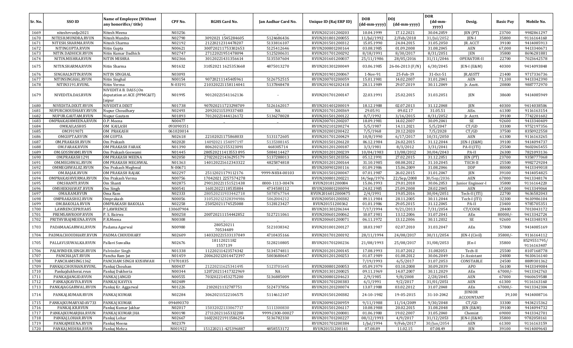| Sr. No. | SSO ID               | <b>Name of Employee (Without</b><br>any honorifics/title)     | CPF No.   | <b>RGHS Card No.</b>   | Jan Aadhar Card No. | Unique ID (Raj ERP ID) | <b>DOB</b><br>(dd-mm-yyyy) | <b>DOI</b><br>(dd-mm-yyyy) | <b>DOR</b><br>$(dd{\text{-}\mathbf{mm}}$ | Desig.                             | <b>Basic Pay</b> | Mobile No.                |
|---------|----------------------|---------------------------------------------------------------|-----------|------------------------|---------------------|------------------------|----------------------------|----------------------------|------------------------------------------|------------------------------------|------------------|---------------------------|
|         |                      |                                                               |           |                        |                     |                        |                            |                            | yyyy)                                    |                                    |                  |                           |
| 1669    | niteshrvunlje2021    | Nitesh Meena                                                  | N03256    |                        |                     | RVUN202101200203       | 10.04.1999                 | 17.12.2021                 | 30.04.2059                               | JEN (PT)                           | 23700            | 9982861297                |
| 1670    | NITESH.MUNDRA.RVUN   | Nitesh Mundra                                                 | N02790    | 3092021 1545284605     | 5124686436          | RVUN201801200055       | 11/Jul/1992                | 2/Feb/2018                 | 31/Jul/2052                              | JEN-I                              | 35800            | 9116164160                |
| 1671    | NITESH.SHARMA.RVUN   | Nitesh Sharma                                                 | N02192    | 21220212314478207      | 5133816107          | RVUN201501200312       | 15.05.1990                 | 24.04.2015                 | 31.05.2050                               | JR. ACCT                           | 39100            | 9414085913                |
| 1672    | NITINGUPTA.RVUN      | Nitin Gupta                                                   | N00621    | 300720211753302653     | 5125412646          | RVUN200801200164       | 03.08.1985                 | 01.09.2008                 | 31.08.2045                               | AEN                                | 67,000           | 9413340671                |
| 1673    | NITIN.DADHICH.RVUN   | Nitin Kumar Dadhich                                           | N02747    | 27122021951478094      | 5125200631          | RVUN201701200292       | 8/18/1991                  | 8/30/2017                  | 8/31/2051                                | JEN                                | 35800            | 8696281881                |
| 1674    | NITIN.MISHRA.RVUN    | NITIN MISHRA                                                  | N02366    | 30120221431356614      | 5135507604          | RVUN201601200037       | 25/11/1986                 | 28/05/2016                 | 31/11/2046                               | OPERATOR-II                        | 22700            | 7023642578                |
| 1675    | NITIN.SHARMA.RVUN    | Nitin Sharma                                                  | N01632    | 31052021 1625353668    | 4875013270          | RVUN201301200049       | 03.06.1985                 | 26-06-2013 (F/N)           | 6/30/2045                                | JEN-I (E&M)                        | 40300            | 9414093848                |
| 1676    | SINGHALNITIN.RVUN    | NITIN SINGHAL                                                 | N03093    |                        |                     | RVUN201901200067       | 1-Nov-91                   | 25-Feb-19                  | 31-Oct-51                                | JR.ASSTT                           | 21400            | 9717336736                |
| 1677    | NITINSINGHAL.RVUN    | Nitin Singhal                                                 | N00154    | 90720211145405961      | 5126752515          | RVUN200701200059       | 15.01.1981                 | 14.02.2007                 | 31.01.2041                               | <b>AEN</b>                         | 71,100           | 9413342390                |
| 1678    | NITIN3191.RVUNL      | Nitin Verma                                                   | N-03191   | 210320221158114041     | 5137848478          | RVUN201901202418       | 28.11.1989                 | 29.07.2019                 | 30.11.2049                               | Jr. Asstt.                         | 20800            | 9887772970                |
| 1679    | NIVEDITA.DAS.RVUN    | NIVEDITA B. DASS (On<br>deputation at ACE (PPMC&IT)<br>Jaipur | N01995    | 90120221541162136      |                     | RVUN201701200147       | 22.03.1991                 | 25.02.2015                 | 31.03.2051                               | JEN                                | 38600            | 9414085949                |
| 1680    | NIVEDITA.DIXIT.RVUN  | NIVEDITA DIXIT                                                | N01738    | 907020211723298709     | 5126162017          | RVUN201401200019       | 18.12.1988                 | 02.07.2013                 | 31.12.2048                               | JEN                                | 40300            | 9414038506                |
| 1681    | NUPURCHOUDHARY.RVUN  | Nupur Choudhary                                               | N02493    | 20920211539337483      | NA                  | RVUN201701200369       | 29.05.91                   | 09.02.17                   | 31.05.51                                 | AEn.                               | 61300            | 9116163154                |
| 1682    | NUPUR.GAUTAM.RVUN    | Nupur Gautam                                                  | N01893    | 70120221444126172      | 5136278028          | RVUN201501200122       | 8/7/1992                   | 3/16/2015                  | 8/31/2052                                | Jr. Acctt.                         | 39100            | 7742201602                |
| 1683    | OMPRAKASHMEENA.RVUN  | O.P. Meena                                                    | N00477    |                        |                     | RVUN200701200207       | 18.09.1981                 | 14.02.2007                 | 30.09.2041                               | SE                                 | 92600            | 9413340409                |
| 1684    | OMKAILASH05          | OM KAILASH                                                    | 093090351 |                        |                     | RVUN202101200274       | 5/5/1987                   | 14.11.2021                 | 5/5/2047                                 | CT/GD                              | 33300            | 9752197356                |
| 1685    | OM3919071            | OM PRAKASH                                                    | 061020014 |                        |                     | RVUN202001200422       | 7/5/1968                   | 20.12.2020                 | 7/5/2028                                 | CT/GD                              | 37500            | 8350922558                |
| 1686    | OMGUPTA.RVUN         | OM GUPTA                                                      | N02618    | 22102021175868033      | 5131172605          | RVUN201701200429       | 10/8/1990                  | 6/17/2017                  | 10/31/2050                               | <b>AEN</b>                         | 61300            | 9116163265                |
| 1687    | OM.PRAKASH.RVUN      | Om Prakash                                                    | N02020    | 14092021 154097197     | 5135388145          | RVUN201501206120       | 06.12.1984                 | 26.02.2015                 | 31.12.2044                               | JEN-I (E&M                         | 39100            | 9414094737                |
| 1688    | OM.FARAK.RVUN        | OM PRAKASH FARAK                                              | N01390    | 80620212155323091      | 468305714           | RVUN201201200187       | 3/3/1981                   | 8/3/2012                   | 3/31/2041                                | PA-II (ITI)                        | 25500            | 9602065455                |
| 1689    | OM.GOSSWAMI.RVUN     | Om Prakash Goswami                                            | N01445    | 280520211413553895     | 5084114427          | RVUN201201200239       | 10/04/1983                 | 13/08/2012                 | 30/04/2043                               | PA-II                              | 26300            | 7821093136                |
| 1690    | OM.PRAKASH1291       | OM PRAKASH MEENA                                              | N02050    | 270220221436295179     | 5137288013          | RVUN201501203356       | 05.12.1991                 | 27.02.2015                 | 31.12.2051                               | JEN (PT)                           | 23700            | 9358777068                |
| 1691    | OM.MEGHWAL.RVUN      | OM PRAKASH MEGHWAL                                            | N01363    | 140120221612343322     | 4825874818          | RVUN201201200164       | 31.10.1985                 | 08.08.2012                 | 31.10.2045                               | TECH-II                            | 25500            | 9982729204                |
| 1692    | OMMEGHWAL02.RVUN     | Om Prakash Meghwal                                            | N-00671   |                        |                     | RVUN200901200116       | 01.09.1986                 | 15.06.2009                 | 31.08.2046                               | <b>DDP</b>                         | 80000            | 9413349018                |
| 1693    | OM.RAJAK.RVUN        | OM PRAKASH RAJAK                                              | N02297    | 25112021179112176      | 9999-N8X4-00103     | RVUN201501200047       | 07.01.1987                 | 26.02.2015                 | 31.01.2047                               | <b>JEN</b>                         | 39100            | 9414054825                |
| 1694    | OMPRAKASHVERMA.RVUN  | Om Prakash Verma                                              | N00756    | 17042021 2257574278    |                     | RVUN200801200221       | 14/Sep/1976                | 22/Sep/2008                | 30/Sep/2036                              | AEN                                | 67000            | 9413348174                |
| 1695    | OM.SHANTI.RVUN       | Om Shanti                                                     | N02875    | 290120221151521438     | 0000-1113-00474     | RVUN20181200084        | 15.06.1993                 | 29.01.2018                 | 30.06.2053                               | Junior Engineer-I                  | 35800            | 9116164220                |
| 1696    | OMSHEKHAWAT.RVUN     | Om Singh                                                      | N00541    | 16012022118535884      | 4734580112          | RVUN200801200094       | 24.02.1985                 | 25.09.2008                 | 28.02.2045                               | <b>AEN</b>                         | 67,000           | 9413349064                |
| 1697    | OMA.RAM.RVUN         | Oma Ram                                                       | N02333    | 280520211933442718     | 5078767764          | RVUN2016012000475      | 2/4/1991                   | 19.05.2016                 | 30/04/2051                               | Tech-II (ITI)                      | 22700            | 9636582043                |
| 1698    | OMPRAKASH02.RVUN     | Omprakash                                                     | N00056    | 310520212328394986     | 5062004212          | RVUN200501200382       | 09.11.1984                 | 28.11.2005                 | 30.11.2044                               | Tech-I (ITI)                       | 32300            | 9610986104                |
| 1699    | OM.BAKOLIA.RVUN      | OMPRAKASH BAKOLIA                                             | N02258    | 25052021174525088      | 5128123427          | RVUN20151200362        | 01.01.1986                 | 29.05.2015                 | 31.12.2045                               | PA-II                              | 23400            | 9785705351                |
| 1700    | LAWRENCEPRIYA85      | P LAWRENCE                                                    | 130607904 |                        |                     | RVUN201301206344       | 7/17/1994                  | 9/21/2013                  | 7/31/2054                                | CT/COOK                            | 28400            | 7013043172                |
| 1701    | PREMSAWROOP.RVUN     | P. S. Bairwa                                                  | N00258    | 200720211154442852     | 5127211061          | RVUN200601200062       | 10.07.1981                 | 13.12.2006                 | 31.07.2041                               | AEn                                | 80000/           | 9413342724                |
| 1702    | PRITHVIRAJMEENA.RVUN | P.R.Meena                                                     | N00308    |                        |                     | RVUN200601200071       | 06.11.1972                 | 13.12.2006                 | 30.11.2032                               | SE                                 | 92600            | 9413348193                |
| 1703    | PADAMAAGARWAL.RVUN   | Padama Agarwal                                                | N00980    | 280520211<br>70534489  | 5121038342          | RVUN201001200127       | 18.03.1987                 | 02.07.2010                 | 31.03.2047                               | AEn                                | 57800            | 9414085169                |
| 1704    | PADMA.CHOUDHARY.RVUN | PADMA CHOUDHARY                                               | N02609    | 140320221533137049     | 4710435166          | RVUN201701200192       | 28/11/1994                 | 24/08/2017                 | 30/11/2054                               | JEN-I (Civil)                      | 35800/           | 9116164112                |
| 1705    | PALLAVI.SUWALKA.RVUN | Pallavi Suwalka                                               | N02676    | 18112021182<br>1557139 | 5128210805          | RVUN201701200236       | 21/08/1993                 | 25/08/2017                 | 31/08/2053                               | JEn-I                              | 35800            | 8529551795/<br>9116163407 |
| 1706    | PALWINDER.SINGH.RVUN | Palvinder Singh                                               | N01338    | 11220211423574342      | 5134574811          | RVUN201201200145       | 17.08.1993                 | 31.07.2012                 | 31.082053                                | Tech-II                            | 25500            | 8107168778                |
| 1707    | PANCHA.JAT.RVUN      | Pancha Ram Jat                                                | N01459    | 200620212014472397     | 5003680647          | RVUN201201200253       | 01.07.1989                 | 01.08.2012                 | 30.06.2049                               | Jr. Assistant                      | 24800            | 9610616140                |
| 1708    | PANCHAMSING1362      | PANCHAM SINGH KUSHWAH                                         | 170701835 |                        |                     |                        | 7/19/1993                  | 6/5/2017                   | 31.07.2053                               | CONSTABLE                          | 24500            | 8889301362                |
| 1709    | PANKAJ.CHOUHAN.RVUNL | Pankaj Chouhan                                                | N00437    | 21220211625341495      | 5123701645          | RVUN200801200053       | 05.09.1979                 | 03.10.2008                 | 30.09.2039                               | <b>APO</b>                         | 56100            | 9413349084                |
| 1710    | Pankajdukherai.rvun  | Pankaj Dukheria                                               | N00344    | 120720211417322969     | NA                  | RVUN201301200025       | 09.11.1969                 | 14.07.2007                 | 30.11.2029                               | AEn                                | $67000/-$        | 9413342763                |
| 1711    | PANKAJJANGID.RVUN    | PANKAJ JANGID                                                 | N00555    | 70320221453275200      | 5136885009          | RVUN200801204623       | 2/9/1985                   | 9/8/2008                   | 2/28/2045                                | <b>AEN</b>                         | 67000            | 9460659588                |
| 1712    | PANKAJKAVIYA.RVUN    | PANKAJ KAVIYA                                                 | N02489    |                        |                     | RVUN201701200383       | 6/1/1991                   | 9/2/2017                   | 31/01/2051                               | AEN                                | 61300            | 9116163160                |
| 1713    | PANKAJAGGARWAL.RVUN  | Pankaj Kr. Aggarwal                                           | N01226    | 2102021132787751       | 5124737856          | RVUN201201200074       | 13.07.1988                 | 03.02.2012                 | 31.07.2048                               | AEn                                | $67000/-$        | 9413342304                |
| 1714    | PANKAJ.KUMAR.RVUN    | PANKAJ KUMAR                                                  | N02284    | 30620211522106575      | 5114612107          | RVUN201501200382       | 24-10-1982                 | 19-05-2015                 | 31-10-2042                               | <b>JUNIOR</b><br><b>ACCOUNTANT</b> | 39,100           | 9414008716                |
| 1715    | PANKAJKUMARYADAV733  | PANKAJ KUMAR                                                  | 094690370 |                        |                     | RVUN200901200959       | 9/11/1988                  | 11/14/2009                 | 9/30/2048                                | CT/GD                              | 33300            | 9434215362                |
| 1716    | PANKAJ.KR.RVUN       | Pankaj Kumar Jakhar                                           | N02017    | 15032022133067717      | 5111300830          | RVUN201501206117       | 10.08.1988                 | 20.02.2015                 | 31.08.2048                               | JEN (E&M)                          | 39100            | 9414094732                |
| 1717    | PANKAJKUMARJHA.RVUN  | PANKAJ KUMAR JHA                                              | N00198    | 27112021165332200      | 9999-J300-00027     | RVUN200701200081       | 01.06.1980                 | 19.02.2007                 | 31.05.2040                               | Chemist                            | 69000            | 9413342701                |
| 1718    | PANKAJ.LOHAR.RVUN    | Pankaj Lohar                                                  | N02667    | 160220221911586254     | 5136782330          | RVUN201701200227       | 08/12/1993                 | 4/9/2017                   | 31/12/2053                               | $JEN-I$ $(E&M)$                    | 35800            | 9782058161                |
| 1719    | PANKAJMEENA.RVUN     | Pankaj Meena                                                  | N02379    |                        |                     | RVUN201701200384       | 1/Jul/1994                 | 9/Feb/2017                 | 30/Jun/2054                              | AEN                                | 61300            | 9116163159                |
| 1720    | PANKAJ.MEHRA.RVUN    | Pankaj Mehra                                                  | N001922   | 151220211-425396887    | 4858553172          | RVUN20151200141        | 07.08.89                   | 11.02.15                   | 07.08.49                                 | JEN                                | 39100            | 9414009643                |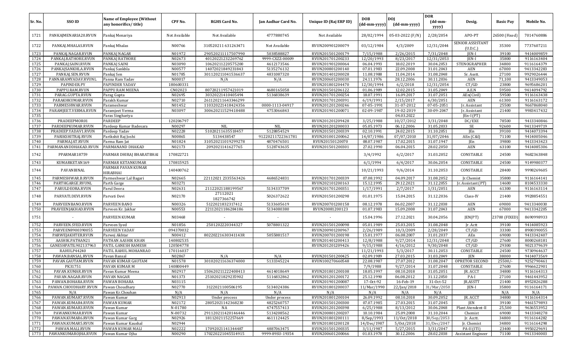| Sr. No.      | SSO ID                                    | <b>Name of Employee (Without</b><br>any honorifics/title) | CPF No.             | <b>RGHS Card No.</b>                    | Jan Aadhar Card No. | Unique ID (Raj ERP ID)               | <b>DOB</b><br>(dd-mm-yyyy) | <b>DOI</b><br>(dd-mm-yyyy) | <b>DOR</b><br>$(dd{\text{-}\mathbf{mm}}$<br>yyyy) | Desig.                           | <b>Basic Pay</b> | Mobile No.               |
|--------------|-------------------------------------------|-----------------------------------------------------------|---------------------|-----------------------------------------|---------------------|--------------------------------------|----------------------------|----------------------------|---------------------------------------------------|----------------------------------|------------------|--------------------------|
| 1721         | PANKAJMENARIA20.RVUN                      | Pankaj Menariya                                           | Not Available       | Not Available                           | 4777880745          | Not Available                        | 28/02/1994                 | 05-03-2022 (F/N)           | 2/28/2054                                         | APO-PT                           | 26500 (Fixed)    | 7014760886               |
| 1722         | PANKAJ.MHALAS.RVUN                        | Pankaj Mhalas                                             | N00766              | 310520211 631263471                     | Not Available       | RVUN200901200079                     | 03/12/1984                 | 4/3/2009                   | 12/31/2044                                        | SENIOR ASSISTANT<br>(U.D.C.)     | 35300            | 7737607211               |
| 1723         | PANKAJ.NAGAR.RVUN                         | PANKAJ NAGAR                                              | N01972              | 290520211117507990                      | 5038588827          | RVUN201501200179                     | 7/15/1988                  | 2/26/2015                  | 7/31/2048                                         | JEN-I                            | 39100            | 9414009859               |
| 1724         | PANKAJ.RATHORE.RVUN                       | PANKAJ RATHORE                                            | N02673              | 40120221232269762                       | 9999-CXZZ-00009     | RVUN201701200233                     | 12/20/1993                 | 8/23/2017                  | 12/31/2053                                        | IEN-I                            | 35800            | 9116163404               |
| 1725         | PANKAJ.SAINI.RVUN                         | PANKAJ SAINI                                              | N03090              | 10620211220575200                       | 4612173546          | RVUN201901200064                     | 06.04.1993                 | 18.02.2019                 | 30.04.2053                                        | STENOGRAPHER                     | 34800            | 9116164379               |
| 1726         | PANKAJSANKHLA.RVUN                        | Pankaj Sankhla                                            | N00577              | 14072021849231843                       | 5135276132          | RVUN200801200140                     | 07.01.1983                 | 22.09.2008                 | 31.01.2043                                        | AEN                              | 67000            | 9413342283               |
| 1727         | PANKAJ.SEN.RVUN                           | Pankaj Sen                                                | N01785              | 301120211041536637                      | 4831087320          | RVUN201401200028                     | 11.08.1988                 | 11.04.2014                 | 31.08.2048                                        | Sr. Asstt.                       | 27100            | 9929026444               |
| 1728         | PANNARAMYADAV.RVUNL                       | Panna Ram Yadav                                           | N00017              | N/A                                     | N/A                 | RVUN200601200030                     | 24.11.1976                 | 28.12.2006                 | 30.11.2036                                        | <b>AEN</b>                       | 71,100           | 9413349053               |
| 1729         | PAPINDER.PY                               | PAPINDER YADAV                                            | 180600331           |                                         |                     | RVUN201801204470                     | 12/30/1994                 | 6/2/2018                   | 12/31/2054                                        | CT/GD                            | 23800            | 9695686201               |
| 1730         | PAPPU.RAM.RVUN                            | PAPPU RAM MEENA                                           | CN02023             | 80720211957421019                       | 4680165058          | RVUN201501206122                     | 01.06.1989                 | 12.02.2015                 | 31.05.2049                                        | A.E.N                            | 59500            | 9414094792               |
| 1731         | PARAG.GUPTA.RVUN                          | Parag Gupta                                               | N02695              | 30320221410405494                       | 5136838639          | RVUN201701200254                     | 18.07.1991                 | 16.09.2017                 | 31.07.2051                                        | AEn(Civil)                       | 59500            | 9116163438               |
| 1732         | PARAKHKUMAR.RVUN                          | Parakh Kumar                                              | N02710              | 261120211643346299                      |                     | RVUN201701200391                     | 6/19/1991                  | 2/15/2017                  | 6/30/2051                                         | AEN                              | 61300            | 9116163172               |
| 1733         | PARMESHWAR.RVUN                           | Parameshwar                                               | N01452              | 110320221418424356                      | 0000-1113-04917     | RVUN201201200246                     | 07-05-1991                 | 31-07-2012                 | 07-05-2051                                        | Jr. Assistant                    | 25500            | 9667868040               |
| 1734         | PARAMJEET.VERMA.RVUN                      | Paramjeet Verma                                           | N03097              | 300620211529418488                      | 4753066843          | RVUN201901200071                     | 02-09-1987                 | 19-02-2019                 | 30-09-2047                                        | Jr. Assistant                    | 21400            | 9983417432               |
| 1735         |                                           | Paras Singhariya                                          |                     |                                         |                     |                                      |                            | 04.03.2022                 |                                                   | $[En-I (PT)]$                    |                  |                          |
| 1736         | PRADEEPMOR01                              | PARDEEP                                                   | 120206797           |                                         |                     | RVUN201201209428                     | 3/25/1988                  | 10/27/2012                 | 3/31/2048                                         | DC/EXE                           | 78500            | 9413340846               |
| 1737         | PARDEEPKUMAR.RVUN                         | Pardeep Kumar Badesara                                    | N00297              | <b>NIL</b>                              | <b>NIL</b>          | RVUN201201200033                     | 05.05.1973                 | 06.12.2006                 | 31.05.2033                                        | SE                               | 92600            | 9413349719               |
| 1738         | PRADEEP.YADAV1.RVUN                       | Pardeep Yadav                                             | N02228              | 51020211635518457                       | 5128854529          | RVUN201501200339                     | 02.10.1991                 | 24.02.2015                 | 31.10.2051                                        | JEn                              | 39100            | 9414073394               |
| 1739         | PARIKSHITRAJ.RVUN                         | Parikshit Raj Joshi                                       | N00865              | 5134438547                              | 91220211722361781   | RVUN201001200062                     | 14/07/1986                 | 07/07/2010                 | 31/07/2046                                        | AEn (C&I)                        | 71100            | 9414005046               |
| 1740         | PARMA.JAT.RVUN                            | Parma Ram Jat                                             | N01824              | 310520211019299278                      | 4870476501          | RVUN20150120070                      | 08.07.1987                 | 17.02.2015                 | 31.07.1947                                        | JEn                              | 39800            | 9413343423               |
| 1741<br>1742 | PARMANANDDHAKAD.RVUN<br>PPARMAR18759      | PARMANAND DHAKAD<br>PARMAR DHIRAJ BHARATBHAI              | N02173<br>170822721 | 2092021141627765                        | 5128743635          | RVUN201501200301                     | 27.02.1990<br>3/4/1992     | 06.04.2015<br>6/2/2017     | 28.02.2050<br>31.03.2052                          | <b>AEN</b><br>CONSTABLE          | 63100<br>24500   | 9414085306<br>9682363848 |
| 1743         | KUMARKETAN169                             | PARMAR KETANKUMAR                                         | 170815925           |                                         |                     |                                      | 6/1/1994                   | 6/4/2017                   | 30.06.2054                                        | CONSTABLE                        | 24500            | 9149980377               |
|              |                                           | PARMAR PAVAN KUMAR                                        |                     |                                         |                     |                                      |                            |                            |                                                   |                                  |                  |                          |
| 1744         | PAVANBINAL                                | HIRABHAI                                                  | 140400762           |                                         |                     |                                      | 10/21/1993                 | 9/6/2014                   | 31.10.2053                                        | CONSTABLE                        | 28400            | 9998269605               |
| 1745         | PARMESHWAR.B.RVUN                         | Parmeshwar Lal Bagari                                     | N02665              | 22112021 2335563426                     | 4686524831          | RVUN201701200339                     | 07.08.1992                 | 04.09.2017                 | 31.08.2052                                        | Ir.Chemist                       | 35800            | 9116164141               |
| 1746<br>1747 | PARTHGARGE.RVUNL<br>PARULDEORA.RVUN       | Parth Garge                                               | N03271<br>N02631    | 21122021188199567                       | 5134337709          | RVUN202101200163<br>RVUN201701200351 | 15.12.1995<br>1/17/1991    | 29.12.2021<br>2/7/2017     | 31.12.2055<br>1/31/2051                           | Jr. Assistant (PT)<br><b>AEN</b> | 14600<br>61300   | 8104533330<br>9116163114 |
| 1748         | PARVATI.DEVI.RVUN                         | Parul Deora<br>Parvati Devi                               | N02170              | 27112021                                | 5026372622          | RVUN201501200298                     | 01.01.1975                 | 15.04.2015                 | 31.12.2036                                        | Class-IV                         | 21400            | 9928854551               |
|              |                                           |                                                           |                     | 1827366742                              |                     |                                      |                            |                            |                                                   |                                  |                  |                          |
| 1749         | PARVEENBANO.RVUN                          | PARVEEN BANO                                              | N00326              | 5122021832317412                        | 5133605619          | RVUN200701200158                     | 08.12.1978                 | 06.02.2007                 | 31.12.2038                                        | AEN                              | 69000            | 9413340030               |
| 1750         | PRAVEENJAKHAD.RVUN                        | Parveen Kr. Jakhar                                        | N00553              | 22112021186284186                       | 5134080380          | RVUN20081200123                      | 01.07.1983                 | 15.09.2008                 | 31.07.2043                                        | <b>AEN</b>                       | 67000            | 9413342205               |
| 1751         |                                           | PARVEEN KUMAR                                             | N03468              |                                         |                     |                                      | 15.04.1996                 | 27.12.2021                 | 30.04.2056                                        | JEN(PT)                          | 23700 (FIXED)    | 8690998933               |
| 1752         | PARVEEN.SYED.RVUN                         | Parveen Syed                                              | N01856              | 2501202220344327                        | 5078801322          | RVUN201501200098                     | 05.01.1989                 | 25.03.2015                 | 31.08.2048                                        | Jr. Actt                         | 39100            | 9414085923               |
| 1753         | PARVEEN8900390055                         | <b>PARVEEN YADAV</b>                                      | 094370032           |                                         |                     | RVUN200901200967                     | 2/26/1989                  | 10/3/2009                  | 2/28/2049                                         | CT/GD                            | 33300            | 8900390055               |
| 1754         | PARWEJAKHTER.RVUN                         | Parwej Akhtar                                             | N00412              | 80220221630341143R                      | 5055881517          | RVUN200701200198                     | 15.01.1977                 | 06.08.2007                 | 31.01.2037                                        | AEn                              | 69000            | 9413342407               |
| 1755         | AASHIK.PATHAN21                           | PATHAN AASHIK KHAN                                        | 140802535           |                                         |                     | RVUN201401200413                     | 12/8/1988                  | 9/27/2014                  | 12/31/2048                                        | CT/GD                            | 27600            | 8000268181               |
| 1756         | GANESHPATIL902137963                      | PATIL GANESH RAMESH                                       | 120504778           |                                         |                     | RVUN201201209426                     | 9/15/1988                  | 4/16/2012                  | 9/30/2048                                         | CT/GD                            | 29300            | 9021379639               |
| 1757         | RAHULP44240                               | PATIL RAHUL MOHANRAO                                      | 170116037           |                                         |                     |                                      | 11/21/1993                 | 5/3/2017                   | 30.11.2053                                        | CONSTABLE                        | 24500            | 9730964637               |
| 1758         | PAWAN.BANSAL.RVUN                         | Pavan Bansal                                              | N02867              | N/A                                     | N/A                 | RVUN201501200425                     | 02.09.1989                 | 27.03.2015                 | 31.03.2049                                        | JEN                              | 38000            | 9414073569               |
| 1759         | PAVAN.GAUTAM.RVUN                         | PAVAN KUMAR GAUTAM                                        | N01578              | 301020211636374000                      | 5133345224          | RVUN100270660548                     | 22.08.1987                 | 27.07.2012                 | 31.08.2047                                        | OPRETOR SECOND                   | 25500/           | 9252790461               |
| 1760<br>1761 | PK31751                                   | PAVAN KUMAR M                                             | 140800449           |                                         |                     |                                      | 7/9/1988                   | 9/27/2014                  | 31.07.2048                                        | CONSTABLE                        | 27600            | 9966622901               |
| 1762         | PAVAN.KUMAR.RVUN<br>PAVAN.NAGAR.RVUN      | Pavan Kumar Meena                                         | N02917              | 150620211222408413<br>25102021829235902 | 4614018649          | RVUN201801200108                     | 18.05.1997                 | 08.10.2018                 | 31.05.2051                                        | JR. ACCT                         | 34800            | 9116164313               |
| 1763         |                                           | PAVAN NAGAR                                               | N01373              |                                         | 5116832862          | RVUN201201200172                     | 25.12.1990                 | 06.08.2012                 | 31.12.2050                                        | PA-I                             | 27100            | 9461443952               |
| 1764         | PAWAN.BOHARA.RVUN<br>PAWAN.CHOUDHARY.RVUN | PAWAN BOHARA<br>Pawan Choudhary                           | N03115<br>N02770    | 3122021100506195                        | 5134024386          | RVUN201901200087<br>RVUN201801200037 | 17-0ct-92<br>11/Mar/1990   | 16-Feb-19<br>22/Jan/2018   | 31-Oct-52<br>31/Mar/2050                          | JR.ASSTT<br>JEN-I                | 21400<br>35800   | 8952826288<br>9116164171 |
| 1765         | N/A                                       | Pawan Kr.Chouhan                                          | N/A                 | N/A                                     | N/A                 | N/A                                  | N/A                        | N/A                        | N/A                                               |                                  | N/A              | N/A                      |
| 1766         | PAWAN.KUMAR7.RVUN                         | Pawan Kumar                                               | N02913              | Under process                           | Under process       | RVUN201801200104                     | 26.09.1992                 | 08.10.2018                 | 30.09.2052                                        | JR. ACCT                         | 34800            | 9116164314               |
| 1767         | PAWAN.KUMAR4.RVUN                         | PAWAN KUMAR                                               | N02172              | 28052021142368230                       | 4825260757          | RVUN201501200300                     | 07.07.1985                 | 27.03.2015                 | 31.07.2045                                        | JEN                              | 39100            | 9461579893               |
| 1768         | PAWAN.KUMAR3.RVUN                         | Pawan Kumar                                               | N-01780             | NA                                      | 4747557413          | RVUN201201200398                     | 6/25/1988                  | 8/13/2012                  | 30.06.2048                                        | Plant Atendent-II                | 25,500           | 9636553952               |
| 1769         | PAWANKUMAR.RVUN                           | Pawan Kumar                                               | N-00732             | 291120211420146446                      | 5134208562          | RVUN200801200207                     | 10.10.1984                 | 25.09.2008                 | 31.10.2044                                        | Chemist                          | 69000            | 9413348278               |
| 1770         | PAWAN.KUMAR6.RVUN                         | Pawan Kumar Garg                                          | N02926              | 18112021152257669                       | 4611124425          | RVUN201801200111                     | 8/Sep/1993                 | 11/0ct/2018                | 30/Sep/2053                                       | Jr. Acctt.                       | 34800            | 9116164282               |
| 1771         | PAWAN.KUMAR5.RVUN                         | Pawan Kumar Kaushal                                       | N02944              |                                         |                     | RVUN201801200128                     | 14/Dec/1987                | 5/0ct/2018                 | 31/Dec/2047                                       | Jr. Chemist                      | 34800            | 9116164298               |
| 1772         | PAWAN.MALI.RVUN                           | PAWAN KUMAR MALI                                          | N02222              | 17092021141344487                       | 4887063475          | RVUN201501200335                     | 3/11/1987                  | 5/27/2015                  | 3/31/2047                                         | PA-II (ITI)                      | 23400            | 9950229691               |
| 1773         | PAWANKUMAROJHA.RVUN                       | Pawan Kumar Ojha                                          | N00290              | 170220221045514915                      | 9999-89SU-19354     | RVUN200601200066                     | 01.03.1978                 | 30.12.2006                 | 28.02.2038                                        | <b>Assistant Engineer</b>        | 71100            | 9413340003               |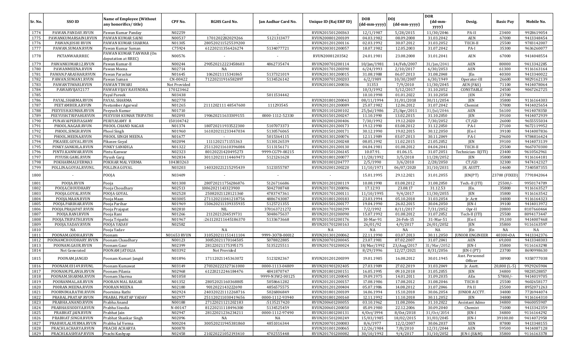|         |                      |                                                           |                    |                      |                          |                        |                            |                            | <b>DOR</b>                          |                            |                  |            |
|---------|----------------------|-----------------------------------------------------------|--------------------|----------------------|--------------------------|------------------------|----------------------------|----------------------------|-------------------------------------|----------------------------|------------------|------------|
| Sr. No. | SSO ID               | <b>Name of Employee (Without</b><br>any honorifics/title) | CPF No.            | <b>RGHS Card No.</b> | Jan Aadhar Card No.      | Unique ID (Raj ERP ID) | <b>DOB</b><br>(dd-mm-yyyy) | <b>DOI</b><br>(dd-mm-yyyy) | $(dd{\text{-}\mathbf{mm}}$<br>yyyy) | Desig.                     | <b>Basic Pay</b> | Mobile No. |
| 1774    | PAWAN.PANDAY.RVUN    | Pawan Kumar Panday                                        | N02259             |                      |                          | RVUN201501200363       | 12/1/1987                  | 5/28/2015                  | 11/30/2046                          | PA-II                      | 23400            | 9928619054 |
| 1775    | PAWANKUMARSAINI.RVUN | PAWAN KUMAR SAINI                                         | N00537             | 1701202282029266     | 5121313477               | RVUN200801200109       | 04.03.1982                 | 08.09.2008                 | 31.03.2042                          | AEN                        | 67000            | 9413348454 |
| 1776    | PAWAN.JOSHI RVUN     | PAWAN KUMAR SHARMA                                        | N01305             | 280520211525539200   |                          | RVUN201201200116       | 02.03.1992                 | 30.07.2012                 | 31.03.2052                          | TECH-II                    | 25500            | 9783142007 |
| 1777    | PAWAN.SUMAN.RVUN     | Pawan Kumar Suman                                         | C75924             | 61220211356426274    | 5134077721               | RVUN200301200057       | 18.07.1982                 | 12.05.2003                 | 31.07.2042                          | PA-I                       | 35300            | 9636260077 |
| 1778    | PKTANWAR.RREC        | PAWAN KUMAR TANWAR (On<br>deputation at RREC)             | N00576             |                      |                          | RVUN20081203542        | 24.01.1981                 | 23.08.2008                 | 31.01.2041                          | AEN                        | 67000            | 9414048554 |
| 1779    | PAWANKUMAR12.RVUN    | Pawan Kumar-II                                            | N00244             | 290520212223458603   | 4862735474               | RVUN200701200114       | 10/Jan/1981                | 14/Feb/2007                | 31/Jan/2041                         | <b>AEN</b>                 | 80000            | 9413342285 |
| 1780    | PAWANMEENA.RVUN      | Pawan Meena                                               | N02714             | NA                   |                          | RVUN201701200390       | 6/24/1993                  | 2/10/2017                  | 6/30/2053                           | <b>AEN</b>                 | 61300            | 9116163164 |
| 1781    | PAWAN.PARASHAR.RVUN  | Pawan Parashar                                            | N01645             | 1062021115341865     | 5137321019               | RVUN201301200015       | 31.08.1988                 | 06.07.2013                 | 31.08.2048                          | JEn                        | 40300            | 9413340022 |
| 1782    | PAWAN.SUMAN1.RVUN    | Pawan Suman                                               | CN-00422           | 71220211916582897    | 5134526142               | RVUN200701200203       | 6/2/1989                   | 10/30/2007                 | 6/30/1949                           | Operator-III               | 26600            | 9829162139 |
| 1783    | PAWANTIWARI.RVUN     | PAWAN TIWARI                                              | Not Provided       |                      |                          | RVUN201001200036       | 31353                      | 7/9/2010                   | 11/30/2045                          | AEN (F&S)                  | 71100            | 9414078064 |
| 1784    | PAWARVIJAY2177       | PAWAR VIJAY RAVINDRA                                      | 170123462          |                      |                          |                        | 10/3/1992                  | 5/12/2017                  | 31.10.2052                          | CONSTABLE                  | 24500            | 9067262725 |
| 1785    |                      | Payal Pareek                                              | N03438             |                      | 5011534442               |                        | 10.10.1998                 | 01.01.2022                 | 31.10.2058                          | JEN                        | 23700            |            |
| 1786    | PAYAL.SHARMA.RVUN    | PAYAL SHARMA                                              | N02778             |                      |                          | RVUN201801200043       | 08/11/1994                 | 31/01/2018                 | 30/11/2054                          | <b>JEN</b>                 | 35800            | 9116164303 |
| 1787    | PEETAMBER.A.RVUN     | Peetamber Agarwal                                         | N01265             | 2111202111 48547600  | 111293545                | RVUN201201200089       | 25.07.1982                 | 12.06.2012                 | 31.07.2042                          | Chemist                    | 57800            | 9414025654 |
| 1788    | PEEYUSH.KUMAR.RVUN   | Peeyush Kumar                                             | N01710             |                      |                          | RVUN201101200102       | 25/Jul/1986                | 25/Apr/2011                | 31/Jul/2046                         | AEN                        | 56100            | 9414078350 |
| 1789    | PEEYUSH.TRIPAHI.RVUN | PEEYUSH KUMAR TRIPATHI                                    | N02093             | 190620211633309155   | 0000-1112-52330          | RVUN201501200247       | 11.10.1990                 | 13.02.2015                 | 31.10.2050                          | <b>JEN</b>                 | 39100            | 9414072939 |
| 1790    | PUNAVAIPERIYASAMY    | PERIYASAMY R                                              | 150104742          |                      |                          | RVUN202001200406       | 7/30/1992                  | 19.12.2020                 | 7/30/2052                           | CT/GD                      | 26000            | 9655555034 |
| 1791    | PHOOL.NAGAR.RVUN     | PHOOL CHAND NAGAR                                         | N01374             | 180720211933522300   | 5107073373               | RVUN201201200173       | 19.12.1990                 | 03.08.2012                 | 31.12.2050                          | PA-I                       | 27100            | 9672119952 |
| 1792    | PHOOL.SINGH.RVUN     | Phool Singh                                               | N01960             | 161020211233447034   | 5130576065               | RVUN201501200171       | 30.12.1990                 | 19.02.2015                 | 30.12.2050                          | $[En-I]$                   | 39100            | 9414007836 |
| 1793    | PHOOL.MEENA.RVUN     | PHOOL SINGH MEENA                                         | N01677             |                      | 5015364115               | RVUN201301200076       | 12.11.1989                 | 03.07.2013                 | 30.11.2049                          | PA-I                       | 29600            | 9784816424 |
| 1794    | PIKASEE.GOYAL.RVUN   | Pikasee Goyal                                             | N02094             | 1111202171155363     | 5130126539               | RVUN201501200248       | 08.05.1992                 | 11.02.2015                 | 21.05.2052                          | <b>JEN</b>                 | 39100            | 9414073139 |
| 1795    | PINKY.SANKHLA.RVUN   | PINKY SANKHLA                                             | N01322             | 251120211610396084   | 5113156171               | RVUN201201200130       | 04.04.1981                 | 01.08.2012                 | 04.04.2041                          | TECH-I                     | 25500            | 9667070300 |
| 1796    | PINTU.KANWAR.RVUN    | Pintu Kanwar                                              | N02323             | 80120221420495273    | 9999-CGT9-00215          | RVUN201501206145       | 10.07.91                   | 01.06.15                   | 31.07.2051                          | Technician-II(ITI)         | 23400            | 9610562961 |
| 1797    | PIYUSH.GARG.RVUN     | Piyush Garg                                               | N02834             | 301120211114469473   | 5121261628               | RVUN201801200077       | 11/28/1992                 | 3/5/2018                   | 11/28/2052                          | <b>JEN</b>                 | 35800            | 9116164181 |
| 1798    | POKHARMALVERMA3      | POKHAR MAL VERMA                                          | 104383263          |                      |                          | RVUN201001204777       | 2/5/1990                   | 3/6/2010                   | 2/28/2050                           | CT/GD                      | 32300            | 9474142327 |
| 1799    | POLLINA.GOYAL.RVUNL  | POLLINA GOYAL                                             | N03203             | 140320221215295439   | 5123355787               | RVUN202001200220       | 11/10/1971                 | 06/07/2020                 | 31/10/2031                          | JR. ASSTT.                 | 14600            | 7340587355 |
| 1800    |                      | POOJA                                                     | N03409             |                      | $\overline{\phantom{a}}$ |                        | 15.01.1995                 | 29.12.2021                 | 31.01.2055                          | JEN(PT)                    | 23700 (FIXED     | 7791842064 |
| 1801    | POOJA.RVUN           | Pooja                                                     | N01308             | 280720211756286876   | 5126716686               | RVUN201201200119       | 10.08.1990                 | 03.08.2012                 | 31.08.2050                          | Tech.-II (ITI)             | 25500/           | 9950174709 |
| 1802    | POOJA.CHOUDHARY      | Pooja Choudhary                                           | N02513             | 10062021143323900    | 5042708748               | RVUN201701200096       | 17.12.93                   | 23.08.17                   | 31.12.53                            | JEn.                       | 35800            | 9116163527 |
| 1803    | POOJA.GOYAL.RVUN     | POOJA GOYAL                                               | N02528             | 25082021128121360    | 4783747361               | RVUN201701200111       | 11/10/1995                 | 9/4/2017                   | 11/30/2055                          | JEN                        | 35800            | 9116163542 |
| 1804    | POOJA.MAAN.RVUN      | Pooja Maan                                                | N03005             | 271120211041218756   | 4886743087               | RVUN201801200183       | 23.03.1994                 | 05.10.2018                 | 31.03.2054                          | Jr. Actt                   | 34800            | 9116164323 |
| 1805    | POOJA.PARIHAR.RVUN   | Pooja Parihar                                             | N01969             | 150620211339335935   | 5125721355               | RVUN201501200177       | 19.04.1990                 | 26.02.2015                 | 30.04.2050                          | JEN-I                      | 39100            | 9414013972 |
| 1806    | POOJA.PRAJAPAT.RVUN  | Pooja Prajapat                                            | N02810             | <b>NIL</b>           | 370163721272             | RVUN201701200299       | 7/2/1992                   | 8/11/2017                  | 7/31/2052                           | Opr-II                     | 20800            | 8107660464 |
| 1807    | POOJA.RANI.RVUN      | Pooja Rani                                                | N01266             | 2112021204519731     | 5048675637               | RVUN201201200090       | 15.07.1992                 | 01.08.2012                 | 31.07.2052                          | Tech-II (ITI)              | 25500            | 8094173447 |
| 1808    | POOJA.TRIPATHI.RVUN  | Pooja Tripathi                                            | N01967             | :261120211645186370  | 5133673668               | RVUN201501200176       | 10-Mar-91                  | 26-Feb-15                  | 31-Mar-51                           | JEn-I                      | 39,100           | 9414007468 |
| 1809    | POOJA.YADAV.RVUN     | POOJA YADAV                                               | N02582             |                      |                          | RVUN201701200163       | 26/01/92                   | 4/9/2017                   | 26/01/2052                          | <b>JEN</b>                 | 35800            | 9116163597 |
| 1810    | NA                   | Pooja Yadav                                               |                    | NA                   |                          | NA                     | NA                         | NA                         | NA                                  | <b>IEn</b>                 | NA               | NA         |
| 1811    | POONAM.GODHA.RVUN    | Poonam                                                    | <b>N01653 RVUN</b> | 310520211151411104   | 9999-307B-00012          | RVUN201301200062       | 22.11.1990                 | 03.07.2013                 | 30.11.2050                          | <b>JUNIOR ENGINEER</b>     | 40300+DA         | 9413342376 |
| 1812    | POONAMCHOUDHARY.RVUN | Poonam Chaudhary                                          | N00123             | 30052021170164505    | 5078822885               | RVUN200701200045       | 23.07.1981                 | 07.02.2007                 | 31.07.2041                          | <b>AEN</b>                 | 69,000           | 9413348303 |
| 1813    | POONAM.GAUR.RVUN     | Poonam Gaur                                               | N02399             | 28122021175395175    | 5135225511               | RVUN201701200024       | 18/Mar/1992                | 23/Aug/2017                | 31/Mar/2052                         | JEN-I                      | 35800            | 9116163298 |
| 1814    | Not Generated        | POONAM JATOLIA                                            | N03392             | Not Provided         |                          |                        | 8/29/1996                  | 12/27/2021                 | 8/31/2056                           | JEN-I (PT)                 | 23700            | 8690998630 |
| 1815    | POONAM.JANGID        | Poonam Kumari Jangid                                      | N01896             | 17112021145363072    | 5123282367               | RVUN201201200399       | 19.01.1985                 | 16.08.2012                 | 30.01.1945                          | Asst. Personnel<br>Officer | 38900            | 9358777038 |
| 1816    | POONAM.03149.RVUNL   | Poonam Kumawat                                            | N03149             | 270320222327161000   | 0000-1113-04809          | RVUN201901202405       | 27.03.1989                 | 27.02.2019                 | 31.03.2049                          | Ir. Asstt.                 | $20,800$ (L-5)   | 9929265904 |
| 1817    | POONAM.PILANIA.RVUN  | Poonam Pilania                                            | N02968             | 61220212246184476    | 4841870747               | RVUN201801200151       | 16.05.1995                 | 09.10.2018                 | 31.05.2055                          | JEN                        | 34800            | 9828528857 |
| 1818    | POONAM.SHARMA.RVUN   | Poonam Sharma                                             | N01058             |                      | 9999-N3W2-00125          | RVUN201101200045       | 19.09.1975                 | 14.01.2011                 | 31.09.2035                          | AEn                        | 57800/-          | 9414019705 |
| 1819    | POORANMAL.AR.RVUN    | POORAN MAL RAIGAR                                         | N01352             | 28052021160368805    | 5058661282               | RVUN201201200157       | 17.08.1986                 | 17.08.2012                 | 31.08.2046                          | TECH-II                    | 25500            | 9602658177 |
| 1820    | POORAN.MEENA.RVUN    | POORAN MEENA                                              | N02180             | 9012022143222690     | 4856575575               | RVUN201201200404       | 05.07.1986                 | 14.08.2012                 | 31.07.2046                          | PA II                      | 25500            | 8952071263 |
| 1821    | POORNIMA.RATHI.RVUN  | Poornima Rathi                                            | N02924             | 240320221112268716   | 5026806849               | RVUN201801200109       | 14.06.1994                 | 15.10.2018                 | 30.06.2054                          | JUNIOR ACCTT.              | 34800            | 7726944074 |
| 1822    | PRABAL.PRATAP.RVUN   | PRABAL PRATAP YADAV                                       | N02977             | 251120211030419656   | 0000-1112-93940          | RVUN201801200160       | 12.11.1992                 | 11.10.2018                 | 30.11.2052                          | JEN                        | 34800            | 9116164310 |
| 1823    | PRABHA.ANAND.RVUN    | Prabha Anand                                              | N00188             | 27122021121202183    | :5135217420              | RVUN200601200055       | 03.10.1962                 | 11.08.2006                 | 31.10.2022                          | Assistant Admo             | 34800            | 9460055907 |
| 1824    | PRABHASISODIYA.RVUN  | Prabha Sisodia                                            | N-00147            | 81220211118496300    | 5134525459               | RVUN200601200050       | 05.09.1980                 | 22.12.2006                 | 30.09.2040                          | Chemist                    | 71000            | 9413342359 |
| 1825    | PRABHAT.JAIN.RVUN    | Prabhat Jain                                              | N02947             | 28122021236234211    | 0000-1112-97490          | RVUN201801200131       | 4/0ct/1994                 | 8/0ct/2018                 | 31/0ct/2054                         | JEN-I                      | 34800            | 9116164292 |
| 1826    | PRABHAT.SINGH.RVUN   | Prabhat Shankar Singh                                     | N02096             | NA                   | NA                       | RVUN201501200249       | 15/03/1985                 | 18/02/2015                 | 31/03/2045                          | JEN-I                      | 39100.00         | 9414072958 |
| 1827    | PRABHULALVERMA.RVUN  | Prabhu lal Verma                                          | N00204             | 300520211945381860   | 4851016344               | RVUN200701200083       | 8/6/1977                   | 12/2/2007                  | 30.06.2037                          | XEN                        | 87800            | 9413348155 |
| 1828    | PRACHI.ACHARYA.RVUN  | PRACHI ACHARYA                                            | N00870             |                      |                          | RVUN201001200065       | 12/26/1984                 | 7/8/2010                   | 12/31/2044                          | AEN                        | 59500            | 9414087128 |
| 1829    | PRACHI.KASHYAP.RVUN  | Prachi Kashyap                                            | N02458             | 210220221052193410   | 4702555448               | RVUN201701200082       | 30/10/1992                 | 9/4/2017                   | 31/10/2052                          | JEN-I (E&M)                | 35800            | 9116163378 |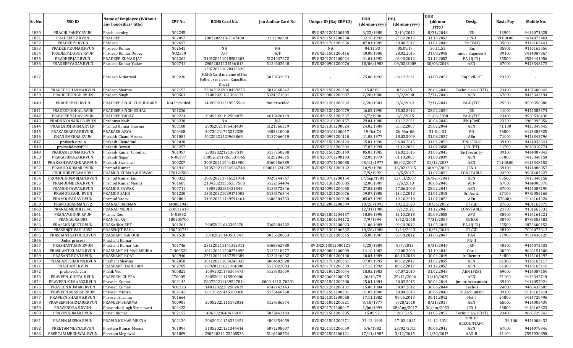|              |                                          | <b>Name of Employee (Without</b>        |                  |                              |                          |                                      | DOB                      | <b>DOI</b>               | <b>DOR</b>               |                                |                  |                          |
|--------------|------------------------------------------|-----------------------------------------|------------------|------------------------------|--------------------------|--------------------------------------|--------------------------|--------------------------|--------------------------|--------------------------------|------------------|--------------------------|
| Sr. No.      | SSO ID                                   | any honorifics/title)                   | CPF No.          | <b>RGHS Card No.</b>         | Jan Aadhar Card No.      | Unique ID (Raj ERP ID)               | (dd-mm-yyyy)             | (dd-mm-yyyy)             | (dd-mm-<br>yyyy)         | Desig.                         | <b>Basic Pay</b> | Mobile No.               |
| 1830         | PRACHI.PANEY.RVUN                        | Prachi pandey                           | N02245           |                              |                          | RVUN201201200405                     | 8/22/1988                | 2/10/2012                | 8/31/2048                | JEN                            | 43900            | 9414071628               |
| 1831         | PRADEEP02.RVUN                           | PRADEEP                                 | N02097           | 1003202219-2547490           | 111296098                | RVUN201501200250                     | 02.10.1992               | 23.02.2015               | 31.10.2052               | JEN-I                          | 39100.00         | 9414073469               |
| 1832         | PRADEEP1.RVUN                            | Pradeep                                 | N02697           |                              |                          | RVUN201701200256                     | 07.01.1989               | 28.08.2017               | 31.01.2049               | [En (C&I)                      | 35800            | 9116163441               |
| 1833         | PRADEEP.KUMAR.RVUN                       | Pradeep Kumar                           | N02541           | NA                           | NA                       | NA                                   | 04.11.93                 | 05.09.17                 | 30.11.53                 | JEn.                           | 35801            | 9116163556               |
| 1834         | PRADEEP.DUBEY.RVUN                       | Pradeep Kumar Dubey                     | NO2350           | A/F                          | A/F                      | RVUN201501200416                     | 10.08.1988               | 28.02.2015               | 31.08.2048               | Junior Engineer-I              | 39100            | 9414087967               |
| 1835         | PRADEEP.JAT.RVUN                         | PRADEEP KUMAR JAT                       | N01262           | 310520211018502303           | 5124037672               | RVUN201201200024                     | 01.01.1992               | 08.08.2012               | 31.12.2052               | $PA-II(ITI)$                   | 25500            | 9529441056               |
| 1836         | PRADEEPYADAV.RVUN                        | Pradeep Kumar Yadav                     | N00744           | 29052021134536015            | 5124603648               | RVUN200901200076                     | 18/06/1983               | 09/02/2009               | 30/06/2043               | AEN                            | 67000            | 9413348175               |
|              |                                          |                                         |                  | 120720211028413626           |                          |                                      |                          |                          |                          |                                |                  |                          |
| 1837         |                                          | Pradeep Nitharwal                       | N03236           | (RGHS Card in name of His    | 5030732073               |                                      | 25.08.1997               | 04.12.2021               | 31.08.2057               | JEn(civil-PT)                  | 23700            |                          |
|              |                                          |                                         |                  | Father, service in Rajasthan |                          |                                      |                          |                          |                          |                                |                  |                          |
|              |                                          |                                         |                  | Govt.)<br>220420212018469273 |                          |                                      |                          |                          |                          |                                |                  |                          |
| 1838<br>1839 | PRADEEP.SHARMA.RVUN<br>PRADEEPSINGH.RVUN | Pradeep Sharma<br>Pradeep Singh         | N02153<br>N00501 | 21082021181304171            | 5012068542<br>5024571001 | RVUN201501200286<br>RVUN200801200087 | 15.02.89.<br>7/20/1986   | 03.06.15.<br>9/2/2008    | 28.02.2049<br>7/31/2046  | Technician-II(ITI)<br>AEN      | 23400<br>67000   | 8107608949<br>9413342194 |
|              |                                          |                                         |                  |                              |                          |                                      |                          |                          |                          |                                |                  |                          |
| 1840         | PRADEEP.CH.RVUN                          | PRADEEP SINGH CHOUDHARY                 | Not Provided     | 140920211319535562           | Not Provided             | RVUN201201200232                     | 7/26/1981                | 8/4/2012                 | 7/31/2041                | PA-II (ITI)                    | 25500            | 9509550080               |
| 1841         | PRADEEP.SOHAL.RVUN                       | PRADEEP SINGH SOHAL                     | N01236           |                              |                          | RVUN201201200079                     | 16.02.1990               | 15.02.2012               | 28.02.2050               | <b>JEN</b>                     | 41000            | 9414085374               |
| 1842         | PRADEEP.YADAV.RVUN                       | PRADEEP YADAV                           | N02224           | 30052021192594875            | 4615426119               | RVUN201501200337                     | 6/7/1990                 | 6/1/2015                 | 31-06-2050               | PA-II (ITI)                    | 23400            | 9950536438               |
| 1843         | PRADHNYANAIK.88.RVUN                     | Pradhnya Naik                           | N03230           | NA                           | NA                       | RVUN202101200157                     | 29.04.1988               | 13.12.2021               | 30.04.2048               | JEN (Civil                     | 23700            | 8905995056               |
| 1844         | PRAHLADSHARMA.RVUN                       | Prahlad Kumar Sharma                    | N00180           | 29052021195454439            | 5121566219               | RVUN201301200024                     | 24.02.1984               | 05.02.2007               | 29.02.2044               | <b>AEN</b>                     | 71,100           | 9413349645               |
| 1845         | PRAKASHARYA.RRVUNI                       | PRAKASH ARYA                            | N00408           | 20720211725232358            | 4883810040               | RVUN200101200017                     | 19-Oct-74                | 26-Mar-08                | 31-Oct-34                | P <sub>O</sub>                 | 76800            | 9413385925               |
| 1846         | CHANDMEENA.RVUN                          | Prakash Chand Meena                     | N01084           | 5022022152096886R            | 5137066019               | RVUN200901200110                     | 11.08.1977               | 18.02.2009               | 31.08.2037               | AEn                            | 71000            | 9413342796               |
| 1847         | prakash.c.rvun                           | Prakash Chandraul                       | N02030<br>N03257 |                              |                          | RVUN201501206124<br>RVUN202101200204 | 15.01.1990               | 06.04.2015<br>21.12.2021 | 31.01.2050               | JEN-I (F&S)<br><b>JEN (PT)</b> | 39100<br>23700   | 9414032641<br>9610010774 |
| 1848<br>1849 | prakashdevasi591<br>PRAKASH.KUMAR.RVUN   | Prakash Devasi<br>Prakash Kumar Chouhan | N01957           | 23032022121367519            | 5137750238               | RVUN201501200169                     | 07.07.1998<br>05.03.1985 | 16.02.2015               | 31.07.2058<br>31.03.2045 | JEn (Security)                 | 39100            | 9414007843               |
| 1850         | PRAKASHNAGAR.RVUN                        | Prakash Nagar                           | N-00397          | 300520211-155537865          | 5125204515               | RVUN200701200193                     | 02.09.1979               | 01.10.2007               | 31.09.2039               | <b>AEN</b>                     | 67000            | 9413348158               |
| 1851         | PRAKASHSWARNKAR.RVUN                     | Prakash Swarnkar                        | N00207           | 300520211041422900           | 5060456389               | RVUN200701200085                     | 05/12/1977               | 08/02/2007               | 31/12/2037               | <b>AEN</b>                     | 71100.00         | 9413348152               |
| 1852         | PRAMOD.KUMAR.RVUN                        | Pramod Kumar                            | N01910           | 310520211734566748           | 0000111242255            | RVUN201501200132                     | 10/9/1990                | 16/02/2015               | 30/09/2050               | JEN-I                          | 39100            | 9414086857               |
| 1853         | CHOUDHRYPRAMOD92                         | PRAMOD KUMAR AHIRWAR                    | 170122588        |                              |                          |                                      | 7/5/1992                 | 6/5/2017                 | 31.07.2052               | CONSTABLE                      | 24500            | 9981407227               |
| 1854         | PROMODKUAMRJAIN.RVUN                     | Pramod Kumar Jain                       | N00322           | 280520211716521914           | 9829244767               | RVUN200701200154                     | 17/Sep/1981              | 12/Jul/2007              | 16/Sep/2041              | XEN                            | 85500            | 9413348156               |
| 1855         | PRAMODMEENA.RVUN                         | Pramod Kumar Meena                      | N01689           | 210420211355337508           | 5122354404               | RVUN201301200085                     | 12.06.1989               | 7/5/2013                 | 30.06.2049               | <b>AEN</b>                     | 67000            | 9414005376               |
| 1856         | PRAMODPAWAR.RVUN                         | PRAMOD PAWAR                            | N00712           | 2905202185421348             | 5125572846               | RVUN200901200065                     | 27.02.1985               | 27.06.2009               | 28.02.2045               | <b>AEN</b>                     | 67000            | 9414087190               |
| 1857         | PRAMOD.SAHU.RVUN                         | PRAMOD SAHU                             | N01230           | 130120221029174002           | 5135576344               | RVUN201201200076                     | 09.07.1985               | 13.02.2012               | 31.01.2045               | Sr. Asstt.                     | 27100            | 9782056168               |
| 1858         | PRAMODYADAV.RVUN                         | Pramod Yadav                            | N02886           | 310520211149594461           | 4606504753               | RVUN201801200208                     | 05.07.1995               | 12.10.2018               | 31.07.2055               | AEn                            | 57800/           | 9116164326               |
| 1859         | PRANABBARMAN372                          | PRANAB BARMAN                           | 140801943        |                              |                          | RVUN202001200399                     | 10/26/1992               | 19.12.2020               | 10/26/2052               | CT/GD                          | 27600            | 9401163975               |
| 1860         | PRANABMEDHI12345                         | PRANAB MEDHI                            | 210811418        |                              |                          |                                      | 12/31/1980               | 7/1/2021                 | 31.12.2040               | CONSTABLE                      | 21700            | 9101662332               |
| 1861         | PRANAV.GOUR.RVUN                         | Pranav Gour                             | N-02892          |                              |                          | RVUN201801204457                     | 18.09.1995               | 12.10.2018               | 30.09.2055               | <b>APO</b>                     | 38900            | 9116164221               |
| 1862         | PRANJALRAJ003                            | PRANJAL RAJ                             | 180206700        |                              |                          | RVUN201801204472                     | 7/9/1994                 | 1/12/2018                | 7/31/2054                | SI/EXE                         | 38700            | 8789555582               |
| 1863         | PRASANNAJEET.RVUN                        | PRASANNAJEET                            | N01261           | 29052021643392070            | 5065884702               | RVUN201201200023                     | 01.06.1989               | 09.08.2012               | 31.05.2049               | $PA-II(ITI)$                   | 25500            | 8875600152               |
| 1864         | PRASENJIT.PAUL7852                       | PRASENJIT PAUL                          | 130503732        |                              |                          | RVUN201301206332                     | 10/28/1988               | 1/14/2013<br>06.08.2012  | 10/31/2048               | CT/GD<br>PA-I                  | 28400<br>27900   | 7006077312               |
| 1865<br>1866 | PRASHANTKAPOOR.RVUN<br>Under process     | PRASHANT KAPOOR<br>Prashant Kumar       | N01528           | 28102021143558347            | 5035620053               | RVUN201201200315                     | 05.08.1987               |                          | 31.08.2047               | PA-II                          |                  | 9571436120               |
| 1867         | PRASHANT.JAIN.RVUN                       | Prashant Kumar Jain                     | N01746           | 231120211141312011           | 5068362780               | RVUN2013012000121                    | 5/28/1989                | 5/7/2013                 | 5/31/2049                | <b>JEN</b>                     | 40300            | 9414072535               |
| 1868         | PRASHANT.KUMAR.RVUN                      | PRASHANT KUMAR MEHRA                    | C-N00526         | 181220211520274895           | 5135218277               | RVUN200801200099                     | 14.10.1982               | 02.08.2008               | 31.10.2042               | Opr. I                         | 30500            | 9828151508               |
| 1869         | PRASANT.ROAT.RVUN                        | PRASHANT ROAT                           | N02946           | 231120211437359389           | 5132146232               | RVUN201801200130                     | 30.04.1989               | 08.10.2018               | 30.04.2049               | Jr.Chemist                     | 34800            | 9116164297               |
| 1870         | PRASHANTSHARMA.RVUN                      | Prashant Sharma                         | N02850           | 301120211054343833           | 5064682820               | RVUN201701200361                     | 07.07.1995               | 08.02.2017               | 31.07.2055               | <b>AEN</b>                     | 61300            | 9116163117               |
| 1871         | PRASHANT.RVUN                            | PRASHANT TAHILIANI                      | N02705           | 60920211621164880            | 5126822883               | RVUN201701200359                     | 17.12.1992               | 08.02.2017               | 31.12.2052               | AEN                            | 61300            | 9116163116               |
| 1872         | pratikved.rvun                           | Pratik Ved                              | N00821           | 10092021176365473            | 5128583009               | RVUN201001200044                     | 18.02.1983               | 07.07.2010               | 31.02.2043               | AEN (F&S)                      | 69000            | 9414087159               |
| 1873         | PRAVEEN GUPTA RVUN                       | PRAVEEN GUPTA                           | C76005           | 29052021115506900            |                          | RVUN200601200015                     | 26/10/79                 | 25/11/2006               | 31/10/2039               | AEN                            | 71100            | 9413342718               |
| 1874         | PRAVEEN.KUMAR02.RVUN                     | Praveen Kumar                           | N02145           | 280720211139527814           | 0000-1112-70280          | RVUN201501200280                     | 25.04.1984               | 30.03.2015               | 30.04.2044               | Junior Accountant              | 39100            | 9414057924               |
| 1875         | PRAVEEN.KUMARI.RVUN                      | Praveen Kumari                          | NO1323           | 14032022202582639            | 4747742143               | RVUN201201200131                     | 15.06.1984               | 30.07.2012               | 30.06.2044               | Tech-II                        | 24800            | 9460433605               |
| 1876         | PRAVEEN.MISHRA.RVUN                      | Praveen Mishra                          | N02146           | 60120221415108300            | 5135466760               | RVUN201501200281                     | 01.07.1988               | 28.04.2015               | 30.06.2048               | Jr. Accountant                 | 39100            | 9116163210               |
| 1877         | PRAVEEN.SHARMA.RVUN                      | Praveen Sharma                          | N01664           |                              |                          | RVUN201301200068                     | 17.11.1982               | 09.05.2013               | 30.11.2042               | Hel-I                          | 24800            | 9414729496               |
| 1878         | PRAVEENSHARMA05.RVUN                     | PRAVEEN SHARMA                          | N00985           | 30052021115172034            | 5124586374               | RVUN201001200321                     | 8/18/1977                | 6/28/2010                | 8/31/2037                | AEN                            | 65000            | 9414005439               |
| 1879         | PRAVENDRA.S.RVUN                         | Pravendra Singh Shekhawat               | N02422           |                              |                          | RVUN201701200047                     | 1/Jul/1993               | 28/Aug/2017              | 30/Jun/2053              | IEN-I                          | 35800            | 9116163323               |
| 1880         | PRAVIN.KUMAR.RVUN                        | Pravin Kumar                            | N02152           | 4062021640476818             | 5032442183               | RVUN201501200285                     | 15.05.92.                | 26.05.15.                | 31.05.2052               | Technician-II(ITI)             | 23400            | 9660729542               |
| 1881         | PRAVIN.MEENA.RVUN                        | PRAVIN KUMAR MEENA                      | N02120           | 20620211156332451            | 4803254059               | RVUN201501200271                     | 31-12-1991               | 17-03-2015               | 31-12-2051               | JUNIOR<br><b>ACCOUNTANT</b>    | 39,100           | 9414008432               |
| 1882         | PREETAMMEENA.RVUN                        | Preetam Kumar Meena                     | N01096           | 31052021121344414            | 5071208607               | RVUN201101200059                     | 5/6/1982                 | 23/02/2011               | 30.06.2042               | AEN                            | 67000            | 9414078346               |
| 1883         | PREETAM.MEGHWAL.RVUN                     | Preetam Meghwal                         | N01889           | 290520211 25565536           | 5116608754               | RVUN201501200121                     | 17/11/1987               | 3/12/2015                | 11/30/2047               | AAO-II                         | 41100            | 7597930890               |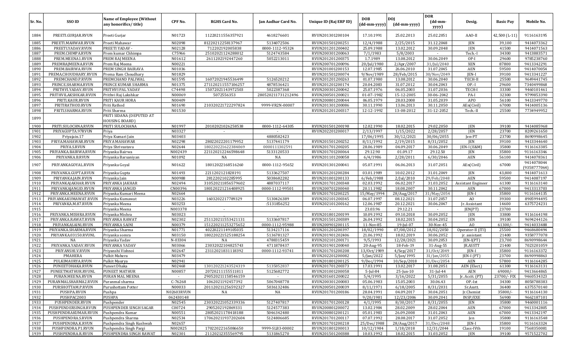| Sr. No.      | SSO ID                                     | <b>Name of Employee (Without</b><br>any honorifics/title) | CPF No.              | <b>RGHS Card No.</b>                    | Jan Aadhar Card No.           | Unique ID (Raj ERP ID)               | <b>DOB</b><br>(dd-mm-yyyy) | <b>DOI</b><br>(dd-mm-yyyy) | <b>DOR</b><br>$(dd{\text{-}\mathbf{mm}}$ | Desig.                    | <b>Basic Pay</b> | Mobile No.                 |
|--------------|--------------------------------------------|-----------------------------------------------------------|----------------------|-----------------------------------------|-------------------------------|--------------------------------------|----------------------------|----------------------------|------------------------------------------|---------------------------|------------------|----------------------------|
| 1884         | PREETI.GURJAR.RVUN                         | Preeti Gurjar                                             | N01723               | 11220211556357921                       | 4618276601                    | RVUN201301200104                     | 17.10.1991                 | 25.02.2013                 | yyyy)<br>25.02.2051                      | AAO-II                    | 42,500 (L-11)    | 9116163195                 |
|              |                                            |                                                           |                      |                                         |                               |                                      |                            |                            |                                          |                           |                  |                            |
| 1885         | PREETI.MAHWAR.RVUN                         | Preeti Mahawar                                            | N02098               | 81220212258137967                       | 5134072506                    | RVUN201501200251                     | 12/4/1988                  | 2/25/2015                  | 31.12.2048                               | JEN                       | 39,100           | 9414073362                 |
| 1886         | PREETI.YADAV.RVUN                          | PREETI YADAV -                                            | N02128               | 712202192005838                         | 0000-1112-95324               | RVUN201201200402                     | 25.09.1988                 | 13.02.2012                 | 30.09.2048                               | JEN                       | 41500            | 9414071563                 |
| 1887         | PREM.CHIMPA.RVUN                           | Prem kumar Chhimpa                                        | C75966               | 25102021124288012                       | 5124743584                    | RVUN200301200063                     | 7/1/1983                   | 5/8/2003                   |                                          | Tech.-I                   | 34300            | 9413883571                 |
| 1888         | PREM.MEENA1.RVUN                           | PREM RAJ MEENA                                            | N01612               | 2611202192447260                        | 5052213011                    | RVUN201201200375                     | 1.7.1989                   | 13.08.2012                 | 30.06.2049                               | OP-I                      | 29600            | 9785238760                 |
| 1889         | PREMRAJMEENA.RVUN                          | Prem Raj Meena                                            | N00221               |                                         |                               | RVUN200701200096                     | 20/Jul/1980                | 2/Apr/2007                 | 31/Jul/2040                              | <b>XEN</b>                | 87800            | 9413342291                 |
| 1890         | PREM.BAIRWA.RVUN                           | PREM SINGH BAIRAVA                                        | N01036               |                                         |                               | RVUN201001200153                     | 12.07.1985                 | 26.06.2010                 | 31.07.2045                               | AEN                       | 59500            | 9414070054                 |
| 1891         | PREMA.CHOUDHARY.RVUN                       | Prema Ram Choudhary                                       | N01829               |                                         |                               | RVUN201501200074                     | 9/Nov/1989                 | 28/Feb/2015                | 30/Nov/2049                              | JEN-I                     | 39100            | 9413341227                 |
| 1892         | PREMCHAND.P.RVUN                           | PREMCHAND PALIWAL                                         | N01595<br>N01375     | 16072021945536499                       | 5126520212                    | RVUN201201200263                     | 01.07.1980                 | 13.08.2012<br>31.07.2012   | 30.06.2040<br>30.04.2043                 | TECH-I                    | 25500<br>29600   | 9649441745                 |
| 1893<br>1894 | PRINCE.SHARMA.RVUN<br>PRITHVI.YADAV.RVUN   | PRINCE KUMAR SHARMA<br>PRITHVI PAL YADAV                  | C74498               | 271120211557106257<br>15072021143972503 | 4878536421<br>5022387368      | RVUN201201200174<br>RVUN200301200042 | 20.04.2083<br>25.07.1976   | 06.05.2003                 | 31.07.2036                               | $OP-I$<br>TECH-           | 33300            | 7340499868<br>9460101461   |
| 1895         | PRITHVILAKSHKAR.RVUN                       | Prithvi Raj Lakshkar                                      | N00069               | 5072556353                              | 280520211731212496            | RVUN200501200021                     | 01-07-1982                 | 15-12-2005                 | 30-06-2042                               | PA-I                      | 32300            | 9799853390                 |
| 1896         | PRITI.KAUR.RVUN                            | PRITI KAUR HORA                                           | N00409               |                                         |                               | RVUN200801200044                     | 06.05.1979                 | 28.03.2008                 | 31.05.2039                               | <b>APO</b>                | 56100            | 9413349770                 |
| 1897         | PRITIRATHOD.RVUN                           | Priti Rathod                                              | N01690               | 210320221722297824                      | 9999-VR2N-00007               | RVUN201301200086                     | 30.11.1990                 | 13.06.2013                 | 30.11.2050                               | AEn(Civil)                | 67000            | 9414005136                 |
| 1898         | PRITI.SHARMA.RVUN                          | Priti Sharma                                              | N01530               |                                         |                               | RVUN201201200317                     | 12-12-1992                 | 13-08-2012                 | 31-12-2052                               | Tech.-II                  | 25500            | 7734949952                 |
| 1899         |                                            | PRITI SIDANA (DEPUTED AT<br><b>HOUSING BOARD)</b>         |                      |                                         |                               |                                      |                            |                            |                                          |                           |                  |                            |
| 1900         | PRITI.SULOCHNA.RVUN                        | PRITI SULOCHANA                                           | N01997               | 20102021026258538                       | 0000-1112-64305               | RVUN201501200198                     | 12.02.1990                 | 18.02.2015                 | 29.02.2050                               | <b>JEN</b>                | 39100            | 9414085968                 |
| 1901         | PRIYAGUPTA.97RVUN                          | Priya                                                     | N03327               |                                         |                               | RVUN202201200017                     | 2/13/1997                  | 1/15/2022                  | 2/28/2057                                | JEN                       | 23700            | 8209261650                 |
| 1902         | Priyajain.17                               | Priya Kumari Jain                                         | N03403               |                                         | 4880582423                    |                                      | 17/06/1995                 | 30/12/2021                 | 30/06/2055                               | Jen-PT                    | 23700            | 8690998645                 |
| 1903         | PRIYA.MAHAWAR.RVUN                         | PRIYA MAHAWAR                                             | N02298               | 28022022201179952                       | 5137441179                    | RVUN201501200252                     | 8/11/1992                  | 2/19/2015                  | 8/31/2052                                | <b>JEN</b>                | 39100            | 9413344640                 |
| 1904         | PRIYA.S.RVUN                               | Priya Shrivastava                                         | N02644               | 180220221622384069                      | 0000111302591                 | RVUN201701200205                     | 28.06.1989                 | 04.09.2017                 | 30.06.2049                               | JEN-I (E&M)               | 35800            | 9116163385                 |
| 1905         | PRIYANKA.BAIRWA.RVUN                       | Priyanka Bairwa                                           | N002439              | 221120212246598648                      | 5133120533                    | RVUN201701200064                     | 29.12.90                   | 01.09.17                   | 29.12.50                                 | JEN                       | 35800            | 9116163346                 |
| 1906         | PRIYANKA.B.RVUN                            | Priyanka Barsaniyan                                       | N01092               | NA                                      | NA                            | RVUN201101200058                     | 6/4/1986                   | $\frac{1}{2}$ /28/2011     | 6/30/2046                                | <b>AEN</b>                | 56100            | 9414078361                 |
| 1907         | PRIYANKAGOYAL.RVUN                         | Priyanka Goyal                                            | N01622               | 18012022168516260                       | 0000-1112-95652               | RVUN201301200041                     | 05.07.1991                 | 06.06.2013                 | 31.07.2051                               | AEn(Civil)                | 67000            | 9414078044<br>(9358777064) |
| 1908         | PRIYANKA.GUPTA.RVUN                        | Priyanka Gupta                                            | N01493               | 2211202121828191                        | 5133627507                    | RVUN201201200284                     | 03.01.1989                 | 10.02.2012                 | 31.01.2049                               | <b>JEN</b>                | 43,800           | 9414071613                 |
| 1909         | PRIYANKA.JAIN.RVUN                         | Priyanka Jain                                             | N00988               | 2812202102285995                        | 5038682282                    | RVUN201001200133                     | 6/Feb/1988                 | 2/Jul/2010                 | 29/Feb/2048                              | AEN                       | 59500            | 9414087197                 |
| 1910         | PRIYANKAJAKHAR.RVUN                        | PRIYANKA JAKHAR                                           | N02494               | 310520211856579602                      | 4887037117                    | RVUN201701200348                     | 02.03.1992                 | 06.02.2017                 | 31.03.2052                               | <b>Assistant Engineer</b> | 61300            | 9116163140                 |
| 1911         | PRIYANKAJANGID.RVUN                        | PRIYANKA JANGID                                           | CN00396              | 180120221216408925                      | 0000-1112-99501               | RVUN200701200040                     | 20.11.1982                 | 18.08.2007                 | 30.11.2042                               | AEN                       | 67000            | 9413313703                 |
| 1912         | PRIYANKA.MEENA.RVUN                        | Priyanka Kumari Meena                                     | N02664               |                                         |                               | RVUN201701200225                     | 15/May/1994                | 28/Aug/2017                | 31/May/2054                              | JEN-I                     | 35800            | 9116164135                 |
| 1913         | PRIYANKAKUMAWAT.RVUN                       | Priyanka Kumawat                                          | N03226               | 1603202217789329                        | 5130426389                    | RVUN202101200345                     | 06.07.1997                 | 08.12.2021                 | 31.07.2057                               | A <sub>O</sub>            | 39300            | 8905994495                 |
| 1914         | PRIYANKA.M.87.RVUN                         | Priyanka Meena                                            | N03253               |                                         | :5131856252                   | RVUN202101200162                     | 12.06.1987                 | 20.12.2021                 | 30.06.2047                               | Jr. Assistant             | 14600            | 6375724231                 |
| 1915         |                                            | Priyanka Meena                                            | N003378              | $\sim$                                  |                               |                                      | 23.03.96                   | 29.12.21                   | $\sim$                                   | IEN(PT)                   | 23700            |                            |
| 1916         | PRIYANKA.MISHRA.RVUN                       | Priyanka Mishra                                           | N03023               |                                         |                               | RVUN201801200199                     | 10.09.1992                 | 09.10.2018                 | 30.09.2052                               | JEN                       | 33800            | 9116164198                 |
| 1917         | PRIYANKA.RAWAT.RVUN                        | PRIYANKA RAWAT                                            | N02302<br>N00379     | 251120211553421131                      | 5133607817                    | RVUN201501200389                     | 26.04.1992                 | 18.02.2015                 | 30.04.2052                               | <b>JEN</b><br>AO          | 39100            | 9694244126                 |
| 1918<br>1919 | PRIYANKASAINI.RVUN<br>PRIYANKA.SHARMA.RVUN | PRIYANKA SAINI<br>Priyanka Sharma                         | N01771               | 151220211253275652<br>40220221149105035 | 0000-1112-95988<br>5134217116 | RVUN200901200115<br>RVUN201201200397 | 11-Nov-85<br>18/02/1990    | 19-Jul-07<br>07/08/2012    | 30-Nov-45<br>18/02/2050                  | Operator-II (ITI)         | 61300/<br>25500  | 9414033488<br>9468680494   |
| 1920         | PRIYANKA.03150.RVUNL                       | Priyanka somra                                            | N03150               | 180220221525188254                      | 5136781327                    | RVUN201901202406                     | 21.06.1992                 | 18.02.2019                 | 30.06.2052                               | jr. assistant             | 21400            | 9358777078                 |
| 1921         | NA                                         | Priyanka Yadav                                            | N-03304              | NA                                      | 4788315459                    | RVUN202101200171                     | 9/5/1993                   | 12/28/2021                 | 30.09.2053                               | $IEN-I(PT)$               | 23,700           | 8690998644                 |
| 1922         | PRIYANKA.YADAV.RVUN                        | PRIYANKA YADAV                                            | N03066               | 23032022104825743                       | 4711878437                    | RVUN201901200040                     | 20-Aug-95                  | 18-Feb-19                  | 31-Aug-55                                | JR.ASSTT                  | 21400            | 7023201059                 |
| 1923         | PRIYANSHI.V.RVUN                           | Priyanshi Vishnoi                                         | N02647               | 23112021831118392                       | 0000-1112-93741               | RVUN201701200208                     | 13/0ct/1989                | 4/Sep/2017                 | 31/0ct/2049                              | JEN-I                     | 35800            | 9116163372                 |
| 1924         | <b>PMAHERA</b>                             | Pulkit Mahera                                             | N03479               |                                         |                               | RVUN202201200082                     | 5/Jan/2022                 | 5/Jan/1995                 | 31/Jan/2055                              | [EN-I (PT)                | 23700            | 8690998863                 |
| 1925         | PULKIMAURYA.RVUN                           | Pulkit Maurya                                             | N02941               |                                         |                               | RVUN201801200125                     | 9/Dec/1994                 | 10/Sep/2018                | 31/Dec/2054                              | <b>AEN</b>                | 57800            | 9116164285                 |
| 1926         | PUNEETDHAKA.RVUN                           | Puneet Dhaka                                              | N02468               | 130120221243524319                      | 5135852837                    | RVUN201701200373                     | 17.03.1991                 | 13.02.2017                 | 31.08.2051                               | AEN (Elect.)              | 61300            | 9116163131                 |
| 1927         | PUNEETMATHUR.RVUNL                         | PUNEET MATHUR                                             | N00857               | 20720211155511811                       | 5125682772                    | RVUN201001200058                     | 5-Jul-84                   | $25$ -Jun-10               | $31$ -Jul-44                             | AEN                       | $69000/-$        | 9413664865                 |
| 1928         | PURAN.MEENA.RVUN                           | PURAN MAL MEENA                                           | $\sim$               | 290520211158546159                      |                               | RVUN201601200022                     | 5/4/1995                   | 3/16/2022                  | 5/31/2055                                | Jr. Acctt. (PT)           | 23700/-FIX       | 9460534323                 |
| 1929         | PURANMALSHARMA2.RVUN                       | Puranmal sharma                                           | $C-76268$            | 1062021192457392                        | 5067048778                    | RVUN200301200083                     | 05.06.1983                 | 15.05.2003                 | 30.06.43                                 | OP-Ist                    | 34300            | 8058788383                 |
| 1930         | PURSHOTTAM.P.RVUN                          | Purushottam Potter                                        | N00033               | 201120211256592327                      | 5036132486                    | RVUN200501200039                     | 8/11/1971                  | 6/18/2005                  | 8/31/2031                                | Sr.Asstt.                 | 36400            | 6375570140                 |
| 1931         | PUSHPA.RVUN                                | Pushpa                                                    | N02603RVUN           | NA                                      | NA                            | RVUN201701200186                     | 28.04.1991                 | 04.09.2017                 | 30.04.2051                               | Jr.Chemist                | 35800/           | 9116164130                 |
| 1932         | PUSHPAC2003                                | PUSHPA                                                    | 062430148            |                                         |                               |                                      | 9/20/1981                  | 12/23/2006                 | 30.09.2041                               | INSP/EXE                  | 56900            | 9662187101                 |
| 1933         | PUSHPENDER.RVUN                            | Pushpender                                                | N02545               | 230320221052339336                      | 5127407817                    | RVUN201701200128                     | 4/1/1995                   | 8/30/2017                  | 8/31/2055                                | JEN                       | 35800            | 9460001116                 |
| 1934         | PUSHPENDERSINGH.RVUN                       | PUSHPENDER SINGH SAGAR                                    | $\overline{C00}$ 724 | 2905202192869331                        | 5124577383                    | RVUN200801200072                     | 13.02.1984                 | 28.02.2009                 | 28.02.2044                               | AEN                       | 67000            | 9413342805                 |
| 1935         | PUSHPENDRAKUMAR.RVUN                       | Pushpendra Kumar                                          | N00551               | 28052021178418188                       | 5046342480                    | RVUN200801200121                     | 05.01.1983                 | 26.09.2008                 | 31.01.2043                               | AEN                       | 67000            | 9413342197                 |
| 1936         | PUSHPENDRA.S.RVUN                          | Pushpendra Sharma                                         | N02534               | 170620211937202604                      | 5124806685                    | RVUN201701200117                     | 07.07.1992                 | 28.08.2017                 | 31.07.2052                               | Jen                       | 35800            | 9116163548                 |
| 1937         | PUSHPENDRA.K.RVUN                          | Pushpendra Singh Kushwah                                  | N02657               |                                         |                               | RVUN201701200218                     | 25/Dec/1988                | 28/Aug/2017                | 31/Dec/2048                              | JEN-I                     | 35800            | 9116163324                 |
| 1938         | PUSHPENDRA.P1.RVUN                         | Pushpendra Singh Pargi<br>PUSHPENDRA SINGH RAWAT          | N002825              | 17022022165086650                       | 9999-SLB3-00002               | RVUN201801200013                     | 10/12/1984                 | 1/18/2018                  | 12/31/2044                               | Class-IVth                | 19100            | 7568350081                 |
| 1939         | PUSHPENDRA.R.RVUN                          |                                                           | N02301               | 21120212355569795                       | 5131865270                    | RVUN201501200388                     | 10.03.1992                 | 18.02.2015                 | 31.03.2052                               | JEN                       | 39100            | 9571522702                 |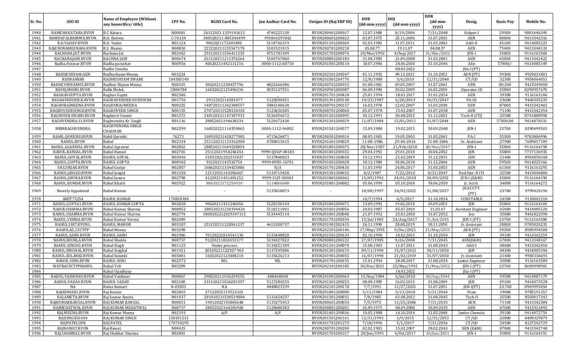|         | SSO ID               | <b>Name of Employee (Without</b> | CPF No.   | <b>RGHS Card No.</b> |                     |                        | <b>DOB</b>   | <b>DOJ</b>       | <b>DOR</b>       |                           |                  |            |
|---------|----------------------|----------------------------------|-----------|----------------------|---------------------|------------------------|--------------|------------------|------------------|---------------------------|------------------|------------|
| Sr. No. |                      | any honorifics/title)            |           |                      | Jan Aadhar Card No. | Unique ID (Raj ERP ID) | (dd-mm-yyyy) | (dd-mm-yyyy)     | (dd-mm-<br>yyyy) | Desig.                    | <b>Basic Pay</b> | Mobile No. |
| 1940    | RAMESH.KATARA.RVUN   | R.C Katara                       | N00001    | 26112021 1359141613  | 4740225130          | RVUN200401200017       | 12.07.1988   | 8/19/2004        | 7/31/2048        | Helper-I                  | 29900            | 9001646349 |
| 1941    | RAMDAYALBAIRWA.RVUN  | R.D. Bairwa                      | $C-76134$ | 300520211-845344499  | 991864297842        | RVUN200601200023       | 03.07.1975   | 25.11.2006       | 31.07.2035       | AEN                       | 80000            | 9413342316 |
| 1942    | R.D.YADAV.RVUN       | R.D. Yadav                       | N01124    | 9062021172603490     | 5118746319          | RVUN201101200069       | 02.03.1983   | 11.07.2011       | 31.03.2043       | AAO-II                    | 45100            | 9414085223 |
| 1943    | RAJENDRAMEENA06.RVUN | R.S. Meena                       | N00810    | 221220211235547178   | 5103521015          | RVUN200701200218       | 05.08.77     | 19.11.07         | 04.08.37         | AEN                       | 75400            | 9413348133 |
| 1944    | RACHANA.JAT.RVUN     | Rachana Jat                      | N02452    | 291120211556411235   | 4751781309          | RVUN201701200076       | 29/Mar/1992  | 4/Sep/2017       | 31/Mar/2052      | JEN-I                     | 35800            | 9116163368 |
| 1945    | RACHANAJAIN.RVUN     | RACHNA JAIN                      | N00674    | 261120211211376264   | 5104767860          | RVUN200801200183       | 31.08.1983   | 21.09.2008       | 31.03.2043       | AEN                       | 65000            | 9413342422 |
| 1946    | Radha.Parasar.RVUN   | Radha parashar                   | N00956    | 40620211442111216    | 0000-1112-68710     | RVUN201001200114       | 10.07.1986   | 24.06.2010       | 31.10.2046       | AEn                       | 57800/           | 9414085149 |
| 1947    |                      | Radhe Sisodia                    |           |                      |                     |                        |              | 08.03.2022       |                  | $[En-I (PT)]$             |                  |            |
| 1948    | RADHESHYAM.AEN       | Radheshyam Meena                 | N03224    |                      |                     | RVUN202101200347       | 01.11.1992   | 09.12.2021       | 31.10.2052       | AEN (PT)                  | 39300            | 9929031801 |
| 1949    | RSSWAMI88            | RADHESHYAM SWAMI                 | 104383148 |                      |                     | RVUN201001204776       | 12/8/1988    | 3/6/2010         | 12/31/2048       | CT/GD                     | 32300            | 9954064051 |
| 1950    | RADHEYSHYAM05.RVUN   | Radhey Shyam Meena               | N00315    | 30620211230457796    | 4822666306          | RVUN200701200015       | 01.08.1981   | 09.05.2007       | 31.07.2041       | XEN                       | 80,300           | 9413349058 |
| 1951    | RAFIQ.MOHD.RVUN      | Rafik Mohd.                      | CN00784   | 16032022125496336    | 5035127551          | RVUN200901200087       | 06.08.1990   | 20.02.2009       | 26.02.2050       | Operator-III              | 25800            | 8290957670 |
| 1952    | RAGHAVGUPTA.RVUN     | Raghav Gupta                     | N02386    |                      |                     | RVUN201701200418       | 25.01.1994   | 18.01.2017       | 31.01.2054       | AEN                       | 39300            | 9116163186 |
| 1953    | RAGHAVENDER.K.RVUN   | RAGHAVENDER KUSHWAH              | N01756    | 2912202114581477     | 5128200451          | RVUN201301200130       | 10/23/1987   | 6/28/2013        | 10/31/2047       | PA-III                    | 23600            | 9460345235 |
| 1954    | RAGHURAJMEENA.RVUN   | RAGHURAJ MEENA                   | N00325    | 140720211342348557   | 5081140630          | RVUN200701200157       | 16.03.1978   | 12.02.2007       | 31.03.2038       | XEN                       | 87800            | 9413342402 |
| 1955    | RAGHUVEERSINGH.RVUN  | RAGHUVEER SINGH                  | N00155    | 270720211528134102   | 5123636585          | RVUN200701200060       | 05.07.1978   | 15.03.2007       | 31.07.2038       | AEN                       | 71100            | 9413342354 |
| 1956    | RAGHUVIR.SWAMI.RVUN  | Raghuvir Swami                   | N01272    | 240120221147187933   | 5136056672          | RVUN201201200095       | 30.12.1993   | 06.08.2012       | 31.12.2053       | Tech-II (ITI)             | 25500            | 8741888958 |
| 1957    | RAGHVENDRA.S1.RVUN   | Raghvendra Kr. Singh             | N01116    | 28052021194638234    | 5120672430          | RVUN201301200029       | 11/07/1984   | 15/01/2011       | 31/07/2044       | AEN                       | 57800.00         | 9414078331 |
| 1958    | MBMRAGHVENDRA        | RAGHVENDRA SINGH<br>CHAUHAN      | N02299    | 160320221114359865   | 0000-1112-96802     | RVUN201501204577       | 15.09.1988   | 19.02.2015       | 30.09.2048       | JEN-I                     | 23700            | 8290499503 |
| 1959    | RAHIL.QURESHI.RVUN   | Rahil Qureshi                    | 76271     | 100920211428277081   | 4715626871          | RVUN200301200014       | 08.05.1983   | 19.05.2003       | 31.05.2043       | PA-I                      | 35300            | 9783806996 |
| 1960    | RAHUL.RVUN           | Rahul                            | N02334    | 251120211133362000   | 4780013615          | RVUN201601200029       | 11-08-1986   | 29-06-2016       | 31-08-2046       | Sr. Assistant             | 27900            | 7689057189 |
| 1961    | RAHUL.AGARWAL.RVUN   | Rahul Agrawal                    | N02832    | 280520211649228854   |                     | RVUN201801200075       | 28/Nov/1987  | 21/Feb/2018      | 30/Nov/2047      | JEN-I                     | 35800            | 9116164158 |
| 1962    | RAHUL.BANSAL.RVUN    | Rahul Bansal                     | N02765    | 25112021954246243    | 9999-QVAP-00183     | RVUN201801200032       | 29.04.1992   | 29.01.2018       | 30.04.2052       | JEN                       | 35800            | 7737136935 |
| 1963    | RAHUL.GOYAL.RVUN     | RAHUL GOYAL                      | N03046    | 31052021202231027    | 5137840823          | RVUN201901200020       | 19.12.1991   | 21.02.2019       | 31.12.2051       | JEN                       | 21400            | 8963050348 |
| 1964    | RAHUL.GUPTA.RVUN     | RAHUL GUPTA                      | N00942    | 9122021143532754     | 9999-89SU-16701     | RVUN201001200028       | 18.12.1984   | 30.06.2010       | 31.12.2044       | AEN                       | 59500            | 9414025166 |
| 1965    | SH.GURJAR.RVUN       | Rahul Gurjar                     | N02857    | 160620211334425886   | N/A                 | RVUN201701200430       | 11.03.1993   | 24.06.2017       | 31.03.2053       | AEN                       | 61300            | 9116163295 |
| 1966    | RAHUL.JANGID.RVUN    | Rahul Jangid                     | N01550    | 12112021143286467    | 5133715458          | RVUN201301200032       | 8/2/1987     | 7/22/2012        | 8/31/2047        | Hyd.Opr.-II ITI           | 25500            | 9413046800 |
| 1967    | RAHUL.JANWA.RVUN     | Rahul Janwa                      | N02798    | 41220211451481252    | 9999-31JT-00003     | RVUN201801200062       | 15/09/1992   | 24/01/2018       | 30/09/2052       | JEN-I (E&M)               | 35800            | 9116164190 |
| 1968    | RAHUL.KUMAR.RVUN     | Rahul Khatri                     | N02922    | 8062021172256910     | 5114866688          | RVUN201801200002       | 05.06.1990   | 05.10.2018       | 30.06.2050       | Jr. Acctt.                | 34800            | 9116164272 |
| 1969    | Newely Appointed     | Rahul Kumar                      | $\sim$    |                      | 5135818873          |                        | 18/08/1997   | 24/03/2022       | 31/08/2057       | JR.ACCTT.<br>(PT)         | 23700            | 9799420196 |
| 1970    | AMIT75254            | <b>RAHUL KUMAR</b>               | 170818384 |                      |                     |                        | 10/7/1994    | 6/5/2017         | 31.10.2054       | CONSTABLE                 | 24500            | 9110041210 |
| 1971    | RAHUL.GUPTA1.RVUN    | RAHUL KUMAR GUPTA                | N02828    | 90620211451246056    | 5128330143          | RVUN201801200071       | 13.09.1993   | 19.02.2018       | 30.09.2053       | <b>JEN</b>                | 35800            | 9116164169 |
| 1972    | RAHULSHARMA.RVUN     | Rahul Kumar Sharma               | N00852    | 280520211230394424   | 5118211001          | RVUN201001200056       | 24.03.1987   | 05.07.2010       | 31.03.47         | <b>Assistant Engineer</b> | 65000            | 9414085120 |
| 1973    | RAHUL.SHARMA.RVUN    | Rahul Kumar Sharma               | N02774    | 1808202212029347113  | 5134445114          | RVUN201801200040       | 21.07.1992   | 25.01.2018       | 31.07.2052       | Jen                       | 35800            | 9461822390 |
| 1974    | RAHUL.VERMA.RVUN     | Rahul Kumar Verma                | N02409    |                      |                     | RVUN201701200034       | 15/Jul/1985  | 24/Aug/2017      | 31/Jul/2045      | $JEN-I (PT)$              | 23700            | 9116163308 |
| 1975    | RAHUL3187.RVUNL      | <b>RAHUL MAHOR</b>               | N03187    | 251120211228361237   | 4615200737          | RVUN201901202415       | 26.11.1990   | 28.08.2019       | 30.11.2050       | Jr. Assistant             | 20800            | 9785020235 |
| 1976    | RAHULAE_CSCTPP       | Rahul Meena                      | N03298    |                      |                     | RVUN202101200146       | 17/May/1995  | 9/Dec/2021       | 31/May/2055      | AEN (PT)                  | 39300            | 8905994500 |
| 1977    | RAHUL.SAINI.RVUN     | <b>RAHUL SAINI</b>               | N01906    | 70120221014541136    | 5133448820          | RVUN201501200129       | 02.10.1990   | 10.02.2015       | 31.10.2050       | JEN                       | 39100            | 9413342259 |
| 1978    | RAHULSHUKLA.RVUN     | Rahul Shukla                     | N00757    | 91220211826551577    | 5134027822          | RVUN200801200222       | 27/07/1985   | 9/26/2008        | 7/31/2045        | AEN(E&M)                  | 67000            | 9413348167 |
| 1979    | RAHUL.SINGH1.RVUN    | Rahul Singh                      | N01125    | Under process        | 5134251309          | RVUN201101200070       | 15.08.1983   | 11.07.2011       | 31.08.2043       | AAO-I                     | 48400            | 9413342450 |
| 1980    | RAHUL.SINGHAL.RVUN   | Rahul Singhal                    | N01921    | 20320221122307 963   | 5137245086          | RVUN201301200153       | 09/11/1990   | 15/07/2013       | 30/11/2050       | JEN                       | 40300            | 9414005396 |
| 1981    | RAHUL.SOLANKI.RVUN   | Rahul Solanki                    | N03081    | 16022022123484210    | 5135626213          | RVUN201901200055       | 16/07/1990   | 21/02/2019       | 31/07/2050       | Ir. Assistant             | 21400            | 9983336693 |
| 1982    | RAHUL SONI RVUN      | RAHUL SONI                       | N02572    | NIL                  | <b>NIL</b>          | RVUN201701200155       | 15.01.1994   | 28.08.2017       | 31.08.2054       | Junior Engineer           | 35800            | 9116163589 |
| 1983    | WATRACSCTPPRAHUL     | Rahul Teli                       | N03289    |                      |                     | RVUN202101200185       | 30/Dec/2021  | 25/May/1992      | 31/May/2052      | $IEN-I (PT)$              | 23700            | 8690998901 |
| 1984    |                      | Rahul Upadhyay                   |           |                      |                     |                        |              | 14.03.2022       |                  | JEn-I (PT)                |                  |            |
| 1985    | RAHUL.VAISHNAV.RVUN  | Rahul Vaishnav                   | N00867    | 290520211036239555   | 488468068           | RVUN201001200063       | 15/Sep/1984  | $6/$ Jul $/2010$ | 30/Sep/2044      | AEN                       | 59500            | 9414087179 |
| 1986    | RAHUL.YADAV.RVUN     | RAHUL YADAV                      | N02100    | 231120211036281597   | 5127284555          | RVUN201501200253       | 08.08.1989   | 16.02.2015       | 31.08.2049       | JEN                       | 39100            | 9414073528 |
| 1987    | NA                   | Raina Kumari                     | N-03303   | NA                   | 4848023339          | RVUN202101200170       | 7/7/1991     | 12/27/2021       | 31.07.2051       | $IEN-I(PT)$               | 23,700           | 8905995054 |
| 1988    | RAJKUMAR1.RVUN       | Raj Kumar                        | N02865    | 27122021119523101    |                     | RVUN201801200080       | 5/11/1984    | 3/13/2018        | 5/31/2044        | Peon                      | 19000            | 9785191357 |
| 1989    | RAJ.AMETA.RVUN       | Raj kumar Ameta                  | N01437    | 281020211530519804   | 5131424537          | RVUN201301200031       | 7/8/1985     | 01.08.2012       | 31.08.2045       | Tech-II                   | 25500            | 8503017243 |
| 1990    | RAJKUMARBANSAL.RVUN  | RAJ KUMAR BANSAL                 | N00031    | 19012022145806648    | 5135275453          | RVUN200601200033       | 7/5/1975     | 11/25/2006       | 7/31/2035        | AEN                       | 71100            | 9413342384 |
| 1991    | RAJMEDATWAL.RVUN     | RAJ KUMAR MEDATWAL               | N00717    | 28052021164286920    | 5120680383          | RVUN200801200201       | 26.09.1975   | 08.09.2008       | 30.09.2035       | AEN                       | 67000            | 9413313492 |
| 1992    | RAJ.MEENA.RVUN       | Raj Kumar Meena                  | N02193    | A/F                  | A/F                 | RVUN201401200036       | 10.05.1988   | 14.10.2014       | 31.05.2048       | Junior Chemist            | 39100            | 9414072759 |
| 1993    | RAJSINGH56104        | RAJ KUMAR SINGH                  | 150101231 |                      |                     | RVUN201501206161       | 12/31/1993   | 3/9/2015         | 12/31/2053       | CT/GD                     | 26800            | 8409329879 |
| 1994    | RAJPATELUP8          | <b>RAJ PATEL</b>                 | 170710295 |                      |                     | RVUN201701201273       | 7/18/1996    | 5/1/2017         | 7/31/2056        | CT/GD                     | 24500            | 8127242729 |
| 1995    | RAJRAWAT.RVUN        | Raj Rawat                        | N00415    |                      |                     | RVUN200701200200       | 02.02.1983   | 15.02.2007       | 28.02.2043       | XEN (E&M)                 | 87800            | 9413342748 |
| 1996    | RAJ.SHARMA2.RVUN     | Raj Shekhar Sharma               | N02841    |                      |                     | RVUN201701200317       | 28/Jun/1991  | 4/0ct/2017       | 30/Jun/2051      | JEN-I                     | 35800            | 9116164151 |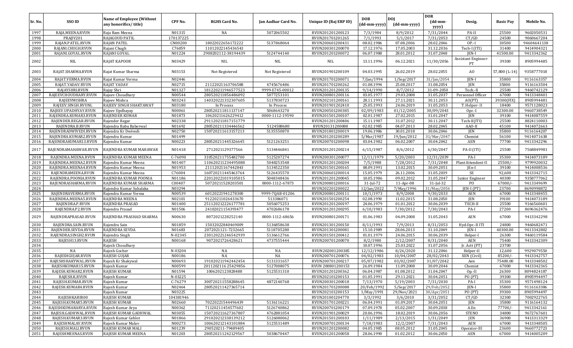| Sr. No.      | SSO ID                                  | <b>Name of Employee (Without</b><br>any honorifics/title) | CPF No.           | <b>RGHS Card No.</b>                     | Jan Aadhar Card No.      | Unique ID (Raj ERP ID)               | <b>DOB</b><br>(dd-mm-yyyy) | <b>DOI</b><br>(dd-mm-yyyy) | <b>DOR</b><br>$(dd{\text{-}\mathbf{mm}}$ | Desig.                     | <b>Basic Pay</b> | Mobile No.                |
|--------------|-----------------------------------------|-----------------------------------------------------------|-------------------|------------------------------------------|--------------------------|--------------------------------------|----------------------------|----------------------------|------------------------------------------|----------------------------|------------------|---------------------------|
|              |                                         |                                                           |                   |                                          |                          |                                      |                            |                            | yyyy)                                    |                            |                  |                           |
| 1997         | RAJA.MEENA.RVUN                         | Raja Ram Meena                                            | N01315            | NA                                       | 5072065502               | RVUN201201200123                     | 7/3/1984                   | 8/9/2012                   | 7/31/2044                                | PA-II                      | 25500            | 9602050531                |
| 1998         | PRAJIV201                               | RAJAGOUD PATIL                                            | 170137225         | 18022022656172222                        |                          | RVUN201701201265                     | 7/1/1993                   | 5/1/2017                   | 7/31/2053                                | CT/GD                      | 24500            | 9060667204                |
| 1999<br>2000 | RAJAN.PATEL.RVUN<br>RAJANI.CHUGH.RVUN   | <b>RAJAN PATEL</b><br>Rajani Chugh                        | CN00200<br>C76059 | 11012022145436543                        | 5137868064               | RVUN200601200431<br>RVUN200301200070 | 08.02.1986<br>17.12.1976   | 07.08.2006<br>17.05.2003   | 28.02.2046<br>31.12.2036                 | $OP-I$<br>Tech-I (ITI)     | 30500<br>31400   | 94604641138<br>9414904321 |
| 2001         | RAJANI.GOYAL.RVUN                       | RAJANI GOYAL                                              | N01224            | 2908202112-38194439                      | 5124744140               | RVUN201201200072                     | 06.07.1988                 | 28.01.2012                 | 31.07.2048                               | JEN-I                      | 41500.00         | 9413342362                |
|              |                                         |                                                           |                   |                                          |                          |                                      |                            |                            |                                          | <b>Assistant Engineer-</b> |                  |                           |
| 2002         | NIL                                     | RAJAT KAPOOR                                              | N03429            | NIL                                      | NIL                      | NIL                                  | 13.11.1996                 | 06.12.2021                 | 11/30/2056                               | PT                         | 39300            | 8905994485                |
| 2003         | RAJAT.SHARMA.RVUN                       | Rajat Kumar Sharma                                        | N03153            | Not Registered                           | Not Registered           | RVUN201901200109                     | 04.03.1995                 | 26.02.2019                 | 28.02.2055                               | AO                         | 57,800 (L-14)    | 9358777018                |
| 2004         | RAJAT.VERMA.RVUN                        | Rajat Kumar Verma                                         | N02446            |                                          |                          | RVUN201701200071                     | 7/Jan/1994                 | $1/$ Sep $/2017$           | 31/Jan/2054                              | JEN-I                      | 35800            | 9116163357                |
| 2005         | RAJAT.YADAV.RVUN                        | RAJAT YADAV                                               | N02715            | 21122021163706588                        | 4745676486               | RVUN201701200262                     | 01.08.1994                 | 25.08.2017                 | 31.08.2054                               | <b>JEN</b>                 | 35800            | 9116163504                |
| 2006         | RAJAYSHRI.RVUN                          | Rajay Shri                                                | N01327            | 181220211946577523                       | 9999-E745-00012          | RVUN201201200135                     | 9/14/1990                  | 8/7/2012                   | 31-09-2050                               | Tech.-II                   | 25500            | 9460742129                |
| 2007         | RAJEEVCHOUDHARY.RVUN                    | Rajeev Choudhary                                          | N00544            | 280520211856486092                       | 5077253101               | RVUN200801200116                     | 03.05.1977                 | 29.03.2008                 | 31.05.2037                               | Personnel Officer          | 67000            | 9413348401                |
| 2008         | RAJEEVMISHRA                            | Rajeev Mishra                                             | N03243            | 140320221332307605                       | 5137830723               | RVUN202101200161                     | 28.11.1993                 | 27.11.2021                 | 30.11.2053                               | AO(PT)                     | 39300(FIX)       | 8905994481                |
| 2009         | RAJEEV.SINGH.RVUNL                      | RAJEEV SINGH SHAKTAWAT                                    | N03180            | In Process                               | In Process               | RVUN201901202410                     | 25.05.1993                 | 24.06.2019                 | 31.05.2053                               | T. Helper-II               | 18400            | 9571128023                |
| 2010         | RAJEEV.UPADHYAY.RVUN                    | Rajeev Updhayay                                           | N00061            | 280520211811137147                       | 5068643270               | RVUN200501200385                     | 02/09/1983                 | 01/12/2005                 | 30/09/2043                               | Opr.-I                     | 32300.00         | 9460738549                |
| 2011         | RAJENDRA.KUMAR3.RVUN                    | <b>RAJENDER KUMAR</b>                                     | N01873<br>N02338  | 10620211626229412                        | 0000-1112-19590          | RVUN201501200107                     | 02.01.1987<br>15.11.1987   | 27.02.2015                 | 31.01.2047                               | JEN                        | 39100            | 9414087559                |
| 2012<br>2013 | RAJENDER.REGAR.RVUN                     | Rajender Regar                                            |                   | 291120211817151779                       |                          | RVUN201201200406                     |                            | 31.07.2012                 | 30.11.2047<br>28.02.2045                 | Tech-II(ITI)               | 25500            | 8824110003<br>9414072663  |
| 2014         | RAJENDRA.B.RVUN<br>RAIENDRADWIVEDI.RVUN | Rajendra Babu Baberwal<br>Rajendra Kr Dwivedi             | N01692<br>N02750  | 280520211334446562<br>150720211613157213 | 5124588680<br>5135550870 | RVUN20131200088<br>RVUN201801200019  | 02.02.1985<br>19.06.1986   | 04.07.2013<br>30.01.2018   | 30.06.2046                               | AAO-II<br>JEN              | 45100<br>35800   | 9116164207                |
| 2015         | RAJENDRA.KUMAR2.RVUN                    | Rajendra Kumar                                            | N01499            |                                          |                          | RVUN201201200289                     | 5/Mar/1987                 | 19/Jun/2012                | 31/Mar/2047                              | Chemist                    | 56100            | 9414071638                |
| 2016         | RAJENDRAKUMAR13.RVUN                    | Rajendra Kumar                                            | N00223            | 280520211445326645                       | 5121263251               | RVUN200701200098                     | 03.04.1982                 | 06.02.2007                 | 30.04.2042                               | <b>AEN</b>                 | 77700            | 9413342296                |
|              |                                         |                                                           |                   |                                          |                          |                                      |                            |                            |                                          |                            |                  |                           |
| 2017         | RAJENDRAMAHAWAR.RVUN                    | RAJENDRA KUMAR MAHAWAR                                    | N01418            | 2712021129377566                         | 5134446841               | RVUN201201200214                     | 6/15/1987                  | 8/6/2012                   | 6/30/2047                                | PA-II (ITI)                | 25500            | 7568849981                |
| 2018         | RAJENDRA.MEENA.RVUN                     | RAJENDRA KUMAR MEENA                                      | C-76090           | 310520211755482700                       | 5125207274               | RVUN200301200077                     | 12/11/1979                 | 5/20/2003                  | 12/31/2039                               | PA-I                       | 35300            | 9414073189                |
| 2019         | RAJENDRA.MEENA2.RVUN                    | Rajendra Kumar Meena                                      | N01407            | 110620211234495088                       | 5048253548               | RVUN201201200204                     | 7/5/1988                   | 7/28/2012                  | 7/31/2048                                | Plant Attendent-II         | 25500/           | 9799920032                |
| 2020         | RAJENDRA.MEENA4.RVUN                    | Rajendra Kumar Meena                                      | N01953            | 21112021167442843                        | 5134522350               | RVUN201501200165                     | 08.09.1991                 | 13.02.2015                 | 30.09.2051                               | JEn-I                      | 39100            | 9414008536                |
| 2021         | RAJENDRAMEENA.RVUN                      | Rajendra Kumar Meena                                      | C76004            | 160720211445463764                       | 5126435570               | RVUN200601200014                     | 15.05.1979                 | 26.11.2006                 | 31.05.2039                               | SE                         | 92,600           | 9413342715                |
| 2022         | RAJENDRA.POONIA.RVUN                    | RAJENDRA KUMAR POONIA                                     | N01186            | 220120221019105015                       | 5048348436               | RVUN201201200045                     | 10.05.1986                 | 09.02.2012                 | 31.05.2047                               | Junior Engineer            | 40300            | 9358777062                |
| 2023         | RAJENDRASHARMA.RVUN                     | RAJENDRA KUMAR SHARMA                                     | C00407            | 50720211528203501                        | 0000-1112-67873          | RVUN200801200016                     | $31$ -Jul-72               | 11-Apr-08                  | 31-Jul-32                                | PO.                        | $67000/-$        | 9413349699                |
| 2024         |                                         | Rajendra Kumar Suhalaka                                   | N03294            |                                          |                          | RVUN202201200022                     | 12/Jan/2022                | 7/May/1996                 | 31/May/2056                              | JEN-I (PT)                 | 23700            | 8690998872                |
| 2025         | RAJENDRAVERMA.RVUN                      | Rajendra Kumar Verma                                      | N00539            | 60120221941278300                        | 9999-7QAB-01206          | RVUN200801200111                     | 10/1/1973                  | 8/9/2008                   | 9/30/2033                                | <b>AEN</b>                 | 67000            | 9413348455                |
| 2026         | RAJENDRA.MEENA5.RVUN                    | RAJENDRA MEENA                                            | N02101            | 91220211026433670                        | 513386071                | RVUN201501200254                     | 02.08.1990                 | 11.02.2015                 | 31.08.2050                               | <b>JEN</b>                 | 39100            | 9414073189                |
| 2027<br>2028 | RAJENDRA.P.RVUN<br>RAJENDRA.P2.RVUN     | RAJENDRA PRASAD                                           | N01400<br>N01506  | 251120212226177781<br>24102021154393477  | 5056075253<br>4702686178 | RVUN201201200197<br>RVUN201201200295 | 24.06.1979<br>6/10/1983    | 01.01.2012<br>7/30/2012    | 30.06.2039<br>7/30/2043                  | TECH-II<br>PA-I            | 25500<br>27200   | 9166560601<br>8696362476  |
|              |                                         | Rajendra Prasad                                           |                   |                                          |                          |                                      |                            |                            |                                          |                            |                  |                           |
| 2029         | RAJENDRAPRASAD.RVUN                     | RAJENDRA PRASHAD SHARMA                                   | N00630            | 8072021228252140                         | 0000-1112-68656          | RVUN200801200171                     | 01.06.1983                 | 04.09.2008                 | 31.05.2043                               | AEN                        | 67000            | 9413342298                |
| 2030         | RAJENDRA.SAIN.RVUN                      | Rajendra Sain                                             | N01859            | 15032022840469009                        | 5136858638               | RVUN201301200150                     | 8/11/1993                  | 7/9/2013                   | 8/31/2053                                | Hyd.Opr.-II ITI            | 24800            | 9460682471                |
| 2031         | RAJENDER.SEVDA.RVUN                     | RAJENDRA SEVDA                                            | N01683            | 2072021121-7232665                       | 5118705280               | RVUN201301200081                     | 15.10.1989                 | 28.06.2013                 | 31.10.2049                               | JEN-I                      | 40300.00         | 9413342802                |
| 2032<br>2033 | RAJENDRA.SINGH2.RVUN                    | Rajendra Singh<br><b>RAJESH</b>                           | N-02345<br>N00168 | 230120221246542939                       | 5136612766               | RVUN201501200412                     | 01.01.1979                 | 24.06.2015                 | 30.06.2039                               | Helper-I<br>AEN            | 26300<br>75400   | 9460119584                |
| 2034         | RAJESH13.RVUN                           | Rajesh Choudhary                                          |                   | 9072021726428621                         | 4737555444               | RVUN200701200070                     | 8/2/1980<br>10.07.1996     | 2/12/2007<br>25.03.2022    | 8/31/2040<br>31.07.2056                  | Jr. Actt (PT)              | 23700            | 9413342309                |
| 2035         | NA                                      | Rajesh Gocher                                             | N-03204           | NA                                       | NA                       | RVUN202001200385                     | 12/12/1986                 | 8/26/2020                  | 31.12.2046                               | Helper-II                  | 12,600           | 9929079550                |
| 2036         | RAJESHGUJAR.RVUN                        | RAJESH GUJAR                                              | N00186            | NA                                       | NA                       | RVUN200701200076                     | 04/02/1983                 | 10/04/2007                 | 28/02/2043                               | XEN (Civil)                | 85200/           | 9413342757                |
| 2037         | RAJESHSHAKYWAL.RVUN                     | Rajesh Kr Shakywal                                        | N00693            | 191020211942442454                       | 5131331657               | RVUN200701200217                     | 05/07/1982                 | 03/02/2007                 | 31/07/2042                               | Aen                        | 75400.00         | 9413348502                |
| 2038         | RAJESHKUMAR15.RVUN                      | Rajesh Kumar                                              | N00599            | 2011202116 25429856                      | 5127008075               | RVUN 200801200153                    | 26.09.1984                 | 11.09.2008                 | 30.09.2044                               | Chemist                    | 67000            | 9413342365                |
| 2039         | RAJESH.KUMAR2.RVUN                      | <b>RAJESH KUMAR</b>                                       | N01594            | 1006202123828488                         | 5125531310               | RVUN201201200362                     | 06.04.1987                 | 01.08.2012                 | 31.04.2047                               | $Op-II$                    | 26300            | 8094824187                |
| 2040         | RAJESH.K.RVUN                           | Rajesh Kumar                                              | N-03225           |                                          |                          | RVUN202101200153                     | 01.05.1991                 | 29.11.2021                 | 30.04.2051                               | PO (PT)                    | 39300            | 8905994497                |
| 2041         | RAJESH.KUMAR.RVUN                       | Rajesh Kumar                                              | C-76279           | 300720211558288645                       | 4872140768               | RVUN200301200018                     | 7/13/1970                  | 5/19/2003                  | 7/31/2030                                | PA-I                       | 35300            | 9571498124                |
| 2042         | RAJESH.KUMAR4.RVUN                      | Rajesh Kumar                                              | N02464            | 280520211427365714                       |                          | RVUN201701200088                     | 20/Feb/1992                | 5/Sep/2017                 | 29/Feb/2052                              | JEN-I                      | 35800            | 9116163386                |
| 2043         |                                         | Rajesh Kumar                                              | N03225            |                                          |                          | RVUN202101200153                     | 1/May/1991                 | 29/Nov/2021                | 30/Apr/2051                              | PO (PT)                    | 39300            | 8905994497                |
| 2044         | RAJESHKARIR00                           | <b>RAJESH KUMAR</b>                                       | 104381946         |                                          |                          | RVUN201001204770                     | 3/3/1992                   | 3/6/2010                   | 3/31/2052                                | CT/GD                      | 32300            | 7002922765                |
| 2045         | RAJESH.KUMAR5.RVUN                      | <b>RAJESH KUMAR</b>                                       | N02660            | 70220221544496439                        | 5136116221               | RVUN201701200221                     | 06.04.1991                 | 01.09.2017                 | 30.04.2051                               | JEN                        | 35800            | 9116164132                |
| 2046         | RAJESHKUMARARYA.RVUN                    | Rajesh Kumar Arya                                         | N00362            | 71120211454577602                        | 5126740862               | RVUN200701200179                     | 07.09.1978                 | 05.02.2007                 | 30.09.2038                               | A.En                       | 77700/-          | 9413342161                |
| 2047         | RAJESH.GADHWAL.RVUN                     | RAJESH KUMAR GADHWAL                                      | N03055            | 150720211627367807                       | 4762881054               | RVUN201901200029                     | 20.06.1996                 | 18.02.2019                 | 30.06.2056                               | <b>STENO</b>               | 34800            | 9672767601                |
| 2048         | RAJESH.KUMAR3.RVUN                      | Rajesh Kumar Gehlot                                       | N01866            | 291020212338139212                       | 5126080062               | RVUN201501200103                     | 1/11/1989                  | 2/13/2015                  | 1/31/2049                                | JEN                        | 36900            | 9413313329                |
| 2049         | RAJESHMALAV.RVUN                        | Rajesh Kumar Malav                                        | N00273            | 100620212143101884                       | 5125531489               | RVUN200701200134                     | 7/18/1983                  | 12/2/2007                  | 7/31/2043                                | AEN                        | 67000            | 9413348505                |
| 2050         | RAJESH.MALI.RVUN                        | RAJESH KUMAR MALI                                         | N01239            | 290520211-79489405                       |                          | RVUN201201200082                     | 04.05.1985                 | 08.05.2012                 | 31.05.2045                               | Operator-III               | 23600            | 9660772723                |
| 2051         | RAJESHMEENAS.RVUN                       | RAJESH KUMAR MEENA                                        | N01203            | 280520211242129567                       | 5038670447               | RVUN201201200058                     | 28.06.1990                 | 01.02.2012                 | 30.06.2050                               | AEN                        | 67000            | 9414005209                |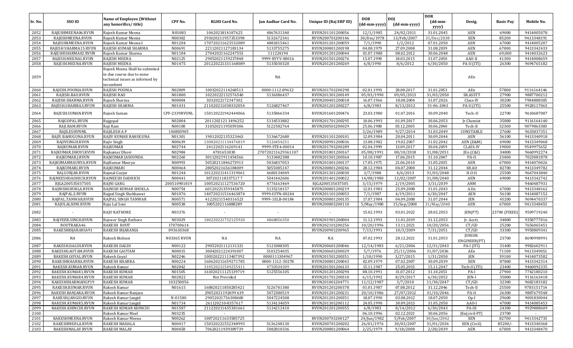| Sr. No.      | SSO ID               | <b>Name of Employee (Without</b><br>any honorifics/title)                                                   | CPF No.            | <b>RGHS Card No.</b> | Jan Aadhar Card No. | Unique ID (Raj ERP ID) | <b>DOB</b><br>(dd-mm-yyyy) | <b>DOJ</b><br>(dd-mm-yyyy) | <b>DOR</b><br>$(dd{\text{-}\mathbf{mm}}$ -<br>yyyy) | Desig.                        | <b>Basic Pay</b> | Mobile No.               |
|--------------|----------------------|-------------------------------------------------------------------------------------------------------------|--------------------|----------------------|---------------------|------------------------|----------------------------|----------------------------|-----------------------------------------------------|-------------------------------|------------------|--------------------------|
| 2052         | RAJESHMEENA06.RVUN   | Rajesh Kumar Meena                                                                                          | N01083             | 1062021814187625     | 4867631340          | RVUN201101200056       | 12/1/1985                  | 24/02/2011                 | 31.01.2045                                          | AEN                           | 69000            | 9414005078               |
| 2053         | RAJESHMEENA.RVUN     | Rajesh Kumar Meena                                                                                          | N00302             | 291020211957353398   | 5132672341          | RVUN200701200146       | 30/Dec/1978                | 13/Feb/2007                | 31/Dec/2038                                         | <b>XEN</b>                    | 85200            | 9413348191               |
| 2054         | RAJESHKMEENA.RVUN    | Rajesh Kumar Meena-I                                                                                        | N01204             | 170720211623532089   | 4881815461          | RVUN201201200059       | 7/1/1990                   | 1/2/2012                   | 07.01.2050                                          | AEN                           | 67000            | 9414005207               |
| 2055         | RAJESH SHARMA15.RVUN | RAJESH KUMAR SHARMA                                                                                         | N00691             | 22112021127183134    | 5133755275          | RVUN200801200198       | 04.08.1979                 | 27.09.2008                 | 31.08.2039                                          | AEN                           | 67000            | 9413342433               |
| 2056         | RAJESHSHARMA02.RVUN  | Rajesh Kumar Sharma                                                                                         | N01184             | 27042021162247553    | 111224194           | RVUN201201200044       | 01.07.1988                 | 08.02.2012                 | 30.06.2048                                          | AEN                           | 69,000           | 9414032623               |
| 2057         | RAJESH.MEENA1.RVUN   | <b>RAJESH MEENA</b>                                                                                         | N02125             | 29052021159237848    | 9999-RYYV-00016     | RVUN201501200276       | 15.07.1990                 | 18.03.2015                 | 31.07.2050                                          | AAO-II                        | 41300            | 9414008659               |
| 2058         | RAJESH.MEENA.RVUN    | <b>RAJESH MEENA</b>                                                                                         | N01475             | 201220221331168089   | 5135030320          | RVUN201201200269       | 6/8/1990                   | 8/6/2012                   | 6/30/2050                                           | PA-II (ITI)                   | 26300            | 9694765182               |
| 2059         |                      | Rajesh Meena Shall be submited<br>in due course due to some<br>technical issues as informed by<br>incumbent |                    |                      | NA                  |                        |                            |                            |                                                     | AEn                           |                  |                          |
| 2060         | RAJESH.POONIA.RVUN   | RAJESH POONIA                                                                                               | N02809             | 10032022114268513    | 0000-1112-89632     | RVUN201701200298       | 02.01.1993                 | 28.08.2017                 | 31.01.2053                                          | AEn                           | 57800            | 9116164146               |
| 2061         | RAJESH.RAO.RVUN      | RAJESH RAO                                                                                                  | N01800             | 10220222132576540    | 5136386437          | RVUN201301200149       | 05/03/1990                 | 09/05/2013                 | 31/03/2050                                          | SR.ASSTT                      | 27900            | 9887700212               |
| 2062         | RAJESH.SHARMA.RVUN   | Rajesh Sharma                                                                                               | N00004             | 3032022172347302     |                     | RVUN200401200018       | 16.07.1966                 | 18.08.2004                 | 31.07.2026                                          | Class-IV                      | 30200            | 7984888305               |
| 2063         | RAJESH.SHARMA3.RVUN  | <b>RAJESH SHARMA</b>                                                                                        | N01431             | 211020211038332054   | 5126827467          | RVUN201201200227       | 6/8/1983                   | 8/13/2012                  | 31-06-2043                                          | PA-II (ITI)                   | 25500            | 9928117065               |
| 2064         | RAJESH.SUMAN.RVUN    | Rajesh Suman                                                                                                | CPF-2339RVUNL      | 150120221942444066   | 5135866334          | RVUN201601200476       | 23.03.1980                 | 01.07.2016                 | 30.09.2040                                          | Tech.-II                      | 22700            | 9610687087               |
| 2065         | RAJGOPAL.RVUN        | Rajgopal                                                                                                    | N02804             | 2011202121 3496252   | 5134533882          | RVUN201701200295       | 10.06.1993                 | 01.09.2017                 | 30.06.2053                                          | Jr.Chemist                    | 35800            | 9116164140               |
| 2066         | RAJI.RAM.RVUN        | Raji Ram                                                                                                    | N00108             | 31052021195059306    | 5122582764          | RVUN200501200029       | 25.06.1980                 | 03.12.2005                 | 30.06.2040                                          | Tech-II                       | 32300            | 9079863383               |
| 2067         | RAJILESHVNML         | RAJILESH A P                                                                                                | 140803905          |                      |                     |                        | 3/26/1989                  | 9/27/2014                  | 31.03.2049                                          | CONSTABLE                     | 27600            | 9633837351               |
| 2068         | RAJIV.BAHUGUNA.RVUN  | RAJIV KUMAR BAHUGUNA                                                                                        | N01301             | 19012022135323463    | 5136672680          | RVUN201101200101       | 12.09.1984                 | 20.04.2011                 | 30.09.2044                                          | <b>AEN</b>                    | 56100            | 9413340918               |
| 2069         | RAJIVSINGH.RVUN      | Rajiv Singh                                                                                                 | N00639             | 130820211134476819   | 5126454251          | RVUN200901200036       | 13.08.1982                 | 19.02.2007                 | 31.02.2042                                          | AEN (E&M)                     | 69000            | 9413349068               |
| 2070         | RAJKUMAR.RVUN        | RAJKUMAR                                                                                                    | N02744             | 2412202116269141     | 9999-STE4-00014     | RVUN201701200289       | 02.04.1999                 | 13.09.2017                 | 30.04.2059                                          | <b>CLASS-IV</b>               | 19000            | 9549975652               |
| 2071         | RAJKUMAR.DHOVI.RVUN  | Rajkumar Dhovi                                                                                              | N02984             | 4781653030           | 270720211629361107  | RVUN201801200167       | 05/08/1991                 | 08/10/2018                 | 31/08/2051                                          | JEn (C&I)                     | 34800            | 9660992274               |
| 2072         | RAJKUMAR.J.RVUN      | RAJKUMAR JASOUNDA                                                                                           | N02260             | 30112021911454566    | 5133482388          | RVUN201501200364       | 10.10.1987                 | 17.06.2015                 | 31.10.2047                                          | PA-II                         | 23400            | 7023081878               |
| 2073         | RAJKUMARMAURYA.RVUN  | RajKumar Maurya                                                                                             | N00993             | 50520211846273913    | 5036837053          | RVUN201001200137       | 17.05.1975                 | 21.06.2010                 | 31.05.2035                                          | AEN                           | 67000            | 9414070026               |
| 2074         | RAJKUMARI.RVUN       | <b>RAIKUMARI</b>                                                                                            | N00464             | 28052021656184009    | 5055085147          | RVUN200801200246       | 28.12.1984                 | 04.07.2008                 | 31.12.2044                                          | SR.AO                         | 82700            | 9413349782               |
| 2075         | RAJ.GURJAR.RVUN      | Rajmal Gurjar                                                                                               | N01244             | 101220211411319061   | 4680134049          | RVUN201301200030       | 3/7/1988                   | 4/6/2013                   | 31/03/2048                                          | $H.O-II$                      | 25500            | 9667043840               |
| 2076         | RAJNEESHDADHICH.RVUN | RAJNEESH DADHICH                                                                                            | N00441             | 3072021183375177     | 5041442606          | RVUN201401200022       | 14/08/1980                 | 12/02/2007                 | 31/08/2040                                          | AEN                           | 69000            | 9413342742               |
| 2077         | RJGA200535037505     | RAJNI GARG                                                                                                  | 200510901819       | 100520211127536720   | 4776163469          | RJGA200535037505       | 3/15/1979                  | 2/19/2005                  | 3/31/2039                                           | <b>ANM</b>                    |                  | 9460487931               |
| 2078         | RAJNISHSHUKLA.RVUN   | RAJNISH KUMAR SHUKLA                                                                                        | N00754             | 60120221359345875    | 5135218157          | RVUN200801200219       | 12.01.1983                 | 25.09.2008                 | 31.01.2043                                          | A.En                          | 67000            | 9413348162               |
| 2079         | RAJPAL.S.RVUN        | Rajpal Singh Shekhawat                                                                                      | N01076             | 140720211516463874   | 9999-IUTN-00244     | RVUN201101200053       | 7/1/1987                   | 4/19/2011                  | 6/30/2047                                           | AEN                           | 56100            | 9414087152               |
| 2080<br>2081 | RAJPAL.TANWAR.RVUN   | RAJPAL SINGH TANWAR                                                                                         | N00571             | 41220211540316523    | 9999-1ELB-00184     | RVUN200801200135       | 17.07.1984                 | 04.09.2008                 | 31.07.2044                                          | <b>JEN</b>                    | 45200<br>67000   | 9694470337               |
| 2082         | RAJULALSONI.RVUN     | Raju Lal Soni<br><b>RAJU RATHORE</b>                                                                        | N00538<br>N03376   | 3005202116888289     |                     | RVUN200801200110       | 5/May/1980<br>15.02.1993   | 15/Sep/2008<br>03.01.2022  | 31/May/2040<br>28.02.2053                           | AEN<br>JEN(PT)                | 23700 (FIXED     | 9413348453<br>9509719240 |
| 2083         | RAJVEER.SINGH.RVUN   | Rajveer Singh Rathore                                                                                       | N03029             | 180220221732125920   | 4868856350          | RVUN201901200004       | 11.12.1993                 | 11.01.2019                 | 31.12.2053                                          | Jr. Acctt.                    | 34800            | 9358777016               |
| 2084         | ROUTRAKA46           | <b>RAKESH ROUT</b>                                                                                          | 170700614          |                      |                     | RVUN202101200256       | 10/20/1996                 | 13.11.2021                 | 10/20/2056                                          | CT/GD                         | 25200            | 7656065451               |
| 2085         | RAKESHBIJARANIA91    | RAKESH BIJARANIA                                                                                            | 093610368          |                      |                     | RVUN200901200965       | 7/15/1991                  | 10/3/2009                  | 7/31/2051                                           | CT/GD                         | 33300            | 9950809341               |
| 2086         | NA                   | Rakesh Bishnoi                                                                                              | <b>N03365 RVUN</b> | NA                   | NA                  | NA                     | 07.02.1993                 | 28.12.2021                 | 31.01.2053                                          | <b>JUNIOR</b><br>ENGINEER(PT) | 23700            | 8690998991               |
| 2087         | RAKESH.DAGDI.RVUN    | <b>RAKESH DAGDI</b>                                                                                         | N00122             | 29052021112131321    | 5121088305          | RVUN200601200046       | 12/14/1983                 | 6/21/2006                  | 12/31/2043                                          | PA-I (ITI)                    | 31400            | 9982602911               |
| 2088         | RAKESHGAUTAM.RVUN    | <b>RAKESH GAUTAM</b>                                                                                        | N00015             | 30042021224391007    | 5103254035          | RVUN200601200029       | 5/7/1976                   | 25/11/2006                 | 31/07/2036                                          | AEn                           | 71100            | 9413349051               |
| 2089         | RAKESH.GOYAL.RVUN    | Rakesh Goyal                                                                                                | N02246             | 100320221113407392   | 0000111304967       | RVUN201501200351       | 1/10/1990                  | 3/27/2015                  | 1/31/2050                                           | <b>JEN</b>                    | 39100            | 9414073582               |
| 2090         | RAKESHKHARRA.RVUN    | <b>RAKESH KHARRA</b>                                                                                        | N00224             | 160620211659271785   | 0000-1112-30278     | RVUN200801200043       | 02.09.1979                 | 07.02.2007                 | 30.09.2039                                          | XEN                           | 87800            | 9413342314               |
| 2091         | RAKESH.KUMAR.RVUN    | Rakesh Kumar                                                                                                | N02042             | 310520211549255411   | 4750504309          | RVUN201501206133       | 15.11.1987                 | 25.05.2015                 | 15.11.2047                                          | Tech-II (ITI)                 | 23400            | 9460092335               |
| 2092         | RAKESH.KUMAR1.RVUN   | <b>RAKESH KUMAR</b>                                                                                         | N01505             | 161020211125139719   | 5125556105          | RVUN201201200294       | 08.10.1991                 | 31.07.2012                 | 31.10.2051                                          | PA-I                          | 27900            | 7742180210               |
| 2093         | RAKESH.KUMAR4.RVUN   | <b>RAKESH KUMAR</b>                                                                                         | N02822             | Not Provided         |                     | RVUN201701200310       | 6/15/1992                  | 8/29/2017                  | 6/30/2052                                           | <b>JEN-I</b>                  | 35800            | 9116163418               |
| 2094         | RAKESHSHARMADGP19    | <b>RAKESH KUMAR</b>                                                                                         | 103250056          |                      |                     | RVUN201001204771       | 11/12/1987                 | 3/7/2010                   | 11/30/2047                                          | CT/GD                         | 32300            | 9682183182               |
| 2095         | RAKESH.KUMAR.RVUN    | Rakesh Kumar                                                                                                | N01615             | 160820211850285421   | 5126701380          | RVUN201201200378       | 01.01.1987                 | 07.08.2012                 | 31.12.2046                                          | Tech-II                       | 25500            | 9783151714               |
| 2096         | RAKESH.BANJARA.RVUN  | Rakesh Kumar Banjara                                                                                        |                    | 29052021192699 639   | 5072380519          | RVUN201201200231       | 20/10/1986                 | 27/07/2012                 | 31/10/2046                                          | PA-II                         | 26300            | 9887679548               |
| 2097         | RAKESH.JANGID.RVUN   | Rakesh Kumar Jangid                                                                                         | N-01580            | 29052021756308600    | 5047224508          | RVUN201201200351       | 18.07.1990                 | 03.08.2012                 | 18.07.2050                                          | $Op-I$                        | 29600            | 9001830044               |
| 2098         | RAKESH.KUMAR5.RVUN   | Rakesh Kumar Jangid                                                                                         | N01734             | 261120210-8357617    | 5134134059          | RVUN201301200112       | 24.05.1990                 | 30.09.2013                 | 31.05.2050                                          | AAO-I                         | 47000            | 9414085453               |
| 2099         | RAKESH.KHINCHI.RVUN  | RAKESH KUMAR KHINCHI                                                                                        | N01587             | 211220211435381661   | 5134212410          | RVUN201201200355       | 6/8/1983                   | 8/14/2012                  | 6/30/2043                                           | PA-III                        | 24300            | 9929888609               |
| 2100         |                      | Rakesh Kumar Meel                                                                                           | N03235             |                      |                     |                        | 06.10.1996                 | 02.12.2021                 | 30.06.2056                                          | JEn(civil-PT)                 | 23700            |                          |
| 2101         | RAKESHMEENA.RVUN     | Rakesh Kumar Meena                                                                                          | N00262             | 100720211633585725   |                     | RVUN200701200127       | 24/Jun/1982                | 5/Feb/2007                 | 30/Jun/2042                                         | XEN                           | 82700            | 9413342733               |
| 2102         | RAKESHMEHLA.RVUN     | <b>RAKESH MAHALA</b>                                                                                        | N00417             | 150320221552348993   | 5136248130          | RVUN200701200202       | 26/01/1976                 | 30/03/2007                 | 31/01/2036                                          | XEN (Civil)                   | 85200/-          | 9413340368               |
| 2103         | RAKESHMALAV.RVUN     | <b>RAKESH MALAV</b>                                                                                         | N00458             | 70620211939389739    | 5082810336          | RVUN200801200064       | 2/25/1979                  | 9/18/2008                  | 2/28/2039                                           | AEN                           | 67000            | 9413348470               |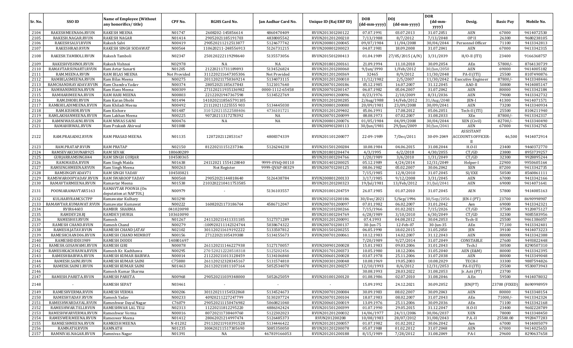|              |                                          |                                                           |                  |                                            |                          |                                      |                            |                            | <b>DOR</b>               |                               |                  |                          |
|--------------|------------------------------------------|-----------------------------------------------------------|------------------|--------------------------------------------|--------------------------|--------------------------------------|----------------------------|----------------------------|--------------------------|-------------------------------|------------------|--------------------------|
| Sr. No.      | SSO ID                                   | <b>Name of Employee (Without</b><br>any honorifics/title) | CPF No.          | <b>RGHS Card No.</b>                       | Jan Aadhar Card No.      | Unique ID (Raj ERP ID)               | <b>DOB</b><br>(dd-mm-yyyy) | <b>DOJ</b><br>(dd-mm-yyyy) | (dd-mm-<br>yyyy)         | Desig.                        | <b>Basic Pay</b> | Mobile No.               |
| 2104         | RAKESHMEENA06.RVUN                       | <b>RAKESH MEENA</b>                                       | N01747           | 2608202-145856614                          | 4860470409               | RVUN201301200122                     | 07.07.1991                 | 03.07.2013                 | 31.07.2051               | AEN                           | 67000            | 9414072530               |
| 2105         | RAKESH.NAGAR.RVUN                        | RAKESH NAGAR                                              | N01414           | 29052021185191703                          | 4838005542               | RVUN201201200210                     | 7/13/1988                  | 8/7/2012                   | 7/13/2048                | OP II                         | 26300            | 9680238105               |
| 2106         | RAKESHSALVI.RVUN                         | Rakesh Salvi                                              | N00419           | 290520211212513877                         | 5124677742               | RVUN200801200045                     | 09/07/1984                 | 11/04/2008                 | 30/04/2044               | Personnel Officer             | 71100            | 9413342813               |
| 2107         | RAKESHRAO.RVUN                           | RAKESH SINGH SODAWAT                                      | N00564           | 110620211-248556913                        | 5126731215               | RVUN200801200023                     | 04.07.1981                 | 18.09.2008                 | 31.07.2041               | AEN                           | 67000            | 9413342315               |
| 2108         | RAKESH.TAMBOLI.RVUN                      | Rakesh Tamboli                                            | N02347           | 250120222119298640                         | 5135573056               | RVUN201501200413                     | 01.04.1989                 | 27/05/2015 (A/N)           | 3/31/2039                | $H/O-II (ITI)$                | 23400            | 9166368757               |
| 2109         | RAKESHVISHNOI.RVUN                       | Rakesh Vishnoi                                            | NO2978           | NA                                         | NA                       | RVUN201801200161                     | 21.09.1994                 | 11.10.2018                 | 30.09.2054               | AEn                           | 57800/           | 8764130739               |
| 2110         | RAMAVTARSUNARTI.RVUN                     | Ram Avtar Sunarti                                         | N01205           | 21220211731189893                          | 5134526824               | RVUN201201200060                     | 9/Jun/1990                 | 1/Feb/2012                 | 30/Jun/2050              | AEN                           | 69000            | 9414005182               |
| 2111         | RAM.MEENA.RVUN                           | RAM BILAS MEENA                                           | Not Provided     | 311220211647305306                         | Not Provided             | RVUN201201200369                     | 32465                      | 8/9/2012                   | 11/30/2048               | PA-II (ITI)                   | 25500            | 8107490876               |
| 2112         | RAMBILASMEENA.RVUN                       | Ram Bilas Meena                                           | N00275           | 201120211750369214                         | 5134073115               | RVUN201201200010                     | 11/12/1982                 | 2/5/2007                   | 11/30/2042               | <b>Executive Engineer</b>     | 87800/           | 9413348446               |
| 2113         | RAMCHANDRAYADAV.RVUN                     | Ram Chandra Yadav                                         | N00374           | 28052021185637843                          | 5121017640               | RVUN200701200186                     | 05.12.1985                 | 16.07.2007                 | 31.12.2045               | AAO-II                        | 50800            | 9414085147               |
| 2114         | RAMHANSMEENA.RVUN                        | Ram Hans Meena                                            | N00309           | 271120211935136982                         | 0000-1112-65458          | RVUN200701200147                     | 06.07.1982                 | 05.04.2007                 | 31.07.2042               | AEN                           | 80000            | 9413342184               |
| 2115         | RAMHARIMEENA.RVUN                        | RAM HARI MEENA                                            | N00803           | 22122021947367598                          | 5134522769               | RVUN200901200096                     | 8/23/1976                  | 2/10/2009                  | 8/31/2036                | <b>AEN</b>                    | 79000            | 9413342732               |
| 2116         | RAM.DHOBI.RVUN                           | Ram Karan Dhobi                                           | N01494           | 1410202118565791105                        |                          | RVUN201201200285                     | 2/Aug/1988                 | 14/Feb/2012                | 31/Aug/2048              | <b>IEN-I</b>                  | 41300            | 9414071571               |
| 2117<br>2118 | RAMKHILADIMEENA.RVUN<br>RAM.KISHOR.RVUN  | Ram Khiladi Meena<br>Ram Kishore                          | N00492<br>N01487 | 211120211225555 903<br>310 520211522588406 | 5134445030<br>4736101721 | RVUN200801200080<br>RVUN201201209402 | 20/09/1981<br>05.06.1991   | 23/09/2008<br>17.08.2012   | 30/09/2041<br>05.06.2051 | AEN<br>Tech-II (ITI)          | 73200<br>25500   | 9413340934<br>8104211940 |
| 2119         | RAMLAKHANMEENA.RVUN                      | Ram Lakhan Meena                                          | N00225           | 90720211317278392                          | NA                       | RVUN200701200099                     | 08.08.1973                 | 07.02.2007                 | 31.08.2033               | XEn                           | 87800/           | 9413342317               |
| 2120         | RAMNIWASSAINI.RVUN                       | RAM NIWAS SAINI                                           | N00476           | NA                                         | NA                       | RVUN200801200076                     | 01/05/1984                 | 04/09/2008                 | 30/04/2044               | XEN (Civil)                   | 82700/           | 9413340490               |
| 2121         | RAMAHIRWAL.RVUN                          | Ram Prakash Ahirwal                                       | N01088           |                                            |                          | RVUN200901200113                     | 30/Jun/1981                | 29/Jun/2009                | 30/Jun/2041              | <b>AEN</b>                    | 67000            | 9413342765               |
|              |                                          |                                                           |                  |                                            |                          |                                      |                            |                            |                          | <b>ASSISTANT</b>              |                  |                          |
| 2122         | RAM.PRASAD02.RVUN                        | RAM PRASAD MEENA                                          | N01135           | 1207202112853167                           | 4808374339               | RVUN201101200077                     | 22-09-1989                 | 7/Dec/2011                 | 30-09-2049               | <b>ACCOUNTS OFFICER-</b><br>H | 46,500           | 9414072914               |
| 2123         | RAM.PRATAP.RVUN                          | <b>RAM PRATAP</b>                                         | N02150           | 81220211151237346                          | 5126244230               | RVUN201501200284                     | 10.08.1984                 | 04.06.2015                 | 31.08.2044               | $H.O-II$                      | 23400            | 9460372770               |
| 2124         | RAMSEVAKCHUNAR925                        | <b>RAM SEVAK</b>                                          | 180600289        |                                            |                          | RVUN201801204474                     | 4/3/1995                   | 6/2/2018                   | 4/30/2055                | CT/GD                         | 23800            | 8953739257               |
| 2125         | GURJARRAMSINGH44                         | RAM SINGH GURJAR                                          | 104500365        |                                            |                          | RVUN201001204766                     | 1/20/1989                  | 3/6/2010                   | 1/31/2049                | CT/GD                         | 32300            | 9928895244               |
| 2126         | RAM.MAIDA.RVUN                           | Ram Singh Maida                                           | N01638           | 24112021 1554128040                        | 9999-0Y6Q-00110          | RVUN201401200025                     | 05.12.1989                 | 4/24/2014                  | 12/31/2049               | Helper-I                      | 22900            | 9950605164               |
| 2127         | RAMSINGHMEENA.RVUN                       | Ram Singh Meena                                           | N00263           | Not Register                               | 9999-QVAP-00329          | RVUN200701200125                     | 08.06.1982                 | 05.02.2007                 | 30.06.2042               | XEN                           | 87200            | 9413342735               |
| 2128         | RAMSINGHYADAV71                          | <b>RAM SINGH YADAV</b>                                    | 104503821        |                                            |                          |                                      | 7/15/1985                  | 12/8/2010                  | 31.07.2045               | SI/EXE                        | 50500            | 8560861111               |
| 2129         | RAMSWAROOPYADAV.RVUN                     | RAM SWAROOP YADAV                                         | N00568           | 29052021144818640                          | 5126438784               | RVUN200801200133                     | 3/17/1985                  | 9/12/2008                  | 3/31/2045                | AEN                           | 67000            | 9413342166               |
| 2130         | RAMAVTARMEENA.RVUN                       | Ramavtar Meena                                            | N01538           | 2103202210411753585                        |                          | RVUN201201200323                     | 19/Jul/1981                | 13/Feb/2012                | 31/Jul/2041              | AEN                           | 69000            | 9414071641               |
| 2131         | POONIARAMAVTAR5163                       | RAMAVTAR POONIA (On<br>deputation at NAPTOL)              | N00979           |                                            | 5136103557               | RVUN201001204759                     | 26.07.1985                 | 01.07.2010                 | 31.07.2045               | AEN                           | 57800            | 9414085163               |
| 2132         | KULHARYRAMCSCTPP                         | Ramawatar Kulhary                                         | N03290           |                                            |                          | RVUN202101200186                     | 30/Dec/2021                | 5/Sep/1996                 | 30/Sep/2056              | JEN-I (PT)                    | 23700            | 8690998907               |
| 2133         | RAMAWTAR.KUMAWAT.RVUN                    | Ramawatar Kumawat                                         | N00222           | 16082021173186764                          | 4586712047               | RVUN200701200097                     | 07.01.1982                 | 06.02.2007                 | 31.01.2042               | Aen                           | 69000            | 9413342321               |
| 2134         | <b>RVIR64603</b>                         | RAMBIR SHARMA                                             | 041020098        |                                            |                          | RVUN202101200266                     | 7/15/1966                  | 01.02.2021                 | 7/15/2026                | CT/GD                         | 37500            | 9120875127               |
| 2135         | RAMDEV28.RJ                              | <b>RAMDEV JHURIA</b>                                      | 103610090        |                                            |                          | RVUN201001204769                     | 6/28/1989                  | 3/10/2010                  | 6/30/2049                | CT/GD                         | 32300            | 9085583956               |
| 2136         | RAMESH03.RVUN                            | Ramesh                                                    | N01267           | 241120211411331185                         | 5127371289               | RVUN201201200091                     | 07.4.1993                  | 04.08.2012                 | 30.04.2053               | Tech-II                       | 25500            | 9461386057               |
| 2137         | RAMESH CHAND.RVUN                        | Ramesh Chand                                              | N00279           | :100920211142324744                        | 5038674322               | RVUN200701200137                     | 30-Jun-75                  | 12-Feb-07                  | 30-Jun-35                | AEn                           | 77,100           | 9413342401               |
| 2138         | RAMESH.JATAV.RVUN                        | <b>RAMESH CHAND JATAV</b>                                 | N02102           | 301120211619192222                         | 5133507812               | RVUN201501200255                     | 06.05.1990                 | 18.02.2015                 | 31.05.2050               | JEN                           | 39100            | 9414073223               |
| 2139         | RAMESHCHAND06.RVUN                       | <b>RAMESH CHAND MEMROT</b><br><b>RAMESH DODDI</b>         | N00156           | 27122021105439388                          | 5134155673               | RVUN200701200061                     | 10.12.1983                 | 14.02.2007                 | 31.12.2043               | <b>AEN</b>                    | 80000            | 9413342388               |
| 2140<br>2141 | RAMESHDIDDI1989                          | <b>RAMESH GIRI</b>                                        | 140801697        |                                            | 5127170057               |                                      | 7/20/1989                  | 9/27/2014                  | 31.07.2049<br>31.01.2043 | CONSTABLE                     | 27600            | 9493822448<br>8290507310 |
| 2142         | RAMESH.GOSAWAMI.RVUN                     | Ramesh Kr. Kachhawa                                       | N00078<br>N00295 | 261120211146227938                         |                          | RVUN200901200028                     | 15.01.1983                 | 09.03.2006                 |                          | Tech.I                        | 30500<br>80000   |                          |
| 2143         | RAMESHKACHHAWA.RVUN<br>RAMESHBAIRWA.RVUN | RAMESH KUMAR BAIRWA                                       | N00014           | 270 520212228518318<br>211220211013128459  | 5125202456<br>5134106840 | RVUN201701200373<br>RVUN200601200028 | 10.05.1980<br>03.07.1978   | 18.12.2006<br>25.11.2006   | 31.05.2040<br>31.07.2038 | AEN (E&M)<br><b>AEN</b>       | 80000            | 9413342395<br>9413349048 |
| 2144         | RAMESH.SAINI.RVUN                        | RAMESH KUMAR SAINI                                        | C75880           | 261120212328345167                         | 5131574810               | RVUN200301200048                     | 10.08.1969                 | 19.05.2003                 | 10.08.2029               | TECH-I                        | 33300            | 9887594826               |
| 2145         | RAMESH.SAINI1.RVUN                       | RAMESH KUMAR SAINI                                        | N01463           | 261120211811107164                         | 5052534070               | RVUN201201200257                     | 12/10/1993                 | 8/6/2012                   | 12/31/2053               | PA-II (ITI)                   | 25500            | 9530073943               |
| 2146         |                                          | Ramesh Kumar Sharma                                       |                  |                                            |                          |                                      | 30.08.1993                 | 28.03.2022                 | 31.08.2053               | Jr. Actt (PT)                 | 23700            |                          |
| 2147         | RAMESH.PARETA.RVUN                       | RAMESH PARETA                                             | N00968           | 290520211039348000                         | 5052625059               | RVUN201001200120                     | 01.08.1986                 | 02.07.2010                 | 31.08.2046               | A.En                          | 59500            | 9414078032               |
| 2148         |                                          | <b>RAMESH SEPAT</b>                                       | N03461           |                                            | $\overline{\phantom{a}}$ | $\overline{\phantom{a}}$             | 15.09.1992                 | 24.12.2021                 | 30.09.2052               | JEN(PT)                       | 23700 (FIXED)    | 8690998959               |
| 2149         | RAMESHVERMA.RVUN                         | <b>RAMESH VERMA</b>                                       | N00206           | 301120211154532868                         | 5134524673               | RVUN200701200084                     | 30.09.1983                 | 08.02.2007                 | 30.09.2043               | AEN                           | 80000            | 9413348154               |
| 2150         | RAMESHYADAV.RVUN                         | Ramesh Yadav                                              | N00233           | 40920211227247799                          | 5130207724               | RVUN200701200104                     | 18.07.1983                 | 08.02.2007                 | 31.07.2043               | AEn                           | $71000/-$        | 9413342324               |
| 2151         | RAMESHWARDAYAL.RVUN                      | Rameshwar Dayal Nagar                                     | C76079           | 290520211150476982                         | 5060821040               | RVUN200601200019                     | 13.09.1976                 | 25.11.2006                 | 30.09.2036               | AEn                           | 71100            | 9413342168               |
| 2152         | RAMESHWAR.TELI.RVUN                      | RAMESHWAR LAL TELI                                        | N02313           | 11220211812295220                          | 4886342424               | RVUN201501200399                     | 01.07.1990                 | 29.05.2015                 | 31.12.2047               | $H.O-II$                      | 23400            | 9602228789               |
| 2153         | RAMESHWARVERMA.RVUN                      | Rameshwar Verma                                           | N00016           | 80720211738469760                          | 5122302023               | RVUN201201200032                     | 14/06/1977                 | 24/11/2006                 | 30/06/2037               | XEN                           | 78000            | 9413348450               |
| 2154         | RAMESWER.MEENA.RVUN                      | Rameswer Meena                                            | N01412           | 28062021214997474                          | 5126485373               | RVUN201200208                        | 10/08/1983                 | 28/07/2012                 | 31/08/2043               | P.A.-II                       | 25500.00         | 9928477283               |
| 2155         | RAMKESHMEENA.RVUN                        | <b>RAMKESH MEENA</b>                                      | N-01202          | 291120211910391528                         | 5134446422               | RVUN201201200057                     | 01.07.1982                 | 01.02.2012                 | 30.06.2042               | Aen                           | 67000            | 9414005079               |
| 2156         | RAMNATH.RVUN                             | RAMNATH                                                   | N01235           | 300420211517305690                         | 5085350050               | RVUN201201200078                     | 05.07.1988                 | 01.02.2012                 | 31.07.2048               | AEN                           | 67000            | 9414025653               |
| 2157         | RAMNIVAS.NAGAR.RVUN                      | Ramnivas Nagar                                            | N01391           | NA                                         | 467819166053             | RVUN201201200188                     | 8/15/1989                  | 7/28/2012                  | 31.08.2049               | PA-I                          | 29600            | 8290637658               |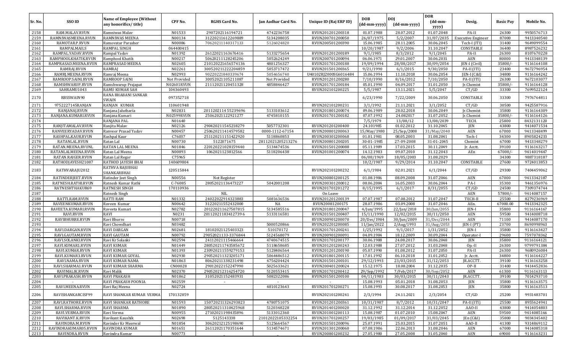|         | SSO ID               | <b>Name of Employee (Without</b>    |              |                      |                     |                        | <b>DOB</b>   | <b>DOI</b>   | <b>DOR</b>       |                           |                  |            |
|---------|----------------------|-------------------------------------|--------------|----------------------|---------------------|------------------------|--------------|--------------|------------------|---------------------------|------------------|------------|
| Sr. No. |                      | any honorifics/title)               | CPF No.      | <b>RGHS Card No.</b> | Jan Aadhar Card No. | Unique ID (Raj ERP ID) | (dd-mm-yyyy) | (dd-mm-yyyy) | (dd-mm-<br>yyyy) | Desig.                    | <b>Basic Pay</b> | Mobile No. |
| 2158    | RAM.MALAV.RVUN       | Ramniwas Malav                      | N01533       | 2907202116194721     | 4742236758          | RVUN201201200318       | 01.07.1988   | 28.07.2012   | 01.07.2048       | PA-II                     | 26300            | 9950576713 |
| 2159    | RAMNIWASMEENA.RVUN   | RAMNIWAS MEENA                      | N00134       | 31220211612269889    | 5134208035          | RVUN200701200050       | 26/07/1975   | 5/2/2007     | 31/07/2035       | <b>Executive Engineer</b> | 87000            | 9413340540 |
| 2160    | RAMOTAR.P.RVUN       | Ramovatar Parasher                  | N00086       | 70620211140317133    | 5126024820          | RVUN200501200390       | 15.06.1985   | 28.11.2005   | 30.06.2045       | Tech-I (ITI)              | 31400            | 9649099554 |
| 2161    | RAMPALMAILS          | RAMPAL SINGH                        | 064400415    |                      |                     |                        | 10/20/1987   | 9/2/2006     | 31.10.2047       | CONSTABLE                 | 36400            | 8987526232 |
| 2162    | RAMPAL.YADAV.RVUN    | Rampal Yadav                        | N01392       | 26122021163676416    | 5133275654          | RVUN201201200189       | 9/1/1985     | 8/3/2012     | 9/1/2045         | PA-II                     | 26300            | 8107670228 |
| 2163    | RAMPHOOLKHATIK.RVUN  | Ramphool Khatik                     | N00217       | 50620211128245206    | 5052624249          | RVUN200701200094       | 06.06.1971   | 29.01.2007   | 30.06.2031       | AEN                       | 80000            | 9413348139 |
| 2164    | RAMPRASAD.MEENA.RVUN | RAMPRASAD MEENA                     | N02605       | 210120221656574136   | 4801256327          | RVUN201701200188       | 19/09/1994   | 28/08/2017   | 30/09/2054       | JEN-I (Civil)             | 35800/-          | 9116164108 |
| 2165    | RAMRAJ.RVUN          | <b>RAMRAI</b>                       | N02261       | 300520211222204859   | 5053717472          | RVUN201501200365       | 9/21/1990    | 6/1/2015     | 9/30/2050        | PA-II (ITI)               | 23400            | 9672796954 |
| 2166    | RAMRJ.MEENA.RVUN     | Ramraj Meena                        | N02993       | 90220221840339674    | 5054656740          | U40102RJ2000SG6016484  | 15.06.1994   | 11.10.2018   | 30.06.2054       | $ EN-I (C&I)$             | 34800            | 9116164242 |
| 2167    | RAMROOP.SAINI.RVUN   | RAMROOP SAINI                       | Not Provided | 30052021105211087    | Not Provided        | RVUN201201200280       | 7/10/1990    | 8/16/2012    | 7/10/2050        | PA-II (ITI)               | 26300            | 9672103077 |
| 2168    | RAMSHWARUP.RVUN      | Ramshwarup Prajapat                 | N02601RVUN   | 21112021120451328    | 4858846427          | RVUN201701200184       | 05.01.1990   | 04.09.2017   | 31.01.2050       | Jr.Chemist                | 35800/           | 9116164128 |
| 2169    | SAHRAMU1043          | <b>RAMU KUMAR SAH</b>               | 104360493    |                      |                     | RVUN202101200225       | 5/5/1987     | 13.11.2021   | 5/5/2047         | CT/GD                     | 33300            | 7699522124 |
| 2170    | RBSSWAIN90           | RANA BHABANI SANKAR<br><b>SWAIN</b> | 097352718    |                      |                     |                        | 6/23/1990    | 7/22/2009    | 30.06.2050       | CONSTABLE                 | 33300            | 7976764811 |
| 2171    | 9752227145RANJAN     | RANJAN KUMAR                        | 110601948    |                      |                     | RVUN202101200231       | 3/1/1992     | 21.11.2021   | 3/1/2052         | CT/GD                     | 30500            | 9425587916 |
| 2172    | RANJANAJ.RVUN        | Ranjana Jalutharia                  | N02831       | 2011202114 55239696  | 5133103612          | RVUN201801200074       | 09.06.1989   | 28.02.2018   | 30.06.2049       | Jr.Chemist                | 35800            | 9116164309 |
| 2173    | RANJANA.KUMARI.RVUN  | Ranjana Kumari                      | N02599RVUN   | 25062021122921277    | 4745810155          | RVUN201701200182       | 07.07.1992   | 24.082017    | 31.07.2052       | Jr.Chemist                | 35800/           | 9116164126 |
| 2174    |                      | RANJANA PAL                         | N01640       |                      |                     |                        | 7/5/1979     | 13/08/12     | 13/08/2039       | TECH.                     | 25800            | 8432131120 |
| 2175    | RANJITAMALAV.RVUN    | Ranjita Malav                       | N02126       | 290420211545218279   | 5057732301          | RVUN201201200400       | 24.101985    | 01.02.2012   | 31.10.2045       | JEN                       | 43800            | 9414071534 |
| 2176    | RANVEERYADAV.RVUN    | Ranveer Prasad Yadav                | N00457       | 250620211414579582   | 0000-1112-67154     | RVUN200801200063       | 15/May/1980  | 25/Sep/2008  | 31/May/2040      | AEN                       | 67000            | 9413348499 |
| 2177    | RASHPAL.KAUR.RVUN    | Rashpal Kaur                        | C76037       | 251120211151422920   | 5118860853          | RVUN200301200068       | 01.01.1981   | 08.05.2003   | 31.08.2041       | Tech-I                    | 34300            | 8905824233 |
| 2178    | RATANLAL.RVUN        | Ratan Lal                           | N00730       | 5122071675           | 28112021205213276   | RVUN200801200205       | 30-01-1985   | 27-09-2008   | 31-01-2045       | Chemist                   | 67000            | 9413348279 |
| 2179    | RATAN.MEENA.RVUNL    | RATAN LAL MEENA                     | N01846       | 220120221028159440   | 5134474536          | RVUN201501200088       | 05.11.1989   | 17.03.2015   | 30.11.2049       | Jr. Acctt.                | 39100            | 9116163217 |
| 2180    | RATANLALMEENA.RVUN   | Ratan Lal Meena                     | N00893       | 1062021123812566     | 5118206438          | RVUN201001200074       | 14.12.1983   | 09.07.2010   | 31.12.2043       | AEn                       | 67000/           | 9414019447 |
| 2181    | RATAN.RAIGER.RVUN    | Ratan Lal Regar                     | C75965       |                      |                     |                        | 06/08/1969   | 18/05/2003   | 31.08.2029       |                           | 34300            | 9887318187 |
| 2182    | RATHODJAYESH21087    | RATHOD JAYESH BHAI                  | 140609804    |                      |                     |                        | 10/2/1987    | 9/29/2014    | 31.10.2047       | CONSTABLE                 | 27600            | 9724013853 |
| 2183    | RATHVARAJU2012       | RATHVA RAJUBHAI<br>SHANKARBHAI      | 120515844    |                      |                     | RVUN202101200232       | 6/1/1984     | 02.01.2021   | 6/1/2044         | CT/GD                     | 29300            | 7404459062 |
| 2184    | RATINDERJEET.RVUN    | Ratinder Jeet Singh                 | N00556       | Not Register         |                     | RVUN200801200125       | 01.08.1986   | 08.09.2008   | 31.07.2046       | AEN                       | 67000            | 9413342187 |
| 2185    | RATNESH.RATHI.RVUN   | Ratnesh Kumar Rathi                 | C-76085      | 28052021136473227    | 5042001208          | RVUN200301200012       | 08.06.2084   | 16.05.2003   | 30.06.2044       | PA-I                      | 35300            | 9461356976 |
| 2186    | RATNESHTHAKUR69      | <b>RATNESH SINGH</b>                | 170110936    |                      |                     | RVUN201701201272       | 8/15/1995    | 6/1/2017     | 8/31/2055        | CT/GD                     | 24500            | 7309374744 |
| 2187    |                      | Ratnesh Singh                       |              | NIL                  |                     | On Leave               |              |              |                  | AEN                       | 57800/           | 9414087157 |
| 2188    | RATTI.RAM.RVUN       | <b>RATTI RAM</b>                    | N01332       | 24022022914323883    | 5081636536          | RVUN201201200139       | 07.07.1987   | 07.08.2012   | 31.07.2047       | TECH-II                   | 25500            | 8279236969 |
| 2189    | RAVEENKUMAR.RVUN     | Raveen Kumar                        | N00642       | 31220211552432000    | NA                  | RVUN20081200175        | 28.07.1986   | 03.09.2008   | 31.07.2046       | AEn.                      | 67000.00         | 9413342325 |
| 2190    | RAVEETA.KUMARI.RVUN  | Raveeta Kumari                      | N02782       | 201220211627507815   | 5134585516          | RVUN201801200047       | 4/Jun/1995   | 22/Jan/2018  | 30/Jun/2055      | <b>IEN-I</b>              | 35800            | 9116164167 |
| 2191    | RAVI.RVUN            | <b>RAVI</b>                         | N0231        | 201120211834127396   | 5133116581          | RVUN201501200407       | 15/11/1990   | 12/02/2015   | 30/11/2050       | AEN                       | 59500            | 9414008718 |
| 2192    | RAVIBHURRE.RVUN      | Ravi Bhurre                         | N00718       |                      |                     | RVUN200901200070       | 20/Dec/1984  | 30/Jun/2009  | 31/Dec/2044      | AEN                       | 71100            | 9414087170 |
| 2193    |                      | Ravi Chowdhari                      | N03482       |                      | 5000520866          | RVUN202201200085       | 11/Jan/2022  | 2/Aug/1993   | 31/Aug/2053      | JEN-I (PT)                | 23700            | 8690998963 |
| 2194    | RAVI.DARGAN.RVUN     | <b>RAVI DARGAN</b>                  | N02681       | 18102021125403323    | 510170172           | RVUN201701200241       | 1/25/1992    | 9/1/2017     | 1/31/2052        | JEN-I                     | 35800            | 9116163427 |
| 2195    | RAVI.GAUTAM.RVUN     | <b>RAVI GAUTAM</b>                  | N00792       | 29052021133-3376844  | 5124568079          | RVUN200901200091       | 04.09.1984   | 18.12.2009   | 30.09.2044       | Operator-l                | 29600            | 7597078362 |
| 2196    | RAVI.SOLANKI.RVUN    | Ravi Kr Solanki                     | N02594       | 24112021115466664    | 4740674515          | RVUN201701200177       | 30.06.1988   | 24.08.2017   | 30.06.2048       | JEN                       | 35800            | 9116164121 |
| 2197    | RAVI.KUMAR1.RVUN     | <b>RAVI KUMAR</b>                   | N01449       | 280520211743585672   | 5118658685          | RVUN201201200243       | 12.03.1988   | 27.07.2012   | 31.03.2048       | $Op-II$                   | 26300            | 9799791384 |
| 2198    | RAVI.KUMAR.RVUN      | <b>RAVI KUMAR</b>                   | N01393       | 230920211559279153   | 5128406564          | RVUN201201200190       | 05.07.1990   | 01.08.2012   | 31.07.2050       | PA-II                     | 26300            | 9680926084 |
| 2199    | RAVI.KUMAR3.RVUN     | RAVI KUMAR GOYAL                    | N02930       | 290520211323205171   | 5064486512          | RVUN201801200115       | 17.01.1992   | 06.10.2018   | 31.01.2052       | Jr. Acctt                 | 34800            | 9116164227 |
| 2200    | RAVI.NAMA.RVUN       | RAVI KUMAR NAMA                     | N01863       | 80620211338231498    | 4756204424          | RVUN201501200101       | 29/12/1993   | 23/03/2015   | 31/12/2053       | JR.ACCTT                  | 39100            | 9116163258 |
| 2201    | RAVI.SHARMA1.RVUN    | RAVI KUMAR SHARMA                   | CN00028      | 29012022152247990    | 5025633621          | RVUN200401200024       | 15.12.1975   | 18.08.2004   | 31.12.2035       | OP-II                     | 31400            | 9414452836 |
| 2202    | RAVIMALIK.RVUN       | Ravi Malik                          | N02370       | 290520212316254720   | 5120553415          | RVUN201701200412       | 29/Sep/1992  | 7/Feb/2017   | 30/Sep/2052      | AEN                       | 61300            | 9116163113 |
| 2203    | RAVI.PRAKASH.RVUN    | <b>RAVI PRAKASH</b>                 | N01862       | 31052021152483931    | 5082322086          | RVUN201501200100       | 04/11/1983   | 30/03/2015   | 30/11/2043       | JR.ACCTT.                 | 39100            | 7014293710 |
| 2204    | $\sim$               | RAVI PRAKASH POONIA                 | N02559       | $\sim$               |                     | $\sim$                 | 15.08.1993   | 05.01.2018   | 31.08.2053       | JEN                       | 35800            | 9116163575 |
| 2205    | RAVI.MEENA.RVUN      | Ravi Raj Meena                      | N02724       |                      | 4810123643          | RVUN201701200271       | 15.08.1993   | 30.08.2017   | 31.08.2053       | JEN                       | 35800            | 9116163513 |
| 2206    | RAVISHANKARCISF99    | RAVI SHANKAR KUMAR VERMA            | 170132859    |                      |                     | RVUN202101200241       | 2/3/1994     | 24.11.2021   | 2/3/2054         | CT/GD                     | 25200            | 9931483701 |
| 2207    | RAVI.RATHORE.RVUN    | RAVI SHANKAR RATHORE                | N01593       | 150720211326293823   | 4780751075          | RVUN201201200361       | 10/31/1987   | 8/7/2012     | 10/31/2047       | PA-II (ITI)               | 25500            | 8955624941 |
| 2208    | RAVI.SHARMA.RVUN     | <b>RAVI SHARMA</b>                  | N01890       | 280520211310425968   | 5120348228          | RVUN201401200020       | 31.12.1992   | 31.12.2014   | 31.12.2052       | AAO-II                    | 43800            | 9414054803 |
| 2209    | RAVI.VERMA.RVUN      | Ravi Verma                          | N00955       | 27102021198435896    | 5133012360          | RVUN201001200113       | 15.08.1987   | 01.07.2010   | 15.08.2047       | AEN                       | 59500            | 9414085166 |
| 2210    | RAVIKANT.K.RVUN      | Ravikant Kaushik                    | N02698       | 5125143338           | 21012022105332254   | RVUN201701200257       | 19/03/1985   | 01/09/2017   | 31/03/2045       | [En (C&I)                 | 35800            | 9034345402 |
| 2211    | RAVINDRA.M.RVUN      | Ravinder Kr Meerwal                 | N01854       | 30620212125198690    | 5125664567          | RVUN201501200096       | 25.07.1991   | 25.03.2015   | 31.07.2051       | AAO-II                    | 41300            | 9314869112 |
| 2212    | RAVINDRAKUMAR05.RVUN | <b>RAVINDRA KUMAR</b>               | N01651       | 26112021170351644    | 5134574671          | RVUN201301200060       | 07.08.1986   | 22.06.2013   | 31.08.2046       | AEN                       | 67000            | 9414085318 |
| 2213    | RAVINDRA.RVUN        | Ravindra Kumar                      | N00773       |                      |                     | RVUN200801200232       | 27.05.1980   | 27.05.2008   | 31.05.2040       | AEN                       | 69000            | 9116163231 |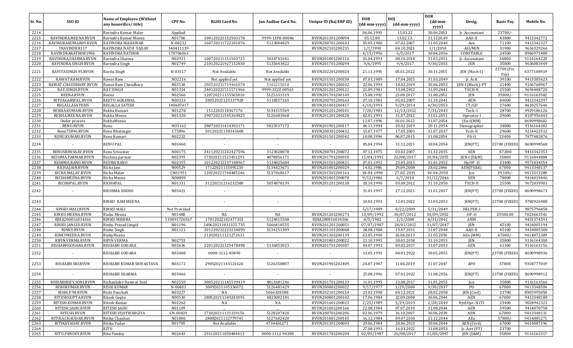| Sr. No.      | SSO ID                               | <b>Name of Employee (Without</b><br>any honorifics/title) | CPF No.              | <b>RGHS Card No.</b> | Jan Aadhar Card No. | Unique ID (Raj ERP ID)               | <b>DOB</b><br>(dd-mm-yyyy) | DOJ<br>$(dd{\text{-}\mathrm{mm\text{-}yyy}})$ | <b>DOR</b><br>$(dd{\text{-}\mathbf{mm}}$ | Desig.           | <b>Basic Pay</b>   | Mobile No.               |
|--------------|--------------------------------------|-----------------------------------------------------------|----------------------|----------------------|---------------------|--------------------------------------|----------------------------|-----------------------------------------------|------------------------------------------|------------------|--------------------|--------------------------|
|              |                                      |                                                           |                      |                      |                     |                                      |                            |                                               | yyyy)                                    |                  |                    |                          |
| 2214         |                                      | Ravindra Kumar Malav                                      | Applied              |                      |                     |                                      | 06.06.1993                 | 15.03.22                                      | 30.06.2053                               | Ir. Accountant   | 23700/             |                          |
| 2215         | RAVINDRA.MEENA.RVUN                  | Ravindra Kumar Meena                                      | N01706               | 100120221152503178   | 9999-13P8-00046     | RVUN201301200094                     | 05.12.89.                  | 13.02.13.                                     | 31.1220.49                               | AAO-II           | 43800              | 9413342772               |
| 2216<br>2217 | RAVINDRAKUMAR09.RVUN<br>YRAVINDER117 | RAVINDRA MAHAWAR<br>RAVINDRA NATH YADAV                   | N-00232<br>140411139 | 160720211722101076   | 5123004829          | RVUN200701200103<br>RVUN202101200235 | 05.05.1980<br>1/1/1990     | 07.02.2007<br>04.10.2021                      | 31.05.2040<br>1/1/2050                   | Aen<br>ASI/MIN   | 71100<br>31900     | 9413342327<br>9616329266 |
| 2218         | RAVINDRARATHOR1996                   | RAVINDRA RATHOR                                           | 170706061            |                      |                     |                                      | 4/15/1996                  | 6/5/2017                                      | 30.04.2056                               | CONSTABLE        | 24500              | 8966971480               |
| 2219         | RAVINDRA.SHARMA.RVUN                 | Ravindra Sharma                                           | N02931               | 100720211151503725   | 5034741641          | RVUN201801200116                     | 01.04.1991                 | 08.10.2018                                    | 31.03.2051                               | Jr. Accountant   | 34800              | 9116164228               |
| 2220         | RAVINDRA.SINGH.RVUN                  | Ravindra Singh                                            | N02749               | 210120221927152830   | 5135643822          | RVUN201701200294                     | 9/6/1995                   | 9/4/2017                                      | 9/30/2055                                | JEN              | 35800              | 9636083449               |
| 2221         | RAVITASINGH.95.RVUN                  | Ravita Singh                                              | N-03317              | Not Available        | Not Available       | RVUN202201200024                     | 21.11.1995                 | 05.01.2022                                    | 30.11.2055                               | JEN (Mech-I)     | 23700 (Fix<br>Pay) | 6377108919               |
| 2222         | RAWAT.RAM.RVUN                       | Rawat Ram                                                 | N02216               | Not applied yet      | Not applied yet     | RVUN201501200330                     | 07.03.1989                 | 17.04.2015                                    | 31.03.2049                               | Ir. Actt         | 39100              | 9413385623               |
| 2223         | RAWAT.CHAUDHARY.RVUN                 | Rawat Ram Chaudhary                                       | N03130               | 280520211719466078   | 5102215010          | RVUN201901200102                     | 22.06.1993                 | 18.02.2019                                    | 30.06.2053                               | JEN-I (Mech.)-PT | 21400              | 9166768967               |
| 2224         | RAY.SINGH.RVUN                       | <b>RAY SINGH</b>                                          | N01314               | 240120221511571966   | 9999-3Z2Z-00565     | RVUN201201200122                     | 21.09.1981                 | 13.08.2012                                    | 31.09.2041                               | TECH-I           | 25500              | 9694408720               |
| 2225         | REENA.RVUN                           | Reena                                                     | N02566               | 120720211155565810   | 5125331519          | RVUN201701200149                     | 15.08.1992                 | 23.08.2017                                    | 31.08.2052                               | JEN              | 35800/             | 9116163582               |
| 2226         | RITUAGARWAL.RVUN                     | REETU AGRAWAL                                             | N00333               | 28052021125337928    | 5118357265          | RVUN200701200163                     | 27.10.1981                 | 05.02.2007                                    | 31.10.2041                               | AEN              | 69000              | 9413342397               |
| 2227         | REGALLASATISH5                       | REGALLA SATISH                                            | 140607417            |                      |                     | RVUN201401200417                     | 6/10/1993                  | 9/29/2014                                     | 6/30/2053                                | CT/GD            | 27600              | 8610257646               |
| 2228         | REKHA.KUMARI.RVUN                    | Rekha Kumari                                              | N01278               | 1512202118367176     | 5134315569          | RVUN201201200101                     | 7/20/1983                  | 12/13/2012                                    | 7/31/2043                                | Tech.-I          | 28700              | 9929186126               |
| 2229         | REKHA.MEENA.RVUN                     | Rekha Meena                                               | N01320               | 290720211545369825   | 5126683068          | RVUN201201200128                     | 02.01.1991                 | 31.07.2012                                    | 31.01.2051                               | Operator-I       | 29600              | 8107956443               |
| 2230         | Under process                        | RekhaMeena                                                |                      |                      |                     |                                      | 12.07.1994                 | 03.01.2022                                    | 31.07.2054                               | $[En-I(MM)]$     |                    | 8690998602               |
| 2231         | RENU.RVUN                            | Renu                                                      | N03162               | 280720211414302171   | 5023537172          | RVUN201901200117                     | 06.11.1994                 | 20.02.2019                                    | 30.11.2054                               | Stenographer     | 34800              | 9116164382               |
| 2232         | Renu75896.RVUN                       | Renu Bhatnagar                                            | C75896               | 50120221158343608    |                     | RVUN200301200432                     | 15.07.1977                 | 17.05.2003                                    | 31.07.2037                               | Tech-II          | 29600              | 9214422532               |
| 2233         | RENU.KUMARI.RVUN                     | Renu Kumari                                               | N02232               |                      |                     | RVUN201501200342                     | 10.08.1994                 | 06.07.2015                                    | 31.08.2054                               | PA-II            | 23400              | 7877482876               |
| 2234         |                                      | RENU PAL                                                  | N03460               |                      |                     |                                      | 05.04.1994                 | 31.12.2021                                    | 30.04.2054                               | JEN(PT)          | 23700 (FIXED)      | 8690998568               |
| 2235         | RENUSRIWASAV.RVUN                    | Renu Srivastav                                            | N00175               | 241120211242427596   | 3123028078          | RVUN200701200072                     | 07.12.1975                 | 03.02.2007                                    | 31.12.2035                               | <b>XEN</b>       | 87,800             | 9413342353               |
| 2236         | RESHMA.PARMAR.RVUN                   | Reshma parmar                                             | N02393               | 171020211521451293   | 4878856171          | RVUN201701200018                     | 15/04/1995                 | 26/08/2017                                    | 30/04/2055                               | JEN-I (E&M)      | 35800              | 9116444884               |
| 2237         | RESHMA.BANO.RVUN                     | RESMA BANO                                                | N02355               | 101220212237108967   | 5134825684          | RVUN201501200421                     | 07.01.1992                 | 25.05.2015                                    | 31.01.2052                               | Hy.OP-II         | 23400              | 9571034554               |
| 2238         | RICHA.JAIN.RVUN                      | Richa Jain                                                | N00529               | 17122021155095230    | 5134823671          | RVUN201001200029                     | 14.02.1986                 | 29.09.2008                                    | 28.02.2046                               | AEN(PE&E)        | 67000              | 9413348137               |
| 2239         | RICHA.MALAV.RVUN                     | Richa Malav                                               | CN01951              | 120320221744485246   | 5137068617          | RVUN201501200163                     | 18-04-1990                 | 27-02-2015                                    | 30-04-2050                               | Jen              | 39,100/            | 9413313280               |
| 2240         | RICHAMEENA.RVUN                      | Richa Meena                                               | N00899               |                      |                     | RVUN201001200078                     | 9/12/1986                  | 6/7/2010                                      | 31/12/2046                               | <b>XEN</b>       | 78000              | 9414019446               |
| 2241         | RICHHPAL.RVUN                        | RICHHPAL                                                  | N01331               | 31220211216232580    | 5054878139          | RVUN201201200138                     | 18.10.1990                 | 03.08.2012                                    | 31.10.2050                               | TECH-II          | 25500              | 9672039901               |
| 2242         | $\overline{\phantom{a}}$             | RIDHIMA SIROHI                                            | N03421               |                      |                     | $\overline{\phantom{a}}$             | 31.01.1997                 | 27.12.2021                                    | 31.01.2057                               | JEN(PT)          | 23700 (FIXED)      | 8690998673               |
| 2243         |                                      | RINKU RAM MEENA                                           |                      |                      |                     | $\overline{\phantom{a}}$             | 10.03.1993                 | 12.01.2022                                    | 31.03.2053                               | JEN(PT)          | 23700 (FIXED)      | 9782926988               |
| 2244         | RINKU.MALI.RVUN                      | <b>RINKU MALI</b>                                         | Not Provided         |                      |                     |                                      | 5/17/1989                  | 8/22/2009                                     | 5/31/2049                                | HELPER-I         |                    | 9875796858               |
| 2245         | RINKU.MEENA.RVUN                     | Rinku Meena                                               | N01480               | NA                   | NA                  | RVUN201201200273                     | 13/09/1992                 | 30/07/2012                                    | 30/09/2052                               | OP-II            | 25500.00           | 7023663541               |
| 2246         | RJHA200816034366                     | RINKU MISHRA                                              | 110091726567         | 17012022182477353    | 5124015508          | RJHA200816034366                     | 8/5/1982                   | 2/1/2008                                      | 8/31/2042                                | ANM              |                    | 9431374591               |
| 2247         | RINKU.JANGID.RVUN                    | Rinku Prasad Jangid                                       | N01196               | 140620211031325735   | 5066418555          | RVUN201201200051                     | 07/07/1987                 | 28/01/2012                                    | 31/07/2047                               | <b>JEN</b>       | 45100              | 9414005194               |
| 2248         | <b>RINKU.RVUN</b>                    | Rinku Singh                                               | N01121               | 301220212223234899   | 5134251309          | RVUN201101200068                     | 28.08.1988                 | 19.07.2011                                    | 31.07.2048                               | AAO-II           | 45100              | 9414085308               |
| 2249         | RINKYMEENA.RVUN                      | RinkyMeena                                                |                      | 211020211121272631   |                     | RVUN201301200139                     | 02.05.1990                 | 26.06.2013                                    | 31.05.2050                               | AEn (MM)         | $67000/-$          | 9414072389               |
| 2250         | RIPIN.VERMA.RVUN                     | <b>RIPIN VERMA</b>                                        | N02753               |                      |                     | RVUN201801200022                     | 11.10.1995                 | 30.01.2018                                    | 31.10.2055                               | JEN              | 35800              | 9116164300               |
| 2251         | RISHABHGODARA.RVUN                   | RISHABH GODARA                                            | N02636               | 220120221125478498   | 5136853023          | RVUN201701200387                     | 04.07.1993                 | 09.02.2017                                    | 31.07.2053                               | AEN              | 61300              | 9116163156               |
| 2252         |                                      | RISHABH GODARA                                            | N03408               | 0000-1112-83490      |                     |                                      | 13.05.1995                 | 04.01.2022                                    | 30.05.2055                               | JEN(PT)          | 23700 (FIXED)      | 8690998936               |
| 2253         | RISHABH.SRI.RVUN                     | RISHABH KUMAR SRIVASTAVA                                  | N03172               | 29052021143121626    | 5126358807          | RVUN201901202409                     | 24.07.1987                 | 11.06.2019                                    | 31.07.2047                               | APO              | 37800              | 9358777019               |
| 2254         | $\sim$                               | RISHABH SHARMA                                            | N03466               |                      | $\sim$              | $\sim$                               | 25.08.1996                 | 07.01.2022                                    | 31.08.2056                               | JEN(PT)          | 23700 (FIXED)      | 8690998912               |
| 2255         | RISHABHDEV.SONI.RVUN                 | Rishanhdev Danwar Soni                                    | N02550               | 300520211145539419   | 4813681246          | RVUN201701200133                     | 11.01.1995                 | 23.08.2017                                    | 31.01.2055                               | Jen              | 35800              | 9116163566               |
| 2256         | RISHIKUMAR.RVUN                      | <b>RISHI KUMAR</b>                                        | N-00403              | 30092021105336072    | 5126481429          | RVUN200801200022                     | 9/17/1977                  | 3/29/2008                                     | 9/30/2037                                | PO.              | 67000              | 9413348504               |
| 2257         | RISHI.P.98.RVUN                      | Rishi Pancholi                                            | N03227               | NA                   | 5066320388          | RVUN202101200154                     | 23.02.1998                 | 04.12.2021                                    | 28.02.2058                               | JEN (Civil)      | 23700              | 8905995058               |
| 2258         | RITESHGUPTA.RVUN                     | Ritesh Gupta                                              | N00530               | 280520211349243095   | 4823002181          | RVUN200801200102                     | 17.06.1984                 | 22.09.2008                                    | 30.06.2044                               | AEN              | 67000              | 9413348188               |
| 2259         | RITESH.KUMAR.RVUN                    | Ritesh Kumar                                              | N02262               | NA                   | NA                  | RVUN201601200023                     | 2/25/1989                  | 5/29/2015                                     | 2/28/2049                                | Hyd.Opr.-IIITI   | 23400              | 9024942322               |
| 2260         | RITESH.SAHU.RVUN                     | <b>RITESH SAHU</b>                                        | N01109               |                      |                     | RVUN201001200166                     | 22.08.1984                 | 07.07.2010                                    | 31.08.2044                               | AEN              | 59500              | 9414070758               |
| 2261         | RITESH.RVUN                          | RITESH VIJAYWARGIYA                                       | CN-00439             | 271020211131319156   | 5128207420          | RVUN200701200206                     | 02.06.1979                 | 16.10.2007                                    | 30.06.2039                               | AEN              | 67000              | 9413348131               |
| 2262         | RITIKA.CHAUHAN.RVUN                  | Ritika Chauhan                                            | N01006               | 28082021132779745    | 5127602420          | RVUN201001200145                     | 16.12.1984                 | 09.07.2010                                    | 31.12.2044                               | AEn              | 57800/             | 9414085271               |
| 2263         | RITIKAYADAV.RVUN                     | Ritika Yadav                                              | N01705               | Not Available        | 4734436271          | RVUN201301200093                     | 29.06.1984                 | 20.06.2013                                    | 30.06.2044                               | AEN (Civil)      | 67000              | 9414087196               |
| 2264         |                                      | <b>RITU</b>                                               |                      |                      |                     |                                      | 27.08.1993                 | 16.03.2022                                    | 31.08.2053                               | [r. Actt(PT)]    | 23700              |                          |
| 2265         | RITU.PANDEY.RVUN                     | <b>Ritu Pandey</b>                                        | N02643               | 291120211050484412   | 0000-1112-94388     | RVUN201701200204                     | 02/05/1987                 | 26/08/2017                                    | 31/05/2047                               | JEN (E&M)        | 35800              | 9116163317               |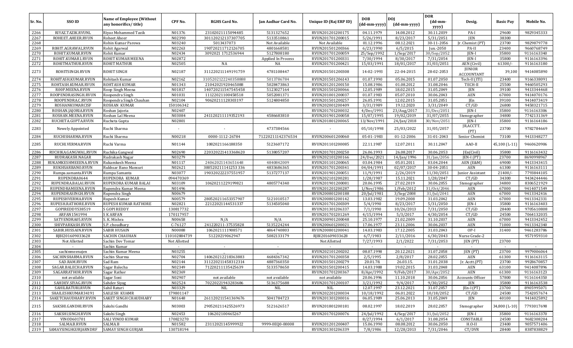|         |                      |                                                           |              |                      |                     |                        |                     |                            | <b>DOR</b>                          |                                    |                  |            |
|---------|----------------------|-----------------------------------------------------------|--------------|----------------------|---------------------|------------------------|---------------------|----------------------------|-------------------------------------|------------------------------------|------------------|------------|
| Sr. No. | SSO ID               | <b>Name of Employee (Without</b><br>any honorifics/title) | CPF No.      | <b>RGHS Card No.</b> | Jan Aadhar Card No. | Unique ID (Raj ERP ID) | DOB<br>(dd-mm-yyyy) | <b>DOI</b><br>(dd-mm-yyyy) | $(dd{\text{-}\mathbf{mm}}$<br>yyyy) | Desig.                             | <b>Basic Pay</b> | Mobile No. |
| 2266    | RIYAZ.TAZIK.RVUNL    | Riyaz Mohammed Tazik                                      | N01376       | 23102021115094485    | 5131327652          | RVUN201201200175       | 04.11.1979          | 14.08.2012                 | 30.11.2039                          | PA-I                               | 29600            | 9829345333 |
| 2267    | ROHEET.AHEER.RVUN    | Roheet Aheer                                              | N02390       | 301120212137307705   | 5133510861          | RVUN201701200015       | 5/26/1991           | 8/23/2017                  | 5/31/2051                           | <b>JEN</b>                         | 38300            |            |
| 2268    |                      | Rohin Kumar Parewa                                        | N03240       | 5013437073           | Not Available       | Not Available          | 01.12.1996          | 08.12.2021                 | 30-11-2056                          | Jr. Chemist (PT)                   | 23700            | 9829879778 |
| 2269    | ROHIT.AGRAWAL.RVUN   | Rohit Agarwal                                             | N02263       | 190720211712126705   | 4801668581          | RVUN201501200366       | 6/23/1990           | 6/5/2015                   | Jun.-2050                           | PA-II                              | 23400            | 9660768749 |
| 2270    | ROHIT.KUMAR.RVUN     | Rohit Kumar                                               | N02434       | 3092021 1712536944   | 5127808180          | RVUN201701200059       | 25/Sep/1992         | $1/$ Sep $/2017$           | 30/Sep/2052                         | JEN-I                              | 35800            | 9116163340 |
| 2271    | ROHIT.KUMAR1.RVUN    | ROHIT KUMAR MEENA                                         | N02872       |                      | Applied In Process  | RVUN201701200331       | 7/30/1994           | 8/30/2017                  | 7/31/2054                           | JEN-I                              | 35800            | 9116163396 |
| 2272    | ROHITMATHUR.RVUN     | <b>ROHIT MATHUR</b>                                       | N02505       | NA                   | NA                  | RVUN201701200421       | 15/03/1991          | 18/01/2017                 | 31/03/2051                          | AEN (Civil)                        | 61300/           | 9116163180 |
| 2273    | ROHITSINGH.RVUN      | ROHIT SINGH                                               | N02187       | 311220211149191759   | 4781108447          | RVUN201501200308       | 14-02-1993          | 22-04-2015                 | 28-02-2053                          | <b>JUNIOR</b><br><b>ACCOUNTANT</b> | 39,100           | 9414085890 |
| 2274    | ROHITASH.KUMAR.RVUN  | Rohitash Kumar                                            | N02162       | 3105202122240358888  | 5013786784          | RVUN201501206143       | 01.07.1990          | 05.06.2015                 | 01.07.2050                          | Tech-II (ITI)                      | 23400            | 9166338091 |
| 2275    | ROHTASH.KUMAR.RVUN   | ROHTASH KUMAR                                             | N01343       | 21042021920465088    | 5028473863          | RVUN201201200150       | 15.08.1986          | 01.08.2012                 | 31.08.2046                          | TECH-II                            | 25500            | 9460505293 |
| 2276    | R00P.MEENA.RVUN      | Roop Singh Meena                                          | N01817       | 140720211547545458   | 5123027164          | RVUN201501200066       | 12.05.1989          | 18.02.2015                 | 31.05.2049                          | <b>JEN</b>                         | 39100            | 9413344468 |
| 2277    | ROOPENDRASINGH.RVUN  | Roopendra Singh                                           | N01031       | 11122021100458518    | 5052081371          | RVUN201001200037       | 01.07.1983          | 05.07.2010                 | 30.06.2043                          | AEN                                | 67000            | 9414070176 |
| 2278    | ROOPENDRA.C.RVUN     | Roopendra Singh Chauhan                                   | N02104       | 90620211128303197    | 5124804850          | RVUN201501200257       | 26.05.1991          | 12.02.2015                 | 31.05.2051                          | <b>IEn</b>                         | 39100            | 9414073419 |
| 2279    | ROSHANKUMARCISF      | <b>ROSHAN KUMAR</b>                                       | 150106342    |                      |                     | RVUN202001200409       | 3/31/1989           | 19.12.2020                 | 3/31/2049                           | CT/GD                              | 26800            | 9458321715 |
| 2280    | ROSHAN.JAJORIA.RVUN  | Roshan Jajoria                                            | N02407       |                      |                     | RVUN201701200032       | 4/Dec/1991          | 23/Aug/2017                | 31/Dec/2051                         | JEN-I                              | 35800            | 9116163306 |
| 2281    | ROSHAN.MEENA.RVUN    | Roshan Lal Meena                                          | N03084       | 241120211119352193   | 4586683810          | RVUN201901200058       | 15/07/1995          | 19/02/2019                 | 31/07/2055                          | Stenographer                       | 34800            | 7742131369 |
| 2282    | RUCHETA.GUPTA.RVUN   | Rucheta Gupta                                             | N02801       |                      |                     | RVUN201801200065       | 13/Nov/1991         | 24/Jan/2018                | 30/Nov/2051                         | JEN-I                              | 35800            | 9116164186 |
| 2283    | Newely Appointed     | Ruchi Sharma                                              |              |                      | 4737384566          |                        | 05/10/1998          | 25/03/2022                 | 31/05/2057                          | JR.ACCTT.<br>(PT)                  | 23700            | 9782784669 |
| 2284    | RUCHISHARMA.RVUN     | Ruchi Sharma                                              | N00218       | 0000-1112-26784      | 71220211142376534   | RVUN200601200060       | 05-01-1983          | 01-12-2006                 | 31-01-2043                          | Senior Chemist                     | 73100            | 9413348277 |
| 2285    | RUCHI.VERMA.RVUN     | Ruchi Varma                                               | N01144       | 1082021166188350     | 5123607172          | RVUN201101200085       | 22.11.1987          | 12.07.2011                 | 30.11.2047                          | AAO-II                             | 45,100 (L-11)    | 9460620906 |
| 2286    | RUCHIKA.GANGWAL.RVUN | Ruchika Gangwal                                           | N02690       | 220320221413368620   | 5138057207          | RVUN201701200250       | 26.06.1993          | 26.08.2017                 | 30.06.2053                          | [En(Civil]                         | 35800            | 9116163432 |
| 2287    | RUDRAKASH.NAGAR      | Rudrakash Nagar                                           | N03279       |                      |                     | RVUN202101200166       | 24/Dec/2021         | 14/Jan/1996                | 31/Jan/2056                         | $IEN-I (PT)$                       | 23700            | 8690998967 |
| 2288    | RUKAMKESHMEEENA.RVUN | Rukamkesh Meena                                           | N01117       | 24062021143651648    | 4840842009          | RVUN201101200065       | 03.04.1984          | 05.01.2011                 | 03.04.2044                          | AEN (E&M)                          | 69000            | 9413343415 |
| 2289    | RUKHSARBANO.RVUN     | Rukhsar Bano Mansuri                                      | N02621       | 300520211141253336   | 4833686365          | RVUN201701200341       | 04/04/1991          | 02/07/2017                 | 30-04-2051                          | <b>AEN</b>                         | 61300            | 9116163111 |
| 2290    | Rumpa.samanta.RVUN   | Rumpa Samanta                                             | N03077       | 190320222237551957   | 5137277137          | RVUN201901200051       | 11/9/1991           | 2/26/2019                  | 11/30/2051                          | Junior Assistant                   | 21400/           | 7793844105 |
| 2291    | RUPENDRA0644         | RUPENDRA KUMAR                                            | 094470369    |                      |                     | RVUN202101200281       | 1/28/1987           | 15.11.2021                 | 1/28/2047                           | CT/GD                              | 34300            | 9434244446 |
| 2292    | RUPENDRA.BALAI.RVUN  | RUPENDRA KUMAR BALAI                                      | N03109       | 10620211229199821    | 4805774340          | RVUN201901200081       | 20.06.1995          | 27.02.2019                 | 30.06.2055                          | Stenographer                       | 34800            | 8306521929 |
| 2293    | RUPENDRAMEENA.RVUN   | Rupendra Kumar Meena                                      | N01496       |                      |                     | RVUN201201200287       | 1/Nov/1986          | 1/Feb/2012                 | 31/0ct/2046                         | AEN                                | 67000            | 9414071549 |
| 2294    | RUPENDRASINGH.RVUN   | Rupendra Singh                                            | N00679       |                      |                     | RVUN200801200188       | 20/Jul/1981         | 3/Sep/2008                 | 31/Jul/2041                         | AEN                                | 67000            | 9413342416 |
| 2295    | RUPESHVERMA.RVUN     | Rupesh Kumar                                              | N00579       | 280520211653357907   | 5121010517          | RVUN200801200142       | 13.03.1982          | 19.09.2008                 | 31.03.2042                          | <b>AEN</b>                         | 67000            | 9413342331 |
| 2296    | RUPESH.RATHORE.RVUN  | RUPESH KUMAR RATHORE                                      | N02821       | 22122021144531337    | 5134505040          | RVUN201701200309       | 5/4/1990            | 8/23/2017                  | 5/31/2050                           | JEN-I                              | 35800            | 9116163403 |
| 2297    | GOPIREDDYS38519      | S GOPI REDDY                                              | 130817732    |                      |                     | RVUN201301206337       | 7/1/1990            | 10/26/2013                 | 7/31/2050                           | CT/GD                              | 28400            | 9705610808 |
| 2298    | ARFAN1541994         | <b>SKARFAN</b>                                            | 170117957    |                      |                     | RVUN201701201269       | 4/15/1994           | 5/3/2017                   | 4/30/2054                           | CT/GD                              | 24500            | 7064132035 |
| 2299    | SATYENDRA05.RVUN     | S. K. Mishra                                              | N00658       | N/A                  | N/A                 | RVUN200901200048       | 25.10.1977          | 21.02.2009                 | 31.10.2037                          | AEN                                | 67000            | 9413342452 |
| 2300    | SHIVPARKASH.RVUN     | S.P. choudhary                                            | $C-76127$    | 241220211-37535828   | 5135224244          | RVUN200601200021       | 17.06.1977          | 23.11.2006                 | 30.06.2037                          | AEN                                | 71000            | 9413342340 |
| 2301    | SABIR.HUSSAIN.RVUN   | <b>SABIR HUSAIN</b>                                       | N00088       | 1062021111908571     | 4864740803          | RVUN200801200041       | 14.03.1983          | 17.12.2005                 | 31.03.2043                          | OP-I                               | 31400            | 9461283786 |
| 2302    | RJBI201609033628     | SACHIN CHAUHAN                                            | 110102884739 | 51220219062947       | 5082133179          | RJBI201609033628       | 6/7/1983            | 2/11/2016                  | 6/30/2043                           | Nurse Grade-2                      |                  | 9571959310 |
| 2303    | Not Allotted         | Sachin Dev Tomar                                          | Not Allotted |                      |                     | Not Allotted           | 7/27/1993           | 2/1/2022                   | 7/31/2053                           | JEN (PT)                           | 23700            |            |
| 2304    | $\sim$               | Sachin Kumar                                              | $\sim$       | $\sim$               | $\sim$              | $\sim$                 | $\sim$              | $\sim$                     | $\sim$                              | $\sim$                             | $\sim$           |            |
| 2305    | sachinmeenajen       | Sachin Kumar Meena                                        | N03255       |                      |                     | RVUN202101200202       | 08.07.1998          | 20.12.2021                 | 31.07.2058                          | JEN (PT)                           | 23700            | 9979006064 |
| 2306    | SACHINSHARMA.RVUN    | Sachin Sharma                                             | N02704       | 140620212218363883   | 4684367342          | RVUN201701200358       | 2/5/1995            | 2/8/2017                   | 28.02.2055                          | <b>AEN</b>                         | 61300            | 9116163115 |
| 2307    | SAD.RAM.RVUN         | Sad Ram                                                   | N02144       | 311220211458312314   | 4887360350          | RVUN201501200279       | 20.01.78.           | 26.03.15.                  | 31.01.2038                          | Jr. Acctt.(PT)                     | 23700            | 9928670857 |
| 2308    | SAGAR.BALECHA.RVUN   | Sagar Balecha                                             | N02349       | 71220211135425639    | 5133578650          | RVUN201501200415       | 14.03.1988          | 19.02.2015                 | 31.03.2048                          | AEN                                | 63100            | 9414087896 |
| 2309    | SAGARRATHOR.RVUN     | Sagar Rathor                                              | N02369       |                      |                     | RVUN201701200367       | 8/Apr/1992          | 9/Feb/2017                 | 30/Apr/2052                         | AEN                                | 61300            | 9116163123 |
| 2310    | not available        | Sagar Soni                                                | N02907       | not available        | not available       | not available          | 20.06.1996          | 11.10.2018                 | 30.06.2056                          | Accounts Officer                   | 57800            | 9116164350 |
| 2311    | SAHDEV.SIYAG.RVUN    | Sahdev Siyag                                              | N02524       | 70220221943283686    | 5136375688          | RVUN201701200107       | 3/21/1992           | 9/4/2017                   | 9/30/2052                           | JEN                                | 35800            | 9116163538 |
| 2312    | SAHILRATURI.RVUN     | Sahil Raturi                                              | N03329       | NIL                  | NIL                 | NIL                    | 12.07.1997          | 23.12.2021                 | 31.07.2057                          | JEn-I (PT)                         | 23700            | 8905995071 |
| 2313    | SHAILESHKUMAR34191   | SAILESH KUAMR                                             | 179801147    |                      |                     | RVUN202201200034       | 10/18/1992          | 06.01.2022                 | 10/18/2052                          | CT/GD                              | 24500            | 7542057674 |
| 2314    | SAKETCHAUDHARY.RVUN  | <b>SAKET SINGH CHAUDHARY</b>                              | N01648       | 261120211541369676   | 5041784723          | RVUN201301200016       | 06.05.1989          | 25.06.2013                 | 31.05.2049                          | JEN                                | 40100            | 9414025892 |
| 2315    | SAKSHI.GANDHI.RVUN   | Sakshi Gandhi                                             | N03003       | 290520211425526973   | 5121626517          | RVUN201801200181       | 08.02.1997          | 18.02.2019                 | 28.02.2057                          | Stenographer                       | 34,800 (L-10)    | 7793017698 |
| 2316    | SAKSHI.SINGH.RVUN    | Sakshi Singh                                              | N02453       | 106202100465267      |                     | RVUN201701200076       | 24/Jul/1992         | 4/Sep/2017                 | 31/Jul/2052                         | JEN-I                              | 35800            | 9116163370 |
| 2317    | VINOD601701          | SALI VINOD KUMAR                                          | 170823270    |                      |                     |                        | 8/27/1994           | 6/1/2017                   | 31.08.2054                          | CONSTABLE                          | 24500            | 9682308204 |
| 2318    | SALMA.B.RVUN         | SALMA.B                                                   | N01582       | 23112021145999922    | 9999-0EQ0-00008     | RVUN201201200407       | 15.06.1990          | 08.08.2012                 | 30.06.2050                          | $H.O-II$                           | 23400            | 9057571406 |
| 2319    | SAMAYSINGHGURJARNDRF | <b>SAMAY SINGH GURJAR</b>                                 | 130718194    |                      |                     | RVUN201301206339       | 7/8/1986            | 12/28/2013                 | 7/31/2046                           | CT/DVR                             | 28400            | 8387838829 |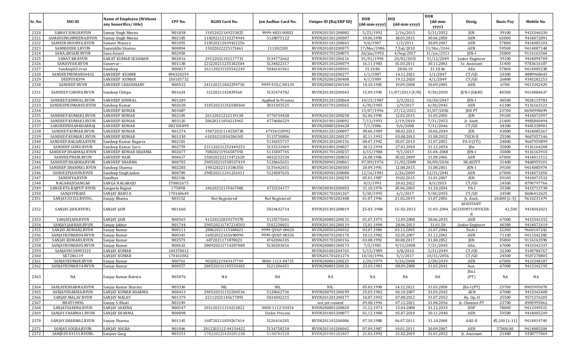| Sr. No. | SSO ID               | <b>Name of Employee (Without</b><br>any honorifics/title) | CPF No.   | <b>RGHS Card No.</b> | Jan Aadhar Card No.  | Unique ID (Raj ERP ID) | <b>DOB</b><br>(dd-mm-yyyy) | <b>DOI</b><br>(dd-mm-yyyy) | <b>DOR</b><br>(dd-mm-<br>yyyy) | Desig.                                     | <b>Basic Pay</b> | Mobile No. |
|---------|----------------------|-----------------------------------------------------------|-----------|----------------------|----------------------|------------------------|----------------------------|----------------------------|--------------------------------|--------------------------------------------|------------------|------------|
| 2320    | SAMAY.SINGH.RVUN     | Samay Singh Meena                                         | N01838    | 31052021169253825    | 9999-4H2I-00032      | RVUN201501200082       | 5/25/1992                  | 2/16/2015                  | 5/31/2052                      | JEN                                        | 39100            | 9413346330 |
| 2321    | SAMAYSINGHMEENA.RVUN | Samay Singh Meena                                         | N02185    | 110202212132274944   | 5128075122           | RVUN201501200307       | 10.06.1990                 | 18.03.2015                 | 30.06.2050                     | AEN                                        | 65000            | 9414072891 |
| 2322    | SAMEER.MOURYA.RVUN   | Sameer Maurya                                             | N01055    | 310520212039422256   |                      | RVUN201101200043       | 9/6/1987                   | 1/3/2011                   | 30.09.2047                     | AEN                                        | 57800            | 9414085103 |
| 2323    | SAMRIDDHI.S.RVUN     | Samriddhi Sharma                                          | N00894    | 15022022225173461    | 111302285            | RVUN201001200075       | 17/Mar/1986                | 7/Jul/2010                 | 31/Mar/2046                    | AEN                                        | 59500            | 9414087148 |
| 2324    | SANA.ANSARI.RVUN     | Sana Ansari                                               | N02450    |                      |                      | RVUN201701200075       | 26/Jan/1993                | 4/Sep/2017                 | 31/Jan/2053                    | JEN-I                                      | 35800            | 9116163364 |
| 2325    | SANAT.KR.RVUN        | SANAT KUMAR SESAMAN                                       | N02016    | 29122021102117731    | 5134772662           | RVUN201501206116       | 01/01/1990                 | 20/02/2015                 | 31/12/2049                     | Junior Engineer                            | 39100            | 9414094709 |
| 2326    | SANAVVAR.RVUN        | Sanavvar -                                                | N01138    | 221220211235182504   | 5134822317           | RVUN201101200079       | 16.11.1983                 | 01.03.2011                 | 30.11.2043                     | Sr. Assistant                              | 31400            | 9783616107 |
| 2327    | Sandeep02.rvun       | Sandeep                                                   | N00817    | 261120211325542245   | 5046143361           | RVUN201001200041       | 15.10.86                   | 28.06.10                   | 31.10.46                       | AEn                                        | 57800            | 9414085238 |
| 2328    | SANDEEPKUMAR34432    | <b>SANDEEP KUAMR</b>                                      | 094320259 |                      |                      | RVUN202101200277       | 1/1/1987                   | 14.11.2021                 | 1/1/2047                       | CT/GD                                      | 33300            | 8889968645 |
| 2329    | DEEPUSK394           | <b>SANDEEP KUMAR</b>                                      | 150105732 |                      |                      | RVUN202001200408       | 4/1/1989                   | 19.12.2020                 | 4/1/2049                       | CT/GD                                      | 26800            | 9343282253 |
| 2330    | SANDEEP.RVUN         | SANDEEP CHAUDHARY                                         | N00532    | 241120211842299730   | 9999-VULC-00139      | RVUN200801200104       | 10.10.1985                 | 19.09.2008                 | 30.09.2045                     | AEN                                        | 6700             | 9413342429 |
| 2331    | SANDEEP.CHHIPA.RVUN  | Sandeep Chhipa                                            | N01624    | 3122021142839560     | 5132474782           | RVUN201301200043       | 15.09.1990                 | 11/07/2013 (F/N)           | 9/30/2050                      | JEN-I (E&M)                                | 40300            | 9414084637 |
| 2332    | SANDEEP.JONWAL.RVUN  | SANDEEP JONWAL                                            | N01209    |                      | Applied In Process   | RVUN201201200064       | 10/15/1987                 | 2/3/2012                   | 10/30/2047                     | JEN-I                                      | 40500            | 9024119783 |
| 2333    | SANDEEPKUMAR03.RVUN  | Sandeep Kumar                                             | N02630    | 310520211356588360   | 5033303525           | RVUN201701200365       | 6/30/1985                  | 2/9/2017                   | 6/30/2045                      | AEN                                        | 61300            | 9116163121 |
| 2334    |                      | <b>SANDEEP KUMAR</b>                                      | N03487    |                      |                      |                        | 15/07/1996                 | 27/12/2021                 | 31/07/2056                     | <b>JEN PT</b>                              | 23700            | 8690998699 |
| 2335    | SANDEEP.KUMAR2.RVUN  | <b>SANDEEP KUMAR</b>                                      | N02105    | 26112021222119138    | 4776734428           | RVUN201501200258       | 02.06.1990                 | 12.02.2015                 | 31.05.2050                     | JEN                                        | 39100            | 9414072997 |
| 2336    | SANDEEP.KUMAR3.RVUN  | <b>SANDEEP KUMAR</b>                                      | N03120    | 50620211054213965    | 4774686529           | RVUN201901200092       | 7/13/1993                  | 2/19/2019                  | 7/31/2053                      | Jr. Asstt.                                 | 21400            | 9983840494 |
| 2337    | SANDEEPDHANKHARRA]   | <b>SANDEEP KUMAR</b>                                      | 082301899 |                      |                      | RVUN200801204628       | 7/1/1986                   | 9/6/2008                   | 7/31/2046                      | CT/GD                                      | 34300            | 9445338901 |
| 2338    | SANDEEP.KUMAR.RVUN   | <b>SANDEEP KUMAR</b>                                      | N01274    | 19072021114558738    | 47934118992          | RVUN201201200097       | 09.06.1989                 | 08.02.2012                 | 30.06.2049                     | JEN                                        | 43800            | 9414085367 |
| 2339    | SANDEEP.KUMAR1.RVUN  | <b>SANDEEP KUMAR</b>                                      | N01330    | 61020211834286365    | 5115750806           | RVUN201201200137       | 02.11.1992                 | 03.08.2012                 | 31.08.2052                     | TECH-II                                    | 25500            | 9667057146 |
| 2340    | SANDEEP.BAGARIA.RVUN | Sandeep Kumar Bagaria                                     | N02181    |                      | 5136355737           | RVUN201301200156       | 08.07.1992                 | 03.07.2013                 | 31.07.2052                     | PA-II (ITI)                                | 24800            | 9667959899 |
| 2341    | SANDEEP.GURU.RVUN    | Sandeep Kumar Guru                                        | N02759    | 231120211252449253   | 5133531069           | RVUN201801200027       | 20.12.1994                 | 27.01.2018                 | 31.12.2054                     | JEn                                        | 35800            | 9116164208 |
| 2342    | SANDEEP.SHARMA2.RVUN | SANDEEP KUMAR SHARMA                                      | N02677    | 70820211956587592    | 5133307745           | RVUN201701200237       | 4/15/1988                  | 9/1/2017                   | 31-04-2048                     | JEN-I                                      | 35800            | 9116163910 |
| 2343    | SANDEEPNAIR.RVUN     | <b>SANDEEP NAIR</b>                                       | N00617    | 150320222215472628   | 4832232530           | RVUN200901200033       | 26.08.1986                 | 05.02.2009                 | 31.08.2046                     | AEN                                        | 67000            | 9414011512 |
| 2344    | SANDEEP.SHARMA.RVUN  | <b>SANDEEP SHARMA</b>                                     | N00705    | 290520211538537419   | 5120665651           | RVUN200901200061       | 07/09/1976                 | 21/02/2009                 | 30/09/2036                     | SR.ASSTT                                   | 31400            | 9468959101 |
| 2345    | SANDEEP.SHARMA1.RVUN | Sandeep Sharma                                            | N02285    | 19012022113186350    | 5135642651           | RVUN201501200383       | 20.09.1991                 | 12.08.2015                 | 31.08.2051                     | JEN-I                                      | 39100            | 9414085974 |
| 2346    | SANDEEPJADON.RVUN    | Sandeep Singh Jadon                                       | N00789    | 290520211241226411   | 5124587635           | RVUN200901200088       | 12/16/1981                 | 2/26/2009                  | 12/31/2041                     | AEN                                        | 67000            | 9414071050 |
| 2347    | SANDHYA.RVUN         | Sandhya                                                   | N02106    |                      |                      | RVUN201501200259       | 05.01.1987                 | 19.02.2015                 | 31.01.2047                     | JEN                                        | 39100            | 9414073532 |
| 2348    | NAGARAJUSANGA8       | SANGA NAGARAJU                                            | 170802675 |                      |                      |                        | 8/3/1993                   | 20.02.2022                 | 8/3/2053                       | CT/GD                                      | 24500            | 8790797766 |
| 2349    | SANGEETA.RAJPUT.RVUN | Sangeeta Rajput                                           | C75898    | 10620212135467082    | 4732334177           | RVUN200301200053       | 31.10.1974                 | 05.06.2003                 | 31.10.2034                     | PA-I                                       | 35300            | 9413713738 |
| 2350    | SANJAYPBA05          | SANJAY BABU A                                             | 170160649 |                      |                      | RVUN201701201267       | 5/30/1995                  | 6/1/2017                   | 5/30/2055                      | CT/GD                                      | 24500            | 8606412625 |
| 2351    | SANJAY.03152.RVUNL   | Sanjay Bhamu                                              | N03152    | Not Registered       | Not Registered       | RVUN201901202408       | 01.07.1996                 | 21.02.2019                 | 31.07.2056                     | Jr. Asstt.                                 | $20,800$ (L-5)   | 9610231479 |
| 2352    | SANJAY.JAIN.RVUNL    | SANJAY JAIN                                               | N01660    |                      | 5024432714           | RVUN201301200019       | 25-03-1984                 | 15-02-2013                 | 31-03-2044                     | ASSISTANT<br><b>ACCOUNTS OFFICER-</b><br>П | 42,500           | 9414042021 |
| 2353    | SANJAYJAIN.RVUN      | SANJAY JAIN                                               | N00565    | 41220212029279378    | 5125575041           | RVUN200801200132       | 01.07.1975                 | 12.09.2008                 | 30.06.2035                     | AEN                                        | 67000            | 9413342332 |
| 2354    | SANJAY.JAKHAR.RVUN   | Sanjay Jakhar                                             | N01744    | 290520211747218503   | 5102238021           | RVUN201301200119       | 15.01.1990                 | 28.06.2013                 | 31.01.50                       | Junior Engineer                            | 40300            | 9414072419 |
| 2355    | SANJAY.KUMAR2.RVUN   | Sanjay Kumar                                              | N00111    | 28062021115384821    | 9999-QVAP-00020      | RVUN200501200032       | 03.07.1984                 | 03.12.2005                 | 31.07.2044                     | Tech-I                                     | 32300            | 9660147242 |
| 2356    | SANJAYKUMAR04.RVUN   | Sanjay Kumar                                              | N00341    | 16032022165698090    | 9999-0VAP-00336      | RVUN200701200170       | 10.12.1982                 | 02.05.2007                 | 31.12.2042                     | <b>AEN</b>                                 | 71100            | 9413342282 |
| 2357    | SANJAY.KUMAR3.RVUN   | Sanjay Kumar                                              | N02573    | 6072021171878023     | 4742006335           | RVUN201701200156       | 03.08.1992                 | 30.08.2017                 | 31.08.2052                     | JEN                                        | 35800            | 9116163590 |
| 2358    | SANJAYKUMAR05.RVUN   | Sanjay Kumar                                              | N00632    | 280920211714287000   | 5130203016           | RVUN200801200173       | 7/5/1985                   | 9/15/2008                  | 7/31/2045                      | AEn.                                       | 67000            | 9413342337 |
| 2359    | SANJAY8158993325     | SANJAY KUMAR                                              | 104170012 |                      |                      | RVUN201001204765       | 5/15/1989                  | 3/8/2010                   | 5/31/2049                      | CT/GD                                      | 32300            | 9149784767 |
| 2360    | SK7286119            | SANJAY KUMAR                                              | 170161082 |                      |                      | RVUN201701201274       | 10/10/1996                 | 5/1/2017                   | 10/31/2056                     | CT/GD                                      | 24500            | 9507278805 |
| 2361    | SANJAYKUMAR.RVUN     | Sanjay Kumar                                              | N00761    | 90320221943417749    | 0000-1113-04715      | RVUN200801200225       | 2/20/1979                  | 9/24/2008                  | 2/28/2039                      | AEN                                        | 67000            | 9413348187 |
| 2362    | SANIAYKUMAR14.RVUN   | Sanjay Kumar                                              | N00557    | 280520211145554382   | 5121206451           | RVUN200801200126       | 23.03.1981                 | 08.09.2008                 | 31.03.2041                     | Aen.                                       | 67000            | 9413342195 |
| 2363    | NA                   | Sanjay Kumar Bairwa                                       | N03476    | NA                   | NA                   | NA                     | NA                         | NA                         | NA                             | JEn.I<br>(PT)                              | NA               | NA         |
| 2364    | SANJAYKSHARMA.RVUN   | Sanjay Kumar Sharma                                       | N03330    | <b>NIL</b>           | <b>NIL</b>           | NIL                    | 05.03.1998                 | 14.12.2021                 | 31.03.2058                     | $[En-I (PT)]$                              | 23700            | 8905995070 |
| 2365    | SANJAYSHARMA.RVUN    | SANJAY KUMAR SHARMA                                       | N00413    | 290520211132204536   | 5120662736           | RVUN200701200199       | 25.03.1982                 | 06.10.2007                 | 31.03.2042                     | AEN                                        | 67000            | 9413342408 |
| 2366    | SANJAY.MALAV.RVUN    | SANJAY MALAV                                              | N01379    | 22112021145677891    | 5024302215           | RVUN201201200177       | 18.07.1992                 | 07.08.2012                 | 31.07.2052                     | $Hy.$ Op.-II                               | 25500            | 9571276205 |
| 2367    | BHATI.9896           | Sanjay S. Bhati                                           | N03249    |                      |                      | not yet created        | 09.08.1996                 | 07.12.2021                 | 31.08.2056                     | Ir. Chemist-PT                             | 23700            | 8905995062 |
| 2368    | SANJAYSAXENA.RVUN    | SANJAY SAXENA                                             | N00547    | 201120211314213822   | 0000-1112-93454      | RVUN200801200020       | 31.12.1973                 | 15.04.2008                 | 31.12.2033                     | DDP                                        | 78000            | 9413349515 |
| 2369    | SANJAY.SHARMA1.RVUN  | SANJAY SHARMA                                             | N00898    |                      | <b>Under Process</b> | RVUN201001200077       | 01.12.1980                 | 05.07.2010                 | 30.11.2040                     | AEN                                        | 59500            | 9414005249 |
| 2370    | SANJAY.SHARMA2.RVUN  | Sanjay Sharma                                             | N01145    | 160720211059267414   | 5126416205           | RVUN201101200086       | 07.10.1988                 | 06.07.2011                 | 31.10.2048                     | AAO-II                                     | 45,100 (L-11)    | 9414019749 |
| 2371    | SANJAY.SOGRA.RVUN    | SANJAY SOGRA                                              | N01046    | 2012202112-44154422  | 5134758218           | RVUN201101200042       | 07.09.1987                 | 10.01.2011                 | 30.09.2047                     | AEN                                        | 57800.00         | 9414085204 |
| 2372    | SANJEEV.03151.RVUNL  | Sanjeev Garg                                              | N03151    | 170220221420281238   | 5136781520           | RVUN201901202407       | 21.01.1992                 | 21.02.2019                 | 31.01.2052                     | Jr. Assistant                              | 21400            | 9358777069 |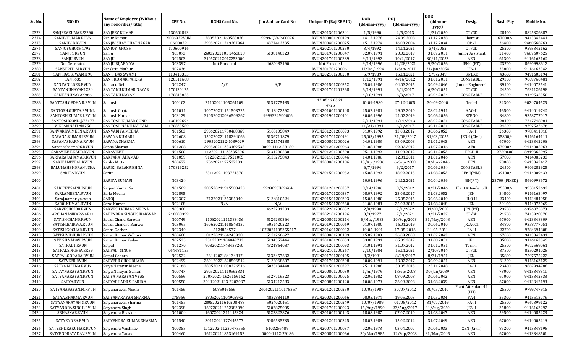|         |                      |                                                           |            |                      |                     |                        |                            |                            | <b>DOR</b>       |                             |                  |            |
|---------|----------------------|-----------------------------------------------------------|------------|----------------------|---------------------|------------------------|----------------------------|----------------------------|------------------|-----------------------------|------------------|------------|
| Sr. No. | SSO ID               | <b>Name of Employee (Without</b><br>any honorifics/title) | CPF No.    | <b>RGHS Card No.</b> | Jan Aadhar Card No. | Unique ID (Raj ERP ID) | <b>DOB</b><br>(dd-mm-yyyy) | <b>DOI</b><br>(dd-mm-yyyy) | (dd-mm-<br>yyyy) | Desig.                      | <b>Basic Pay</b> | Mobile No. |
| 2373    | SANJEEVKUMAR52260    | <b>SANJEEV KUMAR</b>                                      | 130602893  |                      |                     | RVUN201301206341       | 1/5/1990                   | 2/5/2013                   | 1/31/2050        | CT/GD                       | 28400            | 8825326887 |
| 2374    | SANJIVKUMAR.RUVN     | Sanjiv Kumar                                              | N00692RVUN | 28052021160583828    | 9999-QVAP-00076     | RVUN200801200199       | 14.12.1978                 | 24.09.2008                 | 31.12.2038       | Chemist                     | 67000/           | 9413342441 |
| 2375    | SANJIV.B.RVUN        | SANJIV SHAY BHATNAGAR                                     | CN00029    | 290520211219287964   | 4877412335          | RVUN200401200025       | 15.12.1974                 | 16.08.2004                 | 31.12.2034       | OP.-I                       | 36400            | 9460568760 |
| 2376    | SANJOYGHOSH1792      | <b>SANJOY GHOSH</b>                                       | 170600916  |                      |                     | RVUN202101200250       | 3/4/1992                   | 14.11.2021                 | 3/4/2052         | CT/GD                       | 25200            | 9593342162 |
| 2377    | SANJU1.RVUN          | Sanju                                                     | N03073     | 26032022105 2453828  | 5138140323          | RVUN201901200047       | 02.07.1991                 | 20.02.2019                 | 31.07.2051       | Junior Assistant            | 21400            | 9667607626 |
| 2378    | SANJU.RVUN           | SANJU                                                     | N02503     | 310520212012253000   |                     | RVUN201701200389       | 9/11/1992                  | 10/2/2017                  | 30/11/2052       | AEN                         | 61300            | 9116163162 |
| 2379    | Not Generated        | SANJU BIJARNIYA                                           | N03397     | Not Provided         | 4680483160          | Not Provided           | 9/14/1996                  | 12/28/2021                 | 9/30/2056        | JEN-I (PT)                  | 23700            | 8690998612 |
| 2380    | SANSKRITI.M.RVUN     | Sanskriti Mathur                                          | N02436     |                      |                     | RVUN201701200061       | 17/Jan/1994                | $1/$ Sep $/2017$           | 31/Jan/2054      | JEN-I                       | 35800            | 9116163342 |
| 2381    | SANTDASSSWAMI198     | SANT DAS SWAMI                                            | 110410355  |                      |                     | RVUN202101200230       | 5/9/1989                   | 15.11.2021                 | 5/9/2049         | SI/EXE                      | 43600            | 9491605194 |
| 2382    | SANT635              | <b>SANT KUMAR PAIKRA</b>                                  | 120511608  |                      |                     |                        | 1/12/1991                  | 4/16/2012                  | 31.01.2051       | CONSTABLE                   | 29300            | 9009760481 |
| 2383    | SANTANU.DEB.RVUN     | Santanu Deb                                               | N02247     | A/F                  | A/F                 | RVUN201501200352       | 05.09.1986                 | 04.03.2015                 | 30.09.2046       | Junior Engineer-I           | 39100            | 9414073541 |
| 2384    | SANTANUNAYAK1234     | SANTANU KUMAR NAYAK                                       | 170130125  |                      |                     | RVUN201701201268       | 6/14/1991                  | 6/4/2017                   | 6/30/2051        | CT/GD                       | 24500            | 7631126198 |
| 2385    | SANTANUNAYAK966      | SANTANU NAYAK                                             | 170815855  |                      |                     |                        | 4/10/1994                  | 6/3/2017                   | 30.04.2054       | CONSTABLE                   | 24500            | 9149535350 |
| 2386    | SANTOSH.GEDHA R.RVUN | Santosh                                                   | N00102     | 21102021105264109    | 5131775485          | 47-0546-0564-<br>4725  | 10-09-1980                 | 27-12-2005                 | 30-09-2040       | Tech-I                      | 32300            | 9024704525 |
| 2387    | SANTOSH.GUPTA.RVUNL  | Santosh Gupta                                             | N01011     | 100720211151503725   | 5118472562          | RVUN201001200148       | 25.02.1981                 | 29.03.2010                 | 28.02.1941       | AAO-II                      | 46500            | 9414019742 |
| 2388    | SANTOSH.KUMAR1.RVUN  | Santosh Kumar                                             | N03129     | 310520212036509267   | 9999322V00006       | RVUN201901200101       | 30.06.1996                 | 21.02.2019                 | 30.06.2056       | <b>STENO</b>                | 34800            | 9358777017 |
| 2389    | SANTOSHGOND@77177    | SANTOSH KUMAR GOND                                        | 130102694  |                      |                     |                        | 2/11/1991                  | 1/14/2013                  | 28.02.2051       | CONSTABLE                   | 28400            | 7717748981 |
| 2390    | VIKRAMNAITAM750      | SANTOSH NANJI NAITAM                                      | 170823580  |                      |                     |                        | 11/21/1991                 | 6/1/2017                   | 30.11.2051       | CONSTABLE                   | 24500            | 9797522676 |
| 2391    | SANVARIYA.MEENA.RVUN | SANVARIYA MEENA                                           | N01503     | 290620211750468869   | 5105105849          | RVUN201201200093       | 01.07.1992                 | 13.08.2012                 | 30.06.2052       | PA-II                       | 26300            | 9785411818 |
| 2392    | SAPANA.KUMARI.RVUN   | SAPANA KUMARI                                             | N02608     | 150220221118294066   | 5136711879          | RVUN201701200191       | 25/03/1995                 | 21/08/2017                 | 31/03/2055       | JEN-I (Civil                | 35800/           | 9116164111 |
| 2393    | SAPANASHARMA.RVUN    | SAPANA SHARMA                                             | N00610     | 2905202122-1089029   | 5124574288          | RVUN200801200026       | 04.01.1983                 | 03.09.2008                 | 31.01.2043       | AEN                         | 67000            | 9413342206 |
| 2394    | Sapanasharma06.RVUN  | Sapna Sharma                                              | N01208     | 290520211333189535   | 0000-1112-58180     | RVUN201201200063       | 01.08.1986                 | 02.02.2012                 | 31.07.2046       | AEn                         | $67000/-$        | 9414005069 |
| 2395    | SARAVJEET.KAUR.RVUN  | SARAVJEET                                                 | N01500     | 112202114-33335506   | 5134280530          | RVUN201201200290       | 05.11.1992                 | 14.08.2012                 | 30.11.2052       | TECH-II                     | 27500.00         | 8949365995 |
| 2396    | SARFARAJ.AHAMAD.RVUN | SARFARAJ AHAMAD                                           | N01059     | 91220211237521085    | 5135275843          | RVUN201101200046       | 14.01.1986                 | 12.01.2011                 | 31.01.2046       | <b>AEN</b>                  | 57800            | 9414085233 |
| 2397    | SARIKAMITTAL.RVUN    | Sarika Mittal                                             | N00677     | 7062021172537283     |                     | RVUN200801200186       | 15/Apr/1986                | 6/Sep/2008                 | 30/Apr/2046      | <b>XEN</b>                  | 78000            | 9413342417 |
| 2398    | BALUMAHENDRANUSHA    | SARIKI BALAKRISHNA                                        | 170816252  |                      |                     |                        | 6/7/1994                   | 6/2/2017                   | 30.06.2054       | CONSTABLE                   | 24500            | 9906282925 |
| 2399    | SARITA.RVUN          | Sarita                                                    |            | 23112021103724570    |                     | RVUN201501200052       | 15.08.1992                 | 18.02.2015                 | 31.08.2052       | $[En-I(MM)]$                | 39100/           | 9414009439 |
| 2400    |                      | SARITA KUMARI                                             | N03424     |                      |                     |                        | 10.04.1996                 | 24.12.2021                 | 30.04.2056       | JEN(PT)                     | 23700 (FIXED)    | 8690998672 |
| 2401    | SARJEET.SAINI.RVUN   | Sarjeet Kumar Saini                                       | N01589     | 280520211915583420   | 999989SU09664       | RVUN201201200357       | 8/14/1986                  | 8/6/2012                   | 8/31/2046        | Plant Attendent-II          | 25500/           | 9950153692 |
| 2402    | SARLAMEENA.RVUN      | Sarla Meena                                               | N02895     |                      |                     | RVUN201701200337       | 08.07.1992                 | 23.08.2017                 | 31.08.2052       | JEN                         | 34800            | 9116163497 |
| 2403    | Saroj.namoriya.rvun  | <b>SAROI</b>                                              | N02307     | 7122021135385040     | 5134810524          | RVUN201501200393       | 15.06.1980                 | 25.05.2015                 | 30.06.2040       | $H.O-II$                    | 23400            | 9413484958 |
| 2404    | SAR0J.KUMAR.RVUN     | Saroj Kumar                                               | N02108     | N/A                  | N/A                 | RVUN201501200260       | 31.08.1988                 | 25.02.2015                 | 31.08.2048       | JEN                         | 39100            | 9414073069 |
| 2405    | SARVESH0208.RVUN     | SARVESH KUMAR MEENA                                       | N03380     |                      | 4622201283          | RVUN202201200052       | 2/8/1998                   | 7/1/2022                   | 31/08/2058       | JEN (PT)                    | 23700            | 6376875073 |
| 2406    | ARCHANASIKARWAR11    | SATENDRA SINGH SIKARWAR                                   | 210808399  |                      |                     | RVUN202101200196       | 3/3/1977                   | 7/1/2021                   | 3/31/2037        | CT/GD                       | 21700            | 7415928370 |
| 2407    | SATISHCHAND.RVUN     | Satish Chand Garodia                                      | N00749     | 11062021111388436    | 5126230364          | RVUN200801200214       | 8/May/1983                 | 10/Sep/2008                | 31/May/2043      | AEN                         | 67000            | 9413348309 |
| 2408    | SATISH.BAIRWA.RVUN   | Satish Chandra Bairwa                                     | N03095     | 160620211418548137   | 5051420223          | RVUN201901200069       | 01.07.1980                 | 16.01.2019                 | 30.06.2040       | JR. ACCT                    | 34800            | 9358777051 |
| 2409    | SATISH.GOCHAR.RVUN   | Satish Gochar                                             | N02340     | 5124854577           | 1072021105355517    | RVUN201601200032       | 10-05-1991                 | 17-05-2016                 | 31-05-2051       | PA-II                       | 22700            | 9784694808 |
| 2410    | SATISHVIDHURI.RVUN   | Satish Kumar Vidhuri                                      | N00680     | 8122021164243938     | 5121260627          | RVUN200801200189       | 15.07.1983                 | 26.09.2008                 | 31.07.2043       | AEN                         | 67000            | 9413342431 |
| 2411    | SATISH.YADAV.RVUN    | Satish Kumar Yadav                                        | N02535     | 25122021104849713    | 5134357444          | RVUN201801200053       | 03.08.1991                 | 05.09.2017                 | 31.08.2051       | JEn                         | 35800            | 9116163549 |
| 2412    | SATPAL1.RVUN         | Satpal                                                    | N01270     | 90820211748438260    | 4824864087          | RVUN201201200093       | 01.01.1991                 | 31.07.2012                 | 31.01.2051       | Tech-II                     | 25500            | 9672569061 |
| 2413    | SATPALSINGHEVER59    | SATPAL SINGH                                              | 064481155  |                      |                     | RVUN202101200267       | 2/10/1984                  | 15.11.2021                 | 2/10/2044        | CT/GD                       | 37500            | 8250201028 |
| 2414    | SATPAL.GODARA.RVUN   | Satpal Godara                                             | N02522     | 2611202184134817     | 5133457632          | RVUN201701200105       | 8/2/1991                   | 8/29/2017                  | 8/31/1951        | <b>JEN</b>                  | 35800            | 7597575222 |
| 2415    | SATVEER.RVUN         | <b>SATVEER CHOUDHARY</b>                                  | N02499     | 260120221628506512   | 5136068607          | RVUN201701200398       | 30.09.1991                 | 13.02.2017                 | 30.09.2051       | <b>AEN</b>                  | 61300            | 9116163129 |
| 2416    | SATYA.MEENA.RVUN     | Satya Narayan Meena                                       | N02168     | 280520211038276516   | 5033134448          | RVUN201501200297       | 25.11.1988                 | 30.05.2015                 | 25.11.2048       | PA-II                       | 23400            | 9887994788 |
| 2417    | SATAYNARAYAN.RVUN    | Satya Narayan Suman                                       | N00747     | 290520211110562334   |                     | RVUN200801200030       | 1/Jul/1979                 | $1/$ Sep $/2008$           | 30/Jun/2039      | <b>XEN</b>                  | 78000            | 9413348311 |
| 2418    | SATYANARAYAN.RVUN    | SATYA NARAYAN VYAS                                        | N00589     | 27072021-1626159162  | 5127716523          | RVUN200801200025       | 02.06.1982                 | 08.09.2008                 | 30.06.2042       | AEN                         | 67000            | 9413342338 |
| 2419    | SATYA.RVUN           | SATYABHADR S PARIDA                                       | N00550     | 30112021133-2203037  | 5134212583          | RVUN200801200120       | 10.08.1979                 | 26.09.2008                 | 31.08.2039       | AEN                         | 67000            | 9413342198 |
| 2420    | SATYANARAYAN.M.RVUN  | Satyanarayan Meena                                        | N01456     | 5085045566           | 24062021110178357   | RVUN201201200250       | 10/05/1987                 | 30/07/2012                 | 30/05/2047       | Plant Attendant-II<br>(ITI) | 25500            | 9799747915 |
| 2421    | SATYA.SHARMA.RVUN    | SATYANARAYAN SHARMA                                       | C75969     | 28052021104905942    | 4832884110          | RVUN200301200066       | 08.05.1974                 | 19.05.2003                 | 31.05.2034       | PA-I                        | 35300            | 9413513776 |
| 2422    | SATYANARAYAN.S.RVUN  | Satyanarayan Sharma                                       | N01455     | 280520211610208483   | 5024020451          | RVUN201201200249       | 10/07/1989                 | 01/08/2012                 | 31/07/2049       | PA-II                       | 25500            | 9667399122 |
| 2423    | SATYANDRA.SINGH.RVUN | Satyandra Singh                                           | N02398     | 160720211252383090   | 5102875005          | RVUN201701200023       | 15/Aug/1990                | 23/Aug/2017                | 31/Aug/2050      | JEN-I                       | 35800            | 9116163297 |
| 2424    | SBHASKAR.RVUN        | Satyendra Bhaskar                                         | N01004     | 16072021211115324    | 5123823876          | RVUN201001200143       | 18.08.1987                 | 07.07.2010                 | 31.08.2047       | AEN                         | 59500            | 9414085228 |
| 2425    | SATYENDRA.RVUN       | SATYENDRA KUMAR SHARMA                                    | N01540     | 30112021177445577    | 5086535735          | RVUN201201200325       | 18.07.1989                 | 15.02.2012                 | 31.07.2049       | AEN                         | 67000            | 9414005219 |
| 2426    | SATYENDRAKUMAR.RVUN  | Satyendra Vaishnav                                        | N00353     | 1712202-11230473555  | 5103256489          | RVUN200701200037       | 02.06.1973                 | 03.04.2007                 | 30.06.2033       | XEN (Civil)                 | 85200            | 9413348198 |
| 2427    | SATYENDRAYADAV.RVUN  | Satyendra Yadav                                           | N00460     | 161220211853469152   | 0000-1112-76186     | RVUN200801200066       | 30/Mar/1985                | 12/Sep/2008                | 31/Mar/2045      | AEN                         | 67000            | 9413348501 |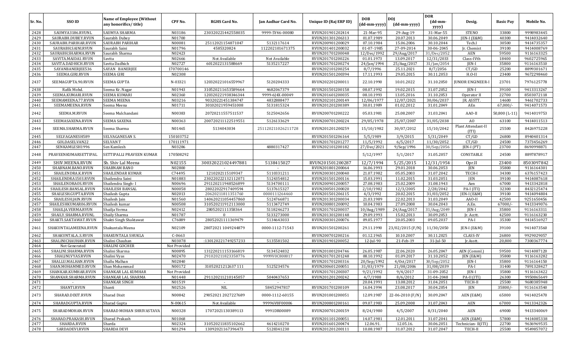| Sr. No. | SSO ID               | Name of Employee (Without | CPF No.      | <b>RGHS Card No.</b> | Jan Aadhar Card No. | Unique ID (Raj ERP ID) | <b>DOB</b>   | DOI              | <b>DOR</b><br>(dd-mm- | Desig.                      | <b>Basic Pay</b> | Mobile No. |
|---------|----------------------|---------------------------|--------------|----------------------|---------------------|------------------------|--------------|------------------|-----------------------|-----------------------------|------------------|------------|
|         |                      | any honorifics/title)     |              |                      |                     |                        | (dd-mm-yyyy) | (dd-mm-yyyy)     | yyyy)                 |                             |                  |            |
| 2428    | SAUMYA3186.RVUNL     | SAUMYA SHARMA             | N03186       | 230320221442558035   | 9999-5Y46-00080     | RVUN201901202414       | 21-Mar-95    | 29-Aug-19        | 31-Mar-55             | <b>STENO</b>                | 33800            | 9998983445 |
| 2429    | SAURABH.DUBEY.RVUN   | Saurabh Dubey             | N01700       |                      |                     | RVUN201301206313       | 01.07.1989   | 20.07.2013       | 30.06.2049            | JEN-I (E&M)                 | 40300            | 9414032640 |
| 2430    | SAURABH.PARIHAR.RVUN | <b>SAURABH PARIHAR</b>    | N00081       | 25112021154871047    | 5132117614          | RVUN200901200029       | 07.10.1984   | 15.06.2006       | 30.10.2044            | Tech.I                      | 30500            | 9414735357 |
| 2431    | SAURABH.SAINI.RVUN   | Saurabh Saini             | N01796       | 4585320824           | 112202101671375     | RVUN201401200032       | 01-07-1985   | 27-09-2014       | 30-06-2045            | Jr. Chemist                 | 39100            | 9414008769 |
| 2432    | SAURABH.SHARMA.RVUN  | Saurabh Sharma            | N02423       |                      |                     | RVUN201701200048       | 12/Dec/1992  | 29/Aug/2017      | 31/Dec/2052           | AEN                         | 59500            | 9116163325 |
| 2433    | SAVITA.MAIDA1.RVUN   | Savita                    | N02666       | Not Available        | Not Available       | RVUN201701200226       | 01.01.1973   | 13.09.2017       | 12/31/2033            | Class-IVth                  | 18400            | 9602725965 |
| 2434    | SAVITA.DADHICH.RVUN  | Savita Dadhich            | N02727       | 6012022131588669     | 5135217227          | RVUN201701200274       | 24/Jan/1994  | 25/Aug/2017      | 31/Jan/2054           | JEN-I                       | 35800            | 9116163510 |
| 2435    | SAYANBANERJEE536     | SAYAN BANERJEE            | 170700146    |                      |                     | RVUN202101200254       | 8/7/1996     | 25.11.2021       | 8/7/2056              | CT/GD                       | 25200            | 8899301671 |
| 2436    | SEEMA.GIRI.RVUN      | <b>SEEMA GIRI</b>         | N02308       |                      |                     | RVUN201501200394       | 17.11.1993   | 29.05.2015       | 30.11.2053            | $H.O-II$                    | 23400            | 9672298460 |
| 2437    | SEEMAGUPTA.90.RVUN   | SEEMA GUPTA               | N-03321      | 120320221016559967   | 5120204333          | RVUN202201200011       | 22.10.1990   | 10.01.2022       | 31.10.2050            | UNIOR ENGINEER-I            | 23701            | 7976125778 |
| 2438    | Rafik Mohd.          | Seema Kr. Nagar           | N01943       | 310520211653589664   | 4682067379          | RVUN201501200158       | 08.07.1992   | 19.02.2015       | 31.07.2052            | $IEN-I$                     | 39100            | 9413313267 |
| 2439    | SEEMA.KUMARI.RVUN    | <b>SEEMA KUMARI</b>       | N02360       | 120320221938346344   | 9999-6J4X-00049     | RVUN201601200035       | 08.10.1993   | 13.05.2016       | 31.10.2053            | Operator II                 | 22700            | 8503072118 |
| 2440    | SEEMAMEENA.77.RVUN   | <b>SEEMA MEENA</b>        | N03216       | 90320221451384747    | 4832888477          | RVUN202101200149       | 12/06/1977   | 12/07/2021       | 30/06/2037            | JR. ASSTT.                  | 14600            | 9461702733 |
| 2441    | SEEMAMEENA.RVUN      | Seema Meena               | N01711       | 30102021959451008    | 5131815324          | RVUN201201200389       | 30.01.1989   | 01.02.2012       | 31.01.2049            | AEn                         | 67,000/          | 9414071573 |
| 2442    | SEEMA.M.RVUN         | Seema Mulchandani         | N00383       | 20720211557511537    | 5125042656          | RVUN200701200222       | 05.03.1981   | 25.08.2007       | 31.03.2041            | AAO-II                      | 50,800 (L-11)    | 9414019753 |
| 2443    | SEEMASAXENA.RVUN     | <b>SEEMA SAXENA</b>       | N00363       | 200720211122519551   | 5126133629          | RVUN200701200224       | 29/05/1978   | 25/07/2007       | 31/05/2038            | AO                          | 63100            | 9414011513 |
| 2444    | SEEMA.SHARMA.RVUN    | Seema Sharma              | N01465       | 5134043034           | 251120211026211728  | RVUN201201200259       | 15/10/1982   | 30/07/2012       | 15/10/2042            | Plant Attendant-II<br>(TTI) | 25500            | 8426975228 |
| 2445    | SELVAGANESH589       | SELVAGANESAN S.           | 150103752    |                      |                     | RVUN201501206164       | 5/5/1989     | 3/9/2015         | 5/31/2049             | CT/GD                       | 26800            | 8940401314 |
| 2446    | GOLDASELVAN22        | <b>SELVANT</b>            | 170111971    |                      |                     | RVUN201701201277       | 11/5/1992    | 6/5/2017         | 11/30/2052            | CT/GD                       | 24500            | 7373456269 |
| 2447    | SENKAMLESH1996       | Sen Kamlesh               | N03286       |                      | 4880317427          | RVUN202101200182       | 27/Dec/2021  | 9/Sep/1996       | 30/Sep/2056           | $IEN-I (PT)$                | 23700            | 8690998871 |
| 2448    | PRAVEENKUMARSETTIPAL | SETTIPALLI PRAVEEN KUMAR  | 170508292    |                      |                     |                        | 5/12/1997    | 5/1/2017         | 31.05.2057            | CONSTABLE                   | 24500            | 8897878917 |
| 2449    | SHIV.MEENA.RVUN      | Sh. Shiv Lal Meena        | N02155       | 300320221024497881   | 5138415027          | RVUN201501200287       | 12/7/1994    | 5/25/2015        | 12/31/1954            | Opr.II                      | 23400            | 8503097842 |
| 2450    | SHABNAM.BANO.RVUN    | <b>SHABNAM BANO</b>       | N02800       |                      |                     | RVUN201801200064       | 16.06.1993   | 29.01.2018       | 30.06.2053            | JEN                         | 35800            | 9116164301 |
| 2451    | SHAILENDRA.K.RVUN    | SHAILENDAR KUMAR          | C74495       | 1210202115109347     | 5110331211          | RVUN200301200040       | 21.07.1982   | 05.05.2003       | 31.07.2042            | TECH-I                      | 34300            | 6376157423 |
| 2452    | SHAILENDRA1503.RVUN  | Shailendra Saini          | N01883       | 230220222132112071   | 5124354812          | RVUN201501200116       | 15.03.1991   | 11.02.2015       | 31.03.2051            | JEN                         | 39100            | 9414087618 |
| 2453    | SHAILENDRAOS.RVUN    | Shailendra Singh-I        | N00696       | 291120211948526899   | 5134700111          | RVUN200901200057       | 27.08.1983   | 25.02.2009       | 31.08.1943            | Aen                         | 67000            | 9413342818 |
| 2454    | SHAILESH.BANSAL.RVUN | <b>SHAILESH BANSAL</b>    | N00058       | 28022022917409594    | 5137615327          | RVUN200501200020       | 2/10/1982    | 12/3/2005        | 2/28/2042             | PA-I (ITI)                  | 32300            | 8432125474 |
| 2455    | SHAILESH.GUPTA.RVUN  | Shailesh Gupta            | N02013       | 20620211811351760    | 0000111264460       | RVUN201501206115       | 4/3/1992     | 20.02.2015       | 31/03/2052            | <b>JEN-I (E&amp;M)</b>      | 39100            | 9414094804 |
| 2456    | SHAILESH.JAIN.RVUN   | Shailesh Jain             | N01560       | 140620211054457860   | 5124766871          | RVUN201301200034       | 21.03.1989   | 22.02.2013       | 31.03.2049            | AAO-II                      | 42500            | 9251650456 |
| 2457    | SHAILESHKUMAR06.RVUN | Shailesh kumar            | N00508       | 310520211912113000   | 5113472749          | RVUN200801200092       | 10.04.1983   | 27.09.2008       | 30.04.2043            | A.En.                       | 67000/           | 9413349076 |
| 2458    | SHAILJA.VERMA.RVUN   | Shailja Verma             | N02412       | 2805202111358364     | 5118246273          | RVUN201701200037       | 10/Aug/1989  | 24/Aug/2017      | 31/Aug/2049           | JEN-I                       | 35800            | 9116163311 |
| 2459    | SHAILY.SHARMA.RVUNI  | Shaily Sharma             | N01787       |                      | 5133273000          | RVUN201301200148       | 29.09.1993   | 15.02.2013       | 30.09.2053            | Jr. Acctt.                  | 42500            | 9116163230 |
| 2460    | SHAKTI.SAKTAWAT.RVUN | Shakti Singh Shaktawat    | C76089       | 28052021111369479    | 5134643033          | RVUN200301200076       | 09.05.1977   | 20.05.2003       | 09.05.2037            | PA-I                        | 35300            | 9414516927 |
| 2461    | SHAKUNTALAMEENA.RVUN | Shakuntala Meena          | N02109       | 28072021 1049244879  | 0000-1112-71543     | RVUN201501200261       | 29.11.1990   | 23/02/2015 (F/N) | 11/30/2050            | JEN-I (E&M)                 | 39100            | 9414073560 |
| 2462    | SHAKUNTALAS.RVUN     | SHAKUNTALA SHUKLA         | $C-0663$     |                      |                     | RVUN200701200216       | 01.12.1965   | 10.10.2007       | 30.11.2025            | <b>CLASS-IV</b>             | 26800            | 9929029057 |
| 2463    | SHALINICHAUHAN.RVUN  | Shalini Chauhan           | N03078       | :130120221749257233  | 5135581502          | RVUN201901200052       | 12-Jul-90    | 21-Feb-19        | $31$ -Jul-50          | Jr.Asstt.                   | 20,800           | 7300367774 |
| 2464    | Not Generated        | SHALINI GOCHER            | Not Provided |                      |                     |                        |              |                  |                       |                             |                  |            |
| 2465    | SHALINI.SHARMA.RVUN  | Shalini Sharma            | N00895       | 131220211153166819   | 5134524832          | RVUN201001204746       | 26.05.1987   | 22.06.2020       | 26.05.2047            | AEN (Comml.)                | 59500            | 9414087120 |
| 2466    | SHALINI.VYAS.RVUN    | Shalini Vyas              | N02470       | 291020211823358776   | 9999V0C800017       | RVUN201701201248       | 08.10.1992   | 01.09.2017       | 31.10.2052            | $IEN$ (E&M)                 | 35800            | 9116163282 |
| 2467    | SHALLU.MALHAN.RVUN   | Shallu Malhan             | N02840       |                      |                     | RVUN201701200316       | 20/Sep/1992  | 4/0ct/2017       | 30/Sep/2052           | JEN-I                       | 35800            | 9116164150 |
| 2468    | SHAN.MOHAMMED.RVUN   | Shan Mohammad             | N00172       | 31052021212637 111   | 5125234576          | RVUN200601200051       | 31/03/1979   | 21/08/2006       | 31/08/2039            | PA-I                        | 31400            | 7891328427 |
| 2469    | SHANKAR.KUMHAR.RVUN  | SHANKAR LAL KUMHAR        | Not Provided |                      |                     | RVUN201701200307       | 9/21/1992    | 9/4/2017         | 31-09-2052            | JEN-I                       | 35800            | 9116163422 |
| 2470    | SHANKAR.SHARMA.RVUN  | SHANKAR LAL SHARMA        | N01448       | 291120211210145057   | 5040437653          | RVUN201201200242       | 4/7/1988     | 8/6/2012         | 31-04-2048            | PA-II (ITI)                 | 26300            | 9950865649 |
| 2471    | $\sim$               | SHANKAR SINGH             | N01519       |                      |                     | $\sim$                 | 20.04.1991   | 13.08.2012       | 31.04.2051            | TECH-II                     | 25500            | 9680385948 |
| 2472    | SHANTI.RVUN          | Shanti                    | N02526       | NIL                  | 58452947817         | RVUN201701200109       | 16.04.1994   | 23.08.2017       | 30.04.2054            | JEN                         | 35800/-          | 9116163540 |
| 2473    | SHARAD.DIXIT.RVUN    | Sharad Dixit              | N00842       | 29052021 2027227689  | 0000-1112-60155     | RVUN201001200051       | 12.09.1987   | 22-06-2010 (F/N) | 30.09.2047            | AEN (E&M)                   | 65000            | 9414025470 |
| 2474    | SHARADGUPTA.RVUN     | Sharad Gupta              | N-00615      | Not Available        | 99996V8F00006       | RVUN200801200161       | 09.07.1983   | 25.09.2008       | 31.07.2043            | AEN                         | 67000            | 9413342326 |
| 2475    | SHARADMOHAN.RVUN     | SHARAD MOHAN SHRIVASTAVA  | N00328       | 17072021130389113    | 9991DR00089         | RVUN200701200159       | 8/24/1980    | 4/5/2007         | 8/31/2040             | AEN                         | 69000            | 9413340069 |
| 2476    | SHARAD.PRAKASH.RVUN  | Sharad Prakash            | N01068       |                      |                     | RVUN201101200051       | 14.07.1981   | 12.01.2011       | 31.07.2041            | AEN (E&M)                   | 57800            | 9414085338 |
| 2477    | SHARDA.RVUN          | Sharda                    | N02324       | 310520211835102662   | 4614210270          | RVUN201601200474       | 12.06.91.    | 12.05.16.        | 30.06.2051            | Technician-II(ITI)          | 22700            | 9636969535 |
| 2478    | SARDADEVI.RVUN       | SHARDA DEVI               | N01294       | 13092021167396473    | 5128341230          | RVUN201201200111       | 10.08.1987   | 31.07.2012       | 31.07.2047            | TECH-II                     | 25500            | 9549857072 |
|         |                      |                           |              |                      |                     |                        |              |                  |                       |                             |                  |            |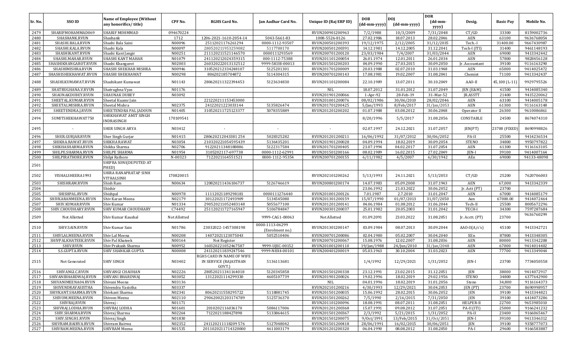| Sr. No.      | SSO ID                                    | <b>Name of Employee (Without</b>      | CPF No.          | <b>RGHS Card No.</b>                                         | Jan Aadhar Card No.                | Unique ID (Raj ERP ID)               | <b>DOB</b>               | <b>DOI</b>               | <b>DOR</b><br>$(dd{\text{-}\mathbf{mm}}$ | Desig.            | <b>Basic Pay</b> | Mobile No.               |
|--------------|-------------------------------------------|---------------------------------------|------------------|--------------------------------------------------------------|------------------------------------|--------------------------------------|--------------------------|--------------------------|------------------------------------------|-------------------|------------------|--------------------------|
|              |                                           | any honorifics/title)                 |                  |                                                              |                                    |                                      | (dd-mm-yyyy)             | (dd-mm-yyyy)             | yyyy)                                    |                   |                  |                          |
| 2479         | SHARIFMOHAMMAD069                         | <b>SHARIF MOHMMAD</b>                 | 094670224        |                                                              |                                    | RVUN200901200963                     | 7/2/1988                 | 10/3/2009                | 7/31/2048                                | CT/GD             | 33300            | 8159002736               |
| 2480         | SHASHANK.RVUN                             | Shashank                              | 1712             | 1206-2021-1610-2054-14                                       | 5043-5661-83                       | 1008-5526-8126                       | 27.02.1986               | 18.07.2013               | 28.02.2046                               | <b>AEN</b>        | 63100            | 9636768054               |
| 2481         | SHASHI.BALA.RVUN                          | Shashi Bala Saini                     | N00096           | 25112021176261294                                            | 0000-1112-93507                    | RVUN200501200393                     | 19/12/1975               | 2/12/2005                | 31/12/2035                               | Tech.-I           | 31400.00         | 9667430987               |
| 2482         | SHASHI.KALA.RVUN                          | Shashi Kala                           | N00097           | 280520211953259082                                           | 5117788170                         | RVUN200501200391                     | 14.12.1981               | 14.12.2005               | 31.12.2041                               | Tech-I (ITI)      | 31400            | 9461148193               |
| 2483         | SHASHIKANT.RVUN                           | Shashi Kant Jangir                    | N00251           | 211120211521146570                                           | 0000111293569<br>000-1112-75388    | RVUN200701200120                     | 23/03/1984               | 7/4/2007                 | 31/03/2044                               | <b>AEN</b><br>AEN | 69000            | 9413342442<br>9828456128 |
| 2484<br>2485 | SHASHI.MAHAR.RVUN<br>SHASHIKHANGAROT.RVUN | SHASHI KANT MAHAR<br>Shashi Khangarot | N01079<br>N02003 | 241120212024359315<br>260320222013132512                     | 9999-5KUB-00013                    | RVUN201101200054<br>RVUN201501200203 | 26.01.1974<br>04.09.1990 | 12.01.2011<br>27.03.2015 | 26.01.2034<br>30.09.2050                 | Jr. Accountant    | 57800<br>39100   | 9116163290               |
| 2486         | SHASHIMISHRA.RVUN                         | SHASHI SHEKHAR MISHRA                 | N00946           | 310520212334248107                                           | 5125201301                         | RVUN201701200009                     | 20.03.1988               | 02.07.2010               | 31.03.1948                               | <b>AEN</b>        | 65000            | 9414025472               |
| 2487         | SHASHISHEKHAWAT.RVUN                      | SHASHI SHEKHAWAT                      | N00298           | 806202185704872                                              | 5114304315                         | RVUN200701200143                     | 17.08.1981               | 19.02.2007               | 31.08.2041                               | Chemist           | 71100            | 9413342437               |
|              |                                           |                                       |                  |                                                              |                                    |                                      |                          |                          |                                          |                   |                  |                          |
| 2488         | SHASHI.KUMAWAT.RVUN                       | Shashikant Kumawat                    | N01143           | 280620211322394453                                           | 5123634830                         | RVUN201101200084                     | 22.10.1989               | 13.07.2011               | 30.10.2049                               | AAO-II            | 45,100 (L-11)    | 9929795526               |
| 2489         | SHATRUGHANA.V.RVUN                        | Shatrughna Vyas                       | N01176           |                                                              |                                    | NIL                                  | 18.07.2012               | 31.01.2012               | 31.07.2049                               | JEN (E&M)         | 41500            | 9414085340               |
| 2490         | SHAUNAKDUBEY.RVUN                         | <b>SHAUNAK DUBEY</b>                  | N03092           |                                                              |                                    | RVUN201901200066                     | 1-Apr-92                 | 28-Feb-19                | 31-Mar-52                                | JR.ASSTT          | 21400            | 9415220062               |
| 2491         | SHEETAL.KUMAR.RVUN                        | Sheetal Kuamr Jain                    |                  | 221220211153453000                                           |                                    | RVUN201001200076                     | 08/02/1986               | 30/06/2010               | 28/02/2046                               | AEN               | 63100            | 9414005178               |
| 2492         | SHEETALMISHRA.RVUN                        | Sheetal Mishra                        | N02375           | 24122021223033144                                            | 5135826474                         | RVUN201701200425                     | 5/Jan/1993               | 8/Feb/2017               | $31/$ Jan $/2053$                        | <b>AEN</b>        | 61300            | 9116163148               |
| 2493         | SHEETENDRA.J.RVUN                         | SHEETENDRA PAL JADOUN                 | N01405           | 310520211725123377                                           | 5078355889                         | RVUN201201200202                     | 01.07.1988               | 03.08.2012               | 30.06.2048                               | Operator II       | 26300            | 9610086861               |
| 2494         | SUMITSHEKHAWAT750                         | SHEKHAWAT AMIT SINGH<br>INDRASINGH    | 170109541        |                                                              |                                    |                                      | 8/20/1996                | 5/5/2017                 | 31.08.2056                               | CONSTABLE         | 24500            | 8674074310               |
| 2495         |                                           | SHER SINGH ARYA                       | N03412           |                                                              |                                    |                                      | 02.07.1997               | 24.12.2021               | 31.07.2057                               | JEN(PT)           | 23700 (FIXED)    | 8690998826               |
| 2496         | SHER.GURJAR.RVUN                          | Sher Singh Gurjar                     | N01415           | 280620212043381254                                           | 5028325282                         | RVUN201201200211                     | 16/06/1992               | 31/07/2012               | 30/06/2052                               | PA-II             | 25500            | 9414236534               |
| 2497         | SHIKHA.RAWAT.RVUN                         | SHIKHA RAWAT                          | N03054           | 210320221054595439                                           | 5136435201                         | RVUN201901200028                     | 04.09.1994               | 18.02.2019               | 30.09.2054                               | <b>STENO</b>      | 34800            | 9950797822               |
| 2498         | SHIKHASHARMA.RVUN                         | Shikha Sharma                         | N02706           | 91220211348188886                                            | 5122317584                         | RVUN201701200405                     | 23.07.1994               | 04.02.2017               | 31.07.2054                               | <b>AEN</b>        | 61300            | 9116163105               |
| 2499         | SHILPE.SHARMA.RVUN                        | SHILPE SHARMA                         | N01954           | 3105202117-697738                                            | 0000-1112-62991                    | RVUN201501200166                     | 08.02.1989               | 16.02.2015               | 27.02.2049                               | JEN-I             | 39100            | 9414007164               |
| 2500         | SHILPIRATHORE.RVUN                        | Shilpi Rathore                        | N-00323          | 7122021164551521                                             | 0000-1112-95354                    | RVUN200701200155                     | 6/11/1982                | 4/5/2007                 | 6/30/1942                                | AEn               | 69000            | 94133-48098              |
| 2501         |                                           | SHIPRA SONI(DEPUTED AT<br>PHED)       |                  |                                                              |                                    |                                      |                          |                          |                                          |                   |                  |                          |
| 2502         | VISHALSHEERA1993                          | SHIRA RANAPRATAP SINH<br>VITHALSINH   | 170820015        |                                                              |                                    | RVUN202101200262                     | 5/13/1993                | 24.11.2021               | 5/13/2053                                | CT/GD             | 25200            | 7620706003               |
| 2503         | SHISHRAM.RVUN                             | Shish Ram                             | N00634           | 120820211436106737                                           | 5126746619                         | RVUN200801200174                     | 14.07.1983               | 05.09.2008               | 31.07.1943                               | AEN               | 67,000           | 9413342339               |
| 2504         |                                           | Shishir                               |                  |                                                              |                                    |                                      | 23.06.1992               | 21.03.2022               | 30.06.2052                               | Jr. Actt (PT)     | 23700            |                          |
| 2505         | SHISHPAL.RVUN                             | Shishpal                              | N00978           | 11112021189298181                                            | 0000111276440                      | RVUN201001200126                     | 7.01.1987                | 2.7.2010                 | 31.01.2047                               | <b>AEN</b>        | 67000            | 9414085179               |
| 2506         | SHIVKARANMEENA.RVUN                       | Shiv Karan Meena                      | N02179           | 30122021172493909                                            | 5134545080                         | RVUN201301200159                     | 15/07/1990               | 01/07/2013               | 31/07/2050                               | Aen               | 67000.00         | 9414072464               |
| 2507         | SHIV.KUMAR.RVUN                           | Shiv Kumar                            | N01334           | 290520211052483148                                           | 5055677100                         | RVUN201201200141                     | 04.06.1984               | 01.08.2012               | 31.06.2044                               | Tech-II           | 25500            | 8005672296               |
| 2508         | SHIV.CHOUDHARY.RVUN                       | <b>SHIV KUMAR CHOUDHARY</b>           | C74492           | 251120211727165947                                           | 5106784847                         | RVUN200301200037                     | 25.01.1982               | 20.05.2003               | 31.01.2042                               | TECH-I            | 34300            | 7597287684               |
| 2509         | Not Allotted                              | Shiv Kumar Kaushal                    | Not Allotted     |                                                              | 9999-CAG1-00063                    | Not Allotted                         | 01.09.2091               | 23.03.2022               | 31.08.2051                               | Jr. Acctt. (PT)   | 23700            | 9636760299               |
| 2510         | SHIV.SAIN.RVUN                            | Shiv Kumar Sain                       | N01786           | 23032022-1457308198                                          | 0000-1113-06299<br>(Enrolment no.) | RVUN201301200147                     | 03.09.1984               | 08.07.2013               | 30.09.2044                               | $AAO-II(A/c's)$   | 45100            | 9413342721               |
| 2511         | SHIVLALMEENA.RVUN                         | Shiv Lal Meena                        | N00208           | 14072021123075043                                            | 5052510406                         | RVUN200701200086                     | 02.04.1980               | 05.02.2007               | 30.04.2040                               | XEn               | 87800            | 9413348305               |
| 2512         | SHIVPALKHATEEK.RVUN                       | Shiv Pal Khateek                      | N00164           | Not Register                                                 |                                    | RVUN200701200067                     | 15.08.1976               | 12.02.2007               | 31.08.2036                               | <b>AEN</b>        | 80000            | 9413342208               |
| 2513         | SHIV.RVUN                                 | Shiv Prakash Sharma                   | N00952           | 160320221052467587                                           | 9999-UIEC-00152                    | RVUN201001200110                     | 19/Jan/1988              | 24/Jun/2010              | 31/Jan/2048                              | <b>AEN</b>        | 67000            | 9414014402               |
| 2514         | S.S.GUPTA.RVUN                            | <b>SHIV SHANKAR GUPTA</b>             | N00008           | 241120211839247546                                           | 9999-N8X4-00101                    | RVUN200401200019                     | 05.03.1963               | 30.10.2004               | 31.03.2023                               | <b>AEN</b>        | 77700            | 9413349044               |
| 2515         | Not Generated                             | <b>SHIV SINGH</b>                     | N03402           | RGHS CARD IN NAME OF WIFE<br>IN SERVICE (RAJASTHAN<br>GOVT.) | 5136113681                         |                                      | 1/4/1992                 | 12/29/2021               | 1/31/2052                                | JEN-I             | 23700            | 7734050558               |
| 2516         | SHIVANGI.C.RVUN                           | SHIVANGI CHAUHAN                      | N02226           | 280520211341164018                                           | 5120345858                         | RVUN201501200338                     | 23.12.1991               | 23.02.2015               | 31.12.2051                               | <b>JEN</b>        | 38000            | 9414072917               |
| 2517         | SHIVANIBHARDWAJ.RVUN                      | SHIVANI BHARDWAJ                      | N03052           | 13122021114299330                                            | 4605107739                         | RVUN201901200026                     | 19.02.1996               | 18.02.2019               | 29.02.1956                               | <b>STENO</b>      | 34800            | 6377642900               |
| 2518         | SHIVANIMEENA04.RVUN                       | Shivani Meena                         | N03136           |                                                              |                                    | NIL                                  | 04.01.1996               | 18.02.2019               | 31.01.2056                               | Steno             | 34,800           | 9116164373               |
| 2519         | SHIVENDRAVASISTHA                         | Shivendra Vasistha                    | N03337           |                                                              |                                    | RVUN202101200216                     | 4/30/1993                | 12/29/2021               | 30.04.2053                               | JEN (PT)          | 23700            | 8690998957               |
| 2520         | SHIVKANT.SHARMA.RVUN                      | Shivkant Sharma                       | N02341           | 80620211558295722                                            | 5118881745                         | RVUN201501200035                     | 15.06.1992               | 28.02.2015               | 30.06.2052                               | JEN               | 39100            | 9413344821               |
| 2521         | SHIVOM.MEENA.RVUN                         | Shivom Meena                          | N02110           | 290620021203174789                                           | 5125736370                         | RVUN201501200262                     | 7/5/1990                 | 2/16/2015                | 7/31/2050                                | JEN               | 39100            | 6414073286               |
| 2522         | SHIVRAJ.RVUN                              | Shivraj -                             | N01171           |                                                              |                                    | RVUN201101200096                     | 18.08.1991               | 08.07.2011               | 31.08.2051                               | HELPER-II         | 22700            | 9653985010               |
| 2523         | SHIVRAJ.LODHA.RVUN                        | SHIVRAJ LODHA                         | N01601           | 2010202116036170                                             | 5086117006                         | RVUN201201200368                     | 15.07.1991               | 09.08.2012               | 31.07.2051                               | PA-II (ITI)       | 25000            | 9166241232               |
| 2524         | SHIV.SHARMA.RVUN                          | Shivraj Sharma                        | N02264           | 7122021188427898                                             | 5133864615                         | RVUN201501200367                     | 2/3/1992                 | 5/21/2015                | 1/31/2052                                | PA-II             | 23400            | 9166065467               |
| 2525         | SHIV.SINGH1.RVUN                          | Shivraj Singh                         | N01830           |                                                              |                                    | RVUN201501200075                     | 9/0ct/1991               | 13/Feb/2015              | 31/0ct/2051                              | JEN-I             | 39100            | 9413346312               |
| 2526         | SHIVRAM.BAIRVA.RVUN                       | Shivram Bairwa                        | N02352           | 241120211118209 576                                          | 5127048042                         | RVUN201501200418                     | 28/06/1991               | 16/02/2015               | 30/06/2051                               | JEN               | 39100            | 9358777073               |
| 2527         | SHIVRAM.MEENA.RVUN                        | SHIVRAM Meena                         | N01535           | 2011020211714320000                                          | 4611003179                         | RVUN201201200320                     | 06.04.1990               | 08.08.2012               | 31.08.2050                               | PA-I              | 29600            | 9166583887               |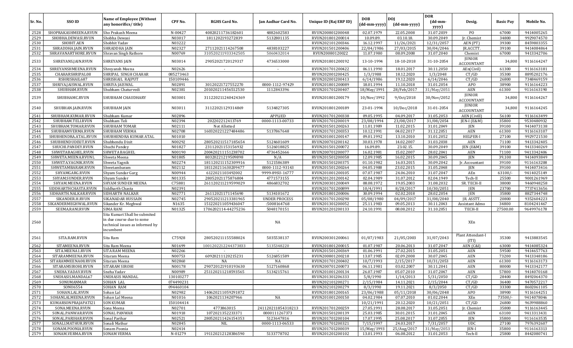| 2528<br>Sho Prakash Meena<br>N-00427<br>4882602583<br>RVUN200801200048<br>22.05.2008<br>31.07.2039<br>PO.<br>67000<br>SHOPRAKASHMEENA.RVUN<br>40820211736182601<br>02.07.1979<br>N03017<br>2529<br>SHOBHA.DEWASI.RVUN<br>Shobha Dewasi<br>1811202193272839<br>5132801135<br>RVUN201801200014<br>10.09.89.<br>03.10.18.<br>30.09.2049<br>Jr. Chemist<br>34800<br>2530<br>SHOBIT.AEN<br>Shobhit Yadav<br>N03222<br>RVUN202101200346<br>16.12.1997<br>11/26/2021<br>12/31/2057<br>AEN (PT)<br>39300<br>N02327<br>27/03/2015<br>2531<br>SHRADDHA.JAIN.RVUN<br>SHRADDHA JAIN<br>27112021114267508<br>4838103227<br>RVUN201501200406<br>22/04/1986<br>30/04/2046<br>JR.ACCTT.<br>39100<br>2532<br>SHRAVANARTHORE.RVUN<br>N00769<br>310520211933342505<br>5060432014<br>RVUN20080120022<br>11.07.1980<br>08.09.2008<br>31.07.2040<br>67000<br>Shravan Singh Rathore<br>Chemist<br><b>JUNIOR</b><br>2533<br>SHREYANS.JAIN.RVUN<br>SHREYANS JAIN<br>N03014<br>29052021720129317<br>4736533000<br>RVUN201801200192<br>13-10-1994<br>18-10-2018<br>31-10-2054<br>34,800<br><b>ACCOUNTANT</b><br>2534<br>SHREYANSHMEENA.RVUN<br>N02626<br>RVUN201701200422<br>06.11.1990<br>18.01.2017<br>30.11.2050<br>9116163181<br>Shreyansh Meena<br>AEn(Civil)<br>61300<br>$\sim$<br>$\sim$<br>2535<br>CHAHARSHRIPAL08<br>SHRIPAL SINGH CHAHAR<br>085273463<br>RVUN202001200425<br>1/3/1988<br>18.12.2020<br>35300<br>8895202176<br>1/3/2048<br>CT/GD<br>2536<br>RSHRISHAIL687<br>SHRISHAIL RAJPUT<br>150109446<br>RVUN202001200413<br>6/14/1986<br>19.12.2020<br>6/14/2046<br>CT/GD<br>26800<br>7348469159<br>2537<br>SHRIYA.JAISWAL.RVUN<br>SHRIYA JAISWAL<br>N02891<br>30120221727552270<br>0000-1112-97429<br>RVUN201801200089<br>18.01.1994<br>11.10.2018<br>31.01.2054<br>APO<br>38900<br>9116164223<br>2538<br>N02381<br>AEN<br>SHUBHAM.RVUN<br>201020211456512530<br>1112843396<br>RVUN201701200407<br>$18$ /May/1991<br>28/Feb/2017<br>31/May/2051<br>61300<br>9116163190<br>Shubham Chaturvedi<br><b>JUNIOR</b><br>2539<br>N03001<br>SHUBHAMC.RVUN<br>SHUBHAM CHAUDHARY<br>311220211240424369<br>RVUN201801200179<br>10/Nov/1992<br>9/0ct/2018<br>30/Nov/2052<br>34,800<br><b>ACCOUNTANT</b><br><b>JUNIOR</b><br>2540<br>N03011<br>5134827305<br>31-01-2054<br>34,800<br>SHUBHAN.JAIN.RVUN<br>SHUBHAM JAIN<br>31122021129314869<br>RVUN201801200189<br>23-01-1994<br>10/Dec/2018<br><b>ACCOUNTANT</b><br>N02896<br>04.09.2017<br>2541<br>SHUBHAM.KUMAR.RVUN<br>Shubham Kumar<br><b>APPLIED</b><br>RVUN201701200338<br>09.05.1995<br>31.05.2053<br>AEN (Civill)<br>56100<br>2542<br>N02394<br>202202212413769<br>35800<br>SHUBHAM.TELI.RVUN<br>Shubham Teli<br>0000-1113-00733<br>23/08/1994<br>23/08/2017<br>31/08/2054<br>$ EN-I (E&M)$<br>RVUN201701200019<br>2543<br>N02111<br>SHUBHAM.TOMAR.RVUN<br>SHUBHAM TOMAR<br>Not Allotted<br>RVUN201501200263<br>11.01.1989<br>11.02.2015<br>31.01.2049<br>JEN<br>39100<br>9414073138<br>2544<br>N02708<br>SHUBHAMVERMA.RVUN<br>SHUBHAM VERMA<br>160320221227484486<br>5137867648<br>RVUN201701200353<br>10.12.1991<br>04.02.2017<br>31.12.2051<br>AEN<br>61300<br>9116163107<br>2545<br>N01010<br>HELPER-I<br>9929721530<br>SHUBHENDRA.ATAL.RVUN<br>SHUBHENDRA KUMAR ATAL<br>RVUN201001200147<br>09.01.1992<br>13.10.2010<br>31.01.2052<br>27100<br>N00292<br>9413342405<br>2546<br>280520211517185654<br>5124601609<br>RVUN200701200142<br>30.03.1978<br>14.02.2007<br>31.03.2038<br>AEN<br>71100<br>SHUBHENDUDIXIT.RVUN<br>Shubhendu Dixit<br>2547<br>N01827<br>23.02.15.<br>39100<br>SHUCHI.PANDEY.RVUN<br>23112021153156932<br>5126018825<br>RVUN201501200072<br>16.09.89<br>30.09.2049<br>JEN (E&M)<br>9413340269<br>Shuchi Pandey<br>2548<br>SHWETABAGHEL.RVUN<br>SHWETA BAGHEL<br>N00190<br>200420211151238702<br>4736452666<br>RVUN200701200077<br>16.02.1981<br>15.02.2007<br>28.02.2041<br>AEN<br>71100<br>9413342406<br>N01805<br>16.02.2015<br><b>JEN</b><br>39,100<br>2549<br>SHWETA.MEENA.RVUNL<br>80320221219509898<br>N/A<br>RVUN201501200058<br>12.09.1985<br>30.09.2045<br>9414093849<br>Shweta Meena<br>2550<br>SHWETA.YAGNIK.RVUN<br>N02274<br>181120211152309916<br>5121586389<br>RVUN201501200375<br>01.10.1982<br>16.03.2015<br>30.09.2042<br>39100<br>9116163208<br>Shweta Yagnik<br>Jr. Accountant<br>N02112<br>23.02.2015<br>9414073416<br>2551<br>SHWETAMBARAM.RVUN<br>181120211630209477<br>0000-1112-93143<br>RVUN201501200264<br>04.05.1988<br>31.05.2048<br>JEN<br>39100<br>Shwetambaram<br>2552<br>SHYAMGARG.RVUN<br>N00944<br>6122021103492002<br>9999-89SU-16777<br>RVUN201001200105<br>07.07.1987<br>24.06.2010<br>31.07.2047<br>AEn<br>63100/<br>9414025149<br>Shyam Sundar Garg<br>2553<br>SHYAM.SUNDER.RVUN<br>N01335<br>28052021175876804<br>4771573155<br>RVUN201201200142<br>02.04.1989<br>31.07.2012<br>02.04.1949<br>Tech-II<br>25500<br>9001261969<br>Shyam Sunder<br>2554<br>C75881<br>SR. TECH-II<br>38000<br>SHYAM.MEENA.RVUN<br>SHYAM SUNDER MEENA<br>261120211219599029<br>4866832702<br>RVUN200301200049<br>08.08.1972<br>19.05.2003<br>31.08.2032<br>9460948258<br>2555<br>N02391<br>8/28/2017<br>23700<br>SIDDHARTHCHASTA.RVUN<br>Siddharth Chasta<br>RVUN201701200899<br>10/4/1991<br>10/30/2051<br>JEN<br>2556<br>SIDHARTH.NALKAR.RVUN<br>SIDHARTH NALKAR<br>N02771<br>26112021171145690<br>5134101672<br>RVUN201801200006<br>30.09.1994<br>02.02.2018<br>28.02.2054<br>JEN<br>35800<br>2557<br>N02745<br>04/09/2017<br>JR. ASSTT.<br>SIKANDER.H.RVUN<br>SIKANADAR HUSSAIN<br>290520211213381965<br><b>UNDER PROCESS</b><br>RVUN201701200290<br>05/08/1980<br>31/08/2040<br>20800<br>2558<br>SIKANDERMEGHWAL.RVUN<br>N1635<br>151220211059436047<br>RVUN201301200052<br>09.05.2013<br>34800<br>Sikander Kr. Meghwal<br>:5008164768<br>25.11.1983<br>30.11.2043<br>Assistant Admo<br>2559<br>N01325<br>27500.00<br>SEEMA.RANI.RVUN<br><b>SIMA RANI</b><br>1706202114-44275236<br>5048170151<br>RVUN201201200133<br>24.10.1991<br>08.08.2012<br>31.10.2051<br>TECH-II<br>Sita Kumari Shall be submited<br>in due course due to some<br>2560<br>NA<br>XEn<br>technical issues as informed by<br>incumbent<br>Plant Attendant-I<br>C75928<br>2561<br>SITA.RAM.RVUN<br>Sita Ram<br>280520211155588024<br>5035538137<br>RVUN200301200061<br>01/07/1983<br>21/05/2003<br>31/07/2043<br>35300<br>(ITI)<br>2562<br>N01699<br>20.06.2013<br>SITAMEENA.RVUN<br>1001202212244373833<br>5135348220<br>RVUN201801200015<br>01.07.1987<br>31.07.2047<br>AEN (C&I)<br>63000<br>Sita Ram Meena<br>2563<br>N02266<br>01.06.1991<br>27.02.2015<br>31.05.2051<br>AEN<br>59500<br>SITA.MEENA1.RVUN<br><b>SITA RAM MEENA</b><br>RVUN201501200369<br>2564<br>N00753<br>60920211120215231<br>5126851589<br>02.09.2008<br><b>AEN</b><br>73200<br>SITARAMMEENA.RVUN<br>RVUN200801200218<br>13.07.1985<br>30.07.2045<br>9413348186<br>Sitaram Meena<br>2565<br>SITARAMMEENA08.RVUN<br>N02860<br>NA<br>RVUN201701200402<br>10/7/1993<br>2/15/2017<br>10/31/2053<br>AEN<br>61300<br>9116163173<br>Sitaram Meena<br>NA<br>2566<br>N00178<br>5127160868<br><b>AEN</b><br>80000<br>9413342177<br>SITARAMSIROHI.RVUN<br><b>SITARAM SIROHI</b><br>290720121910193630<br>RVUN200701200073<br>06.11.1981<br>03.02.2007<br>30.11.2041<br>2567<br>SNEHA.YADAV.RVUN<br>Sneha Yadav<br>N00989<br>251120211218593565<br>5134215761<br>RVUN201001200134<br>26.07.1987<br>05.07.2010<br>31.07.2047<br>AEN<br>57800<br>9414070168<br>2568<br>SNEHASIS.MANDAL67<br><b>SNEHASIS MANDAL</b><br>130103277<br>RVUN201301206333<br>5/8/1990<br>1/14/2013<br>5/31/2050<br>CT/GD<br>28400<br>8492064370<br>2569<br>SONUMANMAR<br>SOHAN LAL<br>074490231<br>RVUN202101200271<br>2/15/1984<br>14.11.2021<br>2/15/2044<br>CT/GD<br>36400<br>9470572217<br>2570<br>SONU6554<br><b>SOHAN RAM</b><br>094460104<br>RVUN202101200279<br>8/3/1990<br>19.11.2021<br>8/3/2050<br>CT/GD<br>33300<br>8602061105<br>2571<br>SOHAN.LAL.RVUN<br>N02982<br>140620211059291872<br>RVUN201801200165<br>30/06/2048<br>38900<br>Sohan Lal<br>23/06/1988<br>05/11/2018<br>APO<br>9116164251<br>2572<br>SOHANLALMEENA.RVUN<br>Sohan Lal Meena<br>N01016<br>1062021134207966<br>NA<br>RVUN201001200150<br>04.02.1984<br>07.07.2010<br>01.02.2044<br>XEn<br>73500/<br>9414078046<br>2573<br>KUMARSONPRAJAPATI21<br><b>SON KUMAR</b><br>150104414<br>10/21/1991<br>20.12.2020<br>10/21/2051<br>CT/GD<br>26800<br>9639988860<br>2574<br>N02701<br>4773863015<br>241120211854318213<br>RVUN201701200259<br>SONA.MEENA.RVUN<br>27.05.1991<br>28.08.2017<br>31.05.2051<br>Jr. Chemist<br>35800<br>9116163445<br>Sona Meena<br>1072021352233371<br>2575<br>SONAL.PANWAR.RVUN<br><b>SONAL PANWAR</b><br>N01918<br>0000111267373<br>RVUN201501200139<br>25.03.1985<br>30.01.2015<br>31.01.2045<br>63100<br>AEN<br>9413313431<br>N02521<br>280520211426154353<br>35800<br>2576<br>SONAL.PARIHAR.RVUN<br>Sonal Parihar<br>5123647816<br>RVUN201701200104<br>17.07.1995<br>25.08.2017<br>31.07.2055<br>JEN<br>9116163535<br>2577<br>SONALI.MATHUR.RVUN<br>Sonali Mathur<br>N02845<br>0000-1113-06533<br>RVUN201701200321<br>24.03.2017<br>7/31/2057<br>NIL<br>7/15/1997<br>UDC<br>27100<br>7976392607<br>N02414<br>RVUN201701200039<br>2578<br>SONAM.POONIA.RVUN<br>Sonam Poonia<br>15/May/1993<br>25/Aug/2017<br>31/May/2053<br><b>JEN-I</b><br>35800<br>9116163313 | Sr. No. | SSO ID           | <b>Name of Employee (Without</b><br>any honorifics/title) | CPF No. | <b>RGHS Card No.</b> | Jan Aadhar Card No. | Unique ID (Raj ERP ID) | <b>DOB</b><br>(dd-mm-yyyy) | <b>DOJ</b><br>(dd-mm-yyyy) | <b>DOR</b><br>$(dd{\text{-}\mathbf{mm}}$ -<br>yyyy) | Desig.  | <b>Basic Pay</b> | Mobile No. |
|--------------------------------------------------------------------------------------------------------------------------------------------------------------------------------------------------------------------------------------------------------------------------------------------------------------------------------------------------------------------------------------------------------------------------------------------------------------------------------------------------------------------------------------------------------------------------------------------------------------------------------------------------------------------------------------------------------------------------------------------------------------------------------------------------------------------------------------------------------------------------------------------------------------------------------------------------------------------------------------------------------------------------------------------------------------------------------------------------------------------------------------------------------------------------------------------------------------------------------------------------------------------------------------------------------------------------------------------------------------------------------------------------------------------------------------------------------------------------------------------------------------------------------------------------------------------------------------------------------------------------------------------------------------------------------------------------------------------------------------------------------------------------------------------------------------------------------------------------------------------------------------------------------------------------------------------------------------------------------------------------------------------------------------------------------------------------------------------------------------------------------------------------------------------------------------------------------------------------------------------------------------------------------------------------------------------------------------------------------------------------------------------------------------------------------------------------------------------------------------------------------------------------------------------------------------------------------------------------------------------------------------------------------------------------------------------------------------------------------------------------------------------------------------------------------------------------------------------------------------------------------------------------------------------------------------------------------------------------------------------------------------------------------------------------------------------------------------------------------------------------------------------------------------------------------------------------------------------------------------------------------------------------------------------------------------------------------------------------------------------------------------------------------------------------------------------------------------------------------------------------------------------------------------------------------------------------------------------------------------------------------------------------------------------------------------------------------------------------------------------------------------------------------------------------------------------------------------------------------------------------------------------------------------------------------------------------------------------------------------------------------------------------------------------------------------------------------------------------------------------------------------------------------------------------------------------------------------------------------------------------------------------------------------------------------------------------------------------------------------------------------------------------------------------------------------------------------------------------------------------------------------------------------------------------------------------------------------------------------------------------------------------------------------------------------------------------------------------------------------------------------------------------------------------------------------------------------------------------------------------------------------------------------------------------------------------------------------------------------------------------------------------------------------------------------------------------------------------------------------------------------------------------------------------------------------------------------------------------------------------------------------------------------------------------------------------------------------------------------------------------------------------------------------------------------------------------------------------------------------------------------------------------------------------------------------------------------------------------------------------------------------------------------------------------------------------------------------------------------------------------------------------------------------------------------------------------------------------------------------------------------------------------------------------------------------------------------------------------------------------------------------------------------------------------------------------------------------------------------------------------------------------------------------------------------------------------------------------------------------------------------------------------------------------------------------------------------------------------------------------------------------------------------------------------------------------------------------------------------------------------------------------------------------------------------------------------------------------------------------------------------------------------------------------------------------------------------------------------------------------------------------------------------------------------------------------------------------------------------------------------------------------------------------------------------------------------------------------------------------------------------------------------------------------------------------------------------------------------------------------------------------------------------------------------------------------------------------------------------------------------------------------------------------------------------------------------------------------------------------------------------------------------------------------------------------------------------------------------------------------------------------------------------------------------------------------------------------------------------------------------------------------------------------------------------------------------------------------------------------------------------------------------------------------------------------------------------------------------------------------------------------------------------------------------------------------------------------------------------------------------------------------------------------------------------------------------------------------------------------------------------------------------------------------------------------------------------------------------------------------------------------------------------------------------------------------------------------------------------------------------------------------------------------------------------------------------------------------------------------------------------------------------------------------------------------------------------------------------------------------------------------------------------------------------------------------------------------------------------------------------------------------------------------------------------------------------------------------------------------------------------------------------------------------------------------------------------------------------------------------------------------------------------------------------------------------------------------------------------------------------------------------------------------------------------------------------------------------------------------------------------------------|---------|------------------|-----------------------------------------------------------|---------|----------------------|---------------------|------------------------|----------------------------|----------------------------|-----------------------------------------------------|---------|------------------|------------|
|                                                                                                                                                                                                                                                                                                                                                                                                                                                                                                                                                                                                                                                                                                                                                                                                                                                                                                                                                                                                                                                                                                                                                                                                                                                                                                                                                                                                                                                                                                                                                                                                                                                                                                                                                                                                                                                                                                                                                                                                                                                                                                                                                                                                                                                                                                                                                                                                                                                                                                                                                                                                                                                                                                                                                                                                                                                                                                                                                                                                                                                                                                                                                                                                                                                                                                                                                                                                                                                                                                                                                                                                                                                                                                                                                                                                                                                                                                                                                                                                                                                                                                                                                                                                                                                                                                                                                                                                                                                                                                                                                                                                                                                                                                                                                                                                                                                                                                                                                                                                                                                                                                                                                                                                                                                                                                                                                                                                                                                                                                                                                                                                                                                                                                                                                                                                                                                                                                                                                                                                                                                                                                                                                                                                                                                                                                                                                                                                                                                                                                                                                                                                                                                                                                                                                                                                                                                                                                                                                                                                                                                                                                                                                                                                                                                                                                                                                                                                                                                                                                                                                                                                                                                                                                                                                                                                                                                                                                                                                                                                                                                                                                                                                                                                                                                                                                                                                                                                                                                                                                                                                                                                                                                                                                                                                                                                                                                                                                                                                                                                                                                                                                                                                                                                                                                                    |         |                  |                                                           |         |                      |                     |                        |                            |                            |                                                     |         |                  | 9414005265 |
|                                                                                                                                                                                                                                                                                                                                                                                                                                                                                                                                                                                                                                                                                                                                                                                                                                                                                                                                                                                                                                                                                                                                                                                                                                                                                                                                                                                                                                                                                                                                                                                                                                                                                                                                                                                                                                                                                                                                                                                                                                                                                                                                                                                                                                                                                                                                                                                                                                                                                                                                                                                                                                                                                                                                                                                                                                                                                                                                                                                                                                                                                                                                                                                                                                                                                                                                                                                                                                                                                                                                                                                                                                                                                                                                                                                                                                                                                                                                                                                                                                                                                                                                                                                                                                                                                                                                                                                                                                                                                                                                                                                                                                                                                                                                                                                                                                                                                                                                                                                                                                                                                                                                                                                                                                                                                                                                                                                                                                                                                                                                                                                                                                                                                                                                                                                                                                                                                                                                                                                                                                                                                                                                                                                                                                                                                                                                                                                                                                                                                                                                                                                                                                                                                                                                                                                                                                                                                                                                                                                                                                                                                                                                                                                                                                                                                                                                                                                                                                                                                                                                                                                                                                                                                                                                                                                                                                                                                                                                                                                                                                                                                                                                                                                                                                                                                                                                                                                                                                                                                                                                                                                                                                                                                                                                                                                                                                                                                                                                                                                                                                                                                                                                                                                                                                                                    |         |                  |                                                           |         |                      |                     |                        |                            |                            |                                                     |         |                  | 9929074570 |
|                                                                                                                                                                                                                                                                                                                                                                                                                                                                                                                                                                                                                                                                                                                                                                                                                                                                                                                                                                                                                                                                                                                                                                                                                                                                                                                                                                                                                                                                                                                                                                                                                                                                                                                                                                                                                                                                                                                                                                                                                                                                                                                                                                                                                                                                                                                                                                                                                                                                                                                                                                                                                                                                                                                                                                                                                                                                                                                                                                                                                                                                                                                                                                                                                                                                                                                                                                                                                                                                                                                                                                                                                                                                                                                                                                                                                                                                                                                                                                                                                                                                                                                                                                                                                                                                                                                                                                                                                                                                                                                                                                                                                                                                                                                                                                                                                                                                                                                                                                                                                                                                                                                                                                                                                                                                                                                                                                                                                                                                                                                                                                                                                                                                                                                                                                                                                                                                                                                                                                                                                                                                                                                                                                                                                                                                                                                                                                                                                                                                                                                                                                                                                                                                                                                                                                                                                                                                                                                                                                                                                                                                                                                                                                                                                                                                                                                                                                                                                                                                                                                                                                                                                                                                                                                                                                                                                                                                                                                                                                                                                                                                                                                                                                                                                                                                                                                                                                                                                                                                                                                                                                                                                                                                                                                                                                                                                                                                                                                                                                                                                                                                                                                                                                                                                                                                    |         |                  |                                                           |         |                      |                     |                        |                            |                            |                                                     |         |                  | 8459803355 |
|                                                                                                                                                                                                                                                                                                                                                                                                                                                                                                                                                                                                                                                                                                                                                                                                                                                                                                                                                                                                                                                                                                                                                                                                                                                                                                                                                                                                                                                                                                                                                                                                                                                                                                                                                                                                                                                                                                                                                                                                                                                                                                                                                                                                                                                                                                                                                                                                                                                                                                                                                                                                                                                                                                                                                                                                                                                                                                                                                                                                                                                                                                                                                                                                                                                                                                                                                                                                                                                                                                                                                                                                                                                                                                                                                                                                                                                                                                                                                                                                                                                                                                                                                                                                                                                                                                                                                                                                                                                                                                                                                                                                                                                                                                                                                                                                                                                                                                                                                                                                                                                                                                                                                                                                                                                                                                                                                                                                                                                                                                                                                                                                                                                                                                                                                                                                                                                                                                                                                                                                                                                                                                                                                                                                                                                                                                                                                                                                                                                                                                                                                                                                                                                                                                                                                                                                                                                                                                                                                                                                                                                                                                                                                                                                                                                                                                                                                                                                                                                                                                                                                                                                                                                                                                                                                                                                                                                                                                                                                                                                                                                                                                                                                                                                                                                                                                                                                                                                                                                                                                                                                                                                                                                                                                                                                                                                                                                                                                                                                                                                                                                                                                                                                                                                                                                                    |         |                  |                                                           |         |                      |                     |                        |                            |                            |                                                     |         |                  | 9414084864 |
|                                                                                                                                                                                                                                                                                                                                                                                                                                                                                                                                                                                                                                                                                                                                                                                                                                                                                                                                                                                                                                                                                                                                                                                                                                                                                                                                                                                                                                                                                                                                                                                                                                                                                                                                                                                                                                                                                                                                                                                                                                                                                                                                                                                                                                                                                                                                                                                                                                                                                                                                                                                                                                                                                                                                                                                                                                                                                                                                                                                                                                                                                                                                                                                                                                                                                                                                                                                                                                                                                                                                                                                                                                                                                                                                                                                                                                                                                                                                                                                                                                                                                                                                                                                                                                                                                                                                                                                                                                                                                                                                                                                                                                                                                                                                                                                                                                                                                                                                                                                                                                                                                                                                                                                                                                                                                                                                                                                                                                                                                                                                                                                                                                                                                                                                                                                                                                                                                                                                                                                                                                                                                                                                                                                                                                                                                                                                                                                                                                                                                                                                                                                                                                                                                                                                                                                                                                                                                                                                                                                                                                                                                                                                                                                                                                                                                                                                                                                                                                                                                                                                                                                                                                                                                                                                                                                                                                                                                                                                                                                                                                                                                                                                                                                                                                                                                                                                                                                                                                                                                                                                                                                                                                                                                                                                                                                                                                                                                                                                                                                                                                                                                                                                                                                                                                                                    |         |                  |                                                           |         |                      |                     |                        |                            |                            |                                                     |         |                  | 9413342706 |
|                                                                                                                                                                                                                                                                                                                                                                                                                                                                                                                                                                                                                                                                                                                                                                                                                                                                                                                                                                                                                                                                                                                                                                                                                                                                                                                                                                                                                                                                                                                                                                                                                                                                                                                                                                                                                                                                                                                                                                                                                                                                                                                                                                                                                                                                                                                                                                                                                                                                                                                                                                                                                                                                                                                                                                                                                                                                                                                                                                                                                                                                                                                                                                                                                                                                                                                                                                                                                                                                                                                                                                                                                                                                                                                                                                                                                                                                                                                                                                                                                                                                                                                                                                                                                                                                                                                                                                                                                                                                                                                                                                                                                                                                                                                                                                                                                                                                                                                                                                                                                                                                                                                                                                                                                                                                                                                                                                                                                                                                                                                                                                                                                                                                                                                                                                                                                                                                                                                                                                                                                                                                                                                                                                                                                                                                                                                                                                                                                                                                                                                                                                                                                                                                                                                                                                                                                                                                                                                                                                                                                                                                                                                                                                                                                                                                                                                                                                                                                                                                                                                                                                                                                                                                                                                                                                                                                                                                                                                                                                                                                                                                                                                                                                                                                                                                                                                                                                                                                                                                                                                                                                                                                                                                                                                                                                                                                                                                                                                                                                                                                                                                                                                                                                                                                                                                    |         |                  |                                                           |         |                      |                     |                        |                            |                            |                                                     |         |                  | 9116164247 |
|                                                                                                                                                                                                                                                                                                                                                                                                                                                                                                                                                                                                                                                                                                                                                                                                                                                                                                                                                                                                                                                                                                                                                                                                                                                                                                                                                                                                                                                                                                                                                                                                                                                                                                                                                                                                                                                                                                                                                                                                                                                                                                                                                                                                                                                                                                                                                                                                                                                                                                                                                                                                                                                                                                                                                                                                                                                                                                                                                                                                                                                                                                                                                                                                                                                                                                                                                                                                                                                                                                                                                                                                                                                                                                                                                                                                                                                                                                                                                                                                                                                                                                                                                                                                                                                                                                                                                                                                                                                                                                                                                                                                                                                                                                                                                                                                                                                                                                                                                                                                                                                                                                                                                                                                                                                                                                                                                                                                                                                                                                                                                                                                                                                                                                                                                                                                                                                                                                                                                                                                                                                                                                                                                                                                                                                                                                                                                                                                                                                                                                                                                                                                                                                                                                                                                                                                                                                                                                                                                                                                                                                                                                                                                                                                                                                                                                                                                                                                                                                                                                                                                                                                                                                                                                                                                                                                                                                                                                                                                                                                                                                                                                                                                                                                                                                                                                                                                                                                                                                                                                                                                                                                                                                                                                                                                                                                                                                                                                                                                                                                                                                                                                                                                                                                                                                                    |         |                  |                                                           |         |                      |                     |                        |                            |                            |                                                     |         |                  |            |
|                                                                                                                                                                                                                                                                                                                                                                                                                                                                                                                                                                                                                                                                                                                                                                                                                                                                                                                                                                                                                                                                                                                                                                                                                                                                                                                                                                                                                                                                                                                                                                                                                                                                                                                                                                                                                                                                                                                                                                                                                                                                                                                                                                                                                                                                                                                                                                                                                                                                                                                                                                                                                                                                                                                                                                                                                                                                                                                                                                                                                                                                                                                                                                                                                                                                                                                                                                                                                                                                                                                                                                                                                                                                                                                                                                                                                                                                                                                                                                                                                                                                                                                                                                                                                                                                                                                                                                                                                                                                                                                                                                                                                                                                                                                                                                                                                                                                                                                                                                                                                                                                                                                                                                                                                                                                                                                                                                                                                                                                                                                                                                                                                                                                                                                                                                                                                                                                                                                                                                                                                                                                                                                                                                                                                                                                                                                                                                                                                                                                                                                                                                                                                                                                                                                                                                                                                                                                                                                                                                                                                                                                                                                                                                                                                                                                                                                                                                                                                                                                                                                                                                                                                                                                                                                                                                                                                                                                                                                                                                                                                                                                                                                                                                                                                                                                                                                                                                                                                                                                                                                                                                                                                                                                                                                                                                                                                                                                                                                                                                                                                                                                                                                                                                                                                                                                    |         |                  |                                                           |         |                      |                     |                        |                            |                            |                                                     |         |                  |            |
|                                                                                                                                                                                                                                                                                                                                                                                                                                                                                                                                                                                                                                                                                                                                                                                                                                                                                                                                                                                                                                                                                                                                                                                                                                                                                                                                                                                                                                                                                                                                                                                                                                                                                                                                                                                                                                                                                                                                                                                                                                                                                                                                                                                                                                                                                                                                                                                                                                                                                                                                                                                                                                                                                                                                                                                                                                                                                                                                                                                                                                                                                                                                                                                                                                                                                                                                                                                                                                                                                                                                                                                                                                                                                                                                                                                                                                                                                                                                                                                                                                                                                                                                                                                                                                                                                                                                                                                                                                                                                                                                                                                                                                                                                                                                                                                                                                                                                                                                                                                                                                                                                                                                                                                                                                                                                                                                                                                                                                                                                                                                                                                                                                                                                                                                                                                                                                                                                                                                                                                                                                                                                                                                                                                                                                                                                                                                                                                                                                                                                                                                                                                                                                                                                                                                                                                                                                                                                                                                                                                                                                                                                                                                                                                                                                                                                                                                                                                                                                                                                                                                                                                                                                                                                                                                                                                                                                                                                                                                                                                                                                                                                                                                                                                                                                                                                                                                                                                                                                                                                                                                                                                                                                                                                                                                                                                                                                                                                                                                                                                                                                                                                                                                                                                                                                                                    |         |                  |                                                           |         |                      |                     |                        |                            |                            |                                                     |         |                  |            |
|                                                                                                                                                                                                                                                                                                                                                                                                                                                                                                                                                                                                                                                                                                                                                                                                                                                                                                                                                                                                                                                                                                                                                                                                                                                                                                                                                                                                                                                                                                                                                                                                                                                                                                                                                                                                                                                                                                                                                                                                                                                                                                                                                                                                                                                                                                                                                                                                                                                                                                                                                                                                                                                                                                                                                                                                                                                                                                                                                                                                                                                                                                                                                                                                                                                                                                                                                                                                                                                                                                                                                                                                                                                                                                                                                                                                                                                                                                                                                                                                                                                                                                                                                                                                                                                                                                                                                                                                                                                                                                                                                                                                                                                                                                                                                                                                                                                                                                                                                                                                                                                                                                                                                                                                                                                                                                                                                                                                                                                                                                                                                                                                                                                                                                                                                                                                                                                                                                                                                                                                                                                                                                                                                                                                                                                                                                                                                                                                                                                                                                                                                                                                                                                                                                                                                                                                                                                                                                                                                                                                                                                                                                                                                                                                                                                                                                                                                                                                                                                                                                                                                                                                                                                                                                                                                                                                                                                                                                                                                                                                                                                                                                                                                                                                                                                                                                                                                                                                                                                                                                                                                                                                                                                                                                                                                                                                                                                                                                                                                                                                                                                                                                                                                                                                                                                                    |         |                  |                                                           |         |                      |                     |                        |                            |                            |                                                     |         |                  |            |
|                                                                                                                                                                                                                                                                                                                                                                                                                                                                                                                                                                                                                                                                                                                                                                                                                                                                                                                                                                                                                                                                                                                                                                                                                                                                                                                                                                                                                                                                                                                                                                                                                                                                                                                                                                                                                                                                                                                                                                                                                                                                                                                                                                                                                                                                                                                                                                                                                                                                                                                                                                                                                                                                                                                                                                                                                                                                                                                                                                                                                                                                                                                                                                                                                                                                                                                                                                                                                                                                                                                                                                                                                                                                                                                                                                                                                                                                                                                                                                                                                                                                                                                                                                                                                                                                                                                                                                                                                                                                                                                                                                                                                                                                                                                                                                                                                                                                                                                                                                                                                                                                                                                                                                                                                                                                                                                                                                                                                                                                                                                                                                                                                                                                                                                                                                                                                                                                                                                                                                                                                                                                                                                                                                                                                                                                                                                                                                                                                                                                                                                                                                                                                                                                                                                                                                                                                                                                                                                                                                                                                                                                                                                                                                                                                                                                                                                                                                                                                                                                                                                                                                                                                                                                                                                                                                                                                                                                                                                                                                                                                                                                                                                                                                                                                                                                                                                                                                                                                                                                                                                                                                                                                                                                                                                                                                                                                                                                                                                                                                                                                                                                                                                                                                                                                                                                    |         |                  |                                                           |         |                      |                     |                        |                            |                            |                                                     |         |                  |            |
|                                                                                                                                                                                                                                                                                                                                                                                                                                                                                                                                                                                                                                                                                                                                                                                                                                                                                                                                                                                                                                                                                                                                                                                                                                                                                                                                                                                                                                                                                                                                                                                                                                                                                                                                                                                                                                                                                                                                                                                                                                                                                                                                                                                                                                                                                                                                                                                                                                                                                                                                                                                                                                                                                                                                                                                                                                                                                                                                                                                                                                                                                                                                                                                                                                                                                                                                                                                                                                                                                                                                                                                                                                                                                                                                                                                                                                                                                                                                                                                                                                                                                                                                                                                                                                                                                                                                                                                                                                                                                                                                                                                                                                                                                                                                                                                                                                                                                                                                                                                                                                                                                                                                                                                                                                                                                                                                                                                                                                                                                                                                                                                                                                                                                                                                                                                                                                                                                                                                                                                                                                                                                                                                                                                                                                                                                                                                                                                                                                                                                                                                                                                                                                                                                                                                                                                                                                                                                                                                                                                                                                                                                                                                                                                                                                                                                                                                                                                                                                                                                                                                                                                                                                                                                                                                                                                                                                                                                                                                                                                                                                                                                                                                                                                                                                                                                                                                                                                                                                                                                                                                                                                                                                                                                                                                                                                                                                                                                                                                                                                                                                                                                                                                                                                                                                                                    |         |                  |                                                           |         |                      |                     |                        |                            |                            |                                                     |         |                  | 9116164267 |
|                                                                                                                                                                                                                                                                                                                                                                                                                                                                                                                                                                                                                                                                                                                                                                                                                                                                                                                                                                                                                                                                                                                                                                                                                                                                                                                                                                                                                                                                                                                                                                                                                                                                                                                                                                                                                                                                                                                                                                                                                                                                                                                                                                                                                                                                                                                                                                                                                                                                                                                                                                                                                                                                                                                                                                                                                                                                                                                                                                                                                                                                                                                                                                                                                                                                                                                                                                                                                                                                                                                                                                                                                                                                                                                                                                                                                                                                                                                                                                                                                                                                                                                                                                                                                                                                                                                                                                                                                                                                                                                                                                                                                                                                                                                                                                                                                                                                                                                                                                                                                                                                                                                                                                                                                                                                                                                                                                                                                                                                                                                                                                                                                                                                                                                                                                                                                                                                                                                                                                                                                                                                                                                                                                                                                                                                                                                                                                                                                                                                                                                                                                                                                                                                                                                                                                                                                                                                                                                                                                                                                                                                                                                                                                                                                                                                                                                                                                                                                                                                                                                                                                                                                                                                                                                                                                                                                                                                                                                                                                                                                                                                                                                                                                                                                                                                                                                                                                                                                                                                                                                                                                                                                                                                                                                                                                                                                                                                                                                                                                                                                                                                                                                                                                                                                                                                    |         |                  |                                                           |         |                      |                     |                        |                            |                            |                                                     |         |                  | 9116164245 |
|                                                                                                                                                                                                                                                                                                                                                                                                                                                                                                                                                                                                                                                                                                                                                                                                                                                                                                                                                                                                                                                                                                                                                                                                                                                                                                                                                                                                                                                                                                                                                                                                                                                                                                                                                                                                                                                                                                                                                                                                                                                                                                                                                                                                                                                                                                                                                                                                                                                                                                                                                                                                                                                                                                                                                                                                                                                                                                                                                                                                                                                                                                                                                                                                                                                                                                                                                                                                                                                                                                                                                                                                                                                                                                                                                                                                                                                                                                                                                                                                                                                                                                                                                                                                                                                                                                                                                                                                                                                                                                                                                                                                                                                                                                                                                                                                                                                                                                                                                                                                                                                                                                                                                                                                                                                                                                                                                                                                                                                                                                                                                                                                                                                                                                                                                                                                                                                                                                                                                                                                                                                                                                                                                                                                                                                                                                                                                                                                                                                                                                                                                                                                                                                                                                                                                                                                                                                                                                                                                                                                                                                                                                                                                                                                                                                                                                                                                                                                                                                                                                                                                                                                                                                                                                                                                                                                                                                                                                                                                                                                                                                                                                                                                                                                                                                                                                                                                                                                                                                                                                                                                                                                                                                                                                                                                                                                                                                                                                                                                                                                                                                                                                                                                                                                                                                                    |         |                  |                                                           |         |                      |                     |                        |                            |                            |                                                     |         |                  | 9116163499 |
|                                                                                                                                                                                                                                                                                                                                                                                                                                                                                                                                                                                                                                                                                                                                                                                                                                                                                                                                                                                                                                                                                                                                                                                                                                                                                                                                                                                                                                                                                                                                                                                                                                                                                                                                                                                                                                                                                                                                                                                                                                                                                                                                                                                                                                                                                                                                                                                                                                                                                                                                                                                                                                                                                                                                                                                                                                                                                                                                                                                                                                                                                                                                                                                                                                                                                                                                                                                                                                                                                                                                                                                                                                                                                                                                                                                                                                                                                                                                                                                                                                                                                                                                                                                                                                                                                                                                                                                                                                                                                                                                                                                                                                                                                                                                                                                                                                                                                                                                                                                                                                                                                                                                                                                                                                                                                                                                                                                                                                                                                                                                                                                                                                                                                                                                                                                                                                                                                                                                                                                                                                                                                                                                                                                                                                                                                                                                                                                                                                                                                                                                                                                                                                                                                                                                                                                                                                                                                                                                                                                                                                                                                                                                                                                                                                                                                                                                                                                                                                                                                                                                                                                                                                                                                                                                                                                                                                                                                                                                                                                                                                                                                                                                                                                                                                                                                                                                                                                                                                                                                                                                                                                                                                                                                                                                                                                                                                                                                                                                                                                                                                                                                                                                                                                                                                                                    |         |                  |                                                           |         |                      |                     |                        |                            |                            |                                                     |         |                  | 9530480932 |
|                                                                                                                                                                                                                                                                                                                                                                                                                                                                                                                                                                                                                                                                                                                                                                                                                                                                                                                                                                                                                                                                                                                                                                                                                                                                                                                                                                                                                                                                                                                                                                                                                                                                                                                                                                                                                                                                                                                                                                                                                                                                                                                                                                                                                                                                                                                                                                                                                                                                                                                                                                                                                                                                                                                                                                                                                                                                                                                                                                                                                                                                                                                                                                                                                                                                                                                                                                                                                                                                                                                                                                                                                                                                                                                                                                                                                                                                                                                                                                                                                                                                                                                                                                                                                                                                                                                                                                                                                                                                                                                                                                                                                                                                                                                                                                                                                                                                                                                                                                                                                                                                                                                                                                                                                                                                                                                                                                                                                                                                                                                                                                                                                                                                                                                                                                                                                                                                                                                                                                                                                                                                                                                                                                                                                                                                                                                                                                                                                                                                                                                                                                                                                                                                                                                                                                                                                                                                                                                                                                                                                                                                                                                                                                                                                                                                                                                                                                                                                                                                                                                                                                                                                                                                                                                                                                                                                                                                                                                                                                                                                                                                                                                                                                                                                                                                                                                                                                                                                                                                                                                                                                                                                                                                                                                                                                                                                                                                                                                                                                                                                                                                                                                                                                                                                                                                    |         |                  |                                                           |         |                      |                     |                        |                            |                            |                                                     |         |                  |            |
|                                                                                                                                                                                                                                                                                                                                                                                                                                                                                                                                                                                                                                                                                                                                                                                                                                                                                                                                                                                                                                                                                                                                                                                                                                                                                                                                                                                                                                                                                                                                                                                                                                                                                                                                                                                                                                                                                                                                                                                                                                                                                                                                                                                                                                                                                                                                                                                                                                                                                                                                                                                                                                                                                                                                                                                                                                                                                                                                                                                                                                                                                                                                                                                                                                                                                                                                                                                                                                                                                                                                                                                                                                                                                                                                                                                                                                                                                                                                                                                                                                                                                                                                                                                                                                                                                                                                                                                                                                                                                                                                                                                                                                                                                                                                                                                                                                                                                                                                                                                                                                                                                                                                                                                                                                                                                                                                                                                                                                                                                                                                                                                                                                                                                                                                                                                                                                                                                                                                                                                                                                                                                                                                                                                                                                                                                                                                                                                                                                                                                                                                                                                                                                                                                                                                                                                                                                                                                                                                                                                                                                                                                                                                                                                                                                                                                                                                                                                                                                                                                                                                                                                                                                                                                                                                                                                                                                                                                                                                                                                                                                                                                                                                                                                                                                                                                                                                                                                                                                                                                                                                                                                                                                                                                                                                                                                                                                                                                                                                                                                                                                                                                                                                                                                                                                                                    |         |                  |                                                           |         |                      |                     |                        |                            |                            |                                                     |         |                  |            |
|                                                                                                                                                                                                                                                                                                                                                                                                                                                                                                                                                                                                                                                                                                                                                                                                                                                                                                                                                                                                                                                                                                                                                                                                                                                                                                                                                                                                                                                                                                                                                                                                                                                                                                                                                                                                                                                                                                                                                                                                                                                                                                                                                                                                                                                                                                                                                                                                                                                                                                                                                                                                                                                                                                                                                                                                                                                                                                                                                                                                                                                                                                                                                                                                                                                                                                                                                                                                                                                                                                                                                                                                                                                                                                                                                                                                                                                                                                                                                                                                                                                                                                                                                                                                                                                                                                                                                                                                                                                                                                                                                                                                                                                                                                                                                                                                                                                                                                                                                                                                                                                                                                                                                                                                                                                                                                                                                                                                                                                                                                                                                                                                                                                                                                                                                                                                                                                                                                                                                                                                                                                                                                                                                                                                                                                                                                                                                                                                                                                                                                                                                                                                                                                                                                                                                                                                                                                                                                                                                                                                                                                                                                                                                                                                                                                                                                                                                                                                                                                                                                                                                                                                                                                                                                                                                                                                                                                                                                                                                                                                                                                                                                                                                                                                                                                                                                                                                                                                                                                                                                                                                                                                                                                                                                                                                                                                                                                                                                                                                                                                                                                                                                                                                                                                                                                                    |         |                  |                                                           |         |                      |                     |                        |                            |                            |                                                     |         |                  |            |
|                                                                                                                                                                                                                                                                                                                                                                                                                                                                                                                                                                                                                                                                                                                                                                                                                                                                                                                                                                                                                                                                                                                                                                                                                                                                                                                                                                                                                                                                                                                                                                                                                                                                                                                                                                                                                                                                                                                                                                                                                                                                                                                                                                                                                                                                                                                                                                                                                                                                                                                                                                                                                                                                                                                                                                                                                                                                                                                                                                                                                                                                                                                                                                                                                                                                                                                                                                                                                                                                                                                                                                                                                                                                                                                                                                                                                                                                                                                                                                                                                                                                                                                                                                                                                                                                                                                                                                                                                                                                                                                                                                                                                                                                                                                                                                                                                                                                                                                                                                                                                                                                                                                                                                                                                                                                                                                                                                                                                                                                                                                                                                                                                                                                                                                                                                                                                                                                                                                                                                                                                                                                                                                                                                                                                                                                                                                                                                                                                                                                                                                                                                                                                                                                                                                                                                                                                                                                                                                                                                                                                                                                                                                                                                                                                                                                                                                                                                                                                                                                                                                                                                                                                                                                                                                                                                                                                                                                                                                                                                                                                                                                                                                                                                                                                                                                                                                                                                                                                                                                                                                                                                                                                                                                                                                                                                                                                                                                                                                                                                                                                                                                                                                                                                                                                                                                    |         |                  |                                                           |         |                      |                     |                        |                            |                            |                                                     |         |                  |            |
|                                                                                                                                                                                                                                                                                                                                                                                                                                                                                                                                                                                                                                                                                                                                                                                                                                                                                                                                                                                                                                                                                                                                                                                                                                                                                                                                                                                                                                                                                                                                                                                                                                                                                                                                                                                                                                                                                                                                                                                                                                                                                                                                                                                                                                                                                                                                                                                                                                                                                                                                                                                                                                                                                                                                                                                                                                                                                                                                                                                                                                                                                                                                                                                                                                                                                                                                                                                                                                                                                                                                                                                                                                                                                                                                                                                                                                                                                                                                                                                                                                                                                                                                                                                                                                                                                                                                                                                                                                                                                                                                                                                                                                                                                                                                                                                                                                                                                                                                                                                                                                                                                                                                                                                                                                                                                                                                                                                                                                                                                                                                                                                                                                                                                                                                                                                                                                                                                                                                                                                                                                                                                                                                                                                                                                                                                                                                                                                                                                                                                                                                                                                                                                                                                                                                                                                                                                                                                                                                                                                                                                                                                                                                                                                                                                                                                                                                                                                                                                                                                                                                                                                                                                                                                                                                                                                                                                                                                                                                                                                                                                                                                                                                                                                                                                                                                                                                                                                                                                                                                                                                                                                                                                                                                                                                                                                                                                                                                                                                                                                                                                                                                                                                                                                                                                                                    |         |                  |                                                           |         |                      |                     |                        |                            |                            |                                                     |         |                  |            |
|                                                                                                                                                                                                                                                                                                                                                                                                                                                                                                                                                                                                                                                                                                                                                                                                                                                                                                                                                                                                                                                                                                                                                                                                                                                                                                                                                                                                                                                                                                                                                                                                                                                                                                                                                                                                                                                                                                                                                                                                                                                                                                                                                                                                                                                                                                                                                                                                                                                                                                                                                                                                                                                                                                                                                                                                                                                                                                                                                                                                                                                                                                                                                                                                                                                                                                                                                                                                                                                                                                                                                                                                                                                                                                                                                                                                                                                                                                                                                                                                                                                                                                                                                                                                                                                                                                                                                                                                                                                                                                                                                                                                                                                                                                                                                                                                                                                                                                                                                                                                                                                                                                                                                                                                                                                                                                                                                                                                                                                                                                                                                                                                                                                                                                                                                                                                                                                                                                                                                                                                                                                                                                                                                                                                                                                                                                                                                                                                                                                                                                                                                                                                                                                                                                                                                                                                                                                                                                                                                                                                                                                                                                                                                                                                                                                                                                                                                                                                                                                                                                                                                                                                                                                                                                                                                                                                                                                                                                                                                                                                                                                                                                                                                                                                                                                                                                                                                                                                                                                                                                                                                                                                                                                                                                                                                                                                                                                                                                                                                                                                                                                                                                                                                                                                                                                                    |         |                  |                                                           |         |                      |                     |                        |                            |                            |                                                     |         |                  |            |
|                                                                                                                                                                                                                                                                                                                                                                                                                                                                                                                                                                                                                                                                                                                                                                                                                                                                                                                                                                                                                                                                                                                                                                                                                                                                                                                                                                                                                                                                                                                                                                                                                                                                                                                                                                                                                                                                                                                                                                                                                                                                                                                                                                                                                                                                                                                                                                                                                                                                                                                                                                                                                                                                                                                                                                                                                                                                                                                                                                                                                                                                                                                                                                                                                                                                                                                                                                                                                                                                                                                                                                                                                                                                                                                                                                                                                                                                                                                                                                                                                                                                                                                                                                                                                                                                                                                                                                                                                                                                                                                                                                                                                                                                                                                                                                                                                                                                                                                                                                                                                                                                                                                                                                                                                                                                                                                                                                                                                                                                                                                                                                                                                                                                                                                                                                                                                                                                                                                                                                                                                                                                                                                                                                                                                                                                                                                                                                                                                                                                                                                                                                                                                                                                                                                                                                                                                                                                                                                                                                                                                                                                                                                                                                                                                                                                                                                                                                                                                                                                                                                                                                                                                                                                                                                                                                                                                                                                                                                                                                                                                                                                                                                                                                                                                                                                                                                                                                                                                                                                                                                                                                                                                                                                                                                                                                                                                                                                                                                                                                                                                                                                                                                                                                                                                                                                    |         |                  |                                                           |         |                      |                     |                        |                            |                            |                                                     |         |                  |            |
|                                                                                                                                                                                                                                                                                                                                                                                                                                                                                                                                                                                                                                                                                                                                                                                                                                                                                                                                                                                                                                                                                                                                                                                                                                                                                                                                                                                                                                                                                                                                                                                                                                                                                                                                                                                                                                                                                                                                                                                                                                                                                                                                                                                                                                                                                                                                                                                                                                                                                                                                                                                                                                                                                                                                                                                                                                                                                                                                                                                                                                                                                                                                                                                                                                                                                                                                                                                                                                                                                                                                                                                                                                                                                                                                                                                                                                                                                                                                                                                                                                                                                                                                                                                                                                                                                                                                                                                                                                                                                                                                                                                                                                                                                                                                                                                                                                                                                                                                                                                                                                                                                                                                                                                                                                                                                                                                                                                                                                                                                                                                                                                                                                                                                                                                                                                                                                                                                                                                                                                                                                                                                                                                                                                                                                                                                                                                                                                                                                                                                                                                                                                                                                                                                                                                                                                                                                                                                                                                                                                                                                                                                                                                                                                                                                                                                                                                                                                                                                                                                                                                                                                                                                                                                                                                                                                                                                                                                                                                                                                                                                                                                                                                                                                                                                                                                                                                                                                                                                                                                                                                                                                                                                                                                                                                                                                                                                                                                                                                                                                                                                                                                                                                                                                                                                                                    |         |                  |                                                           |         |                      |                     |                        |                            |                            |                                                     |         |                  |            |
|                                                                                                                                                                                                                                                                                                                                                                                                                                                                                                                                                                                                                                                                                                                                                                                                                                                                                                                                                                                                                                                                                                                                                                                                                                                                                                                                                                                                                                                                                                                                                                                                                                                                                                                                                                                                                                                                                                                                                                                                                                                                                                                                                                                                                                                                                                                                                                                                                                                                                                                                                                                                                                                                                                                                                                                                                                                                                                                                                                                                                                                                                                                                                                                                                                                                                                                                                                                                                                                                                                                                                                                                                                                                                                                                                                                                                                                                                                                                                                                                                                                                                                                                                                                                                                                                                                                                                                                                                                                                                                                                                                                                                                                                                                                                                                                                                                                                                                                                                                                                                                                                                                                                                                                                                                                                                                                                                                                                                                                                                                                                                                                                                                                                                                                                                                                                                                                                                                                                                                                                                                                                                                                                                                                                                                                                                                                                                                                                                                                                                                                                                                                                                                                                                                                                                                                                                                                                                                                                                                                                                                                                                                                                                                                                                                                                                                                                                                                                                                                                                                                                                                                                                                                                                                                                                                                                                                                                                                                                                                                                                                                                                                                                                                                                                                                                                                                                                                                                                                                                                                                                                                                                                                                                                                                                                                                                                                                                                                                                                                                                                                                                                                                                                                                                                                                                    |         |                  |                                                           |         |                      |                     |                        |                            |                            |                                                     |         |                  |            |
|                                                                                                                                                                                                                                                                                                                                                                                                                                                                                                                                                                                                                                                                                                                                                                                                                                                                                                                                                                                                                                                                                                                                                                                                                                                                                                                                                                                                                                                                                                                                                                                                                                                                                                                                                                                                                                                                                                                                                                                                                                                                                                                                                                                                                                                                                                                                                                                                                                                                                                                                                                                                                                                                                                                                                                                                                                                                                                                                                                                                                                                                                                                                                                                                                                                                                                                                                                                                                                                                                                                                                                                                                                                                                                                                                                                                                                                                                                                                                                                                                                                                                                                                                                                                                                                                                                                                                                                                                                                                                                                                                                                                                                                                                                                                                                                                                                                                                                                                                                                                                                                                                                                                                                                                                                                                                                                                                                                                                                                                                                                                                                                                                                                                                                                                                                                                                                                                                                                                                                                                                                                                                                                                                                                                                                                                                                                                                                                                                                                                                                                                                                                                                                                                                                                                                                                                                                                                                                                                                                                                                                                                                                                                                                                                                                                                                                                                                                                                                                                                                                                                                                                                                                                                                                                                                                                                                                                                                                                                                                                                                                                                                                                                                                                                                                                                                                                                                                                                                                                                                                                                                                                                                                                                                                                                                                                                                                                                                                                                                                                                                                                                                                                                                                                                                                                                    |         |                  |                                                           |         |                      |                     |                        |                            |                            |                                                     |         |                  |            |
|                                                                                                                                                                                                                                                                                                                                                                                                                                                                                                                                                                                                                                                                                                                                                                                                                                                                                                                                                                                                                                                                                                                                                                                                                                                                                                                                                                                                                                                                                                                                                                                                                                                                                                                                                                                                                                                                                                                                                                                                                                                                                                                                                                                                                                                                                                                                                                                                                                                                                                                                                                                                                                                                                                                                                                                                                                                                                                                                                                                                                                                                                                                                                                                                                                                                                                                                                                                                                                                                                                                                                                                                                                                                                                                                                                                                                                                                                                                                                                                                                                                                                                                                                                                                                                                                                                                                                                                                                                                                                                                                                                                                                                                                                                                                                                                                                                                                                                                                                                                                                                                                                                                                                                                                                                                                                                                                                                                                                                                                                                                                                                                                                                                                                                                                                                                                                                                                                                                                                                                                                                                                                                                                                                                                                                                                                                                                                                                                                                                                                                                                                                                                                                                                                                                                                                                                                                                                                                                                                                                                                                                                                                                                                                                                                                                                                                                                                                                                                                                                                                                                                                                                                                                                                                                                                                                                                                                                                                                                                                                                                                                                                                                                                                                                                                                                                                                                                                                                                                                                                                                                                                                                                                                                                                                                                                                                                                                                                                                                                                                                                                                                                                                                                                                                                                                                    |         |                  |                                                           |         |                      |                     |                        |                            |                            |                                                     |         |                  |            |
|                                                                                                                                                                                                                                                                                                                                                                                                                                                                                                                                                                                                                                                                                                                                                                                                                                                                                                                                                                                                                                                                                                                                                                                                                                                                                                                                                                                                                                                                                                                                                                                                                                                                                                                                                                                                                                                                                                                                                                                                                                                                                                                                                                                                                                                                                                                                                                                                                                                                                                                                                                                                                                                                                                                                                                                                                                                                                                                                                                                                                                                                                                                                                                                                                                                                                                                                                                                                                                                                                                                                                                                                                                                                                                                                                                                                                                                                                                                                                                                                                                                                                                                                                                                                                                                                                                                                                                                                                                                                                                                                                                                                                                                                                                                                                                                                                                                                                                                                                                                                                                                                                                                                                                                                                                                                                                                                                                                                                                                                                                                                                                                                                                                                                                                                                                                                                                                                                                                                                                                                                                                                                                                                                                                                                                                                                                                                                                                                                                                                                                                                                                                                                                                                                                                                                                                                                                                                                                                                                                                                                                                                                                                                                                                                                                                                                                                                                                                                                                                                                                                                                                                                                                                                                                                                                                                                                                                                                                                                                                                                                                                                                                                                                                                                                                                                                                                                                                                                                                                                                                                                                                                                                                                                                                                                                                                                                                                                                                                                                                                                                                                                                                                                                                                                                                                                    |         |                  |                                                           |         |                      |                     |                        |                            |                            |                                                     |         |                  | 7737413656 |
|                                                                                                                                                                                                                                                                                                                                                                                                                                                                                                                                                                                                                                                                                                                                                                                                                                                                                                                                                                                                                                                                                                                                                                                                                                                                                                                                                                                                                                                                                                                                                                                                                                                                                                                                                                                                                                                                                                                                                                                                                                                                                                                                                                                                                                                                                                                                                                                                                                                                                                                                                                                                                                                                                                                                                                                                                                                                                                                                                                                                                                                                                                                                                                                                                                                                                                                                                                                                                                                                                                                                                                                                                                                                                                                                                                                                                                                                                                                                                                                                                                                                                                                                                                                                                                                                                                                                                                                                                                                                                                                                                                                                                                                                                                                                                                                                                                                                                                                                                                                                                                                                                                                                                                                                                                                                                                                                                                                                                                                                                                                                                                                                                                                                                                                                                                                                                                                                                                                                                                                                                                                                                                                                                                                                                                                                                                                                                                                                                                                                                                                                                                                                                                                                                                                                                                                                                                                                                                                                                                                                                                                                                                                                                                                                                                                                                                                                                                                                                                                                                                                                                                                                                                                                                                                                                                                                                                                                                                                                                                                                                                                                                                                                                                                                                                                                                                                                                                                                                                                                                                                                                                                                                                                                                                                                                                                                                                                                                                                                                                                                                                                                                                                                                                                                                                                                    |         |                  |                                                           |         |                      |                     |                        |                            |                            |                                                     |         |                  | 8827344748 |
|                                                                                                                                                                                                                                                                                                                                                                                                                                                                                                                                                                                                                                                                                                                                                                                                                                                                                                                                                                                                                                                                                                                                                                                                                                                                                                                                                                                                                                                                                                                                                                                                                                                                                                                                                                                                                                                                                                                                                                                                                                                                                                                                                                                                                                                                                                                                                                                                                                                                                                                                                                                                                                                                                                                                                                                                                                                                                                                                                                                                                                                                                                                                                                                                                                                                                                                                                                                                                                                                                                                                                                                                                                                                                                                                                                                                                                                                                                                                                                                                                                                                                                                                                                                                                                                                                                                                                                                                                                                                                                                                                                                                                                                                                                                                                                                                                                                                                                                                                                                                                                                                                                                                                                                                                                                                                                                                                                                                                                                                                                                                                                                                                                                                                                                                                                                                                                                                                                                                                                                                                                                                                                                                                                                                                                                                                                                                                                                                                                                                                                                                                                                                                                                                                                                                                                                                                                                                                                                                                                                                                                                                                                                                                                                                                                                                                                                                                                                                                                                                                                                                                                                                                                                                                                                                                                                                                                                                                                                                                                                                                                                                                                                                                                                                                                                                                                                                                                                                                                                                                                                                                                                                                                                                                                                                                                                                                                                                                                                                                                                                                                                                                                                                                                                                                                                                    |         |                  |                                                           |         |                      |                     |                        |                            |                            |                                                     |         |                  | 9352604223 |
|                                                                                                                                                                                                                                                                                                                                                                                                                                                                                                                                                                                                                                                                                                                                                                                                                                                                                                                                                                                                                                                                                                                                                                                                                                                                                                                                                                                                                                                                                                                                                                                                                                                                                                                                                                                                                                                                                                                                                                                                                                                                                                                                                                                                                                                                                                                                                                                                                                                                                                                                                                                                                                                                                                                                                                                                                                                                                                                                                                                                                                                                                                                                                                                                                                                                                                                                                                                                                                                                                                                                                                                                                                                                                                                                                                                                                                                                                                                                                                                                                                                                                                                                                                                                                                                                                                                                                                                                                                                                                                                                                                                                                                                                                                                                                                                                                                                                                                                                                                                                                                                                                                                                                                                                                                                                                                                                                                                                                                                                                                                                                                                                                                                                                                                                                                                                                                                                                                                                                                                                                                                                                                                                                                                                                                                                                                                                                                                                                                                                                                                                                                                                                                                                                                                                                                                                                                                                                                                                                                                                                                                                                                                                                                                                                                                                                                                                                                                                                                                                                                                                                                                                                                                                                                                                                                                                                                                                                                                                                                                                                                                                                                                                                                                                                                                                                                                                                                                                                                                                                                                                                                                                                                                                                                                                                                                                                                                                                                                                                                                                                                                                                                                                                                                                                                                                    |         |                  |                                                           |         |                      |                     |                        |                            |                            |                                                     |         |                  | 8104241467 |
|                                                                                                                                                                                                                                                                                                                                                                                                                                                                                                                                                                                                                                                                                                                                                                                                                                                                                                                                                                                                                                                                                                                                                                                                                                                                                                                                                                                                                                                                                                                                                                                                                                                                                                                                                                                                                                                                                                                                                                                                                                                                                                                                                                                                                                                                                                                                                                                                                                                                                                                                                                                                                                                                                                                                                                                                                                                                                                                                                                                                                                                                                                                                                                                                                                                                                                                                                                                                                                                                                                                                                                                                                                                                                                                                                                                                                                                                                                                                                                                                                                                                                                                                                                                                                                                                                                                                                                                                                                                                                                                                                                                                                                                                                                                                                                                                                                                                                                                                                                                                                                                                                                                                                                                                                                                                                                                                                                                                                                                                                                                                                                                                                                                                                                                                                                                                                                                                                                                                                                                                                                                                                                                                                                                                                                                                                                                                                                                                                                                                                                                                                                                                                                                                                                                                                                                                                                                                                                                                                                                                                                                                                                                                                                                                                                                                                                                                                                                                                                                                                                                                                                                                                                                                                                                                                                                                                                                                                                                                                                                                                                                                                                                                                                                                                                                                                                                                                                                                                                                                                                                                                                                                                                                                                                                                                                                                                                                                                                                                                                                                                                                                                                                                                                                                                                                                    |         |                  |                                                           |         |                      |                     |                        |                            |                            |                                                     |         |                  | 9649976178 |
|                                                                                                                                                                                                                                                                                                                                                                                                                                                                                                                                                                                                                                                                                                                                                                                                                                                                                                                                                                                                                                                                                                                                                                                                                                                                                                                                                                                                                                                                                                                                                                                                                                                                                                                                                                                                                                                                                                                                                                                                                                                                                                                                                                                                                                                                                                                                                                                                                                                                                                                                                                                                                                                                                                                                                                                                                                                                                                                                                                                                                                                                                                                                                                                                                                                                                                                                                                                                                                                                                                                                                                                                                                                                                                                                                                                                                                                                                                                                                                                                                                                                                                                                                                                                                                                                                                                                                                                                                                                                                                                                                                                                                                                                                                                                                                                                                                                                                                                                                                                                                                                                                                                                                                                                                                                                                                                                                                                                                                                                                                                                                                                                                                                                                                                                                                                                                                                                                                                                                                                                                                                                                                                                                                                                                                                                                                                                                                                                                                                                                                                                                                                                                                                                                                                                                                                                                                                                                                                                                                                                                                                                                                                                                                                                                                                                                                                                                                                                                                                                                                                                                                                                                                                                                                                                                                                                                                                                                                                                                                                                                                                                                                                                                                                                                                                                                                                                                                                                                                                                                                                                                                                                                                                                                                                                                                                                                                                                                                                                                                                                                                                                                                                                                                                                                                                                    |         |                  |                                                           |         |                      |                     |                        |                            |                            |                                                     |         |                  |            |
|                                                                                                                                                                                                                                                                                                                                                                                                                                                                                                                                                                                                                                                                                                                                                                                                                                                                                                                                                                                                                                                                                                                                                                                                                                                                                                                                                                                                                                                                                                                                                                                                                                                                                                                                                                                                                                                                                                                                                                                                                                                                                                                                                                                                                                                                                                                                                                                                                                                                                                                                                                                                                                                                                                                                                                                                                                                                                                                                                                                                                                                                                                                                                                                                                                                                                                                                                                                                                                                                                                                                                                                                                                                                                                                                                                                                                                                                                                                                                                                                                                                                                                                                                                                                                                                                                                                                                                                                                                                                                                                                                                                                                                                                                                                                                                                                                                                                                                                                                                                                                                                                                                                                                                                                                                                                                                                                                                                                                                                                                                                                                                                                                                                                                                                                                                                                                                                                                                                                                                                                                                                                                                                                                                                                                                                                                                                                                                                                                                                                                                                                                                                                                                                                                                                                                                                                                                                                                                                                                                                                                                                                                                                                                                                                                                                                                                                                                                                                                                                                                                                                                                                                                                                                                                                                                                                                                                                                                                                                                                                                                                                                                                                                                                                                                                                                                                                                                                                                                                                                                                                                                                                                                                                                                                                                                                                                                                                                                                                                                                                                                                                                                                                                                                                                                                                                    |         |                  |                                                           |         |                      |                     |                        |                            |                            |                                                     |         |                  | 9413883545 |
|                                                                                                                                                                                                                                                                                                                                                                                                                                                                                                                                                                                                                                                                                                                                                                                                                                                                                                                                                                                                                                                                                                                                                                                                                                                                                                                                                                                                                                                                                                                                                                                                                                                                                                                                                                                                                                                                                                                                                                                                                                                                                                                                                                                                                                                                                                                                                                                                                                                                                                                                                                                                                                                                                                                                                                                                                                                                                                                                                                                                                                                                                                                                                                                                                                                                                                                                                                                                                                                                                                                                                                                                                                                                                                                                                                                                                                                                                                                                                                                                                                                                                                                                                                                                                                                                                                                                                                                                                                                                                                                                                                                                                                                                                                                                                                                                                                                                                                                                                                                                                                                                                                                                                                                                                                                                                                                                                                                                                                                                                                                                                                                                                                                                                                                                                                                                                                                                                                                                                                                                                                                                                                                                                                                                                                                                                                                                                                                                                                                                                                                                                                                                                                                                                                                                                                                                                                                                                                                                                                                                                                                                                                                                                                                                                                                                                                                                                                                                                                                                                                                                                                                                                                                                                                                                                                                                                                                                                                                                                                                                                                                                                                                                                                                                                                                                                                                                                                                                                                                                                                                                                                                                                                                                                                                                                                                                                                                                                                                                                                                                                                                                                                                                                                                                                                                                    |         |                  |                                                           |         |                      |                     |                        |                            |                            |                                                     |         |                  | 9414085324 |
|                                                                                                                                                                                                                                                                                                                                                                                                                                                                                                                                                                                                                                                                                                                                                                                                                                                                                                                                                                                                                                                                                                                                                                                                                                                                                                                                                                                                                                                                                                                                                                                                                                                                                                                                                                                                                                                                                                                                                                                                                                                                                                                                                                                                                                                                                                                                                                                                                                                                                                                                                                                                                                                                                                                                                                                                                                                                                                                                                                                                                                                                                                                                                                                                                                                                                                                                                                                                                                                                                                                                                                                                                                                                                                                                                                                                                                                                                                                                                                                                                                                                                                                                                                                                                                                                                                                                                                                                                                                                                                                                                                                                                                                                                                                                                                                                                                                                                                                                                                                                                                                                                                                                                                                                                                                                                                                                                                                                                                                                                                                                                                                                                                                                                                                                                                                                                                                                                                                                                                                                                                                                                                                                                                                                                                                                                                                                                                                                                                                                                                                                                                                                                                                                                                                                                                                                                                                                                                                                                                                                                                                                                                                                                                                                                                                                                                                                                                                                                                                                                                                                                                                                                                                                                                                                                                                                                                                                                                                                                                                                                                                                                                                                                                                                                                                                                                                                                                                                                                                                                                                                                                                                                                                                                                                                                                                                                                                                                                                                                                                                                                                                                                                                                                                                                                                                    |         |                  |                                                           |         |                      |                     |                        |                            |                            |                                                     |         |                  | 9414657763 |
|                                                                                                                                                                                                                                                                                                                                                                                                                                                                                                                                                                                                                                                                                                                                                                                                                                                                                                                                                                                                                                                                                                                                                                                                                                                                                                                                                                                                                                                                                                                                                                                                                                                                                                                                                                                                                                                                                                                                                                                                                                                                                                                                                                                                                                                                                                                                                                                                                                                                                                                                                                                                                                                                                                                                                                                                                                                                                                                                                                                                                                                                                                                                                                                                                                                                                                                                                                                                                                                                                                                                                                                                                                                                                                                                                                                                                                                                                                                                                                                                                                                                                                                                                                                                                                                                                                                                                                                                                                                                                                                                                                                                                                                                                                                                                                                                                                                                                                                                                                                                                                                                                                                                                                                                                                                                                                                                                                                                                                                                                                                                                                                                                                                                                                                                                                                                                                                                                                                                                                                                                                                                                                                                                                                                                                                                                                                                                                                                                                                                                                                                                                                                                                                                                                                                                                                                                                                                                                                                                                                                                                                                                                                                                                                                                                                                                                                                                                                                                                                                                                                                                                                                                                                                                                                                                                                                                                                                                                                                                                                                                                                                                                                                                                                                                                                                                                                                                                                                                                                                                                                                                                                                                                                                                                                                                                                                                                                                                                                                                                                                                                                                                                                                                                                                                                                                    |         |                  |                                                           |         |                      |                     |                        |                            |                            |                                                     |         |                  |            |
|                                                                                                                                                                                                                                                                                                                                                                                                                                                                                                                                                                                                                                                                                                                                                                                                                                                                                                                                                                                                                                                                                                                                                                                                                                                                                                                                                                                                                                                                                                                                                                                                                                                                                                                                                                                                                                                                                                                                                                                                                                                                                                                                                                                                                                                                                                                                                                                                                                                                                                                                                                                                                                                                                                                                                                                                                                                                                                                                                                                                                                                                                                                                                                                                                                                                                                                                                                                                                                                                                                                                                                                                                                                                                                                                                                                                                                                                                                                                                                                                                                                                                                                                                                                                                                                                                                                                                                                                                                                                                                                                                                                                                                                                                                                                                                                                                                                                                                                                                                                                                                                                                                                                                                                                                                                                                                                                                                                                                                                                                                                                                                                                                                                                                                                                                                                                                                                                                                                                                                                                                                                                                                                                                                                                                                                                                                                                                                                                                                                                                                                                                                                                                                                                                                                                                                                                                                                                                                                                                                                                                                                                                                                                                                                                                                                                                                                                                                                                                                                                                                                                                                                                                                                                                                                                                                                                                                                                                                                                                                                                                                                                                                                                                                                                                                                                                                                                                                                                                                                                                                                                                                                                                                                                                                                                                                                                                                                                                                                                                                                                                                                                                                                                                                                                                                                                    |         |                  |                                                           |         |                      |                     |                        |                            |                            |                                                     |         |                  |            |
|                                                                                                                                                                                                                                                                                                                                                                                                                                                                                                                                                                                                                                                                                                                                                                                                                                                                                                                                                                                                                                                                                                                                                                                                                                                                                                                                                                                                                                                                                                                                                                                                                                                                                                                                                                                                                                                                                                                                                                                                                                                                                                                                                                                                                                                                                                                                                                                                                                                                                                                                                                                                                                                                                                                                                                                                                                                                                                                                                                                                                                                                                                                                                                                                                                                                                                                                                                                                                                                                                                                                                                                                                                                                                                                                                                                                                                                                                                                                                                                                                                                                                                                                                                                                                                                                                                                                                                                                                                                                                                                                                                                                                                                                                                                                                                                                                                                                                                                                                                                                                                                                                                                                                                                                                                                                                                                                                                                                                                                                                                                                                                                                                                                                                                                                                                                                                                                                                                                                                                                                                                                                                                                                                                                                                                                                                                                                                                                                                                                                                                                                                                                                                                                                                                                                                                                                                                                                                                                                                                                                                                                                                                                                                                                                                                                                                                                                                                                                                                                                                                                                                                                                                                                                                                                                                                                                                                                                                                                                                                                                                                                                                                                                                                                                                                                                                                                                                                                                                                                                                                                                                                                                                                                                                                                                                                                                                                                                                                                                                                                                                                                                                                                                                                                                                                                                    |         |                  |                                                           |         |                      |                     |                        |                            |                            |                                                     |         |                  |            |
|                                                                                                                                                                                                                                                                                                                                                                                                                                                                                                                                                                                                                                                                                                                                                                                                                                                                                                                                                                                                                                                                                                                                                                                                                                                                                                                                                                                                                                                                                                                                                                                                                                                                                                                                                                                                                                                                                                                                                                                                                                                                                                                                                                                                                                                                                                                                                                                                                                                                                                                                                                                                                                                                                                                                                                                                                                                                                                                                                                                                                                                                                                                                                                                                                                                                                                                                                                                                                                                                                                                                                                                                                                                                                                                                                                                                                                                                                                                                                                                                                                                                                                                                                                                                                                                                                                                                                                                                                                                                                                                                                                                                                                                                                                                                                                                                                                                                                                                                                                                                                                                                                                                                                                                                                                                                                                                                                                                                                                                                                                                                                                                                                                                                                                                                                                                                                                                                                                                                                                                                                                                                                                                                                                                                                                                                                                                                                                                                                                                                                                                                                                                                                                                                                                                                                                                                                                                                                                                                                                                                                                                                                                                                                                                                                                                                                                                                                                                                                                                                                                                                                                                                                                                                                                                                                                                                                                                                                                                                                                                                                                                                                                                                                                                                                                                                                                                                                                                                                                                                                                                                                                                                                                                                                                                                                                                                                                                                                                                                                                                                                                                                                                                                                                                                                                                                    |         |                  |                                                           |         |                      |                     |                        |                            |                            |                                                     |         |                  |            |
|                                                                                                                                                                                                                                                                                                                                                                                                                                                                                                                                                                                                                                                                                                                                                                                                                                                                                                                                                                                                                                                                                                                                                                                                                                                                                                                                                                                                                                                                                                                                                                                                                                                                                                                                                                                                                                                                                                                                                                                                                                                                                                                                                                                                                                                                                                                                                                                                                                                                                                                                                                                                                                                                                                                                                                                                                                                                                                                                                                                                                                                                                                                                                                                                                                                                                                                                                                                                                                                                                                                                                                                                                                                                                                                                                                                                                                                                                                                                                                                                                                                                                                                                                                                                                                                                                                                                                                                                                                                                                                                                                                                                                                                                                                                                                                                                                                                                                                                                                                                                                                                                                                                                                                                                                                                                                                                                                                                                                                                                                                                                                                                                                                                                                                                                                                                                                                                                                                                                                                                                                                                                                                                                                                                                                                                                                                                                                                                                                                                                                                                                                                                                                                                                                                                                                                                                                                                                                                                                                                                                                                                                                                                                                                                                                                                                                                                                                                                                                                                                                                                                                                                                                                                                                                                                                                                                                                                                                                                                                                                                                                                                                                                                                                                                                                                                                                                                                                                                                                                                                                                                                                                                                                                                                                                                                                                                                                                                                                                                                                                                                                                                                                                                                                                                                                                                    |         |                  |                                                           |         |                      |                     |                        |                            |                            |                                                     |         |                  |            |
|                                                                                                                                                                                                                                                                                                                                                                                                                                                                                                                                                                                                                                                                                                                                                                                                                                                                                                                                                                                                                                                                                                                                                                                                                                                                                                                                                                                                                                                                                                                                                                                                                                                                                                                                                                                                                                                                                                                                                                                                                                                                                                                                                                                                                                                                                                                                                                                                                                                                                                                                                                                                                                                                                                                                                                                                                                                                                                                                                                                                                                                                                                                                                                                                                                                                                                                                                                                                                                                                                                                                                                                                                                                                                                                                                                                                                                                                                                                                                                                                                                                                                                                                                                                                                                                                                                                                                                                                                                                                                                                                                                                                                                                                                                                                                                                                                                                                                                                                                                                                                                                                                                                                                                                                                                                                                                                                                                                                                                                                                                                                                                                                                                                                                                                                                                                                                                                                                                                                                                                                                                                                                                                                                                                                                                                                                                                                                                                                                                                                                                                                                                                                                                                                                                                                                                                                                                                                                                                                                                                                                                                                                                                                                                                                                                                                                                                                                                                                                                                                                                                                                                                                                                                                                                                                                                                                                                                                                                                                                                                                                                                                                                                                                                                                                                                                                                                                                                                                                                                                                                                                                                                                                                                                                                                                                                                                                                                                                                                                                                                                                                                                                                                                                                                                                                                                    |         |                  |                                                           |         |                      |                     |                        |                            |                            |                                                     |         |                  |            |
|                                                                                                                                                                                                                                                                                                                                                                                                                                                                                                                                                                                                                                                                                                                                                                                                                                                                                                                                                                                                                                                                                                                                                                                                                                                                                                                                                                                                                                                                                                                                                                                                                                                                                                                                                                                                                                                                                                                                                                                                                                                                                                                                                                                                                                                                                                                                                                                                                                                                                                                                                                                                                                                                                                                                                                                                                                                                                                                                                                                                                                                                                                                                                                                                                                                                                                                                                                                                                                                                                                                                                                                                                                                                                                                                                                                                                                                                                                                                                                                                                                                                                                                                                                                                                                                                                                                                                                                                                                                                                                                                                                                                                                                                                                                                                                                                                                                                                                                                                                                                                                                                                                                                                                                                                                                                                                                                                                                                                                                                                                                                                                                                                                                                                                                                                                                                                                                                                                                                                                                                                                                                                                                                                                                                                                                                                                                                                                                                                                                                                                                                                                                                                                                                                                                                                                                                                                                                                                                                                                                                                                                                                                                                                                                                                                                                                                                                                                                                                                                                                                                                                                                                                                                                                                                                                                                                                                                                                                                                                                                                                                                                                                                                                                                                                                                                                                                                                                                                                                                                                                                                                                                                                                                                                                                                                                                                                                                                                                                                                                                                                                                                                                                                                                                                                                                                    |         |                  |                                                           |         |                      |                     |                        |                            |                            |                                                     |         |                  |            |
|                                                                                                                                                                                                                                                                                                                                                                                                                                                                                                                                                                                                                                                                                                                                                                                                                                                                                                                                                                                                                                                                                                                                                                                                                                                                                                                                                                                                                                                                                                                                                                                                                                                                                                                                                                                                                                                                                                                                                                                                                                                                                                                                                                                                                                                                                                                                                                                                                                                                                                                                                                                                                                                                                                                                                                                                                                                                                                                                                                                                                                                                                                                                                                                                                                                                                                                                                                                                                                                                                                                                                                                                                                                                                                                                                                                                                                                                                                                                                                                                                                                                                                                                                                                                                                                                                                                                                                                                                                                                                                                                                                                                                                                                                                                                                                                                                                                                                                                                                                                                                                                                                                                                                                                                                                                                                                                                                                                                                                                                                                                                                                                                                                                                                                                                                                                                                                                                                                                                                                                                                                                                                                                                                                                                                                                                                                                                                                                                                                                                                                                                                                                                                                                                                                                                                                                                                                                                                                                                                                                                                                                                                                                                                                                                                                                                                                                                                                                                                                                                                                                                                                                                                                                                                                                                                                                                                                                                                                                                                                                                                                                                                                                                                                                                                                                                                                                                                                                                                                                                                                                                                                                                                                                                                                                                                                                                                                                                                                                                                                                                                                                                                                                                                                                                                                                                    |         |                  |                                                           |         |                      |                     |                        |                            |                            |                                                     |         |                  |            |
|                                                                                                                                                                                                                                                                                                                                                                                                                                                                                                                                                                                                                                                                                                                                                                                                                                                                                                                                                                                                                                                                                                                                                                                                                                                                                                                                                                                                                                                                                                                                                                                                                                                                                                                                                                                                                                                                                                                                                                                                                                                                                                                                                                                                                                                                                                                                                                                                                                                                                                                                                                                                                                                                                                                                                                                                                                                                                                                                                                                                                                                                                                                                                                                                                                                                                                                                                                                                                                                                                                                                                                                                                                                                                                                                                                                                                                                                                                                                                                                                                                                                                                                                                                                                                                                                                                                                                                                                                                                                                                                                                                                                                                                                                                                                                                                                                                                                                                                                                                                                                                                                                                                                                                                                                                                                                                                                                                                                                                                                                                                                                                                                                                                                                                                                                                                                                                                                                                                                                                                                                                                                                                                                                                                                                                                                                                                                                                                                                                                                                                                                                                                                                                                                                                                                                                                                                                                                                                                                                                                                                                                                                                                                                                                                                                                                                                                                                                                                                                                                                                                                                                                                                                                                                                                                                                                                                                                                                                                                                                                                                                                                                                                                                                                                                                                                                                                                                                                                                                                                                                                                                                                                                                                                                                                                                                                                                                                                                                                                                                                                                                                                                                                                                                                                                                                                    |         |                  |                                                           |         |                      |                     |                        |                            |                            |                                                     |         |                  |            |
|                                                                                                                                                                                                                                                                                                                                                                                                                                                                                                                                                                                                                                                                                                                                                                                                                                                                                                                                                                                                                                                                                                                                                                                                                                                                                                                                                                                                                                                                                                                                                                                                                                                                                                                                                                                                                                                                                                                                                                                                                                                                                                                                                                                                                                                                                                                                                                                                                                                                                                                                                                                                                                                                                                                                                                                                                                                                                                                                                                                                                                                                                                                                                                                                                                                                                                                                                                                                                                                                                                                                                                                                                                                                                                                                                                                                                                                                                                                                                                                                                                                                                                                                                                                                                                                                                                                                                                                                                                                                                                                                                                                                                                                                                                                                                                                                                                                                                                                                                                                                                                                                                                                                                                                                                                                                                                                                                                                                                                                                                                                                                                                                                                                                                                                                                                                                                                                                                                                                                                                                                                                                                                                                                                                                                                                                                                                                                                                                                                                                                                                                                                                                                                                                                                                                                                                                                                                                                                                                                                                                                                                                                                                                                                                                                                                                                                                                                                                                                                                                                                                                                                                                                                                                                                                                                                                                                                                                                                                                                                                                                                                                                                                                                                                                                                                                                                                                                                                                                                                                                                                                                                                                                                                                                                                                                                                                                                                                                                                                                                                                                                                                                                                                                                                                                                                                    |         |                  |                                                           |         |                      |                     |                        |                            |                            |                                                     |         |                  |            |
|                                                                                                                                                                                                                                                                                                                                                                                                                                                                                                                                                                                                                                                                                                                                                                                                                                                                                                                                                                                                                                                                                                                                                                                                                                                                                                                                                                                                                                                                                                                                                                                                                                                                                                                                                                                                                                                                                                                                                                                                                                                                                                                                                                                                                                                                                                                                                                                                                                                                                                                                                                                                                                                                                                                                                                                                                                                                                                                                                                                                                                                                                                                                                                                                                                                                                                                                                                                                                                                                                                                                                                                                                                                                                                                                                                                                                                                                                                                                                                                                                                                                                                                                                                                                                                                                                                                                                                                                                                                                                                                                                                                                                                                                                                                                                                                                                                                                                                                                                                                                                                                                                                                                                                                                                                                                                                                                                                                                                                                                                                                                                                                                                                                                                                                                                                                                                                                                                                                                                                                                                                                                                                                                                                                                                                                                                                                                                                                                                                                                                                                                                                                                                                                                                                                                                                                                                                                                                                                                                                                                                                                                                                                                                                                                                                                                                                                                                                                                                                                                                                                                                                                                                                                                                                                                                                                                                                                                                                                                                                                                                                                                                                                                                                                                                                                                                                                                                                                                                                                                                                                                                                                                                                                                                                                                                                                                                                                                                                                                                                                                                                                                                                                                                                                                                                                                    |         |                  |                                                           |         |                      |                     |                        |                            |                            |                                                     |         |                  |            |
|                                                                                                                                                                                                                                                                                                                                                                                                                                                                                                                                                                                                                                                                                                                                                                                                                                                                                                                                                                                                                                                                                                                                                                                                                                                                                                                                                                                                                                                                                                                                                                                                                                                                                                                                                                                                                                                                                                                                                                                                                                                                                                                                                                                                                                                                                                                                                                                                                                                                                                                                                                                                                                                                                                                                                                                                                                                                                                                                                                                                                                                                                                                                                                                                                                                                                                                                                                                                                                                                                                                                                                                                                                                                                                                                                                                                                                                                                                                                                                                                                                                                                                                                                                                                                                                                                                                                                                                                                                                                                                                                                                                                                                                                                                                                                                                                                                                                                                                                                                                                                                                                                                                                                                                                                                                                                                                                                                                                                                                                                                                                                                                                                                                                                                                                                                                                                                                                                                                                                                                                                                                                                                                                                                                                                                                                                                                                                                                                                                                                                                                                                                                                                                                                                                                                                                                                                                                                                                                                                                                                                                                                                                                                                                                                                                                                                                                                                                                                                                                                                                                                                                                                                                                                                                                                                                                                                                                                                                                                                                                                                                                                                                                                                                                                                                                                                                                                                                                                                                                                                                                                                                                                                                                                                                                                                                                                                                                                                                                                                                                                                                                                                                                                                                                                                                                                    |         |                  |                                                           |         |                      |                     |                        |                            |                            |                                                     |         |                  |            |
|                                                                                                                                                                                                                                                                                                                                                                                                                                                                                                                                                                                                                                                                                                                                                                                                                                                                                                                                                                                                                                                                                                                                                                                                                                                                                                                                                                                                                                                                                                                                                                                                                                                                                                                                                                                                                                                                                                                                                                                                                                                                                                                                                                                                                                                                                                                                                                                                                                                                                                                                                                                                                                                                                                                                                                                                                                                                                                                                                                                                                                                                                                                                                                                                                                                                                                                                                                                                                                                                                                                                                                                                                                                                                                                                                                                                                                                                                                                                                                                                                                                                                                                                                                                                                                                                                                                                                                                                                                                                                                                                                                                                                                                                                                                                                                                                                                                                                                                                                                                                                                                                                                                                                                                                                                                                                                                                                                                                                                                                                                                                                                                                                                                                                                                                                                                                                                                                                                                                                                                                                                                                                                                                                                                                                                                                                                                                                                                                                                                                                                                                                                                                                                                                                                                                                                                                                                                                                                                                                                                                                                                                                                                                                                                                                                                                                                                                                                                                                                                                                                                                                                                                                                                                                                                                                                                                                                                                                                                                                                                                                                                                                                                                                                                                                                                                                                                                                                                                                                                                                                                                                                                                                                                                                                                                                                                                                                                                                                                                                                                                                                                                                                                                                                                                                                                                    |         |                  |                                                           |         |                      |                     |                        |                            |                            |                                                     |         |                  |            |
|                                                                                                                                                                                                                                                                                                                                                                                                                                                                                                                                                                                                                                                                                                                                                                                                                                                                                                                                                                                                                                                                                                                                                                                                                                                                                                                                                                                                                                                                                                                                                                                                                                                                                                                                                                                                                                                                                                                                                                                                                                                                                                                                                                                                                                                                                                                                                                                                                                                                                                                                                                                                                                                                                                                                                                                                                                                                                                                                                                                                                                                                                                                                                                                                                                                                                                                                                                                                                                                                                                                                                                                                                                                                                                                                                                                                                                                                                                                                                                                                                                                                                                                                                                                                                                                                                                                                                                                                                                                                                                                                                                                                                                                                                                                                                                                                                                                                                                                                                                                                                                                                                                                                                                                                                                                                                                                                                                                                                                                                                                                                                                                                                                                                                                                                                                                                                                                                                                                                                                                                                                                                                                                                                                                                                                                                                                                                                                                                                                                                                                                                                                                                                                                                                                                                                                                                                                                                                                                                                                                                                                                                                                                                                                                                                                                                                                                                                                                                                                                                                                                                                                                                                                                                                                                                                                                                                                                                                                                                                                                                                                                                                                                                                                                                                                                                                                                                                                                                                                                                                                                                                                                                                                                                                                                                                                                                                                                                                                                                                                                                                                                                                                                                                                                                                                                                    |         |                  |                                                           |         |                      |                     |                        |                            |                            |                                                     |         |                  |            |
|                                                                                                                                                                                                                                                                                                                                                                                                                                                                                                                                                                                                                                                                                                                                                                                                                                                                                                                                                                                                                                                                                                                                                                                                                                                                                                                                                                                                                                                                                                                                                                                                                                                                                                                                                                                                                                                                                                                                                                                                                                                                                                                                                                                                                                                                                                                                                                                                                                                                                                                                                                                                                                                                                                                                                                                                                                                                                                                                                                                                                                                                                                                                                                                                                                                                                                                                                                                                                                                                                                                                                                                                                                                                                                                                                                                                                                                                                                                                                                                                                                                                                                                                                                                                                                                                                                                                                                                                                                                                                                                                                                                                                                                                                                                                                                                                                                                                                                                                                                                                                                                                                                                                                                                                                                                                                                                                                                                                                                                                                                                                                                                                                                                                                                                                                                                                                                                                                                                                                                                                                                                                                                                                                                                                                                                                                                                                                                                                                                                                                                                                                                                                                                                                                                                                                                                                                                                                                                                                                                                                                                                                                                                                                                                                                                                                                                                                                                                                                                                                                                                                                                                                                                                                                                                                                                                                                                                                                                                                                                                                                                                                                                                                                                                                                                                                                                                                                                                                                                                                                                                                                                                                                                                                                                                                                                                                                                                                                                                                                                                                                                                                                                                                                                                                                                                                    | 2579    | SONAM.VERMA.RVUN | <b>SONAM VERMA</b>                                        | N-01279 | 191120212128386590   | 5133778702          | RVUN201201200102       | 13.01.1993                 | 06.08.2012                 | 31.01.2053                                          | Tech-ll | 25800            | 8442080741 |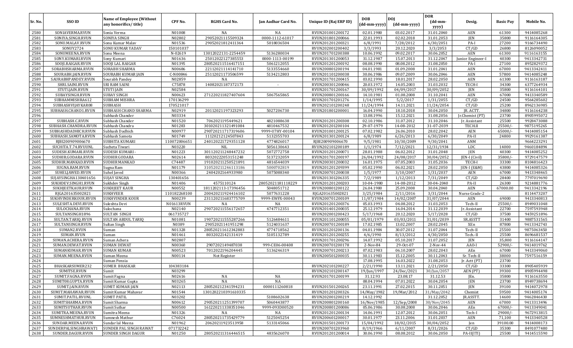|         |                      |                                                           |              |                      |                     |                        |                            |                            | <b>DOR</b>                            |                   |                  |            |
|---------|----------------------|-----------------------------------------------------------|--------------|----------------------|---------------------|------------------------|----------------------------|----------------------------|---------------------------------------|-------------------|------------------|------------|
| Sr. No. | SSO ID               | <b>Name of Employee (Without</b><br>any honorifics/title) | CPF No.      | <b>RGHS Card No.</b> | Jan Aadhar Card No. | Unique ID (Raj ERP ID) | <b>DOB</b><br>(dd-mm-yyyy) | <b>DOJ</b><br>(dd-mm-yyyy) | $(dd{\text{-}\mathbf{mm}}$ -<br>yyyy) | Desig.            | <b>Basic Pay</b> | Mobile No. |
| 2580    | SONIAVERMA.RVUN      | Sonia Verma                                               | N01008       | NA                   | NA                  | RVUN201001200172       | 02.01.1980                 | 03.02.2017                 | 31.01.2040                            | AEN               | 61300            | 9414085268 |
| 2581    | SONIYA.SINGH.RVUN    | SONIYA SINGH                                              | N02802       | 29052021115509324    | 0000-1112-61017     | RVUN201801200066       | 22.01.1993                 | 02.02.2018                 | 31.01.2053                            | <b>JEN</b>        | 35800            | 9116164305 |
| 2582    | SONU.MALAV.RVUN      | Sonu Kumar Malav                                          | N01536       | 29052021812411364    | 5018036504          | RVUN201201200321       | 6/8/1991                   | 7/28/2012                  | 6/30/2051                             | PA-I              | 27200            | 9166734490 |
| 2583    | SONUY2724            | SONU KUMAR YADAV                                          | 150101037    |                      |                     | RVUN202001200402       | 3/3/1993                   | 20.12.2020                 | 3/3/2053                              | CT/GD             | 26800            | 8126090052 |
| 2584    | SONUMEENA.RVUN       | Sonu Meena                                                | N-02619      | 13012022131-2254459  | 5136280034          | RVUN201701200388       | 10.06.1992                 | 09.02.2017                 | 30.06.2052                            | AEN               | 61300            | 9116163155 |
| 2585    | SONY.KUMARI.RVUN     | Sony Kumari                                               | N01636       | 25012022127385553    | 0000-1113-00199     | RVUN201301200053       | 31.12.1987                 | 15.07.2013                 | 31.12.2047                            | Junior Engineer-I | 40300            | 9413342731 |
| 2586    | SOOJI.RAIGAR.RVUN    | SOOJI LAL RAIGAR                                          | N01395       | 280520211516417151   | 5061212055          | RVUN201201200192       | 08.08.1990                 | 08.08.2012                 | 31.08.2050                            | PA-I              | 27100            | 8952829372 |
| 2587    | SORABHSHARMA.RVUN    | <b>SORABH SHARMA</b>                                      | N00686       | 22112021114141710    | 5133554660          | RVUN200801200194       | 04.01.1981                 | 01.09.2008                 | 31.01.2041                            | AEN               | 67000            | 9413342411 |
| 2588    | SOURABH.JAIN.RVUN    | <b>SOURABH KUMAR JAIN</b>                                 | C-N00846     | 25112021173506599    | 5134212803          | RVUN201101200038       | 30.06.1986                 | 09.07.2009                 | 30.06.2046                            | AEN               | 57800            | 9414085248 |
| 2589    | SAURABHPANDEY.RVUN   | Sourabh Pandey                                            | N02859       | NA                   |                     | RVUN201701200415       | 03.02.1990                 | 18.01.2017                 | 28.02.2050                            | AEN               | 61300            | 9116163187 |
| 2590    | SHRI.SAINI.RVUN      | <b>SRI RAM SAINI</b>                                      | C75878       | 14082021187372173    | $\sim$              | RVUN200301200046       | 20.03.1972                 | 14.05.2003                 | 31.03.2032                            | TECH-I            | 34300            | 6377264934 |
| 2591    | STUTI.JAIN.RVUN      | <b>STUTI JAIN</b>                                         | N02584       |                      |                     | RVUN201701200167       | 30/09/1992                 | 04/09/2017                 | 30/09/2052                            | <b>JEN</b>        | 35800            | 9116164101 |
| 2592    | SUBAYSINGH.RVUN      | <b>SUBAY SINGH</b>                                        | N00623       | 271220211827407604   | 5067565865          | RVUN200801200166       | 14.10.1981                 | 01.08.2008                 | 31.10.2041                            | AEN               | 67000            | 9413340589 |
| 2593    | SUBHAMMISHRA612      | <b>SUBHAM MISHRA</b>                                      | 170136299    |                      |                     | RVUN201701201276       | 1/14/1995                  | 5/2/2017                   | 1/31/2055                             | CT/GD             | 24500            | 9564285602 |
| 2594    | SUBHASHVIJAYKAR08    | <b>SUBHASH</b>                                            | 170521017    |                      |                     | RVUN202101200248       | 11/24/1994                 | 14.11.2021                 | 11/24/2054                            | CT/GD             | 25200            | 8962136985 |
| 2595    | SUBHASH.CHAND1.RVUN  | SUBHASH CHAND SHARMA                                      | N02919       | 20112021197323293    | 5027206730          | RVUN201801200001       | 16.04.1990                 | 18.10.2018                 | 30.04.2050                            | JR. ACTT          | 34800            | 9116164238 |
| 2596    |                      | Subhash Chander                                           | N03334       |                      |                     |                        | 13.08.1996                 | 15.12.2021                 | 31.08.2056                            | Jr.Chemist (PT)   | 23700            | 8905995072 |
| 2597    | SUBHASH.C.RVUN       | Subhash Chander                                           | N01520       | 7062021195449621     | 4821088638          | RVUN201201200308       | 02.10.1986                 | 31.07.2012                 | 31.10.2046                            | Ir. Assistant     | 25500            | 9928473088 |
| 2598    | SUBHASH.CHANDRA.RVUN | Subhash Chandra                                           | N01283       | 301020211321491084   | 4810467532          | RVUN201201200104       | 29-07-1979                 | 14-08-2012                 | 31-07-2039                            | TECH.II           | 25500/           | 9875195265 |
| 2599    | SUBHASHDADHICH.RVUN  | Subhash Dadhich                                           | N00977       | 290720211717319606   | 9999-U7HY-00104     | RVUN201001200125       | 07.02.1982                 | 26.06.2010                 | 28.02.2042                            | AEN               | 65000/           | 9414085154 |
| 2600    | SUBHASH.SAMOTA.RVUN  | Subhash Samota                                            | N01749       | 11120212124507843    | 5132355703          | RVUN201301200124       | 6/8/1989                   | 6/26/2013                  | 6/30/2049                             | PA-II             | 24800            | 9929161387 |
| 2601    | RJBI200909006670     | SUBHITA KUMARI                                            | 110072006651 | 240120221729351128   | 4774826017          | RJBI200909006670       | 9/5/1981                   | 10/30/2009                 | 9/30/2041                             | ANM               |                  | 9664223291 |
| 2602    | SUCHITA.T.74.RVUUNL  | Sucheta Tiwari                                            | N03220       | <b>NIL</b>           | 5056130643          | RVUN202101200189       | 1/1/1974                   | 7/12/2021                  | 12/31/1934                            | <b>LDC</b>        | 14000            | 9460184894 |
| 2603    | SUDESH.KUMARI.RVUN   | SUDESH KUMARI                                             | N01223       | 301120211248447232   | 5072772758          | RVUN201201200071       | 28.01.1988                 | 06.02.2012                 | 31.01.2048                            | <b>JEN</b>        | 40300            | 9414085252 |
| 2604    | SUDHIR.GODARA.RVUN   | SUDHIR GODARA                                             | N02614       | 80320222053151248    | 5137232059          | RVUN201701200197       | 26/04/1992                 | 24/08/2017                 | 30/04/2052                            | JEN-I (Civil)     | 35800/           | 9729147579 |
| 2605    | SUDHIR.MANKAD.RVUN   | SUDHIR MANKAD                                             | C74487       | 191020211250521891   | 4816544039          | RVUN200301200032       | 16.01.1975                 | 07.05.2003                 | 31.05.2036                            | TECH-I            | 33300            | 8104816423 |
| 2606    | SUGNA.RAM.RVUN       | Sugna Ram                                                 | N01179       | 310520211246113186   | 5000702819          | RVUN201201209399       | 05.02.1990                 | 06.02.2021                 | 28.02.2050                            | EN-I (E&M)        | 43800            | 9414085326 |
| 2607    | SUHELJAWED.RVUN      | Suhel Javed                                               | N00366       | 2404202164933980     | 5075088340          | RVUN200701200038       | 1/5/1977                   | 3/10/2007                  | 1/31/2037                             | AEN               | 67000            | 9413348465 |
| 2608    | SUJAYSINGHA130401656 | <b>SUJAY SINGHA</b>                                       | 130401656    |                      |                     | RVUN201301206335       | 7/2/1989                   | 1/12/2013                  | 7/31/2049                             | CT/GD             | 28400            | 7797019690 |
| 2609    | SUKHDEV.SINGH1.RVUN  | Sukhdev Singh                                             | N01406       | 4575110124           | 28052021181118229   | RVUN201201200203       | 10-04-1980                 | 14-08-2012                 | 30-04-2040                            | PA-II             | 26300            | 9214881776 |
| 2610    | SUKHJEETKAUR.RVUN    | <b>SUKHJEET KAUR</b>                                      | N00552       | 1811202113-17396456  | 5048051712          | RVUN200801200122       | 26.04.1980                 | 25.09.2008                 | 30.04.2040                            | AEN               | 67000.00         | 9413342196 |
| 2611    | RJGA201635002821     | <b>SUKHVEER</b>                                           | 110182268100 | 200420211924416102   | 5077631228          | RJGA201635002821       | 3/25/1984                  | 2/11/2016                  | 3/31/2044                             | Nurse Grade-2     |                  | 8114473207 |
| 2612    | SUKHVINDERKOUR.RVUN  | <b>SUKHVINDER KOUR</b>                                    | N00239       | 231120211683775709   | 9999-EWFX-00043     | RVUN200701200109       | 11/07/1984                 | 14/02/2007                 | 31/07/2044                            | AEN               | 69000            | 9413340813 |
| 2613    | SULESHTA.DEVI.RVUN   | Suleshta Devi                                             | N01613RVUN   | NA                   | NA                  | RVUN201201200376       | 05.03.1993                 | 04.08.2012                 | 31.03.2053                            | Tech-II           | 25500/           | 8949031048 |
| 2614    | SULOCHANA.RVUN       | Sulochana                                                 | N02140       | 290720211556172657   | 4747712351          | RVUN201401200035       | 25.12.1979                 | 16.04.2014                 | 31.12.2039                            | Jr. Assistant     | 22700            | 7597593948 |
| 2615    | SULTANSINGH1896      | <b>SULTAN SINGH</b>                                       | 061735727    |                      |                     | RVUN202001200423       | 5/17/1968                  | 20.12.2020                 | 5/17/2028                             | CT/GD             | 37500            | 9459251896 |
| 2616    | SULTAN.TARIQ.RVUN    | <b>SULTAN ABDUL TARIQ</b>                                 | N01081       | 190720211555287266   | 5126484611          | RVUN201101200055       | 05/01/1979                 | 03/03/2011                 | 31/01/2039                            | SR.ASSTT          | 31400            | 9887531565 |
| 2617    | SULTANSINGH.RVUN     | Sultan Singh                                              | N0389        | 29052021141951298    | 5124031637          | RVUN200701200189       | 17.02.1985                 | 13.02.2007                 | 28.02.2045                            | XEn               | 87800            | 9413342743 |
| 2618    | SUMAN2.RVUN          | Suman                                                     | N01328       | 280520211612342883   | 4774718562          | RVUN201201200136       | 04.01.1984                 | 30.07.2012                 | 31.07.2044                            | Tech-II           | 25500            | 9875063450 |
| 2619    | SUMAN.RVUN           | Suman                                                     | N01461       | 8032022142131419     | 5105132789          | RVUN201201200255       | 4/6/1990                   | 8/13/2012                  | 4/30/2050                             | Tech-II           | 25500            | 8696681537 |
| 2620    | SUMAN.ACHERA.RVUN    | Suman Achera                                              | N02807       |                      |                     | RVUN201701200296       | 14.07.1992                 | 05.10.2017                 | 31.07.2052                            | <b>JEN</b>        | 35,800           | 9116164147 |
| 2621    | SUMAN.DEWAT.RVUN     | <b>SUMAN DEWAT</b>                                        | N00360       | 2907202149487038     | 999-CE06-00408      | RVUN200701200178       | 2-Nov-84                   | 29-Oct-07                  | 2-Nov-44                              | AAO-I             | 52900/           | 9414019762 |
| 2622    | SUMANKUMAR.RVUN      | <b>SUMAN KUMAR</b>                                        | N00523       | 7012022196204445     | 5136246319          | RVUN200701200213       | 07.02.1983                 | 06.10.2007                 | 28.02.2043                            | AEn               | 67000            | 9413349060 |
| 2623    | SUMAN.MEENA.RVUN     | Suman Meena                                               | N00114       | Not Register         |                     | RVUN200501200035       | 30.11.1983                 | 15.12.2005                 | 30.11.2043                            | Sr. Tech-II       | 38000            | 7597516159 |
| 2624    |                      | Suman Pensia                                              |              |                      |                     |                        | 17.08.1995                 | 16.03.2022                 | 31.08.2053                            | [r. Actt(PT)]     | 23700            |            |
| 2625    | BHASKARSUMER232      | <b>SUMER BHASKAR</b>                                      | 104383184    |                      |                     | RVUN202101200227       | 2/21/1990                  | 13.11.2021                 | 2/21/2050                             | CT/GD             | 33300            | 8905405939 |
| 2626    | SUMITSE.RVUN         | Sumit                                                     | N03299       |                      |                     | RVUN202101200147       | 19/Jun/1997                | 24/Dec/2021                | 30/Jun/2057                           | AEN (PT)          | 39300            | 8905994498 |
| 2627    | SUMIT.FAGNA.RVUN     | Sumit Fagna                                               | N02616       | NA                   | NA                  | RVUN201701200199       | 31.12.93                   | 23.08.17                   | 31.12.53                              | JEn.              | 35800            | 9116163550 |
| 2628    | SUMIT08.GUPTA.RVUN   | Sumit Kumar Gupta                                         | N03265       | NA                   | $_{\rm NA}$         |                        | 08.04.1994                 | 07.01.2022                 | 30.04.2054                            | JEN               | 23700            | 8949738694 |
| 2629    | SUMIT.JAIN.RVUN      | <b>SUMIT KUMAR JAIN</b>                                   | N02113       | 280520212341594231   | 0000111260818       | RVUN201501200265       | 23.11.1991                 | 27.02.2015                 | 30.11.2051                            | JEN               | 39100            | 9414072978 |
| 2630    | SUMIT.MAHAWAR.RVUN   | Sumit Kumar Mahavar                                       | N01544       | 1301202210391610335  |                     | RVUN201201200326       | 14/May/1982                | 19/Mar/2012                | 31/May/2042                           | Chemist           | 59500            | 9414005174 |
| 2631    | SUMIT.PATIL.RVUNL    | <b>SUMIT PATIL</b>                                        | N03202       |                      | 5108602638          | RVUN202001200219       | 14.12.1992                 |                            | 31.12.2052                            | JR.ASSTT.         | 14600            | 9462846430 |
| 2632    | SUMITSHARMA.RVUN     | Sumit Sharma                                              | N00612       | 290520211251399707   | 5060443877          | RVUN200801200160       | 16/Nov/1985                | 12/Sep/2008                | 30/Nov/2045                           | AEN               | 67000            | 9413313496 |
| 2633    | SUMITSUTHAR.RVUN     | Sumit Suthar                                              | N00500       | 161220211338351046   | 9999-093D00520      | RVUN200801200086       | 05.06.1986                 | 30.08.2008                 | 30.06.2046                            | AEn               | $67000/-$        | 9413349041 |
| 2634    | SUMITRA.MEENA.RVUN   | Sumitra Meena                                             | N01326       | NA                   | NA                  | RVUN201201200134       | 14.06.1991                 | 12.07.2012                 | 30.06.2051                            | Tech-I            | $29000/-$        | 9672913815 |
| 2635    | SUMNESHMATHUR.RVUN   | Sumnesh Mathur                                            | C76024       | 280520211735429779   | 5125045254          | RVUN200601200017       | 30.01.1977                 | 23.11.2006                 | 31.01.2037                            | AEN               | 71,100           | 9413340528 |
| 2636    | SUNDAR.MEENA.RVUN    | Sundar lal Meena                                          | N01962       | 20620211923513958    | 5133145066          | RVUN201501200173       | 15/04/1992                 | 18/02/2015                 | 30/04/2052                            | Jen               | 39100.00         | 9414008173 |
| 2637    | SUNDERPALSINGHRAWAT1 | SUNDER PAL SINGH RAWAT                                    | 071732242    |                      |                     | RVUN200701203960       | 8/19/1966                  | 6/11/2007                  | 8/31/2026                             | CT/GD             | 35300            | 8491077480 |
| 2638    | SUNDER.DAGUR.RVUN    | <b>SUNDER SINGH DAGUR</b>                                 | N01250       | 280520211316446515   | 4835626070          | RVUN201201200014       | 30.06.1990                 | 08.08.2012                 | 30.06.2050                            | PA-II(ITI)        | 25500            | 9414515590 |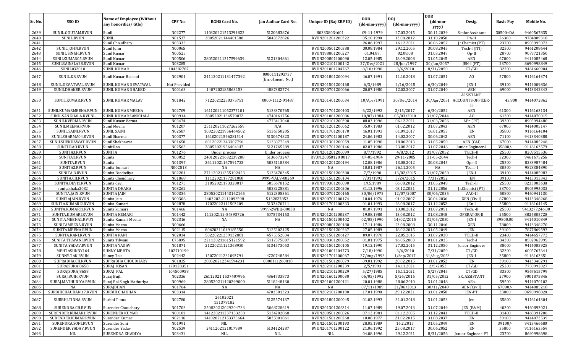| Sr. No.      | SSO ID                        | <b>Name of Employee (Without</b><br>any honorifics/title) | CPF No.           | <b>RGHS Card No.</b>     | Jan Aadhar Card No.               | Unique ID (Raj ERP ID) | <b>DOB</b><br>(dd-mm-yyyy) | <b>DOI</b><br>(dd-mm-yyyy) | <b>DOR</b><br>$(dd{\text{-}\mathbf{mm}}$<br>yyyy) | Desig.                                          | <b>Basic Pay</b> | Mobile No.               |
|--------------|-------------------------------|-----------------------------------------------------------|-------------------|--------------------------|-----------------------------------|------------------------|----------------------------|----------------------------|---------------------------------------------------|-------------------------------------------------|------------------|--------------------------|
| 2639         | SUNIL.GOUTAM.RVUN             | Sunil                                                     | N02277            | 110320221513294822       | 5120683876                        | 803338034601           | 09-11-1979                 | 27.03.2015                 | 30.11.2039                                        | Senior Assistant                                | 30500+DA         | 9460567835               |
| 2640         | SUNIL.RVUN                    | <b>SUNIL</b>                                              | N01537            | 28052021144401580        | 5043372826                        | RVUN201201200322       | 05.10.1990                 | 13.08.2012                 | 31.10.2050                                        | PA-II                                           | 26300            | 9784809318               |
| 2641         |                               | Sunil Choudhary                                           | N03333            |                          |                                   |                        | 26.06.1997                 | 16.12.2021                 | 30.06.2057                                        | Jr.Chemist (PT)                                 | 23700            | 8905995073               |
| 2642         | SUNIL.JOHN.RVUN               | Sunil John                                                | N00065            |                          |                                   | RVUN200501200388       | 30.08.1984                 | 29.12.2005                 | 30.08.2045                                        | Tech-I (ITI)                                    | 32300            | 9461208644               |
| 2643         | SUNIL.SINGH.RVUN              | Sunil Kumar                                               | N00525            |                          |                                   | RVUN198801200227       | 01.04.87.                  | 02.08.08                   | 31.03.2047                                        | $Op-II$                                         | 28700            | 9079721350               |
| 2644         | SUNILKUMAR05.RVUN             | Sunil Kumar                                               | N00506            | 280520211317599639       | 5121304861                        | RVUN200801200090       | 12.05.1985                 | 18.09.2008                 | 31.05.2045                                        | <b>AEN</b>                                      | 67000            | 9414085468               |
| 2645         | SUNILBAINSLA28.RVUN           | Sunil Kumar                                               | N03285            |                          |                                   | RVUN202101200142       | 27/Dec/2021                | 28/Jun/1997                | 30/Jun/2057                                       | JEN-I (PT)                                      | 23700            | 8690998849               |
| 2646         | SUNIL032010                   | <b>SUNIL KUMAR</b>                                        | 104382787         |                          |                                   | RVUN201001204767       | 8/10/1990                  | 3/6/2010                   | 8/31/2050                                         | CT/GD                                           | 32300            | 9461660904               |
| 2647         | SUNIL.KR.RVUN                 | Sunil Kumar Bishnoi                                       | N02901            | 241120211131477392       | 0000111293737<br>(Enrollment No.) | RVUN201801200094       | 16.07.1991                 | 11.10.2018                 | 31.07.2051                                        | A <sub>O</sub>                                  | 57800            | 9116164374               |
| 2648         | SUNIL.DEVATWAL.RVUN           | SUNIL KUMAR DEVATWAL                                      | Not Provided      |                          |                                   | RVUN201501200168       | 6/3/1989                   | 2/16/2015                  | 6/30/2049                                         | JEN-I                                           | 39100            | 9414009836               |
| 2649         | SUNILDHAKER.RVUN              | SUNIL KUMAR DHAKED                                        | N00163            | 1407202185863153         | 4887382774                        | RVUN200701200066       | 20.07.1980                 | 12.02.2007                 | 31.07.2040                                        | AEN                                             | 69000            | 9413342343               |
| 2650         | SUNIL.KUMAR.RVUN              | <b>SUNIL KUMAR MALAV</b>                                  | N01842            | 71220212250375751        | 0000-1112-91437                   | RVUN201401200034       | 10/Apr/1991                | 30/Dec/2014                |                                                   | ASSISTANT<br>30/Apr/2051 ACCOUNTS OFFICER-<br>H | 43,800           | 9414072862               |
| 2651         | SUNILKUMARMEENA.RVUN          | <b>SUNIL KUMAR MEENA</b>                                  | N02709            | 161120211052377101       | 5133370765                        | RVUN201701200403       | 6/22/1992                  | 2/15/2017                  | 6/30/2052                                         | <b>AEN</b>                                      | 61300            | 9116163134               |
| 2652         | SUNIL.SANKHALA.RVUNI          | SUNIL KUMAR SANKHALA                                      | N00914            | 28052021134579072        | 4740161756                        | RVUN201001200086       | 10/07/1984                 | 05/03/2010                 | 31/07/2044                                        | A <sub>0</sub>                                  | 61300            | 9414070015               |
| 2653         | SUNILKVERMA.RVUN              | Sunil Kumar Verma                                         | N03474            |                          | 4773413040                        | RVUN202101200390       | 08.03.1996                 | 06.12.2021                 | 31/03/2056                                        | AEn (PT)                                        | 39300            | 8905994480               |
| 2654         | SUNILMEENA.RVUN               | Sunil Meena                                               | N01207            | 251120211027262559       | N/A                               | RVUN201201200062       | 05.07.1983                 | 01.02.2012                 | 31.07.2043                                        | AEN                                             | 67000            | 9414005147               |
| 2655         | SUNIL.SAINI.RVUN              | <b>SUNIL SAINI</b>                                        | N02587            | 100220221956464502       | 5136350205                        | RVUN201701200170       | 16.01.1993                 | 01.09.2017                 | 16.01.2053                                        | <b>JEN</b>                                      | 35800            | 9116164104               |
| 2656         | SUNILSHARMA04.RVUN            | Sunil Sharma                                              | N00377            | 16102021546281514        | 5130674823                        | RVUN200701200187       | 24.06.1982                 | 14.02.2007                 | 30.06.2042                                        | AEN                                             | 71100            | 9413340388               |
| 2657         | SUNILSHEKHAWAT.RVUN           | Sunil Shekhawat                                           | N01650            | 60120221343307796        | 5133877549                        | RVUN201301200059       | 11.05.1990                 | 18.06.2013                 | 31.05.2050                                        | AEN (C&I)                                       | 67000            | 9414085246               |
| 2658         | SUNIT.RAO.RVUN                | Sunit Rao                                                 | N02563            | 28052021956404147        | 5121765289                        | RVUN201701200146       | 02.07.1986                 | 23.08.2017                 | 31.07.2046                                        | Junior Engineer-I                               | 35800/           | 9116163579               |
| 2659         | SUNITA3.RVUN                  | <b>SUNITA</b>                                             | N01276            | Under process            | Under process                     | RVUN201201200099       | 8/7/1992                   | 4/8/2012                   | 31/07/2052                                        | TECH-I                                          | 25500            | 8209515536               |
| 2660         | SUNITA1.RVUN                  | Sunita                                                    | N00052            | 240120221632239288       | 5136673247                        | RVUN.20050120 0017     | 07-05-1984                 | 29-11-2005                 | 31-05-2044                                        | Tech-I                                          | 32300            | 9461675256               |
| 2661         | SUNITA.RVUN                   | Sunita                                                    | N01397            | 26112021167591723        | 5035118584                        | RVUN201201200194       | 12.08.1986                 | 13.08.2012<br>26.11.2005   | 30.08.2045                                        | Opr-II                                          | 25500            | 8233987484               |
| 2662<br>2663 | SUNITA2.RVUN<br>SUNITA.B.RVUN | Sunita kumari                                             | N002513<br>N02281 | NA<br>271120211255102423 | <b>NA</b><br>5133470345           | NA<br>RVUN201501200380 | 10.01.1987<br>7/7/1990     | 13/02/2015                 | NA<br>31/07/2050                                  | Tech. -<br>JEN-I                                | 30500<br>39100   | 9828384890<br>9414085983 |
| 2664         | SUNITA.CH.RVUN                | Sunita Bardodiya<br>Sunita Choudhary                      | N01868            | 11122021177281080        | 9999-VALV-00269                   | RVUN201501200104       | 7/31/1992                  | 3/24/2015                  | 7/31/2052                                         | <b>JEN</b>                                      | 39100            | 9413313343               |
| 2665         | SUNITA.DEVI1.RVUN             | Sunita devi                                               | N01275            | 31052021173328017        | 5055678152                        | RVUN199301200090       | 19.5.1989                  | 06.08.2012                 | 31.05.2049                                        | Tech-II                                         | 25500            | 8233003638               |
| 2666         | sunitakhaka2032               | <b>SUNITA DHAKA</b>                                       | N03261            |                          | 5023225881                        | RVUN202101200206       | 31.12.1996                 | 08.12.2021                 | 31.12.2056                                        | Jr.Chemist (PT)                                 | 23700            | 8905995032               |
| 2667         | SUNITA.JAIN.RVUN              | <b>SUNITA JAIN</b>                                        | N00336            | 280520211443162165       | 5122305361                        | RVUN200701200165       | 30/06/1975                 | 12/07/2007                 | 30/06/2035                                        | AAO-II                                          | 50800            | 9460941130               |
| 2668         | SUNITAJAIN.RVUN               | Sunita Jain                                               | N00306            | 2403202-2112093598       | 5132827853                        | RVUN200701200174       | 10.04.1976                 | 01.02.2007                 | 30.04.2036                                        | XEN (Civil)                                     | 87800            | 9413348268               |
| 2669         | SUNITA.KUMARI2.RVUN           | Sunita Kumari                                             | N02878            | 17022022111503209        | 5133470711                        | RVUN201701200333       | 01.01.1993                 | 26.08.2017                 | 31.12.2052                                        | $ En-I $                                        | 35800            | 9116164145               |
| 2670         | SUNITA.KUMARI1.RVUN           | Sunita kumari                                             | N01466            | NA                       | 9999-2WBQ-00038                   | NA                     | 01.07.1991                 | 13.08.2012                 | 31.07.2051                                        | Tech. -II                                       | 25500            | 9413277246.00            |
| 2671         | SUNITA.KUMARI.RVUN            | SUNITA KUMARI                                             | N01442            | 111202112-54393726       | 5075734153                        | RVUN201201200237       | 19.08.1988                 | 13.08.2012                 | 31.08.2048                                        | OPERATOR-II                                     | 25500            | 8824805720               |
| 2672         | SUNITA.MEENA1.RVUN            | Sunita Kumari Meena                                       | N02316            | NA                       | NA                                | RVUN201501200402       | 02/05/1990                 | 14/02/2015                 | 31/05/2050                                        | JEN-I                                           | 39800.00         | 9414010849               |
| 2673         | SUNITAMEENA.RVUN              | Sunita Meena                                              | N00666            |                          |                                   | RVUN200801200180       | 17.11.1986                 | 23.08.2008                 | 30.11.2046                                        | XEN                                             | 78000            | 9413348270               |
| 2674         | SUNITA.MEENA.RVUN             | Sunita Meena                                              | N02115            | 80620211049185550        | 5125202425                        | RVUN201501200267       | 27.05.1989                 | 18.02.2015                 | 31.05.2049                                        | <b>JEN</b>                                      | 39100            | 7877869593               |
| 2675         | SUNITA.RANI.RVUN              | <b>SUNITA RANI</b>                                        | N02034            | 50220221239132881        | 4575552034                        | RVUN201501206127       | 09.07.1978                 | 22.05.2015                 | 31.07.2038                                        | TECH-II                                         | 23400            | 9414657772               |
| 2676         | SUNITA.TILWANI.RVUN           | Sunita Tilwani                                            | C75895            | 221120211615121592       | 5117575087                        | RVUN200301200052       | 01.01.1975                 | 16.05.2003                 | 01.01.2035                                        | Tech-I                                          | 34300            | 8502962995               |
| 2677         | SUNITA.YADAV.RVUN             | <b>SUNITA YADAV</b>                                       | N01871            | 21220211121368930        | 5134573053                        | RVUN201501200105       | 19.12.1990                 | 27.02.2015                 | 31.12.2050                                        | Junior Engineer                                 | 38000            | 9414085925               |
| 2678         | MEHTASUNNY164                 | <b>SUNNY MEHTA</b>                                        | 102710199         |                          |                                   | RVUN201001204773       | 7/18/1990                  | 3/6/2010                   | 7/31/2050                                         | CT/GD                                           | 32300            | 6005767641               |
| 2679         | SUNNY.TAK.RVUN                | Sunny Tak                                                 | N02442            | 15072021231093791        | 4720748584                        | RVUN201701200067       | 27/Aug/1993                | 1/Sep/2017                 | 31/Aug/2053                                       | <b>IEN-I</b>                                    | 35800            | 9116163351               |
| 2680         | SUPRABHA.CH.RVUN              | SUPRABHA CHOUDHARY                                        | N01835            | 280520212341594231       | 0000111260818                     | RVUN201501200079       | 09.01.1992                 | 20.02.2015                 | 31.01.2052                                        | <b>JEN</b>                                      | 39100            | 9413340291               |
| 2681         | SURAJSURAJ8658                | SURAJ KISAN                                               | 170128351         |                          |                                   | RVUN202101200239       | 2/5/1993                   | 14.11.2021                 | 2/5/2053                                          | CT/GD                                           | 25200            | 7750992027               |
| 2682         | SURAJSURAJ8658                | <b>SURAJ PAL</b>                                          | 104500958         |                          |                                   | RVUN202101200229       | 5/27/1985                  | 15.11.2021                 | 5/27/2045                                         | CT/GD                                           | 33300            | 9567615799               |
| 2683         | SURAJ.BUJH.RVUN               | Suraj Bujh                                                | N02336            | 26112021 1537407996      | 4864733873                        | RVUN201601200030       | 06/05/1992                 | 5/26/2016                  | 31/05/2052                                        | SR. ASSISTANT                                   | 27900            | 9001875846               |
| 2684         | SURAJ.MATHURIYA.RVUN          | Suraj Pal Singh Mathuriya                                 | N00969            | 280520211420299000       | 5118248430                        | RVUN201001200121       | 20.01.1988                 | 28.06.2010                 | 31.01.2048                                        | AEn.                                            | 59500            | 9414070102               |
| 2685         | NA                            | <b>SURAJBHAN</b>                                          | N01764            | NA                       | NA                                | NA                     | 07/11/1989                 | 21/06/2013                 | 30/11/2049                                        | AEN (Civil)                                     | $67000/-$        | 9414085218               |
| 2686         | SURBHICHAUHAN.17.RVUN         | <b>SURBHI CHAUHAN</b>                                     | N03314            |                          | 4703501323                        | RVUN202101200190       | 17.01.1998                 | 29.12.2021                 | 31.01.2058                                        | JEN-PT                                          | 33800            | 8690998828               |
| 2687         | SURBHI.TINNA.RVUN             | Surbhi Tinna                                              | N02780            | 26102021<br>151378182    | 5125574137                        | RVUN201801200045       | 01.02.1993                 | 31.01.2018                 | 31.01.2053                                        | Jen                                             | 35800            | 9116164304               |
| 2688         | SURENDRA.CH.RVUN              | Surender Choudhary                                        | N01703            | 250820212029204733       | 5068728619                        | RVUN201301206314       | 11.07.1989                 | 19.07.2013                 | 31.07.2049                                        | JEN (E&M)                                       | 40300            | 9460893021               |
| 2689         | SURENDER.KUMAR1.RVUN          | <b>SURENDER KUMAR</b>                                     | N00101            | 141220211237153250       | 5134282868                        | RVUN200501200026       | 07.12.1981                 | 01.12.2005                 | 31.12.2041                                        | TECH-II                                         | 31400            | 9460391206               |
| 2690         | SURENDER.KUMAR.RVUN           | Surender Kumar                                            | N02116            | 141020212153375664       | 5035001861                        | RVUN201501200268       | 10.08.1977                 | 21.02.2015                 | 31.08.2037                                        | JEN                                             | 39100            | 9414073539               |
| 2691         | SURENDRA.SONI.RVUN            | Surender Soni                                             | N01991            | NIL                      |                                   | RVUN201501200193       | 28.05.1989                 | 16.2.2015                  | 31.05.2049                                        | <b>JEN</b>                                      | $39100/-$        | 9413466680               |
| 2692         | SURENDER.YADAV.RVUN           | Surender Yadav                                            | N02539            | 2411202121017989         | 5134124287                        | RVUN201701200122       | 21.06.1992                 | 25.08.2017                 | 30.06.2052                                        | <b>JEN</b>                                      | 35800            | 9116163554               |
| 2693         | NIL                           | SURENDRA KHADIYA                                          | N03431            | <b>NIL</b>               | NIL                               | NIL                    | 04.08.1996                 | 29.12.2021                 | 8/31/2056                                         | Junior Engineer-PT                              | 23700            | 8690998698               |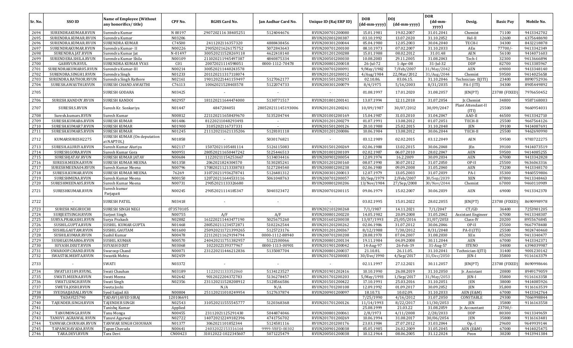| Sr. No. | SSO ID               | <b>Name of Employee (Without</b><br>any honorifics/title) | CPF No.         | <b>RGHS Card No.</b> | Jan Aadhar Card No. | Unique ID (Raj ERP ID) | <b>DOB</b><br>(dd-mm-yyyy) | <b>DOI</b><br>(dd-mm-yyyy) | <b>DOR</b><br>$(dd{\text{-}\mathbf{mm}}$<br>yyyy) | Desig.                      | <b>Basic Pay</b> | Mobile No. |
|---------|----------------------|-----------------------------------------------------------|-----------------|----------------------|---------------------|------------------------|----------------------------|----------------------------|---------------------------------------------------|-----------------------------|------------------|------------|
| 2694    | SURENDRAKUMAR.RVUN   | Surendra Kumar                                            | N 00197         | 290720211638405251   | 5124044676          | RVUN200701200080       | 15.01.1981                 | 19.02.2007                 | 31.01.2041                                        | Chemist                     | 71100            | 9413342702 |
| 2695    | SURENDRA.KUMAR.RVUN  | Surendra Kumar                                            | N03206          |                      |                     | RVUN202001200387       | 03.10.1992                 | 13.07.2020                 | 31.10.2052                                        | Hel-II                      | 12600            | 6375648690 |
| 2696    | SURENDRA.KUMAR.RVUN  | <b>SURENDRA KUMAR</b>                                     | C74500          | 2411202116357320     | 4888438456          | RVUN200301200044       | 05.04.1980                 | 12.05.2003                 | 30.04.2040                                        | TECH-I                      | 34300            | 8432218878 |
| 2697    | SURENDRAKUMAR.RVUN   | Surendra Kumar-II                                         | N00226          | 29052021626175752    | 5072843643          | RVUN200701200100       | 08.10.1973                 | 07.02.2007                 | 31.10.2033                                        | AEn                         | 77700/           | 9413342349 |
| 2698    | SURENDRA.JAT.RVUN    | Surendra Kumar Jat                                        | N-01497         | 300520211528269118   | 4622418140          | RVUN201201200288       | 15.01.1988                 | 08.02.2012                 | 31.01.48                                          | AEN                         | 56100            | 9414071603 |
| 2699    | SURENDERA.SHILA.RVUN | Surendra Kumar Shila                                      | N00109          | 211020211945497387   | 4840875334          | RVUN200501200030       | 10.08.2083                 | 29.11.2005                 | 31.08.2043                                        | Tech-I                      | 32300            | 9413666894 |
| 2700    | GABRVUN.RVUL         | SURENDRA KUMAR VYAS                                       | C <sub>01</sub> | 20072021114598051    | 0000-1112-70478     | RVUN200801200018       | 26-Jul-72                  | $1-Apr-08$                 | 31-Jul-32                                         | <b>DDP</b>                  | 82700            | 9413385967 |
| 2701    | SURENDRAKUMAR05.RVUN | Surendra Kumar-III                                        | N00214          | 300520211440243578   |                     | RVUN200701200091       | 9/May/1982                 | 7/Feb/2007                 | 31/May/2042                                       | AEN                         | 69000            | 9413348140 |
| 2702    | SURENDRA.SINGH1.RVUN | Surendra Singh                                            | N01233          | 201120211317118074   |                     | RVUN201201200012       | $4/\text{Aug}/1984$        | 22/Mar/2012                | 31/Aug/2044                                       | Chemist                     | 59500            | 9414025658 |
| 2703    | SURENDRA.RATHOR.RVUN | Surendra Singh Rathore                                    | N02161          | 190120221441159497   | 5127062177          | RVUN201501200293       | 02.10.86.                  | 03.06.15                   | 31.10.2046                                        | Technician-II(ITI)          | 23400            | 8890752936 |
| 2704    | SURESH.AWASTHI.RVUN  | SURESH CHAND AWASTHI                                      | C76113          | 10062021528403578    | 5122074733          | RVUN200301200079       | 8/4/1975                   | $\frac{1}{5}/16/2003$      | 8/31/2035                                         | PA-I (ITI)                  | 34300            | 8905449892 |
| 2705    |                      | SURESH GODARA                                             | N03425          |                      |                     |                        | 01.08.1997                 | 17.01.2020                 | 31.08.2057                                        | JEN(PT)                     | 23700 (FIXED)    | 7976650452 |
| 2706    | SURESH.KANDOY.RVUN   | <b>SURESH KANDOI</b>                                      | N02957          | 181120211644474000   | 5130771517          | RVUN201801200141       | 13.07.1994                 | 12.11.2018                 | 31.07.2054                                        | Jr.Chemist                  | 34800            | 9587168003 |
| 2707    | SURESH.S.RVUN        | Suresh Kr. Sonkariya                                      | N01447          | 4847284051           | 280520211145193006  | RVUN201201200241       | 10/09/1987                 | 30/07/2012                 | 30/09/2047                                        | Plant Attendant-II<br>(TTI) | 25500            | 9660954031 |
| 2708    | Suresh.kumars.RVUN   | Suresh Kumar                                              | N00812          | 221120211658439670   | 5135204744          | RVUN201001200169       | 15.04.1987                 | 31.03.2010                 | 31.04.2047                                        | AAO-II                      | 46500            | 9413342710 |
| 2709    | SURESH.KUMAR6.RVUN   | <b>SURESH KUMAR</b>                                       | N01486          | 81220211048293493    |                     | RVUN201201200279       | 01.07.1991                 | 13.08.2012                 | 01.07.2051                                        | TECH-II                     | 25500            | 9667564126 |
| 2710    | SURESH.KUMAR7.RVUN   | <b>SURESH KUMAR</b>                                       | N01900          | 3105202116737331     |                     | RVUN201501200126       | 20.10.1988                 | 25.02.2015                 | 31.10.2048                                        | JEN                         | 39100            | 9414087691 |
| 2711    | SURESH.KUMAR5.RVUN   | <b>SURESH KUMAR</b>                                       | N01245          | 211120211621135206   | 5128101118          | RVUN201201200086       | 10.06.1984                 | 13.08.2012                 | 30.06.2044                                        | TECH-II                     | 25500            | 9462690990 |
| 2712    | KUMARSURESH2275      | <b>SURESH KUMAR (On deputation</b><br>at NAPTOL)          | N01858          |                      | 5030176821          | $\sim$                 | 03.12.1989                 | 02.02.2015                 | 03.12.2049                                        | AEN                         | 59500            | 9783722275 |
| 2713    | SURESH.ALURIYA.RVUN  | Suresh Kumar Aluriya                                      | N02117          | 15072021105481114    | 5126115083          | RVUN201501200269       | 02.06.1988                 | 13.02.2015                 | 30.06.2048                                        | JEn                         | 39100            | 9414073519 |
| 2714    | SURESH.GORA.RVUN     | Suresh Kumar Gora                                         | N00951          | 280520211650447242   | 5125446513          | RVUN201001200109       | 02.02.1987                 | 06.07.2010                 | 28.02.2047                                        | AEN                         | 59500            | 9414085255 |
| 2715    | SURESHJATAV.RVUN     | <b>SURESH KUMAR JATAV</b>                                 | N00684          | 11220211154253667    | 5134034416          | RVUN200901200054       | 12.09.1974                 | 16.2.2009                  | 30.09.2034                                        | AEN                         | 67000            | 9413342828 |
| 2716    | SURESH.MEENA.RVUN    | <b>SURESH KUMAR MEENA</b>                                 | N01358          | 2062021824304570     | 5130285241          | RVUN201201200160       | 08.07.1990                 | 30.07.2012                 | 31.07.2050                                        | OP-II                       | 25500            | 9636063316 |
| 2717    | SURESHMEENA04.RVUN   | Suresh Kumar Meena                                        | N00796          | 170820211213338703   | 5127284540          | RVUN200801200238       | 02.06.1980                 | 09.09.2008                 | 31.05.2040                                        | AEN                         | 73200            | 9413348170 |
| 2718    | SURESH.KUMAR.RVUN    | SURESH KUMAR MEENA                                        | 76269           | 310720211936278741   | 5126481312          | RVUN200301200013       | 12.07.1979                 | 13.05.2003                 | 31.07.2039                                        | PA-I                        | 35300            | 9460559806 |
| 2719    | SURESHMENA.RVUN      | Suresh Kumar Meena                                        | N00150          | 120720211644533116   | 5061048763          | RVUN200701200057       | 10/Sep/1979                | 2/Feb/2007                 | 30/Sep/2039                                       | <b>XEN</b>                  | 87800            | 9413348463 |
| 2720    | SURESHMEENA05.RVUN   | Suresh Kumar Meena                                        | N00731          | 29052021133326680    |                     | RVUN200801200206       | 13/Nov/1984                | 27/Sep/2008                | 30/Nov/2044                                       | Chemist                     | 67000            | 9460110909 |
| 2721    | SURESHKUMAR.RVUN     | Suresh kumar<br>Parjapati                                 | N00245          | 29052021114185347    | 5040323472          | RVUN200701200115       | 09.06.1979                 | 15.02.2007                 | 30.06.2039                                        | AEN                         | 69000            | 9413342370 |
| 2722    |                      | <b>SURESH PATEL</b>                                       | N03418          |                      |                     | $\sim$                 | 03.02.1995                 | 15.01.2022                 | 28.02.2055                                        | JEN(PT)                     | 23700 (FIXED)    | 8690998978 |
| 2723    | SURESH.NEGIRUCHI     | <b>SURESH SINGH NEGI</b>                                  | 073570105       |                      |                     | RVUN202101200268       | 7/1/1987                   | 14.11.2021                 | 7/1/2047                                          | CT/GD                       | 36400            | 7253901205 |
| 2724    | SURJEETSINGH.RVUN    | Surjeet Singh                                             | N00755          | A/F                  | A/F                 | RVUN200801200220       | 14.05.1982                 | 20.09.2008                 | 31.05.2042                                        | Assistant Engineer          | 67000            | 9413348307 |
| 2725    | SURYA.PRAKASH1.RVUN  | Surya Prakash                                             | N02882          | 161220211443477190   | 5025675260          | RVUN201601200038       | 13/07/1993                 | 25/05/2016                 | 31/07/2053                                        | Class-IV                    | 20200            | 8955676845 |
| 2726    | SUSHIL.GUPTA.RVUN    | SUSHIL KUMAR GUPTA                                        | N01468          | 280520211234572871   | 5102262544          | RVUN201201200262       | 02.06.1986                 | 31.07.2012                 | 30.06.2046                                        | OP-II                       | 25500            | 9667978400 |
| 2727    | SUSHILGAUTAM.RVUN    | SUSHIL GAUTAM                                             | N01600          | 250920211721399265   | 5125723176          | RVUN201201200367       | 8/12/1988                  | 7/30/2012                  | 8/31/2048                                         | PA-II (ITI)                 | 25500            | 9024740460 |
| 2728    | SUSHILKUMAR.RVUN     | Sushil Kumar                                              | N00478          | 221120211629194794   | 0000-1112-88940     | RVUN200701200208       | 28.08.1970                 | 07.04.2007                 | 31.08.2030                                        | XEn                         | 85200            | 9413340477 |
| 2729    | SUSHILKUMAR06.RVUN   | <b>SUSHIL KUMAR</b>                                       | N00570          | 240420211751382957   | 5122100066          | RVUN200801200134       | 19.11.1984                 | 04.09.2008                 | 30.11.2044                                        | AEN                         | 67000            | 9413342371 |
| 2730    | SUYASH.DIXIT.RVUN    | <b>SUYASH DIXIT</b>                                       | N03068          | 1022022139377967     | 0000-1113-00901     | RVUN201901200042       | 14-Aug-97                  | 26-Feb-19                  | 31-Aug-57                                         | <b>STENO</b>                | 34800            | 6394039987 |
| 2731    | SWAROOP.CHAND.RVUN   | Swaroop Chand                                             | N00071          | 231220211446212836   | 5135087704          | RVUN200801200037       | 21.10.81.                  | 26.11.05.                  | 31.10.2041                                        | Technician-I(ITI)           | 31400            | 9001230142 |
| 2732    | SWASTIK.MEHTA.RVUN   | Swastik Mehta                                             | N02459          |                      |                     | RVUN201701200083       | 30/Dec/1990                | 4/Sep/2017                 | 31/Dec/2050                                       | JEN-I                       | 35800            | 9116163379 |
| 2733    |                      | SWATI                                                     | N03372          |                      |                     |                        | 02.11.1997                 | 27.12.2021                 | 30.11.2057                                        | JEN(PT)                     | 23700 (FIXED)    | 8690998646 |
| 2734    | SWATI.03189.RVUNL    | Swati Chauhan                                             | N03189          | 1122021133352060     | 5134123527          | RVUN201901202416       | 10.10.1990                 | 26.08.2019                 | 31.10.2050                                        | Jr. Assistant               | 20800            | 8949179059 |
| 2735    | SWATI.MEENA.RVUN     | Swati Meena                                               | N02642          | 9012022204372783     | 5136278457          | RVUN201701200203       | 5/May/1993                 | $1/$ Sep $/2017$           | 31/May/2053                                       | JEN-I                       | 35800            | 9116163358 |
| 2736    | SWATI.SINGH.RVUN     | Swati Singh                                               | N02356          | 231120211528208912   | 5128566586          | RVUN201501200422       | 17.10.1991                 | 25.03.2016                 | 31.10.2051                                        | JEN                         | 38000            | 9414085926 |
| 2737    | SWETA.JOSHI.RVUN     | Sweta Joshi                                               |                 | N/A                  | N/A                 | RVUN201701200108       | 12.09.1992                 | 01.09.2017                 | 30.09.2052                                        | JEN                         | 35,800           | 9116163539 |
| 2738    | SYEDSAJJADALI.RVUN   | Syed Sajjad Ali                                           | N00804          | 251120211010249954   | 5127637874          | RVUN200901200097       | 18.10.73.                  | 10.02.09.                  | 31.10.2033                                        | AEN (E&M)                   | 67000            | 9413342764 |
| 2739    | TADAVI25790          | <b>TADAVI JAVED SIRAJ</b>                                 | 120106691       |                      |                     |                        | 7/25/1990                  | 4/16/2012                  | 31.07.2050                                        | CONSTABLE                   | 29300            | 7066998844 |
| 2740    | TAJENDER.SINGH.RVUN  | <b>TAJENDER SINGH</b>                                     | N02543          | 310520211555545777   | 5120368368          | RVUN201701200126       | 11/14/1993                 | 8/22/2017                  | 11/30/2053                                        | JEN                         | 35800            | 9116163558 |
| 2741    |                      | Tanishq Kumar                                             | Applied         |                      |                     |                        | 25.08.1999                 | 21.03.22                   | 31.08.2059                                        | Jr. Accountant              | 23700/           |            |
| 2742    | TANUMONGA.RVUN       | Tanu Monga                                                | N00455          | 23112021125291430    | 5044874046          | RVUN200801200061       | 2/8/1973                   | 4/11/2008                  | 2/28/2033                                         | DDP                         | 80300            | 9413349659 |
| 2743    | TANUVI .AGRAWAL RVUN | Tanuvi Agarwal                                            | N02722          | 140720212249182396   | 4741756702          | RVUN201701200269       | 10.06.1994                 | 31.08.2017                 | 30/06/2054                                        | JEN                         | 35800            | 9116163481 |
| 2744    | TANWAR.CHOUHAN.RVUN  | TANWAR SINGH CHOUHAN                                      | N01377          | 3062021101852344     | 5124581116          | RVUN201201200176       | 23.03.1984                 | 27.07.2012                 | 31.03.2044                                        | $Op-I$                      | 29600            | 9649939144 |
| 2745    | TAPANCHAVADA.RVUN    | Tapan Chavada                                             | N00641          | 24032022153316164    | 9999-V8FD-00302     | RVUN200901200038       | 05.05.1985                 | 26.02.2009                 | 31.05.2045                                        | AEN (E&M)                   | 67000            | 9414025475 |
| 2746    | TARA.DEVI.RVUN       | Tara Devi                                                 | CN00423         | 31012022-1022345607  | 5071225479          | RVUN200501200038       | 10.12.1964                 | 08.06.2005                 | 31.12.2024                                        | Peon                        | 30200            | 9413941384 |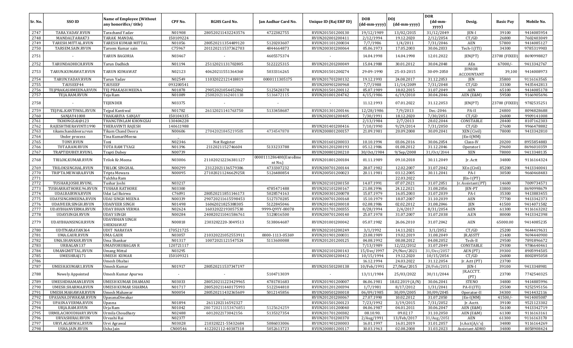|              |                                      |                                                           |                     |                      |                                   |                                      |                            |                            | <b>DOR</b>                            |                             |                   |                          |
|--------------|--------------------------------------|-----------------------------------------------------------|---------------------|----------------------|-----------------------------------|--------------------------------------|----------------------------|----------------------------|---------------------------------------|-----------------------------|-------------------|--------------------------|
| Sr. No.      | SSO ID                               | <b>Name of Employee (Without</b><br>any honorifics/title) | CPF No.             | <b>RGHS Card No.</b> | Jan Aadhar Card No.               | Unique ID (Raj ERP ID)               | <b>DOB</b><br>(dd-mm-yyyy) | <b>DOJ</b><br>(dd-mm-yyyy) | $(dd{\text{-}\mathbf{mm}}$ -<br>yyyy) | Desig.                      | <b>Basic Pay</b>  | Mobile No.               |
| 2747         | TARA.YADAV.RVUN                      | Tarachand Yadav                                           | N01908              | 280520211432243576   | 4722382755                        | RVUN201501200130                     | 19/12/1989                 | 13/02/2015                 | 31/12/2049                            | JEN-I                       | 39100             | 9414085954               |
| 2748         | MANDALTARAK73                        | TARAK MANDAL                                              | 150109224           |                      |                                   | RVUN202001200411                     | 2/12/1994                  | 19.12.2020                 | 2/12/2054                             | CT/GD                       | 26800             | 7602403049               |
| 2749         | TARESH.MITTAL.RVUN                   | TARESH KUMAR MITTAL                                       | N01056              | 280520211354489120   | 5120203607                        | RVUN201101200034                     | 7/7/1986                   | 1/4/2011                   | 7/31/2046                             | AEN                         | 57800             | 9414085127               |
| 2750         | TARSEM.SAIN.RVUN                     | Tarsem Kumar sain                                         | C75967              | 201120211537362703   | 4844664873                        | RVUN200301200064                     | 05.06.1973                 | 17.05.2003                 | 30.06.2033                            | Tech-I (ITI)                | 34300             | 9785319903               |
| 2751         |                                      | <b>TARUN BAGORIA</b>                                      | N03467              |                      | 4605575374                        |                                      | 14.04.1998                 | 14.04.1998                 | 12.01.2022                            | JEN(PT)                     | 23700 (FIXED      | 8690998827               |
| 2752         | TARUNDADHICH.RVUN                    | Tarun Dadhich                                             | N01194              | 25112021131702805    | 5122225315                        | RVUN201201200049                     | 15.04.1988                 | 30.01.2012                 | 30.04.2048                            | AEn                         | $67000/-$         | 9413342767               |
| 2753         | TARUN.KUMAWAT.RVUN                   | TARUN KUMAWAT                                             | N02123              | 40620211551364360    | 5033316265                        | RVUN201501200274                     | 29-09-1990                 | 25-03-2015                 | 30-09-2050                            | JUNIOR<br><b>ACCOUNTANT</b> | 39,100            | 9414008973               |
| 2754         | TARUN.YADAV.RVUN                     | Tarun Yadav                                               | N02549              | 11032022121418819    | 0000111305175                     | RVUN201701200132                     | 19.12.1993                 | 24.08.2017                 | 31.12.2053                            | JEN                         | 35800             | 9116163565               |
| 2755         | TAUSEEF44                            | TAUSEEF                                                   | 093200541           |                      |                                   | RVUN200901200968                     | 7/7/1988                   | 11/14/2009                 | 7/31/2048                             | CT/GD                       | 33300             | 9435442813               |
| 2756         | TEJPRAKASHMEENA.RVUN                 | <b>TEJ PRAKASH MEENA</b>                                  | N01878              | 29052021054452862    | 5125428378                        | RVUN201501200112                     | 05.07.1989                 | 18.02.2015                 | 31.07.2049                            | AEN                         | 65100             | 9414085178               |
| 2757         | TEJA.RAM.RVUN                        | Teja Ram                                                  | N01089              | 25082021162401138    | 5136472115                        | RVUN201001204742                     | 4/15/1986                  | 6/19/2010                  | 30.04.2046                            | AEN (E&M)                   | 59500             | 9166905696               |
| 2758         |                                      | TEJENDER                                                  | N03375              |                      |                                   |                                      | 11.12.1993                 | 07.01.2022                 | 31.12.2053                            | JEN(PT)                     | 23700 (FIXED      | 9782535251               |
| 2759         | TEJPAL.KANTIWAL.RVUN                 | Tejpal Kantiwal                                           | N01782              | 26112021141763750    | 5133458687                        | RVUN201301200146                     | 12/28/1986                 | 7/9/2013                   | Dec.-2046                             | PA-II                       | 24800             | 8094828688               |
| 2760         | SANJAY41008                          | THAKARIYA SANJAY                                          | 150104335           |                      |                                   | RVUN202001200405                     | 7/30/1991                  | 18.12.2020                 | 7/30/2051                             | CT/GD                       | 26800             | 9909141008               |
| 2761         | TKHONGSAI@123                        | THANGTINLAM KHONGSAI                                      | 130404228           |                      |                                   |                                      | 2/13/1984                  | 2/7/2013                   | 28.02.2044                            | CONSTABLE                   | 28400             | 8107162303               |
| 2762         | RAJESHTHERAVINTI1990                 | <b>THERAVINTI RAJESH</b>                                  | 140611988           |                      |                                   | RVUN201401200416                     | 7/10/1990                  | 9/29/2014                  | 7/31/2050                             | CT/GD                       | 27600             | 9966478882               |
| 2763         | tikamchanddeora.rvun                 | Tikam Chand Deora                                         | N00606              | 27042021845219505    | 4734547878                        | RVUN200801200157                     | 21.09.1981                 | 20.09.2008                 | 30.09.2041                            | XEN (Civil)                 | 78000             | 9413342810               |
| 2764         | Under process                        | Tina KumariMeena                                          |                     |                      |                                   |                                      |                            |                            |                                       | $[En-I(MM)]$                |                   |                          |
| 2765         | TONY.RVUN                            | Toni                                                      | N02346              | Not Register         |                                   | RVUN201601200033                     | 10.10.1994                 | 03.06.2016                 | 30.06.2054                            | Class-IV                    | 20200             | 8955854883               |
| 2766         | T0TA.RAM.RVUN                        | TOTA RAM TYAGI                                            | N01396              | 2112021152746604     | 5133233788                        | RVUN201201200193                     | 05.12.1986                 | 01.08.2012                 | 31.12.2046                            | Operator I                  | 29600             | 8696010359               |
| 2767         | TRAPTIDUBEY.RVUNL                    | Trapti Dubey                                              | N00739              |                      |                                   | RVUN200801200210                     | 30/0ct/1984                | 9/Sep/2008                 | 31/0ct/2044                           | XEN                         | 78000             | 9413348135               |
| 2768         | TRILOK.KUMAR.RVUN                    | Trilok Kr.Meena                                           | N03006              | 211020212236381127   | 0000111286400(Enrollme<br>nt No.) | RVUN201801200184                     | 01.11.1989                 | 09.10.2018                 | 30.11.2049                            | Jr. Actt                    | 34800             | 9116164324               |
| 2769         | TRILOKSINGHAL.RVUN                   | TRILOK SINGHAL                                            | N00299              | 23122021136579386    | 4733307232                        | RVUN200701200144                     | 28.07.1982                 | 12.02.2007                 | 31.07.2042                            | XEn (Civil)                 | 85200             | 9413340041               |
| 2770         | TRIPTA.MEWARA.RVUN                   | Tripta Mewara                                             | N00095              | 27102021124662925R   | 5126480854                        | RVUN200501200023                     | 20.11.1981                 | 03.12.2005                 | 30.11.2041                            | PA-I                        | 30500             | 9660468483               |
| 2771         |                                      | Tulchha Ram                                               |                     |                      |                                   |                                      |                            | 22.03.2022                 |                                       | $[En-I (PT)]$               |                   |                          |
| 2772         | TUSHAR.JOSHI.RVUNL                   | Tushar Joshi                                              | N03217              |                      |                                   | RVUN202101200150                     | 14.07.1991                 | $\overline{07.07.2021}$    | 31.07.2051                            | Jr. Assistant (PT)          | 14600             | 7009734571               |
| 2773         | TUSHARRATHORE.96.RVUN                | <b>TUSHAR RATHORE</b>                                     | N03300              |                      | 4785471488                        | RVUN202101200167                     | 21.08.1996                 | 24.12.2021                 | 31.08.2056                            | JEN-PT                      | 33800             | 8690998679               |
| 2774         | UDAI.BAIRWA.RVUN                     | Udai Lal Bairwa                                           | C76091              | 280520211851146173   | 5028574163                        | RVUN200301200078                     | 15.07.1979                 | 16.05.2003                 | 31.07.2039                            | PA-I                        | 35300             | 9413883455               |
| 2775         | UDAYSINGHMEENA.RVUN                  | <b>UDAI SINGH MEENA</b>                                   | N00339              | 290720211615598453   | 5127370285                        | RVUN200701200168                     | 15.10.1979                 | 18.07.2007                 | 31.10.2039                            | AEN                         | 77700             | 9413342373               |
| 2776         | UDAIVEER.SINGH.RVUN                  | <b>UDAIVEER SINGH</b>                                     | N01498              | 16062021825388305    | 5122845046                        | RVUN201401200018                     | 02.08.1986                 | 02.02.2012                 | 31.08.2046                            | JEN                         | 41500             | 9414071582               |
| 2777         | UDAYBHANVERMA.RVUN                   | <b>UDAY BHAN VERMA</b>                                    | N02624              | 16032022193057530    | 9999-Q9YY-00078                   | RVUN201701200355                     | 8/28/1994                  | 2/4/2017                   | 8/31/2054                             | AEN                         | 61300             | 9116163202               |
| 2778         | UDAYSINGH.RVUN                       | <b>UDAY SINGH</b>                                         | N00284              | 240820211041586761   | 5128016500                        | RVUN200701200140                     | 25.07.1978                 | 31.07.2007                 | 31.07.2038                            | A.EN                        | 80000             | 9413342398               |
|              |                                      | <b>UDAYBHAN SINGH</b>                                     |                     |                      |                                   |                                      |                            |                            |                                       |                             |                   |                          |
| 2779<br>2780 | UDAYBHANSINGH.RVUN<br>UDITNARAYAN364 | SHEKHAWAT<br><b>UDIT NARAYAN</b>                          | N00818<br>170521725 | 2303202220-3049513   | 5138064687                        | RVUN201001200042<br>RVUN202101200249 | 05.07.1982<br>3/1/1992     | 26.06.2010<br>14.11.2021   | 31.07.2042<br>3/1/2052                | AEN<br>CT/GD                | 65000.00<br>25200 | 9414085235<br>9644419631 |
| 2781         | UMA.GAUR.RVUN                        | <b>UMA GAUR</b>                                           | N03057              | 210320221052553911   | 0000-1113-05369                   | RVUN201901200031                     | 23.08.1989                 | 19.02.2019                 | 31.08.2049                            | JR.ASSTT                    | 21400             | 9694440900               |
| 2782         | <b>UMA.SHANKAR.RVUN</b>              | Uma Shankar                                               | N01317              | 10072021121547524    |                                   |                                      | 04.08.1992                 | 08.08.2012                 | 04.08.2052                            |                             | 29500             | 7891896672               |
| 2783         |                                      |                                                           |                     |                      | 5113600088                        | RVUN201201200125                     |                            |                            |                                       | Tech-II                     |                   |                          |
| 2784         | URBAGAN137                           | UMAIYORUBAGAN R                                           | 120721117<br>N03295 |                      |                                   |                                      | 7/13/1989                  | 12/22/2012                 | 31.07.2049<br>31/Dec/2057             | CONSTABLE                   | 29300<br>39300    | 9786640461               |
|              | UMANGMITTAL.RVUN                     | <b>Umang Mittal</b>                                       |                     |                      |                                   | RVUN202101200143                     | 15/Dec/1997                | 29/Nov/2021                |                                       | AEN (PT)                    |                   | 8905994505               |
| 2785<br>2786 | UMESHRAJ171                          | UMESH KUMAR                                               | 150109321           |                      |                                   | RVUN202001200412                     | 10/15/1994                 | 19.12.2020                 | 10/15/2054                            | CT/GD                       | 26800<br>23700    | 8002895058               |
| 2787         |                                      | Umesh Dhabai                                              |                     |                      |                                   | RVUN201501200138                     | 16.12.1994<br>10/Feb/1991  | 24.03.2022                 | 31.12.2054                            | Jr. Actt (PT)<br>JEN-I      |                   |                          |
|              | UMESH.KUMAR1.RVUN                    | Umesh Kumar                                               | N01917              | 280520211537347197   |                                   |                                      |                            | 27/Mar/2015                | 28/Feb/2051                           |                             | 39100             | 9413348981               |
| 2788         | Newely Appointed                     | Umesh Kumar Apurwa                                        | $\sim$              |                      | 5104713039                        | $\sim$                               | 13/11/1984                 | 25/03/2022                 | 30/11/2044                            | JR.ACCTT.<br>(PT)           | 23700             | 7742540325               |
| 2789         | UMESHDHAMANI.RVUN                    | UMESH KUMAR DHAMANI                                       | N03033              | 280520211223429965   | 4781781683                        | RVUN201901200007                     | 06.06.1981                 | 18.02.2019 (A/N)           | 30.06.2041                            | STENO                       | 34800             | 9414885996               |
| 2790         | UMESH.SHARMA.RVUN                    | UMESH KUMAR SHARMA                                        | N01717              | 280520211440175993   | 5122344810                        | RVUN201201200394                     | 1/7/1981                   | 8/17/2012                  | 1/31/2041                             | PA-II (ITI)                 | 25500             | 9252595156               |
| 2791         | UMESH.MAHAWAR.RVUN                   | Umesh Mahawar                                             | N00054              | 280520211432365609   | 5012145856                        | RVUN200501200018                     | 06/09/1985                 | 30/09/2005                 | 30/09/2045                            | Operator-II                 | 34300             | 9414432116               |
| 2792         | UPASANA.DIWAKAR.RVUN                 | UpasanaDiwakar                                            |                     |                      |                                   | RVUN201201200067                     | 27.07.1990                 | 10.02.2012                 | 31.07.2050                            | $[En-I(MM)]$                | $41500/-$         | 9414005087               |
| 2793         | UPASNA VERMA.RVUN                    | Upasna                                                    | N01894              | 2611202116592327     |                                   | RVUN201501200123                     | 7/23/1992                  | 3/19/2015                  | 7/31/2052                             | Jr. Acctt.                  | 39100             | 9521123302               |
| 2794         | URJA.RAM.RVUN                        | Urja Ram                                                  | N01042              | 280 720211153476851  | 5125624259                        | RVUN201101200040                     | 04.06.1987                 | 04.01.2011                 | 30.06.2047                            | AEN (E&M)                   | 56100             | 9413342719               |
| 2795         | URMILACHOUDHARY.RVUN                 | Urmila Choudhary                                          | N02488              | 6012022173042156     | 5135327354                        | RVUN201701200382                     | 08.10.90.                  | 09.02.17                   | 31.10.2050                            | AEN (E&M)                   | 61300             | 9116163161               |
| 2796         | URVASHIRAI.RVUN                      | Urvashi Rai                                               | N02377              |                      |                                   | RVUN201701200370                     | 2/Aug/1991                 | 13/Feb/2017                | 31/Aug/2051                           | AEN                         | 61300             | 9116163170               |
| 2797         | URVI.AGARWAL.RVUN                    | Urvi Agrawal                                              | N03028              | 210320221-55432684   | 5086033006                        | RVUN201901200003                     | 16.01.1997                 | 16.01.2019                 | 31.01.2057                            | Jr.Acct(A/c's)              | 34800             | 9116164269               |
| 2798         | USHA.JAIN.RVUN                       | Usha Jain                                                 | CN00546             | 412202112-40387318   | 5052613723                        | RVUN200801200117                     | 30.03.1963                 | 02.08.2008                 | 31.03.2023                            | Assistant ADMO              | 34800             | 8058908424               |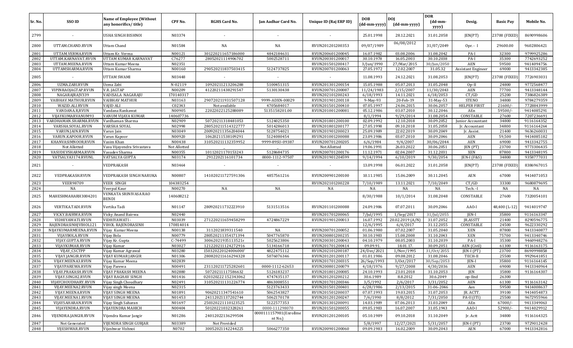| Sr. No.      | SSO ID                                     | Name of Employee (Without<br>any honorifics/title) | CPF No.           | <b>RGHS Card No.</b>                     | Jan Aadhar Card No.              | Unique ID (Raj ERP ID)               | <b>DOB</b><br>(dd-mm-yyyy) | <b>DOI</b><br>(dd-mm-yyyy) | <b>DOR</b><br>$(dd{\text{-}\mathbf{mm}}$<br>yyyy) | Desig.                       | <b>Basic Pay</b> | Mobile No.               |
|--------------|--------------------------------------------|----------------------------------------------------|-------------------|------------------------------------------|----------------------------------|--------------------------------------|----------------------------|----------------------------|---------------------------------------------------|------------------------------|------------------|--------------------------|
| 2799         |                                            | USHA SINGH BISHNOI                                 | N03374            |                                          |                                  |                                      | 25.01.1998                 | 28.12.2021                 | 31.01.2058                                        | JEN(PT)                      | 23700 (FIXED)    | 8690998606               |
| 2800         | UTTAM.CHAND.RVUN                           | <b>Uttam Chand</b>                                 | N01584            | NA                                       | NA                               | RVUN201201200353                     | 09/07/1989                 | 06/08/2012                 | 31/07/2049                                        | $0pr - I$                    | 29600.00         | 9602806421               |
| 2801         | UTTAM.VERMA.RVUN                           | Uttam Kr. Verma                                    | N00121            | 301220211657186000                       | 4842184631                       | RVUN200601200045                     | 16.07.1982                 | 03.08.2006                 | 31.08.2042                                        | PA-I                         | 32300            | 9799925286               |
| 2802         | UTTAM.KARNAVAT.RVUN                        | UTTAM KUMAR KARNAVAT                               | C76277            | 28052021114906702                        | 5002528711                       | RVUN200301200017                     | 30.10.1978                 | 16.05.2003                 | 30.10.2038                                        | PA-I                         | 35300            | 7742693252               |
| 2803         | UTTAM.MEENA.RVUN                           | Uttam Kumar Meena                                  | N02351            |                                          |                                  | RVUN201501200417                     | 3/Jun/1990                 | 27/Mar/2015                | 30/Jun/2050                                       | <b>AEN</b>                   | 59500            | 9414094756               |
| 2804         | UTTAMSHARMA.RVUN                           | Uttam Kumar Sharma                                 | N00160            | 290520211837503415                       | 5124737825                       | RVUN200701200063                     | 27.05.1972                 | 12.02.2007                 | 31.05.32                                          | Assistant Engineer           | 69000            | 9413342385               |
| 2805         |                                            | UTTAM SWAMI                                        | N03448            |                                          |                                  |                                      | 11.08.1993                 | 24.12.2021                 | 31.08.2053                                        | JEN(PT)                      | 23700 (FIXED     | 7726903031               |
| 2806         | UZMA.ZABI.RVUN                             | Uzma Zabi                                          | N-02119           | 10920211213206288                        | 5100451315                       | RVUN201301200154                     | 15.05.1988                 | 05.07.2013                 | 31.05.2048                                        | $Op-II$                      | 24800            | 9772568477               |
| 2807         | VIPINRAOJAGTAP.RVUN                        | <b>V.R. JAGTAP</b>                                 | N00209            | 41220211438291547                        | 5130130438                       | RVUN200701200087                     | $\frac{11}{24}/1983$       | 2/15/2007                  | 11/30/2043                                        | <b>AEN</b>                   | 77700            | 9413348144               |
| 2808         | NAGARAJRAJV339                             | VADISALA NAGARAJU                                  | 170140317         |                                          |                                  | RVUN202101200243                     | 6/18/1993                  | 14.11.2021                 | 6/18/2053                                         | CT/GD                        | 25200            | 7386826389               |
| 2809         | VAIBHAV.MATHUR.RVUN                        | <b>VAIBHAV MATHUR</b>                              | N03163            | 290720211931507128                       | 9999-ADXN-00029                  | RVUN201901200118                     | 9-May-93                   | 20-Feb-19                  | 31-May-53                                         | <b>STENO</b>                 | 34800            | 9784279359               |
| 2810         | WAZID.ALI.RVUN                             | <b>VAJID ALI</b>                                   | C02343            | Not available                            | 4705684017                       | RVUN201501200410                     | 07.05.1997                 | 24.06.2015                 | 30.06.2057                                        | <b>HELPER FIRST</b>          | 21600/           | 7728843999               |
| 2811         | VANDANA.R,RVUN                             | Vandana Rankawat                                   | N00905            | 22022022125288089                        | 5135158201.00                    | RVUN201001200081                     | 05.12.1986                 | 03.07.2010                 | 30.12.2046                                        | AEn                          | 59500/           | 9414085291               |
| 2812         | VIJAYKUMARVANUM93                          | VANUM VIJAYA KUMAR                                 | 140607736         |                                          |                                  |                                      | 8/1/1994                   | 9/29/2014                  | 31.08.2054                                        | CONSTABLE                    | 27600            | 7207236691               |
| 2813<br>2814 | VARDHAMAN.SHARMA.RVUN<br>VARSHA.SOYAL.RVUN | Vardhaman Sharma<br>VARSHA SOYAL                   | N02909<br>N02998  | 50720211318481053<br>280520211514322777  | 5124025350<br>5014286013         | RVUN201801200100<br>RVUN201801200177 | 02.09.1992<br>27.05.1998   | 12.10.2018<br>09.10.2018   | 30.09.2052<br>31.05.2058                          | Junior Accountant            | 34800<br>34800   | 9116164352<br>9116164264 |
| 2815         | VARUN.JAIN.RVUN                            | Varun Jain                                         | N03049            | 200920211356204044                       | 5128754021                       | RVUN201901200023                     | 25.09.1989                 | 22.02.2019                 | 30.09.2049                                        | Jr. Accountant<br>Jr. Assist | 21400            | 9636260031               |
| 2816         | VARUN.KAPOOR.RVUN                          | Varun Kapoor                                       | N00920            | 10620211538109291                        | 5124080454                       | RVUN201001200088                     | 23.09.1986                 | 03.07.2010                 | 30.09.2046                                        | AEN                          | 59,500           | 9414085182               |
| 2817         | KHANVASIMNOOR.RVUN                         | Vasim Khan                                         | N00438            | 310520211132359952                       | 9999-89SU-09387                  | RVUN200701200205                     | 6/6/1984                   | 9/4/2007                   | 30/06/2044                                        | AEN                          | 69000            | 9413342755               |
| 2818         | Not Allotted                               | Vasu Vijayendra Srivastava                         | Not Allotted      |                                          |                                  | Not Allotted                         | 19.06.1991                 | 26.03.2022                 | 30.06.2051                                        | JEN (PT)                     | 23700            | 9773306435               |
| 2819         | VASUDEVSHARMA.RVUN                         | Vasudev Sharma                                     | N00355            | 10112021170153243                        | 5128684735                       | RVUN200701200176                     | 11.12.1971                 | 02.04.2007                 | 31.12.2031                                        | <b>XEN</b>                   | 87800            | 9413348195               |
| 2820         | VATSALYA3174.RVUNL                         | VATSALYA GUPTA                                     | N03174            | 2912202116101734                         | 0000-1112-97507                  | RVUN201901204599                     | 9/14/1994                  | 6/10/2019                  | 9/30/2054                                         | JEN-I (F&S)                  | 34800            | 9358777031               |
| 2821         |                                            | VEDPRAKASH                                         | N03464            |                                          |                                  |                                      | 13.09.1998                 | 06.01.2022                 | 31.01.2058                                        | JEN(PT)                      | 23700 (FIXED)    | 8386967015               |
| 2822         | VEDPRAKASH.RVUN                            | VEDPRAKASH SINGH NARUKA                            | N00807            | 141020211727591306                       | 4857561216                       | RVUN200901200100                     | 10.11.1985                 | 15.06.2009                 | 30.11.2045                                        | AEN                          | 67000            | 9414071053               |
| 2823         | <b>VEER98709</b>                           | <b>VEER SINGH</b>                                  | 104383254         |                                          |                                  | RVUN202101200228                     | 7/10/1989                  | 13.11.2021                 | 7/10/2049                                         | CT/GD                        | 33300            | 9680879695               |
| 2824         | NA                                         | Veerpal Kaur                                       | N00270            | NA                                       | NA                               | NA                                   | NA                         | NA                         | NA                                                | Tech. -I                     | NA               | NA                       |
| 2825         | MAHESHMAHARH3004201                        | VENKATA SRINIVASA RAO<br><b>BENDI</b>              | 140608212         |                                          |                                  |                                      | 8/30/1988                  | 10/1/2014                  | 31.08.2048                                        | CONSTABLE                    | 27600            | 7320054101               |
| 2826         | VERTIKA.TADI.RVUN                          | Vertika Tadi                                       | N01147            | 280920211732223910                       | 5131513516                       | RVUN201101200088                     | 24.09.1986                 | 07.07.2011                 | 30.09.2046                                        | AAO-I                        | 48,400 (L-12)    | 9414019747               |
| 2827         | VICKY.BAIRWA.RVUN                          | Vicky Anand Bairwa                                 | N02440            |                                          |                                  | RVUN201701200065                     | 7/Jul/1995                 | $1/$ Sep $/2017$           | $31/$ Jul/2055                                    | JEN-I                        | 35800            | 9116163347               |
| 2828         | VIDHIYAWATI.RVUN                           | VIDHIYAWATI -                                      | N03039            | 271220211659458299                       | 4724867229                       | RVUN201901200013                     | 16.07.1992                 | 20.02.2019 (A/N)           | 31.07.2052                                        | JR.ASSTT                     | 21400            | 8290596775               |
| 2829         | RAJENDRASINHJVIHOL121                      | VIHOL RAJENDRASINH                                 | 170814014         |                                          |                                  |                                      | 12/6/1995                  | 6/4/2017                   | 31.12.2055                                        | CONSTABLE                    | 24500            | 9622330292               |
| 2830         | NIJAYKUMARMEENA.RVUN                       | Vijay Kumar Meena                                  | N00138            | 3112021839311540                         | NA                               | RVUN200701200052                     | 01.06.1980                 | 07.02.2007                 | 31.05.2040                                        | XEN                          | 87800            | 9413340877               |
| 2831<br>2832 | VIJAYBOLA.RVUN                             | Vijay Bola                                         | N00779<br>C-74499 | 280520211354171394<br>30062021935113521r | 5047765870<br>5025623806         | RVUN200801200235                     | 30.10.1983                 | 15.08.2008<br>08.05.2003   | 31.10.2043                                        | <b>XEN</b><br>PA-I           | 75700<br>35300   | 9413340746               |
|              | VIJAY.GUPTA.RVUN<br>VIJAYKUMAR.RVUN        | Vijay Kr. Gupta                                    | N03027            | 121220211124272916                       |                                  | RVUN200301200043                     | 04.10.1979<br>09.09.91     |                            | 31.10.2039                                        |                              |                  | 9460948276               |
| 2833<br>2834 | VIJAY_CSCTPP                               | Vijay Kumar<br>Vijay Kumar Agrawal                 | N03280            | 150320220124006000'                      | 5134166718<br>4822475112         | RVUN201701200414<br>RVUN202101200187 | 24/Dec/2021                | 18.01.17.<br>1/Nov/1995    | 30.09.2051<br>31/0ct/2055                         | AEN (Civil)<br>$IEN-I (PT)$  | 61300<br>23700   | 9116163175<br>8690998858 |
| 2835         | VIJAY.JANGIR.RVUN                          | VIJAY KUMAR JANGIR                                 | N01306            | 280820211616294328                       | 5076076346                       | RVUN201201200117                     | 01.01.1986                 | 09.08.2012                 | 31.08.2046                                        | TECH-II                      | 25500            | 9929641851               |
| 2836         | VIJAY.MEENA3.RVUN                          | Vijay Kumar Meena                                  | N02839            |                                          |                                  | RVUN201701200315                     | 26/Sep/1993                | 3/0ct/2017                 | 30/Sep/2053                                       | <b>IEN-I</b>                 | 35800            | 9116164145               |
| 2837         | VIJAYPAREWA.RVUN                           | Vijay Parewa                                       | N00491            | 231120211725282601                       | 0000-1112-62653                  | RVUN200801200079                     | 4/18/1976                  | 9/27/2008                  | 4/30/2036                                         | AEN                          | 69000            | 9413340964               |
| 2838         | VIJAY.PRAKASH.RVUN                         | VIJAY PRAKASH MEENA                                | N02880            | 50720211117586632                        | 5126183237                       | RVUN201801200085                     | 24.10.1993                 | 23.01.2018                 | 31.10.2053                                        | JEN                          | 35800            | 9116164307               |
| 2839         | VIJAY.SINGH2.RVUN                          | <b>VIJAY RAGHAV SINGH</b>                          | N01416            | 020320222 152343062                      | 4747435137                       | RVUN201201200212                     | 30.6.1989                  | 8.8.2012                   | 30.6.2049                                         | op-IInd                      | 26300            |                          |
| 2840         | VIJAYCHOUDHARY.RVUN                        | Vijay Singh Choudhary                              | N02491            | 310520211131226774                       | 4863008551                       | RVUN201701200346                     | 3/5/1992                   | 2/6/2017                   | 3/31/2052                                         | <b>AEN</b>                   | 61300            | 9116163142               |
| 2841         | VIJAY.MEENA2.RVUN                          | Vijay singh Meena                                  | N02315            |                                          | 5123763433                       | RVUN201501200401                     | 6/28/1986                  | 2/13/2015                  | 31-06-2046                                        | Aen                          | 59500            | 9414008637               |
| 2842         | VIJAY.MEENA.RVUN                           | VIJAY SINGH MEENA                                  | N01891            | 90620211347541610                        | 5062543827                       | RVUN201501200037                     | 07.07.1993                 | 19.03.2015                 | 31.07.2053                                        | JR. ACTT.                    | 39100            | 9414054873               |
| 2843         | VIJAY.MEENA1.RVUN                          | VIJAY SINGH MEENA                                  | N01453            | 24112021137202744                        | 5062170178                       | RVUN201201200247                     | 7/6/1990                   | 8/8/2012                   | 7/31/2050                                         | PA-II (ITI)                  | 25500            | 9672955966               |
| 2844         | VIJAYSAHARAN.RVUN                          | Vijay Singh Saharan                                | N01697            | 250320221110123525                       | 5122577353                       | RVUN201301200091                     | 14.03.1989                 | 07.06.2013                 | 31.03.2049                                        | AEn                          | $67000/-$        | 9413349063               |
| 2845         | VIJAYENDRA.RVUN                            | VIJAYENDRA MAHICH                                  | N00404            | 50120221032328261                        | 0000-111298070                   | RVUN201501200055                     | 09.05.1983                 | 16.07.2007                 | 31.05.1943                                        | AAO-I                        | 52900/-          | 9414029912               |
| 2846         | VIJENDRA.JANGIR.RVUN                       | Vijendra Kumar Jangir                              | N01286            | 24012022136299504                        | 0000111157981(Enrollme<br>nt No. | RVUN201201200105                     | 05.10.1989                 | 09.10.2018                 | 31.10.2049                                        | Jr. Actt                     | 34800            | 9116164325               |
| 2847         | Not Generated                              | VIJENDRA SINGH GURJAR                              | N03389            | Not Provided                             |                                  |                                      | 5/8/1997                   | 12/27/2021                 | 5/31/2057                                         | JEN-I (PT)                   | 23700            | 9729012428               |
| 2848         | VIJESHWAR.RVUN                             | Vijeshwar Vishnoi                                  | N0702             | 30052021142244225                        | 5066277350                       | RVUN200901200060                     | 09.09.1983                 | 16.02.2009                 | 30.09.2043                                        | AEN                          | 67000            | 9413342816               |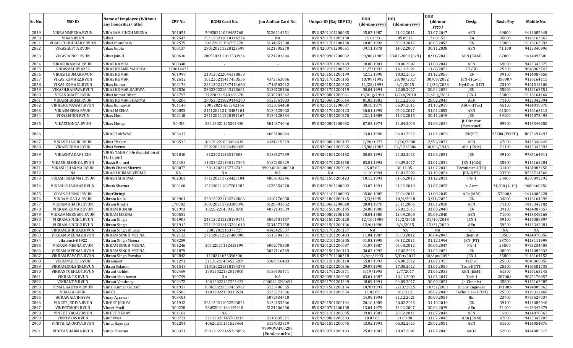| Sr. No.      | <b>SSO ID</b>                             | <b>Name of Employee (Without</b><br>any honorifics/title) | CPF No.          | <b>RGHS Card No.</b>                    | Jan Aadhar Card No.               | Unique ID (Raj ERP ID)               | <b>DOB</b><br>(dd-mm-yyyy) | <b>DOI</b><br>(dd-mm-yyyy) | <b>DOR</b><br>$(dd{\text{-}\mathbf{mm}}$ | Desig.                      | <b>Basic Pay</b> | Mobile No.               |
|--------------|-------------------------------------------|-----------------------------------------------------------|------------------|-----------------------------------------|-----------------------------------|--------------------------------------|----------------------------|----------------------------|------------------------------------------|-----------------------------|------------------|--------------------------|
|              |                                           |                                                           |                  |                                         |                                   |                                      |                            |                            | yyyy)                                    |                             |                  |                          |
| 2849<br>2850 | VIKRAMMEENA.RVUN                          | VIKARAM SINGH MEENA                                       | N01051<br>N02547 | 50920211029485768                       | 5126214251                        | RVUN201101200035                     | 05.07.1987<br>15.01.93     | 21.02.2011<br>05.09.17     | 31.07.2047                               | <b>AEN</b>                  | 69000            | 9414085348<br>9116163562 |
| 2851         | <b>VIKAS.RVUN</b><br>VIKAS.CHOUDHARY.RVUN | Vikas<br>Vikas choudhary                                  | N02575           | 251120211010116274<br>24122021194755270 | NA<br>5134653580                  | RVUN201701200130<br>RVUN201701200158 | 10.05.1992                 | 30.08.2017                 | 31.01.53<br>30.05.2052                   | JEn.<br>JEN                 | 35800<br>35800   | 9116163592               |
| 2852         | VIKASGUPTA.RVUN                           | Vikas Gupta                                               | N00137           | 280520211328123599                      | 5121505270                        | RVUN200701200051                     | 09.11.1978                 | 14.02.2007                 | 30.11.2038                               | AEN                         | 71,100           | 9413340896               |
| 2853         | VIKASJAIN09.RVUN                          | Vikas Jain-II                                             | N00616           | 28052021 2017531934                     | 5121281604                        | RVUN200901200032                     | 09/08/1985                 | 28-02-2009 (F/N)           | 8/31/2045                                | AEN (E&M)                   | 67000            | 9414093601               |
| 2854         | VIKASHKAMRA.RVUN                          | <b>VIKAS KAMRA</b>                                        | N00340           |                                         | $\sim$                            | RVUN200701200169                     | 18.08.1981                 | 08.06.2007                 | 31.08.2041                               | AEN                         | 69000            | 9413342375               |
| 2855         | VIKASMAURYA222                            | VIKAS KUAMR MAURYA                                        | 170614432        |                                         |                                   | RVUN202101200252                     | 11/7/1992                  | 14.11.2021                 | 11/7/2052                                | CT/GD                       | 25200            | 9648063747               |
| 2856         | VIKASH.KUMAR.RVUN                         | <b>VIKAS KUMAR</b>                                        | N01998           | 210120222044318853                      | $\sim$                            | RVUN201501200199                     | 12.12.1990                 | 10.02.2015                 | 31.12.2050                               | JEN                         | 39100            | 9414087658               |
| 2857         | VIKAS.KUMAR2.RVUN                         | <b>VIKAS KUMAR</b>                                        | N02612           | 101220211417453556                      | 4873563836                        | RVUN201701200195                     | 10/09/1992                 | 28/08/2017                 | 30/09/2052                               | JEN-I (Civil)               | 35800/           | 9116164115               |
| 2858         | VIKAS.KUMAR1.RVUN                         | Vikas Kumar                                               | N02176           | 221120211737411660                      | 4718503012                        | RVUN201501200302                     | 11/28/1993                 | 6/1/2015                   | 11/30/2053                               | Hyd.Opr.-II ITI             | 23400            | 9461512108               |
| 2859         | VIKASH.BAIRWA.RVUN                        | <b>VIKAS KUMAR BAIRWA</b>                                 | N02536           | 230220221643123601                      | 5136728436                        | RVUN201701200119                     | 30.04.1994                 | 22.08.2017                 | 30.04.2054                               | JEN                         | 35800            | 9116163551               |
| 2860         | VIKAS.BHATT.RVUN                          | Vikas Kumar Bhatt                                         | N02797           | 31220211540162678                       | 5135783542                        | RVUN200801200061                     | 19/Aug/1991                | 1/Feb/2018                 | 31/Aug/2051                              | JEN-I                       | 35800            | 9116164166               |
| 2861         | VIKASSHARMA.RVUN                          | <b>VIKAS KUMAR SHARMA</b>                                 | N00286           | 280520211829144290                      | 5121361833                        | RVUN200601200064                     | 01.03.1983                 | 11.12.2006                 | 28.02.2043                               | AEN                         | 71100            | 9413342394               |
| 2862         | VIKAS.KUMAWAT.RVUN                        | Vikas Kumawat                                             | N01146           | 29052021-653242164                      | 5123054458                        | RVUN201101200087                     | 30.10.1979                 | 05.07.2011                 | 31.10.2039                               | AAO-II(Tax)                 | 45100            | 9414019378               |
| 2863         | VIKASMEENA.RVUN                           | <b>VIKAS MEENA</b>                                        | N02853           | 241120212143485104                      | 5134525002                        | RVUN201701200423                     | 30.01.1993                 | 07.02.2017                 | 31.01.2053                               | AEN                         | 61300            | 9116163112               |
| 2864         | VIKAS.MODI.RVUN                           | Vikas Modi                                                | N02118           | 251120211220191167                      | 5134128534                        | RVUN201501200270                     | 22.11.1989                 | 11.02.2015                 | 30.11.2049                               | JEN                         | 39100            | 9414073492               |
| 2865         | VIKASMONGA.RVUN                           | Vikas Monga                                               | N0456            | 23112021125291430                       | 5044874046                        | RVUN200801200062                     | 07.03.1974                 | 11.04.2008                 | 31.03.2034                               | Jt. Director<br>(Personnel) | 89900            | 9413349658               |
| 2866         |                                           | <b>VIKAS TANWAR</b>                                       | N03417           |                                         | 4605106824                        |                                      | 13.01.1996                 | 04.01.2022                 | 31.01.2056                               | JEN(PT)                     | 23700 (FIXED)    | 8875491497               |
| 2867         | VIKASTHAKUR.RVUN                          | Vikas Thakur                                              | N00535           | 40120221053494419                       | 4824215519                        | RVUN200801200107                     | 2/20/1977                  | 9/16/2008                  | 2/28/2037                                | AEN                         | 67000            | 9413348449               |
| 2868         | VIKASVERMA.RVUN                           | Vikas Verma                                               |                  | 220220221024498020                      |                                   | RVUN200601200065                     | 25/06/1983                 | 04/12/2006                 | 30/06/1943                               | AEn (E&M)                   | 71100            | 9413342393               |
| 2869         | VIKASHYADAV1.EID                          | VIKAS YADAV (On deputation at<br>TD, Jaipur)              | N01810           | 8122021136317503                        | 5133527539                        | RVUN201501206152                     | 30.03.1991                 | 21.02.2015                 | 31.03.2051                               | JEN                         | 39100            | 9785164911               |
| 2870         | VIKASH.BISHNOL.RVUN                       | Vikash Bishnoi                                            | N02483           | 110320221130127305                      | 5137280629                        | RVUN201701201258                     | 03.01.1992                 | 04.09.2017                 | 31.01.2052                               | $ EN-I (C&I) $              | 35800            | 9116163284               |
| 2871         | VIKASH.SHARMA.RVUN                        | Vikash Chand Sharma                                       | N00077           | 3011202115778743                        | 9999-06DF-00510                   | RVUN200801200039                     | 25.07.85.                  | 30.11.05.                  | 31.07.2045                               | Technician-I(ITI)           | 31400            | 9461083158               |
| 2872         | NA                                        | VIKASH KUMAR VERMA                                        | NA               | NA                                      | NA                                | NA                                   | 11.10.1994                 | 11.01.2022                 | 31.10.2054                               | JEN-I(PT)                   | 23700            | 8233714566               |
| 2873         | VIKASH.SHARMA1.RVUN                       | <b>VIKASH SHARMA</b>                                      | N02361           | 171120211724423104                      | 4806733246                        | RVUN201501200423                     | 10.12.1991                 | 01.06.2015                 | 31.12.2051                               | PA-II                       | 23400            | 8290892192               |
| 2874         | VIKASH.SHARMA2.RVUN                       | Vikash Sharma                                             | N03160           | 151020211627501282                      | 4722654270                        | RVUN201901200002                     | 03.07.1991                 | 21.02.2019                 | 31.07.2052                               | Jr. Acctt.                  | 34,800 (L-10)    | 9680468254               |
| 2875         | VIKAS.SHRINGI.RVUN                        | VikasShringi                                              |                  |                                         |                                   | RVUN201101200093                     | 05.08.1985                 | 25.04.2011                 | 31.08.2045                               | AEn (MM)                    | 57800/           | 9414005228               |
| 2876         | VIKRAM.KAJLA.RVUN                         | Vikram Kajla                                              | N02961           | 220120221132242086                      | 4810776058                        | RVUN201801200145                     | 3/3/1995                   | 10/4/2018                  | 3/31/2055                                | <b>JEN</b>                  | 34800            | 9116164399               |
| 2877         | VIKRAMKHATRI.RVUN                         | Vikram Khatri                                             | C76082           | 300520211723308396                      | 5120301652                        | RVUN200601200020                     | 20.01.1978                 | 25.11.2006                 | 31.01.2038                               | AEN                         | 71100            | 9413342182               |
| 2878         | VIKRAM.KUMAR.RVUN                         | <b>VIKRAM KUMAR</b>                                       | N01993           | 10220221459323698                       | 4872131039                        | RVUN201501200195                     | 24.08.1988                 | 25.02.2015                 | 31.08.2048                               | <b>JEN</b>                  | 39100            | 9414087657               |
| 2879         | VIKRAMMEENA06.RVUN                        | <b>VIKRAM MEENA</b>                                       | N00531           |                                         |                                   | RVUN200801200103                     | 08.04.1980                 | 12.09.2008                 | 30.09.2040                               | <b>AEN</b>                  | 71000            | 9413348168               |
| 2880         | VIKRAM.SINGH1.RVUN                        | Vikram Singh                                              | N01905           | 241120211220189171                      | 5062701457                        | RVUN201501200128                     | 12/10/1988                 | 11/2/2015                  | 31/10/2048                               | JEN-I                       | 39100            | 9414086897               |
| 2881         | VIKRAM.SINGH2.RVUN                        | Vikram Singh                                              | N01915           | 271120211433281610                      | 5134573758                        | RVUN201501200136                     | 12/6/1990                  | 8/4/2015                   | 12/31/2050                               | AEn                         | 59500            | 9413342381               |
| 2882         | VIKRAMBHUKAR.RVUN                         | Vikram Singh Bhukar                                       | N02574           | 2805202116377729                        | 4842425537                        | RVUN201701200157                     | NA                         | NA                         | NA                                       | Jen.                        | NA               | NA                       |
| 2883         | VIKRAM.MEENA2.RVUN                        | <b>VIKRAM SINGH MEENA</b>                                 | N02132           | 271020212221408000                      | 5115704331                        | RVUN201201200403                     | 11.04.1987                 | 30.03.2012                 | 30.04.2047                               | Chemist                     | 59500            | 9414078356               |
| 2884         | vikramcivil4922                           | Vikram Singh Meena                                        | N03259           |                                         |                                   | RVUN202101200205                     | 01.01.1995                 | 03.12.2021                 | 31.12.1994                               | JEN (PT)                    | 23700            | 9413111999               |
| 2885         | VIKRAM.MEENA.RVUN                         | VIKRAM SINGH MEENA                                        | N01246           | 20112021142425199                       | 5062075500                        | RVUN201201200087                     | 01.07.1987                 | 06.08.2012                 | 30.06.2047                               | PA-II                       | 25500            | 9785234405               |
| 2886         | VIKRAM.MEENA1.RVUN                        | VIKRAM SINGH MEENA                                        | N01879           |                                         | 5027116769                        | RVUN201501200113                     | 30.03.1992                 | 12.02.2015                 | 31.03.2052                               | JEN                         | 38000            | 9414085932               |
| 2887         | VIKRAM.PAVAIYA.RVUN                       | Vikram Singh Pavaiya                                      | N02842           | 1120211633396306                        |                                   | RVUN201701200318                     | 6/Apr/1993                 | 5/0ct/2017                 | 30/Apr/2053                              | JEN-I                       | 35800            | 9116164152               |
| 2888         | VIKRAM.JEET.RVUN                          | Vikramjeet                                                | N01291           | 21120211434525289                       | 5067016403                        | RVUN201201200110                     | 15.07.1993                 | 06.08.2012                 | 31.07.1953                               | Tech-II                     | 25500            | 9649869855               |
| 2889         | VIKRAM.SOLANKI.RVUN                       | Vikran Solanki                                            | N01518           | 110120221518184378                      |                                   | RVUN201201200306                     | 29.07.1990                 | 17.08.2012                 | 31.07.2050                               | Tech-II(ITI)                | 25500            | 9166581735               |
| 2890         | VIKRANTGEHLOT.RVUN                        | Vikrant Gehlot                                            | N02469           | 19012022132015000                       | 5135605471                        | RVUN201701200371                     | 5/19/1993                  | 2/7/2017                   | 31.05.2053                               | AEN (E&M)                   | 61300            | 9116163145               |
| 2891         | VIKRANT.S.RVUN                            | Vikrant Shekhawat                                         | N00799           | NA                                      | NA                                | RVUN200901200092                     | 03.01.1987                 | 13.11.2009                 | 31.01.2047                               | Tech-I                      | $28700/-$        | 9875179857               |
| 2892         | VIKRANT.V.RVUN                            | Vikrant Varshney                                          | N02472           | 10012022127251433                       | 0000111298694                     | RVUN201701201249                     | 18.09.1991                 | 04.09.2017                 | 30.09.2051                               | Jr. Chemist                 | 35800            | 9116163285               |
| 2893         | VIMAL.GAUTAM.RVUN                         | Vimal Kumar Gautam                                        | N01937           | 100620211557435967                      | 5125706555                        | RVUN201501200154                     | 10/8/1991                  | 2/13/2015                  | 10/31/2051                               | Junior Engineer             | 39100/           | 9414009362               |
| 2894         | VIMALA.RVUN                               | Vimala                                                    | N01585           | 11012022138313534                       | 5135373556                        | RVUN201201200354                     | 11.02.89.                  | 18.08.12.                  | 28.02.2049                               | Technician-II(ITI)          | 25500            | 9119312468               |
| 2895         | AGRAWALVINAY94                            | Vinay Agrawal                                             | N03404           | $\sim$                                  | 5072434710                        | $\sim$                               | 14.09.1994                 | 31.12.2021                 | 30.09.2054                               | JEn                         | 23700            | 9785627037               |
| 2896         | VINEET.JEDIYA.RVUN                        | <b>VINEET JEDIYA</b>                                      | N01912           | 261120211052593851                      | 5134153566                        | RVUN201501200134                     | 20.10.1989                 | 20.02.2015                 | 31.10.2049                               | JEN                         | 39100            | 9414085948               |
| 2897         | VINEETMODI.RVUN                           | Vineet Modi                                               | N00238           | 28052021164195918                       | 5124206200                        | RVUN200701200108                     | 13.04.1979                 | 12.02.2007                 | 30.04.2039                               | AEn                         | 71100            | 9413342379               |
| 2898         | VINEET.YADAV.RVUN                         | <b>VINEET YADAV</b>                                       | N01161           | NA                                      |                                   | RVUN201101200095                     | 09.07.1983                 | 28.02.2011                 | 31.07.2043                               | AEN                         | 56100            | 9414078362               |
| 2899         | VINITVYAS.RVUN                            | Vinit Vyas                                                | N00723           | 22112021145768212                       | 5118635571                        | RVUN200801200203                     | 10.07.83.                  | 11.09.08.                  | 31.07.2043                               | AEn (E&M)                   | 67000            | 9413342787               |
| 2900         | VINITA.RAJORIYA.RVUN                      | Vinita Rajoriya                                           | N02294           | 40620211151523464                       | 5134033319                        | RVUN201501200045                     | 13.02.1991                 | 06.02.2015                 | 28.02.2051                               | AEN                         | 61300            | 9414054876               |
| 2901         | VINITA.SHARMA.RVUN                        | Vinita Sharma                                             | N00371           | 290120221145395892                      | 9999QVAP00207<br>(Enrollment No.) | RVUN200701200183                     | 25.07.1983                 | 18.07.2007                 | 31.07.2043                               | AAO-I                       | 52900            | 9414085315               |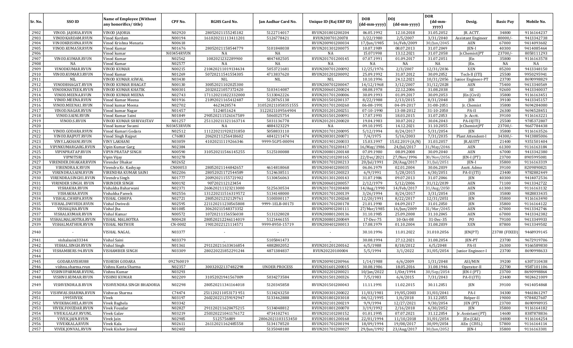| Sr. No.      | SSO ID                                   | <b>Name of Employee (Without</b><br>any honorifics/title) | CPF No.          | <b>RGHS Card No.</b> | Jan Aadhar Card No.  | Unique ID (Raj ERP ID)               | <b>DOB</b><br>(dd-mm-yyyy) | <b>DOI</b><br>(dd-mm-yyyy) | <b>DOR</b><br>$(dd{\text{-}\mathbf{mm}}$<br>yyyy) | Desig.              | <b>Basic Pay</b> | Mobile No.               |
|--------------|------------------------------------------|-----------------------------------------------------------|------------------|----------------------|----------------------|--------------------------------------|----------------------------|----------------------------|---------------------------------------------------|---------------------|------------------|--------------------------|
| 2902         | VINOD. JAJORIA.RVUN                      | <b>VINOD JAJORIA</b>                                      | N02920           | 28052021155245182    | 5122714017           | RVUN201801200204                     | 06.05.1992                 | 12.10.2018                 | 31.05.2052                                        | JR. ACTT.           | 34800            | 9116164237               |
| 2903         | VINODKARDAM.RVUN                         | Vinod Kardam                                              | N00194           | 161020211113411201   | 5126778421           | RVUN20070120078                      | 3/22/1980                  | 2/5/2007                   | 3/31/2040                                         | Assistant Engineer  | 80000/           | 9413342738               |
| 2904         | VINODKRISHNA.RVUN                        | Vinod Krishna Menaria                                     | N00618           |                      |                      | RVUN200901200034                     | 17/Jun/1985                | 16/Feb/2009                | 30/Jun/2045                                       | AEN                 | 67000            | 9414093602               |
| 2905         | VINOD.KUMA5R.RVUN                        | Vinod Kumar                                               | N01676           | 28052021158544779    | 5101848038           | RVUN201301200075                     | 10.07.1989                 | 08.07.2013                 | 31.07.2049                                        | JEN-I               | 40300            | 9414085464               |
| 2906         |                                          | Vinod kumar                                               | N03454RVUN       | NA                   | NA                   | NA                                   | 15.071998                  | 13.12.2021                 | 31.07.2058                                        | Jr.Chemist(PT       | 23700/           | 8058111293               |
| 2907         | VINOD.KUMAR.RVUN                         | Vinod Kumar                                               | N02562           | 1082021232289900     | 4847482505           | RVUN201701200145                     | 07.07.1991                 | 01.09.2017                 | 31.07.2051                                        | JEn                 | 35800            | 9116163578               |
| 2908         | NA                                       | Vinod Kumar                                               | N02577           | NA                   | NA                   | NA                                   | NA                         | NA                         | NA                                                | JEn.                | NA               | NA                       |
| 2909         | VINODKUMAR.RVUN                          | <b>VINOD KUMAR</b>                                        | N00215           | 210420211019134634   | 5053721681           | RVUN200701200092                     | 12/25/1976                 | 2/3/2007                   | 12/31/2036                                        | XEN                 | 85200            | 9413348150               |
| 2910         | VINOD.KUMAR3.RVUN                        | Vinod Kumar                                               | N01269           | 50720211541554305    | 4713837620           | RVUN201201200092                     | 25.09.1992                 | 31.07.2012                 | 30.09.2052                                        | Tech-II (ITI)       | 25500            | 9950295941               |
| 2911         | NIL                                      | VINOD KUMAR ASWAL                                         | N03430           | NIL                  | <b>NIL</b>           | <b>NIL</b>                           | 10.10.1996                 | 24.12.2021                 | 10/31/2056                                        | Junior Engineer-PT  | 23700            | 8690998829               |
| 2912         | VINODBHAGAT.RVUN                         | VINOD KUMAR BHAGAT                                        | N00130           | 30052021102025300    |                      | RVUN200701200047                     | 14/12/1968                 | 3/12/2007                  | 31/12/2028                                        | AEN                 | 75400            | 9413340569               |
| 2913         | VINODKHATEEK.RVUN                        | <b>VINOD KUMAR KHATIK</b>                                 | N00301           | 20320221057372420    | 5103414087           | RVUN200601200024                     | 08.08.1978                 | 22.12.2006                 | 31.08.2038                                        | SE                  | 92600            | 9413340037               |
| 2914         | VINOD.MEENA.RVUN                         | <b>VINOD KUMAR MEENA</b>                                  | N02743           | 171120211822332000   | 5133042226           | RVUN201701200006                     | 30.09.1993                 | 01.09.2017                 | 30.09.2053                                        | JEn (Civil)         | 35800            | 9116163451               |
| 2915         | VINOD.MEENA.RVUN                         | Vinod Kumar Meena                                         | N01916           | 21092021165412487    | 5128765138           | RVUN201501200137                     | 8/22/1988                  | 2/13/2015                  | 8/31/2048                                         | JEN                 | 39100            | 9413345157               |
| 2916         | VINOD.MEENA1.RVUN                        | Vinod kumar Meena                                         | N02702           | 4623428574           | 310520211058351555   | RVUN201701200260                     | 06-08-1991                 | 04-09-2017                 | 31-08-2051                                        | Jr. Chemist         | 35800            | 9694284080               |
| 2917         | VINOD.NAGAR.RVUN                         | Vinod kumar Nagar                                         | N01457           | 5124051624           | 3122021109564904     | RVUN201201200251                     | 07-10-1990                 | 13-08-2012                 | 31-10-2050                                        | PA-II               | 26300            | 9694528451               |
| 2918         | VINOD.SAINI.RVUN                         | Vinod Kumar Saini                                         | N01849           | 290520211526167589   | 5060325754           | RVUN201501200091                     | 17.07.1993                 | 18.03.2015                 | 31.07.2053                                        | Jr. Acctt.          | 39100            | 9116163221               |
| 2919         | VINOD.S.RVUN                             | VINOD KUMAR SHRIVASTAV                                    | N01257           | 251120211321163714   | 5031136778           | RVUN201201200020                     | 19.04.1983                 | 30.07.2012                 | 30.04.2043                                        | $PA-II(ITI)$        | 25500            | 9785372807               |
| 2920         |                                          | Vinod kumar Swami                                         | N03453RVUN       | NA                   | 4884323229           | NA                                   | 09.10.1995                 | 14.12.2021                 | 31.10.2055                                        | Jr.Chemist(PT       | 23700/           | 9667784438               |
| 2921         | VINOD.GODARA.RVUN                        | Vinod Kumari Godara                                       | N02512           | 111220211920231850   | 5058833110           | RVUN201701200095                     | 5/12/1994                  | 8/24/2017                  | 5/31/2054                                         | JEN                 | 35800            | 9116163526               |
| 2922         | VINOD.RAIPUT.RVUN                        | Vinod Singh Rajput                                        | C76083           | 20620211256418602    | 4841211474           | RVUN200301200071                     | 7/4/1975                   | 5/16/2003                  | 7/31/2035                                         | Plant Attendent-I   | 34300/           | 9413885006               |
| 2923         | VINY.LAKHANI.RVUN<br>VIPINKUMARGARG.RVUN | <b>VINY LAKHANI</b>                                       | N03059<br>N02384 | 41020211119266346    | 9999-5GP5-00094      | RVUN201901200033                     | 15.03.1997<br>16/May/1986  | 15.02.2019 (A/N)           | 31.03.2057                                        | JR.ASSTT            | 21400            | 9351501404               |
| 2924<br>2925 |                                          | Vipin Kumar Garg                                          | N00590           |                      |                      | RVUN201701200417                     |                            | 24/Jul/2017                | 31/May/2046                                       | AEN                 | 61300<br>67000   | 9116163184<br>9413342380 |
| 2926         | VIPINPRATAP.RVUN<br><b>VIPNITSRI</b>     | <b>VIPIN PRATAP SINGH</b>                                 | N03278           | 310520211546145255   | 5125100088           | RVUN200801200148<br>RVUN202101200165 | 07.09.1980<br>22/Dec/2021  | 08.09.2008<br>27/Nov/1996  | 30.09.2040<br>30/Nov/2056                         | AEN<br>$IEN-I (PT)$ | 23700            | 8905995081               |
| 2927         | VIRENDER.DHAKAR.RVUN                     | Vipin Vijay<br>Virender Dhakar                            | N02652           |                      |                      | RVUN201701200213                     | 20/Jul/1991                | 28/Aug/2017                | 31/Jul/2051                                       | JEN-I               | 35800            | 9116163319               |
| 2928         | VIRENDRA.K.RVUN                          | Virendra Kr. Kashyap                                      | CN00053          | 28052021144842657    | 4614818068           | RVUN200401200035                     | 06.06.1979                 | 02.01.2004                 | 30.06.2039                                        | Asstt. Admo         | 39100            | 8209890821               |
| 2929         | VIRENDRA.SAINI.RVUN                      | VIRENDRA KUMAR SAINI                                      | N02206           | 28052021172544589    | 5124638511           | RVUN201501200323                     | 6/9/1991                   | 5/28/2015                  | 6/30/2051                                         | PA-II (ITI)         | 23400            | 9782882449               |
| 2930         | VIRENDRA.SINGH1.RVUN                     | Virendra Singh                                            | N01777           | 20092021155721902    | 5130456063           | RVUN201301200143                     | 31.07.1986                 | 09.07.2013                 | 31.07.2046                                        | JEN                 | 40300            | 9414072536               |
| 2931         | VIRINDER SINGH. RVUN                     | <b>VIRINDER SINGH</b>                                     | N00192           | 907202112123454      |                      | RVUN200601200057                     | 2/12/1979                  | 5/12/2006                  | 31/12/2039                                        | AEN                 | 71100            | 9413342722               |
| 2932         | VISHAKHA.RVUN                            | Vishakha Baharwani                                        | N02371           | 260620211323213000   | 5125630534           | RVUN201701200400                     | 14/Aug/1990                | 14/Feb/2017                | 31/Aug/2050                                       | AEN                 | 61300            | 9116163132               |
| 2933         | VISHAKHA.RVUN                            | Vishakha Pareek                                           | N02556           | 131220211516319572   | 5134148000           | RVUN201701200139                     | 3/26/1994                  | 8/24/2017                  | 3/31/2054                                         | JEN                 | 35800            | 9828833435               |
| 2934         | VISHAL.CHHIPA.RVUN                       | <b>VISHAL CHHIPA</b>                                      | N02721           | 28052021232129761    | 5100300117           | RVUN201701200268                     | 12/20/1991                 | 8/22/2017                  | 12/31/2051                                        | JEN                 | 35800            | 9116163490               |
| 2935         | VISHAL.DWIVEDI.RVUN                      | Vishal Dwivedi                                            | N02595           | 221120211230565808   | 9999-1ELB-00173      | RVUN201701200178                     | 21.01.1990                 | 04.09.2017                 | 31.01.2050                                        | JEN                 | 35800            | 9116164122               |
| 2936         | VISHALJHA.RVUN                           | Vishal Jha                                                | N01085           | 30620211548373352    |                      | RVUN200901200111                     | 27/Mar/1985                | 16/Jun/2009                | 31/Mar/2045                                       | AEN                 | 67000            | 9413342746               |
| 2937         | VISHALKUMAR.RVUN                         | Vishal Kumar                                              | N00572           | 10720211156556038    | 5131328028           | RVUN200801200136                     | 31.10.1985                 | 25.09.2008                 | 31.10.2045                                        | AEN                 | 67000            | 9413342382               |
| 2938         | VISHALMALHOTRA.RVUN                      | <b>VISHAL MALHOTRA</b>                                    | N00428           | 280520212246114019   | 5121446155           | RVUN200801200049                     | 17-Dec-75                  | 10-Oct-08                  | 31-Dec-35                                         | P <sub>O</sub>      | 79100            | 9413349933               |
| 2939         | VISHALMATHUR.RVUN                        | VISHAL MATHUR                                             | CN-0002          | 19012022121114571    | 9999-8950-15719      | RVUN200401200013                     | 17.08.1979                 | 01.10.2004                 | 31.08.2039                                        | <b>XEN</b>          | 87800            | 9413349502               |
| 2940         |                                          | VISHAL NAGAL                                              | N03377           |                      |                      |                                      | 30.10.1996                 | 11.01.2022                 | 31.010.2056                                       | JEN(PT)             | 23700 (FIXED)    | 9468939145               |
| 2941         | vishalsaini33344                         | Vishal Saini                                              | N03379           |                      | 5105841473           |                                      | 30.08.1994                 | 27.12.2021                 | 31.08.2054                                        | JEN-PT              | 23700            | 9672919706               |
| 2942         | VISHAL.SINGH.RVUN                        | Vishal Singh                                              | N01361           | 291120211633416854   | 4882802052           | RVUN201201200162                     | 6/5/1988                   | 8/18/2012                  | 6/5/2048                                          | PA-II               | 26300            | 9166589830               |
| 2943         | VISHAMBERS.94.RVUN                       | <b>VISHAMBER SINGH</b>                                    | N03309           | 280220221852291244   | 4871384837           | RVUN20220100004                      | 5/5/1994                   | 3/1/2022                   | 31/05/2054                                        | Junior Engineer-I   | 23700            | 8690998633               |
| 2944         |                                          |                                                           |                  |                      |                      |                                      |                            |                            |                                                   |                     |                  |                          |
| 2945         | GODARAVISHU88                            | <b>VISHESH GODARA</b>                                     | 092760019        |                      |                      | RVUN200901200966                     | 1/14/1988                  | 6/6/2009                   | 1/31/2048                                         | ASI/MIN             | 39200            | 6307310438               |
| 2946         | vishnu.sharma.rvun                       | Vishnu Kanta Sharma                                       | N02357           | 30032022137482298    | <b>UNDER PROCESS</b> | RVUN201601200015                     | 30.08.1986                 | 18.05.2016                 | 31.08.1946                                        | Operator-II         | 22700            | 9587101106               |
| 2947         | VISHNUPARMAR.RVUNL                       | Vishnu Kumar                                              | N03293           |                      |                      | RVUN202201200021                     | $10/$ Jan $/2022$          | 1/0ct/1994                 | 30/Sep/2054                                       | JEN-I (PT)          | 23700            | 8690998864               |
| 2948         | VISHNU.KUMAR.RVUN                        | <b>VISHNU KUMAR</b>                                       | N02209           | 31052021941567009    | 5034273584           | RVUN201501200326                     | 7/5/1983                   | 6/4/2015                   | 7/31/2043                                         | PA-II (ITI)         | 23400            | 9024621009               |
| 2949         | VISHVENDRA.B.RVUN                        | VISHVENDRA SINGH BHADORIA                                 | N02298           | 280520211341164018   | 5120345858           | RVUN201501200043                     | 11.11.1991                 | 11.02.2015                 | 30.11.2051                                        | JEN                 | 39100            | 9414054868               |
| 2950         | VISHWAS.SHARMA.RVUN                      | Vishwas Sharma                                            | C74474           | 251120211053173951   | 5134243250           | RVUN200301200022                     | 11/03/1981                 | 19/05/2003                 | 31/03/2041                                        | PA-I                | 34300            | 9461861297               |
| 2951         | 1995VIVEK                                | Vivek                                                     | N03197           | 260220221259192947   | 5133462888           | RVUN201801203018                     | 04/12/1995                 | 1/6/2018                   | 31.12.2055                                        | Helper-II           | 19000            | 9784827607               |
| 2952         | VIVEKBAGHELA.RVUN                        | Vivek Baghela                                             | N03342           |                      |                      | RVUN202101200219                     | 9/9/1994                   | 12/27/2021                 | 9/30/2054                                         | JEN (PT)            | 23700            | 8690998935               |
| 2953         | VIVEK.FOUZDAR.RVUN                       | Vivek Fouzdar                                             | N02827           | 291120211620475215   | 5134048812           | RVUN201801200070                     | 3/19/1992                  | 2/16/2018                  | 6/30/2052                                         | JEN.                | 35800            | 9116164182               |
| 2954         | VIVEK.GALAV.RVUNL                        | Vivek Galav                                               | N03219           | 250320221041176172   | 4734102741           | RVUN202101200152                     | 01.01.1995                 | 07.07.2021                 | 31.12.2054                                        | Jr. Assistant (PT)  | 14600            | 8387878836               |
| 2955         | VIVEK.JAIN.RVUN                          | Vivek Jain                                                | N02985           | 5125756889           | 28062021103153450    | RVUN201801200168                     | 22/01/1994                 | 11/10/2018                 | 31/01/2054                                        | [En (C&I)           | 34800            | 9116164254               |
| 2956         | VIVEKKALA.RVUN                           | Vivek Kala                                                | N02611           | 26112021162485558    | 5134178520           | RVUN201701200194                     | 18/09/1994                 | 19/08/2017                 | 30/09/2054                                        | AEn (CIVIL)         | 57800            | 9116164114               |
| 2957         | VIVEK.JONVAL.RVUN                        | Vivek Kishor Jonval                                       | N02402           |                      | 5135048180           | RVUN201701200027                     | 29/Jun/1992                | 23/Aug/2017                | 30/Jun/2052                                       | JEN-I               | 35800            | 9116163301               |